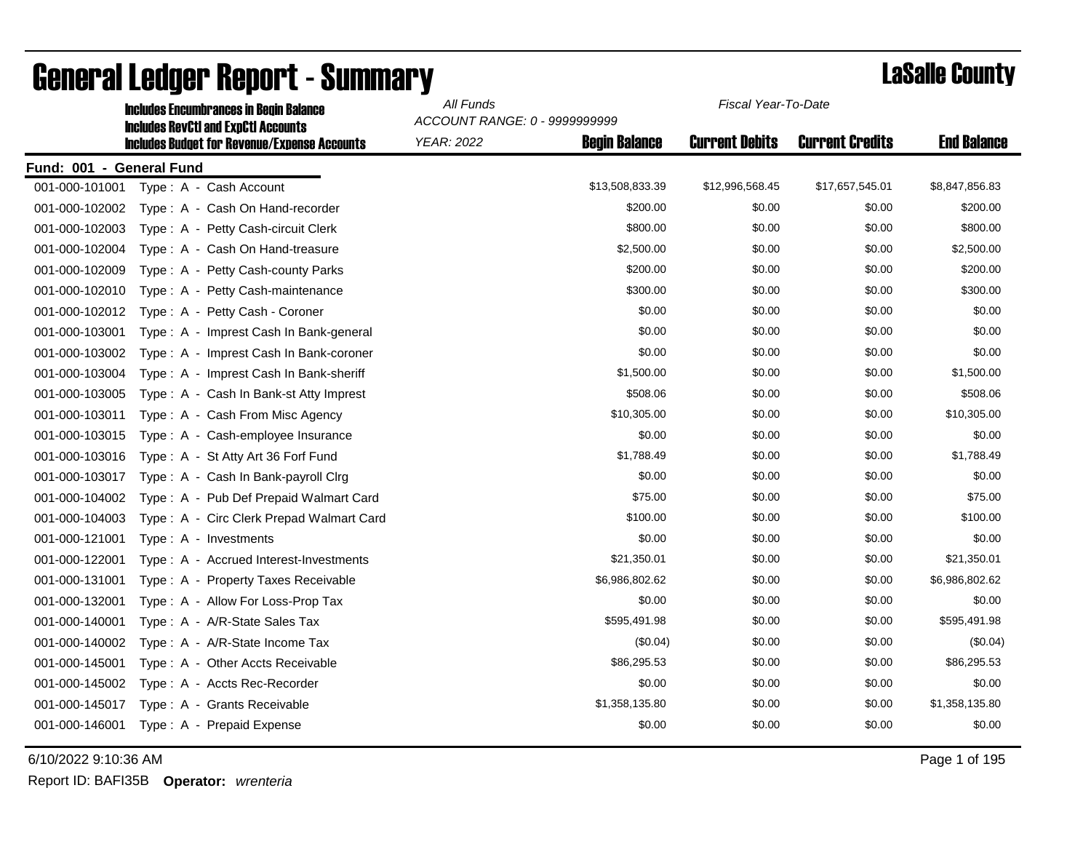|                          | <b>Includes Encumbrances in Begin Balance</b>       | All Funds<br>Fiscal Year-To-Date |                      |                       |                        |                    |  |
|--------------------------|-----------------------------------------------------|----------------------------------|----------------------|-----------------------|------------------------|--------------------|--|
|                          | <b>Includes RevCtI and ExpCtI Accounts</b>          | ACCOUNT RANGE: 0 - 9999999999    |                      |                       |                        |                    |  |
|                          | <b>Includes Budget for Revenue/Expense Accounts</b> | <b>YEAR: 2022</b>                | <b>Begin Balance</b> | <b>Current Debits</b> | <b>Current Credits</b> | <b>End Balance</b> |  |
| Fund: 001 - General Fund |                                                     |                                  |                      |                       |                        |                    |  |
| 001-000-101001           | Type: A - Cash Account                              |                                  | \$13,508,833.39      | \$12,996,568.45       | \$17,657,545.01        | \$8,847,856.83     |  |
| 001-000-102002           | Type: A - Cash On Hand-recorder                     |                                  | \$200.00             | \$0.00                | \$0.00                 | \$200.00           |  |
| 001-000-102003           | Type: A - Petty Cash-circuit Clerk                  |                                  | \$800.00             | \$0.00                | \$0.00                 | \$800.00           |  |
| 001-000-102004           | Type: A - Cash On Hand-treasure                     |                                  | \$2,500.00           | \$0.00                | \$0.00                 | \$2,500.00         |  |
| 001-000-102009           | Type: A - Petty Cash-county Parks                   |                                  | \$200.00             | \$0.00                | \$0.00                 | \$200.00           |  |
| 001-000-102010           | Type: A - Petty Cash-maintenance                    |                                  | \$300.00             | \$0.00                | \$0.00                 | \$300.00           |  |
| 001-000-102012           | Type: A - Petty Cash - Coroner                      |                                  | \$0.00               | \$0.00                | \$0.00                 | \$0.00             |  |
| 001-000-103001           | Type: A - Imprest Cash In Bank-general              |                                  | \$0.00               | \$0.00                | \$0.00                 | \$0.00             |  |
| 001-000-103002           | Type: A - Imprest Cash In Bank-coroner              |                                  | \$0.00               | \$0.00                | \$0.00                 | \$0.00             |  |
| 001-000-103004           | Type: A - Imprest Cash In Bank-sheriff              |                                  | \$1,500.00           | \$0.00                | \$0.00                 | \$1,500.00         |  |
| 001-000-103005           | Type: A - Cash In Bank-st Atty Imprest              |                                  | \$508.06             | \$0.00                | \$0.00                 | \$508.06           |  |
| 001-000-103011           | Type: A - Cash From Misc Agency                     |                                  | \$10,305.00          | \$0.00                | \$0.00                 | \$10,305.00        |  |
| 001-000-103015           | Type: A - Cash-employee Insurance                   |                                  | \$0.00               | \$0.00                | \$0.00                 | \$0.00             |  |
| 001-000-103016           | Type: A - St Atty Art 36 Forf Fund                  |                                  | \$1,788.49           | \$0.00                | \$0.00                 | \$1,788.49         |  |
| 001-000-103017           | Type: A - Cash In Bank-payroll Cirg                 |                                  | \$0.00               | \$0.00                | \$0.00                 | \$0.00             |  |
| 001-000-104002           | Type: A - Pub Def Prepaid Walmart Card              |                                  | \$75.00              | \$0.00                | \$0.00                 | \$75.00            |  |
| 001-000-104003           | Type: A - Circ Clerk Prepad Walmart Card            |                                  | \$100.00             | \$0.00                | \$0.00                 | \$100.00           |  |
| 001-000-121001           | Type: A - Investments                               |                                  | \$0.00               | \$0.00                | \$0.00                 | \$0.00             |  |
| 001-000-122001           | Type: A - Accrued Interest-Investments              |                                  | \$21,350.01          | \$0.00                | \$0.00                 | \$21,350.01        |  |
| 001-000-131001           | Type: A - Property Taxes Receivable                 |                                  | \$6,986,802.62       | \$0.00                | \$0.00                 | \$6,986,802.62     |  |
| 001-000-132001           | Type: A - Allow For Loss-Prop Tax                   |                                  | \$0.00               | \$0.00                | \$0.00                 | \$0.00             |  |
| 001-000-140001           | Type: A - A/R-State Sales Tax                       |                                  | \$595,491.98         | \$0.00                | \$0.00                 | \$595,491.98       |  |
| 001-000-140002           | Type: A - A/R-State Income Tax                      |                                  | (\$0.04)             | \$0.00                | \$0.00                 | (\$0.04)           |  |
| 001-000-145001           | Type: A - Other Accts Receivable                    |                                  | \$86,295.53          | \$0.00                | \$0.00                 | \$86,295.53        |  |
| 001-000-145002           | Type: A - Accts Rec-Recorder                        |                                  | \$0.00               | \$0.00                | \$0.00                 | \$0.00             |  |
| 001-000-145017           | Type: A - Grants Receivable                         |                                  | \$1,358,135.80       | \$0.00                | \$0.00                 | \$1,358,135.80     |  |
| 001-000-146001           | Type: A - Prepaid Expense                           |                                  | \$0.00               | \$0.00                | \$0.00                 | \$0.00             |  |
|                          |                                                     |                                  |                      |                       |                        |                    |  |

### General Ledger Report - Summary **County County** LaSalle County

6/10/2022 9:10:36 AM Page 1 of 195

Report ID: BAFI35B **Operator:** *wrenteria*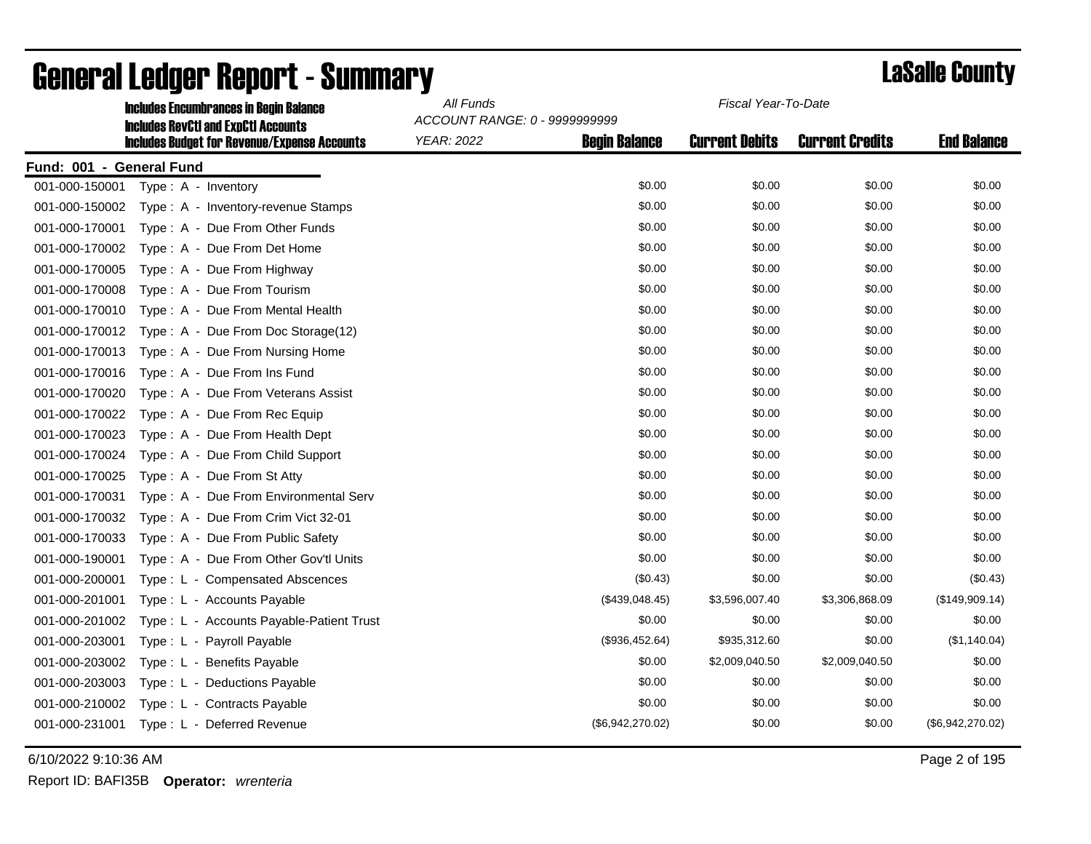|                          | <b>Includes Encumbrances in Begin Balance</b>                                                     | All Funds         | Fiscal Year-To-Date<br>ACCOUNT RANGE: 0 - 9999999999 |                       |                        |                    |
|--------------------------|---------------------------------------------------------------------------------------------------|-------------------|------------------------------------------------------|-----------------------|------------------------|--------------------|
|                          | <b>Includes RevCtI and ExpCtI Accounts</b><br><b>Includes Budget for Revenue/Expense Accounts</b> | <b>YEAR: 2022</b> | <b>Begin Balance</b>                                 | <b>Current Debits</b> | <b>Current Credits</b> | <b>End Balance</b> |
| Fund: 001 - General Fund |                                                                                                   |                   |                                                      |                       |                        |                    |
| 001-000-150001           | Type: A - Inventory                                                                               |                   | \$0.00                                               | \$0.00                | \$0.00                 | \$0.00             |
| 001-000-150002           | Type: A - Inventory-revenue Stamps                                                                |                   | \$0.00                                               | \$0.00                | \$0.00                 | \$0.00             |
| 001-000-170001           | Type: A - Due From Other Funds                                                                    |                   | \$0.00                                               | \$0.00                | \$0.00                 | \$0.00             |
| 001-000-170002           | Type: A - Due From Det Home                                                                       |                   | \$0.00                                               | \$0.00                | \$0.00                 | \$0.00             |
| 001-000-170005           | Type: A - Due From Highway                                                                        |                   | \$0.00                                               | \$0.00                | \$0.00                 | \$0.00             |
| 001-000-170008           | Type: A - Due From Tourism                                                                        |                   | \$0.00                                               | \$0.00                | \$0.00                 | \$0.00             |
| 001-000-170010           | Type: A - Due From Mental Health                                                                  |                   | \$0.00                                               | \$0.00                | \$0.00                 | \$0.00             |
| 001-000-170012           | Type: A - Due From Doc Storage(12)                                                                |                   | \$0.00                                               | \$0.00                | \$0.00                 | \$0.00             |
| 001-000-170013           | Type: A - Due From Nursing Home                                                                   |                   | \$0.00                                               | \$0.00                | \$0.00                 | \$0.00             |
| 001-000-170016           | Type: A - Due From Ins Fund                                                                       |                   | \$0.00                                               | \$0.00                | \$0.00                 | \$0.00             |
| 001-000-170020           | Type: A - Due From Veterans Assist                                                                |                   | \$0.00                                               | \$0.00                | \$0.00                 | \$0.00             |
| 001-000-170022           | Type: A - Due From Rec Equip                                                                      |                   | \$0.00                                               | \$0.00                | \$0.00                 | \$0.00             |
| 001-000-170023           | Type: A - Due From Health Dept                                                                    |                   | \$0.00                                               | \$0.00                | \$0.00                 | \$0.00             |
| 001-000-170024           | Type: A - Due From Child Support                                                                  |                   | \$0.00                                               | \$0.00                | \$0.00                 | \$0.00             |
| 001-000-170025           | Type: A - Due From St Atty                                                                        |                   | \$0.00                                               | \$0.00                | \$0.00                 | \$0.00             |
| 001-000-170031           | Type: A - Due From Environmental Serv                                                             |                   | \$0.00                                               | \$0.00                | \$0.00                 | \$0.00             |
| 001-000-170032           | Type: A - Due From Crim Vict 32-01                                                                |                   | \$0.00                                               | \$0.00                | \$0.00                 | \$0.00             |
| 001-000-170033           | Type: A - Due From Public Safety                                                                  |                   | \$0.00                                               | \$0.00                | \$0.00                 | \$0.00             |
| 001-000-190001           | Type: A - Due From Other Gov'tl Units                                                             |                   | \$0.00                                               | \$0.00                | \$0.00                 | \$0.00             |
| 001-000-200001           | Type: L - Compensated Abscences                                                                   |                   | (\$0.43)                                             | \$0.00                | \$0.00                 | (\$0.43)           |
| 001-000-201001           | Type: L - Accounts Payable                                                                        |                   | (\$439,048.45)                                       | \$3,596,007.40        | \$3,306,868.09         | (\$149,909.14)     |
| 001-000-201002           | Type: L - Accounts Payable-Patient Trust                                                          |                   | \$0.00                                               | \$0.00                | \$0.00                 | \$0.00             |
| 001-000-203001           | Type: L - Payroll Payable                                                                         |                   | (\$936,452.64)                                       | \$935,312.60          | \$0.00                 | (\$1,140.04)       |
| 001-000-203002           | Type: L - Benefits Payable                                                                        |                   | \$0.00                                               | \$2,009,040.50        | \$2,009,040.50         | \$0.00             |
| 001-000-203003           | Type: L - Deductions Payable                                                                      |                   | \$0.00                                               | \$0.00                | \$0.00                 | \$0.00             |
| 001-000-210002           | Type: L - Contracts Payable                                                                       |                   | \$0.00                                               | \$0.00                | \$0.00                 | \$0.00             |
| 001-000-231001           | Type: L - Deferred Revenue                                                                        |                   | (\$6,942,270.02)                                     | \$0.00                | \$0.00                 | (\$6,942,270.02)   |
|                          |                                                                                                   |                   |                                                      |                       |                        |                    |

6/10/2022 9:10:36 AM Page 2 of 195

Report ID: BAFI35B **Operator:** *wrenteria*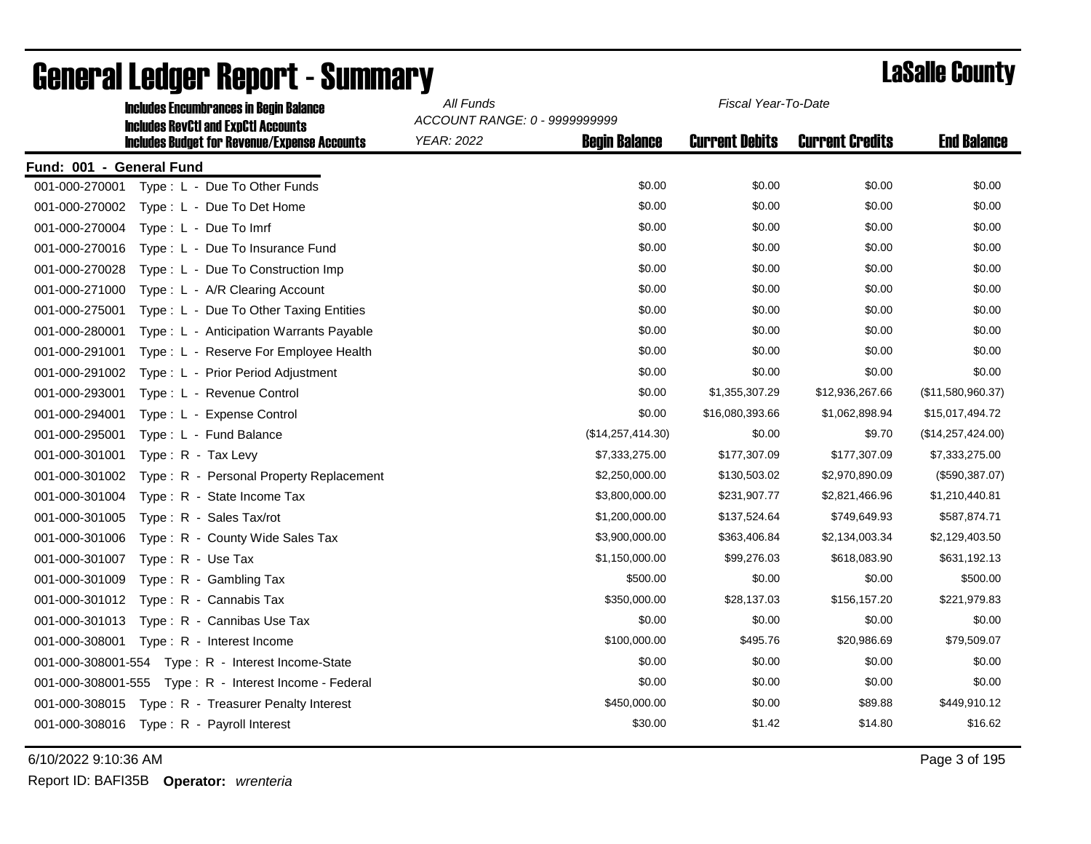| All Funds<br>Fiscal Year-To-Date<br><b>Includes Encumbrances in Begin Balance</b><br>ACCOUNT RANGE: 0 - 9999999999 |                   |                      |                       |                        |                    |
|--------------------------------------------------------------------------------------------------------------------|-------------------|----------------------|-----------------------|------------------------|--------------------|
| <b>Includes RevCtI and ExpCtI Accounts</b><br><b>Includes Budget for Revenue/Expense Accounts</b>                  | <b>YEAR: 2022</b> | <b>Begin Balance</b> | <b>Current Debits</b> | <b>Current Credits</b> | <b>End Balance</b> |
| Fund: 001 - General Fund                                                                                           |                   |                      |                       |                        |                    |
| Type: L - Due To Other Funds<br>001-000-270001                                                                     |                   | \$0.00               | \$0.00                | \$0.00                 | \$0.00             |
| Type: L - Due To Det Home<br>001-000-270002                                                                        |                   | \$0.00               | \$0.00                | \$0.00                 | \$0.00             |
| 001-000-270004<br>Type: L - Due To Imrf                                                                            |                   | \$0.00               | \$0.00                | \$0.00                 | \$0.00             |
| 001-000-270016<br>Type: L - Due To Insurance Fund                                                                  |                   | \$0.00               | \$0.00                | \$0.00                 | \$0.00             |
| 001-000-270028<br>Type: L - Due To Construction Imp                                                                |                   | \$0.00               | \$0.00                | \$0.00                 | \$0.00             |
| 001-000-271000<br>Type: L - A/R Clearing Account                                                                   |                   | \$0.00               | \$0.00                | \$0.00                 | \$0.00             |
| 001-000-275001<br>Type: L - Due To Other Taxing Entities                                                           |                   | \$0.00               | \$0.00                | \$0.00                 | \$0.00             |
| 001-000-280001<br>Type: L - Anticipation Warrants Payable                                                          |                   | \$0.00               | \$0.00                | \$0.00                 | \$0.00             |
| 001-000-291001<br>Type: L - Reserve For Employee Health                                                            |                   | \$0.00               | \$0.00                | \$0.00                 | \$0.00             |
| 001-000-291002<br>Type: L - Prior Period Adjustment                                                                |                   | \$0.00               | \$0.00                | \$0.00                 | \$0.00             |
| Type: L - Revenue Control<br>001-000-293001                                                                        |                   | \$0.00               | \$1,355,307.29        | \$12,936,267.66        | (\$11,580,960.37)  |
| 001-000-294001<br>Type: L - Expense Control                                                                        |                   | \$0.00               | \$16,080,393.66       | \$1,062,898.94         | \$15,017,494.72    |
| 001-000-295001<br>Type: L - Fund Balance                                                                           |                   | (\$14,257,414.30)    | \$0.00                | \$9.70                 | (\$14,257,424.00)  |
| 001-000-301001<br>Type: R - Tax Levy                                                                               |                   | \$7,333,275.00       | \$177,307.09          | \$177,307.09           | \$7,333,275.00     |
| 001-000-301002<br>Type: R - Personal Property Replacement                                                          |                   | \$2,250,000.00       | \$130,503.02          | \$2,970,890.09         | (\$590,387.07)     |
| 001-000-301004<br>Type: R - State Income Tax                                                                       |                   | \$3,800,000.00       | \$231,907.77          | \$2,821,466.96         | \$1,210,440.81     |
| 001-000-301005<br>Type: R - Sales Tax/rot                                                                          |                   | \$1,200,000.00       | \$137,524.64          | \$749,649.93           | \$587,874.71       |
| Type: R - County Wide Sales Tax<br>001-000-301006                                                                  |                   | \$3,900,000.00       | \$363,406.84          | \$2,134,003.34         | \$2,129,403.50     |
| 001-000-301007<br>Type: R - Use Tax                                                                                |                   | \$1,150,000.00       | \$99,276.03           | \$618,083.90           | \$631,192.13       |
| 001-000-301009<br>Type: R - Gambling Tax                                                                           |                   | \$500.00             | \$0.00                | \$0.00                 | \$500.00           |
| Type: R - Cannabis Tax<br>001-000-301012                                                                           |                   | \$350,000.00         | \$28,137.03           | \$156,157.20           | \$221,979.83       |
| Type: R - Cannibas Use Tax<br>001-000-301013                                                                       |                   | \$0.00               | \$0.00                | \$0.00                 | \$0.00             |
| 001-000-308001<br>Type: R - Interest Income                                                                        |                   | \$100,000.00         | \$495.76              | \$20,986.69            | \$79,509.07        |
| 001-000-308001-554 Type: R - Interest Income-State                                                                 |                   | \$0.00               | \$0.00                | \$0.00                 | \$0.00             |
| 001-000-308001-555    Type: R - Interest Income - Federal                                                          |                   | \$0.00               | \$0.00                | \$0.00                 | \$0.00             |
| 001-000-308015 Type: R - Treasurer Penalty Interest                                                                |                   | \$450,000.00         | \$0.00                | \$89.88                | \$449,910.12       |
| 001-000-308016    Type: R - Payroll Interest                                                                       |                   | \$30.00              | \$1.42                | \$14.80                | \$16.62            |
|                                                                                                                    |                   |                      |                       |                        |                    |

### General Ledger Report - Summary **Constants County** LaSalle County

6/10/2022 9:10:36 AM Page 3 of 195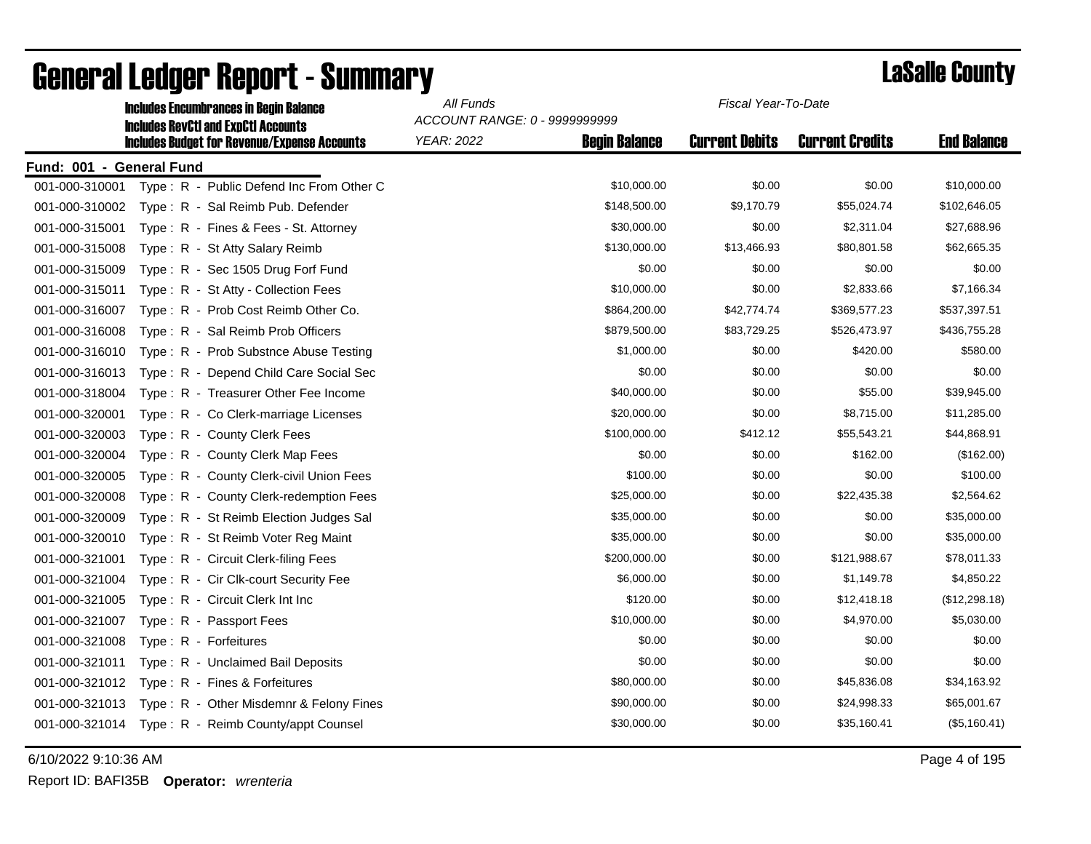|                          | <b>Includes Encumbrances in Begin Balance</b>                                                     | All Funds<br>Fiscal Year-To-Date<br>ACCOUNT RANGE: 0 - 9999999999 |                      |                       |                        |                    |
|--------------------------|---------------------------------------------------------------------------------------------------|-------------------------------------------------------------------|----------------------|-----------------------|------------------------|--------------------|
|                          | <b>Includes RevCtI and ExpCtI Accounts</b><br><b>Includes Budget for Revenue/Expense Accounts</b> | <b>YEAR: 2022</b>                                                 | <b>Begin Balance</b> | <b>Current Debits</b> | <b>Current Credits</b> | <b>End Balance</b> |
| Fund: 001 - General Fund |                                                                                                   |                                                                   |                      |                       |                        |                    |
| 001-000-310001           | Type: R - Public Defend Inc From Other C                                                          |                                                                   | \$10,000.00          | \$0.00                | \$0.00                 | \$10,000.00        |
| 001-000-310002           | Type: R - Sal Reimb Pub. Defender                                                                 |                                                                   | \$148,500.00         | \$9,170.79            | \$55,024.74            | \$102,646.05       |
| 001-000-315001           | Type: R - Fines & Fees - St. Attorney                                                             |                                                                   | \$30,000.00          | \$0.00                | \$2,311.04             | \$27,688.96        |
| 001-000-315008           | Type: R - St Atty Salary Reimb                                                                    |                                                                   | \$130,000.00         | \$13,466.93           | \$80,801.58            | \$62,665.35        |
| 001-000-315009           | Type: R - Sec 1505 Drug Forf Fund                                                                 |                                                                   | \$0.00               | \$0.00                | \$0.00                 | \$0.00             |
| 001-000-315011           | Type: R - St Atty - Collection Fees                                                               |                                                                   | \$10,000.00          | \$0.00                | \$2,833.66             | \$7,166.34         |
| 001-000-316007           | Type: R - Prob Cost Reimb Other Co.                                                               |                                                                   | \$864,200.00         | \$42,774.74           | \$369,577.23           | \$537,397.51       |
| 001-000-316008           | Type: R - Sal Reimb Prob Officers                                                                 |                                                                   | \$879,500.00         | \$83,729.25           | \$526,473.97           | \$436,755.28       |
| 001-000-316010           | Type: R - Prob Substnce Abuse Testing                                                             |                                                                   | \$1,000.00           | \$0.00                | \$420.00               | \$580.00           |
| 001-000-316013           | Type: R - Depend Child Care Social Sec                                                            |                                                                   | \$0.00               | \$0.00                | \$0.00                 | \$0.00             |
| 001-000-318004           | Type: R - Treasurer Other Fee Income                                                              |                                                                   | \$40,000.00          | \$0.00                | \$55.00                | \$39,945.00        |
| 001-000-320001           | Type: R - Co Clerk-marriage Licenses                                                              |                                                                   | \$20,000.00          | \$0.00                | \$8,715.00             | \$11,285.00        |
| 001-000-320003           | Type: R - County Clerk Fees                                                                       |                                                                   | \$100,000.00         | \$412.12              | \$55,543.21            | \$44,868.91        |
| 001-000-320004           | Type: R - County Clerk Map Fees                                                                   |                                                                   | \$0.00               | \$0.00                | \$162.00               | (\$162.00)         |
| 001-000-320005           | Type: R - County Clerk-civil Union Fees                                                           |                                                                   | \$100.00             | \$0.00                | \$0.00                 | \$100.00           |
| 001-000-320008           | Type: R - County Clerk-redemption Fees                                                            |                                                                   | \$25,000.00          | \$0.00                | \$22,435.38            | \$2,564.62         |
| 001-000-320009           | Type: R - St Reimb Election Judges Sal                                                            |                                                                   | \$35,000.00          | \$0.00                | \$0.00                 | \$35,000.00        |
| 001-000-320010           | Type: R - St Reimb Voter Reg Maint                                                                |                                                                   | \$35,000.00          | \$0.00                | \$0.00                 | \$35,000.00        |
| 001-000-321001           | Type: R - Circuit Clerk-filing Fees                                                               |                                                                   | \$200,000.00         | \$0.00                | \$121,988.67           | \$78,011.33        |
| 001-000-321004           | Type: R - Cir Clk-court Security Fee                                                              |                                                                   | \$6,000.00           | \$0.00                | \$1,149.78             | \$4,850.22         |
| 001-000-321005           | Type: R - Circuit Clerk Int Inc                                                                   |                                                                   | \$120.00             | \$0.00                | \$12,418.18            | (\$12,298.18)      |
| 001-000-321007           | Type: R - Passport Fees                                                                           |                                                                   | \$10,000.00          | \$0.00                | \$4,970.00             | \$5,030.00         |
| 001-000-321008           | Type: R - Forfeitures                                                                             |                                                                   | \$0.00               | \$0.00                | \$0.00                 | \$0.00             |
| 001-000-321011           | Type: R - Unclaimed Bail Deposits                                                                 |                                                                   | \$0.00               | \$0.00                | \$0.00                 | \$0.00             |
| 001-000-321012           | Type: R - Fines & Forfeitures                                                                     |                                                                   | \$80,000.00          | \$0.00                | \$45,836.08            | \$34,163.92        |
| 001-000-321013           | Type: R - Other Misdemnr & Felony Fines                                                           |                                                                   | \$90,000.00          | \$0.00                | \$24,998.33            | \$65,001.67        |
| 001-000-321014           | Type: R - Reimb County/appt Counsel                                                               |                                                                   | \$30,000.00          | \$0.00                | \$35,160.41            | (\$5,160.41)       |

### General Ledger Report - Summary **County County** LaSalle County

6/10/2022 9:10:36 AM Page 4 of 195

Report ID: BAFI35B **Operator:** *wrenteria*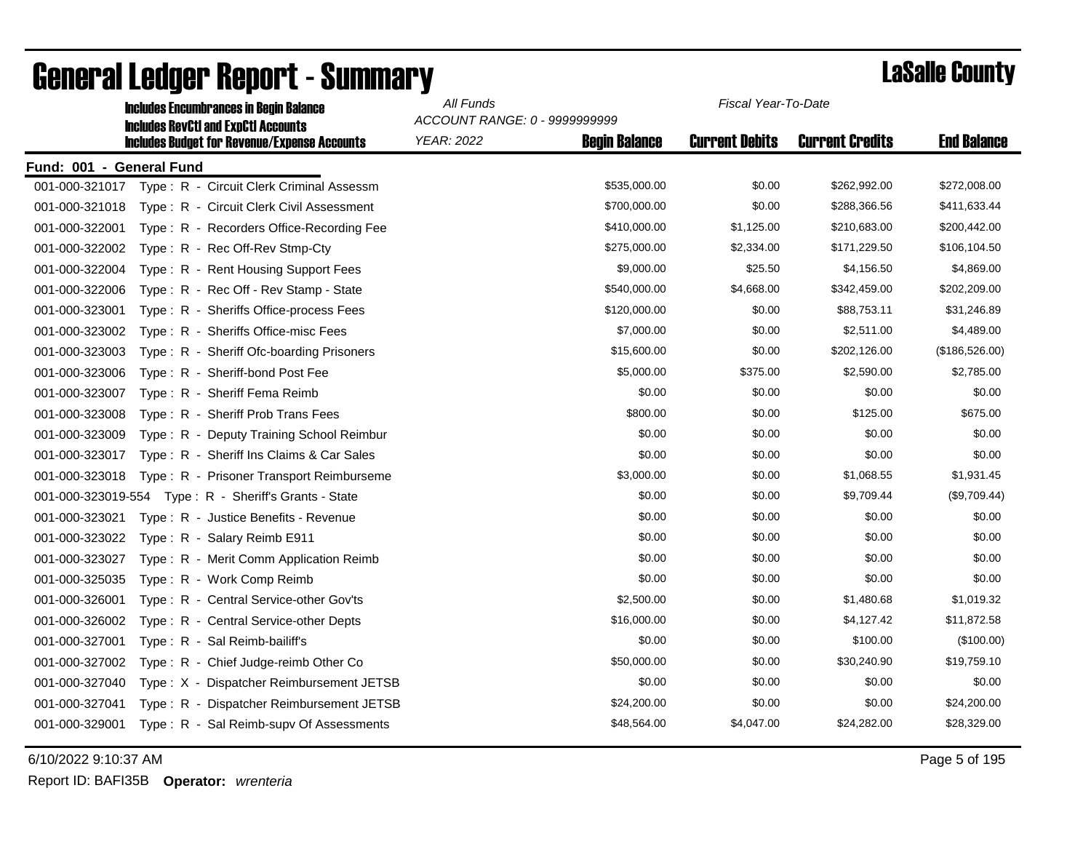|                          | <b>Includes Encumbrances in Begin Balance</b>                                                     | All Funds<br>Fiscal Year-To-Date<br>ACCOUNT RANGE: 0 - 9999999999 |                      |                       |                        |                    |
|--------------------------|---------------------------------------------------------------------------------------------------|-------------------------------------------------------------------|----------------------|-----------------------|------------------------|--------------------|
|                          | <b>Includes RevCtI and ExpCtI Accounts</b><br><b>Includes Budget for Revenue/Expense Accounts</b> | <b>YEAR: 2022</b>                                                 | <b>Begin Balance</b> | <b>Current Debits</b> | <b>Current Credits</b> | <b>End Balance</b> |
| Fund: 001 - General Fund |                                                                                                   |                                                                   |                      |                       |                        |                    |
| 001-000-321017           | Type: R - Circuit Clerk Criminal Assessm                                                          |                                                                   | \$535,000.00         | \$0.00                | \$262,992.00           | \$272,008.00       |
| 001-000-321018           | Type: R - Circuit Clerk Civil Assessment                                                          |                                                                   | \$700,000.00         | \$0.00                | \$288,366.56           | \$411,633.44       |
| 001-000-322001           | Type: R - Recorders Office-Recording Fee                                                          |                                                                   | \$410,000.00         | \$1,125.00            | \$210,683.00           | \$200,442.00       |
| 001-000-322002           | Type: R - Rec Off-Rev Stmp-Cty                                                                    |                                                                   | \$275,000.00         | \$2,334.00            | \$171,229.50           | \$106,104.50       |
| 001-000-322004           | Type: R - Rent Housing Support Fees                                                               |                                                                   | \$9,000.00           | \$25.50               | \$4,156.50             | \$4,869.00         |
| 001-000-322006           | Type: R - Rec Off - Rev Stamp - State                                                             |                                                                   | \$540,000.00         | \$4,668.00            | \$342,459.00           | \$202,209.00       |
| 001-000-323001           | Type: R - Sheriffs Office-process Fees                                                            |                                                                   | \$120,000.00         | \$0.00                | \$88,753.11            | \$31,246.89        |
| 001-000-323002           | Type: R - Sheriffs Office-misc Fees                                                               |                                                                   | \$7,000.00           | \$0.00                | \$2,511.00             | \$4,489.00         |
| 001-000-323003           | Type: R - Sheriff Ofc-boarding Prisoners                                                          |                                                                   | \$15,600.00          | \$0.00                | \$202,126.00           | (\$186,526.00)     |
| 001-000-323006           | Type: R - Sheriff-bond Post Fee                                                                   |                                                                   | \$5,000.00           | \$375.00              | \$2,590.00             | \$2,785.00         |
| 001-000-323007           | Type: R - Sheriff Fema Reimb                                                                      |                                                                   | \$0.00               | \$0.00                | \$0.00                 | \$0.00             |
| 001-000-323008           | Type: R - Sheriff Prob Trans Fees                                                                 |                                                                   | \$800.00             | \$0.00                | \$125.00               | \$675.00           |
| 001-000-323009           | Type: R - Deputy Training School Reimbur                                                          |                                                                   | \$0.00               | \$0.00                | \$0.00                 | \$0.00             |
| 001-000-323017           | Type: R - Sheriff Ins Claims & Car Sales                                                          |                                                                   | \$0.00               | \$0.00                | \$0.00                 | \$0.00             |
| 001-000-323018           | Type: R - Prisoner Transport Reimburseme                                                          |                                                                   | \$3,000.00           | \$0.00                | \$1,068.55             | \$1,931.45         |
|                          | 001-000-323019-554    Type: R - Sheriff's Grants - State                                          |                                                                   | \$0.00               | \$0.00                | \$9,709.44             | (\$9,709.44)       |
| 001-000-323021           | Type: R - Justice Benefits - Revenue                                                              |                                                                   | \$0.00               | \$0.00                | \$0.00                 | \$0.00             |
| 001-000-323022           | Type: R - Salary Reimb E911                                                                       |                                                                   | \$0.00               | \$0.00                | \$0.00                 | \$0.00             |
| 001-000-323027           | Type: R - Merit Comm Application Reimb                                                            |                                                                   | \$0.00               | \$0.00                | \$0.00                 | \$0.00             |
| 001-000-325035           | Type: R - Work Comp Reimb                                                                         |                                                                   | \$0.00               | \$0.00                | \$0.00                 | \$0.00             |
| 001-000-326001           | Type: R - Central Service-other Gov'ts                                                            |                                                                   | \$2,500.00           | \$0.00                | \$1,480.68             | \$1,019.32         |
| 001-000-326002           | Type: R - Central Service-other Depts                                                             |                                                                   | \$16,000.00          | \$0.00                | \$4,127.42             | \$11,872.58        |
| 001-000-327001           | Type: R - Sal Reimb-bailiff's                                                                     |                                                                   | \$0.00               | \$0.00                | \$100.00               | (\$100.00)         |
| 001-000-327002           | Type: R - Chief Judge-reimb Other Co                                                              |                                                                   | \$50,000.00          | \$0.00                | \$30,240.90            | \$19,759.10        |
| 001-000-327040           | Type: X - Dispatcher Reimbursement JETSB                                                          |                                                                   | \$0.00               | \$0.00                | \$0.00                 | \$0.00             |
| 001-000-327041           | Type: R - Dispatcher Reimbursement JETSB                                                          |                                                                   | \$24,200.00          | \$0.00                | \$0.00                 | \$24,200.00        |
| 001-000-329001           | Type: R - Sal Reimb-supv Of Assessments                                                           |                                                                   | \$48,564.00          | \$4,047.00            | \$24,282.00            | \$28,329.00        |

### General Ledger Report - Summary **County County LaSalle County**

6/10/2022 9:10:37 AM Page 5 of 195

Report ID: BAFI35B **Operator:** *wrenteria*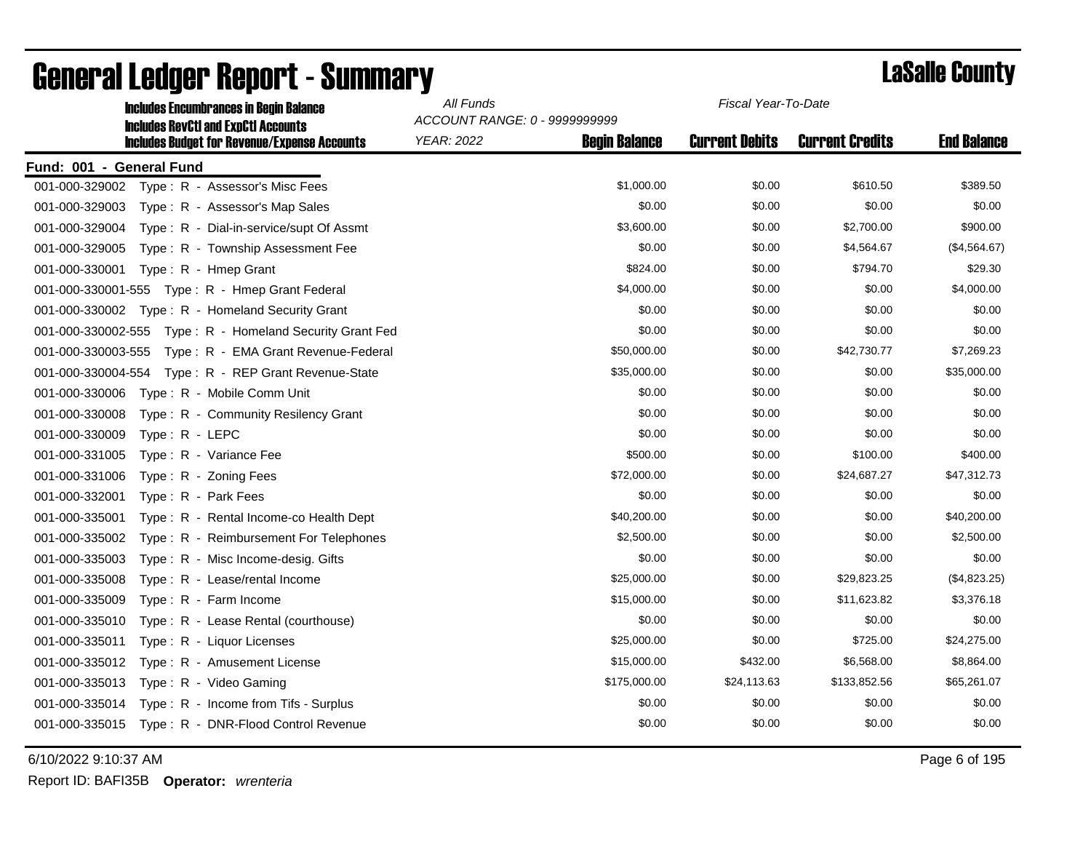| <b>Includes Encumbrances in Begin Balance</b>                                                     | All Funds<br>Fiscal Year-To-Date<br>ACCOUNT RANGE: 0 - 9999999999 |                      |                       |                        |                    |
|---------------------------------------------------------------------------------------------------|-------------------------------------------------------------------|----------------------|-----------------------|------------------------|--------------------|
| <b>Includes RevCtI and ExpCtI Accounts</b><br><b>Includes Budget for Revenue/Expense Accounts</b> | <b>YEAR: 2022</b>                                                 | <b>Begin Balance</b> | <b>Current Debits</b> | <b>Current Credits</b> | <b>End Balance</b> |
| Fund: 001 - General Fund                                                                          |                                                                   |                      |                       |                        |                    |
| 001-000-329002<br>Type: R - Assessor's Misc Fees                                                  |                                                                   | \$1,000.00           | \$0.00                | \$610.50               | \$389.50           |
| 001-000-329003 Type: R - Assessor's Map Sales                                                     |                                                                   | \$0.00               | \$0.00                | \$0.00                 | \$0.00             |
| 001-000-329004<br>Type: R - Dial-in-service/supt Of Assmt                                         |                                                                   | \$3,600.00           | \$0.00                | \$2,700.00             | \$900.00           |
| Type: R - Township Assessment Fee<br>001-000-329005                                               |                                                                   | \$0.00               | \$0.00                | \$4,564.67             | (\$4,564.67)       |
| 001-000-330001<br>Type: R - Hmep Grant                                                            |                                                                   | \$824.00             | \$0.00                | \$794.70               | \$29.30            |
|                                                                                                   |                                                                   | \$4,000.00           | \$0.00                | \$0.00                 | \$4,000.00         |
| 001-000-330002 Type: R - Homeland Security Grant                                                  |                                                                   | \$0.00               | \$0.00                | \$0.00                 | \$0.00             |
| 001-000-330002-555 Type: R - Homeland Security Grant Fed                                          |                                                                   | \$0.00               | \$0.00                | \$0.00                 | \$0.00             |
| 001-000-330003-555<br>Type: R - EMA Grant Revenue-Federal                                         |                                                                   | \$50,000.00          | \$0.00                | \$42,730.77            | \$7,269.23         |
|                                                                                                   |                                                                   | \$35,000.00          | \$0.00                | \$0.00                 | \$35,000.00        |
| 001-000-330006    Type: R - Mobile Comm Unit                                                      |                                                                   | \$0.00               | \$0.00                | \$0.00                 | \$0.00             |
| 001-000-330008<br>Type: R - Community Resilency Grant                                             |                                                                   | \$0.00               | \$0.00                | \$0.00                 | \$0.00             |
| Type: R - LEPC<br>001-000-330009                                                                  |                                                                   | \$0.00               | \$0.00                | \$0.00                 | \$0.00             |
| 001-000-331005<br>Type: R - Variance Fee                                                          |                                                                   | \$500.00             | \$0.00                | \$100.00               | \$400.00           |
| 001-000-331006<br>Type: R - Zoning Fees                                                           |                                                                   | \$72,000.00          | \$0.00                | \$24,687.27            | \$47,312.73        |
| 001-000-332001<br>Type: R - Park Fees                                                             |                                                                   | \$0.00               | \$0.00                | \$0.00                 | \$0.00             |
| 001-000-335001<br>Type: R - Rental Income-co Health Dept                                          |                                                                   | \$40,200.00          | \$0.00                | \$0.00                 | \$40,200.00        |
| 001-000-335002<br>Type: R - Reimbursement For Telephones                                          |                                                                   | \$2,500.00           | \$0.00                | \$0.00                 | \$2,500.00         |
| 001-000-335003<br>Type: R - Misc Income-desig. Gifts                                              |                                                                   | \$0.00               | \$0.00                | \$0.00                 | \$0.00             |
| 001-000-335008<br>Type: R - Lease/rental Income                                                   |                                                                   | \$25,000.00          | \$0.00                | \$29,823.25            | (\$4,823.25)       |
| 001-000-335009<br>Type: R - Farm Income                                                           |                                                                   | \$15,000.00          | \$0.00                | \$11,623.82            | \$3,376.18         |
| 001-000-335010<br>Type: R - Lease Rental (courthouse)                                             |                                                                   | \$0.00               | \$0.00                | \$0.00                 | \$0.00             |
| 001-000-335011<br>Type: R - Liquor Licenses                                                       |                                                                   | \$25,000.00          | \$0.00                | \$725.00               | \$24,275.00        |
| 001-000-335012<br>Type: R - Amusement License                                                     |                                                                   | \$15,000.00          | \$432.00              | \$6,568.00             | \$8,864.00         |
| 001-000-335013<br>Type: R - Video Gaming                                                          |                                                                   | \$175,000.00         | \$24,113.63           | \$133,852.56           | \$65,261.07        |
| 001-000-335014<br>Type: R - Income from Tifs - Surplus                                            |                                                                   | \$0.00               | \$0.00                | \$0.00                 | \$0.00             |
| 001-000-335015 Type: R - DNR-Flood Control Revenue                                                |                                                                   | \$0.00               | \$0.00                | \$0.00                 | \$0.00             |

# **General Ledger Report - Summary Lassalle County**

6/10/2022 9:10:37 AM Page 6 of 195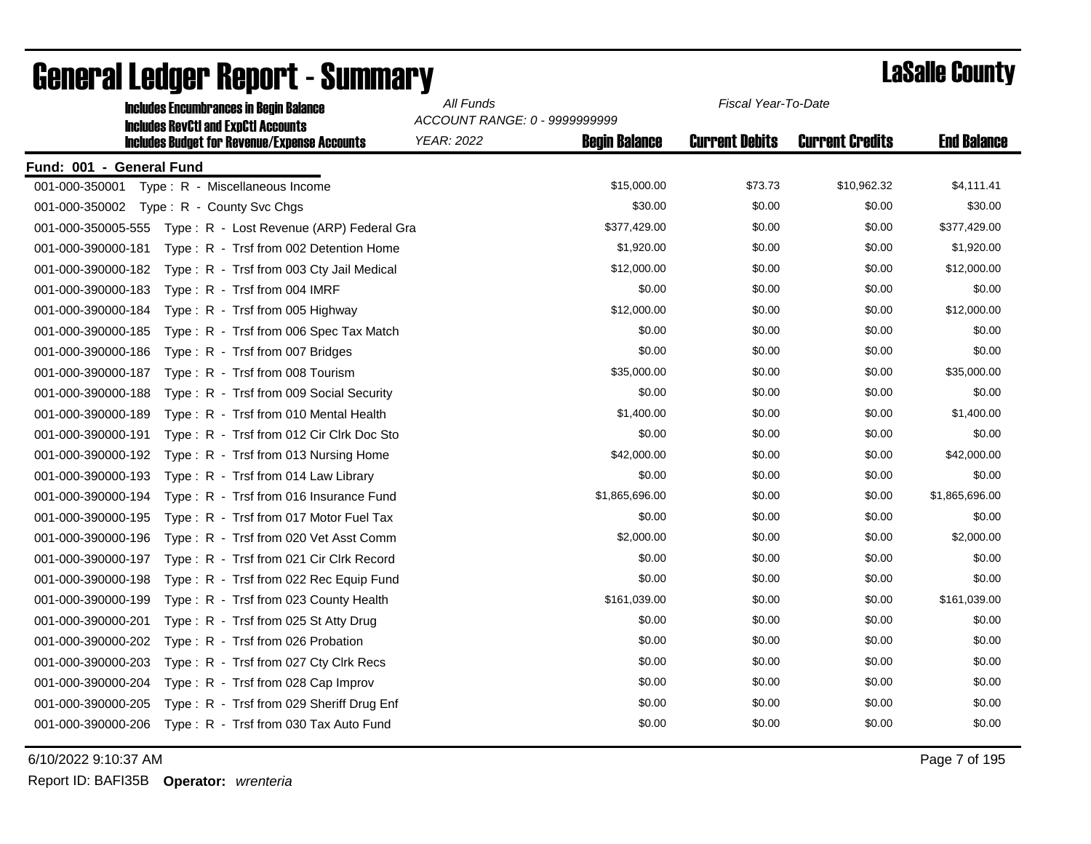| <b>Includes Encumbrances in Begin Balance</b>                                                     | All Funds<br>Fiscal Year-To-Date<br>ACCOUNT RANGE: 0 - 9999999999 |                      |                       |                        |                    |
|---------------------------------------------------------------------------------------------------|-------------------------------------------------------------------|----------------------|-----------------------|------------------------|--------------------|
| <b>Includes RevCtI and ExpCtI Accounts</b><br><b>Includes Budget for Revenue/Expense Accounts</b> | <b>YEAR: 2022</b>                                                 | <b>Begin Balance</b> | <b>Current Debits</b> | <b>Current Credits</b> | <b>End Balance</b> |
|                                                                                                   |                                                                   |                      |                       |                        |                    |
| Fund: 001 - General Fund                                                                          |                                                                   | \$15,000.00          | \$73.73               | \$10,962.32            | \$4,111.41         |
| 001-000-350001 Type: R - Miscellaneous Income                                                     |                                                                   |                      |                       |                        |                    |
| 001-000-350002 Type: R - County Svc Chgs                                                          |                                                                   | \$30.00              | \$0.00                | \$0.00                 | \$30.00            |
| 001-000-350005-555<br>Type: R - Lost Revenue (ARP) Federal Gra                                    |                                                                   | \$377,429.00         | \$0.00                | \$0.00                 | \$377,429.00       |
| 001-000-390000-181<br>Type: R - Trsf from 002 Detention Home                                      |                                                                   | \$1,920.00           | \$0.00                | \$0.00                 | \$1,920.00         |
| 001-000-390000-182<br>Type: R - Trsf from 003 Cty Jail Medical                                    |                                                                   | \$12,000.00          | \$0.00                | \$0.00                 | \$12,000.00        |
| 001-000-390000-183<br>Type: R - Trsf from 004 IMRF                                                |                                                                   | \$0.00               | \$0.00                | \$0.00                 | \$0.00             |
| 001-000-390000-184<br>Type: R - Trsf from 005 Highway                                             |                                                                   | \$12,000.00          | \$0.00                | \$0.00                 | \$12,000.00        |
| 001-000-390000-185<br>Type: R - Trsf from 006 Spec Tax Match                                      |                                                                   | \$0.00               | \$0.00                | \$0.00                 | \$0.00             |
| 001-000-390000-186<br>Type: R - Trsf from 007 Bridges                                             |                                                                   | \$0.00               | \$0.00                | \$0.00                 | \$0.00             |
| 001-000-390000-187<br>Type: R - Trsf from 008 Tourism                                             |                                                                   | \$35,000.00          | \$0.00                | \$0.00                 | \$35,000.00        |
| Type: R - Trsf from 009 Social Security<br>001-000-390000-188                                     |                                                                   | \$0.00               | \$0.00                | \$0.00                 | \$0.00             |
| 001-000-390000-189<br>Type: R - Trsf from 010 Mental Health                                       |                                                                   | \$1,400.00           | \$0.00                | \$0.00                 | \$1,400.00         |
| Type: R - Trsf from 012 Cir Clrk Doc Sto<br>001-000-390000-191                                    |                                                                   | \$0.00               | \$0.00                | \$0.00                 | \$0.00             |
| 001-000-390000-192<br>Type: R - Trsf from 013 Nursing Home                                        |                                                                   | \$42,000.00          | \$0.00                | \$0.00                 | \$42,000.00        |
| 001-000-390000-193<br>Type: R - Trsf from 014 Law Library                                         |                                                                   | \$0.00               | \$0.00                | \$0.00                 | \$0.00             |
| Type: R - Trsf from 016 Insurance Fund<br>001-000-390000-194                                      |                                                                   | \$1,865,696.00       | \$0.00                | \$0.00                 | \$1,865,696.00     |
| 001-000-390000-195<br>Type: R - Trsf from 017 Motor Fuel Tax                                      |                                                                   | \$0.00               | \$0.00                | \$0.00                 | \$0.00             |
| 001-000-390000-196<br>Type: R - Trsf from 020 Vet Asst Comm                                       |                                                                   | \$2,000.00           | \$0.00                | \$0.00                 | \$2,000.00         |
| 001-000-390000-197<br>Type: R - Trsf from 021 Cir Clrk Record                                     |                                                                   | \$0.00               | \$0.00                | \$0.00                 | \$0.00             |
| 001-000-390000-198<br>Type: R - Trsf from 022 Rec Equip Fund                                      |                                                                   | \$0.00               | \$0.00                | \$0.00                 | \$0.00             |
| 001-000-390000-199<br>Type: R - Trsf from 023 County Health                                       |                                                                   | \$161,039.00         | \$0.00                | \$0.00                 | \$161,039.00       |
| 001-000-390000-201<br>Type: R - Trsf from 025 St Atty Drug                                        |                                                                   | \$0.00               | \$0.00                | \$0.00                 | \$0.00             |
| 001-000-390000-202<br>Type: R - Trsf from 026 Probation                                           |                                                                   | \$0.00               | \$0.00                | \$0.00                 | \$0.00             |
| 001-000-390000-203<br>Type: R - Trsf from 027 Cty Clrk Recs                                       |                                                                   | \$0.00               | \$0.00                | \$0.00                 | \$0.00             |
| 001-000-390000-204<br>Type: R - Trsf from 028 Cap Improv                                          |                                                                   | \$0.00               | \$0.00                | \$0.00                 | \$0.00             |
| 001-000-390000-205<br>Type: R - Trsf from 029 Sheriff Drug Enf                                    |                                                                   | \$0.00               | \$0.00                | \$0.00                 | \$0.00             |
| Type: R - Trsf from 030 Tax Auto Fund<br>001-000-390000-206                                       |                                                                   | \$0.00               | \$0.00                | \$0.00                 | \$0.00             |
|                                                                                                   |                                                                   |                      |                       |                        |                    |

# **General Ledger Report - Summary Lassalle County**

6/10/2022 9:10:37 AM Page 7 of 195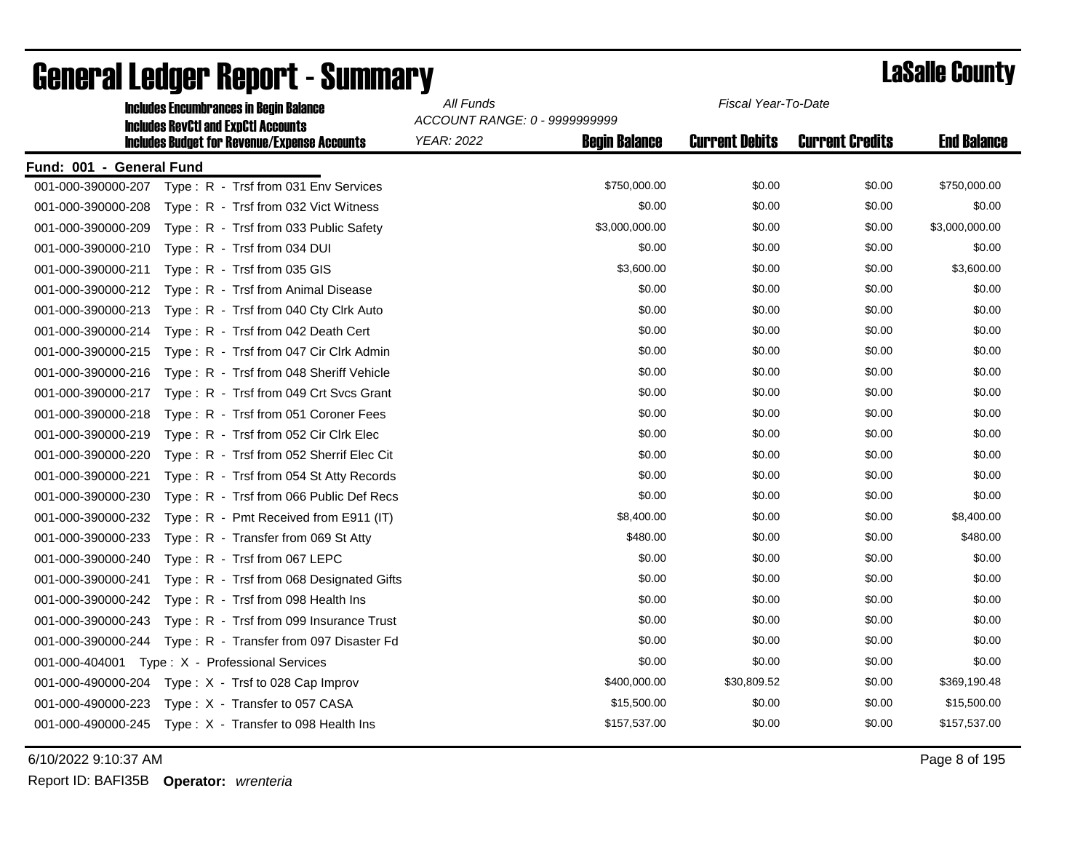| <b>Includes Encumbrances in Begin Balance</b>                  | All Funds<br>Fiscal Year-To-Date          |                       |                        |                    |  |
|----------------------------------------------------------------|-------------------------------------------|-----------------------|------------------------|--------------------|--|
| <b>Includes RevCtI and ExpCtI Accounts</b>                     | ACCOUNT RANGE: 0 - 9999999999             |                       |                        |                    |  |
| <b>Includes Budget for Revenue/Expense Accounts</b>            | <b>Begin Balance</b><br><b>YEAR: 2022</b> | <b>Current Debits</b> | <b>Current Credits</b> | <b>End Balance</b> |  |
| Fund: 001 - General Fund                                       |                                           |                       |                        |                    |  |
| 001-000-390000-207<br>Type: R - Trsf from 031 Env Services     | \$750,000.00                              | \$0.00                | \$0.00                 | \$750,000.00       |  |
| 001-000-390000-208<br>Type: R - Trsf from 032 Vict Witness     | \$0.00                                    | \$0.00                | \$0.00                 | \$0.00             |  |
| 001-000-390000-209<br>Type: R - Trsf from 033 Public Safety    | \$3,000,000.00                            | \$0.00                | \$0.00                 | \$3,000,000.00     |  |
| 001-000-390000-210<br>Type: R - Trsf from 034 DUI              | \$0.00                                    | \$0.00                | \$0.00                 | \$0.00             |  |
| 001-000-390000-211<br>Type: R - Trsf from 035 GIS              | \$3,600.00                                | \$0.00                | \$0.00                 | \$3,600.00         |  |
| 001-000-390000-212<br>Type: R - Trsf from Animal Disease       | \$0.00                                    | \$0.00                | \$0.00                 | \$0.00             |  |
| 001-000-390000-213<br>Type: R - Trsf from 040 Cty Clrk Auto    | \$0.00                                    | \$0.00                | \$0.00                 | \$0.00             |  |
| Type: R - Trsf from 042 Death Cert<br>001-000-390000-214       | \$0.00                                    | \$0.00                | \$0.00                 | \$0.00             |  |
| 001-000-390000-215<br>Type: R - Trsf from 047 Cir Clrk Admin   | \$0.00                                    | \$0.00                | \$0.00                 | \$0.00             |  |
| 001-000-390000-216<br>Type: R - Trsf from 048 Sheriff Vehicle  | \$0.00                                    | \$0.00                | \$0.00                 | \$0.00             |  |
| 001-000-390000-217<br>Type: R - Trsf from 049 Crt Svcs Grant   | \$0.00                                    | \$0.00                | \$0.00                 | \$0.00             |  |
| Type: R - Trsf from 051 Coroner Fees<br>001-000-390000-218     | \$0.00                                    | \$0.00                | \$0.00                 | \$0.00             |  |
| 001-000-390000-219<br>Type: R - Trsf from 052 Cir Clrk Elec    | \$0.00                                    | \$0.00                | \$0.00                 | \$0.00             |  |
| Type: R - Trsf from 052 Sherrif Elec Cit<br>001-000-390000-220 | \$0.00                                    | \$0.00                | \$0.00                 | \$0.00             |  |
| 001-000-390000-221<br>Type: R - Trsf from 054 St Atty Records  | \$0.00                                    | \$0.00                | \$0.00                 | \$0.00             |  |
| 001-000-390000-230<br>Type: R - Trsf from 066 Public Def Recs  | \$0.00                                    | \$0.00                | \$0.00                 | \$0.00             |  |
| 001-000-390000-232<br>Type: R - Pmt Received from E911 (IT)    | \$8,400.00                                | \$0.00                | \$0.00                 | \$8,400.00         |  |
| 001-000-390000-233<br>Type: R - Transfer from 069 St Atty      | \$480.00                                  | \$0.00                | \$0.00                 | \$480.00           |  |
| 001-000-390000-240<br>Type: R - Trsf from 067 LEPC             | \$0.00                                    | \$0.00                | \$0.00                 | \$0.00             |  |
| 001-000-390000-241<br>Type: R - Trsf from 068 Designated Gifts | \$0.00                                    | \$0.00                | \$0.00                 | \$0.00             |  |
| 001-000-390000-242<br>Type: R - Trsf from 098 Health Ins       | \$0.00                                    | \$0.00                | \$0.00                 | \$0.00             |  |
| 001-000-390000-243<br>Type: R - Trsf from 099 Insurance Trust  | \$0.00                                    | \$0.00                | \$0.00                 | \$0.00             |  |
| 001-000-390000-244<br>Type: R - Transfer from 097 Disaster Fd  | \$0.00                                    | \$0.00                | \$0.00                 | \$0.00             |  |
| 001-000-404001 Type: X - Professional Services                 | \$0.00                                    | \$0.00                | \$0.00                 | \$0.00             |  |
| 001-000-490000-204 Type: X - Trsf to 028 Cap Improv            | \$400,000.00                              | \$30,809.52           | \$0.00                 | \$369,190.48       |  |
| Type: X - Transfer to 057 CASA<br>001-000-490000-223           | \$15,500.00                               | \$0.00                | \$0.00                 | \$15,500.00        |  |
| 001-000-490000-245<br>Type: X - Transfer to 098 Health Ins     | \$157,537.00                              | \$0.00                | \$0.00                 | \$157,537.00       |  |
|                                                                |                                           |                       |                        |                    |  |

### General Ledger Report - Summary **County County** LaSalle County

6/10/2022 9:10:37 AM Page 8 of 195

Report ID: BAFI35B **Operator:** *wrenteria*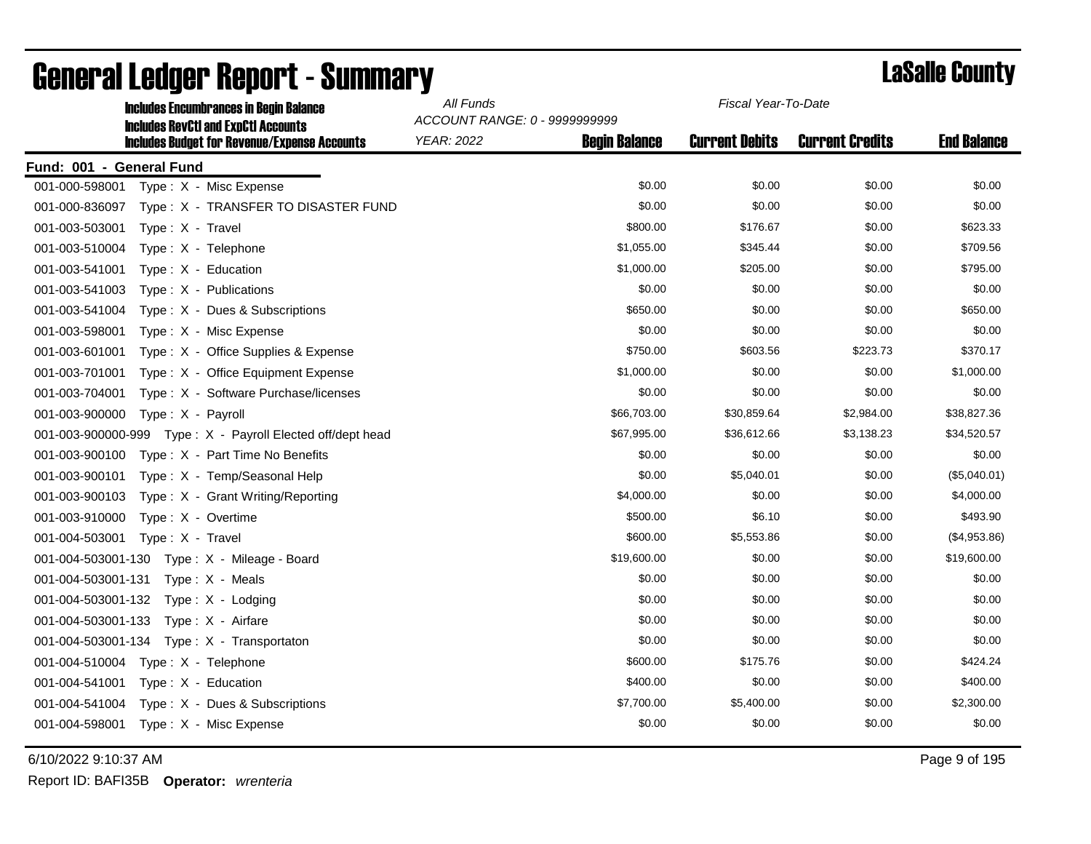| <b>Includes Encumbrances in Begin Balance</b><br><b>Includes RevCtI and ExpCtI Accounts</b> | All Funds<br>Fiscal Year-To-Date<br>ACCOUNT RANGE: 0 - 9999999999 |                      |                       |                        |                    |
|---------------------------------------------------------------------------------------------|-------------------------------------------------------------------|----------------------|-----------------------|------------------------|--------------------|
| <b>Includes Budget for Revenue/Expense Accounts</b>                                         | <b>YEAR: 2022</b>                                                 | <b>Begin Balance</b> | <b>Current Debits</b> | <b>Current Credits</b> | <b>End Balance</b> |
| Fund: 001 - General Fund                                                                    |                                                                   |                      |                       |                        |                    |
| 001-000-598001<br>Type: X - Misc Expense                                                    |                                                                   | \$0.00               | \$0.00                | \$0.00                 | \$0.00             |
| Type: X - TRANSFER TO DISASTER FUND<br>001-000-836097                                       |                                                                   | \$0.00               | \$0.00                | \$0.00                 | \$0.00             |
| 001-003-503001<br>Type: X - Travel                                                          |                                                                   | \$800.00             | \$176.67              | \$0.00                 | \$623.33           |
| 001-003-510004<br>Type: X - Telephone                                                       |                                                                   | \$1,055.00           | \$345.44              | \$0.00                 | \$709.56           |
| 001-003-541001<br>Type: X - Education                                                       |                                                                   | \$1,000.00           | \$205.00              | \$0.00                 | \$795.00           |
| 001-003-541003<br>Type: X - Publications                                                    |                                                                   | \$0.00               | \$0.00                | \$0.00                 | \$0.00             |
| 001-003-541004<br>Type: X - Dues & Subscriptions                                            |                                                                   | \$650.00             | \$0.00                | \$0.00                 | \$650.00           |
| 001-003-598001<br>Type: X - Misc Expense                                                    |                                                                   | \$0.00               | \$0.00                | \$0.00                 | \$0.00             |
| 001-003-601001<br>Type: X - Office Supplies & Expense                                       |                                                                   | \$750.00             | \$603.56              | \$223.73               | \$370.17           |
| 001-003-701001<br>Type: X - Office Equipment Expense                                        |                                                                   | \$1,000.00           | \$0.00                | \$0.00                 | \$1,000.00         |
| 001-003-704001<br>Type: X - Software Purchase/licenses                                      |                                                                   | \$0.00               | \$0.00                | \$0.00                 | \$0.00             |
| 001-003-900000<br>Type: X - Payroll                                                         |                                                                   | \$66,703.00          | \$30,859.64           | \$2,984.00             | \$38,827.36        |
| 001-003-900000-999 Type: X - Payroll Elected off/dept head                                  |                                                                   | \$67,995.00          | \$36,612.66           | \$3,138.23             | \$34,520.57        |
| 001-003-900100<br>Type: X - Part Time No Benefits                                           |                                                                   | \$0.00               | \$0.00                | \$0.00                 | \$0.00             |
| 001-003-900101<br>Type: X - Temp/Seasonal Help                                              |                                                                   | \$0.00               | \$5,040.01            | \$0.00                 | (\$5,040.01)       |
| 001-003-900103<br>Type: X - Grant Writing/Reporting                                         |                                                                   | \$4,000.00           | \$0.00                | \$0.00                 | \$4,000.00         |
| 001-003-910000<br>Type: X - Overtime                                                        |                                                                   | \$500.00             | \$6.10                | \$0.00                 | \$493.90           |
| 001-004-503001<br>Type: X - Travel                                                          |                                                                   | \$600.00             | \$5,553.86            | \$0.00                 | (\$4,953.86)       |
| 001-004-503001-130    Type: X - Mileage - Board                                             |                                                                   | \$19,600.00          | \$0.00                | \$0.00                 | \$19,600.00        |
| 001-004-503001-131 Type: X - Meals                                                          |                                                                   | \$0.00               | \$0.00                | \$0.00                 | \$0.00             |
| 001-004-503001-132<br>Type: X - Lodging                                                     |                                                                   | \$0.00               | \$0.00                | \$0.00                 | \$0.00             |
| 001-004-503001-133<br>Type: X - Airfare                                                     |                                                                   | \$0.00               | \$0.00                | \$0.00                 | \$0.00             |
| Type: X - Transportaton<br>001-004-503001-134                                               |                                                                   | \$0.00               | \$0.00                | \$0.00                 | \$0.00             |
| 001-004-510004 Type: X - Telephone                                                          |                                                                   | \$600.00             | \$175.76              | \$0.00                 | \$424.24           |
| 001-004-541001<br>Type: X - Education                                                       |                                                                   | \$400.00             | \$0.00                | \$0.00                 | \$400.00           |
| 001-004-541004<br>Type: X - Dues & Subscriptions                                            |                                                                   | \$7,700.00           | \$5,400.00            | \$0.00                 | \$2,300.00         |
| 001-004-598001<br>Type: X - Misc Expense                                                    |                                                                   | \$0.00               | \$0.00                | \$0.00                 | \$0.00             |

6/10/2022 9:10:37 AM Page 9 of 195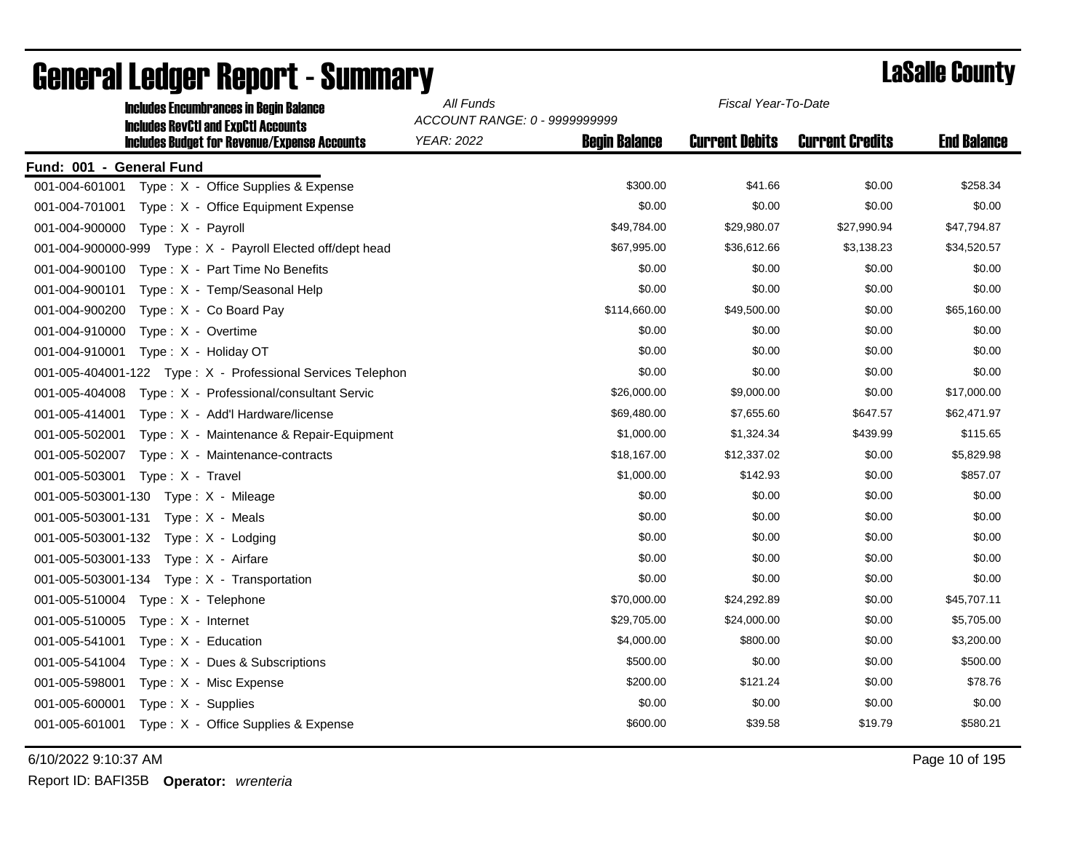| <b>Includes Encumbrances in Begin Balance</b><br><b>Includes RevCtI and ExpCtI Accounts</b> | All Funds<br>Fiscal Year-To-Date<br>ACCOUNT RANGE: 0 - 9999999999 |                      |                       |                        |                    |
|---------------------------------------------------------------------------------------------|-------------------------------------------------------------------|----------------------|-----------------------|------------------------|--------------------|
| <b>Includes Budget for Revenue/Expense Accounts</b>                                         | <b>YEAR: 2022</b>                                                 | <b>Begin Balance</b> | <b>Current Debits</b> | <b>Current Credits</b> | <b>End Balance</b> |
| Fund: 001 - General Fund                                                                    |                                                                   |                      |                       |                        |                    |
| Type: X - Office Supplies & Expense<br>001-004-601001                                       |                                                                   | \$300.00             | \$41.66               | \$0.00                 | \$258.34           |
| 001-004-701001<br>Type: X - Office Equipment Expense                                        |                                                                   | \$0.00               | \$0.00                | \$0.00                 | \$0.00             |
| 001-004-900000<br>Type: X - Payroll                                                         |                                                                   | \$49,784.00          | \$29,980.07           | \$27,990.94            | \$47,794.87        |
| 001-004-900000-999 Type: X - Payroll Elected off/dept head                                  |                                                                   | \$67,995.00          | \$36,612.66           | \$3,138.23             | \$34,520.57        |
| 001-004-900100<br>Type: X - Part Time No Benefits                                           |                                                                   | \$0.00               | \$0.00                | \$0.00                 | \$0.00             |
| 001-004-900101<br>Type: X - Temp/Seasonal Help                                              |                                                                   | \$0.00               | \$0.00                | \$0.00                 | \$0.00             |
| 001-004-900200<br>Type: X - Co Board Pay                                                    |                                                                   | \$114,660.00         | \$49,500.00           | \$0.00                 | \$65,160.00        |
| 001-004-910000<br>Type: X - Overtime                                                        |                                                                   | \$0.00               | \$0.00                | \$0.00                 | \$0.00             |
| 001-004-910001<br>Type: X - Holiday OT                                                      |                                                                   | \$0.00               | \$0.00                | \$0.00                 | \$0.00             |
| 001-005-404001-122 Type: X - Professional Services Telephon                                 |                                                                   | \$0.00               | \$0.00                | \$0.00                 | \$0.00             |
| 001-005-404008<br>Type: X - Professional/consultant Servic                                  |                                                                   | \$26,000.00          | \$9,000.00            | \$0.00                 | \$17,000.00        |
| 001-005-414001<br>Type: X - Add'l Hardware/license                                          |                                                                   | \$69,480.00          | \$7,655.60            | \$647.57               | \$62,471.97        |
| 001-005-502001<br>Type: X - Maintenance & Repair-Equipment                                  |                                                                   | \$1,000.00           | \$1,324.34            | \$439.99               | \$115.65           |
| 001-005-502007<br>Type: X - Maintenance-contracts                                           |                                                                   | \$18,167.00          | \$12,337.02           | \$0.00                 | \$5,829.98         |
| 001-005-503001<br>Type: X - Travel                                                          |                                                                   | \$1,000.00           | \$142.93              | \$0.00                 | \$857.07           |
| 001-005-503001-130 Type: X - Mileage                                                        |                                                                   | \$0.00               | \$0.00                | \$0.00                 | \$0.00             |
| 001-005-503001-131 Type: X - Meals                                                          |                                                                   | \$0.00               | \$0.00                | \$0.00                 | \$0.00             |
| 001-005-503001-132<br>Type: X - Lodging                                                     |                                                                   | \$0.00               | \$0.00                | \$0.00                 | \$0.00             |
| 001-005-503001-133<br>Type: X - Airfare                                                     |                                                                   | \$0.00               | \$0.00                | \$0.00                 | \$0.00             |
| 001-005-503001-134 Type: X - Transportation                                                 |                                                                   | \$0.00               | \$0.00                | \$0.00                 | \$0.00             |
| 001-005-510004<br>Type: X - Telephone                                                       |                                                                   | \$70,000.00          | \$24,292.89           | \$0.00                 | \$45,707.11        |
| 001-005-510005<br>Type : $X -$ Internet                                                     |                                                                   | \$29,705.00          | \$24,000.00           | \$0.00                 | \$5,705.00         |
| 001-005-541001<br>Type: X - Education                                                       |                                                                   | \$4,000.00           | \$800.00              | \$0.00                 | \$3,200.00         |
| 001-005-541004<br>Type: X - Dues & Subscriptions                                            |                                                                   | \$500.00             | \$0.00                | \$0.00                 | \$500.00           |
| 001-005-598001<br>Type: X - Misc Expense                                                    |                                                                   | \$200.00             | \$121.24              | \$0.00                 | \$78.76            |
| 001-005-600001<br>Type: X - Supplies                                                        |                                                                   | \$0.00               | \$0.00                | \$0.00                 | \$0.00             |
| 001-005-601001<br>Type: X - Office Supplies & Expense                                       |                                                                   | \$600.00             | \$39.58               | \$19.79                | \$580.21           |

### General Ledger Report - Summary **Lassing County**

6/10/2022 9:10:37 AM Page 10 of 195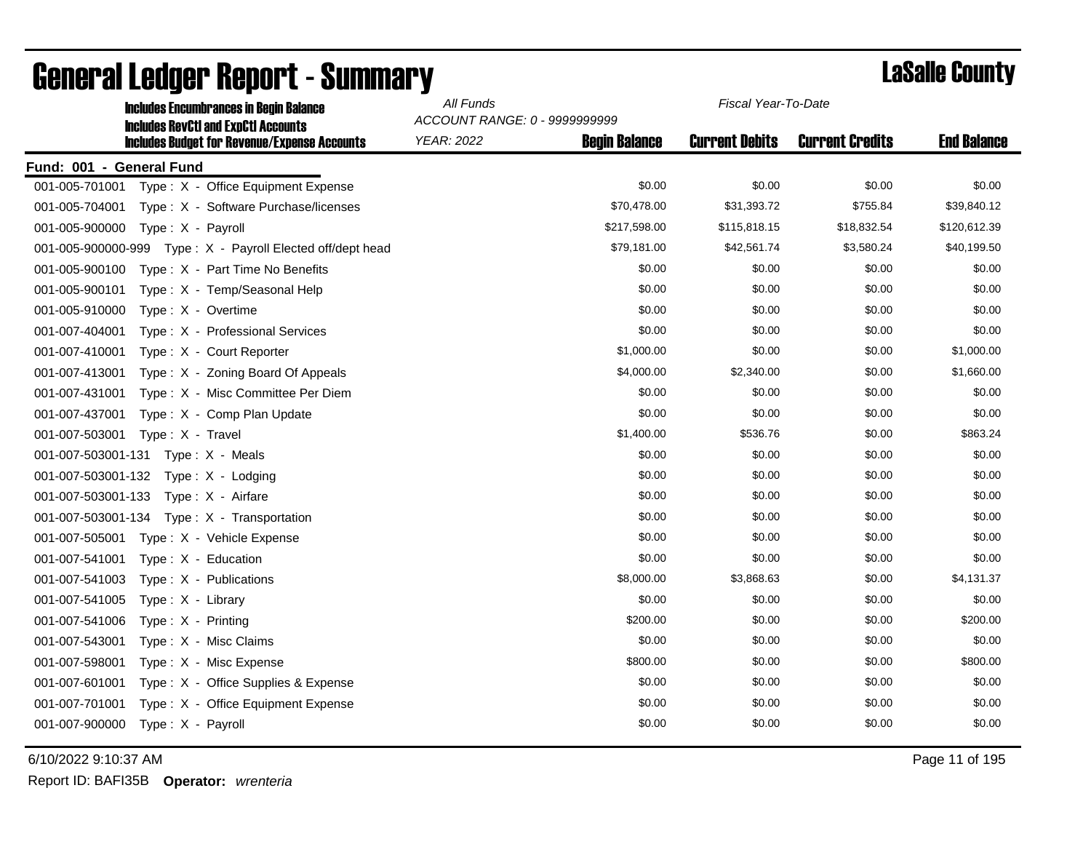| <b>Includes Encumbrances in Begin Balance</b><br><b>Includes RevCtI and ExpCtI Accounts</b> | All Funds         | Fiscal Year-To-Date<br>ACCOUNT RANGE: 0 - 9999999999 |                       |                        |                    |  |
|---------------------------------------------------------------------------------------------|-------------------|------------------------------------------------------|-----------------------|------------------------|--------------------|--|
| <b>Includes Budget for Revenue/Expense Accounts</b>                                         | <b>YEAR: 2022</b> | <b>Begin Balance</b>                                 | <b>Current Debits</b> | <b>Current Credits</b> | <b>End Balance</b> |  |
| Fund: 001 - General Fund                                                                    |                   |                                                      |                       |                        |                    |  |
| 001-005-701001<br>Type: X - Office Equipment Expense                                        |                   | \$0.00                                               | \$0.00                | \$0.00                 | \$0.00             |  |
| 001-005-704001<br>Type: X - Software Purchase/licenses                                      |                   | \$70,478.00                                          | \$31,393.72           | \$755.84               | \$39,840.12        |  |
| 001-005-900000<br>Type: X - Payroll                                                         |                   | \$217,598.00                                         | \$115,818.15          | \$18,832.54            | \$120,612.39       |  |
| 001-005-900000-999 Type: X - Payroll Elected off/dept head                                  |                   | \$79,181.00                                          | \$42,561.74           | \$3,580.24             | \$40,199.50        |  |
| 001-005-900100<br>Type: X - Part Time No Benefits                                           |                   | \$0.00                                               | \$0.00                | \$0.00                 | \$0.00             |  |
| 001-005-900101<br>Type: X - Temp/Seasonal Help                                              |                   | \$0.00                                               | \$0.00                | \$0.00                 | \$0.00             |  |
| 001-005-910000<br>Type: X - Overtime                                                        |                   | \$0.00                                               | \$0.00                | \$0.00                 | \$0.00             |  |
| 001-007-404001<br>Type: X - Professional Services                                           |                   | \$0.00                                               | \$0.00                | \$0.00                 | \$0.00             |  |
| 001-007-410001<br>Type: X - Court Reporter                                                  |                   | \$1,000.00                                           | \$0.00                | \$0.00                 | \$1,000.00         |  |
| 001-007-413001<br>Type: X - Zoning Board Of Appeals                                         |                   | \$4,000.00                                           | \$2,340.00            | \$0.00                 | \$1,660.00         |  |
| 001-007-431001<br>Type: X - Misc Committee Per Diem                                         |                   | \$0.00                                               | \$0.00                | \$0.00                 | \$0.00             |  |
| 001-007-437001<br>Type: X - Comp Plan Update                                                |                   | \$0.00                                               | \$0.00                | \$0.00                 | \$0.00             |  |
| 001-007-503001<br>Type: X - Travel                                                          |                   | \$1,400.00                                           | \$536.76              | \$0.00                 | \$863.24           |  |
| 001-007-503001-131    Type: X - Meals                                                       |                   | \$0.00                                               | \$0.00                | \$0.00                 | \$0.00             |  |
| 001-007-503001-132<br>Type: X - Lodging                                                     |                   | \$0.00                                               | \$0.00                | \$0.00                 | \$0.00             |  |
| 001-007-503001-133<br>Type: X - Airfare                                                     |                   | \$0.00                                               | \$0.00                | \$0.00                 | \$0.00             |  |
|                                                                                             |                   | \$0.00                                               | \$0.00                | \$0.00                 | \$0.00             |  |
| 001-007-505001<br>Type: X - Vehicle Expense                                                 |                   | \$0.00                                               | \$0.00                | \$0.00                 | \$0.00             |  |
| 001-007-541001<br>Type: X - Education                                                       |                   | \$0.00                                               | \$0.00                | \$0.00                 | \$0.00             |  |
| 001-007-541003<br>Type: X - Publications                                                    |                   | \$8,000.00                                           | \$3,868.63            | \$0.00                 | \$4,131.37         |  |
| 001-007-541005<br>Type: X - Library                                                         |                   | \$0.00                                               | \$0.00                | \$0.00                 | \$0.00             |  |
| 001-007-541006<br>Type: $X -$ Printing                                                      |                   | \$200.00                                             | \$0.00                | \$0.00                 | \$200.00           |  |
| 001-007-543001<br>Type: X - Misc Claims                                                     |                   | \$0.00                                               | \$0.00                | \$0.00                 | \$0.00             |  |
| 001-007-598001<br>Type: X - Misc Expense                                                    |                   | \$800.00                                             | \$0.00                | \$0.00                 | \$800.00           |  |
| 001-007-601001<br>Type: X - Office Supplies & Expense                                       |                   | \$0.00                                               | \$0.00                | \$0.00                 | \$0.00             |  |
| 001-007-701001<br>Type: X - Office Equipment Expense                                        |                   | \$0.00                                               | \$0.00                | \$0.00                 | \$0.00             |  |
| 001-007-900000<br>Type: X - Payroll                                                         |                   | \$0.00                                               | \$0.00                | \$0.00                 | \$0.00             |  |

6/10/2022 9:10:37 AM Page 11 of 195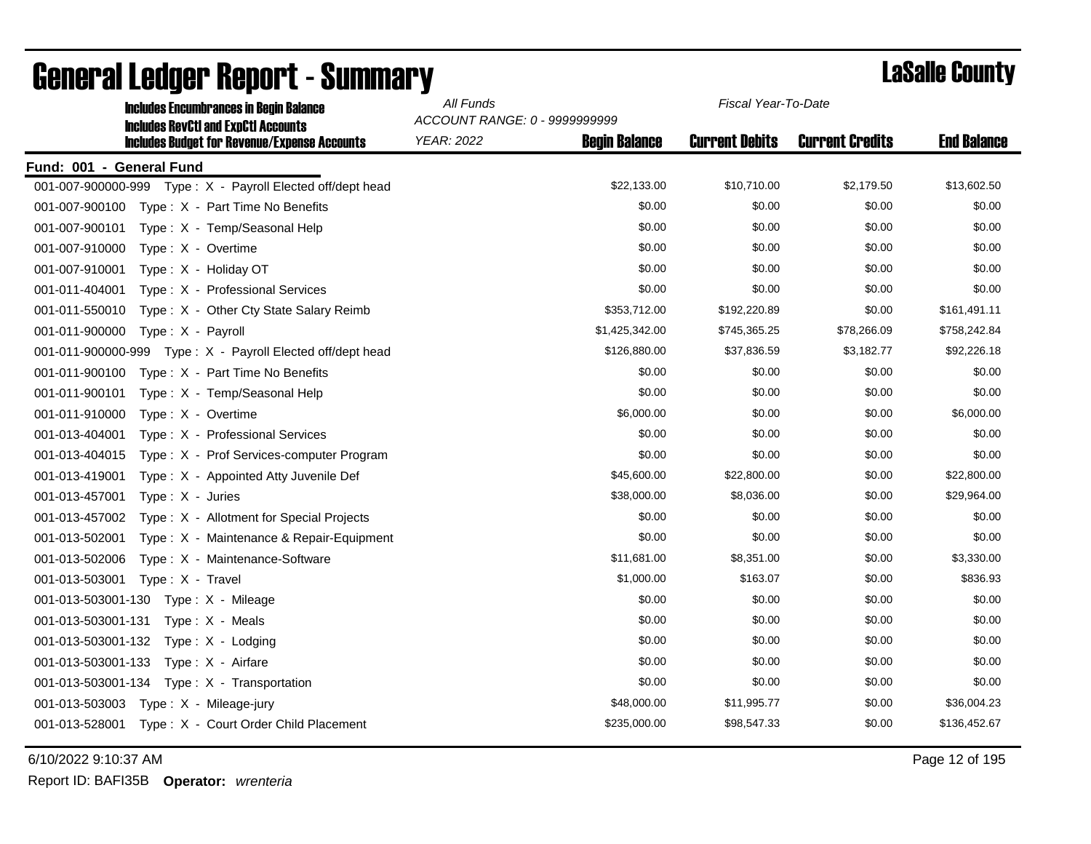| <b>Includes Encumbrances in Begin Balance</b><br><b>Includes RevCtI and ExpCtI Accounts</b> | All Funds<br>Fiscal Year-To-Date<br>ACCOUNT RANGE: 0 - 9999999999 |                      |                       |                        |                    |
|---------------------------------------------------------------------------------------------|-------------------------------------------------------------------|----------------------|-----------------------|------------------------|--------------------|
| <b>Includes Budget for Revenue/Expense Accounts</b>                                         | <b>YEAR: 2022</b>                                                 | <b>Begin Balance</b> | <b>Current Debits</b> | <b>Current Credits</b> | <b>End Balance</b> |
| Fund: 001 - General Fund                                                                    |                                                                   |                      |                       |                        |                    |
| 001-007-900000-999 Type: X - Payroll Elected off/dept head                                  |                                                                   | \$22,133.00          | \$10,710.00           | \$2,179.50             | \$13,602.50        |
| 001-007-900100 Type: X - Part Time No Benefits                                              |                                                                   | \$0.00               | \$0.00                | \$0.00                 | \$0.00             |
| 001-007-900101<br>Type: X - Temp/Seasonal Help                                              |                                                                   | \$0.00               | \$0.00                | \$0.00                 | \$0.00             |
| 001-007-910000<br>Type: X - Overtime                                                        |                                                                   | \$0.00               | \$0.00                | \$0.00                 | \$0.00             |
| 001-007-910001<br>Type: X - Holiday OT                                                      |                                                                   | \$0.00               | \$0.00                | \$0.00                 | \$0.00             |
| 001-011-404001<br>Type: X - Professional Services                                           |                                                                   | \$0.00               | \$0.00                | \$0.00                 | \$0.00             |
| 001-011-550010<br>Type: X - Other Cty State Salary Reimb                                    |                                                                   | \$353,712.00         | \$192,220.89          | \$0.00                 | \$161,491.11       |
| 001-011-900000<br>Type: X - Payroll                                                         |                                                                   | \$1,425,342.00       | \$745,365.25          | \$78,266.09            | \$758,242.84       |
| 001-011-900000-999 Type: X - Payroll Elected off/dept head                                  |                                                                   | \$126,880.00         | \$37,836.59           | \$3,182.77             | \$92,226.18        |
| 001-011-900100<br>Type: X - Part Time No Benefits                                           |                                                                   | \$0.00               | \$0.00                | \$0.00                 | \$0.00             |
| 001-011-900101<br>Type: X - Temp/Seasonal Help                                              |                                                                   | \$0.00               | \$0.00                | \$0.00                 | \$0.00             |
| 001-011-910000<br>Type: X - Overtime                                                        |                                                                   | \$6,000.00           | \$0.00                | \$0.00                 | \$6,000.00         |
| 001-013-404001<br>Type: X - Professional Services                                           |                                                                   | \$0.00               | \$0.00                | \$0.00                 | \$0.00             |
| 001-013-404015<br>Type: X - Prof Services-computer Program                                  |                                                                   | \$0.00               | \$0.00                | \$0.00                 | \$0.00             |
| 001-013-419001<br>Type: X - Appointed Atty Juvenile Def                                     |                                                                   | \$45,600.00          | \$22,800.00           | \$0.00                 | \$22,800.00        |
| 001-013-457001<br>Type: X - Juries                                                          |                                                                   | \$38,000.00          | \$8,036.00            | \$0.00                 | \$29,964.00        |
| 001-013-457002<br>Type: X - Allotment for Special Projects                                  |                                                                   | \$0.00               | \$0.00                | \$0.00                 | \$0.00             |
| 001-013-502001<br>Type: X - Maintenance & Repair-Equipment                                  |                                                                   | \$0.00               | \$0.00                | \$0.00                 | \$0.00             |
| 001-013-502006<br>Type: X - Maintenance-Software                                            |                                                                   | \$11,681.00          | \$8,351.00            | \$0.00                 | \$3,330.00         |
| 001-013-503001<br>Type: X - Travel                                                          |                                                                   | \$1,000.00           | \$163.07              | \$0.00                 | \$836.93           |
| 001-013-503001-130 Type: X - Mileage                                                        |                                                                   | \$0.00               | \$0.00                | \$0.00                 | \$0.00             |
| 001-013-503001-131 Type: X - Meals                                                          |                                                                   | \$0.00               | \$0.00                | \$0.00                 | \$0.00             |
| 001-013-503001-132<br>Type: X - Lodging                                                     |                                                                   | \$0.00               | \$0.00                | \$0.00                 | \$0.00             |
| 001-013-503001-133<br>Type: X - Airfare                                                     |                                                                   | \$0.00               | \$0.00                | \$0.00                 | \$0.00             |
| 001-013-503001-134 Type: X - Transportation                                                 |                                                                   | \$0.00               | \$0.00                | \$0.00                 | \$0.00             |
| 001-013-503003    Type: X - Mileage-jury                                                    |                                                                   | \$48,000.00          | \$11,995.77           | \$0.00                 | \$36,004.23        |
| 001-013-528001 Type: X - Court Order Child Placement                                        |                                                                   | \$235,000.00         | \$98,547.33           | \$0.00                 | \$136,452.67       |

# **General Ledger Report - Summary Lassalle County**

6/10/2022 9:10:37 AM Page 12 of 195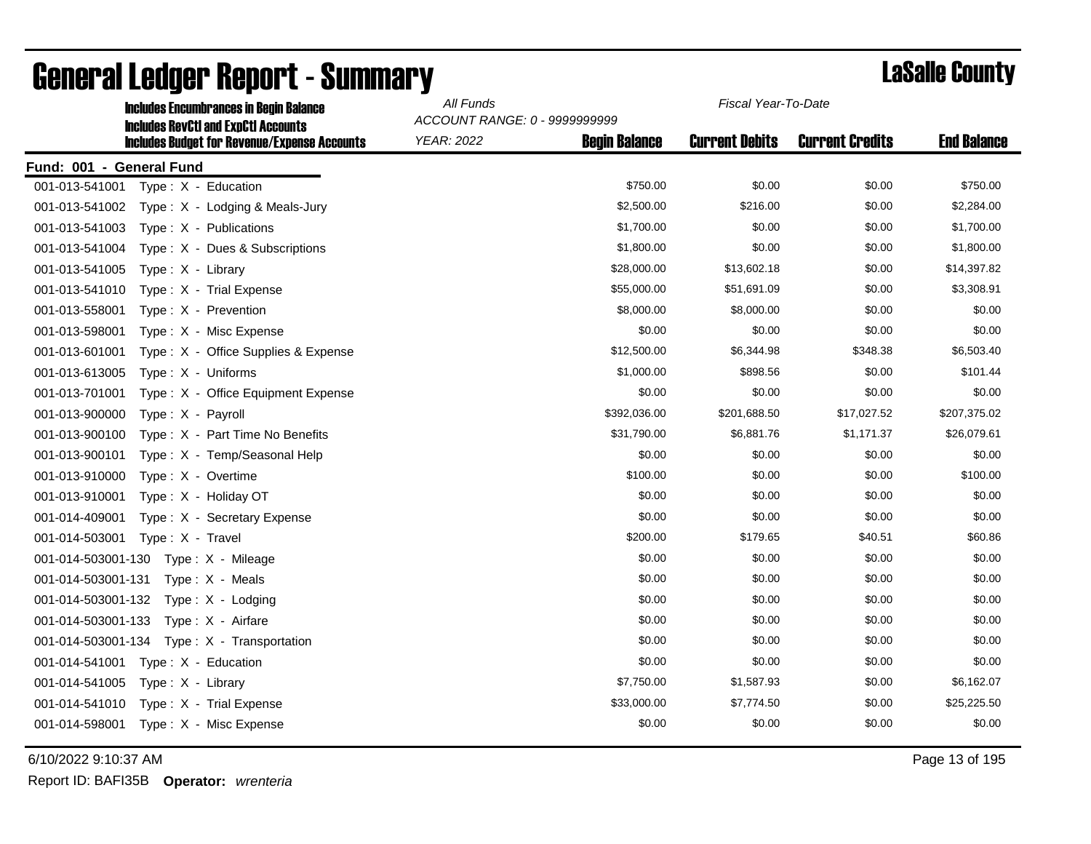| <b>Includes Encumbrances in Begin Balance</b><br><b>Includes RevCtI and ExpCtI Accounts</b> | All Funds<br>Fiscal Year-To-Date<br>ACCOUNT RANGE: 0 - 9999999999 |                      |                       |                        |                    |
|---------------------------------------------------------------------------------------------|-------------------------------------------------------------------|----------------------|-----------------------|------------------------|--------------------|
| <b>Includes Budget for Revenue/Expense Accounts</b>                                         | <b>YEAR: 2022</b>                                                 | <b>Begin Balance</b> | <b>Current Debits</b> | <b>Current Credits</b> | <b>End Balance</b> |
| Fund: 001 - General Fund                                                                    |                                                                   |                      |                       |                        |                    |
| 001-013-541001<br>Type: X - Education                                                       |                                                                   | \$750.00             | \$0.00                | \$0.00                 | \$750.00           |
| 001-013-541002<br>Type : $X -$ Lodging & Meals-Jury                                         |                                                                   | \$2,500.00           | \$216.00              | \$0.00                 | \$2,284.00         |
| 001-013-541003<br>Type: X - Publications                                                    |                                                                   | \$1,700.00           | \$0.00                | \$0.00                 | \$1,700.00         |
| 001-013-541004<br>Type: X - Dues & Subscriptions                                            |                                                                   | \$1,800.00           | \$0.00                | \$0.00                 | \$1,800.00         |
| 001-013-541005<br>Type: X - Library                                                         |                                                                   | \$28,000.00          | \$13,602.18           | \$0.00                 | \$14,397.82        |
| 001-013-541010<br>Type: X - Trial Expense                                                   |                                                                   | \$55,000.00          | \$51,691.09           | \$0.00                 | \$3,308.91         |
| 001-013-558001<br>Type: X - Prevention                                                      |                                                                   | \$8,000.00           | \$8,000.00            | \$0.00                 | \$0.00             |
| 001-013-598001<br>Type: X - Misc Expense                                                    |                                                                   | \$0.00               | \$0.00                | \$0.00                 | \$0.00             |
| 001-013-601001<br>Type: X - Office Supplies & Expense                                       |                                                                   | \$12,500.00          | \$6,344.98            | \$348.38               | \$6,503.40         |
| Type: X - Uniforms<br>001-013-613005                                                        |                                                                   | \$1,000.00           | \$898.56              | \$0.00                 | \$101.44           |
| 001-013-701001<br>Type: X - Office Equipment Expense                                        |                                                                   | \$0.00               | \$0.00                | \$0.00                 | \$0.00             |
| 001-013-900000<br>Type: X - Payroll                                                         |                                                                   | \$392,036.00         | \$201,688.50          | \$17,027.52            | \$207,375.02       |
| 001-013-900100<br>Type: X - Part Time No Benefits                                           |                                                                   | \$31,790.00          | \$6,881.76            | \$1,171.37             | \$26,079.61        |
| 001-013-900101<br>Type: X - Temp/Seasonal Help                                              |                                                                   | \$0.00               | \$0.00                | \$0.00                 | \$0.00             |
| 001-013-910000<br>Type: X - Overtime                                                        |                                                                   | \$100.00             | \$0.00                | \$0.00                 | \$100.00           |
| 001-013-910001<br>Type: X - Holiday OT                                                      |                                                                   | \$0.00               | \$0.00                | \$0.00                 | \$0.00             |
| 001-014-409001<br>Type: X - Secretary Expense                                               |                                                                   | \$0.00               | \$0.00                | \$0.00                 | \$0.00             |
| 001-014-503001<br>Type: X - Travel                                                          |                                                                   | \$200.00             | \$179.65              | \$40.51                | \$60.86            |
| 001-014-503001-130<br>Type: X - Mileage                                                     |                                                                   | \$0.00               | \$0.00                | \$0.00                 | \$0.00             |
| 001-014-503001-131<br>Type: X - Meals                                                       |                                                                   | \$0.00               | \$0.00                | \$0.00                 | \$0.00             |
| 001-014-503001-132<br>Type: X - Lodging                                                     |                                                                   | \$0.00               | \$0.00                | \$0.00                 | \$0.00             |
| 001-014-503001-133<br>Type: X - Airfare                                                     |                                                                   | \$0.00               | \$0.00                | \$0.00                 | \$0.00             |
| Type: X - Transportation<br>001-014-503001-134                                              |                                                                   | \$0.00               | \$0.00                | \$0.00                 | \$0.00             |
| 001-014-541001<br>Type: X - Education                                                       |                                                                   | \$0.00               | \$0.00                | \$0.00                 | \$0.00             |
| 001-014-541005<br>Type: X - Library                                                         |                                                                   | \$7,750.00           | \$1,587.93            | \$0.00                 | \$6,162.07         |
| 001-014-541010<br>Type: X - Trial Expense                                                   |                                                                   | \$33,000.00          | \$7,774.50            | \$0.00                 | \$25,225.50        |
| 001-014-598001<br>Type: X - Misc Expense                                                    |                                                                   | \$0.00               | \$0.00                | \$0.00                 | \$0.00             |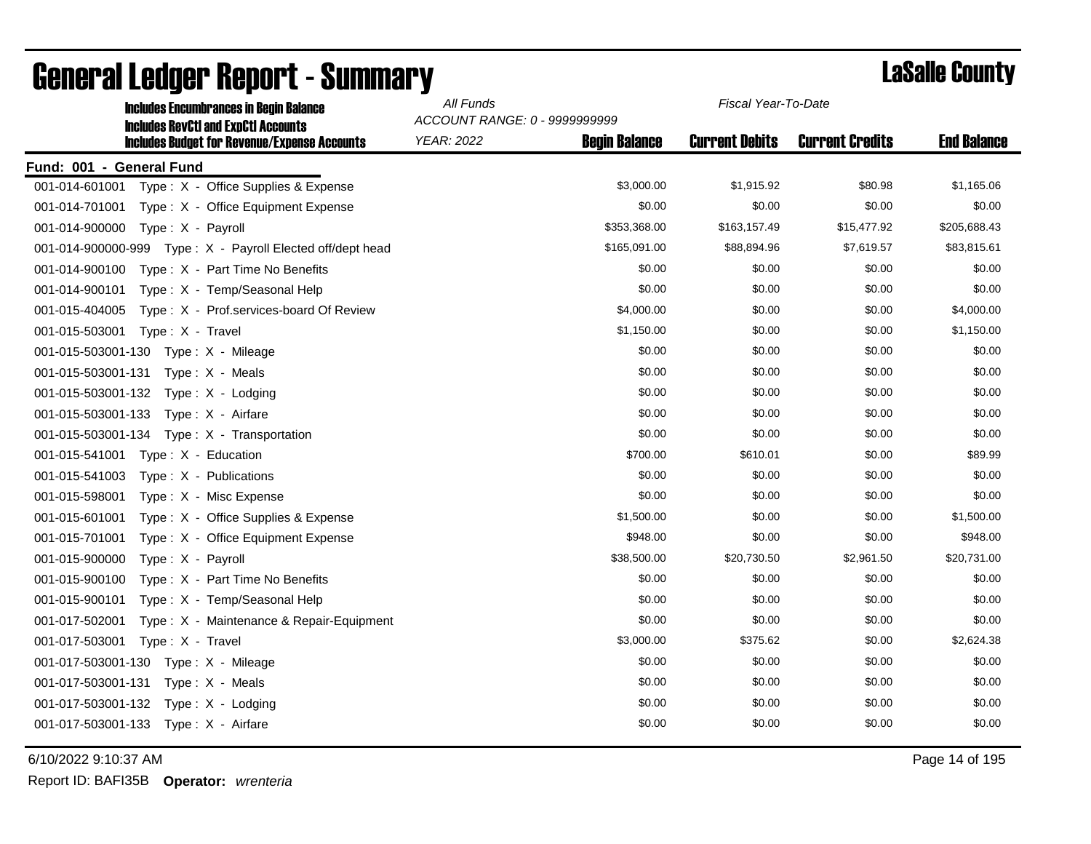| <b>Includes Encumbrances in Begin Balance</b><br><b>Includes RevCtI and ExpCtI Accounts</b> | All Funds<br>Fiscal Year-To-Date<br>ACCOUNT RANGE: 0 - 9999999999 |                      |                       |                        |                    |
|---------------------------------------------------------------------------------------------|-------------------------------------------------------------------|----------------------|-----------------------|------------------------|--------------------|
| <b>Includes Budget for Revenue/Expense Accounts</b>                                         | <b>YEAR: 2022</b>                                                 | <b>Begin Balance</b> | <b>Current Debits</b> | <b>Current Credits</b> | <b>End Balance</b> |
| Fund: 001 - General Fund                                                                    |                                                                   |                      |                       |                        |                    |
| Type: X - Office Supplies & Expense<br>001-014-601001                                       |                                                                   | \$3,000.00           | \$1,915.92            | \$80.98                | \$1,165.06         |
| 001-014-701001<br>Type: X - Office Equipment Expense                                        |                                                                   | \$0.00               | \$0.00                | \$0.00                 | \$0.00             |
| Type: X - Payroll<br>001-014-900000                                                         |                                                                   | \$353,368.00         | \$163,157.49          | \$15,477.92            | \$205,688.43       |
| 001-014-900000-999 Type: X - Payroll Elected off/dept head                                  |                                                                   | \$165,091.00         | \$88,894.96           | \$7,619.57             | \$83,815.61        |
| 001-014-900100<br>Type: X - Part Time No Benefits                                           |                                                                   | \$0.00               | \$0.00                | \$0.00                 | \$0.00             |
| 001-014-900101<br>Type: X - Temp/Seasonal Help                                              |                                                                   | \$0.00               | \$0.00                | \$0.00                 | \$0.00             |
| 001-015-404005<br>Type: X - Prof.services-board Of Review                                   |                                                                   | \$4,000.00           | \$0.00                | \$0.00                 | \$4,000.00         |
| 001-015-503001<br>Type: X - Travel                                                          |                                                                   | \$1,150.00           | \$0.00                | \$0.00                 | \$1,150.00         |
| 001-015-503001-130 Type: X - Mileage                                                        |                                                                   | \$0.00               | \$0.00                | \$0.00                 | \$0.00             |
| 001-015-503001-131<br>Type: X - Meals                                                       |                                                                   | \$0.00               | \$0.00                | \$0.00                 | \$0.00             |
| 001-015-503001-132<br>Type: X - Lodging                                                     |                                                                   | \$0.00               | \$0.00                | \$0.00                 | \$0.00             |
| 001-015-503001-133<br>Type: X - Airfare                                                     |                                                                   | \$0.00               | \$0.00                | \$0.00                 | \$0.00             |
| 001-015-503001-134<br>Type: X - Transportation                                              |                                                                   | \$0.00               | \$0.00                | \$0.00                 | \$0.00             |
| 001-015-541001 Type: X - Education                                                          |                                                                   | \$700.00             | \$610.01              | \$0.00                 | \$89.99            |
| 001-015-541003<br>Type: X - Publications                                                    |                                                                   | \$0.00               | \$0.00                | \$0.00                 | \$0.00             |
| 001-015-598001<br>Type: X - Misc Expense                                                    |                                                                   | \$0.00               | \$0.00                | \$0.00                 | \$0.00             |
| 001-015-601001<br>Type: X - Office Supplies & Expense                                       |                                                                   | \$1,500.00           | \$0.00                | \$0.00                 | \$1,500.00         |
| 001-015-701001<br>Type: X - Office Equipment Expense                                        |                                                                   | \$948.00             | \$0.00                | \$0.00                 | \$948.00           |
| 001-015-900000<br>Type: X - Payroll                                                         |                                                                   | \$38,500.00          | \$20,730.50           | \$2,961.50             | \$20,731.00        |
| 001-015-900100<br>Type: X - Part Time No Benefits                                           |                                                                   | \$0.00               | \$0.00                | \$0.00                 | \$0.00             |
| Type: X - Temp/Seasonal Help<br>001-015-900101                                              |                                                                   | \$0.00               | \$0.00                | \$0.00                 | \$0.00             |
| 001-017-502001<br>Type: X - Maintenance & Repair-Equipment                                  |                                                                   | \$0.00               | \$0.00                | \$0.00                 | \$0.00             |
| 001-017-503001<br>Type: X - Travel                                                          |                                                                   | \$3,000.00           | \$375.62              | \$0.00                 | \$2,624.38         |
| 001-017-503001-130 Type: X - Mileage                                                        |                                                                   | \$0.00               | \$0.00                | \$0.00                 | \$0.00             |
| 001-017-503001-131<br>Type: X - Meals                                                       |                                                                   | \$0.00               | \$0.00                | \$0.00                 | \$0.00             |
| 001-017-503001-132<br>Type: X - Lodging                                                     |                                                                   | \$0.00               | \$0.00                | \$0.00                 | \$0.00             |
| 001-017-503001-133<br>Type: X - Airfare                                                     |                                                                   | \$0.00               | \$0.00                | \$0.00                 | \$0.00             |

6/10/2022 9:10:37 AM Page 14 of 195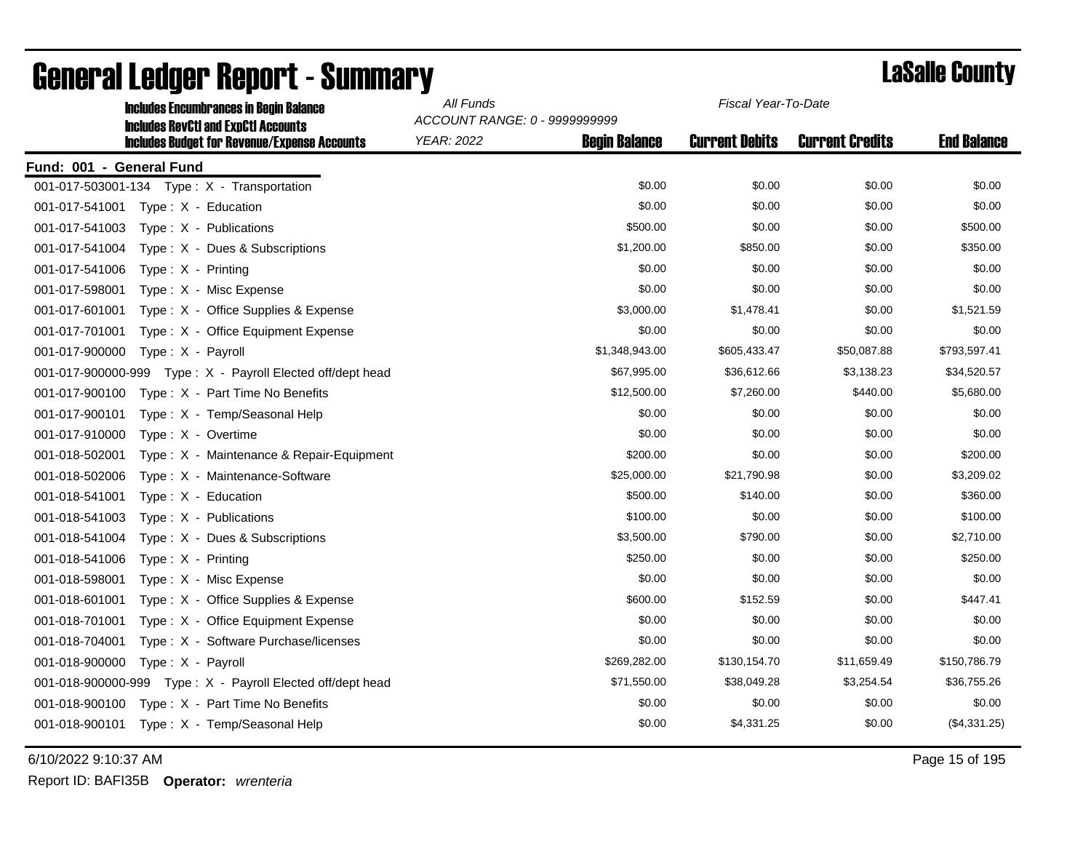| <b>Includes Encumbrances in Begin Balance</b>                                                     | All Funds                                                                  | Fiscal Year-To-Date   |                        |                    |
|---------------------------------------------------------------------------------------------------|----------------------------------------------------------------------------|-----------------------|------------------------|--------------------|
| <b>Includes RevCtI and ExpCtI Accounts</b><br><b>Includes Budget for Revenue/Expense Accounts</b> | ACCOUNT RANGE: 0 - 9999999999<br><b>YEAR: 2022</b><br><b>Begin Balance</b> | <b>Current Debits</b> | <b>Current Credits</b> | <b>End Balance</b> |
| Fund: 001 - General Fund                                                                          |                                                                            |                       |                        |                    |
|                                                                                                   | \$0.00                                                                     | \$0.00                | \$0.00                 | \$0.00             |
| Type: X - Education<br>001-017-541001                                                             | \$0.00                                                                     | \$0.00                | \$0.00                 | \$0.00             |
| 001-017-541003<br>Type: X - Publications                                                          | \$500.00                                                                   | \$0.00                | \$0.00                 | \$500.00           |
| 001-017-541004<br>Type: X - Dues & Subscriptions                                                  | \$1,200.00                                                                 | \$850.00              | \$0.00                 | \$350.00           |
| 001-017-541006<br>Type: $X -$ Printing                                                            | \$0.00                                                                     | \$0.00                | \$0.00                 | \$0.00             |
| 001-017-598001<br>Type: X - Misc Expense                                                          | \$0.00                                                                     | \$0.00                | \$0.00                 | \$0.00             |
| 001-017-601001<br>Type: X - Office Supplies & Expense                                             | \$3,000.00                                                                 | \$1,478.41            | \$0.00                 | \$1,521.59         |
| 001-017-701001<br>Type: X - Office Equipment Expense                                              | \$0.00                                                                     | \$0.00                | \$0.00                 | \$0.00             |
| 001-017-900000<br>Type: X - Payroll                                                               | \$1,348,943.00                                                             | \$605,433.47          | \$50,087.88            | \$793,597.41       |
| 001-017-900000-999 Type: X - Payroll Elected off/dept head                                        | \$67,995.00                                                                | \$36,612.66           | \$3,138.23             | \$34,520.57        |
| 001-017-900100<br>Type: X - Part Time No Benefits                                                 | \$12,500.00                                                                | \$7,260.00            | \$440.00               | \$5,680.00         |
| 001-017-900101<br>Type: X - Temp/Seasonal Help                                                    | \$0.00                                                                     | \$0.00                | \$0.00                 | \$0.00             |
| 001-017-910000<br>Type: X - Overtime                                                              | \$0.00                                                                     | \$0.00                | \$0.00                 | \$0.00             |
| 001-018-502001<br>Type: X - Maintenance & Repair-Equipment                                        | \$200.00                                                                   | \$0.00                | \$0.00                 | \$200.00           |
| 001-018-502006<br>Type: X - Maintenance-Software                                                  | \$25,000.00                                                                | \$21,790.98           | \$0.00                 | \$3,209.02         |
| 001-018-541001<br>Type: X - Education                                                             | \$500.00                                                                   | \$140.00              | \$0.00                 | \$360.00           |
| 001-018-541003<br>Type: X - Publications                                                          | \$100.00                                                                   | \$0.00                | \$0.00                 | \$100.00           |
| 001-018-541004<br>Type: X - Dues & Subscriptions                                                  | \$3,500.00                                                                 | \$790.00              | \$0.00                 | \$2,710.00         |
| 001-018-541006<br>Type: X - Printing                                                              | \$250.00                                                                   | \$0.00                | \$0.00                 | \$250.00           |
| 001-018-598001<br>Type: X - Misc Expense                                                          | \$0.00                                                                     | \$0.00                | \$0.00                 | \$0.00             |
| 001-018-601001<br>Type: X - Office Supplies & Expense                                             | \$600.00                                                                   | \$152.59              | \$0.00                 | \$447.41           |
| 001-018-701001<br>Type: X - Office Equipment Expense                                              | \$0.00                                                                     | \$0.00                | \$0.00                 | \$0.00             |
| 001-018-704001<br>Type: X - Software Purchase/licenses                                            | \$0.00                                                                     | \$0.00                | \$0.00                 | \$0.00             |
| 001-018-900000<br>Type: X - Payroll                                                               | \$269,282.00                                                               | \$130,154.70          | \$11,659.49            | \$150,786.79       |
| 001-018-900000-999 Type: X - Payroll Elected off/dept head                                        | \$71,550.00                                                                | \$38,049.28           | \$3,254.54             | \$36,755.26        |
| 001-018-900100<br>Type: X - Part Time No Benefits                                                 | \$0.00                                                                     | \$0.00                | \$0.00                 | \$0.00             |
| 001-018-900101 Type: X - Temp/Seasonal Help                                                       | \$0.00                                                                     | \$4,331.25            | \$0.00                 | (\$4,331.25)       |

### General Ledger Report - Summary LaSalle County

6/10/2022 9:10:37 AM Page 15 of 195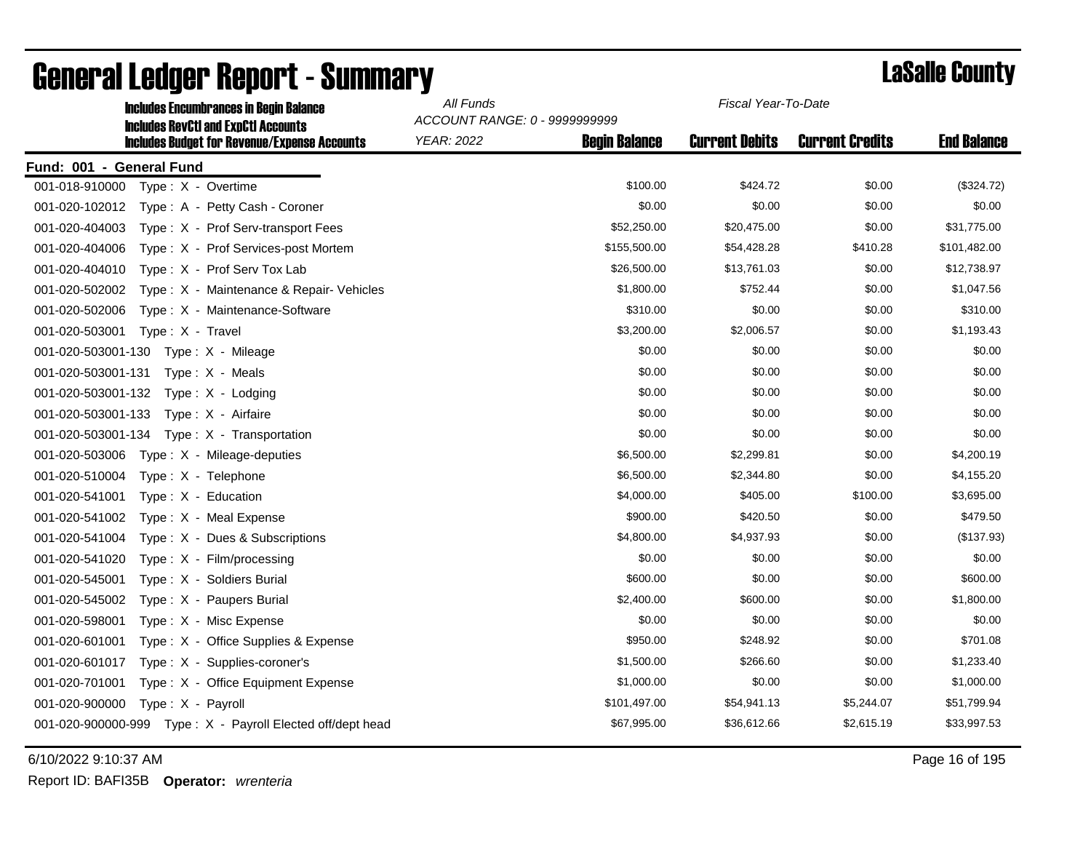| <b>Includes Encumbrances in Begin Balance</b>                                                     | All Funds<br>Fiscal Year-To-Date<br>ACCOUNT RANGE: 0 - 9999999999 |                      |                       |                        |                    |
|---------------------------------------------------------------------------------------------------|-------------------------------------------------------------------|----------------------|-----------------------|------------------------|--------------------|
| <b>Includes RevCtI and ExpCtI Accounts</b><br><b>Includes Budget for Revenue/Expense Accounts</b> | <b>YEAR: 2022</b>                                                 | <b>Begin Balance</b> | <b>Current Debits</b> | <b>Current Credits</b> | <b>End Balance</b> |
| Fund: 001 - General Fund                                                                          |                                                                   |                      |                       |                        |                    |
| 001-018-910000<br>Type: X - Overtime                                                              |                                                                   | \$100.00             | \$424.72              | \$0.00                 | (\$324.72)         |
| 001-020-102012<br>Type: A - Petty Cash - Coroner                                                  |                                                                   | \$0.00               | \$0.00                | \$0.00                 | \$0.00             |
| 001-020-404003<br>Type: X - Prof Serv-transport Fees                                              |                                                                   | \$52,250.00          | \$20,475.00           | \$0.00                 | \$31,775.00        |
| 001-020-404006<br>Type: X - Prof Services-post Mortem                                             |                                                                   | \$155,500.00         | \$54,428.28           | \$410.28               | \$101,482.00       |
| Type: X - Prof Serv Tox Lab<br>001-020-404010                                                     |                                                                   | \$26,500.00          | \$13,761.03           | \$0.00                 | \$12,738.97        |
| 001-020-502002<br>Type: X - Maintenance & Repair- Vehicles                                        |                                                                   | \$1,800.00           | \$752.44              | \$0.00                 | \$1,047.56         |
| Type: X - Maintenance-Software<br>001-020-502006                                                  |                                                                   | \$310.00             | \$0.00                | \$0.00                 | \$310.00           |
| 001-020-503001<br>Type: X - Travel                                                                |                                                                   | \$3,200.00           | \$2,006.57            | \$0.00                 | \$1,193.43         |
| 001-020-503001-130<br>Type: X - Mileage                                                           |                                                                   | \$0.00               | \$0.00                | \$0.00                 | \$0.00             |
| 001-020-503001-131<br>Type: X - Meals                                                             |                                                                   | \$0.00               | \$0.00                | \$0.00                 | \$0.00             |
| 001-020-503001-132<br>Type: X - Lodging                                                           |                                                                   | \$0.00               | \$0.00                | \$0.00                 | \$0.00             |
| 001-020-503001-133<br>Type: X - Airfaire                                                          |                                                                   | \$0.00               | \$0.00                | \$0.00                 | \$0.00             |
| 001-020-503001-134<br>Type: X - Transportation                                                    |                                                                   | \$0.00               | \$0.00                | \$0.00                 | \$0.00             |
| 001-020-503006<br>$Type: X - Mileage-deputies$                                                    |                                                                   | \$6,500.00           | \$2,299.81            | \$0.00                 | \$4,200.19         |
| 001-020-510004<br>Type: X - Telephone                                                             |                                                                   | \$6,500.00           | \$2,344.80            | \$0.00                 | \$4,155.20         |
| Type: X - Education<br>001-020-541001                                                             |                                                                   | \$4,000.00           | \$405.00              | \$100.00               | \$3,695.00         |
| 001-020-541002<br>Type: X - Meal Expense                                                          |                                                                   | \$900.00             | \$420.50              | \$0.00                 | \$479.50           |
| 001-020-541004<br>Type: X - Dues & Subscriptions                                                  |                                                                   | \$4,800.00           | \$4,937.93            | \$0.00                 | (\$137.93)         |
| 001-020-541020<br>Type: $X - Film/processing$                                                     |                                                                   | \$0.00               | \$0.00                | \$0.00                 | \$0.00             |
| Type: X - Soldiers Burial<br>001-020-545001                                                       |                                                                   | \$600.00             | \$0.00                | \$0.00                 | \$600.00           |
| Type: X - Paupers Burial<br>001-020-545002                                                        |                                                                   | \$2,400.00           | \$600.00              | \$0.00                 | \$1,800.00         |
| 001-020-598001<br>Type: X - Misc Expense                                                          |                                                                   | \$0.00               | \$0.00                | \$0.00                 | \$0.00             |
| 001-020-601001<br>Type: X - Office Supplies & Expense                                             |                                                                   | \$950.00             | \$248.92              | \$0.00                 | \$701.08           |
| 001-020-601017<br>Type: X - Supplies-coroner's                                                    |                                                                   | \$1,500.00           | \$266.60              | \$0.00                 | \$1,233.40         |
| 001-020-701001<br>Type: X - Office Equipment Expense                                              |                                                                   | \$1,000.00           | \$0.00                | \$0.00                 | \$1,000.00         |
| 001-020-900000<br>Type: X - Payroll                                                               |                                                                   | \$101,497.00         | \$54,941.13           | \$5,244.07             | \$51,799.94        |
| 001-020-900000-999 Type: X - Payroll Elected off/dept head                                        |                                                                   | \$67,995.00          | \$36,612.66           | \$2,615.19             | \$33,997.53        |

# **General Ledger Report - Summary Lassalle County**

6/10/2022 9:10:37 AM Page 16 of 195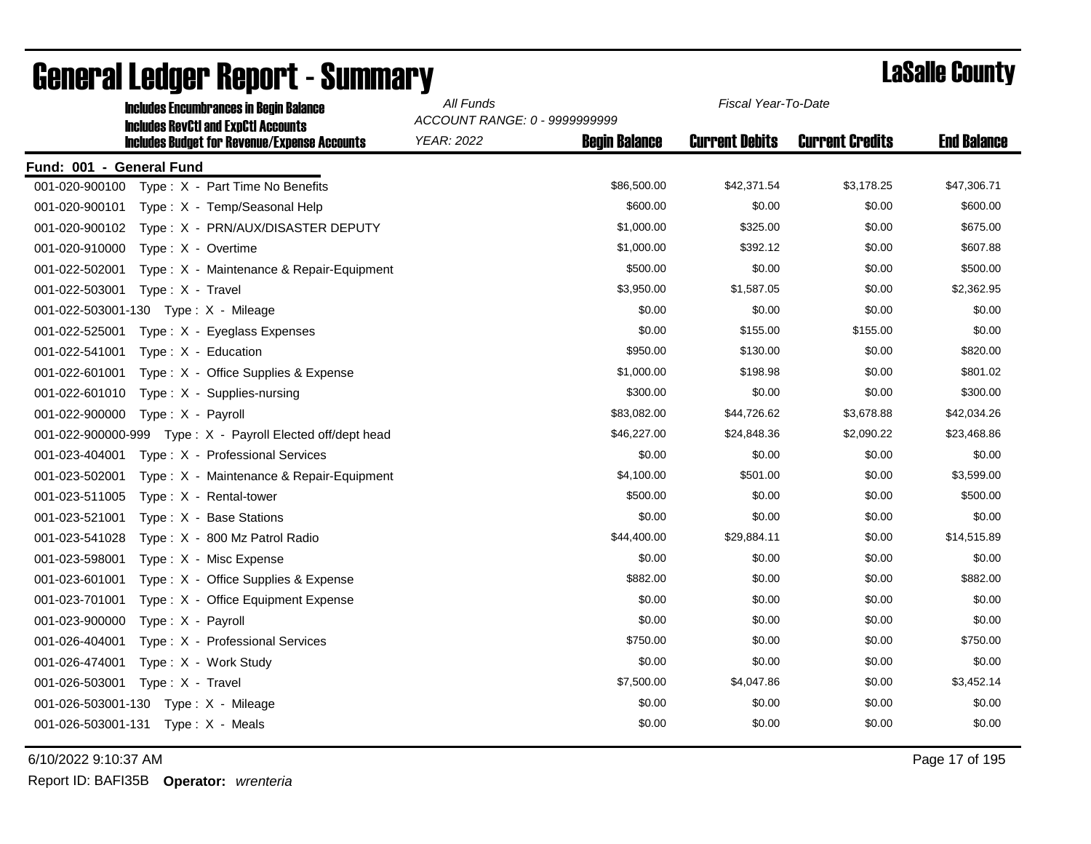| All Funds<br>Fiscal Year-To-Date<br><b>Includes Encumbrances in Begin Balance</b> |                                    |                       |                        |                    |
|-----------------------------------------------------------------------------------|------------------------------------|-----------------------|------------------------|--------------------|
| <b>Includes RevCtI and ExpCtI Accounts</b>                                        | ACCOUNT RANGE: 0 - 9999999999      |                       |                        |                    |
| <b>Includes Budget for Revenue/Expense Accounts</b>                               | YEAR: 2022<br><b>Begin Balance</b> | <b>Current Debits</b> | <b>Current Credits</b> | <b>End Balance</b> |
| Fund: 001 - General Fund                                                          |                                    |                       |                        |                    |
| 001-020-900100<br>Type: X - Part Time No Benefits                                 | \$86,500.00                        | \$42,371.54           | \$3,178.25             | \$47,306.71        |
| Type: X - Temp/Seasonal Help<br>001-020-900101                                    | \$600.00                           | \$0.00                | \$0.00                 | \$600.00           |
| Type: X - PRN/AUX/DISASTER DEPUTY<br>001-020-900102                               | \$1,000.00                         | \$325.00              | \$0.00                 | \$675.00           |
| Type: X - Overtime<br>001-020-910000                                              | \$1,000.00                         | \$392.12              | \$0.00                 | \$607.88           |
| 001-022-502001<br>Type: X - Maintenance & Repair-Equipment                        | \$500.00                           | \$0.00                | \$0.00                 | \$500.00           |
| 001-022-503001<br>Type: X - Travel                                                | \$3,950.00                         | \$1,587.05            | \$0.00                 | \$2,362.95         |
| 001-022-503001-130 Type: X - Mileage                                              | \$0.00                             | \$0.00                | \$0.00                 | \$0.00             |
| 001-022-525001<br>Type: X - Eyeglass Expenses                                     | \$0.00                             | \$155.00              | \$155.00               | \$0.00             |
| 001-022-541001<br>Type: X - Education                                             | \$950.00                           | \$130.00              | \$0.00                 | \$820.00           |
| 001-022-601001<br>Type: X - Office Supplies & Expense                             | \$1,000.00                         | \$198.98              | \$0.00                 | \$801.02           |
| 001-022-601010<br>Type: X - Supplies-nursing                                      | \$300.00                           | \$0.00                | \$0.00                 | \$300.00           |
| 001-022-900000<br>$Type: X - Payroll$                                             | \$83,082.00                        | \$44,726.62           | \$3,678.88             | \$42,034.26        |
| 001-022-900000-999 Type: X - Payroll Elected off/dept head                        | \$46,227.00                        | \$24,848.36           | \$2,090.22             | \$23,468.86        |
| 001-023-404001<br>Type: X - Professional Services                                 | \$0.00                             | \$0.00                | \$0.00                 | \$0.00             |
| 001-023-502001<br>Type: X - Maintenance & Repair-Equipment                        | \$4,100.00                         | \$501.00              | \$0.00                 | \$3,599.00         |
| 001-023-511005<br>Type: X - Rental-tower                                          | \$500.00                           | \$0.00                | \$0.00                 | \$500.00           |
| 001-023-521001<br>Type: X - Base Stations                                         | \$0.00                             | \$0.00                | \$0.00                 | \$0.00             |
| 001-023-541028<br>Type: X - 800 Mz Patrol Radio                                   | \$44,400.00                        | \$29,884.11           | \$0.00                 | \$14,515.89        |
| 001-023-598001<br>Type: X - Misc Expense                                          | \$0.00                             | \$0.00                | \$0.00                 | \$0.00             |
| 001-023-601001<br>Type: X - Office Supplies & Expense                             | \$882.00                           | \$0.00                | \$0.00                 | \$882.00           |
| 001-023-701001<br>Type: X - Office Equipment Expense                              | \$0.00                             | \$0.00                | \$0.00                 | \$0.00             |
| 001-023-900000<br>Type: X - Payroll                                               | \$0.00                             | \$0.00                | \$0.00                 | \$0.00             |
| 001-026-404001<br>Type: X - Professional Services                                 | \$750.00                           | \$0.00                | \$0.00                 | \$750.00           |
| 001-026-474001<br>Type: X - Work Study                                            | \$0.00                             | \$0.00                | \$0.00                 | \$0.00             |
| 001-026-503001<br>Type: X - Travel                                                | \$7,500.00                         | \$4,047.86            | \$0.00                 | \$3,452.14         |
| 001-026-503001-130    Type: X - Mileage                                           | \$0.00                             | \$0.00                | \$0.00                 | \$0.00             |
| 001-026-503001-131 Type: X - Meals                                                | \$0.00                             | \$0.00                | \$0.00                 | \$0.00             |
|                                                                                   |                                    |                       |                        |                    |

6/10/2022 9:10:37 AM Page 17 of 195

Report ID: BAFI35B **Operator:** *wrenteria*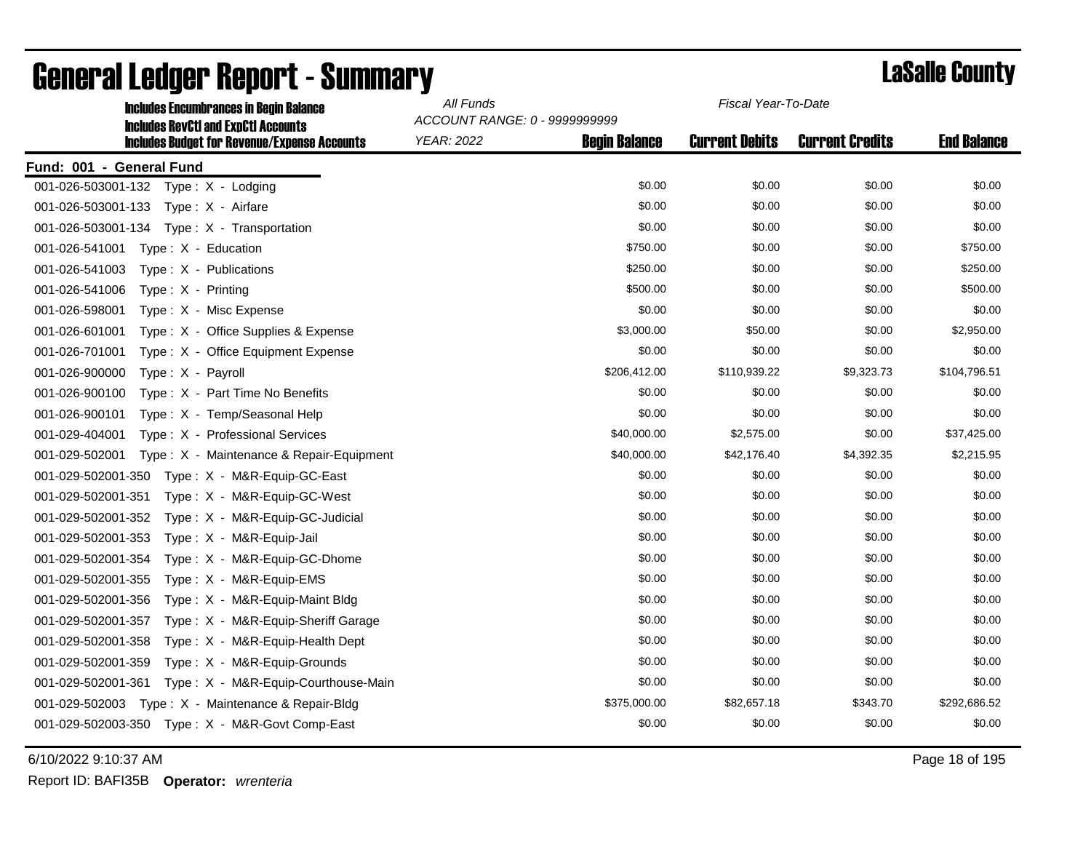| <b>Includes Encumbrances in Begin Balance</b>                                                     | All Funds                                          | Fiscal Year-To-Date  |                       |                        |                    |
|---------------------------------------------------------------------------------------------------|----------------------------------------------------|----------------------|-----------------------|------------------------|--------------------|
| <b>Includes RevCtI and ExpCtI Accounts</b><br><b>Includes Budget for Revenue/Expense Accounts</b> | ACCOUNT RANGE: 0 - 9999999999<br><b>YEAR: 2022</b> | <b>Begin Balance</b> | <b>Current Debits</b> | <b>Current Credits</b> | <b>End Balance</b> |
| Fund: 001 - General Fund                                                                          |                                                    |                      |                       |                        |                    |
|                                                                                                   |                                                    | \$0.00               | \$0.00                | \$0.00                 | \$0.00             |
| 001-026-503001-133<br>Type: X - Airfare                                                           |                                                    | \$0.00               | \$0.00                | \$0.00                 | \$0.00             |
| 001-026-503001-134 Type: X - Transportation                                                       |                                                    | \$0.00               | \$0.00                | \$0.00                 | \$0.00             |
| 001-026-541001<br>Type: X - Education                                                             |                                                    | \$750.00             | \$0.00                | \$0.00                 | \$750.00           |
| 001-026-541003<br>Type: X - Publications                                                          |                                                    | \$250.00             | \$0.00                | \$0.00                 | \$250.00           |
| 001-026-541006<br>Type: X - Printing                                                              |                                                    | \$500.00             | \$0.00                | \$0.00                 | \$500.00           |
| 001-026-598001<br>Type: X - Misc Expense                                                          |                                                    | \$0.00               | \$0.00                | \$0.00                 | \$0.00             |
| 001-026-601001<br>Type: X - Office Supplies & Expense                                             |                                                    | \$3,000.00           | \$50.00               | \$0.00                 | \$2,950.00         |
| 001-026-701001<br>Type: X - Office Equipment Expense                                              |                                                    | \$0.00               | \$0.00                | \$0.00                 | \$0.00             |
| 001-026-900000<br>Type: X - Payroll                                                               |                                                    | \$206,412.00         | \$110,939.22          | \$9,323.73             | \$104,796.51       |
| 001-026-900100<br>Type: X - Part Time No Benefits                                                 |                                                    | \$0.00               | \$0.00                | \$0.00                 | \$0.00             |
| 001-026-900101<br>Type: X - Temp/Seasonal Help                                                    |                                                    | \$0.00               | \$0.00                | \$0.00                 | \$0.00             |
| 001-029-404001<br>$Type: X - Professional Services$                                               |                                                    | \$40,000.00          | \$2,575.00            | \$0.00                 | \$37,425.00        |
| 001-029-502001<br>Type: X - Maintenance & Repair-Equipment                                        |                                                    | \$40,000.00          | \$42,176.40           | \$4,392.35             | \$2,215.95         |
| 001-029-502001-350<br>Type: X - M&R-Equip-GC-East                                                 |                                                    | \$0.00               | \$0.00                | \$0.00                 | \$0.00             |
| 001-029-502001-351<br>Type: X - M&R-Equip-GC-West                                                 |                                                    | \$0.00               | \$0.00                | \$0.00                 | \$0.00             |
| 001-029-502001-352<br>Type: X - M&R-Equip-GC-Judicial                                             |                                                    | \$0.00               | \$0.00                | \$0.00                 | \$0.00             |
| 001-029-502001-353<br>Type: X - M&R-Equip-Jail                                                    |                                                    | \$0.00               | \$0.00                | \$0.00                 | \$0.00             |
| 001-029-502001-354<br>Type: X - M&R-Equip-GC-Dhome                                                |                                                    | \$0.00               | \$0.00                | \$0.00                 | \$0.00             |
| 001-029-502001-355<br>Type: X - M&R-Equip-EMS                                                     |                                                    | \$0.00               | \$0.00                | \$0.00                 | \$0.00             |
| 001-029-502001-356<br>Type: X - M&R-Equip-Maint Bldg                                              |                                                    | \$0.00               | \$0.00                | \$0.00                 | \$0.00             |
| 001-029-502001-357<br>Type: X - M&R-Equip-Sheriff Garage                                          |                                                    | \$0.00               | \$0.00                | \$0.00                 | \$0.00             |
| 001-029-502001-358<br>Type: $X - M&R$ -Equip-Health Dept                                          |                                                    | \$0.00               | \$0.00                | \$0.00                 | \$0.00             |
| 001-029-502001-359<br>Type: X - M&R-Equip-Grounds                                                 |                                                    | \$0.00               | \$0.00                | \$0.00                 | \$0.00             |
| 001-029-502001-361<br>Type: X - M&R-Equip-Courthouse-Main                                         |                                                    | \$0.00               | \$0.00                | \$0.00                 | \$0.00             |
| 001-029-502003 Type: X - Maintenance & Repair-Bldg                                                |                                                    | \$375,000.00         | \$82,657.18           | \$343.70               | \$292,686.52       |
|                                                                                                   |                                                    | \$0.00               | \$0.00                | \$0.00                 | \$0.00             |

### General Ledger Report - Summary LaSalle County

6/10/2022 9:10:37 AM Page 18 of 195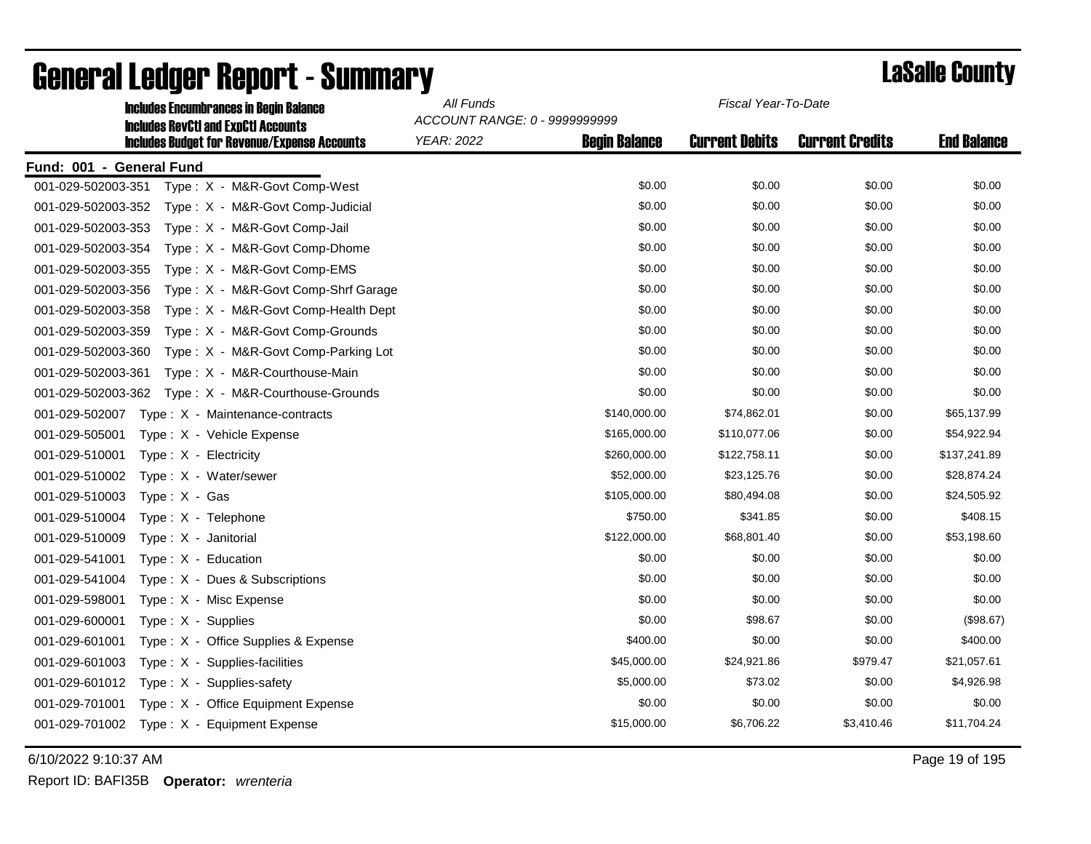| <b>Includes Encumbrances in Begin Balance</b>                                                     | All Funds                                          | Fiscal Year-To-Date  |                       |                        |                    |
|---------------------------------------------------------------------------------------------------|----------------------------------------------------|----------------------|-----------------------|------------------------|--------------------|
| <b>Includes RevCtI and ExpCtI Accounts</b><br><b>Includes Budget for Revenue/Expense Accounts</b> | ACCOUNT RANGE: 0 - 9999999999<br><b>YEAR: 2022</b> | <b>Begin Balance</b> | <b>Current Debits</b> | <b>Current Credits</b> | <b>End Balance</b> |
| Fund: 001 - General Fund                                                                          |                                                    |                      |                       |                        |                    |
| 001-029-502003-351<br>Type: X - M&R-Govt Comp-West                                                |                                                    | \$0.00               | \$0.00                | \$0.00                 | \$0.00             |
| Type: X - M&R-Govt Comp-Judicial<br>001-029-502003-352                                            |                                                    | \$0.00               | \$0.00                | \$0.00                 | \$0.00             |
| Type: X - M&R-Govt Comp-Jail<br>001-029-502003-353                                                |                                                    | \$0.00               | \$0.00                | \$0.00                 | \$0.00             |
| 001-029-502003-354<br>Type: X - M&R-Govt Comp-Dhome                                               |                                                    | \$0.00               | \$0.00                | \$0.00                 | \$0.00             |
| 001-029-502003-355<br>Type: X - M&R-Govt Comp-EMS                                                 |                                                    | \$0.00               | \$0.00                | \$0.00                 | \$0.00             |
| 001-029-502003-356<br>Type: X - M&R-Govt Comp-Shrf Garage                                         |                                                    | \$0.00               | \$0.00                | \$0.00                 | \$0.00             |
| Type: X - M&R-Govt Comp-Health Dept<br>001-029-502003-358                                         |                                                    | \$0.00               | \$0.00                | \$0.00                 | \$0.00             |
| 001-029-502003-359<br>Type: X - M&R-Govt Comp-Grounds                                             |                                                    | \$0.00               | \$0.00                | \$0.00                 | \$0.00             |
| 001-029-502003-360<br>Type: X - M&R-Govt Comp-Parking Lot                                         |                                                    | \$0.00               | \$0.00                | \$0.00                 | \$0.00             |
| 001-029-502003-361<br>Type: X - M&R-Courthouse-Main                                               |                                                    | \$0.00               | \$0.00                | \$0.00                 | \$0.00             |
| 001-029-502003-362<br>Type: X - M&R-Courthouse-Grounds                                            |                                                    | \$0.00               | \$0.00                | \$0.00                 | \$0.00             |
| 001-029-502007<br>Type: X - Maintenance-contracts                                                 |                                                    | \$140,000.00         | \$74,862.01           | \$0.00                 | \$65,137.99        |
| 001-029-505001<br>Type: X - Vehicle Expense                                                       |                                                    | \$165,000.00         | \$110,077.06          | \$0.00                 | \$54,922.94        |
| 001-029-510001<br>Type: $X -$ Electricity                                                         |                                                    | \$260,000.00         | \$122,758.11          | \$0.00                 | \$137,241.89       |
| 001-029-510002<br>Type: X - Water/sewer                                                           |                                                    | \$52,000.00          | \$23,125.76           | \$0.00                 | \$28,874.24        |
| 001-029-510003<br>Type: X - Gas                                                                   |                                                    | \$105,000.00         | \$80,494.08           | \$0.00                 | \$24,505.92        |
| 001-029-510004<br>Type: X - Telephone                                                             |                                                    | \$750.00             | \$341.85              | \$0.00                 | \$408.15           |
| 001-029-510009<br>Type: X - Janitorial                                                            |                                                    | \$122,000.00         | \$68,801.40           | \$0.00                 | \$53,198.60        |
| 001-029-541001<br>Type: X - Education                                                             |                                                    | \$0.00               | \$0.00                | \$0.00                 | \$0.00             |
| 001-029-541004<br>Type: X - Dues & Subscriptions                                                  |                                                    | \$0.00               | \$0.00                | \$0.00                 | \$0.00             |
| 001-029-598001<br>Type: X - Misc Expense                                                          |                                                    | \$0.00               | \$0.00                | \$0.00                 | \$0.00             |
| 001-029-600001<br>Type: X - Supplies                                                              |                                                    | \$0.00               | \$98.67               | \$0.00                 | (\$98.67)          |
| 001-029-601001<br>Type: X - Office Supplies & Expense                                             |                                                    | \$400.00             | \$0.00                | \$0.00                 | \$400.00           |
| 001-029-601003<br>$Type: X - Supplies-facilities$                                                 |                                                    | \$45,000.00          | \$24,921.86           | \$979.47               | \$21,057.61        |
| 001-029-601012<br>Type: $X -$ Supplies-safety                                                     |                                                    | \$5,000.00           | \$73.02               | \$0.00                 | \$4,926.98         |
| 001-029-701001<br>Type: X - Office Equipment Expense                                              |                                                    | \$0.00               | \$0.00                | \$0.00                 | \$0.00             |
| 001-029-701002<br>Type: X - Equipment Expense                                                     |                                                    | \$15,000.00          | \$6,706.22            | \$3,410.46             | \$11,704.24        |

6/10/2022 9:10:37 AM Page 19 of 195

Report ID: BAFI35B **Operator:** *wrenteria*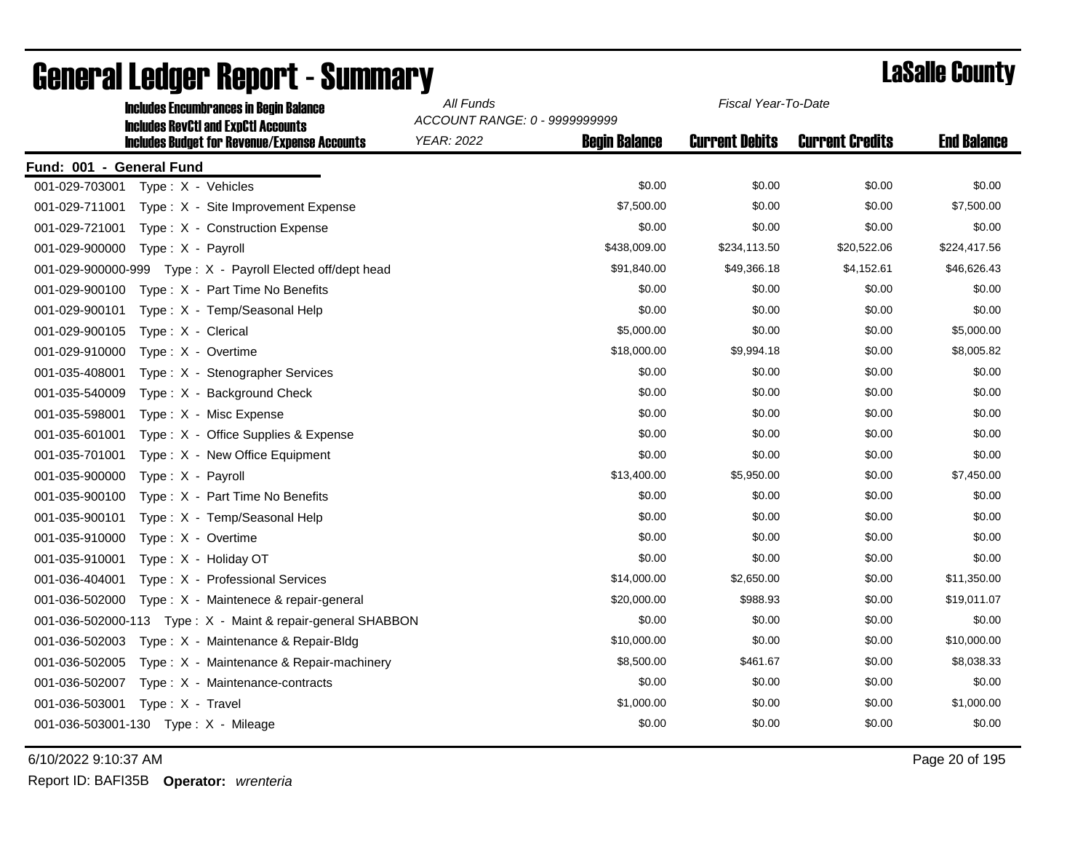| <b>Includes Encumbrances in Begin Balance</b>                 | All Funds                     | Fiscal Year-To-Date  |                       |                        |                    |  |
|---------------------------------------------------------------|-------------------------------|----------------------|-----------------------|------------------------|--------------------|--|
| <b>Includes RevCtI and ExpCtI Accounts</b>                    | ACCOUNT RANGE: 0 - 9999999999 |                      |                       |                        |                    |  |
| <b>Includes Budget for Revenue/Expense Accounts</b>           | <b>YEAR: 2022</b>             | <b>Begin Balance</b> | <b>Current Debits</b> | <b>Current Credits</b> | <b>End Balance</b> |  |
| Fund: 001 - General Fund                                      |                               |                      |                       |                        |                    |  |
| 001-029-703001<br>Type: X - Vehicles                          |                               | \$0.00               | \$0.00                | \$0.00                 | \$0.00             |  |
| Type: X - Site Improvement Expense<br>001-029-711001          |                               | \$7,500.00           | \$0.00                | \$0.00                 | \$7,500.00         |  |
| 001-029-721001<br>Type: X - Construction Expense              |                               | \$0.00               | \$0.00                | \$0.00                 | \$0.00             |  |
| 001-029-900000<br>Type: X - Payroll                           |                               | \$438,009.00         | \$234,113.50          | \$20,522.06            | \$224,417.56       |  |
| 001-029-900000-999<br>Type: X - Payroll Elected off/dept head |                               | \$91,840.00          | \$49,366.18           | \$4,152.61             | \$46,626.43        |  |
| Type: X - Part Time No Benefits<br>001-029-900100             |                               | \$0.00               | \$0.00                | \$0.00                 | \$0.00             |  |
| 001-029-900101<br>Type: X - Temp/Seasonal Help                |                               | \$0.00               | \$0.00                | \$0.00                 | \$0.00             |  |
| 001-029-900105<br>Type: X - Clerical                          |                               | \$5,000.00           | \$0.00                | \$0.00                 | \$5,000.00         |  |
| 001-029-910000<br>Type: X - Overtime                          |                               | \$18,000.00          | \$9,994.18            | \$0.00                 | \$8,005.82         |  |
| 001-035-408001<br>Type: X - Stenographer Services             |                               | \$0.00               | \$0.00                | \$0.00                 | \$0.00             |  |
| 001-035-540009<br>Type: X - Background Check                  |                               | \$0.00               | \$0.00                | \$0.00                 | \$0.00             |  |
| 001-035-598001<br>Type: X - Misc Expense                      |                               | \$0.00               | \$0.00                | \$0.00                 | \$0.00             |  |
| 001-035-601001<br>Type: X - Office Supplies & Expense         |                               | \$0.00               | \$0.00                | \$0.00                 | \$0.00             |  |
| 001-035-701001<br>Type: X - New Office Equipment              |                               | \$0.00               | \$0.00                | \$0.00                 | \$0.00             |  |
| 001-035-900000<br>Type: X - Payroll                           |                               | \$13,400.00          | \$5,950.00            | \$0.00                 | \$7,450.00         |  |
| 001-035-900100<br>Type: X - Part Time No Benefits             |                               | \$0.00               | \$0.00                | \$0.00                 | \$0.00             |  |
| 001-035-900101<br>Type: X - Temp/Seasonal Help                |                               | \$0.00               | \$0.00                | \$0.00                 | \$0.00             |  |
| Type: X - Overtime<br>001-035-910000                          |                               | \$0.00               | \$0.00                | \$0.00                 | \$0.00             |  |
| 001-035-910001<br>Type: X - Holiday OT                        |                               | \$0.00               | \$0.00                | \$0.00                 | \$0.00             |  |
| 001-036-404001<br>Type: X - Professional Services             |                               | \$14,000.00          | \$2,650.00            | \$0.00                 | \$11,350.00        |  |
| 001-036-502000<br>Type: X - Maintenece & repair-general       |                               | \$20,000.00          | \$988.93              | \$0.00                 | \$19,011.07        |  |
| 001-036-502000-113 Type: X - Maint & repair-general SHABBON   |                               | \$0.00               | \$0.00                | \$0.00                 | \$0.00             |  |
| 001-036-502003<br>Type: X - Maintenance & Repair-Bldg         |                               | \$10,000.00          | \$0.00                | \$0.00                 | \$10,000.00        |  |
| 001-036-502005<br>Type: X - Maintenance & Repair-machinery    |                               | \$8,500.00           | \$461.67              | \$0.00                 | \$8,038.33         |  |
| 001-036-502007<br>Type: X - Maintenance-contracts             |                               | \$0.00               | \$0.00                | \$0.00                 | \$0.00             |  |
| 001-036-503001<br>Type: X - Travel                            |                               | \$1,000.00           | \$0.00                | \$0.00                 | \$1,000.00         |  |
| 001-036-503001-130    Type: X - Mileage                       |                               | \$0.00               | \$0.00                | \$0.00                 | \$0.00             |  |
|                                                               |                               |                      |                       |                        |                    |  |

# **General Ledger Report - Summary Lassalle County**

6/10/2022 9:10:37 AM Page 20 of 195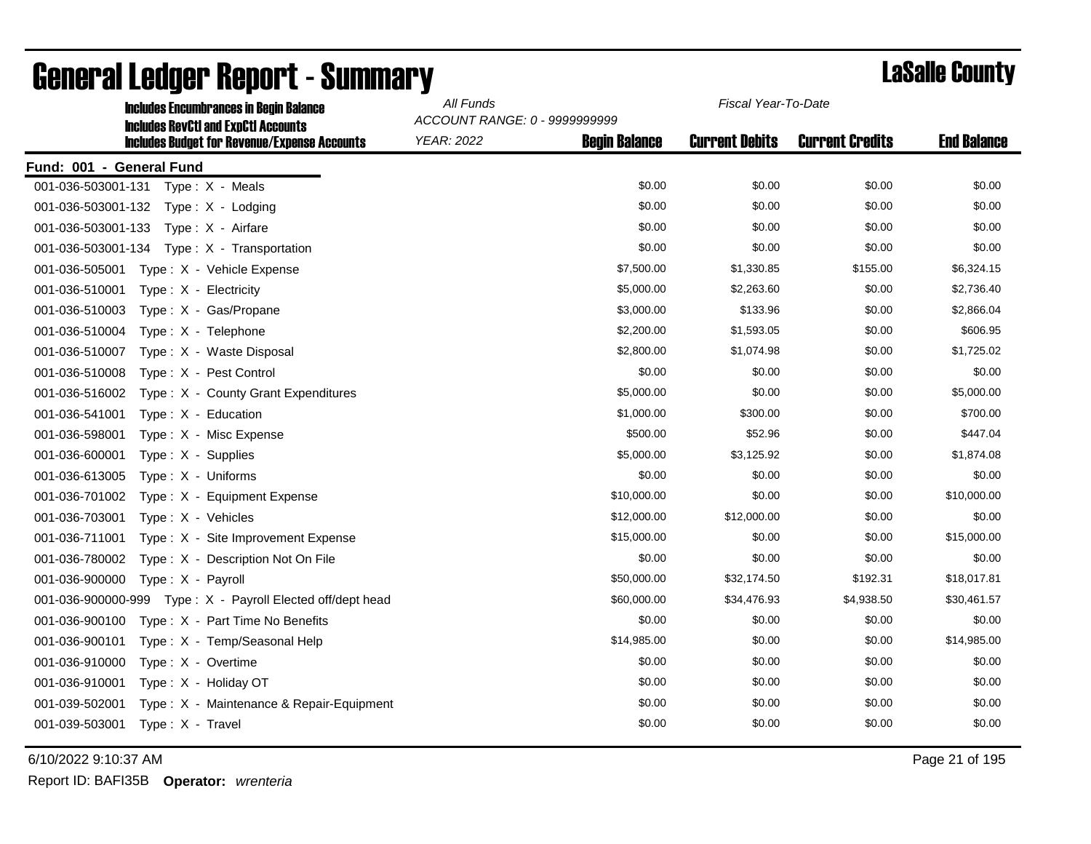| <b>Includes Encumbrances in Begin Balance</b>                                                     | All Funds                                          | Fiscal Year-To-Date  |                       |                        |                    |  |
|---------------------------------------------------------------------------------------------------|----------------------------------------------------|----------------------|-----------------------|------------------------|--------------------|--|
| <b>Includes RevCtI and ExpCtI Accounts</b><br><b>Includes Budget for Revenue/Expense Accounts</b> | ACCOUNT RANGE: 0 - 9999999999<br><b>YEAR: 2022</b> | <b>Begin Balance</b> | <b>Current Debits</b> | <b>Current Credits</b> | <b>End Balance</b> |  |
| Fund: 001 - General Fund                                                                          |                                                    |                      |                       |                        |                    |  |
| 001-036-503001-131 Type: X - Meals                                                                |                                                    | \$0.00               | \$0.00                | \$0.00                 | \$0.00             |  |
| 001-036-503001-132 Type: X - Lodging                                                              |                                                    | \$0.00               | \$0.00                | \$0.00                 | \$0.00             |  |
| 001-036-503001-133 Type: X - Airfare                                                              |                                                    | \$0.00               | \$0.00                | \$0.00                 | \$0.00             |  |
| 001-036-503001-134<br>Type: X - Transportation                                                    |                                                    | \$0.00               | \$0.00                | \$0.00                 | \$0.00             |  |
| 001-036-505001<br>Type: X - Vehicle Expense                                                       |                                                    | \$7,500.00           | \$1,330.85            | \$155.00               | \$6,324.15         |  |
| 001-036-510001<br>Type: X - Electricity                                                           |                                                    | \$5,000.00           | \$2,263.60            | \$0.00                 | \$2,736.40         |  |
| 001-036-510003<br>Type: X - Gas/Propane                                                           |                                                    | \$3,000.00           | \$133.96              | \$0.00                 | \$2,866.04         |  |
| 001-036-510004<br>Type: X - Telephone                                                             |                                                    | \$2,200.00           | \$1,593.05            | \$0.00                 | \$606.95           |  |
| 001-036-510007<br>Type: X - Waste Disposal                                                        |                                                    | \$2,800.00           | \$1,074.98            | \$0.00                 | \$1,725.02         |  |
| 001-036-510008<br>Type: X - Pest Control                                                          |                                                    | \$0.00               | \$0.00                | \$0.00                 | \$0.00             |  |
| 001-036-516002<br>Type: X - County Grant Expenditures                                             |                                                    | \$5,000.00           | \$0.00                | \$0.00                 | \$5,000.00         |  |
| 001-036-541001<br>Type: X - Education                                                             |                                                    | \$1,000.00           | \$300.00              | \$0.00                 | \$700.00           |  |
| 001-036-598001<br>Type: X - Misc Expense                                                          |                                                    | \$500.00             | \$52.96               | \$0.00                 | \$447.04           |  |
| 001-036-600001<br>Type: X - Supplies                                                              |                                                    | \$5,000.00           | \$3,125.92            | \$0.00                 | \$1,874.08         |  |
| 001-036-613005<br>Type: X - Uniforms                                                              |                                                    | \$0.00               | \$0.00                | \$0.00                 | \$0.00             |  |
| 001-036-701002<br>Type: X - Equipment Expense                                                     |                                                    | \$10,000.00          | \$0.00                | \$0.00                 | \$10,000.00        |  |
| 001-036-703001<br>Type: X - Vehicles                                                              |                                                    | \$12,000.00          | \$12,000.00           | \$0.00                 | \$0.00             |  |
| 001-036-711001<br>Type: X - Site Improvement Expense                                              |                                                    | \$15,000.00          | \$0.00                | \$0.00                 | \$15,000.00        |  |
| 001-036-780002<br>Type: X - Description Not On File                                               |                                                    | \$0.00               | \$0.00                | \$0.00                 | \$0.00             |  |
| 001-036-900000<br>Type: X - Payroll                                                               |                                                    | \$50,000.00          | \$32,174.50           | \$192.31               | \$18,017.81        |  |
| 001-036-900000-999 Type: X - Payroll Elected off/dept head                                        |                                                    | \$60,000.00          | \$34,476.93           | \$4,938.50             | \$30,461.57        |  |
| 001-036-900100<br>Type: X - Part Time No Benefits                                                 |                                                    | \$0.00               | \$0.00                | \$0.00                 | \$0.00             |  |
| 001-036-900101<br>Type: X - Temp/Seasonal Help                                                    |                                                    | \$14,985.00          | \$0.00                | \$0.00                 | \$14,985.00        |  |
| 001-036-910000<br>Type: X - Overtime                                                              |                                                    | \$0.00               | \$0.00                | \$0.00                 | \$0.00             |  |
| 001-036-910001<br>Type: X - Holiday OT                                                            |                                                    | \$0.00               | \$0.00                | \$0.00                 | \$0.00             |  |
| 001-039-502001<br>Type: X - Maintenance & Repair-Equipment                                        |                                                    | \$0.00               | \$0.00                | \$0.00                 | \$0.00             |  |
| 001-039-503001<br>Type: X - Travel                                                                |                                                    | \$0.00               | \$0.00                | \$0.00                 | \$0.00             |  |

### General Ledger Report - Summary LaSalle County

6/10/2022 9:10:37 AM Page 21 of 195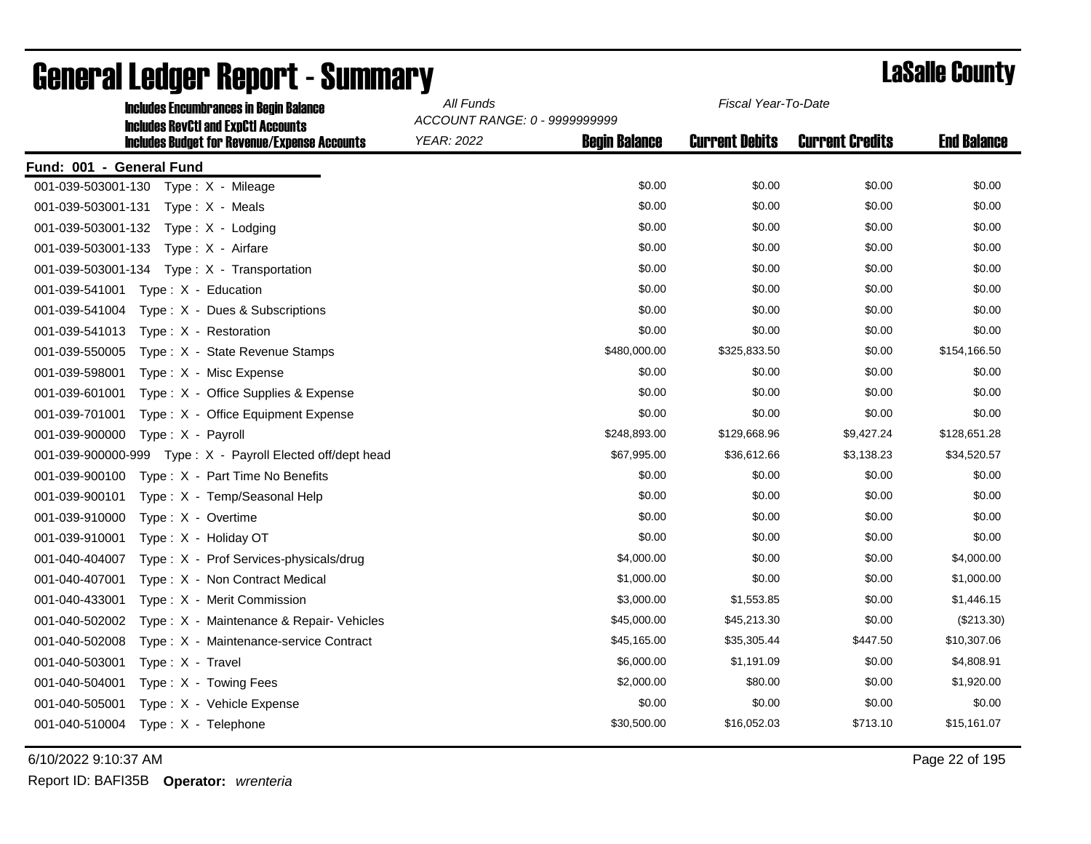| <b>Includes Encumbrances in Begin Balance</b>                                                     | All Funds                                          | Fiscal Year-To-Date  |                       |                        |                    |  |
|---------------------------------------------------------------------------------------------------|----------------------------------------------------|----------------------|-----------------------|------------------------|--------------------|--|
| <b>Includes RevCtI and ExpCtI Accounts</b><br><b>Includes Budget for Revenue/Expense Accounts</b> | ACCOUNT RANGE: 0 - 9999999999<br><b>YEAR: 2022</b> | <b>Begin Balance</b> | <b>Current Debits</b> | <b>Current Credits</b> | <b>End Balance</b> |  |
| Fund: 001 - General Fund                                                                          |                                                    |                      |                       |                        |                    |  |
| 001-039-503001-130    Type: X - Mileage                                                           |                                                    | \$0.00               | \$0.00                | \$0.00                 | \$0.00             |  |
| 001-039-503001-131<br>Type: X - Meals                                                             |                                                    | \$0.00               | \$0.00                | \$0.00                 | \$0.00             |  |
| 001-039-503001-132 Type: X - Lodging                                                              |                                                    | \$0.00               | \$0.00                | \$0.00                 | \$0.00             |  |
| 001-039-503001-133<br>Type: X - Airfare                                                           |                                                    | \$0.00               | \$0.00                | \$0.00                 | \$0.00             |  |
| 001-039-503001-134<br>Type: X - Transportation                                                    |                                                    | \$0.00               | \$0.00                | \$0.00                 | \$0.00             |  |
| 001-039-541001<br>Type: X - Education                                                             |                                                    | \$0.00               | \$0.00                | \$0.00                 | \$0.00             |  |
| 001-039-541004<br>Type: X - Dues & Subscriptions                                                  |                                                    | \$0.00               | \$0.00                | \$0.00                 | \$0.00             |  |
| 001-039-541013<br>Type: X - Restoration                                                           |                                                    | \$0.00               | \$0.00                | \$0.00                 | \$0.00             |  |
| 001-039-550005<br>Type: X - State Revenue Stamps                                                  |                                                    | \$480,000.00         | \$325,833.50          | \$0.00                 | \$154,166.50       |  |
| 001-039-598001<br>Type: X - Misc Expense                                                          |                                                    | \$0.00               | \$0.00                | \$0.00                 | \$0.00             |  |
| 001-039-601001<br>Type: X - Office Supplies & Expense                                             |                                                    | \$0.00               | \$0.00                | \$0.00                 | \$0.00             |  |
| 001-039-701001<br>Type: X - Office Equipment Expense                                              |                                                    | \$0.00               | \$0.00                | \$0.00                 | \$0.00             |  |
| 001-039-900000<br>Type: X - Payroll                                                               |                                                    | \$248,893.00         | \$129,668.96          | \$9,427.24             | \$128,651.28       |  |
| 001-039-900000-999<br>Type: X - Payroll Elected off/dept head                                     |                                                    | \$67,995.00          | \$36,612.66           | \$3,138.23             | \$34,520.57        |  |
| 001-039-900100<br>Type: X - Part Time No Benefits                                                 |                                                    | \$0.00               | \$0.00                | \$0.00                 | \$0.00             |  |
| 001-039-900101<br>Type: X - Temp/Seasonal Help                                                    |                                                    | \$0.00               | \$0.00                | \$0.00                 | \$0.00             |  |
| 001-039-910000<br>Type: X - Overtime                                                              |                                                    | \$0.00               | \$0.00                | \$0.00                 | \$0.00             |  |
| 001-039-910001<br>Type: X - Holiday OT                                                            |                                                    | \$0.00               | \$0.00                | \$0.00                 | \$0.00             |  |
| 001-040-404007<br>Type: X - Prof Services-physicals/drug                                          |                                                    | \$4,000.00           | \$0.00                | \$0.00                 | \$4,000.00         |  |
| 001-040-407001<br>Type: X - Non Contract Medical                                                  |                                                    | \$1,000.00           | \$0.00                | \$0.00                 | \$1,000.00         |  |
| 001-040-433001<br>Type: X - Merit Commission                                                      |                                                    | \$3,000.00           | \$1,553.85            | \$0.00                 | \$1,446.15         |  |
| 001-040-502002<br>Type: X - Maintenance & Repair- Vehicles                                        |                                                    | \$45,000.00          | \$45,213.30           | \$0.00                 | $(\$213.30)$       |  |
| 001-040-502008<br>Type: X - Maintenance-service Contract                                          |                                                    | \$45,165.00          | \$35,305.44           | \$447.50               | \$10,307.06        |  |
| 001-040-503001<br>Type: X - Travel                                                                |                                                    | \$6,000.00           | \$1,191.09            | \$0.00                 | \$4,808.91         |  |
| 001-040-504001<br>Type: X - Towing Fees                                                           |                                                    | \$2,000.00           | \$80.00               | \$0.00                 | \$1,920.00         |  |
| 001-040-505001<br>Type: X - Vehicle Expense                                                       |                                                    | \$0.00               | \$0.00                | \$0.00                 | \$0.00             |  |
| 001-040-510004<br>Type: X - Telephone                                                             |                                                    | \$30,500.00          | \$16,052.03           | \$713.10               | \$15,161.07        |  |

### General Ledger Report - Summary **Constants County** LaSalle County

6/10/2022 9:10:37 AM Page 22 of 195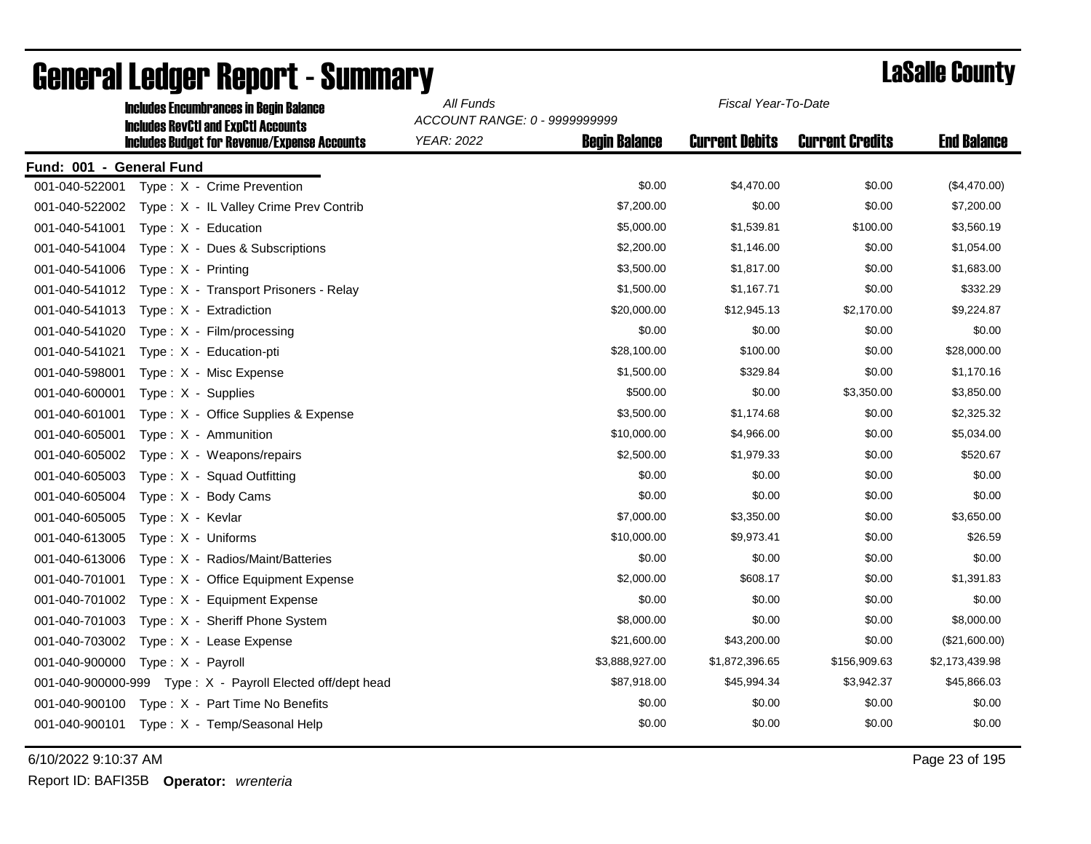|                          | <b>Includes Encumbrances in Begin Balance</b><br><b>Includes RevCtI and ExpCtI Accounts</b> | All Funds<br>Fiscal Year-To-Date<br>ACCOUNT RANGE: 0 - 9999999999 |                      |                       |                        |                    |
|--------------------------|---------------------------------------------------------------------------------------------|-------------------------------------------------------------------|----------------------|-----------------------|------------------------|--------------------|
|                          | <b>Includes Budget for Revenue/Expense Accounts</b>                                         | <b>YEAR: 2022</b>                                                 | <b>Begin Balance</b> | <b>Current Debits</b> | <b>Current Credits</b> | <b>End Balance</b> |
| Fund: 001 - General Fund |                                                                                             |                                                                   |                      |                       |                        |                    |
| 001-040-522001           | Type: X - Crime Prevention                                                                  |                                                                   | \$0.00               | \$4,470.00            | \$0.00                 | (\$4,470.00)       |
| 001-040-522002           | Type: X - IL Valley Crime Prev Contrib                                                      |                                                                   | \$7,200.00           | \$0.00                | \$0.00                 | \$7,200.00         |
| 001-040-541001           | Type: X - Education                                                                         |                                                                   | \$5,000.00           | \$1,539.81            | \$100.00               | \$3,560.19         |
| 001-040-541004           | Type: X - Dues & Subscriptions                                                              |                                                                   | \$2,200.00           | \$1,146.00            | \$0.00                 | \$1,054.00         |
| 001-040-541006           | Type: $X -$ Printing                                                                        |                                                                   | \$3,500.00           | \$1,817.00            | \$0.00                 | \$1,683.00         |
| 001-040-541012           | Type: X - Transport Prisoners - Relay                                                       |                                                                   | \$1,500.00           | \$1,167.71            | \$0.00                 | \$332.29           |
| 001-040-541013           | Type: X - Extradiction                                                                      |                                                                   | \$20,000.00          | \$12,945.13           | \$2,170.00             | \$9,224.87         |
| 001-040-541020           | Type: X - Film/processing                                                                   |                                                                   | \$0.00               | \$0.00                | \$0.00                 | \$0.00             |
| 001-040-541021           | Type: X - Education-pti                                                                     |                                                                   | \$28,100.00          | \$100.00              | \$0.00                 | \$28,000.00        |
| 001-040-598001           | Type: X - Misc Expense                                                                      |                                                                   | \$1,500.00           | \$329.84              | \$0.00                 | \$1,170.16         |
| 001-040-600001           | Type: X - Supplies                                                                          |                                                                   | \$500.00             | \$0.00                | \$3,350.00             | \$3,850.00         |
| 001-040-601001           | Type: X - Office Supplies & Expense                                                         |                                                                   | \$3,500.00           | \$1,174.68            | \$0.00                 | \$2,325.32         |
| 001-040-605001           | Type: X - Ammunition                                                                        |                                                                   | \$10,000.00          | \$4,966.00            | \$0.00                 | \$5,034.00         |
| 001-040-605002           | Type: X - Weapons/repairs                                                                   |                                                                   | \$2,500.00           | \$1,979.33            | \$0.00                 | \$520.67           |
| 001-040-605003           | Type: X - Squad Outfitting                                                                  |                                                                   | \$0.00               | \$0.00                | \$0.00                 | \$0.00             |
| 001-040-605004           | Type: X - Body Cams                                                                         |                                                                   | \$0.00               | \$0.00                | \$0.00                 | \$0.00             |
| 001-040-605005           | Type: X - Kevlar                                                                            |                                                                   | \$7,000.00           | \$3,350.00            | \$0.00                 | \$3,650.00         |
| 001-040-613005           | Type: X - Uniforms                                                                          |                                                                   | \$10,000.00          | \$9,973.41            | \$0.00                 | \$26.59            |
| 001-040-613006           | Type: X - Radios/Maint/Batteries                                                            |                                                                   | \$0.00               | \$0.00                | \$0.00                 | \$0.00             |
| 001-040-701001           | Type: X - Office Equipment Expense                                                          |                                                                   | \$2,000.00           | \$608.17              | \$0.00                 | \$1,391.83         |
| 001-040-701002           | Type: X - Equipment Expense                                                                 |                                                                   | \$0.00               | \$0.00                | \$0.00                 | \$0.00             |
| 001-040-701003           | Type: X - Sheriff Phone System                                                              |                                                                   | \$8,000.00           | \$0.00                | \$0.00                 | \$8,000.00         |
| 001-040-703002           | Type: X - Lease Expense                                                                     |                                                                   | \$21,600.00          | \$43,200.00           | \$0.00                 | (\$21,600.00)      |
| 001-040-900000           | Type: X - Payroll                                                                           |                                                                   | \$3,888,927.00       | \$1,872,396.65        | \$156,909.63           | \$2,173,439.98     |
|                          | 001-040-900000-999 Type: X - Payroll Elected off/dept head                                  |                                                                   | \$87,918.00          | \$45,994.34           | \$3,942.37             | \$45,866.03        |
| 001-040-900100           | Type: X - Part Time No Benefits                                                             |                                                                   | \$0.00               | \$0.00                | \$0.00                 | \$0.00             |
| 001-040-900101           | Type: X - Temp/Seasonal Help                                                                |                                                                   | \$0.00               | \$0.00                | \$0.00                 | \$0.00             |

6/10/2022 9:10:37 AM Page 23 of 195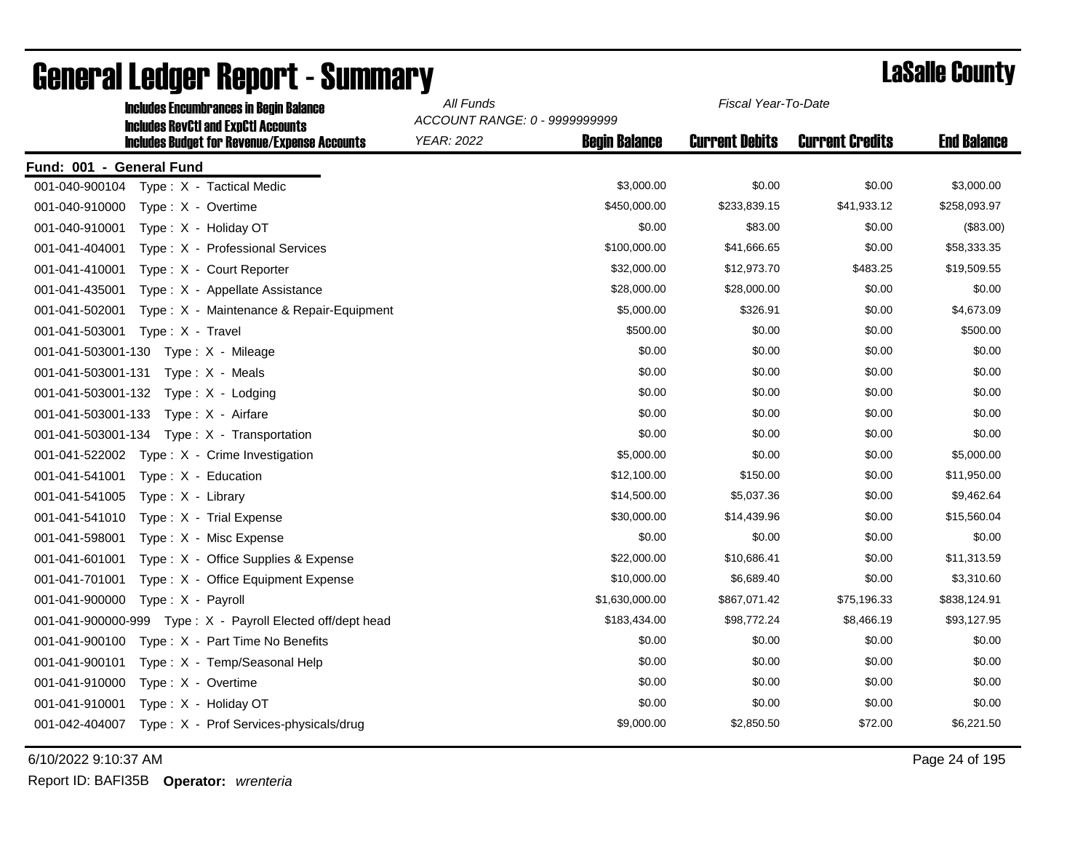| <b>Includes Encumbrances in Begin Balance</b>              | All Funds                     | Fiscal Year-To-Date  |                       |                        |                    |
|------------------------------------------------------------|-------------------------------|----------------------|-----------------------|------------------------|--------------------|
| <b>Includes RevCtI and ExpCtI Accounts</b>                 | ACCOUNT RANGE: 0 - 9999999999 |                      |                       |                        |                    |
| <b>Includes Budget for Revenue/Expense Accounts</b>        | <b>YEAR: 2022</b>             | <b>Begin Balance</b> | <b>Current Debits</b> | <b>Current Credits</b> | <b>End Balance</b> |
| Fund: 001 - General Fund                                   |                               |                      |                       |                        |                    |
| 001-040-900104<br>Type: X - Tactical Medic                 |                               | \$3,000.00           | \$0.00                | \$0.00                 | \$3,000.00         |
| 001-040-910000<br>Type: X - Overtime                       |                               | \$450,000.00         | \$233,839.15          | \$41,933.12            | \$258,093.97       |
| 001-040-910001<br>Type: X - Holiday OT                     |                               | \$0.00               | \$83.00               | \$0.00                 | (\$83.00)          |
| 001-041-404001<br>Type: X - Professional Services          |                               | \$100,000.00         | \$41,666.65           | \$0.00                 | \$58,333.35        |
| 001-041-410001<br>Type: X - Court Reporter                 |                               | \$32,000.00          | \$12,973.70           | \$483.25               | \$19,509.55        |
| 001-041-435001<br>Type: X - Appellate Assistance           |                               | \$28,000.00          | \$28,000.00           | \$0.00                 | \$0.00             |
| 001-041-502001<br>Type: X - Maintenance & Repair-Equipment |                               | \$5,000.00           | \$326.91              | \$0.00                 | \$4,673.09         |
| 001-041-503001<br>Type: X - Travel                         |                               | \$500.00             | \$0.00                | \$0.00                 | \$500.00           |
| 001-041-503001-130<br>Type: X - Mileage                    |                               | \$0.00               | \$0.00                | \$0.00                 | \$0.00             |
| 001-041-503001-131 Type: X - Meals                         |                               | \$0.00               | \$0.00                | \$0.00                 | \$0.00             |
| 001-041-503001-132<br>Type: X - Lodging                    |                               | \$0.00               | \$0.00                | \$0.00                 | \$0.00             |
| 001-041-503001-133<br>Type: X - Airfare                    |                               | \$0.00               | \$0.00                | \$0.00                 | \$0.00             |
| 001-041-503001-134<br>Type: X - Transportation             |                               | \$0.00               | \$0.00                | \$0.00                 | \$0.00             |
| 001-041-522002<br>$Type: X - C$ rime Investigation         |                               | \$5,000.00           | \$0.00                | \$0.00                 | \$5,000.00         |
| 001-041-541001<br>Type: X - Education                      |                               | \$12,100.00          | \$150.00              | \$0.00                 | \$11,950.00        |
| 001-041-541005<br>Type: X - Library                        |                               | \$14,500.00          | \$5,037.36            | \$0.00                 | \$9,462.64         |
| 001-041-541010<br>Type: X - Trial Expense                  |                               | \$30,000.00          | \$14,439.96           | \$0.00                 | \$15,560.04        |
| 001-041-598001<br>Type: X - Misc Expense                   |                               | \$0.00               | \$0.00                | \$0.00                 | \$0.00             |
| 001-041-601001<br>Type: X - Office Supplies & Expense      |                               | \$22,000.00          | \$10,686.41           | \$0.00                 | \$11,313.59        |
| 001-041-701001<br>Type: X - Office Equipment Expense       |                               | \$10,000.00          | \$6,689.40            | \$0.00                 | \$3,310.60         |
| 001-041-900000<br>Type: X - Payroll                        |                               | \$1,630,000.00       | \$867,071.42          | \$75,196.33            | \$838,124.91       |
| 001-041-900000-999 Type: X - Payroll Elected off/dept head |                               | \$183,434.00         | \$98,772.24           | \$8,466.19             | \$93,127.95        |
| 001-041-900100<br>Type: X - Part Time No Benefits          |                               | \$0.00               | \$0.00                | \$0.00                 | \$0.00             |
| 001-041-900101<br>Type: X - Temp/Seasonal Help             |                               | \$0.00               | \$0.00                | \$0.00                 | \$0.00             |
| 001-041-910000<br>Type: X - Overtime                       |                               | \$0.00               | \$0.00                | \$0.00                 | \$0.00             |
| 001-041-910001<br>Type: X - Holiday OT                     |                               | \$0.00               | \$0.00                | \$0.00                 | \$0.00             |
| 001-042-404007<br>Type: X - Prof Services-physicals/drug   |                               | \$9,000.00           | \$2,850.50            | \$72.00                | \$6,221.50         |
|                                                            |                               |                      |                       |                        |                    |

6/10/2022 9:10:37 AM Page 24 of 195

Report ID: BAFI35B **Operator:** *wrenteria*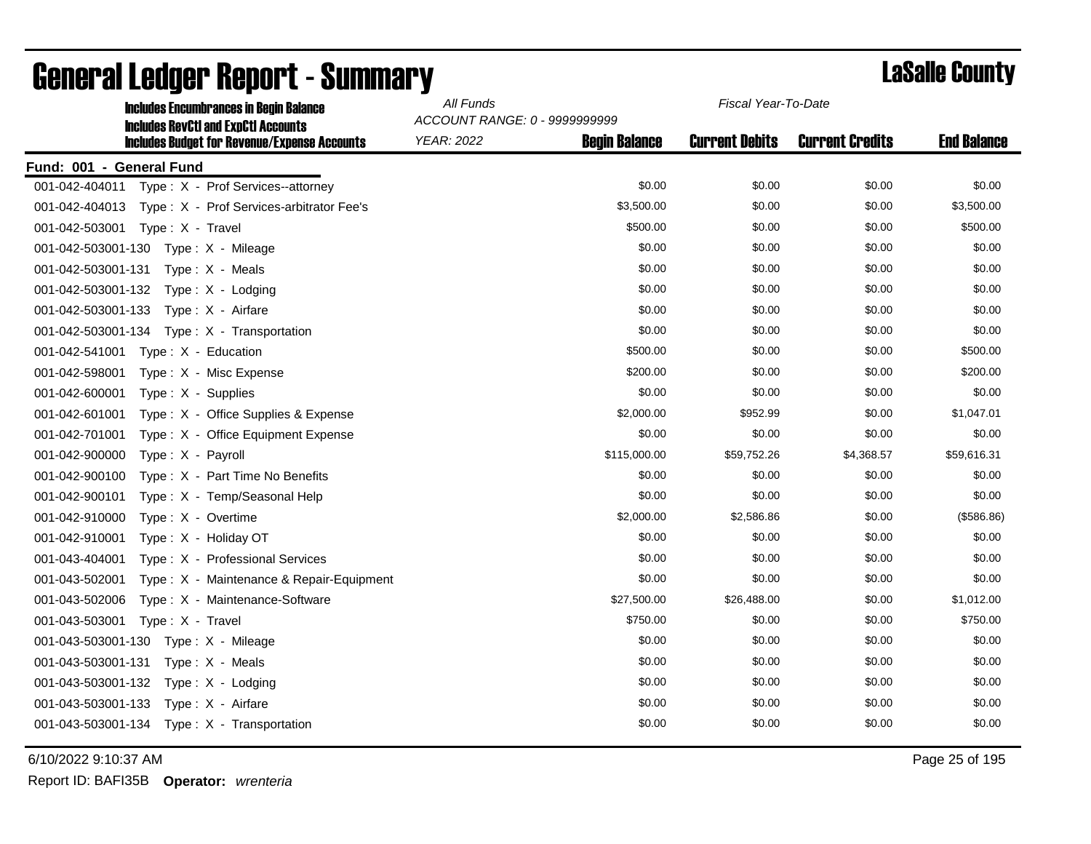| <b>Includes Encumbrances in Begin Balance</b><br><b>Includes RevCtI and ExpCtI Accounts</b> | All Funds         | Fiscal Year-To-Date<br>ACCOUNT RANGE: 0 - 9999999999 |                       |                        |                    |  |
|---------------------------------------------------------------------------------------------|-------------------|------------------------------------------------------|-----------------------|------------------------|--------------------|--|
| <b>Includes Budget for Revenue/Expense Accounts</b>                                         | <b>YEAR: 2022</b> | <b>Begin Balance</b>                                 | <b>Current Debits</b> | <b>Current Credits</b> | <b>End Balance</b> |  |
| Fund: 001 - General Fund                                                                    |                   |                                                      |                       |                        |                    |  |
| Type: X - Prof Services--attorney<br>001-042-404011                                         |                   | \$0.00                                               | \$0.00                | \$0.00                 | \$0.00             |  |
| 001-042-404013 Type: X - Prof Services-arbitrator Fee's                                     |                   | \$3,500.00                                           | \$0.00                | \$0.00                 | \$3,500.00         |  |
| 001-042-503001<br>Type: X - Travel                                                          |                   | \$500.00                                             | \$0.00                | \$0.00                 | \$500.00           |  |
| 001-042-503001-130 Type: X - Mileage                                                        |                   | \$0.00                                               | \$0.00                | \$0.00                 | \$0.00             |  |
| 001-042-503001-131<br>Type: X - Meals                                                       |                   | \$0.00                                               | \$0.00                | \$0.00                 | \$0.00             |  |
| 001-042-503001-132<br>Type: X - Lodging                                                     |                   | \$0.00                                               | \$0.00                | \$0.00                 | \$0.00             |  |
| 001-042-503001-133 Type: X - Airfare                                                        |                   | \$0.00                                               | \$0.00                | \$0.00                 | \$0.00             |  |
|                                                                                             |                   | \$0.00                                               | \$0.00                | \$0.00                 | \$0.00             |  |
| 001-042-541001    Type: X - Education                                                       |                   | \$500.00                                             | \$0.00                | \$0.00                 | \$500.00           |  |
| 001-042-598001<br>Type: X - Misc Expense                                                    |                   | \$200.00                                             | \$0.00                | \$0.00                 | \$200.00           |  |
| 001-042-600001<br>$Type: X - Supplies$                                                      |                   | \$0.00                                               | \$0.00                | \$0.00                 | \$0.00             |  |
| 001-042-601001<br>Type: X - Office Supplies & Expense                                       |                   | \$2,000.00                                           | \$952.99              | \$0.00                 | \$1,047.01         |  |
| 001-042-701001<br>Type: X - Office Equipment Expense                                        |                   | \$0.00                                               | \$0.00                | \$0.00                 | \$0.00             |  |
| 001-042-900000<br>Type: X - Payroll                                                         |                   | \$115,000.00                                         | \$59,752.26           | \$4,368.57             | \$59,616.31        |  |
| 001-042-900100<br>Type: X - Part Time No Benefits                                           |                   | \$0.00                                               | \$0.00                | \$0.00                 | \$0.00             |  |
| 001-042-900101<br>Type: X - Temp/Seasonal Help                                              |                   | \$0.00                                               | \$0.00                | \$0.00                 | \$0.00             |  |
| Type: X - Overtime<br>001-042-910000                                                        |                   | \$2,000.00                                           | \$2,586.86            | \$0.00                 | (\$586.86)         |  |
| 001-042-910001<br>Type: X - Holiday OT                                                      |                   | \$0.00                                               | \$0.00                | \$0.00                 | \$0.00             |  |
| 001-043-404001<br>Type: X - Professional Services                                           |                   | \$0.00                                               | \$0.00                | \$0.00                 | \$0.00             |  |
| 001-043-502001<br>Type: X - Maintenance & Repair-Equipment                                  |                   | \$0.00                                               | \$0.00                | \$0.00                 | \$0.00             |  |
| 001-043-502006<br>Type: X - Maintenance-Software                                            |                   | \$27,500.00                                          | \$26,488.00           | \$0.00                 | \$1,012.00         |  |
| 001-043-503001<br>Type: X - Travel                                                          |                   | \$750.00                                             | \$0.00                | \$0.00                 | \$750.00           |  |
| 001-043-503001-130<br>Type: X - Mileage                                                     |                   | \$0.00                                               | \$0.00                | \$0.00                 | \$0.00             |  |
| 001-043-503001-131<br>Type: X - Meals                                                       |                   | \$0.00                                               | \$0.00                | \$0.00                 | \$0.00             |  |
| 001-043-503001-132<br>Type: X - Lodging                                                     |                   | \$0.00                                               | \$0.00                | \$0.00                 | \$0.00             |  |
| 001-043-503001-133<br>Type: X - Airfare                                                     |                   | \$0.00                                               | \$0.00                | \$0.00                 | \$0.00             |  |
| 001-043-503001-134 Type: X - Transportation                                                 |                   | \$0.00                                               | \$0.00                | \$0.00                 | \$0.00             |  |

6/10/2022 9:10:37 AM Page 25 of 195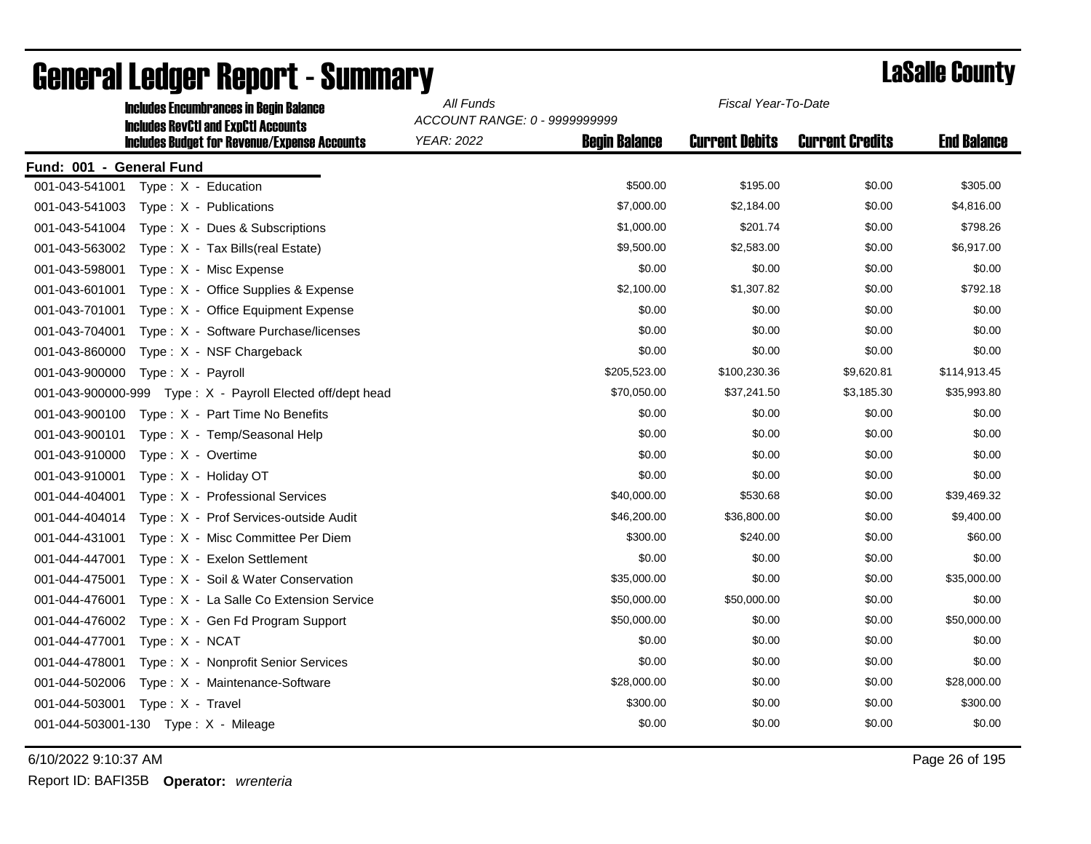|                          | <b>Includes Encumbrances in Begin Balance</b><br><b>Includes RevCtI and ExpCtI Accounts</b> | All Funds<br>Fiscal Year-To-Date<br>ACCOUNT RANGE: 0 - 9999999999 |                      |                       |                        |                    |
|--------------------------|---------------------------------------------------------------------------------------------|-------------------------------------------------------------------|----------------------|-----------------------|------------------------|--------------------|
|                          | <b>Includes Budget for Revenue/Expense Accounts</b>                                         | <b>YEAR: 2022</b>                                                 | <b>Begin Balance</b> | <b>Current Debits</b> | <b>Current Credits</b> | <b>End Balance</b> |
| Fund: 001 - General Fund |                                                                                             |                                                                   |                      |                       |                        |                    |
| 001-043-541001           | Type: X - Education                                                                         |                                                                   | \$500.00             | \$195.00              | \$0.00                 | \$305.00           |
| 001-043-541003           | Type: X - Publications                                                                      |                                                                   | \$7,000.00           | \$2,184.00            | \$0.00                 | \$4,816.00         |
| 001-043-541004           | Type: X - Dues & Subscriptions                                                              |                                                                   | \$1,000.00           | \$201.74              | \$0.00                 | \$798.26           |
| 001-043-563002           | Type: X - Tax Bills(real Estate)                                                            |                                                                   | \$9,500.00           | \$2,583.00            | \$0.00                 | \$6,917.00         |
| 001-043-598001           | Type: X - Misc Expense                                                                      |                                                                   | \$0.00               | \$0.00                | \$0.00                 | \$0.00             |
| 001-043-601001           | Type: X - Office Supplies & Expense                                                         |                                                                   | \$2,100.00           | \$1,307.82            | \$0.00                 | \$792.18           |
| 001-043-701001           | Type: X - Office Equipment Expense                                                          |                                                                   | \$0.00               | \$0.00                | \$0.00                 | \$0.00             |
| 001-043-704001           | Type: X - Software Purchase/licenses                                                        |                                                                   | \$0.00               | \$0.00                | \$0.00                 | \$0.00             |
| 001-043-860000           | Type: X - NSF Chargeback                                                                    |                                                                   | \$0.00               | \$0.00                | \$0.00                 | \$0.00             |
| 001-043-900000           | Type: X - Payroll                                                                           |                                                                   | \$205,523.00         | \$100,230.36          | \$9,620.81             | \$114,913.45       |
|                          | 001-043-900000-999 Type: X - Payroll Elected off/dept head                                  |                                                                   | \$70,050.00          | \$37,241.50           | \$3,185.30             | \$35,993.80        |
| 001-043-900100           | Type: X - Part Time No Benefits                                                             |                                                                   | \$0.00               | \$0.00                | \$0.00                 | \$0.00             |
| 001-043-900101           | Type: X - Temp/Seasonal Help                                                                |                                                                   | \$0.00               | \$0.00                | \$0.00                 | \$0.00             |
| 001-043-910000           | Type: X - Overtime                                                                          |                                                                   | \$0.00               | \$0.00                | \$0.00                 | \$0.00             |
| 001-043-910001           | Type: X - Holiday OT                                                                        |                                                                   | \$0.00               | \$0.00                | \$0.00                 | \$0.00             |
| 001-044-404001           | Type: X - Professional Services                                                             |                                                                   | \$40,000.00          | \$530.68              | \$0.00                 | \$39,469.32        |
| 001-044-404014           | Type: X - Prof Services-outside Audit                                                       |                                                                   | \$46,200.00          | \$36,800.00           | \$0.00                 | \$9,400.00         |
| 001-044-431001           | Type: X - Misc Committee Per Diem                                                           |                                                                   | \$300.00             | \$240.00              | \$0.00                 | \$60.00            |
| 001-044-447001           | Type: X - Exelon Settlement                                                                 |                                                                   | \$0.00               | \$0.00                | \$0.00                 | \$0.00             |
| 001-044-475001           | Type: X - Soil & Water Conservation                                                         |                                                                   | \$35,000.00          | \$0.00                | \$0.00                 | \$35,000.00        |
| 001-044-476001           | Type: X - La Salle Co Extension Service                                                     |                                                                   | \$50,000.00          | \$50,000.00           | \$0.00                 | \$0.00             |
| 001-044-476002           | Type: X - Gen Fd Program Support                                                            |                                                                   | \$50,000.00          | \$0.00                | \$0.00                 | \$50,000.00        |
| 001-044-477001           | Type: X - NCAT                                                                              |                                                                   | \$0.00               | \$0.00                | \$0.00                 | \$0.00             |
| 001-044-478001           | Type: X - Nonprofit Senior Services                                                         |                                                                   | \$0.00               | \$0.00                | \$0.00                 | \$0.00             |
| 001-044-502006           | Type: X - Maintenance-Software                                                              |                                                                   | \$28,000.00          | \$0.00                | \$0.00                 | \$28,000.00        |
| 001-044-503001           | Type: X - Travel                                                                            |                                                                   | \$300.00             | \$0.00                | \$0.00                 | \$300.00           |
|                          | 001-044-503001-130    Type: X - Mileage                                                     |                                                                   | \$0.00               | \$0.00                | \$0.00                 | \$0.00             |

6/10/2022 9:10:37 AM Page 26 of 195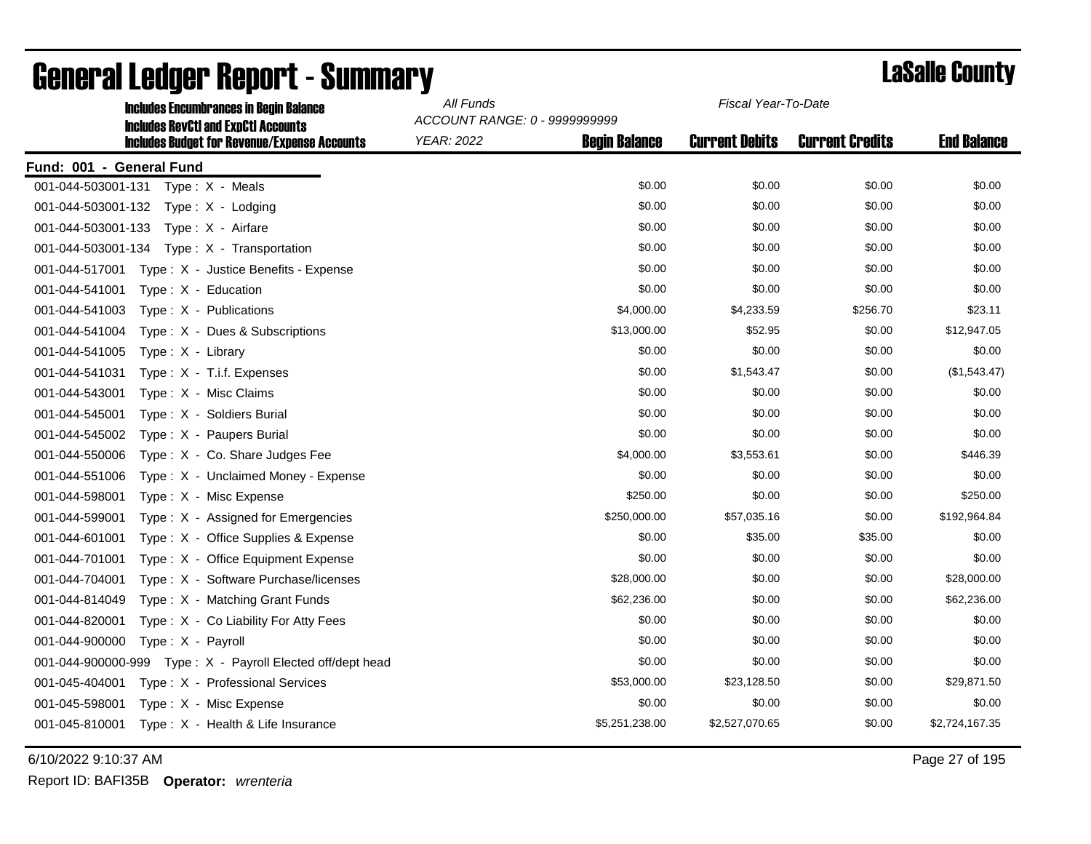| <b>Includes Encumbrances in Begin Balance</b>                                                     | All Funds                                          | Fiscal Year-To-Date  |                       |                        |                    |
|---------------------------------------------------------------------------------------------------|----------------------------------------------------|----------------------|-----------------------|------------------------|--------------------|
| <b>Includes RevCtI and ExpCtI Accounts</b><br><b>Includes Budget for Revenue/Expense Accounts</b> | ACCOUNT RANGE: 0 - 9999999999<br><b>YEAR: 2022</b> | <b>Begin Balance</b> | <b>Current Debits</b> | <b>Current Credits</b> | <b>End Balance</b> |
| Fund: 001 - General Fund                                                                          |                                                    |                      |                       |                        |                    |
| 001-044-503001-131 Type: X - Meals                                                                |                                                    | \$0.00               | \$0.00                | \$0.00                 | \$0.00             |
| 001-044-503001-132 Type: X - Lodging                                                              |                                                    | \$0.00               | \$0.00                | \$0.00                 | \$0.00             |
| Type: X - Airfare<br>001-044-503001-133                                                           |                                                    | \$0.00               | \$0.00                | \$0.00                 | \$0.00             |
| 001-044-503001-134<br>Type: X - Transportation                                                    |                                                    | \$0.00               | \$0.00                | \$0.00                 | \$0.00             |
| 001-044-517001<br>Type: X - Justice Benefits - Expense                                            |                                                    | \$0.00               | \$0.00                | \$0.00                 | \$0.00             |
| 001-044-541001<br>Type: X - Education                                                             |                                                    | \$0.00               | \$0.00                | \$0.00                 | \$0.00             |
| 001-044-541003<br>Type: X - Publications                                                          |                                                    | \$4,000.00           | \$4,233.59            | \$256.70               | \$23.11            |
| 001-044-541004<br>Type: X - Dues & Subscriptions                                                  |                                                    | \$13,000.00          | \$52.95               | \$0.00                 | \$12,947.05        |
| 001-044-541005<br>Type: X - Library                                                               |                                                    | \$0.00               | \$0.00                | \$0.00                 | \$0.00             |
| 001-044-541031<br>Type: X - T.i.f. Expenses                                                       |                                                    | \$0.00               | \$1,543.47            | \$0.00                 | (\$1,543.47)       |
| 001-044-543001<br>Type: X - Misc Claims                                                           |                                                    | \$0.00               | \$0.00                | \$0.00                 | \$0.00             |
| Type: X - Soldiers Burial<br>001-044-545001                                                       |                                                    | \$0.00               | \$0.00                | \$0.00                 | \$0.00             |
| 001-044-545002<br>Type: X - Paupers Burial                                                        |                                                    | \$0.00               | \$0.00                | \$0.00                 | \$0.00             |
| 001-044-550006<br>Type: X - Co. Share Judges Fee                                                  |                                                    | \$4,000.00           | \$3,553.61            | \$0.00                 | \$446.39           |
| 001-044-551006<br>Type: X - Unclaimed Money - Expense                                             |                                                    | \$0.00               | \$0.00                | \$0.00                 | \$0.00             |
| 001-044-598001<br>Type: X - Misc Expense                                                          |                                                    | \$250.00             | \$0.00                | \$0.00                 | \$250.00           |
| 001-044-599001<br>Type: X - Assigned for Emergencies                                              |                                                    | \$250,000.00         | \$57,035.16           | \$0.00                 | \$192,964.84       |
| 001-044-601001<br>Type: X - Office Supplies & Expense                                             |                                                    | \$0.00               | \$35.00               | \$35.00                | \$0.00             |
| 001-044-701001<br>Type: X - Office Equipment Expense                                              |                                                    | \$0.00               | \$0.00                | \$0.00                 | \$0.00             |
| 001-044-704001<br>Type: X - Software Purchase/licenses                                            |                                                    | \$28,000.00          | \$0.00                | \$0.00                 | \$28,000.00        |
| 001-044-814049<br>Type: X - Matching Grant Funds                                                  |                                                    | \$62,236.00          | \$0.00                | \$0.00                 | \$62,236.00        |
| 001-044-820001<br>Type: X - Co Liability For Atty Fees                                            |                                                    | \$0.00               | \$0.00                | \$0.00                 | \$0.00             |
| 001-044-900000<br>Type: X - Payroll                                                               |                                                    | \$0.00               | \$0.00                | \$0.00                 | \$0.00             |
| 001-044-900000-999<br>Type: X - Payroll Elected off/dept head                                     |                                                    | \$0.00               | \$0.00                | \$0.00                 | \$0.00             |
| 001-045-404001<br>Type: X - Professional Services                                                 |                                                    | \$53,000.00          | \$23,128.50           | \$0.00                 | \$29,871.50        |
| 001-045-598001<br>Type: X - Misc Expense                                                          |                                                    | \$0.00               | \$0.00                | \$0.00                 | \$0.00             |
| 001-045-810001<br>Type: X - Health & Life Insurance                                               |                                                    | \$5,251,238.00       | \$2,527,070.65        | \$0.00                 | \$2,724,167.35     |

### General Ledger Report - Summary LaSalle County

6/10/2022 9:10:37 AM Page 27 of 195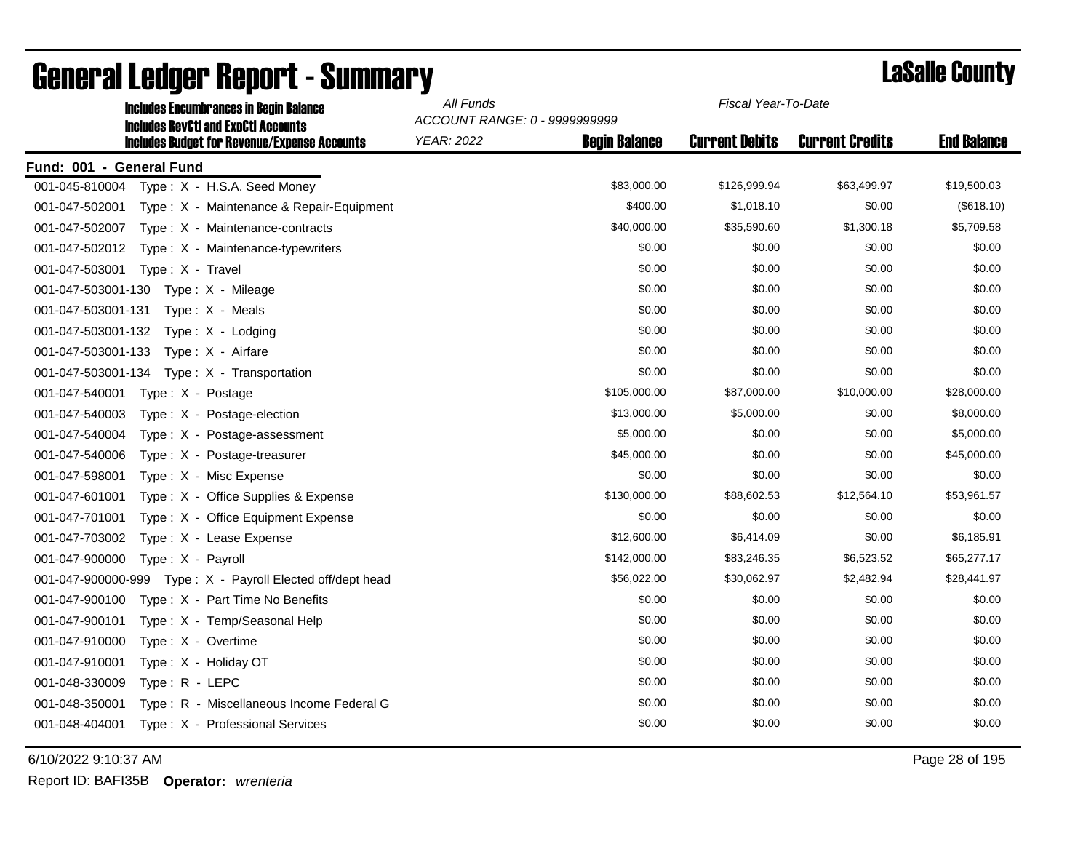| <b>Includes Encumbrances in Begin Balance</b>                                                     | All Funds         | Fiscal Year-To-Date<br>ACCOUNT RANGE: 0 - 9999999999 |                       |                        |                    |
|---------------------------------------------------------------------------------------------------|-------------------|------------------------------------------------------|-----------------------|------------------------|--------------------|
| <b>Includes RevCtI and ExpCtI Accounts</b><br><b>Includes Budget for Revenue/Expense Accounts</b> | <b>YEAR: 2022</b> | <b>Begin Balance</b>                                 | <b>Current Debits</b> | <b>Current Credits</b> | <b>End Balance</b> |
| Fund: 001 - General Fund                                                                          |                   |                                                      |                       |                        |                    |
| 001-045-810004 Type: X - H.S.A. Seed Money                                                        |                   | \$83,000.00                                          | \$126,999.94          | \$63,499.97            | \$19,500.03        |
| 001-047-502001<br>Type: X - Maintenance & Repair-Equipment                                        |                   | \$400.00                                             | \$1,018.10            | \$0.00                 | (\$618.10)         |
| 001-047-502007<br>Type: X - Maintenance-contracts                                                 |                   | \$40,000.00                                          | \$35,590.60           | \$1,300.18             | \$5,709.58         |
| 001-047-502012<br>Type: X - Maintenance-typewriters                                               |                   | \$0.00                                               | \$0.00                | \$0.00                 | \$0.00             |
| 001-047-503001 Type: X - Travel                                                                   |                   | \$0.00                                               | \$0.00                | \$0.00                 | \$0.00             |
| 001-047-503001-130 Type: X - Mileage                                                              |                   | \$0.00                                               | \$0.00                | \$0.00                 | \$0.00             |
| 001-047-503001-131<br>Type: X - Meals                                                             |                   | \$0.00                                               | \$0.00                | \$0.00                 | \$0.00             |
| 001-047-503001-132<br>Type: X - Lodging                                                           |                   | \$0.00                                               | \$0.00                | \$0.00                 | \$0.00             |
| 001-047-503001-133<br>Type: X - Airfare                                                           |                   | \$0.00                                               | \$0.00                | \$0.00                 | \$0.00             |
|                                                                                                   |                   | \$0.00                                               | \$0.00                | \$0.00                 | \$0.00             |
| Type: X - Postage<br>001-047-540001                                                               |                   | \$105,000.00                                         | \$87,000.00           | \$10,000.00            | \$28,000.00        |
| 001-047-540003<br>Type: X - Postage-election                                                      |                   | \$13,000.00                                          | \$5,000.00            | \$0.00                 | \$8,000.00         |
| 001-047-540004<br>$Type: X - Postage-assessment$                                                  |                   | \$5,000.00                                           | \$0.00                | \$0.00                 | \$5,000.00         |
| 001-047-540006<br>Type: X - Postage-treasurer                                                     |                   | \$45,000.00                                          | \$0.00                | \$0.00                 | \$45,000.00        |
| 001-047-598001<br>Type: X - Misc Expense                                                          |                   | \$0.00                                               | \$0.00                | \$0.00                 | \$0.00             |
| 001-047-601001<br>Type: X - Office Supplies & Expense                                             |                   | \$130,000.00                                         | \$88,602.53           | \$12,564.10            | \$53,961.57        |
| 001-047-701001<br>Type: X - Office Equipment Expense                                              |                   | \$0.00                                               | \$0.00                | \$0.00                 | \$0.00             |
| 001-047-703002<br>Type: X - Lease Expense                                                         |                   | \$12,600.00                                          | \$6,414.09            | \$0.00                 | \$6,185.91         |
| 001-047-900000<br>Type: X - Payroll                                                               |                   | \$142,000.00                                         | \$83,246.35           | \$6,523.52             | \$65,277.17        |
| 001-047-900000-999 Type: X - Payroll Elected off/dept head                                        |                   | \$56,022.00                                          | \$30,062.97           | \$2,482.94             | \$28,441.97        |
| 001-047-900100<br>Type: X - Part Time No Benefits                                                 |                   | \$0.00                                               | \$0.00                | \$0.00                 | \$0.00             |
| 001-047-900101<br>Type: X - Temp/Seasonal Help                                                    |                   | \$0.00                                               | \$0.00                | \$0.00                 | \$0.00             |
| 001-047-910000<br>Type: X - Overtime                                                              |                   | \$0.00                                               | \$0.00                | \$0.00                 | \$0.00             |
| 001-047-910001<br>Type: X - Holiday OT                                                            |                   | \$0.00                                               | \$0.00                | \$0.00                 | \$0.00             |
| 001-048-330009<br>Type: R - LEPC                                                                  |                   | \$0.00                                               | \$0.00                | \$0.00                 | \$0.00             |
| 001-048-350001<br>Type: R - Miscellaneous Income Federal G                                        |                   | \$0.00                                               | \$0.00                | \$0.00                 | \$0.00             |
| 001-048-404001<br>Type: X - Professional Services                                                 |                   | \$0.00                                               | \$0.00                | \$0.00                 | \$0.00             |

6/10/2022 9:10:37 AM Page 28 of 195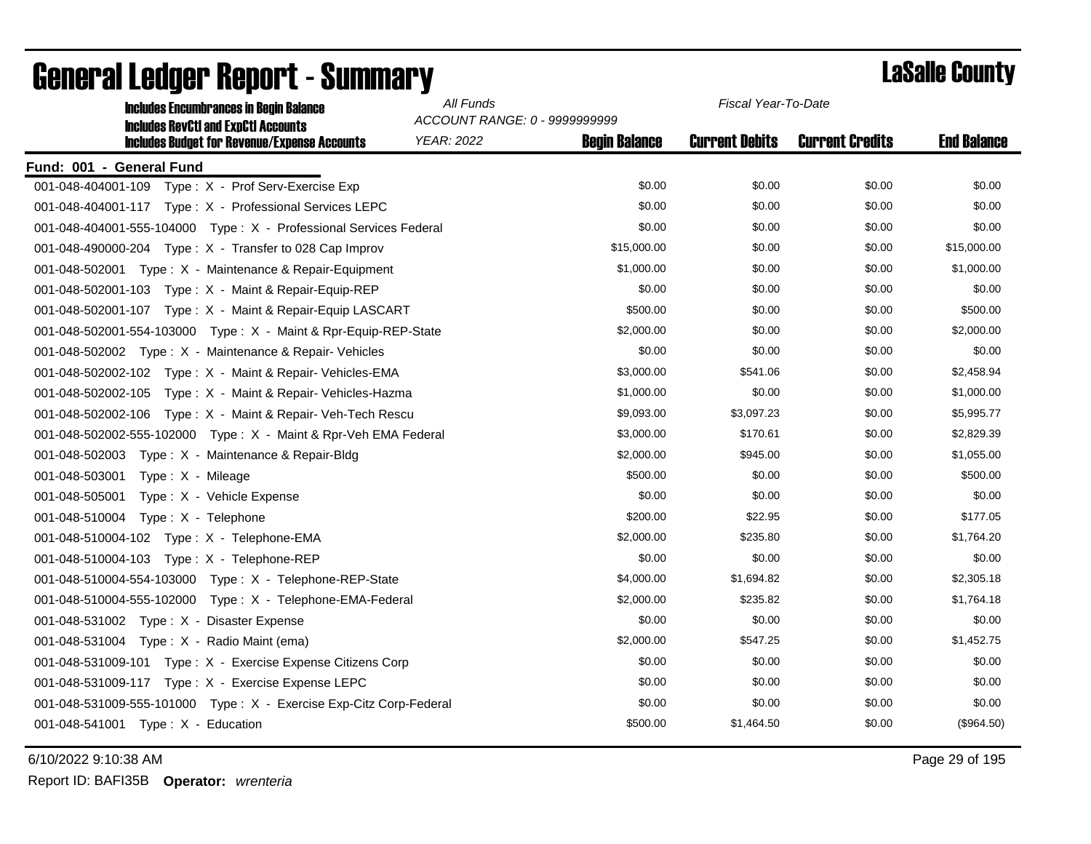| <b>Includes Encumbrances in Begin Balance</b>                                                     | All Funds<br>Fiscal Year-To-Date<br>ACCOUNT RANGE: 0 - 9999999999 |                      |                       |                        |                    |
|---------------------------------------------------------------------------------------------------|-------------------------------------------------------------------|----------------------|-----------------------|------------------------|--------------------|
| <b>Includes RevCtI and ExpCtI Accounts</b><br><b>Includes Budget for Revenue/Expense Accounts</b> | YEAR: 2022                                                        | <b>Begin Balance</b> | <b>Current Debits</b> | <b>Current Credits</b> | <b>End Balance</b> |
| Fund: 001 - General Fund                                                                          |                                                                   |                      |                       |                        |                    |
| 001-048-404001-109    Type: X - Prof Serv-Exercise Exp                                            |                                                                   | \$0.00               | \$0.00                | \$0.00                 | \$0.00             |
| 001-048-404001-117 Type: X - Professional Services LEPC                                           |                                                                   | \$0.00               | \$0.00                | \$0.00                 | \$0.00             |
| 001-048-404001-555-104000 Type: X - Professional Services Federal                                 |                                                                   | \$0.00               | \$0.00                | \$0.00                 | \$0.00             |
| 001-048-490000-204    Type: X - Transfer to 028 Cap Improv                                        |                                                                   | \$15,000.00          | \$0.00                | \$0.00                 | \$15,000.00        |
| 001-048-502001 Type: X - Maintenance & Repair-Equipment                                           |                                                                   | \$1,000.00           | \$0.00                | \$0.00                 | \$1,000.00         |
| 001-048-502001-103    Type: X - Maint & Repair-Equip-REP                                          |                                                                   | \$0.00               | \$0.00                | \$0.00                 | \$0.00             |
| 001-048-502001-107 Type: X - Maint & Repair-Equip LASCART                                         |                                                                   | \$500.00             | \$0.00                | \$0.00                 | \$500.00           |
| 001-048-502001-554-103000 Type: X - Maint & Rpr-Equip-REP-State                                   |                                                                   | \$2,000.00           | \$0.00                | \$0.00                 | \$2,000.00         |
| 001-048-502002 Type: X - Maintenance & Repair- Vehicles                                           |                                                                   | \$0.00               | \$0.00                | \$0.00                 | \$0.00             |
| 001-048-502002-102 Type: X - Maint & Repair- Vehicles-EMA                                         |                                                                   | \$3,000.00           | \$541.06              | \$0.00                 | \$2,458.94         |
| 001-048-502002-105    Type: X - Maint & Repair- Vehicles-Hazma                                    |                                                                   | \$1,000.00           | \$0.00                | \$0.00                 | \$1,000.00         |
|                                                                                                   |                                                                   | \$9,093.00           | \$3,097.23            | \$0.00                 | \$5,995.77         |
| 001-048-502002-555-102000    Type: X - Maint & Rpr-Veh EMA Federal                                |                                                                   | \$3,000.00           | \$170.61              | \$0.00                 | \$2,829.39         |
| 001-048-502003 Type: X - Maintenance & Repair-Bldg                                                |                                                                   | \$2,000.00           | \$945.00              | \$0.00                 | \$1,055.00         |
| 001-048-503001 Type: X - Mileage                                                                  |                                                                   | \$500.00             | \$0.00                | \$0.00                 | \$500.00           |
| 001-048-505001<br>Type: X - Vehicle Expense                                                       |                                                                   | \$0.00               | \$0.00                | \$0.00                 | \$0.00             |
| 001-048-510004    Type: X - Telephone                                                             |                                                                   | \$200.00             | \$22.95               | \$0.00                 | \$177.05           |
| 001-048-510004-102    Type: X - Telephone-EMA                                                     |                                                                   | \$2,000.00           | \$235.80              | \$0.00                 | \$1,764.20         |
|                                                                                                   |                                                                   | \$0.00               | \$0.00                | \$0.00                 | \$0.00             |
| 001-048-510004-554-103000    Type: X - Telephone-REP-State                                        |                                                                   | \$4,000.00           | \$1,694.82            | \$0.00                 | \$2,305.18         |
| 001-048-510004-555-102000 Type: X - Telephone-EMA-Federal                                         |                                                                   | \$2,000.00           | \$235.82              | \$0.00                 | \$1,764.18         |
| 001-048-531002 Type: X - Disaster Expense                                                         |                                                                   | \$0.00               | \$0.00                | \$0.00                 | \$0.00             |
| 001-048-531004 Type: X - Radio Maint (ema)                                                        |                                                                   | \$2,000.00           | \$547.25              | \$0.00                 | \$1,452.75         |
| 001-048-531009-101 Type: X - Exercise Expense Citizens Corp                                       |                                                                   | \$0.00               | \$0.00                | \$0.00                 | \$0.00             |
| 001-048-531009-117    Type: X - Exercise Expense LEPC                                             |                                                                   | \$0.00               | \$0.00                | \$0.00                 | \$0.00             |
| 001-048-531009-555-101000    Type: X - Exercise Exp-Citz Corp-Federal                             |                                                                   | \$0.00               | \$0.00                | \$0.00                 | \$0.00             |
| 001-048-541001 Type: X - Education                                                                |                                                                   | \$500.00             | \$1,464.50            | \$0.00                 | (\$964.50)         |

### General Ledger Report - Summary LaSalle County

6/10/2022 9:10:38 AM Page 29 of 195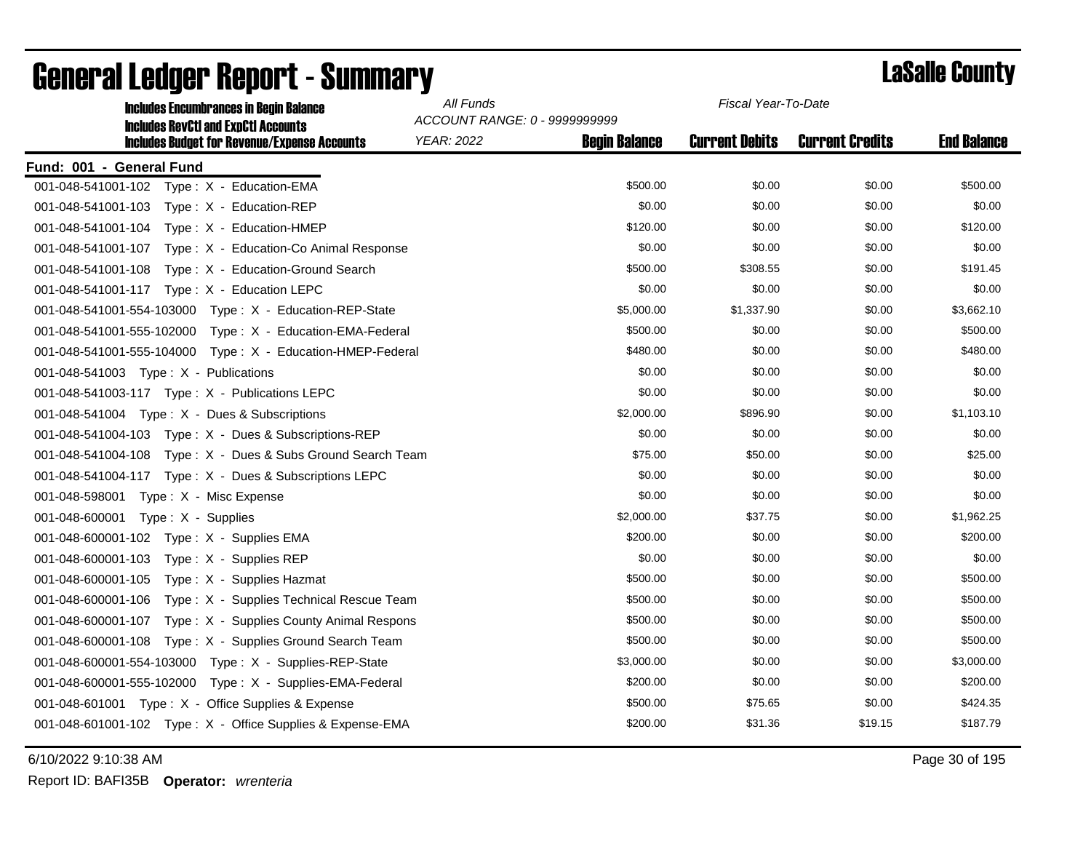| <b>Includes Encumbrances in Begin Balance</b>                                                     | All Funds<br>ACCOUNT RANGE: 0 - 9999999999 | Fiscal Year-To-Date  |                       |                        |                    |
|---------------------------------------------------------------------------------------------------|--------------------------------------------|----------------------|-----------------------|------------------------|--------------------|
| <b>Includes RevCtI and ExpCtI Accounts</b><br><b>Includes Budget for Revenue/Expense Accounts</b> | <b>YEAR: 2022</b>                          | <b>Begin Balance</b> | <b>Current Debits</b> | <b>Current Credits</b> | <b>End Balance</b> |
| Fund: 001 - General Fund                                                                          |                                            |                      |                       |                        |                    |
| 001-048-541001-102    Type: X - Education-EMA                                                     |                                            | \$500.00             | \$0.00                | \$0.00                 | \$500.00           |
| 001-048-541001-103    Type: X - Education-REP                                                     |                                            | \$0.00               | \$0.00                | \$0.00                 | \$0.00             |
| 001-048-541001-104    Type: X - Education-HMEP                                                    |                                            | \$120.00             | \$0.00                | \$0.00                 | \$120.00           |
| 001-048-541001-107 Type: X - Education-Co Animal Response                                         |                                            | \$0.00               | \$0.00                | \$0.00                 | \$0.00             |
| 001-048-541001-108 Type: X - Education-Ground Search                                              |                                            | \$500.00             | \$308.55              | \$0.00                 | \$191.45           |
|                                                                                                   |                                            | \$0.00               | \$0.00                | \$0.00                 | \$0.00             |
| 001-048-541001-554-103000    Type: X - Education-REP-State                                        |                                            | \$5,000.00           | \$1,337.90            | \$0.00                 | \$3,662.10         |
| 001-048-541001-555-102000    Type: X - Education-EMA-Federal                                      |                                            | \$500.00             | \$0.00                | \$0.00                 | \$500.00           |
| 001-048-541001-555-104000    Type: X - Education-HMEP-Federal                                     |                                            | \$480.00             | \$0.00                | \$0.00                 | \$480.00           |
| 001-048-541003    Type: X - Publications                                                          |                                            | \$0.00               | \$0.00                | \$0.00                 | \$0.00             |
|                                                                                                   |                                            | \$0.00               | \$0.00                | \$0.00                 | \$0.00             |
| 001-048-541004 Type: $X - Dues & Subscripts$                                                      |                                            | \$2,000.00           | \$896.90              | \$0.00                 | \$1,103.10         |
| 001-048-541004-103    Type: X - Dues & Subscriptions-REP                                          |                                            | \$0.00               | \$0.00                | \$0.00                 | \$0.00             |
| 001-048-541004-108 Type: X - Dues & Subs Ground Search Team                                       |                                            | \$75.00              | \$50.00               | \$0.00                 | \$25.00            |
| 001-048-541004-117    Type: X - Dues & Subscriptions LEPC                                         |                                            | \$0.00               | \$0.00                | \$0.00                 | \$0.00             |
| 001-048-598001<br>Type: X - Misc Expense                                                          |                                            | \$0.00               | \$0.00                | \$0.00                 | \$0.00             |
| 001-048-600001<br>Type: X - Supplies                                                              |                                            | \$2,000.00           | \$37.75               | \$0.00                 | \$1,962.25         |
| 001-048-600001-102    Type: X - Supplies EMA                                                      |                                            | \$200.00             | \$0.00                | \$0.00                 | \$200.00           |
| 001-048-600001-103    Type: X - Supplies REP                                                      |                                            | \$0.00               | \$0.00                | \$0.00                 | \$0.00             |
| 001-048-600001-105    Type: X - Supplies Hazmat                                                   |                                            | \$500.00             | \$0.00                | \$0.00                 | \$500.00           |
| 001-048-600001-106    Type: X - Supplies Technical Rescue Team                                    |                                            | \$500.00             | \$0.00                | \$0.00                 | \$500.00           |
| 001-048-600001-107  Type: X - Supplies County Animal Respons                                      |                                            | \$500.00             | \$0.00                | \$0.00                 | \$500.00           |
| 001-048-600001-108 Type: X - Supplies Ground Search Team                                          |                                            | \$500.00             | \$0.00                | \$0.00                 | \$500.00           |
| 001-048-600001-554-103000 Type: X - Supplies-REP-State                                            |                                            | \$3,000.00           | \$0.00                | \$0.00                 | \$3,000.00         |
| 001-048-600001-555-102000    Type: X - Supplies-EMA-Federal                                       |                                            | \$200.00             | \$0.00                | \$0.00                 | \$200.00           |
| 001-048-601001 Type: X - Office Supplies & Expense                                                |                                            | \$500.00             | \$75.65               | \$0.00                 | \$424.35           |
| 001-048-601001-102 Type: X - Office Supplies & Expense-EMA                                        |                                            | \$200.00             | \$31.36               | \$19.15                | \$187.79           |

### General Ledger Report - Summary **Constants County** LaSalle County

6/10/2022 9:10:38 AM Page 30 of 195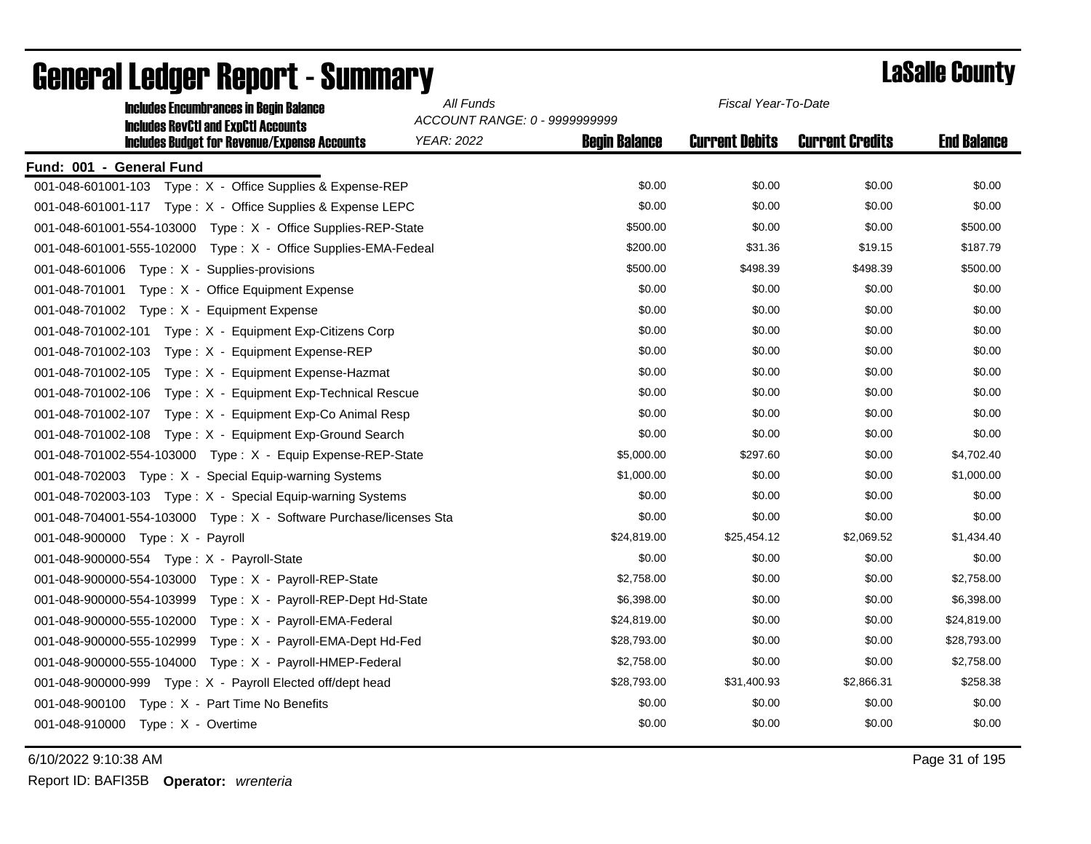| <b>Includes Encumbrances in Begin Balance</b>                                                     | All Funds<br>Fiscal Year-To-Date<br>ACCOUNT RANGE: 0 - 9999999999 |                      |                       |                        |                    |
|---------------------------------------------------------------------------------------------------|-------------------------------------------------------------------|----------------------|-----------------------|------------------------|--------------------|
| <b>Includes RevCtI and ExpCtI Accounts</b><br><b>Includes Budget for Revenue/Expense Accounts</b> | <b>YEAR: 2022</b>                                                 | <b>Begin Balance</b> | <b>Current Debits</b> | <b>Current Credits</b> | <b>End Balance</b> |
| Fund: 001 - General Fund                                                                          |                                                                   |                      |                       |                        |                    |
| 001-048-601001-103 Type: X - Office Supplies & Expense-REP                                        |                                                                   | \$0.00               | \$0.00                | \$0.00                 | \$0.00             |
| 001-048-601001-117  Type: X - Office Supplies & Expense LEPC                                      |                                                                   | \$0.00               | \$0.00                | \$0.00                 | \$0.00             |
| 001-048-601001-554-103000    Type: X - Office Supplies-REP-State                                  |                                                                   | \$500.00             | \$0.00                | \$0.00                 | \$500.00           |
| 001-048-601001-555-102000    Type: X - Office Supplies-EMA-Fedeal                                 |                                                                   | \$200.00             | \$31.36               | \$19.15                | \$187.79           |
| 001-048-601006  Type: X - Supplies-provisions                                                     |                                                                   | \$500.00             | \$498.39              | \$498.39               | \$500.00           |
| 001-048-701001 Type: X - Office Equipment Expense                                                 |                                                                   | \$0.00               | \$0.00                | \$0.00                 | \$0.00             |
| 001-048-701002 Type: X - Equipment Expense                                                        |                                                                   | \$0.00               | \$0.00                | \$0.00                 | \$0.00             |
| 001-048-701002-101 Type: X - Equipment Exp-Citizens Corp                                          |                                                                   | \$0.00               | \$0.00                | \$0.00                 | \$0.00             |
| 001-048-701002-103<br>Type: X - Equipment Expense-REP                                             |                                                                   | \$0.00               | \$0.00                | \$0.00                 | \$0.00             |
| 001-048-701002-105 Type: X - Equipment Expense-Hazmat                                             |                                                                   | \$0.00               | \$0.00                | \$0.00                 | \$0.00             |
| 001-048-701002-106<br>Type: X - Equipment Exp-Technical Rescue                                    |                                                                   | \$0.00               | \$0.00                | \$0.00                 | \$0.00             |
| 001-048-701002-107 Type: X - Equipment Exp-Co Animal Resp                                         |                                                                   | \$0.00               | \$0.00                | \$0.00                 | \$0.00             |
| 001-048-701002-108 Type: X - Equipment Exp-Ground Search                                          |                                                                   | \$0.00               | \$0.00                | \$0.00                 | \$0.00             |
| 001-048-701002-554-103000    Type: X - Equip Expense-REP-State                                    |                                                                   | \$5,000.00           | \$297.60              | \$0.00                 | \$4,702.40         |
| 001-048-702003 Type: X - Special Equip-warning Systems                                            |                                                                   | \$1,000.00           | \$0.00                | \$0.00                 | \$1,000.00         |
| 001-048-702003-103 Type: X - Special Equip-warning Systems                                        |                                                                   | \$0.00               | \$0.00                | \$0.00                 | \$0.00             |
| 001-048-704001-554-103000 Type: X - Software Purchase/licenses Sta                                |                                                                   | \$0.00               | \$0.00                | \$0.00                 | \$0.00             |
| 001-048-900000 Type: X - Payroll                                                                  |                                                                   | \$24,819.00          | \$25,454.12           | \$2,069.52             | \$1,434.40         |
| 001-048-900000-554 Type: X - Payroll-State                                                        |                                                                   | \$0.00               | \$0.00                | \$0.00                 | \$0.00             |
| 001-048-900000-554-103000<br>Type: X - Payroll-REP-State                                          |                                                                   | \$2,758.00           | \$0.00                | \$0.00                 | \$2,758.00         |
| 001-048-900000-554-103999<br>Type: X - Payroll-REP-Dept Hd-State                                  |                                                                   | \$6,398.00           | \$0.00                | \$0.00                 | \$6,398.00         |
| 001-048-900000-555-102000<br>Type: X - Payroll-EMA-Federal                                        |                                                                   | \$24,819.00          | \$0.00                | \$0.00                 | \$24,819.00        |
| Type: X - Payroll-EMA-Dept Hd-Fed<br>001-048-900000-555-102999                                    |                                                                   | \$28,793.00          | \$0.00                | \$0.00                 | \$28,793.00        |
| 001-048-900000-555-104000<br>Type: X - Payroll-HMEP-Federal                                       |                                                                   | \$2,758.00           | \$0.00                | \$0.00                 | \$2,758.00         |
| 001-048-900000-999 Type: X - Payroll Elected off/dept head                                        |                                                                   | \$28,793.00          | \$31,400.93           | \$2,866.31             | \$258.38           |
| 001-048-900100 Type: X - Part Time No Benefits                                                    |                                                                   | \$0.00               | \$0.00                | \$0.00                 | \$0.00             |
| 001-048-910000 Type: X - Overtime                                                                 |                                                                   | \$0.00               | \$0.00                | \$0.00                 | \$0.00             |

### General Ledger Report - Summary **Constants County** LaSalle County

6/10/2022 9:10:38 AM Page 31 of 195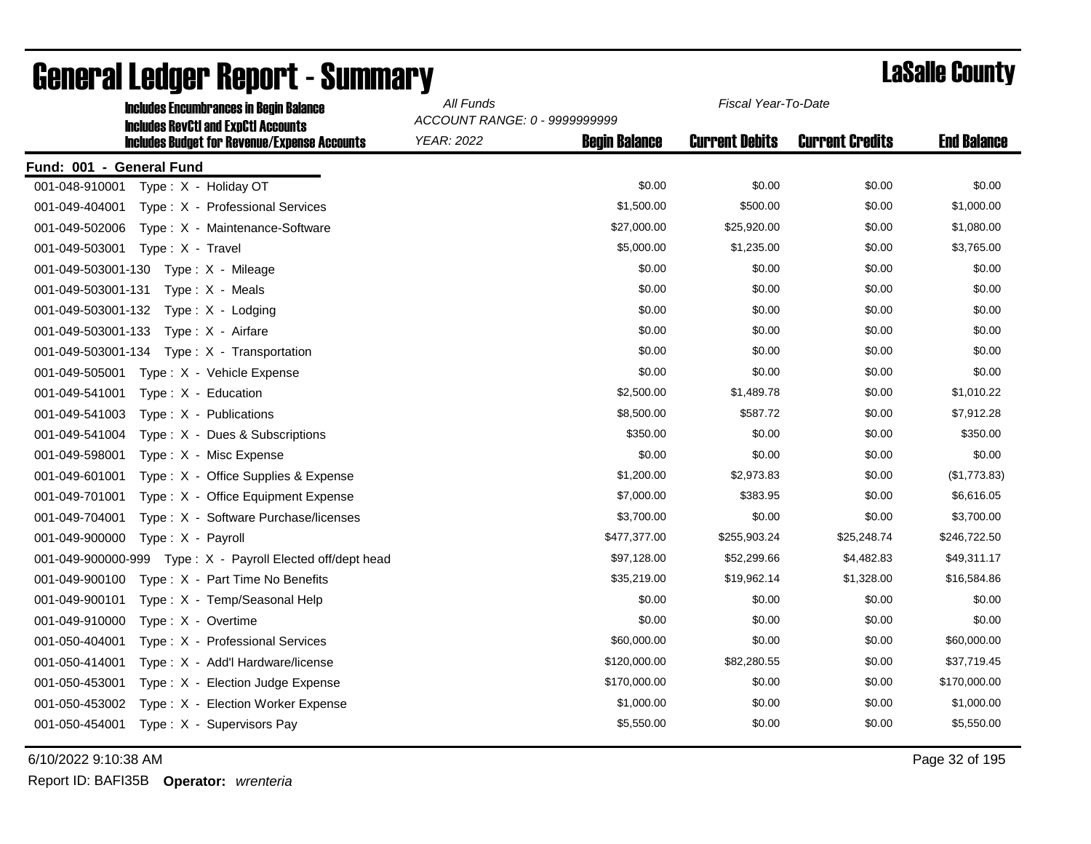| <b>Includes Encumbrances in Begin Balance</b><br><b>Includes RevCtI and ExpCtI Accounts</b> | All Funds<br>Fiscal Year-To-Date<br>ACCOUNT RANGE: 0 - 9999999999 |                      |                       |                        |                    |
|---------------------------------------------------------------------------------------------|-------------------------------------------------------------------|----------------------|-----------------------|------------------------|--------------------|
| <b>Includes Budget for Revenue/Expense Accounts</b>                                         | <b>YEAR: 2022</b>                                                 | <b>Begin Balance</b> | <b>Current Debits</b> | <b>Current Credits</b> | <b>End Balance</b> |
| Fund: 001 - General Fund                                                                    |                                                                   |                      |                       |                        |                    |
| 001-048-910001<br>Type: X - Holiday OT                                                      |                                                                   | \$0.00               | \$0.00                | \$0.00                 | \$0.00             |
| 001-049-404001<br>Type: X - Professional Services                                           |                                                                   | \$1,500.00           | \$500.00              | \$0.00                 | \$1,000.00         |
| 001-049-502006<br>Type: X - Maintenance-Software                                            |                                                                   | \$27,000.00          | \$25,920.00           | \$0.00                 | \$1,080.00         |
| 001-049-503001<br>Type: X - Travel                                                          |                                                                   | \$5,000.00           | \$1,235.00            | \$0.00                 | \$3,765.00         |
| 001-049-503001-130<br>Type: X - Mileage                                                     |                                                                   | \$0.00               | \$0.00                | \$0.00                 | \$0.00             |
| 001-049-503001-131<br>Type: X - Meals                                                       |                                                                   | \$0.00               | \$0.00                | \$0.00                 | \$0.00             |
| 001-049-503001-132<br>Type: X - Lodging                                                     |                                                                   | \$0.00               | \$0.00                | \$0.00                 | \$0.00             |
| Type: X - Airfare<br>001-049-503001-133                                                     |                                                                   | \$0.00               | \$0.00                | \$0.00                 | \$0.00             |
| 001-049-503001-134<br>Type: X - Transportation                                              |                                                                   | \$0.00               | \$0.00                | \$0.00                 | \$0.00             |
| 001-049-505001<br>Type: X - Vehicle Expense                                                 |                                                                   | \$0.00               | \$0.00                | \$0.00                 | \$0.00             |
| 001-049-541001<br>Type: X - Education                                                       |                                                                   | \$2,500.00           | \$1,489.78            | \$0.00                 | \$1,010.22         |
| Type: X - Publications<br>001-049-541003                                                    |                                                                   | \$8,500.00           | \$587.72              | \$0.00                 | \$7,912.28         |
| 001-049-541004<br>Type: X - Dues & Subscriptions                                            |                                                                   | \$350.00             | \$0.00                | \$0.00                 | \$350.00           |
| 001-049-598001<br>Type: X - Misc Expense                                                    |                                                                   | \$0.00               | \$0.00                | \$0.00                 | \$0.00             |
| 001-049-601001<br>Type: X - Office Supplies & Expense                                       |                                                                   | \$1,200.00           | \$2,973.83            | \$0.00                 | (\$1,773.83)       |
| 001-049-701001<br>Type: X - Office Equipment Expense                                        |                                                                   | \$7,000.00           | \$383.95              | \$0.00                 | \$6,616.05         |
| 001-049-704001<br>Type: X - Software Purchase/licenses                                      |                                                                   | \$3,700.00           | \$0.00                | \$0.00                 | \$3,700.00         |
| 001-049-900000<br>Type: X - Payroll                                                         |                                                                   | \$477,377.00         | \$255,903.24          | \$25,248.74            | \$246,722.50       |
| 001-049-900000-999<br>Type: X - Payroll Elected off/dept head                               |                                                                   | \$97,128.00          | \$52,299.66           | \$4,482.83             | \$49,311.17        |
| 001-049-900100<br>Type: X - Part Time No Benefits                                           |                                                                   | \$35,219.00          | \$19,962.14           | \$1,328.00             | \$16,584.86        |
| 001-049-900101<br>Type: X - Temp/Seasonal Help                                              |                                                                   | \$0.00               | \$0.00                | \$0.00                 | \$0.00             |
| 001-049-910000<br>Type: X - Overtime                                                        |                                                                   | \$0.00               | \$0.00                | \$0.00                 | \$0.00             |
| 001-050-404001<br>Type: X - Professional Services                                           |                                                                   | \$60,000.00          | \$0.00                | \$0.00                 | \$60,000.00        |
| 001-050-414001<br>Type: X - Add'l Hardware/license                                          |                                                                   | \$120,000.00         | \$82,280.55           | \$0.00                 | \$37,719.45        |
| 001-050-453001<br>Type: X - Election Judge Expense                                          |                                                                   | \$170,000.00         | \$0.00                | \$0.00                 | \$170,000.00       |
| 001-050-453002<br>Type: X - Election Worker Expense                                         |                                                                   | \$1,000.00           | \$0.00                | \$0.00                 | \$1,000.00         |
| 001-050-454001<br>Type: X - Supervisors Pay                                                 |                                                                   | \$5,550.00           | \$0.00                | \$0.00                 | \$5,550.00         |

### General Ledger Report - Summary **Lassing County**

6/10/2022 9:10:38 AM Page 32 of 195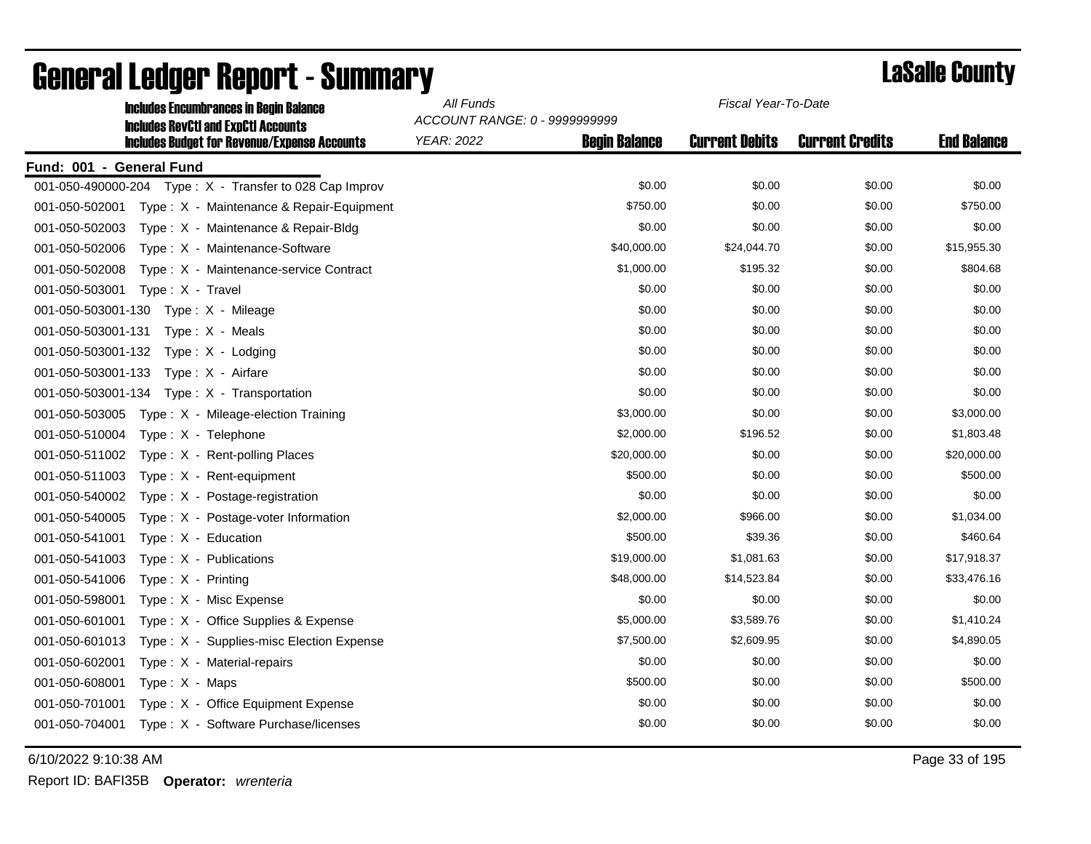| <b>Includes Encumbrances in Begin Balance</b><br><b>Includes RevCtI and ExpCtI Accounts</b> | All Funds<br>Fiscal Year-To-Date<br>ACCOUNT RANGE: 0 - 9999999999 |                      |                       |                        |                    |
|---------------------------------------------------------------------------------------------|-------------------------------------------------------------------|----------------------|-----------------------|------------------------|--------------------|
| <b>Includes Budget for Revenue/Expense Accounts</b>                                         | <b>YEAR: 2022</b>                                                 | <b>Begin Balance</b> | <b>Current Debits</b> | <b>Current Credits</b> | <b>End Balance</b> |
| Fund: 001 - General Fund                                                                    |                                                                   |                      |                       |                        |                    |
| 001-050-490000-204 Type: X - Transfer to 028 Cap Improv                                     |                                                                   | \$0.00               | \$0.00                | \$0.00                 | \$0.00             |
| Type: X - Maintenance & Repair-Equipment<br>001-050-502001                                  |                                                                   | \$750.00             | \$0.00                | \$0.00                 | \$750.00           |
| 001-050-502003<br>Type: X - Maintenance & Repair-Bldg                                       |                                                                   | \$0.00               | \$0.00                | \$0.00                 | \$0.00             |
| 001-050-502006<br>Type: X - Maintenance-Software                                            |                                                                   | \$40,000.00          | \$24,044.70           | \$0.00                 | \$15,955.30        |
| 001-050-502008<br>Type: X - Maintenance-service Contract                                    |                                                                   | \$1,000.00           | \$195.32              | \$0.00                 | \$804.68           |
| 001-050-503001<br>Type: X - Travel                                                          |                                                                   | \$0.00               | \$0.00                | \$0.00                 | \$0.00             |
| 001-050-503001-130 Type: X - Mileage                                                        |                                                                   | \$0.00               | \$0.00                | \$0.00                 | \$0.00             |
| 001-050-503001-131<br>Type: X - Meals                                                       |                                                                   | \$0.00               | \$0.00                | \$0.00                 | \$0.00             |
| 001-050-503001-132<br>Type: X - Lodging                                                     |                                                                   | \$0.00               | \$0.00                | \$0.00                 | \$0.00             |
| 001-050-503001-133<br>Type: X - Airfare                                                     |                                                                   | \$0.00               | \$0.00                | \$0.00                 | \$0.00             |
| 001-050-503001-134<br>Type: X - Transportation                                              |                                                                   | \$0.00               | \$0.00                | \$0.00                 | \$0.00             |
| 001-050-503005<br>Type: X - Mileage-election Training                                       |                                                                   | \$3,000.00           | \$0.00                | \$0.00                 | \$3,000.00         |
| 001-050-510004<br>Type: X - Telephone                                                       |                                                                   | \$2,000.00           | \$196.52              | \$0.00                 | \$1,803.48         |
| 001-050-511002<br>Type: X - Rent-polling Places                                             |                                                                   | \$20,000.00          | \$0.00                | \$0.00                 | \$20,000.00        |
| 001-050-511003<br>Type: X - Rent-equipment                                                  |                                                                   | \$500.00             | \$0.00                | \$0.00                 | \$500.00           |
| 001-050-540002<br>Type: X - Postage-registration                                            |                                                                   | \$0.00               | \$0.00                | \$0.00                 | \$0.00             |
| 001-050-540005<br>Type: X - Postage-voter Information                                       |                                                                   | \$2,000.00           | \$966.00              | \$0.00                 | \$1,034.00         |
| 001-050-541001<br>Type: X - Education                                                       |                                                                   | \$500.00             | \$39.36               | \$0.00                 | \$460.64           |
| 001-050-541003<br>Type : $X -$ Publications                                                 |                                                                   | \$19,000.00          | \$1,081.63            | \$0.00                 | \$17,918.37        |
| 001-050-541006<br>Type: X - Printing                                                        |                                                                   | \$48,000.00          | \$14,523.84           | \$0.00                 | \$33,476.16        |
| 001-050-598001<br>Type: X - Misc Expense                                                    |                                                                   | \$0.00               | \$0.00                | \$0.00                 | \$0.00             |
| 001-050-601001<br>Type: X - Office Supplies & Expense                                       |                                                                   | \$5,000.00           | \$3,589.76            | \$0.00                 | \$1,410.24         |
| 001-050-601013<br>Type: X - Supplies-misc Election Expense                                  |                                                                   | \$7,500.00           | \$2,609.95            | \$0.00                 | \$4,890.05         |
| 001-050-602001<br>Type: X - Material-repairs                                                |                                                                   | \$0.00               | \$0.00                | \$0.00                 | \$0.00             |
| 001-050-608001<br>$Type: X - Maps$                                                          |                                                                   | \$500.00             | \$0.00                | \$0.00                 | \$500.00           |
| 001-050-701001<br>Type: X - Office Equipment Expense                                        |                                                                   | \$0.00               | \$0.00                | \$0.00                 | \$0.00             |
| 001-050-704001<br>Type: X - Software Purchase/licenses                                      |                                                                   | \$0.00               | \$0.00                | \$0.00                 | \$0.00             |

6/10/2022 9:10:38 AM Page 33 of 195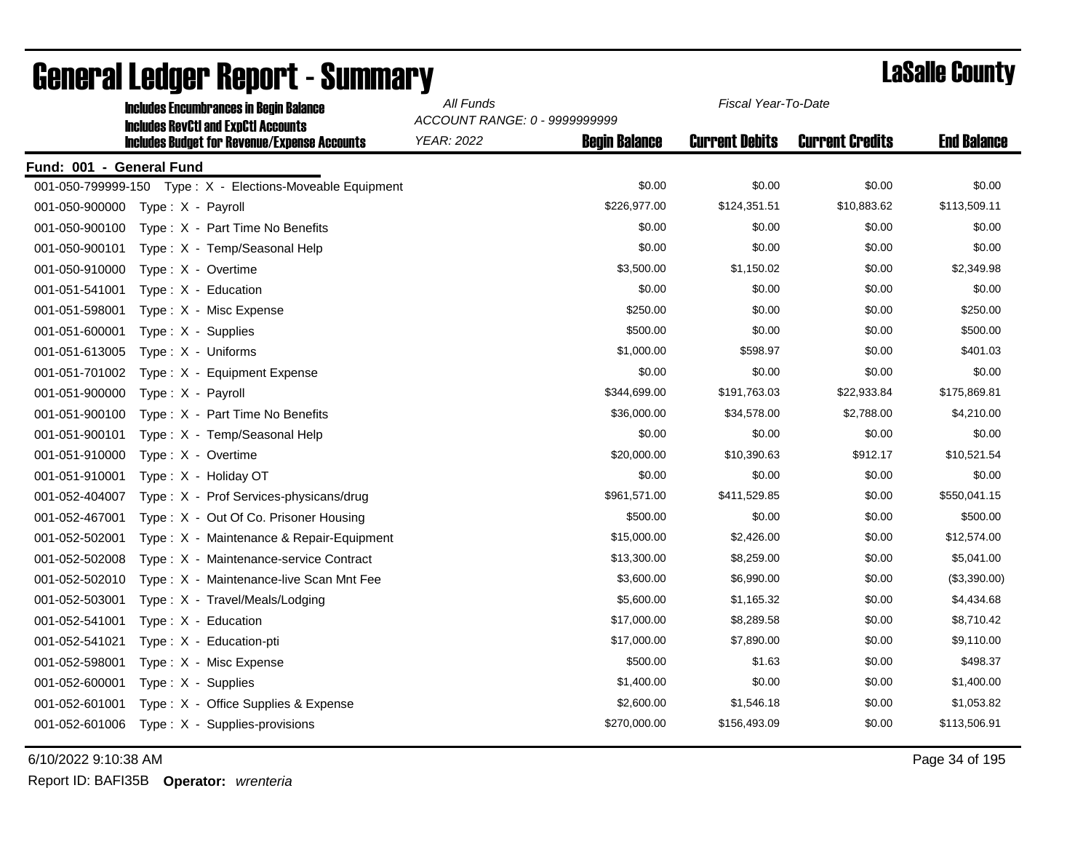|                          | <b>Includes Encumbrances in Begin Balance</b><br><b>Includes RevCtI and ExpCtI Accounts</b> | All Funds<br>Fiscal Year-To-Date<br>ACCOUNT RANGE: 0 - 9999999999 |                      |                       |                        |                    |
|--------------------------|---------------------------------------------------------------------------------------------|-------------------------------------------------------------------|----------------------|-----------------------|------------------------|--------------------|
|                          | <b>Includes Budget for Revenue/Expense Accounts</b>                                         | <b>YEAR: 2022</b>                                                 | <b>Begin Balance</b> | <b>Current Debits</b> | <b>Current Credits</b> | <b>End Balance</b> |
| Fund: 001 - General Fund |                                                                                             |                                                                   |                      |                       |                        |                    |
|                          | 001-050-799999-150 Type: X - Elections-Moveable Equipment                                   |                                                                   | \$0.00               | \$0.00                | \$0.00                 | \$0.00             |
| 001-050-900000           | Type: X - Payroll                                                                           |                                                                   | \$226,977.00         | \$124,351.51          | \$10,883.62            | \$113,509.11       |
| 001-050-900100           | Type: X - Part Time No Benefits                                                             |                                                                   | \$0.00               | \$0.00                | \$0.00                 | \$0.00             |
| 001-050-900101           | Type: X - Temp/Seasonal Help                                                                |                                                                   | \$0.00               | \$0.00                | \$0.00                 | \$0.00             |
| 001-050-910000           | Type: X - Overtime                                                                          |                                                                   | \$3,500.00           | \$1,150.02            | \$0.00                 | \$2,349.98         |
| 001-051-541001           | Type: X - Education                                                                         |                                                                   | \$0.00               | \$0.00                | \$0.00                 | \$0.00             |
| 001-051-598001           | Type: X - Misc Expense                                                                      |                                                                   | \$250.00             | \$0.00                | \$0.00                 | \$250.00           |
| 001-051-600001           | Type: X - Supplies                                                                          |                                                                   | \$500.00             | \$0.00                | \$0.00                 | \$500.00           |
| 001-051-613005           | Type: X - Uniforms                                                                          |                                                                   | \$1,000.00           | \$598.97              | \$0.00                 | \$401.03           |
| 001-051-701002           | Type: X - Equipment Expense                                                                 |                                                                   | \$0.00               | \$0.00                | \$0.00                 | \$0.00             |
| 001-051-900000           | Type: X - Payroll                                                                           |                                                                   | \$344,699.00         | \$191,763.03          | \$22,933.84            | \$175,869.81       |
| 001-051-900100           | Type: X - Part Time No Benefits                                                             |                                                                   | \$36,000.00          | \$34,578.00           | \$2,788.00             | \$4,210.00         |
| 001-051-900101           | Type: X - Temp/Seasonal Help                                                                |                                                                   | \$0.00               | \$0.00                | \$0.00                 | \$0.00             |
| 001-051-910000           | Type: X - Overtime                                                                          |                                                                   | \$20,000.00          | \$10,390.63           | \$912.17               | \$10,521.54        |
| 001-051-910001           | Type: X - Holiday OT                                                                        |                                                                   | \$0.00               | \$0.00                | \$0.00                 | \$0.00             |
| 001-052-404007           | Type: X - Prof Services-physicans/drug                                                      |                                                                   | \$961,571.00         | \$411,529.85          | \$0.00                 | \$550,041.15       |
| 001-052-467001           | Type: X - Out Of Co. Prisoner Housing                                                       |                                                                   | \$500.00             | \$0.00                | \$0.00                 | \$500.00           |
| 001-052-502001           | Type: X - Maintenance & Repair-Equipment                                                    |                                                                   | \$15,000.00          | \$2,426.00            | \$0.00                 | \$12,574.00        |
| 001-052-502008           | Type: X - Maintenance-service Contract                                                      |                                                                   | \$13,300.00          | \$8,259.00            | \$0.00                 | \$5,041.00         |
| 001-052-502010           | Type: X - Maintenance-live Scan Mnt Fee                                                     |                                                                   | \$3,600.00           | \$6,990.00            | \$0.00                 | (\$3,390.00)       |
| 001-052-503001           | Type: X - Travel/Meals/Lodging                                                              |                                                                   | \$5,600.00           | \$1,165.32            | \$0.00                 | \$4,434.68         |
| 001-052-541001           | Type: X - Education                                                                         |                                                                   | \$17,000.00          | \$8,289.58            | \$0.00                 | \$8,710.42         |
| 001-052-541021           | Type: X - Education-pti                                                                     |                                                                   | \$17,000.00          | \$7,890.00            | \$0.00                 | \$9,110.00         |
| 001-052-598001           | Type: X - Misc Expense                                                                      |                                                                   | \$500.00             | \$1.63                | \$0.00                 | \$498.37           |
| 001-052-600001           | Type: X - Supplies                                                                          |                                                                   | \$1,400.00           | \$0.00                | \$0.00                 | \$1,400.00         |
| 001-052-601001           | Type: X - Office Supplies & Expense                                                         |                                                                   | \$2,600.00           | \$1,546.18            | \$0.00                 | \$1,053.82         |
| 001-052-601006           | Type: X - Supplies-provisions                                                               |                                                                   | \$270,000.00         | \$156,493.09          | \$0.00                 | \$113,506.91       |
|                          |                                                                                             |                                                                   |                      |                       |                        |                    |

### General Ledger Report - Summary **County County LaSalle County**

6/10/2022 9:10:38 AM Page 34 of 195

Report ID: BAFI35B **Operator:** *wrenteria*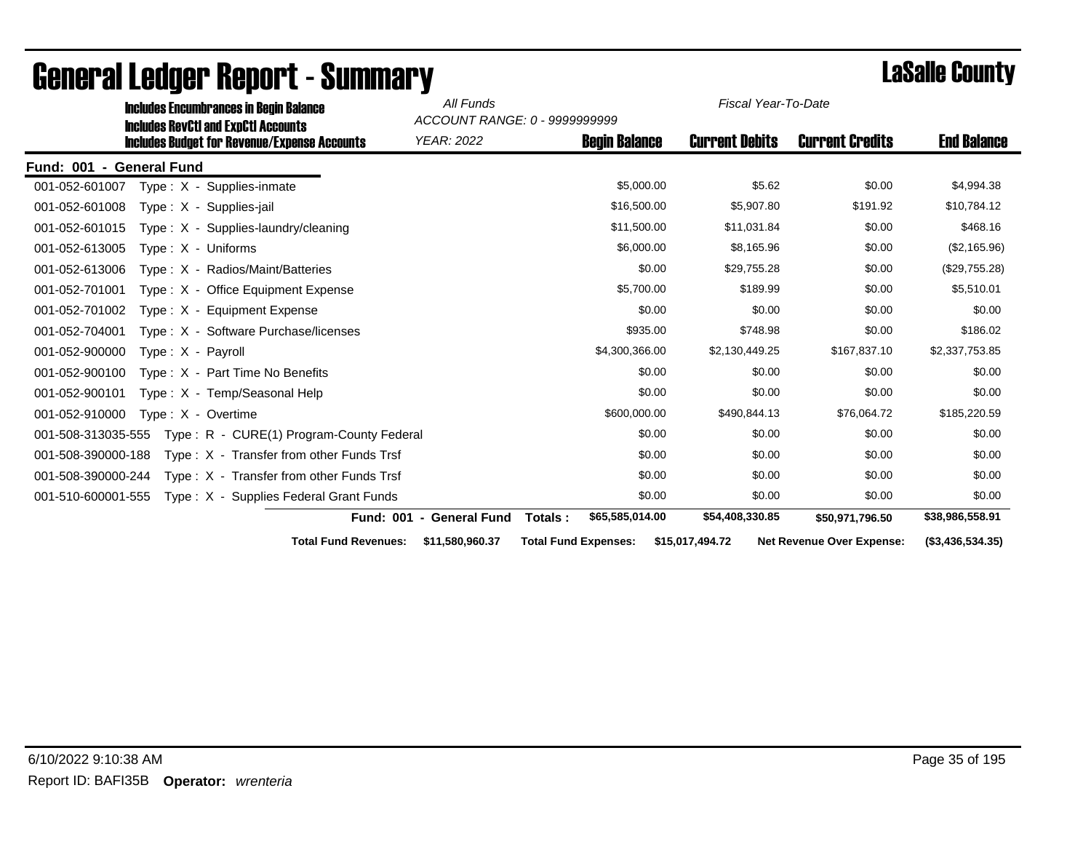| <b>Includes Encumbrances in Begin Balance</b>                                                     | All Funds                                      | ACCOUNT RANGE: 0 - 9999999999 | Fiscal Year-To-Date   |                                  |                     |
|---------------------------------------------------------------------------------------------------|------------------------------------------------|-------------------------------|-----------------------|----------------------------------|---------------------|
| <b>Includes RevCtI and ExpCtI Accounts</b><br><b>Includes Budget for Revenue/Expense Accounts</b> | <b>YEAR: 2022</b>                              | <b>Begin Balance</b>          | <b>Current Debits</b> | <b>Current Credits</b>           | <b>End Balance</b>  |
| Fund: 001 - General Fund                                                                          |                                                |                               |                       |                                  |                     |
| 001-052-601007<br>Type: X - Supplies-inmate                                                       |                                                | \$5,000.00                    | \$5.62                | \$0.00                           | \$4,994.38          |
| 001-052-601008<br>Type: X - Supplies-jail                                                         |                                                | \$16,500.00                   | \$5,907.80            | \$191.92                         | \$10,784.12         |
| 001-052-601015<br>Type: X - Supplies-laundry/cleaning                                             |                                                | \$11,500.00                   | \$11,031.84           | \$0.00                           | \$468.16            |
| 001-052-613005<br>Type: X - Uniforms                                                              |                                                | \$6,000.00                    | \$8,165.96            | \$0.00                           | (\$2,165.96)        |
| 001-052-613006<br>Type: X - Radios/Maint/Batteries                                                |                                                | \$0.00                        | \$29,755.28           | \$0.00                           | (\$29,755.28)       |
| 001-052-701001<br>Type: X - Office Equipment Expense                                              |                                                | \$5,700.00                    | \$189.99              | \$0.00                           | \$5,510.01          |
| 001-052-701002<br>Type: X - Equipment Expense                                                     |                                                | \$0.00                        | \$0.00                | \$0.00                           | \$0.00              |
| 001-052-704001<br>Type: X - Software Purchase/licenses                                            |                                                | \$935.00                      | \$748.98              | \$0.00                           | \$186.02            |
| 001-052-900000<br>Type: X - Payroll                                                               |                                                | \$4,300,366.00                | \$2,130,449.25        | \$167,837.10                     | \$2,337,753.85      |
| Type : $X - Part$ Time No Benefits<br>001-052-900100                                              |                                                | \$0.00                        | \$0.00                | \$0.00                           | \$0.00              |
| 001-052-900101<br>Type: X - Temp/Seasonal Help                                                    |                                                | \$0.00                        | \$0.00                | \$0.00                           | \$0.00              |
| 001-052-910000<br>Type: X - Overtime                                                              |                                                | \$600,000.00                  | \$490,844.13          | \$76,064.72                      | \$185,220.59        |
| 001-508-313035-555<br>Type: R - CURE(1) Program-County Federal                                    |                                                | \$0.00                        | \$0.00                | \$0.00                           | \$0.00              |
| Type : $X -$ Transfer from other Funds Trsf<br>001-508-390000-188                                 |                                                | \$0.00                        | \$0.00                | \$0.00                           | \$0.00              |
| Type: X - Transfer from other Funds Trsf<br>001-508-390000-244                                    |                                                | \$0.00                        | \$0.00                | \$0.00                           | \$0.00              |
| Type: X - Supplies Federal Grant Funds<br>001-510-600001-555                                      |                                                | \$0.00                        | \$0.00                | \$0.00                           | \$0.00              |
|                                                                                                   | Fund: 001 - General Fund                       | \$65,585,014.00<br>Totals:    | \$54,408,330.85       | \$50,971,796.50                  | \$38,986,558.91     |
|                                                                                                   | <b>Total Fund Revenues:</b><br>\$11,580,960.37 | <b>Total Fund Expenses:</b>   | \$15,017,494.72       | <b>Net Revenue Over Expense:</b> | $($ \$3,436,534.35) |

# **General Ledger Report - Summary Lassalle County**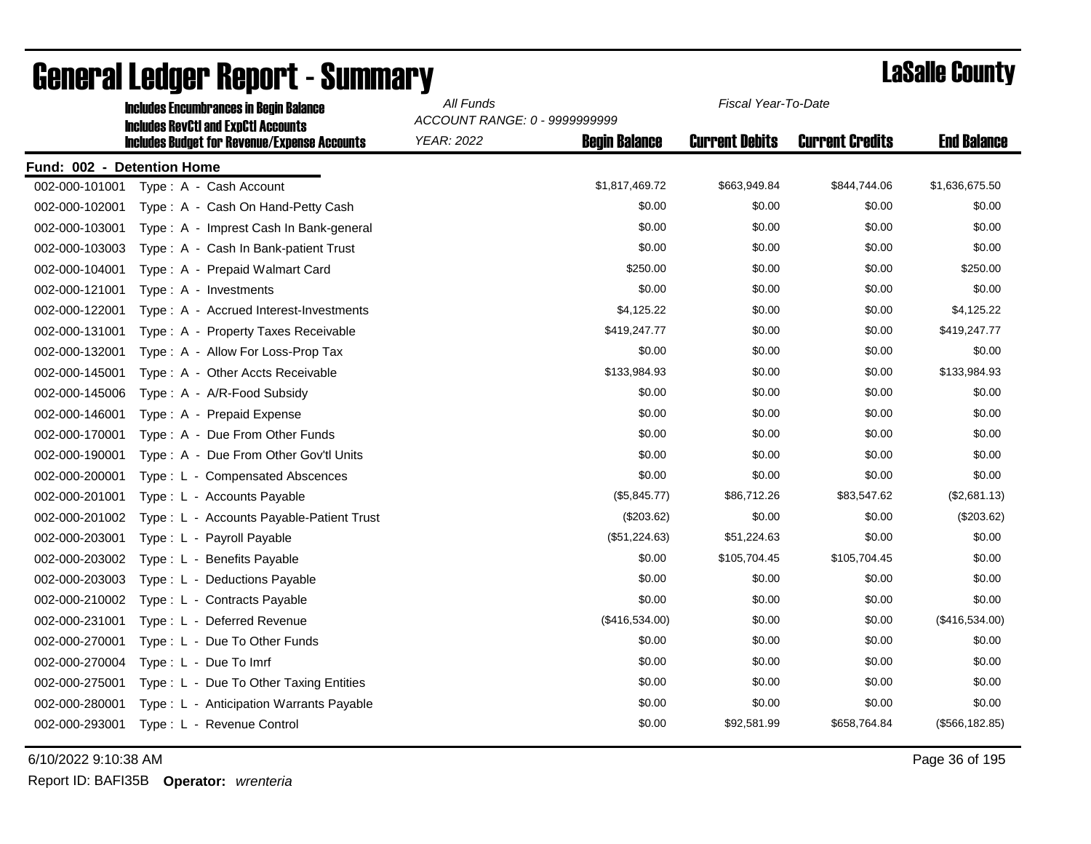|                            | <b>Includes Encumbrances in Begin Balance</b>       | All Funds<br>Fiscal Year-To-Date<br>ACCOUNT RANGE: 0 - 9999999999 |                      |                       |                        |                    |
|----------------------------|-----------------------------------------------------|-------------------------------------------------------------------|----------------------|-----------------------|------------------------|--------------------|
|                            | <b>Includes RevCtI and ExpCtI Accounts</b>          |                                                                   |                      |                       |                        |                    |
|                            | <b>Includes Budget for Revenue/Expense Accounts</b> | <b>YEAR: 2022</b>                                                 | <b>Begin Balance</b> | <b>Current Debits</b> | <b>Current Credits</b> | <b>End Balance</b> |
| Fund: 002 - Detention Home |                                                     |                                                                   |                      |                       |                        |                    |
| 002-000-101001             | Type: A - Cash Account                              |                                                                   | \$1,817,469.72       | \$663,949.84          | \$844,744.06           | \$1,636,675.50     |
| 002-000-102001             | Type: A - Cash On Hand-Petty Cash                   |                                                                   | \$0.00               | \$0.00                | \$0.00                 | \$0.00             |
| 002-000-103001             | Type: A - Imprest Cash In Bank-general              |                                                                   | \$0.00               | \$0.00                | \$0.00                 | \$0.00             |
| 002-000-103003             | Type: A - Cash In Bank-patient Trust                |                                                                   | \$0.00               | \$0.00                | \$0.00                 | \$0.00             |
| 002-000-104001             | Type: A - Prepaid Walmart Card                      |                                                                   | \$250.00             | \$0.00                | \$0.00                 | \$250.00           |
| 002-000-121001             | Type: A - Investments                               |                                                                   | \$0.00               | \$0.00                | \$0.00                 | \$0.00             |
| 002-000-122001             | Type: A - Accrued Interest-Investments              |                                                                   | \$4,125.22           | \$0.00                | \$0.00                 | \$4,125.22         |
| 002-000-131001             | Type: A - Property Taxes Receivable                 |                                                                   | \$419,247.77         | \$0.00                | \$0.00                 | \$419,247.77       |
| 002-000-132001             | Type: A - Allow For Loss-Prop Tax                   |                                                                   | \$0.00               | \$0.00                | \$0.00                 | \$0.00             |
| 002-000-145001             | Type: A - Other Accts Receivable                    |                                                                   | \$133,984.93         | \$0.00                | \$0.00                 | \$133,984.93       |
| 002-000-145006             | Type: A - A/R-Food Subsidy                          |                                                                   | \$0.00               | \$0.00                | \$0.00                 | \$0.00             |
| 002-000-146001             | Type: A - Prepaid Expense                           |                                                                   | \$0.00               | \$0.00                | \$0.00                 | \$0.00             |
| 002-000-170001             | Type: A - Due From Other Funds                      |                                                                   | \$0.00               | \$0.00                | \$0.00                 | \$0.00             |
| 002-000-190001             | Type: A - Due From Other Gov'tl Units               |                                                                   | \$0.00               | \$0.00                | \$0.00                 | \$0.00             |
| 002-000-200001             | Type: L - Compensated Abscences                     |                                                                   | \$0.00               | \$0.00                | \$0.00                 | \$0.00             |
| 002-000-201001             | Type: L - Accounts Payable                          |                                                                   | (\$5,845.77)         | \$86,712.26           | \$83,547.62            | (\$2,681.13)       |
| 002-000-201002             | Type: L - Accounts Payable-Patient Trust            |                                                                   | (\$203.62)           | \$0.00                | \$0.00                 | (\$203.62)         |
| 002-000-203001             | Type: L - Payroll Payable                           |                                                                   | (\$51,224.63)        | \$51,224.63           | \$0.00                 | \$0.00             |
| 002-000-203002             | Type: L - Benefits Payable                          |                                                                   | \$0.00               | \$105,704.45          | \$105,704.45           | \$0.00             |
| 002-000-203003             | Type: L - Deductions Payable                        |                                                                   | \$0.00               | \$0.00                | \$0.00                 | \$0.00             |
| 002-000-210002             | Type: L - Contracts Payable                         |                                                                   | \$0.00               | \$0.00                | \$0.00                 | \$0.00             |
| 002-000-231001             | Type: L - Deferred Revenue                          |                                                                   | (\$416,534.00)       | \$0.00                | \$0.00                 | (\$416,534.00)     |
| 002-000-270001             | Type: L - Due To Other Funds                        |                                                                   | \$0.00               | \$0.00                | \$0.00                 | \$0.00             |
| 002-000-270004             | Type: L - Due To Imrf                               |                                                                   | \$0.00               | \$0.00                | \$0.00                 | \$0.00             |
| 002-000-275001             | Type: L - Due To Other Taxing Entities              |                                                                   | \$0.00               | \$0.00                | \$0.00                 | \$0.00             |
| 002-000-280001             | Type: L - Anticipation Warrants Payable             |                                                                   | \$0.00               | \$0.00                | \$0.00                 | \$0.00             |
| 002-000-293001             | Type: L - Revenue Control                           |                                                                   | \$0.00               | \$92,581.99           | \$658,764.84           | $($ \$566,182.85)  |
|                            |                                                     |                                                                   |                      |                       |                        |                    |

### General Ledger Report - Summary **County County** LaSalle County

6/10/2022 9:10:38 AM Page 36 of 195

Report ID: BAFI35B **Operator:** *wrenteria*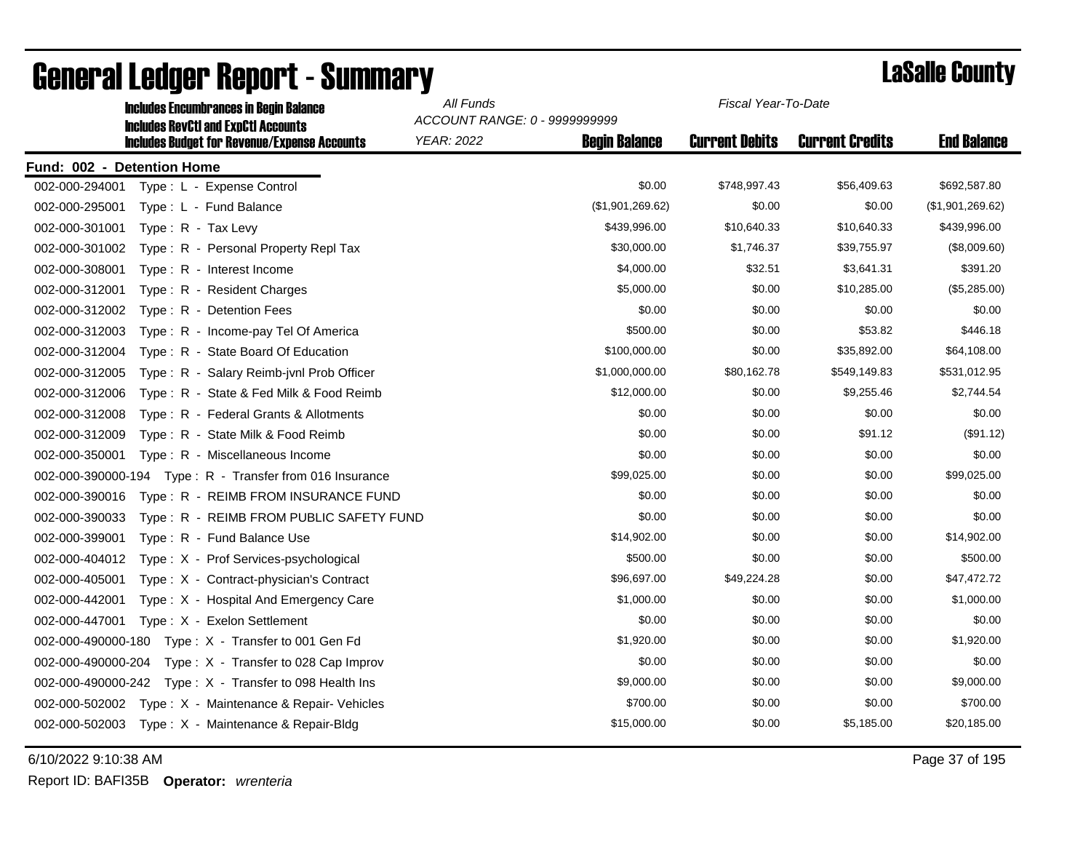| <b>Includes Encumbrances in Begin Balance</b><br><b>Includes RevCtI and ExpCtI Accounts</b> | All Funds         | Fiscal Year-To-Date<br>ACCOUNT RANGE: 0 - 9999999999 |                       |                        |                    |  |
|---------------------------------------------------------------------------------------------|-------------------|------------------------------------------------------|-----------------------|------------------------|--------------------|--|
| <b>Includes Budget for Revenue/Expense Accounts</b>                                         | <b>YEAR: 2022</b> | <b>Begin Balance</b>                                 | <b>Current Debits</b> | <b>Current Credits</b> | <b>End Balance</b> |  |
| Fund: 002 - Detention Home                                                                  |                   |                                                      |                       |                        |                    |  |
| 002-000-294001<br>Type: L - Expense Control                                                 |                   | \$0.00                                               | \$748,997.43          | \$56,409.63            | \$692,587.80       |  |
| 002-000-295001<br>Type: L - Fund Balance                                                    |                   | (\$1,901,269.62)                                     | \$0.00                | \$0.00                 | (\$1,901,269.62)   |  |
| 002-000-301001<br>Type: R - Tax Levy                                                        |                   | \$439,996.00                                         | \$10,640.33           | \$10,640.33            | \$439,996.00       |  |
| 002-000-301002<br>Type: R - Personal Property Repl Tax                                      |                   | \$30,000.00                                          | \$1,746.37            | \$39,755.97            | (\$8,009.60)       |  |
| 002-000-308001<br>Type: R - Interest Income                                                 |                   | \$4,000.00                                           | \$32.51               | \$3,641.31             | \$391.20           |  |
| 002-000-312001<br>Type: R - Resident Charges                                                |                   | \$5,000.00                                           | \$0.00                | \$10,285.00            | (\$5,285.00)       |  |
| 002-000-312002<br>Type: R - Detention Fees                                                  |                   | \$0.00                                               | \$0.00                | \$0.00                 | \$0.00             |  |
| 002-000-312003<br>Type: R - Income-pay Tel Of America                                       |                   | \$500.00                                             | \$0.00                | \$53.82                | \$446.18           |  |
| 002-000-312004<br>Type: R - State Board Of Education                                        |                   | \$100,000.00                                         | \$0.00                | \$35,892.00            | \$64,108.00        |  |
| 002-000-312005<br>Type: R - Salary Reimb-jvnl Prob Officer                                  |                   | \$1,000,000.00                                       | \$80,162.78           | \$549,149.83           | \$531,012.95       |  |
| 002-000-312006<br>Type: R - State & Fed Milk & Food Reimb                                   |                   | \$12,000.00                                          | \$0.00                | \$9,255.46             | \$2,744.54         |  |
| 002-000-312008<br>Type: R - Federal Grants & Allotments                                     |                   | \$0.00                                               | \$0.00                | \$0.00                 | \$0.00             |  |
| 002-000-312009<br>Type: R - State Milk & Food Reimb                                         |                   | \$0.00                                               | \$0.00                | \$91.12                | (\$91.12)          |  |
| 002-000-350001<br>Type: R - Miscellaneous Income                                            |                   | \$0.00                                               | \$0.00                | \$0.00                 | \$0.00             |  |
|                                                                                             |                   | \$99,025.00                                          | \$0.00                | \$0.00                 | \$99,025.00        |  |
| Type: R - REIMB FROM INSURANCE FUND<br>002-000-390016                                       |                   | \$0.00                                               | \$0.00                | \$0.00                 | \$0.00             |  |
| Type: R - REIMB FROM PUBLIC SAFETY FUND<br>002-000-390033                                   |                   | \$0.00                                               | \$0.00                | \$0.00                 | \$0.00             |  |
| 002-000-399001<br>Type: R - Fund Balance Use                                                |                   | \$14,902.00                                          | \$0.00                | \$0.00                 | \$14,902.00        |  |
| 002-000-404012<br>Type: X - Prof Services-psychological                                     |                   | \$500.00                                             | \$0.00                | \$0.00                 | \$500.00           |  |
| 002-000-405001<br>Type: X - Contract-physician's Contract                                   |                   | \$96,697.00                                          | \$49,224.28           | \$0.00                 | \$47,472.72        |  |
| 002-000-442001<br>Type: X - Hospital And Emergency Care                                     |                   | \$1,000.00                                           | \$0.00                | \$0.00                 | \$1,000.00         |  |
| 002-000-447001<br>Type: X - Exelon Settlement                                               |                   | \$0.00                                               | \$0.00                | \$0.00                 | \$0.00             |  |
| Type: X - Transfer to 001 Gen Fd<br>002-000-490000-180                                      |                   | \$1,920.00                                           | \$0.00                | \$0.00                 | \$1,920.00         |  |
| 002-000-490000-204<br>Type : $X -$ Transfer to 028 Cap Improv                               |                   | \$0.00                                               | \$0.00                | \$0.00                 | \$0.00             |  |
| Type: X - Transfer to 098 Health Ins<br>002-000-490000-242                                  |                   | \$9,000.00                                           | \$0.00                | \$0.00                 | \$9,000.00         |  |
| 002-000-502002 Type: X - Maintenance & Repair- Vehicles                                     |                   | \$700.00                                             | \$0.00                | \$0.00                 | \$700.00           |  |
| 002-000-502003 Type: X - Maintenance & Repair-Bldg                                          |                   | \$15,000.00                                          | \$0.00                | \$5,185.00             | \$20,185.00        |  |

## General Ledger Report - Summary **Lassing Service Report - Summary**

6/10/2022 9:10:38 AM Page 37 of 195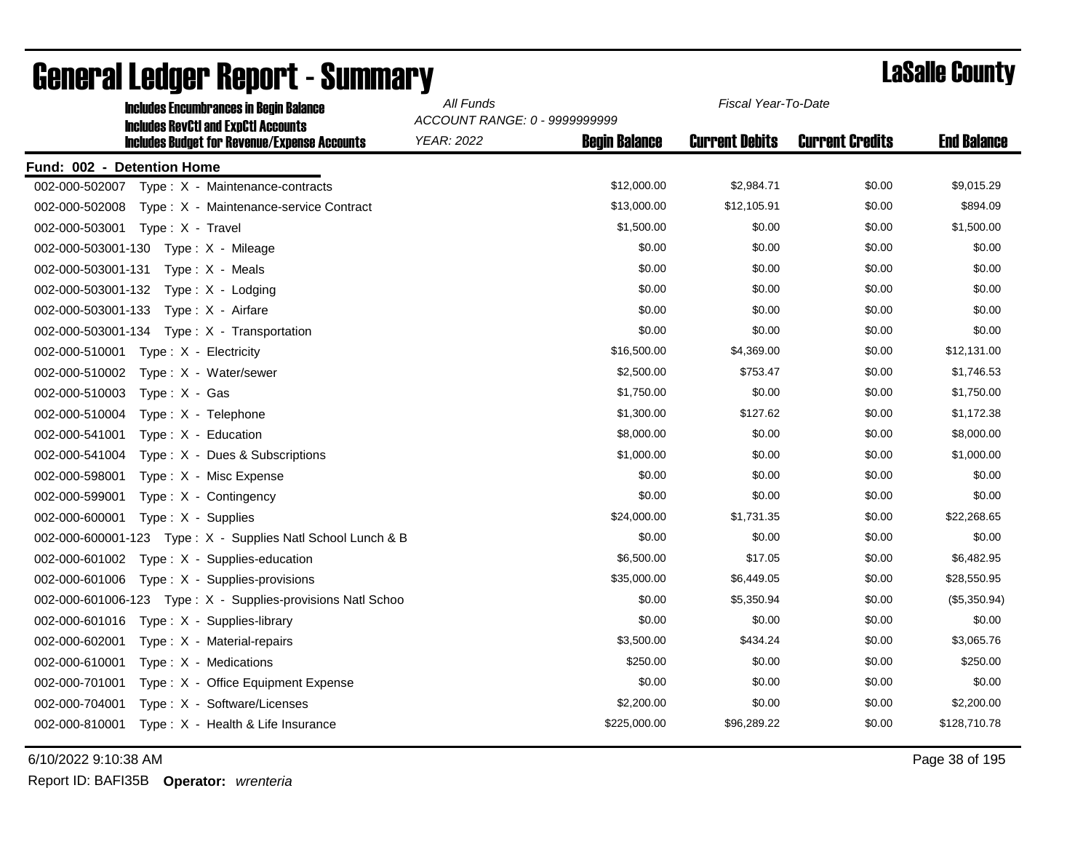| <b>Includes Encumbrances in Begin Balance</b>                                                     | All Funds                                                           | Fiscal Year-To-Date   |                        |                    |  |
|---------------------------------------------------------------------------------------------------|---------------------------------------------------------------------|-----------------------|------------------------|--------------------|--|
| <b>Includes RevCtI and ExpCtI Accounts</b><br><b>Includes Budget for Revenue/Expense Accounts</b> | ACCOUNT RANGE: 0 - 9999999999<br>YEAR: 2022<br><b>Begin Balance</b> | <b>Current Debits</b> | <b>Current Credits</b> | <b>End Balance</b> |  |
| Fund: 002 - Detention Home                                                                        |                                                                     |                       |                        |                    |  |
| 002-000-502007<br>Type: X - Maintenance-contracts                                                 | \$12,000.00                                                         | \$2,984.71            | \$0.00                 | \$9,015.29         |  |
| 002-000-502008<br>Type: X - Maintenance-service Contract                                          | \$13,000.00                                                         | \$12,105.91           | \$0.00                 | \$894.09           |  |
| 002-000-503001<br>Type: X - Travel                                                                | \$1,500.00                                                          | \$0.00                | \$0.00                 | \$1,500.00         |  |
| 002-000-503001-130 Type: X - Mileage                                                              | \$0.00                                                              | \$0.00                | \$0.00                 | \$0.00             |  |
| 002-000-503001-131<br>Type: X - Meals                                                             | \$0.00                                                              | \$0.00                | \$0.00                 | \$0.00             |  |
| 002-000-503001-132<br>Type: X - Lodging                                                           | \$0.00                                                              | \$0.00                | \$0.00                 | \$0.00             |  |
| 002-000-503001-133<br>Type: X - Airfare                                                           | \$0.00                                                              | \$0.00                | \$0.00                 | \$0.00             |  |
| 002-000-503001-134<br>Type: X - Transportation                                                    | \$0.00                                                              | \$0.00                | \$0.00                 | \$0.00             |  |
| 002-000-510001<br>Type: X - Electricity                                                           | \$16,500.00                                                         | \$4,369.00            | \$0.00                 | \$12,131.00        |  |
| 002-000-510002<br>Type: X - Water/sewer                                                           | \$2,500.00                                                          | \$753.47              | \$0.00                 | \$1,746.53         |  |
| 002-000-510003<br>Type: X - Gas                                                                   | \$1,750.00                                                          | \$0.00                | \$0.00                 | \$1,750.00         |  |
| 002-000-510004<br>Type: X - Telephone                                                             | \$1,300.00                                                          | \$127.62              | \$0.00                 | \$1,172.38         |  |
| 002-000-541001<br>Type: $X -$ Education                                                           | \$8,000.00                                                          | \$0.00                | \$0.00                 | \$8,000.00         |  |
| 002-000-541004<br>Type: X - Dues & Subscriptions                                                  | \$1,000.00                                                          | \$0.00                | \$0.00                 | \$1,000.00         |  |
| 002-000-598001<br>Type: X - Misc Expense                                                          | \$0.00                                                              | \$0.00                | \$0.00                 | \$0.00             |  |
| 002-000-599001<br>Type: X - Contingency                                                           | \$0.00                                                              | \$0.00                | \$0.00                 | \$0.00             |  |
| 002-000-600001<br>$Type: X - Supplies$                                                            | \$24,000.00                                                         | \$1,731.35            | \$0.00                 | \$22,268.65        |  |
|                                                                                                   | \$0.00                                                              | \$0.00                | \$0.00                 | \$0.00             |  |
| 002-000-601002<br>Type: X - Supplies-education                                                    | \$6,500.00                                                          | \$17.05               | \$0.00                 | \$6,482.95         |  |
| 002-000-601006<br>Type: X - Supplies-provisions                                                   | \$35,000.00                                                         | \$6,449.05            | \$0.00                 | \$28,550.95        |  |
| 002-000-601006-123 Type: X - Supplies-provisions Natl Schoo                                       | \$0.00                                                              | \$5,350.94            | \$0.00                 | (\$5,350.94)       |  |
| 002-000-601016<br>Type: X - Supplies-library                                                      | \$0.00                                                              | \$0.00                | \$0.00                 | \$0.00             |  |
| 002-000-602001<br>Type: X - Material-repairs                                                      | \$3,500.00                                                          | \$434.24              | \$0.00                 | \$3,065.76         |  |
| 002-000-610001<br>Type: X - Medications                                                           | \$250.00                                                            | \$0.00                | \$0.00                 | \$250.00           |  |
| 002-000-701001<br>Type: X - Office Equipment Expense                                              | \$0.00                                                              | \$0.00                | \$0.00                 | \$0.00             |  |
| Type: X - Software/Licenses<br>002-000-704001                                                     | \$2,200.00                                                          | \$0.00                | \$0.00                 | \$2,200.00         |  |
| 002-000-810001<br>Type: X - Health & Life Insurance                                               | \$225,000.00                                                        | \$96,289.22           | \$0.00                 | \$128,710.78       |  |

# General Ledger Report - Summary **Lassing Report - Summary**

6/10/2022 9:10:38 AM Page 38 of 195

Report ID: BAFI35B **Operator:** *wrenteria*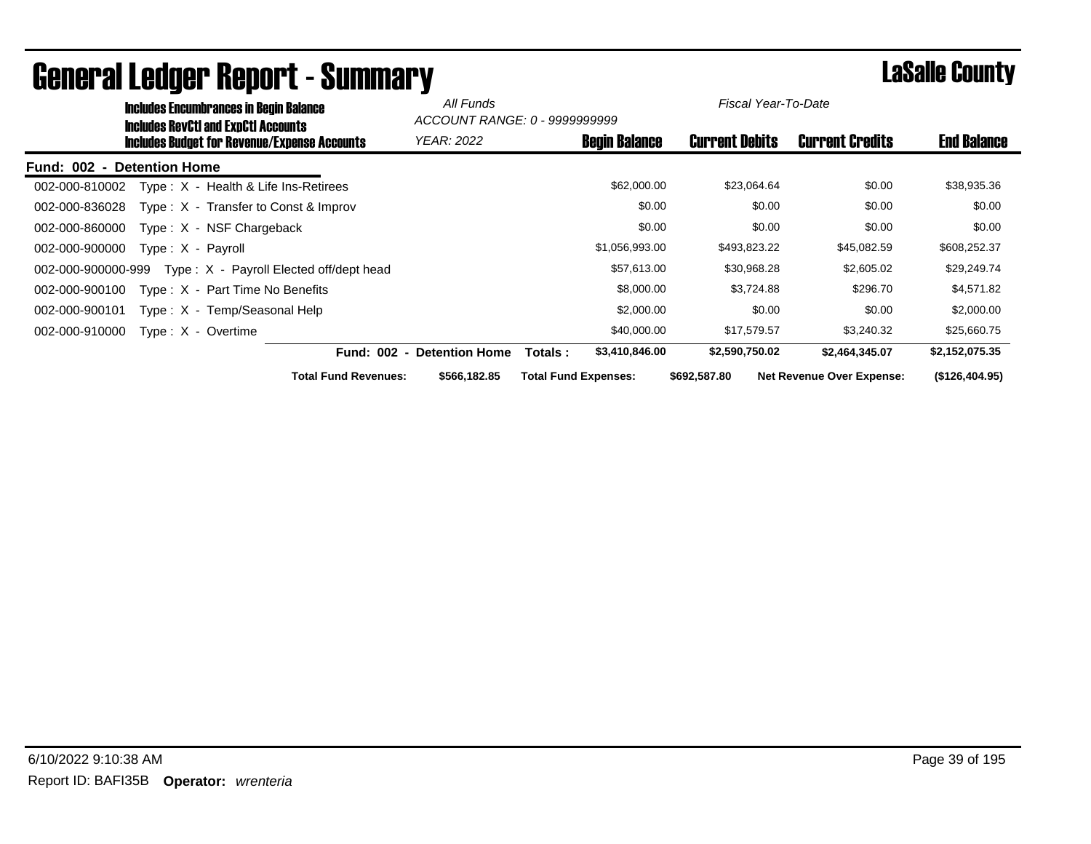| <b>Includes Encumbrances in Begin Balance</b>                                              | All Funds             | ACCOUNT RANGE: 0 - 9999999999 | Fiscal Year-To-Date   |                                  |                    |
|--------------------------------------------------------------------------------------------|-----------------------|-------------------------------|-----------------------|----------------------------------|--------------------|
| <b>Includes RevCtI and ExpCtI Accounts</b><br>Includes Budget for Revenue/Expense Accounts | YEAR: 2022            | <b>Begin Balance</b>          | <b>Current Debits</b> | <b>Current Credits</b>           | <b>End Balance</b> |
| - Detention Home<br>Fund: 002                                                              |                       |                               |                       |                                  |                    |
| Type : $X -$ Health & Life Ins-Retirees<br>002-000-810002                                  |                       | \$62,000.00                   | \$23,064.64           | \$0.00                           | \$38,935.36        |
| Type : $X -$ Transfer to Const & Improv<br>002-000-836028                                  |                       | \$0.00                        | \$0.00                | \$0.00                           | \$0.00             |
| 002-000-860000<br>$Type: X - NSF Chargeback$                                               |                       | \$0.00                        | \$0.00                | \$0.00                           | \$0.00             |
| 002-000-900000<br>Type: $X -$ Payroll                                                      |                       | \$1,056,993.00                | \$493,823.22          | \$45,082.59                      | \$608,252.37       |
| Type: X - Payroll Elected off/dept head<br>002-000-900000-999                              |                       | \$57,613.00                   | \$30,968.28           | \$2,605.02                       | \$29,249.74        |
| Type: X - Part Time No Benefits<br>002-000-900100                                          |                       | \$8,000.00                    | \$3,724.88            | \$296.70                         | \$4,571.82         |
| 002-000-900101<br>Type: X - Temp/Seasonal Help                                             |                       | \$2,000.00                    | \$0.00                | \$0.00                           | \$2,000.00         |
| 002-000-910000<br>Type: X - Overtime                                                       |                       | \$40,000.00                   | \$17,579.57           | \$3,240.32                       | \$25,660.75        |
| <b>Fund: 002</b>                                                                           | <b>Detention Home</b> | \$3,410,846.00<br>Totals:     | \$2,590,750.02        | \$2,464,345.07                   | \$2,152,075.35     |
| <b>Total Fund Revenues:</b>                                                                | \$566,182.85          | <b>Total Fund Expenses:</b>   | \$692,587.80          | <b>Net Revenue Over Expense:</b> | (\$126,404.95)     |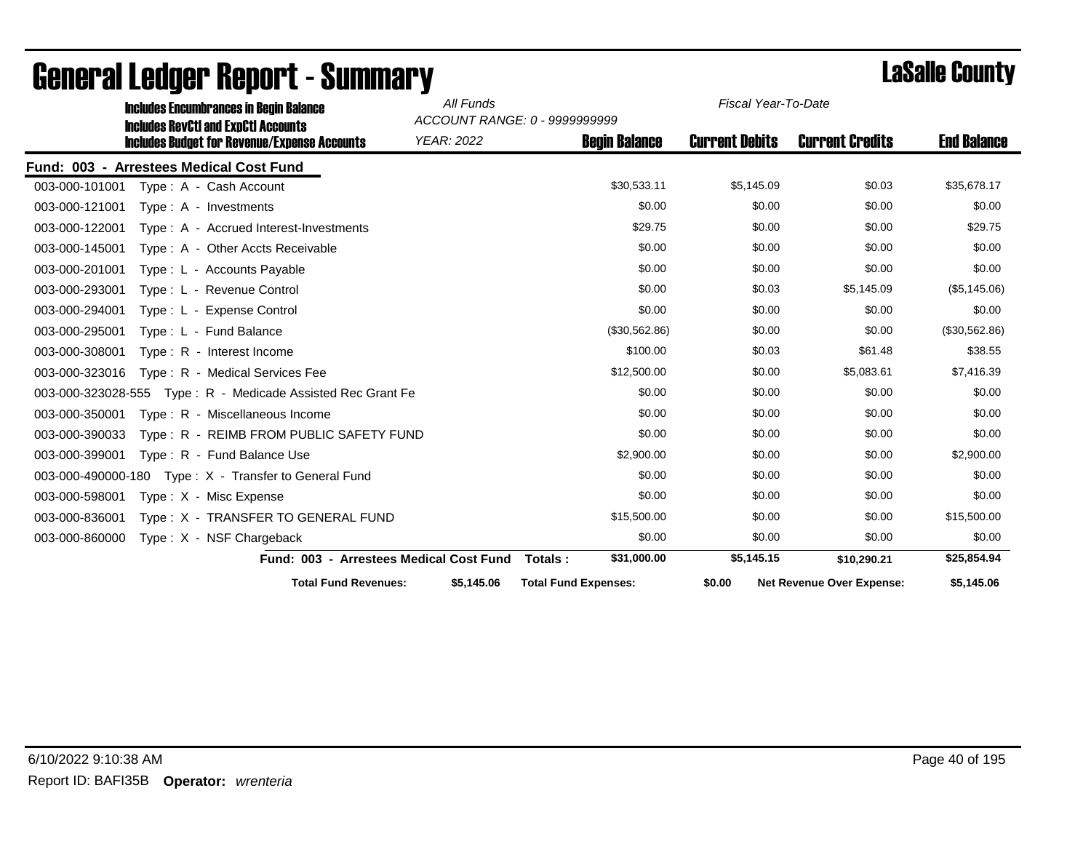|                | <b>Includes Encumbrances in Begin Balance</b>                                                     | All Funds  | Fiscal Year-To-Date<br>ACCOUNT RANGE: 0 - 9999999999 |                       |                           |                    |
|----------------|---------------------------------------------------------------------------------------------------|------------|------------------------------------------------------|-----------------------|---------------------------|--------------------|
|                | <b>Includes RevCtI and ExpCtI Accounts</b><br><b>Includes Budget for Revenue/Expense Accounts</b> | YEAR: 2022 | <b>Begin Balance</b>                                 | <b>Current Debits</b> | <b>Current Credits</b>    | <b>End Balance</b> |
|                | Fund: 003 - Arrestees Medical Cost Fund                                                           |            |                                                      |                       |                           |                    |
| 003-000-101001 | Type: A - Cash Account                                                                            |            | \$30,533.11                                          | \$5,145.09            | \$0.03                    | \$35,678.17        |
| 003-000-121001 | Type: A - Investments                                                                             |            | \$0.00                                               | \$0.00                | \$0.00                    | \$0.00             |
| 003-000-122001 | Type: A - Accrued Interest-Investments                                                            |            | \$29.75                                              | \$0.00                | \$0.00                    | \$29.75            |
| 003-000-145001 | Type: A - Other Accts Receivable                                                                  |            | \$0.00                                               | \$0.00                | \$0.00                    | \$0.00             |
| 003-000-201001 | Type: L - Accounts Payable                                                                        |            | \$0.00                                               | \$0.00                | \$0.00                    | \$0.00             |
| 003-000-293001 | Type: L - Revenue Control                                                                         |            | \$0.00                                               | \$0.03                | \$5,145.09                | (\$5,145.06)       |
| 003-000-294001 | Type: L - Expense Control                                                                         |            | \$0.00                                               | \$0.00                | \$0.00                    | \$0.00             |
| 003-000-295001 | Type: L - Fund Balance                                                                            |            | (\$30,562.86)                                        | \$0.00                | \$0.00                    | (\$30,562.86)      |
| 003-000-308001 | Type: R - Interest Income                                                                         |            | \$100.00                                             | \$0.03                | \$61.48                   | \$38.55            |
| 003-000-323016 | Type: R - Medical Services Fee                                                                    |            | \$12,500.00                                          | \$0.00                | \$5,083.61                | \$7,416.39         |
|                | 003-000-323028-555 Type: R - Medicade Assisted Rec Grant Fe                                       |            | \$0.00                                               | \$0.00                | \$0.00                    | \$0.00             |
| 003-000-350001 | Type: R - Miscellaneous Income                                                                    |            | \$0.00                                               | \$0.00                | \$0.00                    | \$0.00             |
| 003-000-390033 | Type: R - REIMB FROM PUBLIC SAFETY FUND                                                           |            | \$0.00                                               | \$0.00                | \$0.00                    | \$0.00             |
| 003-000-399001 | Type: R - Fund Balance Use                                                                        |            | \$2,900.00                                           | \$0.00                | \$0.00                    | \$2,900.00         |
|                | 003-000-490000-180    Type: X - Transfer to General Fund                                          |            | \$0.00                                               | \$0.00                | \$0.00                    | \$0.00             |
| 003-000-598001 | Type: X - Misc Expense                                                                            |            | \$0.00                                               | \$0.00                | \$0.00                    | \$0.00             |
| 003-000-836001 | Type: X - TRANSFER TO GENERAL FUND                                                                |            | \$15,500.00                                          | \$0.00                | \$0.00                    | \$15,500.00        |
| 003-000-860000 | Type: X - NSF Chargeback                                                                          |            | \$0.00                                               | \$0.00                | \$0.00                    | \$0.00             |
|                | Fund: 003 - Arrestees Medical Cost Fund                                                           |            | \$31,000.00<br>Totals:                               | \$5,145.15            | \$10,290.21               | \$25,854.94        |
|                | <b>Total Fund Revenues:</b>                                                                       | \$5,145.06 | <b>Total Fund Expenses:</b>                          | \$0.00                | Net Revenue Over Expense: | \$5,145.06         |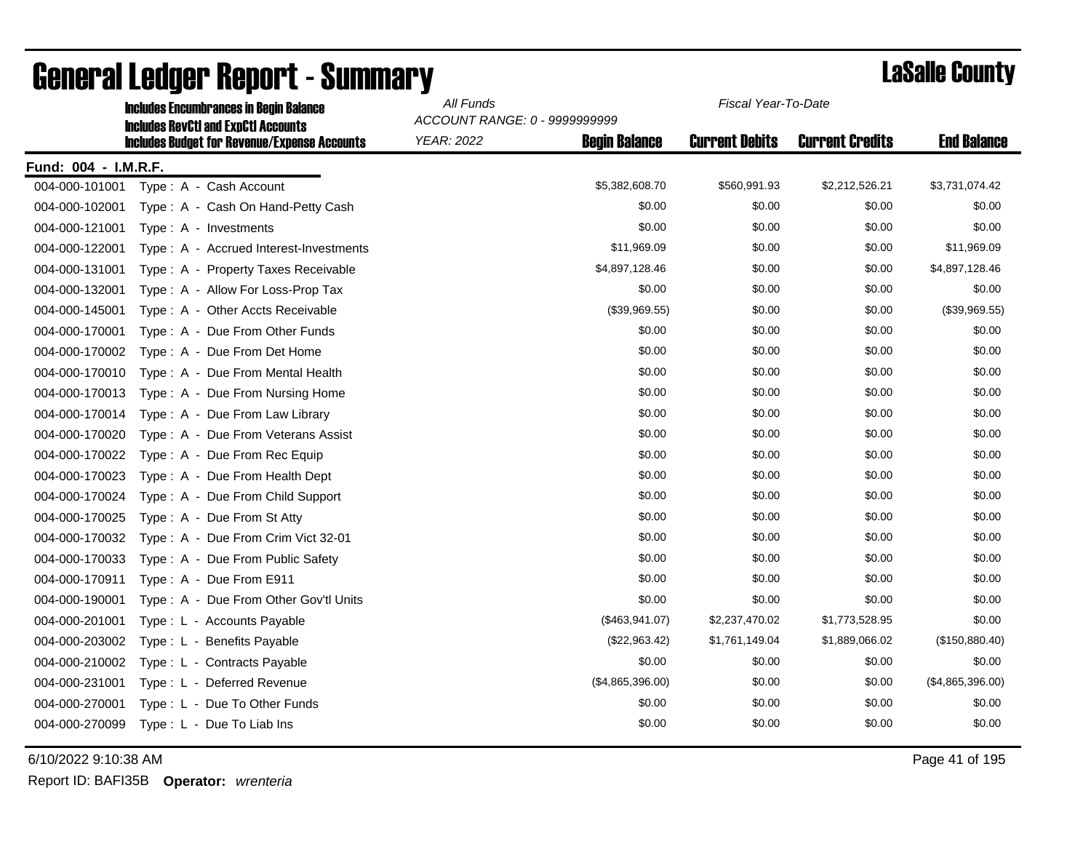|                      | <b>Includes Encumbrances in Begin Balance</b>                                                     | All Funds<br>Fiscal Year-To-Date<br>ACCOUNT RANGE: 0 - 9999999999 |                      |                       |                        |                    |
|----------------------|---------------------------------------------------------------------------------------------------|-------------------------------------------------------------------|----------------------|-----------------------|------------------------|--------------------|
|                      | <b>Includes RevCtI and ExpCtI Accounts</b><br><b>Includes Budget for Revenue/Expense Accounts</b> | <b>YEAR: 2022</b>                                                 | <b>Begin Balance</b> | <b>Current Debits</b> | <b>Current Credits</b> | <b>End Balance</b> |
| Fund: 004 - I.M.R.F. |                                                                                                   |                                                                   |                      |                       |                        |                    |
| 004-000-101001       | Type: A - Cash Account                                                                            |                                                                   | \$5,382,608.70       | \$560,991.93          | \$2,212,526.21         | \$3,731,074.42     |
| 004-000-102001       | Type: A - Cash On Hand-Petty Cash                                                                 |                                                                   | \$0.00               | \$0.00                | \$0.00                 | \$0.00             |
| 004-000-121001       | Type: A - Investments                                                                             |                                                                   | \$0.00               | \$0.00                | \$0.00                 | \$0.00             |
| 004-000-122001       | Type: A - Accrued Interest-Investments                                                            |                                                                   | \$11,969.09          | \$0.00                | \$0.00                 | \$11,969.09        |
| 004-000-131001       | Type: A - Property Taxes Receivable                                                               |                                                                   | \$4,897,128.46       | \$0.00                | \$0.00                 | \$4,897,128.46     |
| 004-000-132001       | Type: A - Allow For Loss-Prop Tax                                                                 |                                                                   | \$0.00               | \$0.00                | \$0.00                 | \$0.00             |
| 004-000-145001       | Type: A - Other Accts Receivable                                                                  |                                                                   | (\$39,969.55)        | \$0.00                | \$0.00                 | (\$39,969.55)      |
| 004-000-170001       | Type: A - Due From Other Funds                                                                    |                                                                   | \$0.00               | \$0.00                | \$0.00                 | \$0.00             |
| 004-000-170002       | Type: A - Due From Det Home                                                                       |                                                                   | \$0.00               | \$0.00                | \$0.00                 | \$0.00             |
| 004-000-170010       | Type: A - Due From Mental Health                                                                  |                                                                   | \$0.00               | \$0.00                | \$0.00                 | \$0.00             |
| 004-000-170013       | Type: A - Due From Nursing Home                                                                   |                                                                   | \$0.00               | \$0.00                | \$0.00                 | \$0.00             |
| 004-000-170014       | Type: A - Due From Law Library                                                                    |                                                                   | \$0.00               | \$0.00                | \$0.00                 | \$0.00             |
| 004-000-170020       | Type: A - Due From Veterans Assist                                                                |                                                                   | \$0.00               | \$0.00                | \$0.00                 | \$0.00             |
| 004-000-170022       | Type: A - Due From Rec Equip                                                                      |                                                                   | \$0.00               | \$0.00                | \$0.00                 | \$0.00             |
| 004-000-170023       | Type: A - Due From Health Dept                                                                    |                                                                   | \$0.00               | \$0.00                | \$0.00                 | \$0.00             |
| 004-000-170024       | Type: A - Due From Child Support                                                                  |                                                                   | \$0.00               | \$0.00                | \$0.00                 | \$0.00             |
| 004-000-170025       | Type: A - Due From St Atty                                                                        |                                                                   | \$0.00               | \$0.00                | \$0.00                 | \$0.00             |
| 004-000-170032       | Type: A - Due From Crim Vict 32-01                                                                |                                                                   | \$0.00               | \$0.00                | \$0.00                 | \$0.00             |
| 004-000-170033       | Type: A - Due From Public Safety                                                                  |                                                                   | \$0.00               | \$0.00                | \$0.00                 | \$0.00             |
| 004-000-170911       | Type: A - Due From E911                                                                           |                                                                   | \$0.00               | \$0.00                | \$0.00                 | \$0.00             |
| 004-000-190001       | Type: A - Due From Other Gov'tl Units                                                             |                                                                   | \$0.00               | \$0.00                | \$0.00                 | \$0.00             |
| 004-000-201001       | Type: L - Accounts Payable                                                                        |                                                                   | (\$463,941.07)       | \$2,237,470.02        | \$1,773,528.95         | \$0.00             |
| 004-000-203002       | Type: L - Benefits Payable                                                                        |                                                                   | (\$22,963.42)        | \$1,761,149.04        | \$1,889,066.02         | (\$150,880.40)     |
| 004-000-210002       | Type: L - Contracts Payable                                                                       |                                                                   | \$0.00               | \$0.00                | \$0.00                 | \$0.00             |
| 004-000-231001       | Type: L - Deferred Revenue                                                                        |                                                                   | (\$4,865,396.00)     | \$0.00                | \$0.00                 | (\$4,865,396.00)   |
| 004-000-270001       | Type: L - Due To Other Funds                                                                      |                                                                   | \$0.00               | \$0.00                | \$0.00                 | \$0.00             |
| 004-000-270099       | Type: L - Due To Liab Ins                                                                         |                                                                   | \$0.00               | \$0.00                | \$0.00                 | \$0.00             |

6/10/2022 9:10:38 AM Page 41 of 195

Report ID: BAFI35B **Operator:** *wrenteria*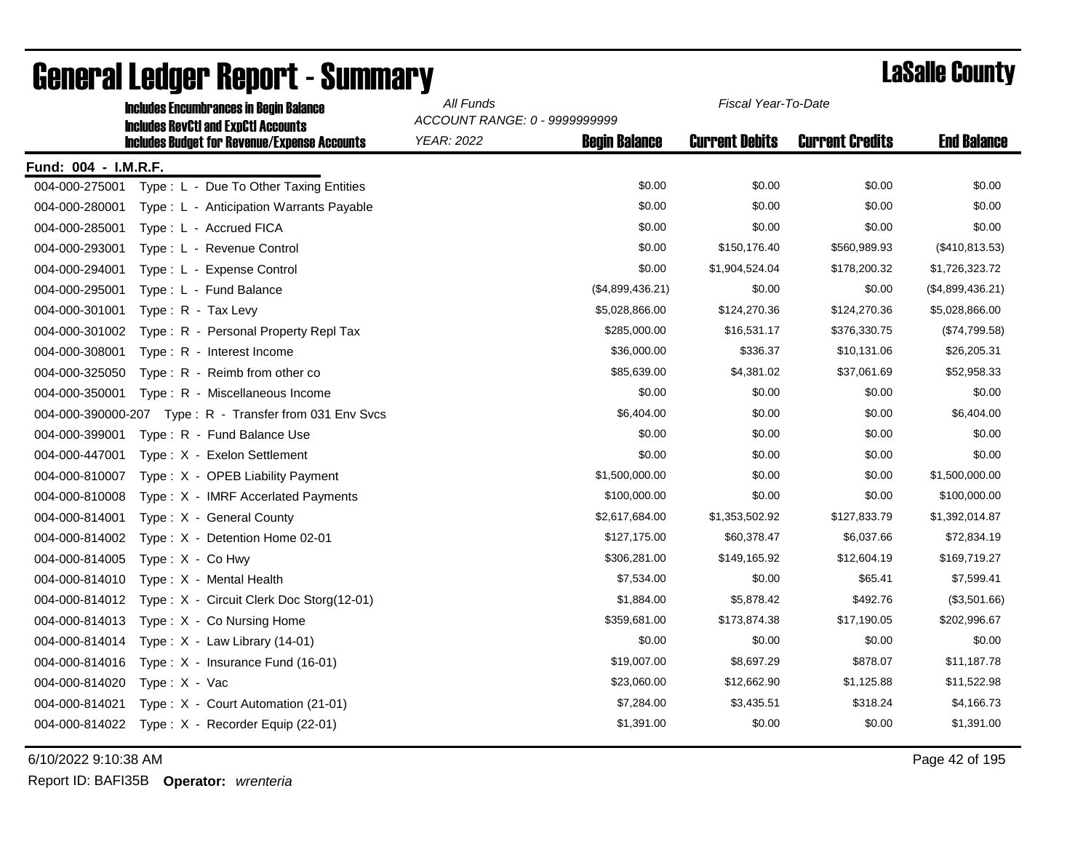|                      | <b>Includes Encumbrances in Begin Balance</b><br><b>Includes RevCtI and ExpCtI Accounts</b> | All Funds<br>Fiscal Year-To-Date<br>ACCOUNT RANGE: 0 - 9999999999 |                      |                       |                        |                    |  |
|----------------------|---------------------------------------------------------------------------------------------|-------------------------------------------------------------------|----------------------|-----------------------|------------------------|--------------------|--|
|                      | <b>Includes Budget for Revenue/Expense Accounts</b>                                         | <b>YEAR: 2022</b>                                                 | <b>Begin Balance</b> | <b>Current Debits</b> | <b>Current Credits</b> | <b>End Balance</b> |  |
| Fund: 004 - I.M.R.F. |                                                                                             |                                                                   |                      |                       |                        |                    |  |
| 004-000-275001       | Type: L - Due To Other Taxing Entities                                                      |                                                                   | \$0.00               | \$0.00                | \$0.00                 | \$0.00             |  |
| 004-000-280001       | Type: L - Anticipation Warrants Payable                                                     |                                                                   | \$0.00               | \$0.00                | \$0.00                 | \$0.00             |  |
| 004-000-285001       | Type: L - Accrued FICA                                                                      |                                                                   | \$0.00               | \$0.00                | \$0.00                 | \$0.00             |  |
| 004-000-293001       | Type: L - Revenue Control                                                                   |                                                                   | \$0.00               | \$150,176.40          | \$560,989.93           | (\$410,813.53)     |  |
| 004-000-294001       | Type: L - Expense Control                                                                   |                                                                   | \$0.00               | \$1,904,524.04        | \$178,200.32           | \$1,726,323.72     |  |
| 004-000-295001       | Type: L - Fund Balance                                                                      |                                                                   | (\$4,899,436.21)     | \$0.00                | \$0.00                 | (\$4,899,436.21)   |  |
| 004-000-301001       | Type: R - Tax Levy                                                                          |                                                                   | \$5,028,866.00       | \$124,270.36          | \$124,270.36           | \$5,028,866.00     |  |
| 004-000-301002       | Type: R - Personal Property Repl Tax                                                        |                                                                   | \$285,000.00         | \$16,531.17           | \$376,330.75           | (\$74,799.58)      |  |
| 004-000-308001       | Type: R - Interest Income                                                                   |                                                                   | \$36,000.00          | \$336.37              | \$10,131.06            | \$26,205.31        |  |
| 004-000-325050       | Type: R - Reimb from other co                                                               |                                                                   | \$85,639.00          | \$4,381.02            | \$37,061.69            | \$52,958.33        |  |
| 004-000-350001       | Type: R - Miscellaneous Income                                                              |                                                                   | \$0.00               | \$0.00                | \$0.00                 | \$0.00             |  |
| 004-000-390000-207   | Type: R - Transfer from 031 Env Svcs                                                        |                                                                   | \$6,404.00           | \$0.00                | \$0.00                 | \$6,404.00         |  |
| 004-000-399001       | Type: R - Fund Balance Use                                                                  |                                                                   | \$0.00               | \$0.00                | \$0.00                 | \$0.00             |  |
| 004-000-447001       | Type: X - Exelon Settlement                                                                 |                                                                   | \$0.00               | \$0.00                | \$0.00                 | \$0.00             |  |
| 004-000-810007       | Type: X - OPEB Liability Payment                                                            |                                                                   | \$1,500,000.00       | \$0.00                | \$0.00                 | \$1,500,000.00     |  |
| 004-000-810008       | Type: X - IMRF Accerlated Payments                                                          |                                                                   | \$100,000.00         | \$0.00                | \$0.00                 | \$100,000.00       |  |
| 004-000-814001       | Type: X - General County                                                                    |                                                                   | \$2,617,684.00       | \$1,353,502.92        | \$127,833.79           | \$1,392,014.87     |  |
| 004-000-814002       | Type: X - Detention Home 02-01                                                              |                                                                   | \$127,175.00         | \$60,378.47           | \$6,037.66             | \$72,834.19        |  |
| 004-000-814005       | $Type: X - Co Hwy$                                                                          |                                                                   | \$306,281.00         | \$149,165.92          | \$12,604.19            | \$169,719.27       |  |
| 004-000-814010       | Type: X - Mental Health                                                                     |                                                                   | \$7,534.00           | \$0.00                | \$65.41                | \$7,599.41         |  |
| 004-000-814012       | Type: X - Circuit Clerk Doc Storg(12-01)                                                    |                                                                   | \$1,884.00           | \$5,878.42            | \$492.76               | (\$3,501.66)       |  |
| 004-000-814013       | Type: X - Co Nursing Home                                                                   |                                                                   | \$359,681.00         | \$173,874.38          | \$17,190.05            | \$202,996.67       |  |
| 004-000-814014       | Type: $X - Law Library (14-01)$                                                             |                                                                   | \$0.00               | \$0.00                | \$0.00                 | \$0.00             |  |
| 004-000-814016       | Type: X - Insurance Fund (16-01)                                                            |                                                                   | \$19,007.00          | \$8,697.29            | \$878.07               | \$11,187.78        |  |
| 004-000-814020       | Type: X - Vac                                                                               |                                                                   | \$23,060.00          | \$12,662.90           | \$1,125.88             | \$11,522.98        |  |
| 004-000-814021       | Type: X - Court Automation (21-01)                                                          |                                                                   | \$7,284.00           | \$3,435.51            | \$318.24               | \$4,166.73         |  |
| 004-000-814022       | Type: X - Recorder Equip (22-01)                                                            |                                                                   | \$1,391.00           | \$0.00                | \$0.00                 | \$1,391.00         |  |

## General Ledger Report - Summary **Lassing Service Report - Summary**

6/10/2022 9:10:38 AM Page 42 of 195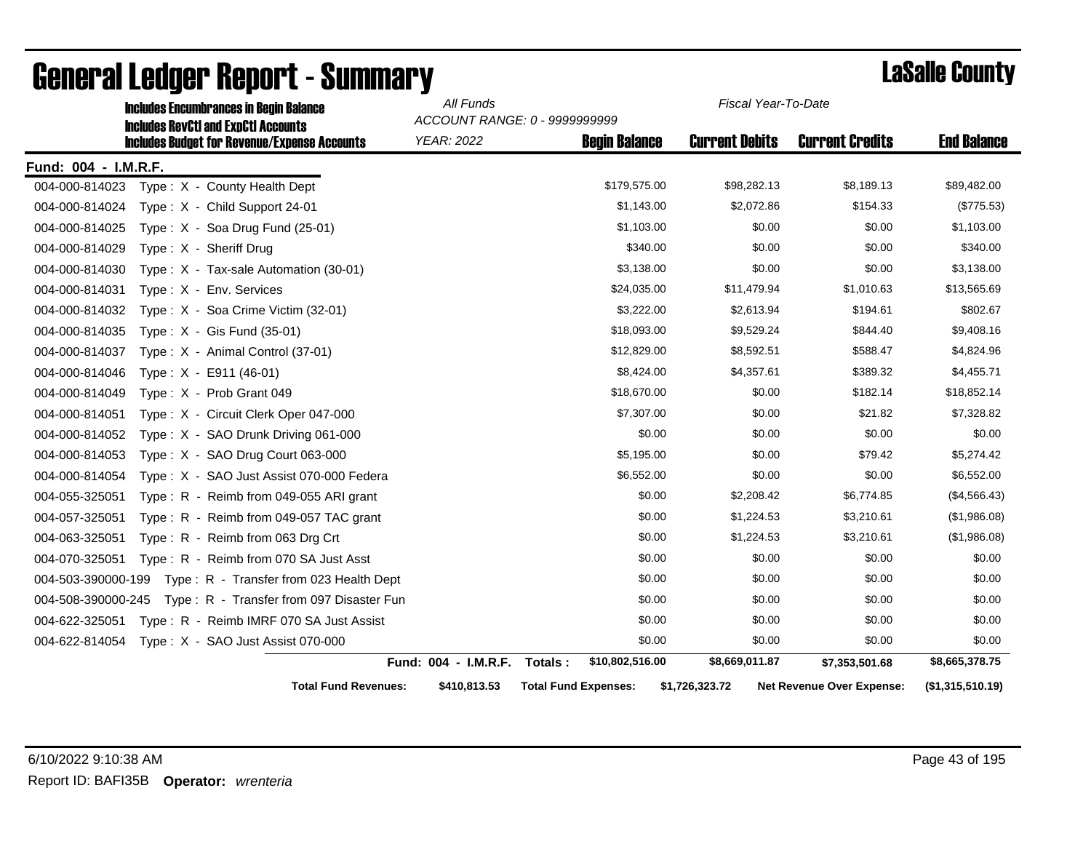|                      | <b>Includes Encumbrances in Begin Balance</b>                                                     | All Funds            | Fiscal Year-To-Date<br>ACCOUNT RANGE: 0 - 9999999999 |                       |                           |                    |
|----------------------|---------------------------------------------------------------------------------------------------|----------------------|------------------------------------------------------|-----------------------|---------------------------|--------------------|
|                      | <b>Includes RevCtI and ExpCtI Accounts</b><br><b>Includes Budget for Revenue/Expense Accounts</b> | <b>YEAR: 2022</b>    | <b>Begin Balance</b>                                 | <b>Current Debits</b> | <b>Current Credits</b>    | <b>End Balance</b> |
| Fund: 004 - I.M.R.F. |                                                                                                   |                      |                                                      |                       |                           |                    |
| 004-000-814023       | Type: X - County Health Dept                                                                      |                      | \$179,575.00                                         | \$98,282.13           | \$8,189.13                | \$89,482.00        |
| 004-000-814024       | Type: X - Child Support 24-01                                                                     |                      | \$1,143.00                                           | \$2,072.86            | \$154.33                  | (\$775.53)         |
| 004-000-814025       | Type: $X -$ Soa Drug Fund (25-01)                                                                 |                      | \$1,103.00                                           | \$0.00                | \$0.00                    | \$1,103.00         |
| 004-000-814029       | Type: X - Sheriff Drug                                                                            |                      | \$340.00                                             | \$0.00                | \$0.00                    | \$340.00           |
| 004-000-814030       | Type: $X - Tax-scale$ Automation (30-01)                                                          |                      | \$3,138.00                                           | \$0.00                | \$0.00                    | \$3,138.00         |
| 004-000-814031       | Type: X - Env. Services                                                                           |                      | \$24,035.00                                          | \$11,479.94           | \$1,010.63                | \$13,565.69        |
| 004-000-814032       | Type: $X -$ Soa Crime Victim (32-01)                                                              |                      | \$3,222.00                                           | \$2,613.94            | \$194.61                  | \$802.67           |
| 004-000-814035       | Type: X - Gis Fund (35-01)                                                                        |                      | \$18,093.00                                          | \$9,529.24            | \$844.40                  | \$9,408.16         |
| 004-000-814037       | Type: X - Animal Control (37-01)                                                                  |                      | \$12,829.00                                          | \$8,592.51            | \$588.47                  | \$4,824.96         |
| 004-000-814046       | Type: $X - E911(46-01)$                                                                           |                      | \$8,424.00                                           | \$4,357.61            | \$389.32                  | \$4,455.71         |
| 004-000-814049       | Type: X - Prob Grant 049                                                                          |                      | \$18,670.00                                          | \$0.00                | \$182.14                  | \$18,852.14        |
| 004-000-814051       | Type: X - Circuit Clerk Oper 047-000                                                              |                      | \$7,307.00                                           | \$0.00                | \$21.82                   | \$7,328.82         |
| 004-000-814052       | Type: X - SAO Drunk Driving 061-000                                                               |                      | \$0.00                                               | \$0.00                | \$0.00                    | \$0.00             |
| 004-000-814053       | Type: X - SAO Drug Court 063-000                                                                  |                      | \$5,195.00                                           | \$0.00                | \$79.42                   | \$5,274.42         |
| 004-000-814054       | Type: X - SAO Just Assist 070-000 Federa                                                          |                      | \$6,552.00                                           | \$0.00                | \$0.00                    | \$6,552.00         |
| 004-055-325051       | Type: R - Reimb from 049-055 ARI grant                                                            |                      | \$0.00                                               | \$2,208.42            | \$6,774.85                | (\$4,566.43)       |
| 004-057-325051       | Type: R - Reimb from 049-057 TAC grant                                                            |                      | \$0.00                                               | \$1,224.53            | \$3,210.61                | (\$1,986.08)       |
| 004-063-325051       | Type: R - Reimb from 063 Drg Crt                                                                  |                      | \$0.00                                               | \$1,224.53            | \$3,210.61                | (\$1,986.08)       |
| 004-070-325051       | Type: R - Reimb from 070 SA Just Asst                                                             |                      | \$0.00                                               | \$0.00                | \$0.00                    | \$0.00             |
| 004-503-390000-199   | Type: R - Transfer from 023 Health Dept                                                           |                      | \$0.00                                               | \$0.00                | \$0.00                    | \$0.00             |
| 004-508-390000-245   | Type: R - Transfer from 097 Disaster Fun                                                          |                      | \$0.00                                               | \$0.00                | \$0.00                    | \$0.00             |
| 004-622-325051       | Type: R - Reimb IMRF 070 SA Just Assist                                                           |                      | \$0.00                                               | \$0.00                | \$0.00                    | \$0.00             |
| 004-622-814054       | Type: X - SAO Just Assist 070-000                                                                 |                      | \$0.00                                               | \$0.00                | \$0.00                    | \$0.00             |
|                      |                                                                                                   | Fund: 004 - I.M.R.F. | \$10,802,516.00<br>Totals:                           | \$8,669,011.87        | \$7,353,501.68            | \$8,665,378.75     |
|                      | <b>Total Fund Revenues:</b>                                                                       | \$410,813.53         | <b>Total Fund Expenses:</b>                          | \$1,726,323.72        | Net Revenue Over Expense: | (\$1,315,510.19)   |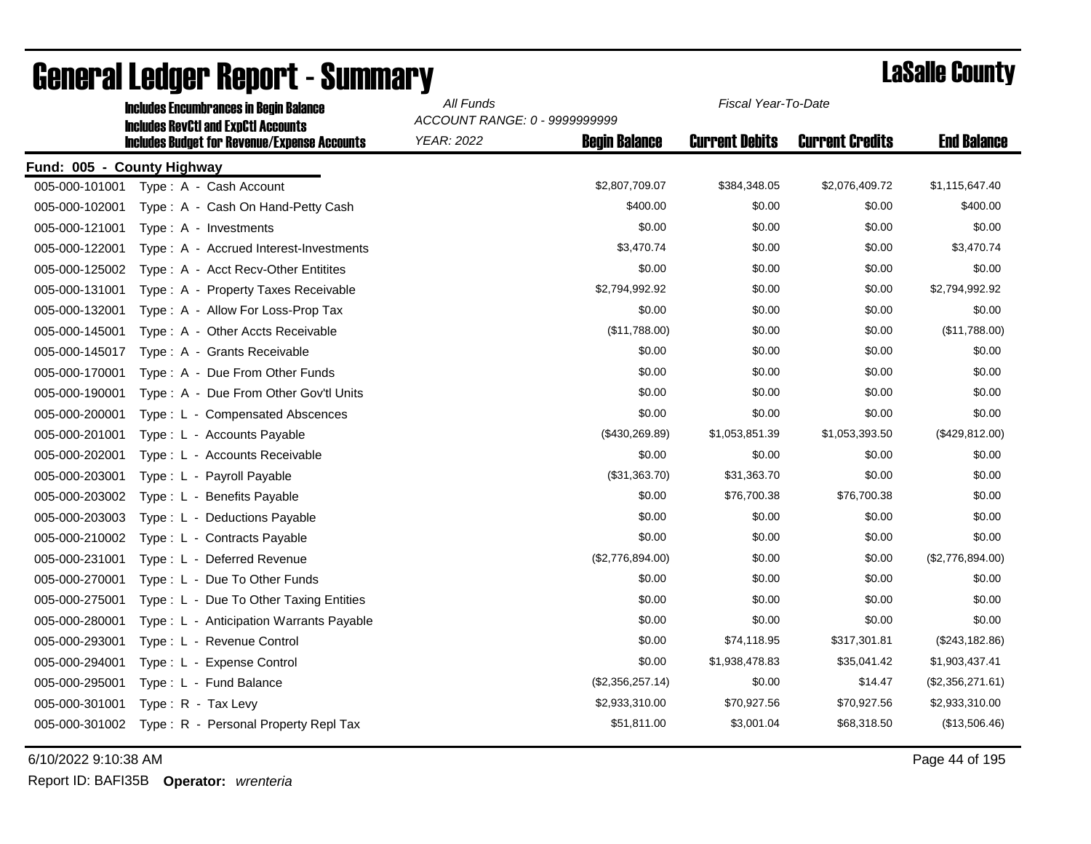|                            | <b>Includes Encumbrances in Begin Balance</b>       | All Funds<br>Fiscal Year-To-Date |                      |                       |                        |                    |
|----------------------------|-----------------------------------------------------|----------------------------------|----------------------|-----------------------|------------------------|--------------------|
|                            | <b>Includes RevCtI and ExpCtI Accounts</b>          | ACCOUNT RANGE: 0 - 9999999999    |                      |                       |                        |                    |
|                            | <b>Includes Budget for Revenue/Expense Accounts</b> | <b>YEAR: 2022</b>                | <b>Begin Balance</b> | <b>Current Debits</b> | <b>Current Credits</b> | <b>End Balance</b> |
| Fund: 005 - County Highway |                                                     |                                  |                      |                       |                        |                    |
| 005-000-101001             | Type: A - Cash Account                              |                                  | \$2,807,709.07       | \$384,348.05          | \$2,076,409.72         | \$1,115,647.40     |
| 005-000-102001             | Type: A - Cash On Hand-Petty Cash                   |                                  | \$400.00             | \$0.00                | \$0.00                 | \$400.00           |
| 005-000-121001             | Type: A - Investments                               |                                  | \$0.00               | \$0.00                | \$0.00                 | \$0.00             |
| 005-000-122001             | Type: A - Accrued Interest-Investments              |                                  | \$3,470.74           | \$0.00                | \$0.00                 | \$3,470.74         |
| 005-000-125002             | Type: A - Acct Recv-Other Entitites                 |                                  | \$0.00               | \$0.00                | \$0.00                 | \$0.00             |
| 005-000-131001             | Type: A - Property Taxes Receivable                 |                                  | \$2,794,992.92       | \$0.00                | \$0.00                 | \$2,794,992.92     |
| 005-000-132001             | Type: A - Allow For Loss-Prop Tax                   |                                  | \$0.00               | \$0.00                | \$0.00                 | \$0.00             |
| 005-000-145001             | Type: A - Other Accts Receivable                    |                                  | (\$11,788.00)        | \$0.00                | \$0.00                 | (\$11,788.00)      |
| 005-000-145017             | Type: A - Grants Receivable                         |                                  | \$0.00               | \$0.00                | \$0.00                 | \$0.00             |
| 005-000-170001             | Type: A - Due From Other Funds                      |                                  | \$0.00               | \$0.00                | \$0.00                 | \$0.00             |
| 005-000-190001             | Type: A - Due From Other Gov'tl Units               |                                  | \$0.00               | \$0.00                | \$0.00                 | \$0.00             |
| 005-000-200001             | Type: L - Compensated Abscences                     |                                  | \$0.00               | \$0.00                | \$0.00                 | \$0.00             |
| 005-000-201001             | Type: L - Accounts Payable                          |                                  | (\$430,269.89)       | \$1,053,851.39        | \$1,053,393.50         | (\$429, 812.00)    |
| 005-000-202001             | Type: L - Accounts Receivable                       |                                  | \$0.00               | \$0.00                | \$0.00                 | \$0.00             |
| 005-000-203001             | Type: L - Payroll Payable                           |                                  | (\$31,363.70)        | \$31,363.70           | \$0.00                 | \$0.00             |
| 005-000-203002             | Type: L - Benefits Payable                          |                                  | \$0.00               | \$76,700.38           | \$76,700.38            | \$0.00             |
| 005-000-203003             | Type: L - Deductions Payable                        |                                  | \$0.00               | \$0.00                | \$0.00                 | \$0.00             |
| 005-000-210002             | Type: L - Contracts Payable                         |                                  | \$0.00               | \$0.00                | \$0.00                 | \$0.00             |
| 005-000-231001             | Type: L - Deferred Revenue                          |                                  | (\$2,776,894.00)     | \$0.00                | \$0.00                 | (\$2,776,894.00)   |
| 005-000-270001             | Type: L - Due To Other Funds                        |                                  | \$0.00               | \$0.00                | \$0.00                 | \$0.00             |
| 005-000-275001             | Type: L - Due To Other Taxing Entities              |                                  | \$0.00               | \$0.00                | \$0.00                 | \$0.00             |
| 005-000-280001             | Type: L - Anticipation Warrants Payable             |                                  | \$0.00               | \$0.00                | \$0.00                 | \$0.00             |
| 005-000-293001             | Type: L - Revenue Control                           |                                  | \$0.00               | \$74,118.95           | \$317,301.81           | (\$243,182.86)     |
| 005-000-294001             | Type: L - Expense Control                           |                                  | \$0.00               | \$1,938,478.83        | \$35,041.42            | \$1,903,437.41     |
| 005-000-295001             | Type: L - Fund Balance                              |                                  | (\$2,356,257.14)     | \$0.00                | \$14.47                | (\$2,356,271.61)   |
| 005-000-301001             | Type: R - Tax Levy                                  |                                  | \$2,933,310.00       | \$70,927.56           | \$70,927.56            | \$2,933,310.00     |
| 005-000-301002             | Type: R - Personal Property Repl Tax                |                                  | \$51,811.00          | \$3,001.04            | \$68,318.50            | (\$13,506.46)      |
|                            |                                                     |                                  |                      |                       |                        |                    |

6/10/2022 9:10:38 AM Page 44 of 195

Report ID: BAFI35B **Operator:** *wrenteria*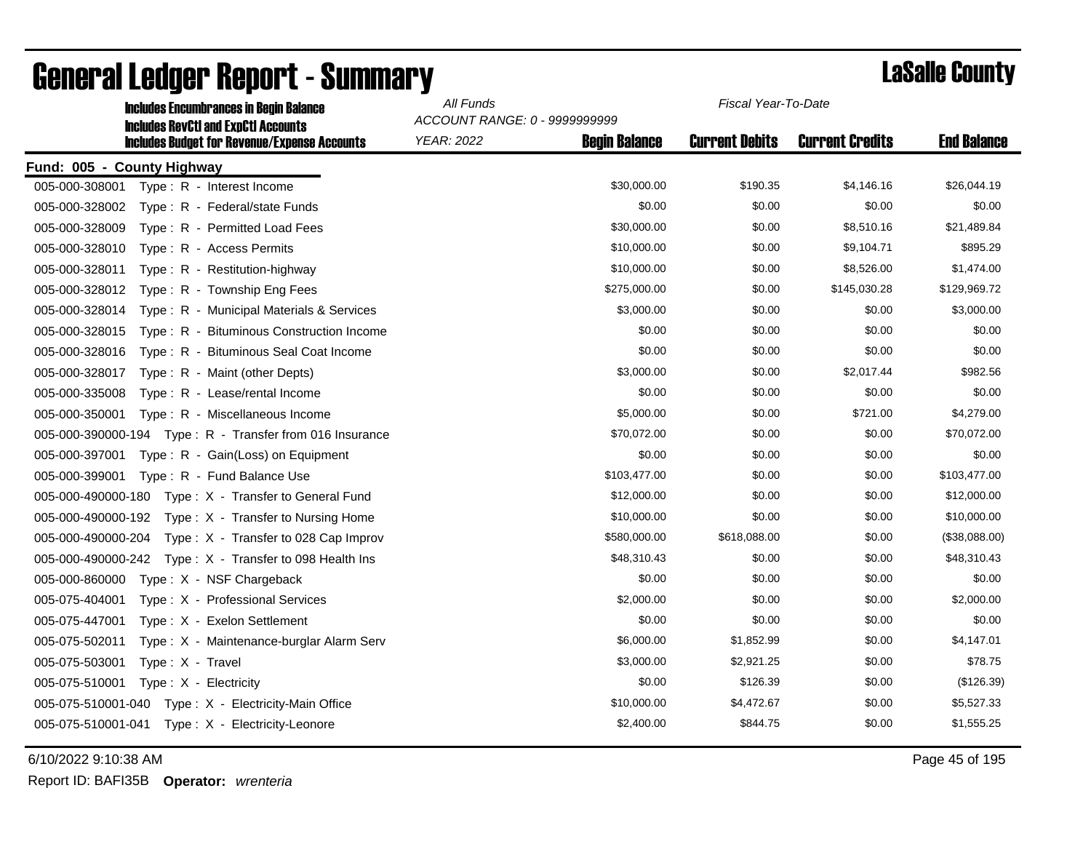| <b>Includes Encumbrances in Begin Balance</b>                                                     |                                                                            | All Funds<br>Fiscal Year-To-Date |                        |                    |  |
|---------------------------------------------------------------------------------------------------|----------------------------------------------------------------------------|----------------------------------|------------------------|--------------------|--|
| <b>Includes RevCtI and ExpCtI Accounts</b><br><b>Includes Budget for Revenue/Expense Accounts</b> | ACCOUNT RANGE: 0 - 9999999999<br><b>YEAR: 2022</b><br><b>Begin Balance</b> | <b>Current Debits</b>            | <b>Current Credits</b> | <b>End Balance</b> |  |
| Fund: 005 - County Highway                                                                        |                                                                            |                                  |                        |                    |  |
| 005-000-308001<br>Type: R - Interest Income                                                       | \$30,000.00                                                                | \$190.35                         | \$4,146.16             | \$26,044.19        |  |
| 005-000-328002<br>Type: R - Federal/state Funds                                                   | \$0.00                                                                     | \$0.00                           | \$0.00                 | \$0.00             |  |
| 005-000-328009<br>Type: R - Permitted Load Fees                                                   | \$30,000.00                                                                | \$0.00                           | \$8,510.16             | \$21,489.84        |  |
| 005-000-328010<br>Type: R - Access Permits                                                        | \$10,000.00                                                                | \$0.00                           | \$9,104.71             | \$895.29           |  |
| 005-000-328011<br>Type: R - Restitution-highway                                                   | \$10,000.00                                                                | \$0.00                           | \$8,526.00             | \$1,474.00         |  |
| 005-000-328012<br>Type: R - Township Eng Fees                                                     | \$275,000.00                                                               | \$0.00                           | \$145,030.28           | \$129,969.72       |  |
| 005-000-328014<br>Type: R - Municipal Materials & Services                                        | \$3,000.00                                                                 | \$0.00                           | \$0.00                 | \$3,000.00         |  |
| 005-000-328015<br>Type: R - Bituminous Construction Income                                        | \$0.00                                                                     | \$0.00                           | \$0.00                 | \$0.00             |  |
| 005-000-328016<br>Type: R - Bituminous Seal Coat Income                                           | \$0.00                                                                     | \$0.00                           | \$0.00                 | \$0.00             |  |
| 005-000-328017<br>Type: R - Maint (other Depts)                                                   | \$3,000.00                                                                 | \$0.00                           | \$2,017.44             | \$982.56           |  |
| 005-000-335008<br>Type: R - Lease/rental Income                                                   | \$0.00                                                                     | \$0.00                           | \$0.00                 | \$0.00             |  |
| 005-000-350001<br>Type: R - Miscellaneous Income                                                  | \$5,000.00                                                                 | \$0.00                           | \$721.00               | \$4,279.00         |  |
| 005-000-390000-194 Type: R - Transfer from 016 Insurance                                          | \$70,072.00                                                                | \$0.00                           | \$0.00                 | \$70,072.00        |  |
| 005-000-397001<br>Type: R - Gain(Loss) on Equipment                                               | \$0.00                                                                     | \$0.00                           | \$0.00                 | \$0.00             |  |
| 005-000-399001<br>Type: R - Fund Balance Use                                                      | \$103,477.00                                                               | \$0.00                           | \$0.00                 | \$103,477.00       |  |
| 005-000-490000-180    Type: X - Transfer to General Fund                                          | \$12,000.00                                                                | \$0.00                           | \$0.00                 | \$12,000.00        |  |
| 005-000-490000-192<br>Type: X - Transfer to Nursing Home                                          | \$10,000.00                                                                | \$0.00                           | \$0.00                 | \$10,000.00        |  |
| 005-000-490000-204<br>Type : $X -$ Transfer to 028 Cap Improv                                     | \$580,000.00                                                               | \$618,088.00                     | \$0.00                 | (\$38,088.00)      |  |
| 005-000-490000-242<br>Type: $X -$ Transfer to 098 Health Ins                                      | \$48,310.43                                                                | \$0.00                           | \$0.00                 | \$48,310.43        |  |
| 005-000-860000<br>Type: X - NSF Chargeback                                                        | \$0.00                                                                     | \$0.00                           | \$0.00                 | \$0.00             |  |
| Type: X - Professional Services<br>005-075-404001                                                 | \$2,000.00                                                                 | \$0.00                           | \$0.00                 | \$2,000.00         |  |
| 005-075-447001<br>Type: X - Exelon Settlement                                                     | \$0.00                                                                     | \$0.00                           | \$0.00                 | \$0.00             |  |
| 005-075-502011<br>Type: X - Maintenance-burglar Alarm Serv                                        | \$6,000.00                                                                 | \$1,852.99                       | \$0.00                 | \$4,147.01         |  |
| 005-075-503001<br>Type: X - Travel                                                                | \$3,000.00                                                                 | \$2,921.25                       | \$0.00                 | \$78.75            |  |
| 005-075-510001<br>Type: X - Electricity                                                           | \$0.00                                                                     | \$126.39                         | \$0.00                 | (\$126.39)         |  |
| 005-075-510001-040    Type: X - Electricity-Main Office                                           | \$10,000.00                                                                | \$4,472.67                       | \$0.00                 | \$5,527.33         |  |
| 005-075-510001-041    Type: X - Electricity-Leonore                                               | \$2,400.00                                                                 | \$844.75                         | \$0.00                 | \$1,555.25         |  |

# General Ledger Report - Summary **Lassing Report - Summary**

6/10/2022 9:10:38 AM Page 45 of 195

Report ID: BAFI35B **Operator:** *wrenteria*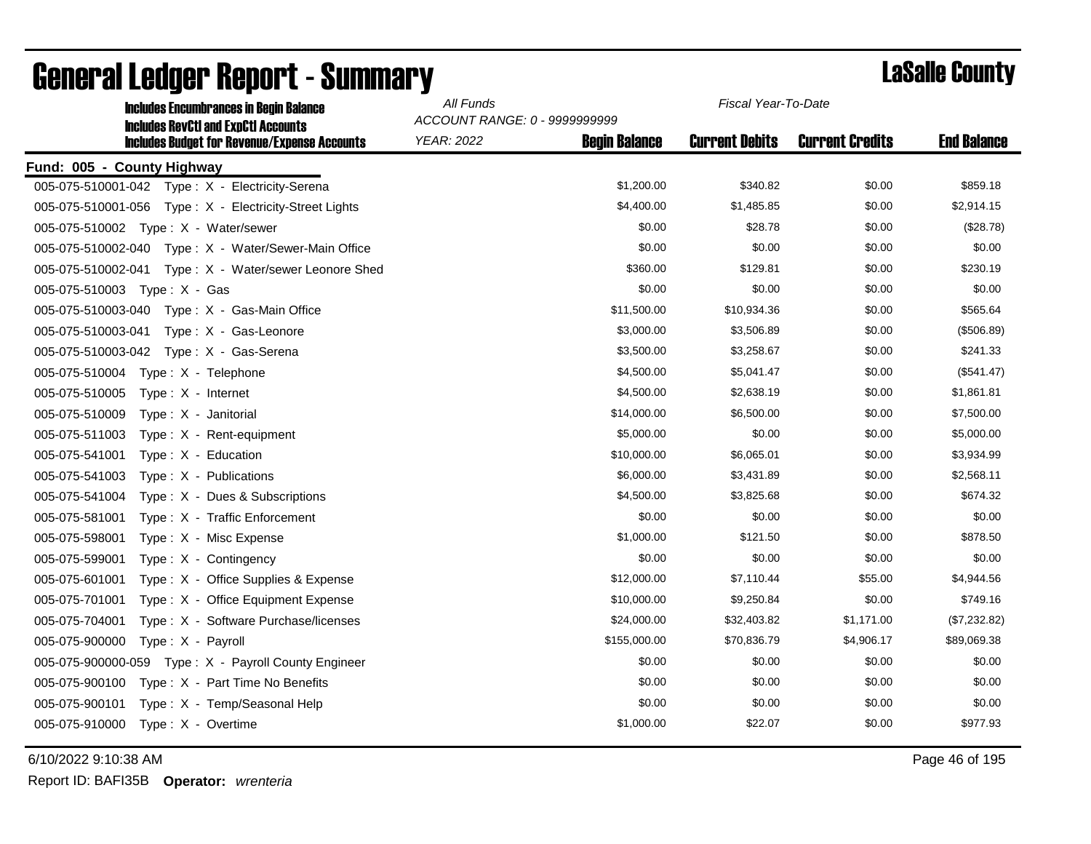| <b>Includes Encumbrances in Begin Balance</b><br><b>Includes RevCtI and ExpCtI Accounts</b> | All Funds<br>Fiscal Year-To-Date<br>ACCOUNT RANGE: 0 - 9999999999 |                      |                       |                        |                    |
|---------------------------------------------------------------------------------------------|-------------------------------------------------------------------|----------------------|-----------------------|------------------------|--------------------|
| <b>Includes Budget for Revenue/Expense Accounts</b>                                         | <b>YEAR: 2022</b>                                                 | <b>Begin Balance</b> | <b>Current Debits</b> | <b>Current Credits</b> | <b>End Balance</b> |
| Fund: 005 - County Highway                                                                  |                                                                   |                      |                       |                        |                    |
|                                                                                             |                                                                   | \$1,200.00           | \$340.82              | \$0.00                 | \$859.18           |
| 005-075-510001-056    Type: X - Electricity-Street Lights                                   |                                                                   | \$4,400.00           | \$1,485.85            | \$0.00                 | \$2,914.15         |
| 005-075-510002 Type: X - Water/sewer                                                        |                                                                   | \$0.00               | \$28.78               | \$0.00                 | (\$28.78)          |
| 005-075-510002-040    Type: X - Water/Sewer-Main Office                                     |                                                                   | \$0.00               | \$0.00                | \$0.00                 | \$0.00             |
| 005-075-510002-041    Type: X - Water/sewer Leonore Shed                                    |                                                                   | \$360.00             | \$129.81              | \$0.00                 | \$230.19           |
| 005-075-510003 Type: X - Gas                                                                |                                                                   | \$0.00               | \$0.00                | \$0.00                 | \$0.00             |
| 005-075-510003-040    Type: X - Gas-Main Office                                             |                                                                   | \$11,500.00          | \$10,934.36           | \$0.00                 | \$565.64           |
| 005-075-510003-041<br>Type: X - Gas-Leonore                                                 |                                                                   | \$3,000.00           | \$3,506.89            | \$0.00                 | (\$506.89)         |
| 005-075-510003-042 Type: X - Gas-Serena                                                     |                                                                   | \$3,500.00           | \$3,258.67            | \$0.00                 | \$241.33           |
| 005-075-510004<br>Type: X - Telephone                                                       |                                                                   | \$4,500.00           | \$5,041.47            | \$0.00                 | (\$541.47)         |
| 005-075-510005<br>Type: X - Internet                                                        |                                                                   | \$4,500.00           | \$2,638.19            | \$0.00                 | \$1,861.81         |
| 005-075-510009<br>Type: X - Janitorial                                                      |                                                                   | \$14,000.00          | \$6,500.00            | \$0.00                 | \$7,500.00         |
| 005-075-511003<br>Type: X - Rent-equipment                                                  |                                                                   | \$5,000.00           | \$0.00                | \$0.00                 | \$5,000.00         |
| 005-075-541001<br>Type: X - Education                                                       |                                                                   | \$10,000.00          | \$6,065.01            | \$0.00                 | \$3,934.99         |
| 005-075-541003<br>Type: X - Publications                                                    |                                                                   | \$6,000.00           | \$3,431.89            | \$0.00                 | \$2,568.11         |
| 005-075-541004<br>Type: X - Dues & Subscriptions                                            |                                                                   | \$4,500.00           | \$3,825.68            | \$0.00                 | \$674.32           |
| 005-075-581001<br>Type: X - Traffic Enforcement                                             |                                                                   | \$0.00               | \$0.00                | \$0.00                 | \$0.00             |
| 005-075-598001<br>Type: X - Misc Expense                                                    |                                                                   | \$1,000.00           | \$121.50              | \$0.00                 | \$878.50           |
| 005-075-599001<br>Type: X - Contingency                                                     |                                                                   | \$0.00               | \$0.00                | \$0.00                 | \$0.00             |
| 005-075-601001<br>Type: X - Office Supplies & Expense                                       |                                                                   | \$12,000.00          | \$7,110.44            | \$55.00                | \$4,944.56         |
| 005-075-701001<br>Type: X - Office Equipment Expense                                        |                                                                   | \$10,000.00          | \$9,250.84            | \$0.00                 | \$749.16           |
| 005-075-704001<br>Type: X - Software Purchase/licenses                                      |                                                                   | \$24,000.00          | \$32,403.82           | \$1,171.00             | (\$7,232.82)       |
| 005-075-900000<br>Type: X - Payroll                                                         |                                                                   | \$155,000.00         | \$70,836.79           | \$4,906.17             | \$89,069.38        |
| 005-075-900000-059    Type: X - Payroll County Engineer                                     |                                                                   | \$0.00               | \$0.00                | \$0.00                 | \$0.00             |
| 005-075-900100<br>Type: X - Part Time No Benefits                                           |                                                                   | \$0.00               | \$0.00                | \$0.00                 | \$0.00             |
| 005-075-900101<br>Type: X - Temp/Seasonal Help                                              |                                                                   | \$0.00               | \$0.00                | \$0.00                 | \$0.00             |
| 005-075-910000<br>Type: X - Overtime                                                        |                                                                   | \$1,000.00           | \$22.07               | \$0.00                 | \$977.93           |

## General Ledger Report - Summary **Lassing Service Report - Summary**

6/10/2022 9:10:38 AM Page 46 of 195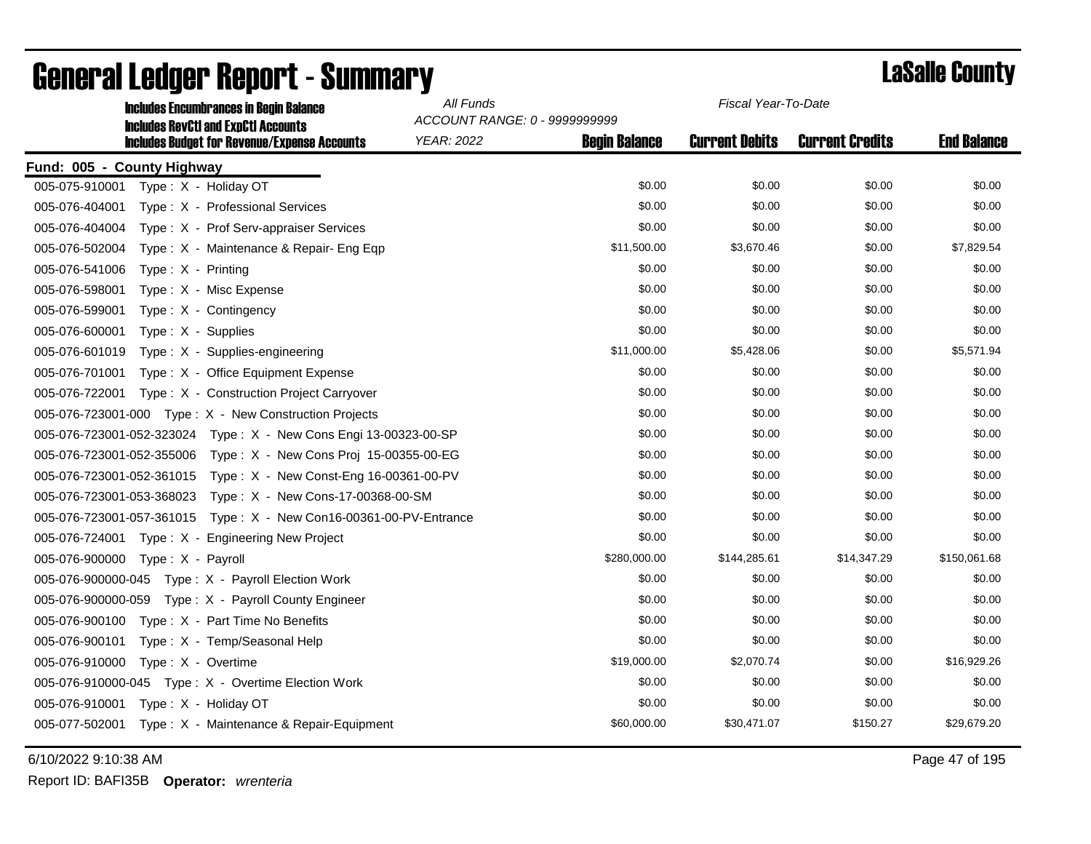| <b>Includes Encumbrances in Begin Balance</b><br><b>Includes RevCtI and ExpCtI Accounts</b> | All Funds<br>ACCOUNT RANGE: 0 - 9999999999 | Fiscal Year-To-Date  |                       |                        |                    |
|---------------------------------------------------------------------------------------------|--------------------------------------------|----------------------|-----------------------|------------------------|--------------------|
| <b>Includes Budget for Revenue/Expense Accounts</b>                                         | <b>YEAR: 2022</b>                          | <b>Begin Balance</b> | <b>Current Debits</b> | <b>Current Credits</b> | <b>End Balance</b> |
| Fund: 005 - County Highway                                                                  |                                            |                      |                       |                        |                    |
| 005-075-910001<br>Type: X - Holiday OT                                                      |                                            | \$0.00               | \$0.00                | \$0.00                 | \$0.00             |
| 005-076-404001<br>Type: X - Professional Services                                           |                                            | \$0.00               | \$0.00                | \$0.00                 | \$0.00             |
| 005-076-404004<br>Type: X - Prof Serv-appraiser Services                                    |                                            | \$0.00               | \$0.00                | \$0.00                 | \$0.00             |
| 005-076-502004<br>Type: X - Maintenance & Repair- Eng Eqp                                   |                                            | \$11,500.00          | \$3,670.46            | \$0.00                 | \$7,829.54         |
| 005-076-541006<br>Type: $X -$ Printing                                                      |                                            | \$0.00               | \$0.00                | \$0.00                 | \$0.00             |
| 005-076-598001<br>Type: X - Misc Expense                                                    |                                            | \$0.00               | \$0.00                | \$0.00                 | \$0.00             |
| 005-076-599001<br>Type: X - Contingency                                                     |                                            | \$0.00               | \$0.00                | \$0.00                 | \$0.00             |
| 005-076-600001<br>Type: X - Supplies                                                        |                                            | \$0.00               | \$0.00                | \$0.00                 | \$0.00             |
| 005-076-601019<br>Type: X - Supplies-engineering                                            |                                            | \$11,000.00          | \$5,428.06            | \$0.00                 | \$5,571.94         |
| 005-076-701001<br>Type: X - Office Equipment Expense                                        |                                            | \$0.00               | \$0.00                | \$0.00                 | \$0.00             |
| 005-076-722001<br>Type: X - Construction Project Carryover                                  |                                            | \$0.00               | \$0.00                | \$0.00                 | \$0.00             |
| 005-076-723001-000 Type: X - New Construction Projects                                      |                                            | \$0.00               | \$0.00                | \$0.00                 | \$0.00             |
| 005-076-723001-052-323024    Type: X - New Cons Engi 13-00323-00-SP                         |                                            | \$0.00               | \$0.00                | \$0.00                 | \$0.00             |
| 005-076-723001-052-355006<br>Type: X - New Cons Proj 15-00355-00-EG                         |                                            | \$0.00               | \$0.00                | \$0.00                 | \$0.00             |
| 005-076-723001-052-361015<br>Type: $X - New Const-Eng 16-00361-00-PV$                       |                                            | \$0.00               | \$0.00                | \$0.00                 | \$0.00             |
| Type: X - New Cons-17-00368-00-SM<br>005-076-723001-053-368023                              |                                            | \$0.00               | \$0.00                | \$0.00                 | \$0.00             |
| 005-076-723001-057-361015    Type: X - New Con16-00361-00-PV-Entrance                       |                                            | \$0.00               | \$0.00                | \$0.00                 | \$0.00             |
| 005-076-724001 Type: X - Engineering New Project                                            |                                            | \$0.00               | \$0.00                | \$0.00                 | \$0.00             |
| 005-076-900000 Type: X - Payroll                                                            |                                            | \$280,000.00         | \$144,285.61          | \$14,347.29            | \$150,061.68       |
| 005-076-900000-045    Type: X - Payroll Election Work                                       |                                            | \$0.00               | \$0.00                | \$0.00                 | \$0.00             |
| 005-076-900000-059    Type: X - Payroll County Engineer                                     |                                            | \$0.00               | \$0.00                | \$0.00                 | \$0.00             |
| 005-076-900100 Type: X - Part Time No Benefits                                              |                                            | \$0.00               | \$0.00                | \$0.00                 | \$0.00             |
| 005-076-900101<br>Type: X - Temp/Seasonal Help                                              |                                            | \$0.00               | \$0.00                | \$0.00                 | \$0.00             |
| 005-076-910000<br>Type: X - Overtime                                                        |                                            | \$19,000.00          | \$2,070.74            | \$0.00                 | \$16,929.26        |
| 005-076-910000-045    Type: X - Overtime Election Work                                      |                                            | \$0.00               | \$0.00                | \$0.00                 | \$0.00             |
| 005-076-910001<br>Type: X - Holiday OT                                                      |                                            | \$0.00               | \$0.00                | \$0.00                 | \$0.00             |
| 005-077-502001 Type: X - Maintenance & Repair-Equipment                                     |                                            | \$60,000.00          | \$30,471.07           | \$150.27               | \$29,679.20        |

## General Ledger Report - Summary **Lassing Service Report - Summary**

6/10/2022 9:10:38 AM Page 47 of 195

Report ID: BAFI35B **Operator:** *wrenteria*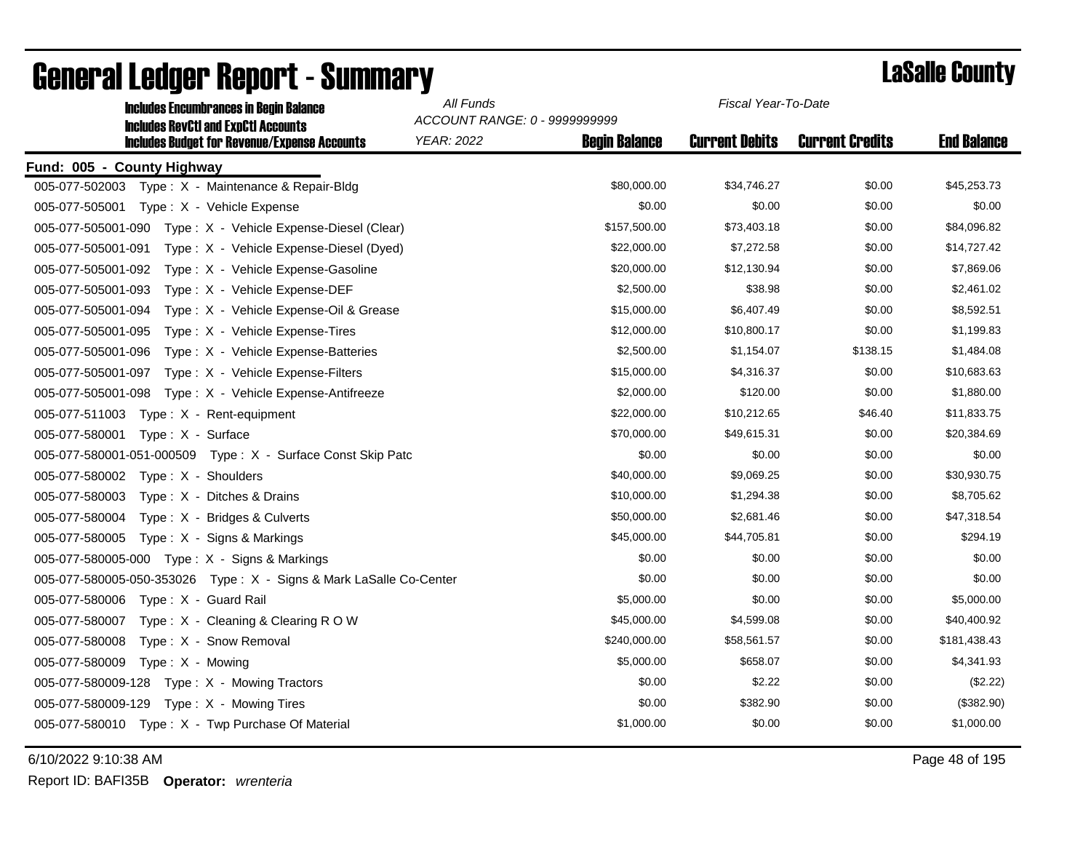| <b>Includes Encumbrances in Begin Balance</b>                         | All Funds                     | Fiscal Year-To-Date  |                       |                        |                    |  |
|-----------------------------------------------------------------------|-------------------------------|----------------------|-----------------------|------------------------|--------------------|--|
| <b>Includes RevCtI and ExpCtI Accounts</b>                            | ACCOUNT RANGE: 0 - 9999999999 |                      |                       |                        |                    |  |
| <b>Includes Budget for Revenue/Expense Accounts</b>                   | <b>YEAR: 2022</b>             | <b>Begin Balance</b> | <b>Current Debits</b> | <b>Current Credits</b> | <b>End Balance</b> |  |
| Fund: 005 - County Highway                                            |                               |                      |                       |                        |                    |  |
| 005-077-502003 Type: X - Maintenance & Repair-Bldg                    |                               | \$80,000.00          | \$34,746.27           | \$0.00                 | \$45,253.73        |  |
| 005-077-505001 Type: X - Vehicle Expense                              |                               | \$0.00               | \$0.00                | \$0.00                 | \$0.00             |  |
| 005-077-505001-090<br>Type: X - Vehicle Expense-Diesel (Clear)        |                               | \$157,500.00         | \$73,403.18           | \$0.00                 | \$84,096.82        |  |
| 005-077-505001-091<br>Type: X - Vehicle Expense-Diesel (Dyed)         |                               | \$22,000.00          | \$7,272.58            | \$0.00                 | \$14,727.42        |  |
| 005-077-505001-092<br>Type: X - Vehicle Expense-Gasoline              |                               | \$20,000.00          | \$12,130.94           | \$0.00                 | \$7,869.06         |  |
| 005-077-505001-093<br>Type: X - Vehicle Expense-DEF                   |                               | \$2,500.00           | \$38.98               | \$0.00                 | \$2,461.02         |  |
| 005-077-505001-094<br>Type: X - Vehicle Expense-Oil & Grease          |                               | \$15,000.00          | \$6,407.49            | \$0.00                 | \$8,592.51         |  |
| 005-077-505001-095<br>Type: X - Vehicle Expense-Tires                 |                               | \$12,000.00          | \$10,800.17           | \$0.00                 | \$1,199.83         |  |
| 005-077-505001-096<br>Type: X - Vehicle Expense-Batteries             |                               | \$2,500.00           | \$1,154.07            | \$138.15               | \$1,484.08         |  |
| 005-077-505001-097<br>Type: X - Vehicle Expense-Filters               |                               | \$15,000.00          | \$4,316.37            | \$0.00                 | \$10,683.63        |  |
| 005-077-505001-098<br>Type: X - Vehicle Expense-Antifreeze            |                               | \$2,000.00           | \$120.00              | \$0.00                 | \$1,880.00         |  |
| 005-077-511003    Type: X - Rent-equipment                            |                               | \$22,000.00          | \$10,212.65           | \$46.40                | \$11,833.75        |  |
| 005-077-580001<br>Type: X - Surface                                   |                               | \$70,000.00          | \$49,615.31           | \$0.00                 | \$20,384.69        |  |
| 005-077-580001-051-000509    Type: X - Surface Const Skip Patc        |                               | \$0.00               | \$0.00                | \$0.00                 | \$0.00             |  |
| 005-077-580002    Type: X - Shoulders                                 |                               | \$40,000.00          | \$9,069.25            | \$0.00                 | \$30,930.75        |  |
| Type: X - Ditches & Drains<br>005-077-580003                          |                               | \$10,000.00          | \$1,294.38            | \$0.00                 | \$8,705.62         |  |
| 005-077-580004<br>Type: X - Bridges & Culverts                        |                               | \$50,000.00          | \$2,681.46            | \$0.00                 | \$47,318.54        |  |
| 005-077-580005<br>Type: X - Signs & Markings                          |                               | \$45,000.00          | \$44,705.81           | \$0.00                 | \$294.19           |  |
| 005-077-580005-000 Type: X - Signs & Markings                         |                               | \$0.00               | \$0.00                | \$0.00                 | \$0.00             |  |
| 005-077-580005-050-353026    Type: X - Signs & Mark LaSalle Co-Center |                               | \$0.00               | \$0.00                | \$0.00                 | \$0.00             |  |
| Type: X - Guard Rail<br>005-077-580006                                |                               | \$5,000.00           | \$0.00                | \$0.00                 | \$5,000.00         |  |
| 005-077-580007 Type: X - Cleaning & Clearing R O W                    |                               | \$45,000.00          | \$4,599.08            | \$0.00                 | \$40,400.92        |  |
| 005-077-580008<br>Type: X - Snow Removal                              |                               | \$240,000.00         | \$58,561.57           | \$0.00                 | \$181,438.43       |  |
| 005-077-580009<br>Type: X - Mowing                                    |                               | \$5,000,00           | \$658.07              | \$0.00                 | \$4,341.93         |  |
|                                                                       |                               | \$0.00               | \$2.22                | \$0.00                 | (\$2.22)           |  |
|                                                                       |                               | \$0.00               | \$382.90              | \$0.00                 | (\$382.90)         |  |
| 005-077-580010 Type: X - Twp Purchase Of Material                     |                               | \$1,000.00           | \$0.00                | \$0.00                 | \$1,000.00         |  |

6/10/2022 9:10:38 AM Page 48 of 195

Report ID: BAFI35B **Operator:** *wrenteria*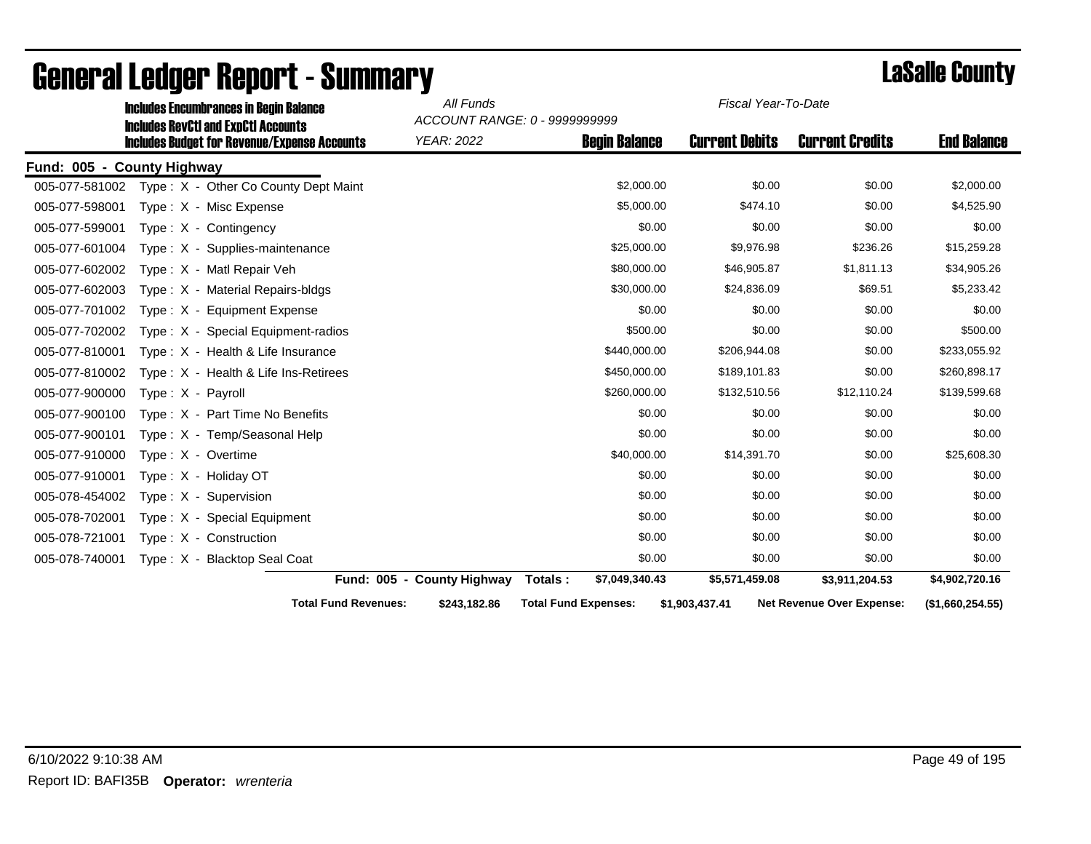|                            | <b>Includes Encumbrances in Begin Balance</b>                                                     | All Funds                  | ACCOUNT RANGE: 0 - 9999999999 | Fiscal Year-To-Date   |                           |                    |
|----------------------------|---------------------------------------------------------------------------------------------------|----------------------------|-------------------------------|-----------------------|---------------------------|--------------------|
|                            | <b>Includes RevCtI and ExpCtI Accounts</b><br><b>Includes Budget for Revenue/Expense Accounts</b> | <b>YEAR: 2022</b>          | <b>Begin Balance</b>          | <b>Current Debits</b> | <b>Current Credits</b>    | <b>End Balance</b> |
| Fund: 005 - County Highway |                                                                                                   |                            |                               |                       |                           |                    |
| 005-077-581002             | Type: X - Other Co County Dept Maint                                                              |                            | \$2,000.00                    | \$0.00                | \$0.00                    | \$2,000.00         |
| 005-077-598001             | Type: X - Misc Expense                                                                            |                            | \$5,000.00                    | \$474.10              | \$0.00                    | \$4,525.90         |
| 005-077-599001             | Type: X - Contingency                                                                             |                            | \$0.00                        | \$0.00                | \$0.00                    | \$0.00             |
| 005-077-601004             | Type: X - Supplies-maintenance                                                                    |                            | \$25,000.00                   | \$9,976.98            | \$236.26                  | \$15,259.28        |
| 005-077-602002             | Type: X - Matl Repair Veh                                                                         |                            | \$80,000.00                   | \$46,905.87           | \$1,811.13                | \$34,905.26        |
| 005-077-602003             | Type: X - Material Repairs-bldgs                                                                  |                            | \$30,000.00                   | \$24,836.09           | \$69.51                   | \$5,233.42         |
| 005-077-701002             | Type: X - Equipment Expense                                                                       |                            | \$0.00                        | \$0.00                | \$0.00                    | \$0.00             |
| 005-077-702002             | Type: X - Special Equipment-radios                                                                |                            | \$500.00                      | \$0.00                | \$0.00                    | \$500.00           |
| 005-077-810001             | Type: X - Health & Life Insurance                                                                 |                            | \$440,000.00                  | \$206,944.08          | \$0.00                    | \$233,055.92       |
| 005-077-810002             | Type : $X -$ Health & Life Ins-Retirees                                                           |                            | \$450,000.00                  | \$189,101.83          | \$0.00                    | \$260,898.17       |
| 005-077-900000             | Type: X - Payroll                                                                                 |                            | \$260,000.00                  | \$132,510.56          | \$12,110.24               | \$139,599.68       |
| 005-077-900100             | Type: X - Part Time No Benefits                                                                   |                            | \$0.00                        | \$0.00                | \$0.00                    | \$0.00             |
| 005-077-900101             | Type: X - Temp/Seasonal Help                                                                      |                            | \$0.00                        | \$0.00                | \$0.00                    | \$0.00             |
| 005-077-910000             | Type: X - Overtime                                                                                |                            | \$40,000.00                   | \$14,391.70           | \$0.00                    | \$25,608.30        |
| 005-077-910001             | Type: X - Holiday OT                                                                              |                            | \$0.00                        | \$0.00                | \$0.00                    | \$0.00             |
| 005-078-454002             | Type: X - Supervision                                                                             |                            | \$0.00                        | \$0.00                | \$0.00                    | \$0.00             |
| 005-078-702001             | Type: X - Special Equipment                                                                       |                            | \$0.00                        | \$0.00                | \$0.00                    | \$0.00             |
| 005-078-721001             | Type: X - Construction                                                                            |                            | \$0.00                        | \$0.00                | \$0.00                    | \$0.00             |
| 005-078-740001             | Type: X - Blacktop Seal Coat                                                                      |                            | \$0.00                        | \$0.00                | \$0.00                    | \$0.00             |
|                            |                                                                                                   | Fund: 005 - County Highway | \$7,049,340.43<br>Totals:     | \$5,571,459.08        | \$3,911,204.53            | \$4,902,720.16     |
|                            | <b>Total Fund Revenues:</b>                                                                       | \$243,182.86               | <b>Total Fund Expenses:</b>   | \$1,903,437.41        | Net Revenue Over Expense: | (\$1,660,254.55)   |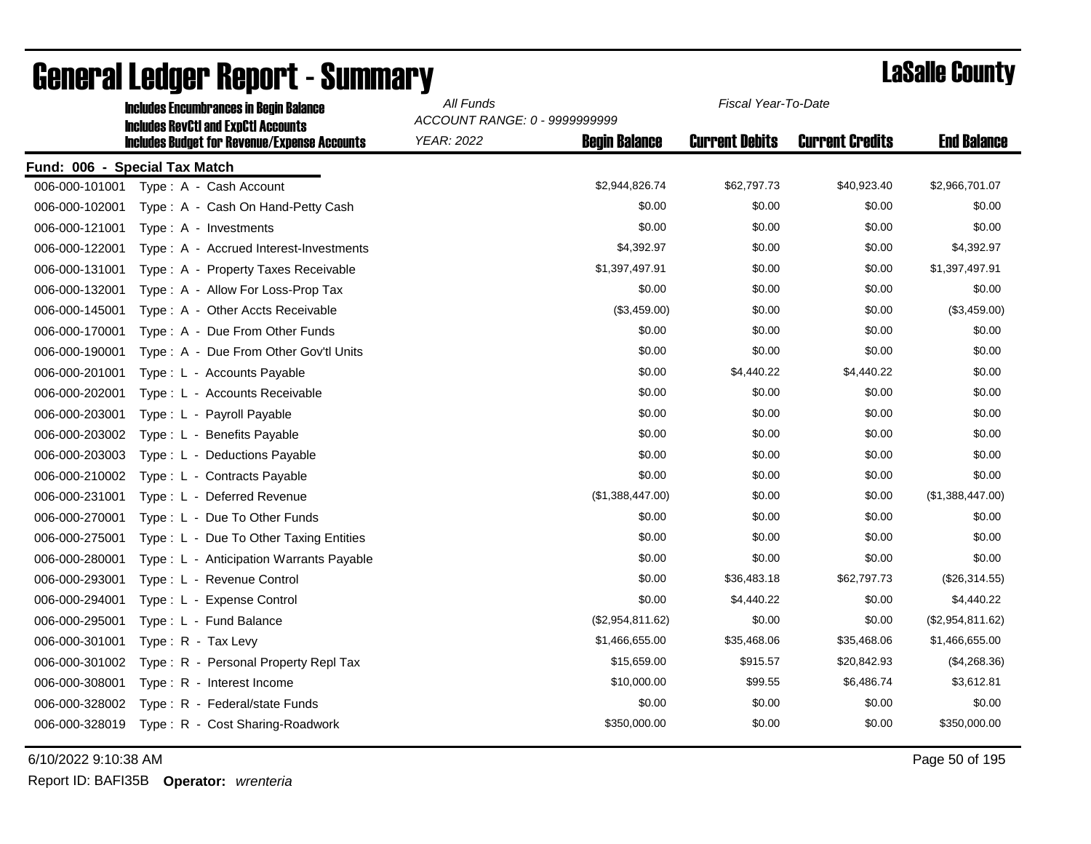|                               | <b>Includes Encumbrances in Begin Balance</b>                                                     | All Funds<br>Fiscal Year-To-Date<br>ACCOUNT RANGE: 0 - 9999999999 |                      |                       |                        |                    |
|-------------------------------|---------------------------------------------------------------------------------------------------|-------------------------------------------------------------------|----------------------|-----------------------|------------------------|--------------------|
|                               | <b>Includes RevCtI and ExpCtI Accounts</b><br><b>Includes Budget for Revenue/Expense Accounts</b> | <b>YEAR: 2022</b>                                                 | <b>Begin Balance</b> | <b>Current Debits</b> | <b>Current Credits</b> | <b>End Balance</b> |
| Fund: 006 - Special Tax Match |                                                                                                   |                                                                   |                      |                       |                        |                    |
| 006-000-101001                | Type: A - Cash Account                                                                            |                                                                   | \$2,944,826.74       | \$62,797.73           | \$40,923.40            | \$2,966,701.07     |
| 006-000-102001                | Type: A - Cash On Hand-Petty Cash                                                                 |                                                                   | \$0.00               | \$0.00                | \$0.00                 | \$0.00             |
| 006-000-121001                | Type: A - Investments                                                                             |                                                                   | \$0.00               | \$0.00                | \$0.00                 | \$0.00             |
| 006-000-122001                | Type: A - Accrued Interest-Investments                                                            |                                                                   | \$4,392.97           | \$0.00                | \$0.00                 | \$4,392.97         |
| 006-000-131001                | Type: A - Property Taxes Receivable                                                               |                                                                   | \$1,397,497.91       | \$0.00                | \$0.00                 | \$1,397,497.91     |
| 006-000-132001                | Type: A - Allow For Loss-Prop Tax                                                                 |                                                                   | \$0.00               | \$0.00                | \$0.00                 | \$0.00             |
| 006-000-145001                | Type: A - Other Accts Receivable                                                                  |                                                                   | (\$3,459.00)         | \$0.00                | \$0.00                 | (\$3,459.00)       |
| 006-000-170001                | Type: A - Due From Other Funds                                                                    |                                                                   | \$0.00               | \$0.00                | \$0.00                 | \$0.00             |
| 006-000-190001                | Type: A - Due From Other Gov'tl Units                                                             |                                                                   | \$0.00               | \$0.00                | \$0.00                 | \$0.00             |
| 006-000-201001                | Type: L - Accounts Payable                                                                        |                                                                   | \$0.00               | \$4,440.22            | \$4,440.22             | \$0.00             |
| 006-000-202001                | Type: L - Accounts Receivable                                                                     |                                                                   | \$0.00               | \$0.00                | \$0.00                 | \$0.00             |
| 006-000-203001                | Type: L - Payroll Payable                                                                         |                                                                   | \$0.00               | \$0.00                | \$0.00                 | \$0.00             |
| 006-000-203002                | Type: L - Benefits Payable                                                                        |                                                                   | \$0.00               | \$0.00                | \$0.00                 | \$0.00             |
| 006-000-203003                | Type: L - Deductions Payable                                                                      |                                                                   | \$0.00               | \$0.00                | \$0.00                 | \$0.00             |
| 006-000-210002                | Type: L - Contracts Payable                                                                       |                                                                   | \$0.00               | \$0.00                | \$0.00                 | \$0.00             |
| 006-000-231001                | Type: L - Deferred Revenue                                                                        |                                                                   | (\$1,388,447.00)     | \$0.00                | \$0.00                 | (\$1,388,447.00)   |
| 006-000-270001                | Type: L - Due To Other Funds                                                                      |                                                                   | \$0.00               | \$0.00                | \$0.00                 | \$0.00             |
| 006-000-275001                | Type: L - Due To Other Taxing Entities                                                            |                                                                   | \$0.00               | \$0.00                | \$0.00                 | \$0.00             |
| 006-000-280001                | Type: L - Anticipation Warrants Payable                                                           |                                                                   | \$0.00               | \$0.00                | \$0.00                 | \$0.00             |
| 006-000-293001                | Type: L - Revenue Control                                                                         |                                                                   | \$0.00               | \$36,483.18           | \$62,797.73            | (\$26,314.55)      |
| 006-000-294001                | Type: L - Expense Control                                                                         |                                                                   | \$0.00               | \$4,440.22            | \$0.00                 | \$4,440.22         |
| 006-000-295001                | Type: L - Fund Balance                                                                            |                                                                   | (\$2,954,811.62)     | \$0.00                | \$0.00                 | (\$2,954,811.62)   |
| 006-000-301001                | Type: R - Tax Levy                                                                                |                                                                   | \$1,466,655.00       | \$35,468.06           | \$35,468.06            | \$1,466,655.00     |
| 006-000-301002                | Type: R - Personal Property Repl Tax                                                              |                                                                   | \$15,659.00          | \$915.57              | \$20,842.93            | (\$4,268.36)       |
| 006-000-308001                | Type: R - Interest Income                                                                         |                                                                   | \$10,000.00          | \$99.55               | \$6,486.74             | \$3,612.81         |
| 006-000-328002                | Type: R - Federal/state Funds                                                                     |                                                                   | \$0.00               | \$0.00                | \$0.00                 | \$0.00             |
| 006-000-328019                | Type: R - Cost Sharing-Roadwork                                                                   |                                                                   | \$350,000.00         | \$0.00                | \$0.00                 | \$350,000.00       |

6/10/2022 9:10:38 AM Page 50 of 195

Report ID: BAFI35B **Operator:** *wrenteria*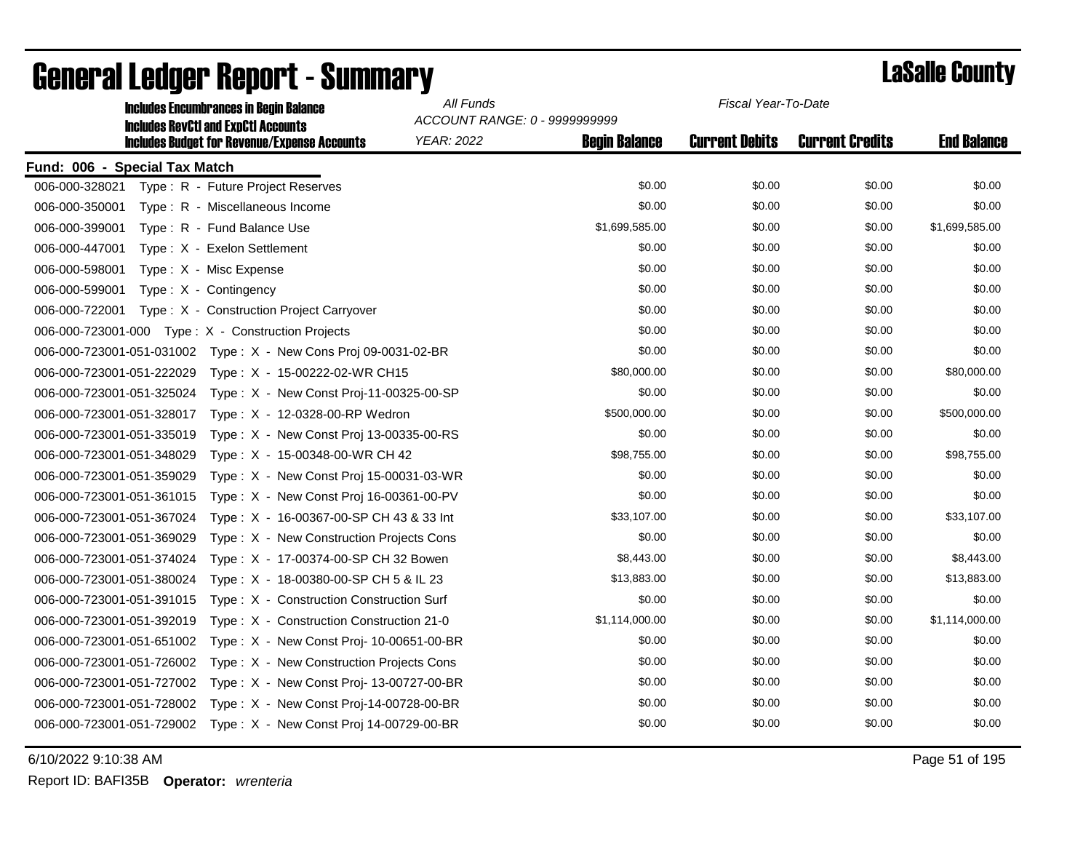| <b>Includes Encumbrances in Begin Balance</b>                                                     | All Funds<br>ACCOUNT RANGE: 0 - 9999999999 |                      | Fiscal Year-To-Date   |                        |                    |
|---------------------------------------------------------------------------------------------------|--------------------------------------------|----------------------|-----------------------|------------------------|--------------------|
| <b>Includes RevCtI and ExpCtI Accounts</b><br><b>Includes Budget for Revenue/Expense Accounts</b> | <b>YEAR: 2022</b>                          | <b>Begin Balance</b> | <b>Current Debits</b> | <b>Current Credits</b> | <b>End Balance</b> |
| Fund: 006 - Special Tax Match                                                                     |                                            |                      |                       |                        |                    |
| 006-000-328021<br>Type: R - Future Project Reserves                                               |                                            | \$0.00               | \$0.00                | \$0.00                 | \$0.00             |
| Type: R - Miscellaneous Income<br>006-000-350001                                                  |                                            | \$0.00               | \$0.00                | \$0.00                 | \$0.00             |
| 006-000-399001<br>Type: R - Fund Balance Use                                                      |                                            | \$1,699,585.00       | \$0.00                | \$0.00                 | \$1,699,585.00     |
| 006-000-447001<br>Type: X - Exelon Settlement                                                     |                                            | \$0.00               | \$0.00                | \$0.00                 | \$0.00             |
| 006-000-598001<br>Type: X - Misc Expense                                                          |                                            | \$0.00               | \$0.00                | \$0.00                 | \$0.00             |
| Type: X - Contingency<br>006-000-599001                                                           |                                            | \$0.00               | \$0.00                | \$0.00                 | \$0.00             |
| 006-000-722001<br>Type: X - Construction Project Carryover                                        |                                            | \$0.00               | \$0.00                | \$0.00                 | \$0.00             |
| 006-000-723001-000 Type: X - Construction Projects                                                |                                            | \$0.00               | \$0.00                | \$0.00                 | \$0.00             |
| 006-000-723001-051-031002<br>Type: $X - New Cons Proj 09-0031-02-BR$                              |                                            | \$0.00               | \$0.00                | \$0.00                 | \$0.00             |
| 006-000-723001-051-222029<br>Type: X - 15-00222-02-WR CH15                                        |                                            | \$80,000.00          | \$0.00                | \$0.00                 | \$80,000.00        |
| 006-000-723001-051-325024<br>Type: $X - New Const Proj-11-00325-00-SP$                            |                                            | \$0.00               | \$0.00                | \$0.00                 | \$0.00             |
| 006-000-723001-051-328017<br>Type: X - 12-0328-00-RP Wedron                                       |                                            | \$500,000.00         | \$0.00                | \$0.00                 | \$500,000.00       |
| 006-000-723001-051-335019<br>Type: $X - New Const Proj$ 13-00335-00-RS                            |                                            | \$0.00               | \$0.00                | \$0.00                 | \$0.00             |
| 006-000-723001-051-348029<br>Type: X - 15-00348-00-WR CH 42                                       |                                            | \$98,755.00          | \$0.00                | \$0.00                 | \$98,755.00        |
| 006-000-723001-051-359029<br>Type: $X - New Const Proj 15-00031-03-WR$                            |                                            | \$0.00               | \$0.00                | \$0.00                 | \$0.00             |
| 006-000-723001-051-361015<br>Type: X - New Const Proj 16-00361-00-PV                              |                                            | \$0.00               | \$0.00                | \$0.00                 | \$0.00             |
| 006-000-723001-051-367024<br>Type: X - 16-00367-00-SP CH 43 & 33 Int                              |                                            | \$33,107.00          | \$0.00                | \$0.00                 | \$33,107.00        |
| Type: X - New Construction Projects Cons<br>006-000-723001-051-369029                             |                                            | \$0.00               | \$0.00                | \$0.00                 | \$0.00             |
| Type: X - 17-00374-00-SP CH 32 Bowen<br>006-000-723001-051-374024                                 |                                            | \$8,443.00           | \$0.00                | \$0.00                 | \$8,443.00         |
| 006-000-723001-051-380024<br>Type: X - 18-00380-00-SP CH 5 & IL 23                                |                                            | \$13,883.00          | \$0.00                | \$0.00                 | \$13,883.00        |
| 006-000-723001-051-391015<br>Type: X - Construction Construction Surf                             |                                            | \$0.00               | \$0.00                | \$0.00                 | \$0.00             |
| 006-000-723001-051-392019<br>Type: X - Construction Construction 21-0                             |                                            | \$1,114,000.00       | \$0.00                | \$0.00                 | \$1,114,000.00     |
| 006-000-723001-051-651002<br>Type: $X - New Const Proj - 10-00651-00-BR$                          |                                            | \$0.00               | \$0.00                | \$0.00                 | \$0.00             |
| 006-000-723001-051-726002<br>Type: X - New Construction Projects Cons                             |                                            | \$0.00               | \$0.00                | \$0.00                 | \$0.00             |
| 006-000-723001-051-727002<br>Type: X - New Const Proj- 13-00727-00-BR                             |                                            | \$0.00               | \$0.00                | \$0.00                 | \$0.00             |
| 006-000-723001-051-728002<br>Type: X - New Const Proj-14-00728-00-BR                              |                                            | \$0.00               | \$0.00                | \$0.00                 | \$0.00             |
| 006-000-723001-051-729002    Type: X - New Const Proj 14-00729-00-BR                              |                                            | \$0.00               | \$0.00                | \$0.00                 | \$0.00             |

6/10/2022 9:10:38 AM Page 51 of 195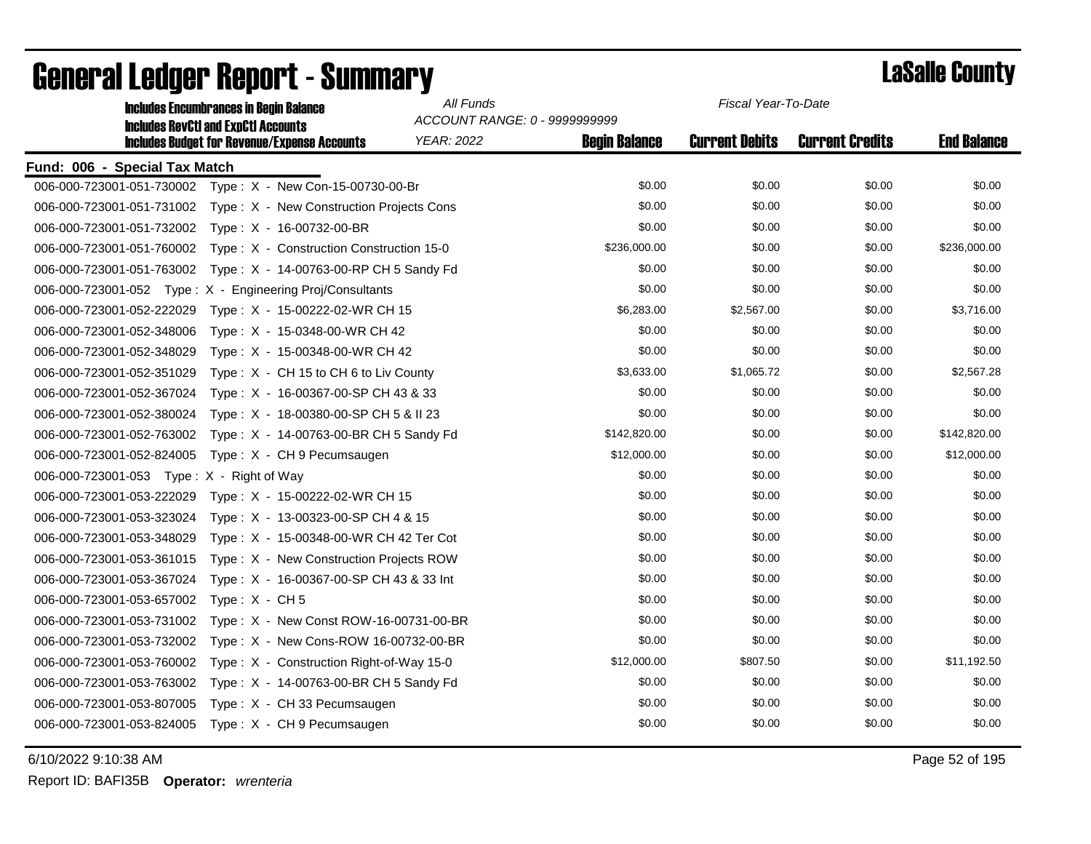| <b>Includes Encumbrances in Begin Balance</b>                                                     | All Funds                                          |                      | Fiscal Year-To-Date   |                        |                    |
|---------------------------------------------------------------------------------------------------|----------------------------------------------------|----------------------|-----------------------|------------------------|--------------------|
| <b>Includes RevCtI and ExpCtI Accounts</b><br><b>Includes Budget for Revenue/Expense Accounts</b> | ACCOUNT RANGE: 0 - 9999999999<br><b>YEAR: 2022</b> | <b>Begin Balance</b> | <b>Current Debits</b> | <b>Current Credits</b> | <b>End Balance</b> |
| Fund: 006 - Special Tax Match                                                                     |                                                    |                      |                       |                        |                    |
| 006-000-723001-051-730002    Type: X - New Con-15-00730-00-Br                                     |                                                    | \$0.00               | \$0.00                | \$0.00                 | \$0.00             |
| 006-000-723001-051-731002 Type: X - New Construction Projects Cons                                |                                                    | \$0.00               | \$0.00                | \$0.00                 | \$0.00             |
| 006-000-723001-051-732002<br>Type: X - 16-00732-00-BR                                             |                                                    | \$0.00               | \$0.00                | \$0.00                 | \$0.00             |
| Type: X - Construction Construction 15-0<br>006-000-723001-051-760002                             |                                                    | \$236,000.00         | \$0.00                | \$0.00                 | \$236,000.00       |
| 006-000-723001-051-763002<br>Type: $X - 14 - 00763 - 00 - RP$ CH 5 Sandy Fd                       |                                                    | \$0.00               | \$0.00                | \$0.00                 | \$0.00             |
| 006-000-723001-052 Type: X - Engineering Proj/Consultants                                         |                                                    | \$0.00               | \$0.00                | \$0.00                 | \$0.00             |
| 006-000-723001-052-222029<br>Type: X - 15-00222-02-WR CH 15                                       |                                                    | \$6,283.00           | \$2,567.00            | \$0.00                 | \$3,716.00         |
| 006-000-723001-052-348006<br>Type: X - 15-0348-00-WR CH 42                                        |                                                    | \$0.00               | \$0.00                | \$0.00                 | \$0.00             |
| Type: X - 15-00348-00-WR CH 42<br>006-000-723001-052-348029                                       |                                                    | \$0.00               | \$0.00                | \$0.00                 | \$0.00             |
| 006-000-723001-052-351029<br>Type : $X - CH 15$ to CH 6 to Liv County                             |                                                    | \$3,633.00           | \$1,065.72            | \$0.00                 | \$2,567.28         |
| 006-000-723001-052-367024<br>Type: X - 16-00367-00-SP CH 43 & 33                                  |                                                    | \$0.00               | \$0.00                | \$0.00                 | \$0.00             |
| 006-000-723001-052-380024<br>Type: X - 18-00380-00-SP CH 5 & II 23                                |                                                    | \$0.00               | \$0.00                | \$0.00                 | \$0.00             |
| 006-000-723001-052-763002<br>Type: X - 14-00763-00-BR CH 5 Sandy Fd                               |                                                    | \$142,820.00         | \$0.00                | \$0.00                 | \$142,820.00       |
| 006-000-723001-052-824005<br>Type: X - CH 9 Pecumsaugen                                           |                                                    | \$12,000.00          | \$0.00                | \$0.00                 | \$12,000.00        |
| 006-000-723001-053 Type: X - Right of Way                                                         |                                                    | \$0.00               | \$0.00                | \$0.00                 | \$0.00             |
| 006-000-723001-053-222029<br>Type: X - 15-00222-02-WR CH 15                                       |                                                    | \$0.00               | \$0.00                | \$0.00                 | \$0.00             |
| 006-000-723001-053-323024<br>Type: X - 13-00323-00-SP CH 4 & 15                                   |                                                    | \$0.00               | \$0.00                | \$0.00                 | \$0.00             |
| 006-000-723001-053-348029<br>Type: X - 15-00348-00-WR CH 42 Ter Cot                               |                                                    | \$0.00               | \$0.00                | \$0.00                 | \$0.00             |
| 006-000-723001-053-361015<br>Type: X - New Construction Projects ROW                              |                                                    | \$0.00               | \$0.00                | \$0.00                 | \$0.00             |
| Type: X - 16-00367-00-SP CH 43 & 33 Int<br>006-000-723001-053-367024                              |                                                    | \$0.00               | \$0.00                | \$0.00                 | \$0.00             |
| 006-000-723001-053-657002<br>Type: $X - CH 5$                                                     |                                                    | \$0.00               | \$0.00                | \$0.00                 | \$0.00             |
| 006-000-723001-053-731002<br>Type: $X - New Const$ ROW-16-00731-00-BR                             |                                                    | \$0.00               | \$0.00                | \$0.00                 | \$0.00             |
| Type: X - New Cons-ROW 16-00732-00-BR<br>006-000-723001-053-732002                                |                                                    | \$0.00               | \$0.00                | \$0.00                 | \$0.00             |
| 006-000-723001-053-760002<br>Type: X - Construction Right-of-Way 15-0                             |                                                    | \$12,000.00          | \$807.50              | \$0.00                 | \$11,192.50        |
| Type: X - 14-00763-00-BR CH 5 Sandy Fd<br>006-000-723001-053-763002                               |                                                    | \$0.00               | \$0.00                | \$0.00                 | \$0.00             |
| Type: X - CH 33 Pecumsaugen<br>006-000-723001-053-807005                                          |                                                    | \$0.00               | \$0.00                | \$0.00                 | \$0.00             |
| 006-000-723001-053-824005<br>Type: X - CH 9 Pecumsaugen                                           |                                                    | \$0.00               | \$0.00                | \$0.00                 | \$0.00             |

## General Ledger Report - Summary LaSalle County

6/10/2022 9:10:38 AM Page 52 of 195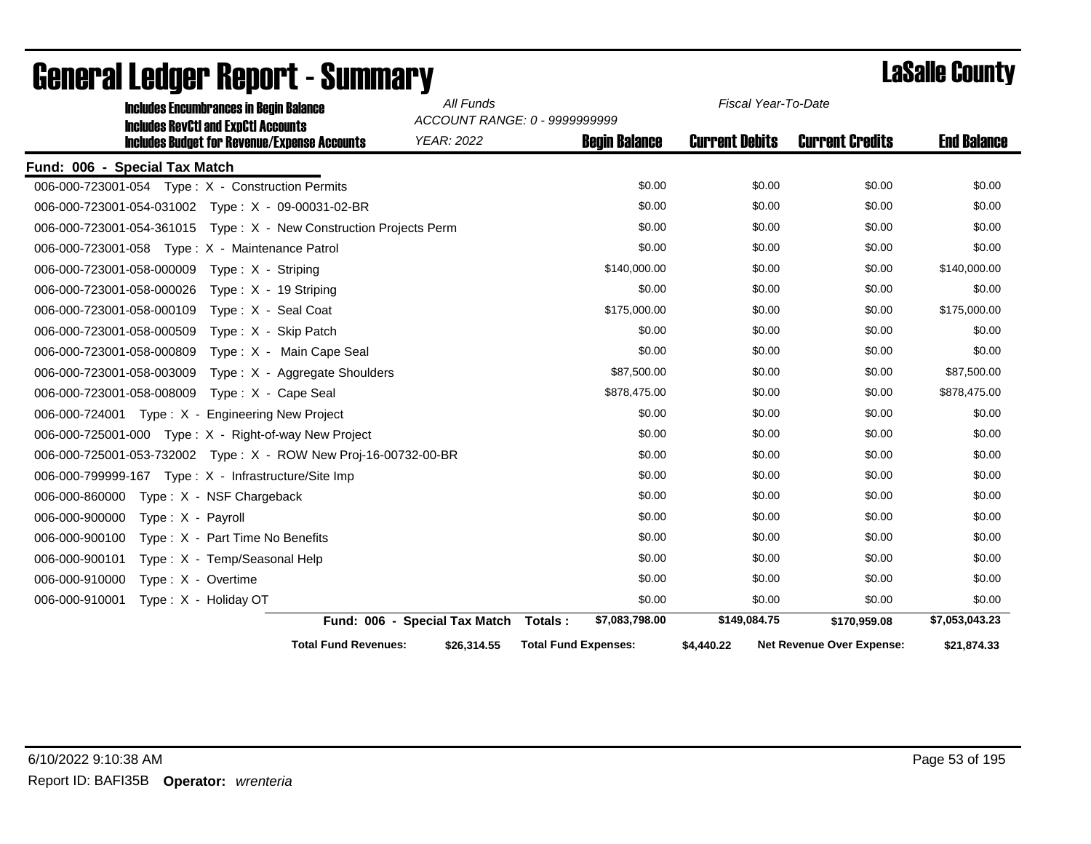| <b>Includes Encumbrances in Begin Balance</b>                                                     | All Funds                     | ACCOUNT RANGE: 0 - 9999999999 | Fiscal Year-To-Date   |                                  |                    |
|---------------------------------------------------------------------------------------------------|-------------------------------|-------------------------------|-----------------------|----------------------------------|--------------------|
| <b>Includes RevCtI and ExpCtI Accounts</b><br><b>Includes Budget for Revenue/Expense Accounts</b> | <b>YEAR: 2022</b>             | <b>Begin Balance</b>          | <b>Current Debits</b> | <b>Current Credits</b>           | <b>End Balance</b> |
| Fund: 006 - Special Tax Match                                                                     |                               |                               |                       |                                  |                    |
| 006-000-723001-054    Type: X - Construction Permits                                              |                               | \$0.00                        | \$0.00                | \$0.00                           | \$0.00             |
| 006-000-723001-054-031002    Type: X - 09-00031-02-BR                                             |                               | \$0.00                        | \$0.00                | \$0.00                           | \$0.00             |
| 006-000-723001-054-361015    Type: X - New Construction Projects Perm                             |                               | \$0.00                        | \$0.00                | \$0.00                           | \$0.00             |
| 006-000-723001-058 Type: X - Maintenance Patrol                                                   |                               | \$0.00                        | \$0.00                | \$0.00                           | \$0.00             |
| 006-000-723001-058-000009<br>Type: X - Striping                                                   |                               | \$140,000.00                  | \$0.00                | \$0.00                           | \$140,000.00       |
| 006-000-723001-058-000026<br>Type: $X - 19$ Striping                                              |                               | \$0.00                        | \$0.00                | \$0.00                           | \$0.00             |
| Type: X - Seal Coat<br>006-000-723001-058-000109                                                  |                               | \$175,000.00                  | \$0.00                | \$0.00                           | \$175,000.00       |
| Type: X - Skip Patch<br>006-000-723001-058-000509                                                 |                               | \$0.00                        | \$0.00                | \$0.00                           | \$0.00             |
| 006-000-723001-058-000809<br>Type: X - Main Cape Seal                                             |                               | \$0.00                        | \$0.00                | \$0.00                           | \$0.00             |
| 006-000-723001-058-003009<br>Type: X - Aggregate Shoulders                                        |                               | \$87,500.00                   | \$0.00                | \$0.00                           | \$87,500.00        |
| 006-000-723001-058-008009<br>Type: X - Cape Seal                                                  |                               | \$878,475.00                  | \$0.00                | \$0.00                           | \$878,475.00       |
| 006-000-724001 Type: X - Engineering New Project                                                  |                               | \$0.00                        | \$0.00                | \$0.00                           | \$0.00             |
| 006-000-725001-000 Type: X - Right-of-way New Project                                             |                               | \$0.00                        | \$0.00                | \$0.00                           | \$0.00             |
| 006-000-725001-053-732002    Type: X - ROW New Proj-16-00732-00-BR                                |                               | \$0.00                        | \$0.00                | \$0.00                           | \$0.00             |
| 006-000-799999-167 Type: $X - Infrastructure/Site Imp$                                            |                               | \$0.00                        | \$0.00                | \$0.00                           | \$0.00             |
| Type: X - NSF Chargeback<br>006-000-860000                                                        |                               | \$0.00                        | \$0.00                | \$0.00                           | \$0.00             |
| 006-000-900000<br>Type: X - Payroll                                                               |                               | \$0.00                        | \$0.00                | \$0.00                           | \$0.00             |
| 006-000-900100<br>Type: X - Part Time No Benefits                                                 |                               | \$0.00                        | \$0.00                | \$0.00                           | \$0.00             |
| 006-000-900101<br>Type: X - Temp/Seasonal Help                                                    |                               | \$0.00                        | \$0.00                | \$0.00                           | \$0.00             |
| 006-000-910000<br>Type: X - Overtime                                                              |                               | \$0.00                        | \$0.00                | \$0.00                           | \$0.00             |
| 006-000-910001<br>Type: X - Holiday OT                                                            |                               | \$0.00                        | \$0.00                | \$0.00                           | \$0.00             |
|                                                                                                   | Fund: 006 - Special Tax Match | \$7,083,798.00<br>Totals:     | \$149,084.75          | \$170,959.08                     | \$7,053,043.23     |
| <b>Total Fund Revenues:</b>                                                                       | \$26,314.55                   | <b>Total Fund Expenses:</b>   | \$4,440.22            | <b>Net Revenue Over Expense:</b> | \$21,874.33        |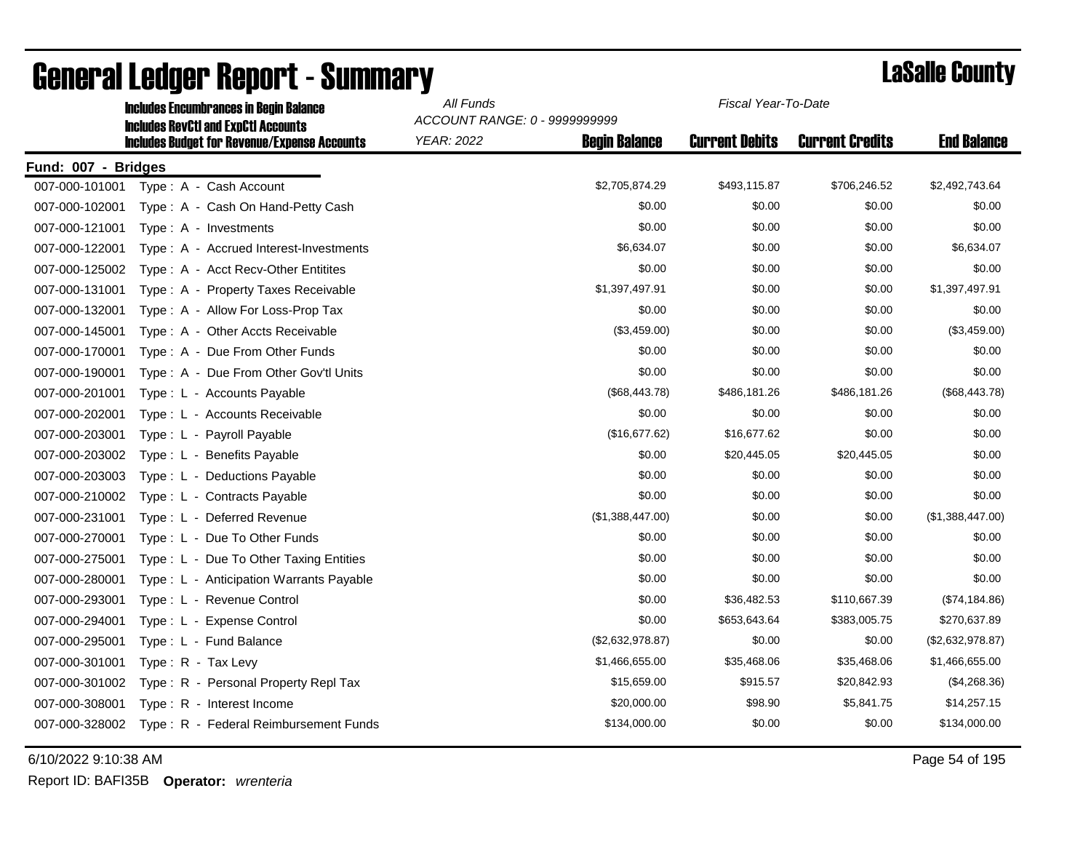|                     | <b>Includes Encumbrances in Begin Balance</b>       | All Funds                                          | Fiscal Year-To-Date  |                       |                        |                    |
|---------------------|-----------------------------------------------------|----------------------------------------------------|----------------------|-----------------------|------------------------|--------------------|
|                     | <b>Includes RevCtI and ExpCtI Accounts</b>          | ACCOUNT RANGE: 0 - 9999999999<br><b>YEAR: 2022</b> | <b>Begin Balance</b> | <b>Current Debits</b> | <b>Current Credits</b> | <b>End Balance</b> |
|                     | <b>Includes Budget for Revenue/Expense Accounts</b> |                                                    |                      |                       |                        |                    |
| Fund: 007 - Bridges |                                                     |                                                    |                      |                       |                        |                    |
| 007-000-101001      | Type: A - Cash Account                              |                                                    | \$2,705,874.29       | \$493,115.87          | \$706,246.52           | \$2,492,743.64     |
| 007-000-102001      | Type: A - Cash On Hand-Petty Cash                   |                                                    | \$0.00               | \$0.00                | \$0.00                 | \$0.00             |
| 007-000-121001      | Type: A - Investments                               |                                                    | \$0.00               | \$0.00                | \$0.00                 | \$0.00             |
| 007-000-122001      | Type: A - Accrued Interest-Investments              |                                                    | \$6,634.07           | \$0.00                | \$0.00                 | \$6,634.07         |
| 007-000-125002      | Type: A - Acct Recv-Other Entitites                 |                                                    | \$0.00               | \$0.00                | \$0.00                 | \$0.00             |
| 007-000-131001      | Type: A - Property Taxes Receivable                 |                                                    | \$1,397,497.91       | \$0.00                | \$0.00                 | \$1,397,497.91     |
| 007-000-132001      | Type: A - Allow For Loss-Prop Tax                   |                                                    | \$0.00               | \$0.00                | \$0.00                 | \$0.00             |
| 007-000-145001      | Type: A - Other Accts Receivable                    |                                                    | (\$3,459.00)         | \$0.00                | \$0.00                 | (\$3,459.00)       |
| 007-000-170001      | Type: A - Due From Other Funds                      |                                                    | \$0.00               | \$0.00                | \$0.00                 | \$0.00             |
| 007-000-190001      | Type: A - Due From Other Gov'tl Units               |                                                    | \$0.00               | \$0.00                | \$0.00                 | \$0.00             |
| 007-000-201001      | Type: L - Accounts Payable                          |                                                    | (\$68,443.78)        | \$486,181.26          | \$486,181.26           | (\$68,443.78)      |
| 007-000-202001      | Type: L - Accounts Receivable                       |                                                    | \$0.00               | \$0.00                | \$0.00                 | \$0.00             |
| 007-000-203001      | Type: L - Payroll Payable                           |                                                    | (\$16,677.62)        | \$16,677.62           | \$0.00                 | \$0.00             |
| 007-000-203002      | Type: L - Benefits Payable                          |                                                    | \$0.00               | \$20,445.05           | \$20,445.05            | \$0.00             |
| 007-000-203003      | Type: L - Deductions Payable                        |                                                    | \$0.00               | \$0.00                | \$0.00                 | \$0.00             |
| 007-000-210002      | Type: L - Contracts Payable                         |                                                    | \$0.00               | \$0.00                | \$0.00                 | \$0.00             |
| 007-000-231001      | Type: L - Deferred Revenue                          |                                                    | (\$1,388,447.00)     | \$0.00                | \$0.00                 | (\$1,388,447.00)   |
| 007-000-270001      | Type: L - Due To Other Funds                        |                                                    | \$0.00               | \$0.00                | \$0.00                 | \$0.00             |
| 007-000-275001      | Type: L - Due To Other Taxing Entities              |                                                    | \$0.00               | \$0.00                | \$0.00                 | \$0.00             |
| 007-000-280001      | Type: L - Anticipation Warrants Payable             |                                                    | \$0.00               | \$0.00                | \$0.00                 | \$0.00             |
| 007-000-293001      | Type: L - Revenue Control                           |                                                    | \$0.00               | \$36,482.53           | \$110,667.39           | (\$74,184.86)      |
| 007-000-294001      | Type: L - Expense Control                           |                                                    | \$0.00               | \$653,643.64          | \$383,005.75           | \$270,637.89       |
| 007-000-295001      | Type: L - Fund Balance                              |                                                    | (\$2,632,978.87)     | \$0.00                | \$0.00                 | (\$2,632,978.87)   |
| 007-000-301001      | Type: R - Tax Levy                                  |                                                    | \$1,466,655.00       | \$35,468.06           | \$35,468.06            | \$1,466,655.00     |
| 007-000-301002      | Type: R - Personal Property Repl Tax                |                                                    | \$15,659.00          | \$915.57              | \$20,842.93            | (\$4,268.36)       |
| 007-000-308001      | Type: R - Interest Income                           |                                                    | \$20,000.00          | \$98.90               | \$5,841.75             | \$14,257.15        |
| 007-000-328002      | Type: R - Federal Reimbursement Funds               |                                                    | \$134,000.00         | \$0.00                | \$0.00                 | \$134,000.00       |
|                     |                                                     |                                                    |                      |                       |                        |                    |

6/10/2022 9:10:38 AM Page 54 of 195

Report ID: BAFI35B **Operator:** *wrenteria*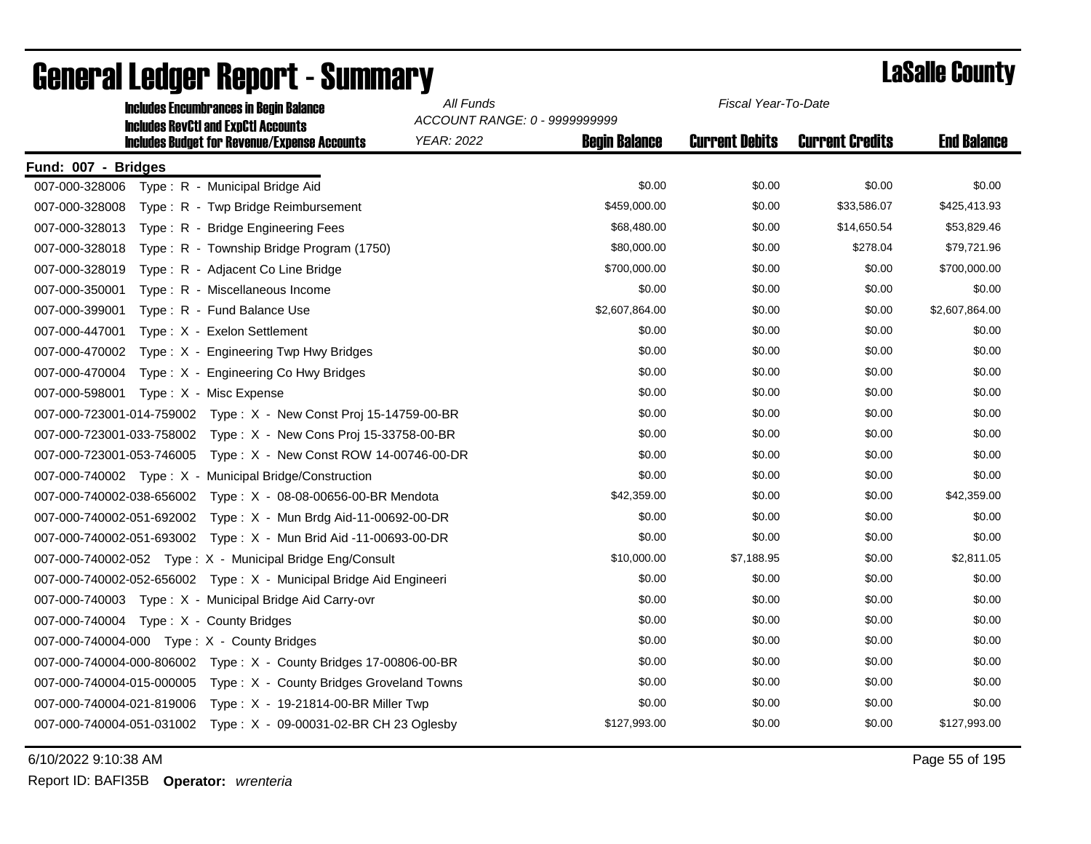| <b>Includes Encumbrances in Begin Balance</b><br><b>Includes RevCtI and ExpCtI Accounts</b> | All Funds<br>Fiscal Year-To-Date<br>ACCOUNT RANGE: 0 - 9999999999 |                      |                       |                        |                    |
|---------------------------------------------------------------------------------------------|-------------------------------------------------------------------|----------------------|-----------------------|------------------------|--------------------|
| <b>Includes Budget for Revenue/Expense Accounts</b>                                         | <b>YEAR: 2022</b>                                                 | <b>Begin Balance</b> | <b>Current Debits</b> | <b>Current Credits</b> | <b>End Balance</b> |
| Fund: 007 - Bridges                                                                         |                                                                   |                      |                       |                        |                    |
| 007-000-328006<br>Type: R - Municipal Bridge Aid                                            |                                                                   | \$0.00               | \$0.00                | \$0.00                 | \$0.00             |
| 007-000-328008<br>Type: R - Twp Bridge Reimbursement                                        |                                                                   | \$459,000.00         | \$0.00                | \$33,586.07            | \$425,413.93       |
| 007-000-328013<br>Type: R - Bridge Engineering Fees                                         |                                                                   | \$68,480.00          | \$0.00                | \$14,650.54            | \$53,829.46        |
| 007-000-328018<br>Type: R - Township Bridge Program (1750)                                  |                                                                   | \$80,000.00          | \$0.00                | \$278.04               | \$79,721.96        |
| 007-000-328019<br>Type: R - Adjacent Co Line Bridge                                         |                                                                   | \$700,000.00         | \$0.00                | \$0.00                 | \$700,000.00       |
| Type: R - Miscellaneous Income<br>007-000-350001                                            |                                                                   | \$0.00               | \$0.00                | \$0.00                 | \$0.00             |
| 007-000-399001<br>Type: R - Fund Balance Use                                                |                                                                   | \$2,607,864.00       | \$0.00                | \$0.00                 | \$2,607,864.00     |
| 007-000-447001<br>Type: X - Exelon Settlement                                               |                                                                   | \$0.00               | \$0.00                | \$0.00                 | \$0.00             |
| 007-000-470002<br>Type: X - Engineering Twp Hwy Bridges                                     |                                                                   | \$0.00               | \$0.00                | \$0.00                 | \$0.00             |
| 007-000-470004<br>Type: X - Engineering Co Hwy Bridges                                      |                                                                   | \$0.00               | \$0.00                | \$0.00                 | \$0.00             |
| 007-000-598001<br>Type: X - Misc Expense                                                    |                                                                   | \$0.00               | \$0.00                | \$0.00                 | \$0.00             |
| 007-000-723001-014-759002    Type: X - New Const Proj 15-14759-00-BR                        |                                                                   | \$0.00               | \$0.00                | \$0.00                 | \$0.00             |
| Type: X - New Cons Proj 15-33758-00-BR<br>007-000-723001-033-758002                         |                                                                   | \$0.00               | \$0.00                | \$0.00                 | \$0.00             |
| 007-000-723001-053-746005<br>Type: $X - New Const$ ROW 14-00746-00-DR                       |                                                                   | \$0.00               | \$0.00                | \$0.00                 | \$0.00             |
| 007-000-740002 Type: X - Municipal Bridge/Construction                                      |                                                                   | \$0.00               | \$0.00                | \$0.00                 | \$0.00             |
| 007-000-740002-038-656002    Type: X - 08-08-00656-00-BR Mendota                            |                                                                   | \$42,359.00          | \$0.00                | \$0.00                 | \$42,359.00        |
| 007-000-740002-051-692002<br>Type: X - Mun Brdg Aid-11-00692-00-DR                          |                                                                   | \$0.00               | \$0.00                | \$0.00                 | \$0.00             |
| 007-000-740002-051-693002    Type: X - Mun Brid Aid -11-00693-00-DR                         |                                                                   | \$0.00               | \$0.00                | \$0.00                 | \$0.00             |
| 007-000-740002-052 Type: X - Municipal Bridge Eng/Consult                                   |                                                                   | \$10,000.00          | \$7,188.95            | \$0.00                 | \$2,811.05         |
| 007-000-740002-052-656002    Type: X - Municipal Bridge Aid Engineeri                       |                                                                   | \$0.00               | \$0.00                | \$0.00                 | \$0.00             |
| 007-000-740003 Type: X - Municipal Bridge Aid Carry-ovr                                     |                                                                   | \$0.00               | \$0.00                | \$0.00                 | \$0.00             |
| 007-000-740004 Type: X - County Bridges                                                     |                                                                   | \$0.00               | \$0.00                | \$0.00                 | \$0.00             |
| 007-000-740004-000    Type: X - County Bridges                                              |                                                                   | \$0.00               | \$0.00                | \$0.00                 | \$0.00             |
| 007-000-740004-000-806002    Type: X - County Bridges 17-00806-00-BR                        |                                                                   | \$0.00               | \$0.00                | \$0.00                 | \$0.00             |
| 007-000-740004-015-000005<br>Type: X - County Bridges Groveland Towns                       |                                                                   | \$0.00               | \$0.00                | \$0.00                 | \$0.00             |
| 007-000-740004-021-819006<br>Type: X - 19-21814-00-BR Miller Twp                            |                                                                   | \$0.00               | \$0.00                | \$0.00                 | \$0.00             |
| 007-000-740004-051-031002    Type: X - 09-00031-02-BR CH 23 Oglesby                         |                                                                   | \$127,993.00         | \$0.00                | \$0.00                 | \$127,993.00       |

## General Ledger Report - Summary **Lassing County**

6/10/2022 9:10:38 AM Page 55 of 195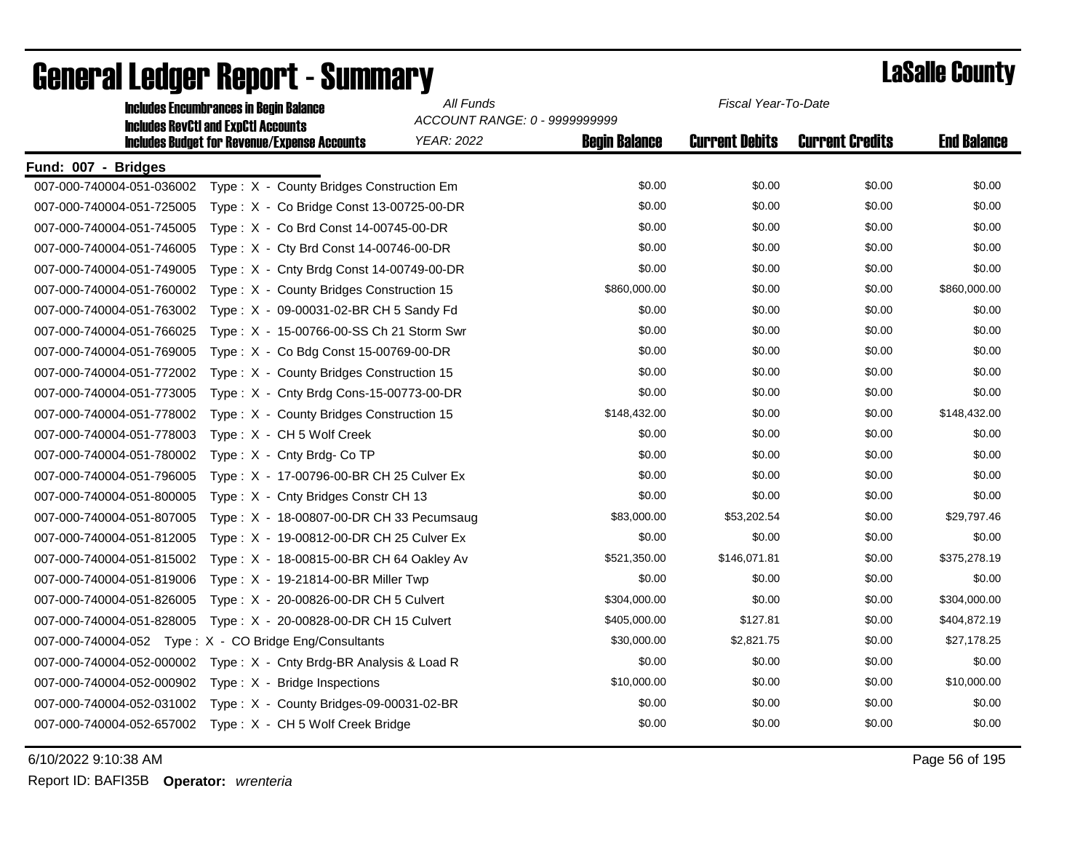| All Funds<br>Fiscal Year-To-Date<br><b>Includes Encumbrances in Begin Balance</b> |                               |                      |                       |                        |                    |
|-----------------------------------------------------------------------------------|-------------------------------|----------------------|-----------------------|------------------------|--------------------|
| <b>Includes RevCtI and ExpCtI Accounts</b>                                        | ACCOUNT RANGE: 0 - 9999999999 |                      |                       |                        |                    |
| <b>Includes Budget for Revenue/Expense Accounts</b>                               | <b>YEAR: 2022</b>             | <b>Begin Balance</b> | <b>Current Debits</b> | <b>Current Credits</b> | <b>End Balance</b> |
| Fund: 007 - Bridges                                                               |                               |                      |                       |                        |                    |
| 007-000-740004-051-036002<br>Type: X - County Bridges Construction Em             |                               | \$0.00               | \$0.00                | \$0.00                 | \$0.00             |
| 007-000-740004-051-725005<br>Type: $X - Co$ Bridge Const 13-00725-00-DR           |                               | \$0.00               | \$0.00                | \$0.00                 | \$0.00             |
| Type: X - Co Brd Const 14-00745-00-DR<br>007-000-740004-051-745005                |                               | \$0.00               | \$0.00                | \$0.00                 | \$0.00             |
| 007-000-740004-051-746005<br>Type: X - Cty Brd Const 14-00746-00-DR               |                               | \$0.00               | \$0.00                | \$0.00                 | \$0.00             |
| 007-000-740004-051-749005<br>Type: $X -$ Cnty Brdg Const 14-00749-00-DR           |                               | \$0.00               | \$0.00                | \$0.00                 | \$0.00             |
| 007-000-740004-051-760002<br>Type: X - County Bridges Construction 15             |                               | \$860,000.00         | \$0.00                | \$0.00                 | \$860,000.00       |
| 007-000-740004-051-763002<br>Type: X - 09-00031-02-BR CH 5 Sandy Fd               |                               | \$0.00               | \$0.00                | \$0.00                 | \$0.00             |
| 007-000-740004-051-766025<br>Type: X - 15-00766-00-SS Ch 21 Storm Swr             |                               | \$0.00               | \$0.00                | \$0.00                 | \$0.00             |
| 007-000-740004-051-769005<br>Type: X - Co Bdg Const 15-00769-00-DR                |                               | \$0.00               | \$0.00                | \$0.00                 | \$0.00             |
| 007-000-740004-051-772002<br>Type: X - County Bridges Construction 15             |                               | \$0.00               | \$0.00                | \$0.00                 | \$0.00             |
| 007-000-740004-051-773005<br>Type: X - Cnty Brdg Cons-15-00773-00-DR              |                               | \$0.00               | \$0.00                | \$0.00                 | \$0.00             |
| 007-000-740004-051-778002<br>Type: X - County Bridges Construction 15             |                               | \$148,432.00         | \$0.00                | \$0.00                 | \$148,432.00       |
| Type: X - CH 5 Wolf Creek<br>007-000-740004-051-778003                            |                               | \$0.00               | \$0.00                | \$0.00                 | \$0.00             |
| 007-000-740004-051-780002<br>Type: X - Cnty Brdg- Co TP                           |                               | \$0.00               | \$0.00                | \$0.00                 | \$0.00             |
| Type: X - 17-00796-00-BR CH 25 Culver Ex<br>007-000-740004-051-796005             |                               | \$0.00               | \$0.00                | \$0.00                 | \$0.00             |
| 007-000-740004-051-800005<br>Type: X - Cnty Bridges Constr CH 13                  |                               | \$0.00               | \$0.00                | \$0.00                 | \$0.00             |
| 007-000-740004-051-807005<br>Type: X - 18-00807-00-DR CH 33 Pecumsaug             |                               | \$83,000.00          | \$53,202.54           | \$0.00                 | \$29,797.46        |
| Type: X - 19-00812-00-DR CH 25 Culver Ex<br>007-000-740004-051-812005             |                               | \$0.00               | \$0.00                | \$0.00                 | \$0.00             |
| 007-000-740004-051-815002<br>Type: X - 18-00815-00-BR CH 64 Oakley Av             |                               | \$521,350.00         | \$146,071.81          | \$0.00                 | \$375,278.19       |
| 007-000-740004-051-819006<br>Type: X - 19-21814-00-BR Miller Twp                  |                               | \$0.00               | \$0.00                | \$0.00                 | \$0.00             |
| 007-000-740004-051-826005<br>Type: X - 20-00826-00-DR CH 5 Culvert                |                               | \$304,000.00         | \$0.00                | \$0.00                 | \$304,000.00       |
| 007-000-740004-051-828005<br>Type: X - 20-00828-00-DR CH 15 Culvert               |                               | \$405,000.00         | \$127.81              | \$0.00                 | \$404,872.19       |
| 007-000-740004-052    Type: X - CO Bridge Eng/Consultants                         |                               | \$30,000.00          | \$2,821.75            | \$0.00                 | \$27,178.25        |
| 007-000-740004-052-000002<br>Type: X - Cnty Brdg-BR Analysis & Load R             |                               | \$0.00               | \$0.00                | \$0.00                 | \$0.00             |
| 007-000-740004-052-000902<br>Type: X - Bridge Inspections                         |                               | \$10,000.00          | \$0.00                | \$0.00                 | \$10,000.00        |
| 007-000-740004-052-031002<br>Type: $X -$ County Bridges-09-00031-02-BR            |                               | \$0.00               | \$0.00                | \$0.00                 | \$0.00             |
| 007-000-740004-052-657002    Type: X - CH 5 Wolf Creek Bridge                     |                               | \$0.00               | \$0.00                | \$0.00                 | \$0.00             |
|                                                                                   |                               |                      |                       |                        |                    |

6/10/2022 9:10:38 AM Page 56 of 195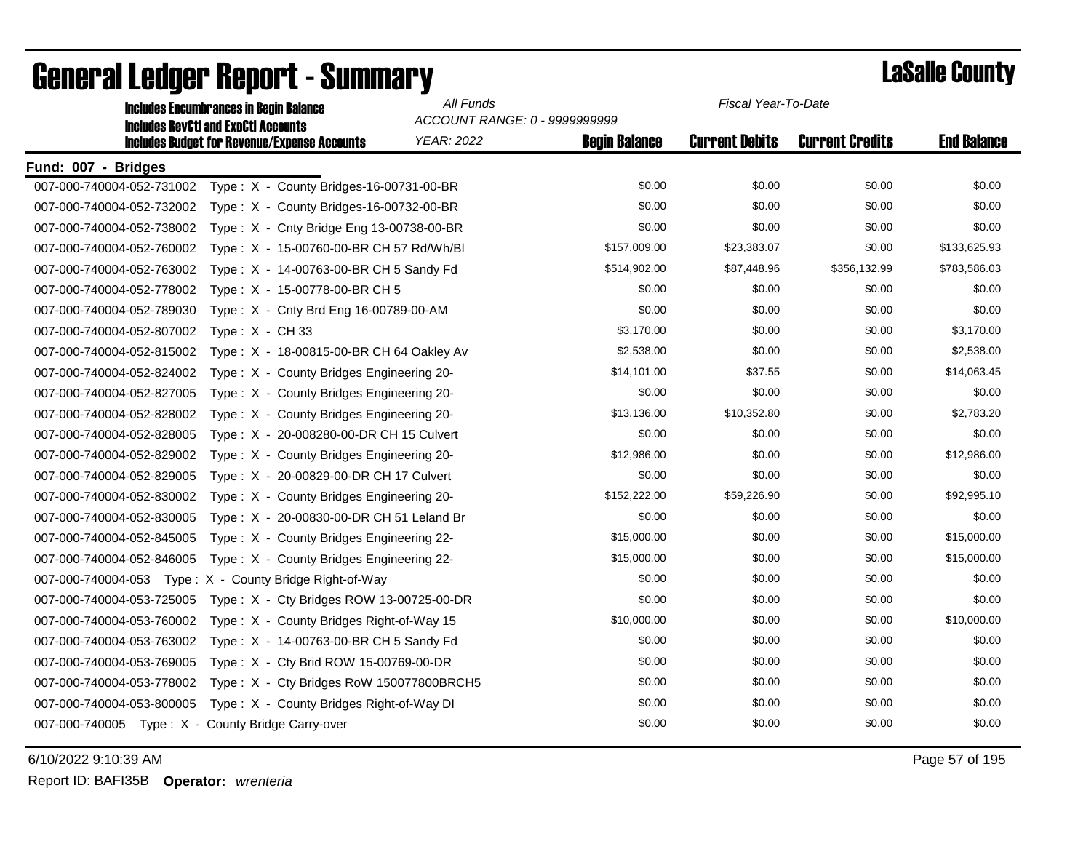| All Funds<br>Fiscal Year-To-Date<br><b>Includes Encumbrances in Begin Balance</b> |                               |                      |                       |                        |                    |
|-----------------------------------------------------------------------------------|-------------------------------|----------------------|-----------------------|------------------------|--------------------|
| <b>Includes RevCtI and ExpCtI Accounts</b>                                        | ACCOUNT RANGE: 0 - 9999999999 |                      |                       |                        |                    |
| <b>Includes Budget for Revenue/Expense Accounts</b>                               | <b>YEAR: 2022</b>             | <b>Begin Balance</b> | <b>Current Debits</b> | <b>Current Credits</b> | <b>End Balance</b> |
| Fund: 007 - Bridges                                                               |                               |                      |                       |                        |                    |
| 007-000-740004-052-731002<br>Type: X - County Bridges-16-00731-00-BR              |                               | \$0.00               | \$0.00                | \$0.00                 | \$0.00             |
| 007-000-740004-052-732002<br>Type: X - County Bridges-16-00732-00-BR              |                               | \$0.00               | \$0.00                | \$0.00                 | \$0.00             |
| 007-000-740004-052-738002<br>Type: X - Cnty Bridge Eng 13-00738-00-BR             |                               | \$0.00               | \$0.00                | \$0.00                 | \$0.00             |
| 007-000-740004-052-760002<br>Type: X - 15-00760-00-BR CH 57 Rd/Wh/BI              |                               | \$157,009.00         | \$23,383.07           | \$0.00                 | \$133,625.93       |
| 007-000-740004-052-763002<br>Type: X - 14-00763-00-BR CH 5 Sandy Fd               |                               | \$514,902.00         | \$87,448.96           | \$356,132.99           | \$783,586.03       |
| 007-000-740004-052-778002<br>Type: X - 15-00778-00-BR CH 5                        |                               | \$0.00               | \$0.00                | \$0.00                 | \$0.00             |
| 007-000-740004-052-789030<br>Type: X - Cnty Brd Eng 16-00789-00-AM                |                               | \$0.00               | \$0.00                | \$0.00                 | \$0.00             |
| 007-000-740004-052-807002<br>Type: $X - CH 33$                                    |                               | \$3,170.00           | \$0.00                | \$0.00                 | \$3,170.00         |
| 007-000-740004-052-815002<br>Type: X - 18-00815-00-BR CH 64 Oakley Av             |                               | \$2,538.00           | \$0.00                | \$0.00                 | \$2,538.00         |
| 007-000-740004-052-824002<br>Type: X - County Bridges Engineering 20-             |                               | \$14,101.00          | \$37.55               | \$0.00                 | \$14,063.45        |
| 007-000-740004-052-827005<br>Type: X - County Bridges Engineering 20-             |                               | \$0.00               | \$0.00                | \$0.00                 | \$0.00             |
| 007-000-740004-052-828002<br>Type: X - County Bridges Engineering 20-             |                               | \$13,136.00          | \$10,352.80           | \$0.00                 | \$2,783.20         |
| Type: X - 20-008280-00-DR CH 15 Culvert<br>007-000-740004-052-828005              |                               | \$0.00               | \$0.00                | \$0.00                 | \$0.00             |
| 007-000-740004-052-829002<br>Type: X - County Bridges Engineering 20-             |                               | \$12,986.00          | \$0.00                | \$0.00                 | \$12,986.00        |
| 007-000-740004-052-829005<br>Type: X - 20-00829-00-DR CH 17 Culvert               |                               | \$0.00               | \$0.00                | \$0.00                 | \$0.00             |
| 007-000-740004-052-830002<br>Type: X - County Bridges Engineering 20-             |                               | \$152,222.00         | \$59,226.90           | \$0.00                 | \$92,995.10        |
| 007-000-740004-052-830005<br>Type: X - 20-00830-00-DR CH 51 Leland Br             |                               | \$0.00               | \$0.00                | \$0.00                 | \$0.00             |
| 007-000-740004-052-845005<br>Type: X - County Bridges Engineering 22-             |                               | \$15,000.00          | \$0.00                | \$0.00                 | \$15,000.00        |
| Type: X - County Bridges Engineering 22-<br>007-000-740004-052-846005             |                               | \$15,000.00          | \$0.00                | \$0.00                 | \$15,000.00        |
| 007-000-740004-053 Type: X<br>- County Bridge Right-of-Way                        |                               | \$0.00               | \$0.00                | \$0.00                 | \$0.00             |
| 007-000-740004-053-725005<br>Type: $X - C$ ty Bridges ROW 13-00725-00-DR          |                               | \$0.00               | \$0.00                | \$0.00                 | \$0.00             |
| 007-000-740004-053-760002<br>Type: X - County Bridges Right-of-Way 15             |                               | \$10,000.00          | \$0.00                | \$0.00                 | \$10,000.00        |
| 007-000-740004-053-763002<br>Type: X - 14-00763-00-BR CH 5 Sandy Fd               |                               | \$0.00               | \$0.00                | \$0.00                 | \$0.00             |
| Type: X - Cty Brid ROW 15-00769-00-DR<br>007-000-740004-053-769005                |                               | \$0.00               | \$0.00                | \$0.00                 | \$0.00             |
| 007-000-740004-053-778002<br>Type: X - Cty Bridges RoW 150077800BRCH5             |                               | \$0.00               | \$0.00                | \$0.00                 | \$0.00             |
| 007-000-740004-053-800005<br>Type: X - County Bridges Right-of-Way DI             |                               | \$0.00               | \$0.00                | \$0.00                 | \$0.00             |
| 007-000-740005 Type: X - County Bridge Carry-over                                 |                               | \$0.00               | \$0.00                | \$0.00                 | \$0.00             |

## General Ledger Report - Summary LaSalle County

6/10/2022 9:10:39 AM Page 57 of 195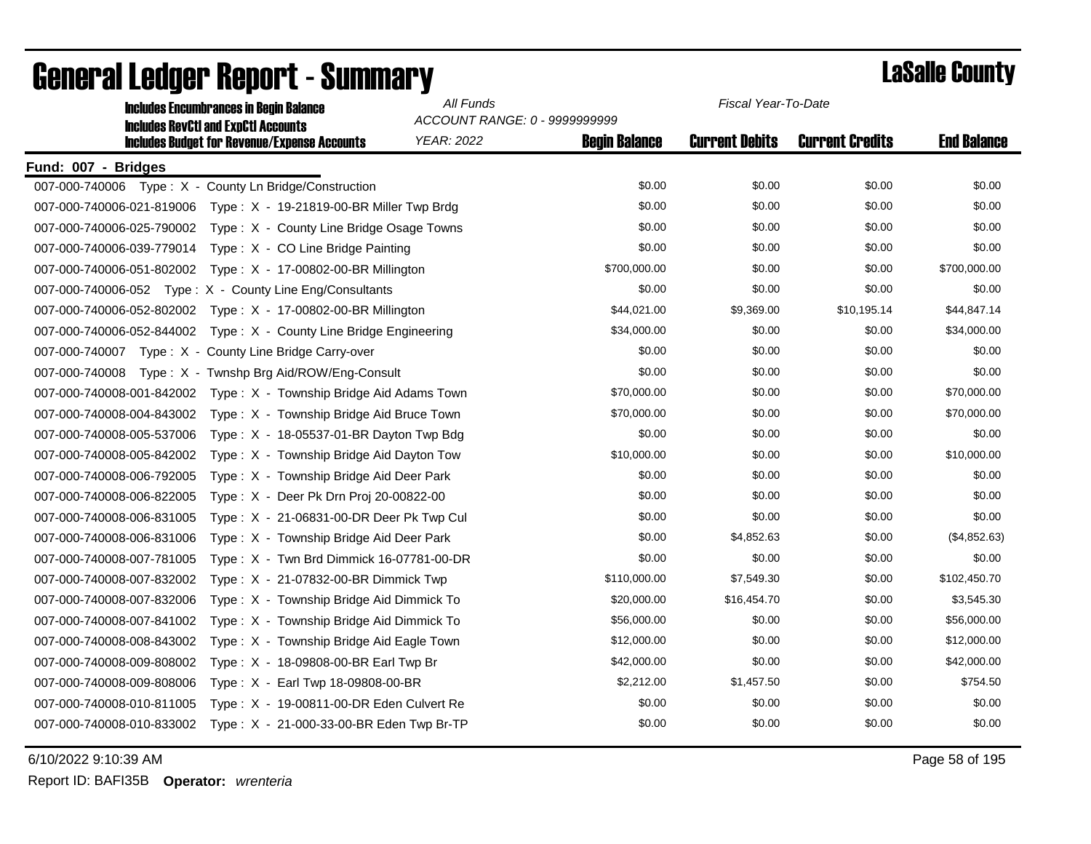| <b>Includes Encumbrances in Begin Balance</b>                                                     | All Funds                                          | Fiscal Year-To-Date  |                       |                        |                    |
|---------------------------------------------------------------------------------------------------|----------------------------------------------------|----------------------|-----------------------|------------------------|--------------------|
| <b>Includes RevCtI and ExpCtI Accounts</b><br><b>Includes Budget for Revenue/Expense Accounts</b> | ACCOUNT RANGE: 0 - 9999999999<br><b>YEAR: 2022</b> | <b>Beain Balance</b> | <b>Current Debits</b> | <b>Current Credits</b> | <b>End Balance</b> |
| Fund: 007 - Bridges                                                                               |                                                    |                      |                       |                        |                    |
| 007-000-740006 Type: X - County Ln Bridge/Construction                                            |                                                    | \$0.00               | \$0.00                | \$0.00                 | \$0.00             |
| 007-000-740006-021-819006    Type: X - 19-21819-00-BR Miller Twp Brdg                             |                                                    | \$0.00               | \$0.00                | \$0.00                 | \$0.00             |
| Type: X - County Line Bridge Osage Towns<br>007-000-740006-025-790002                             |                                                    | \$0.00               | \$0.00                | \$0.00                 | \$0.00             |
| Type: X - CO Line Bridge Painting<br>007-000-740006-039-779014                                    |                                                    | \$0.00               | \$0.00                | \$0.00                 | \$0.00             |
| 007-000-740006-051-802002    Type: X - 17-00802-00-BR Millington                                  |                                                    | \$700,000.00         | \$0.00                | \$0.00                 | \$700,000.00       |
| 007-000-740006-052 Type: X - County Line Eng/Consultants                                          |                                                    | \$0.00               | \$0.00                | \$0.00                 | \$0.00             |
| Type: X - 17-00802-00-BR Millington<br>007-000-740006-052-802002                                  |                                                    | \$44,021.00          | \$9,369.00            | \$10,195.14            | \$44,847.14        |
| 007-000-740006-052-844002<br>Type: X - County Line Bridge Engineering                             |                                                    | \$34,000.00          | \$0.00                | \$0.00                 | \$34,000.00        |
| 007-000-740007 Type: X - County Line Bridge Carry-over                                            |                                                    | \$0.00               | \$0.00                | \$0.00                 | \$0.00             |
| 007-000-740008 Type: X - Twnshp Brg Aid/ROW/Eng-Consult                                           |                                                    | \$0.00               | \$0.00                | \$0.00                 | \$0.00             |
| 007-000-740008-001-842002<br>Type: X - Township Bridge Aid Adams Town                             |                                                    | \$70,000.00          | \$0.00                | \$0.00                 | \$70,000.00        |
| 007-000-740008-004-843002<br>Type: X - Township Bridge Aid Bruce Town                             |                                                    | \$70,000.00          | \$0.00                | \$0.00                 | \$70,000.00        |
| 007-000-740008-005-537006<br>Type: X - 18-05537-01-BR Dayton Twp Bdg                              |                                                    | \$0.00               | \$0.00                | \$0.00                 | \$0.00             |
| 007-000-740008-005-842002<br>Type: X - Township Bridge Aid Dayton Tow                             |                                                    | \$10,000.00          | \$0.00                | \$0.00                 | \$10,000.00        |
| 007-000-740008-006-792005<br>Type: X - Township Bridge Aid Deer Park                              |                                                    | \$0.00               | \$0.00                | \$0.00                 | \$0.00             |
| 007-000-740008-006-822005<br>Type: X - Deer Pk Drn Proj 20-00822-00                               |                                                    | \$0.00               | \$0.00                | \$0.00                 | \$0.00             |
| 007-000-740008-006-831005<br>Type: X - 21-06831-00-DR Deer Pk Twp Cul                             |                                                    | \$0.00               | \$0.00                | \$0.00                 | \$0.00             |
| 007-000-740008-006-831006<br>Type: X - Township Bridge Aid Deer Park                              |                                                    | \$0.00               | \$4,852.63            | \$0.00                 | (\$4,852.63)       |
| 007-000-740008-007-781005<br>Type: $X - T$ wn Brd Dimmick 16-07781-00-DR                          |                                                    | \$0.00               | \$0.00                | \$0.00                 | \$0.00             |
| 007-000-740008-007-832002<br>Type: X - 21-07832-00-BR Dimmick Twp                                 |                                                    | \$110,000.00         | \$7,549.30            | \$0.00                 | \$102,450.70       |
| 007-000-740008-007-832006<br>Type: X - Township Bridge Aid Dimmick To                             |                                                    | \$20,000.00          | \$16,454.70           | \$0.00                 | \$3,545.30         |
| 007-000-740008-007-841002<br>Type: X - Township Bridge Aid Dimmick To                             |                                                    | \$56,000.00          | \$0.00                | \$0.00                 | \$56,000.00        |
| 007-000-740008-008-843002<br>Type: X - Township Bridge Aid Eagle Town                             |                                                    | \$12,000.00          | \$0.00                | \$0.00                 | \$12,000.00        |
| 007-000-740008-009-808002<br>Type: X - 18-09808-00-BR Earl Twp Br                                 |                                                    | \$42,000.00          | \$0.00                | \$0.00                 | \$42,000.00        |
| 007-000-740008-009-808006<br>Type: X - Earl Twp 18-09808-00-BR                                    |                                                    | \$2,212.00           | \$1,457.50            | \$0.00                 | \$754.50           |
| 007-000-740008-010-811005<br>Type: X - 19-00811-00-DR Eden Culvert Re                             |                                                    | \$0.00               | \$0.00                | \$0.00                 | \$0.00             |
| 007-000-740008-010-833002    Type: X - 21-000-33-00-BR    Eden Twp    Br-TP                       |                                                    | \$0.00               | \$0.00                | \$0.00                 | \$0.00             |

# General Ledger Report - Summary **Lassing Report - Summary**

6/10/2022 9:10:39 AM Page 58 of 195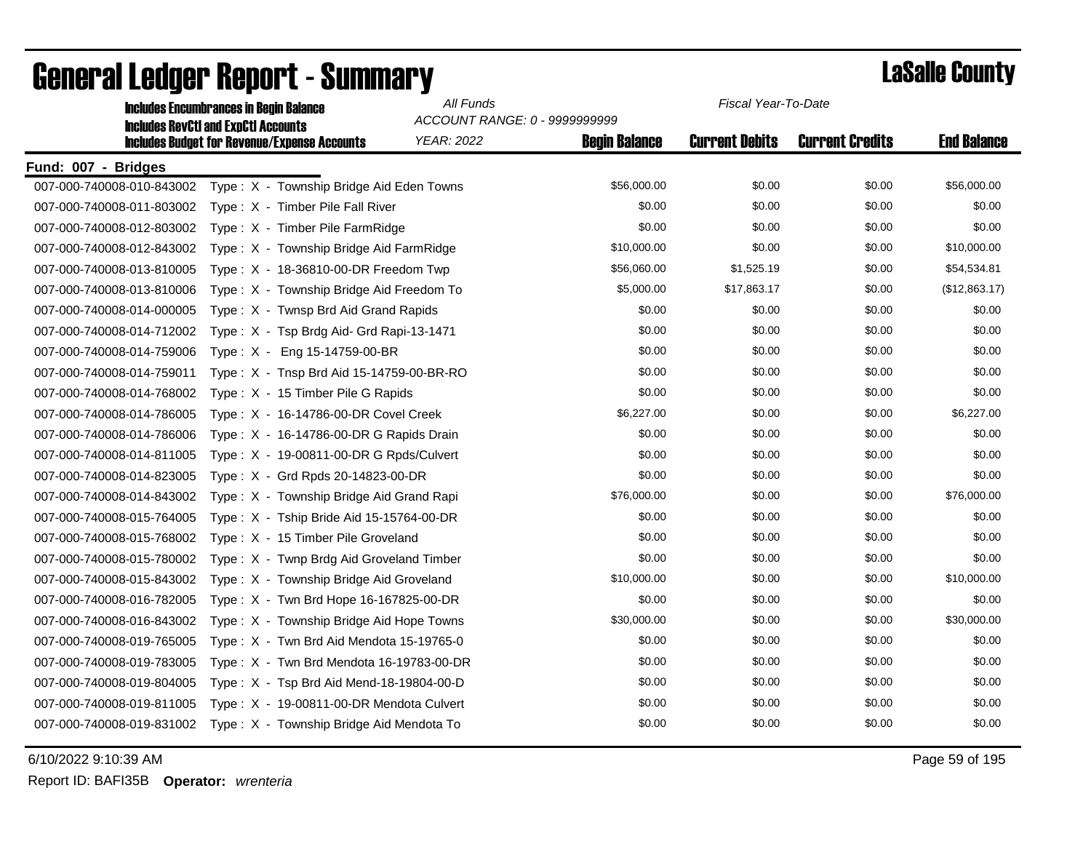| All Funds<br>Fiscal Year-To-Date<br><b>Includes Encumbrances in Begin Balance</b> |                                                                    |                               |                      |                       |                        |                    |
|-----------------------------------------------------------------------------------|--------------------------------------------------------------------|-------------------------------|----------------------|-----------------------|------------------------|--------------------|
|                                                                                   | <b>Includes RevCtI and ExpCtI Accounts</b>                         | ACCOUNT RANGE: 0 - 9999999999 |                      |                       |                        |                    |
|                                                                                   | <b>Includes Budget for Revenue/Expense Accounts</b>                | <b>YEAR: 2022</b>             | <b>Begin Balance</b> | <b>Current Debits</b> | <b>Current Credits</b> | <b>End Balance</b> |
| Fund: 007 - Bridges                                                               |                                                                    |                               |                      |                       |                        |                    |
| 007-000-740008-010-843002                                                         | Type: X - Township Bridge Aid Eden Towns                           |                               | \$56,000.00          | \$0.00                | \$0.00                 | \$56,000.00        |
| 007-000-740008-011-803002                                                         | Type: X - Timber Pile Fall River                                   |                               | \$0.00               | \$0.00                | \$0.00                 | \$0.00             |
| 007-000-740008-012-803002                                                         | Type: X - Timber Pile FarmRidge                                    |                               | \$0.00               | \$0.00                | \$0.00                 | \$0.00             |
| 007-000-740008-012-843002                                                         | Type: X - Township Bridge Aid FarmRidge                            |                               | \$10,000.00          | \$0.00                | \$0.00                 | \$10,000.00        |
| 007-000-740008-013-810005                                                         | Type: X - 18-36810-00-DR Freedom Twp                               |                               | \$56,060.00          | \$1,525.19            | \$0.00                 | \$54,534.81        |
| 007-000-740008-013-810006                                                         | Type: X - Township Bridge Aid Freedom To                           |                               | \$5,000.00           | \$17,863.17           | \$0.00                 | (\$12,863.17)      |
| 007-000-740008-014-000005                                                         | Type: X - Twnsp Brd Aid Grand Rapids                               |                               | \$0.00               | \$0.00                | \$0.00                 | \$0.00             |
| 007-000-740008-014-712002                                                         | Type: X - Tsp Brdg Aid- Grd Rapi-13-1471                           |                               | \$0.00               | \$0.00                | \$0.00                 | \$0.00             |
| 007-000-740008-014-759006                                                         | Type: X - Eng 15-14759-00-BR                                       |                               | \$0.00               | \$0.00                | \$0.00                 | \$0.00             |
| 007-000-740008-014-759011                                                         | Type: X - Tnsp Brd Aid 15-14759-00-BR-RO                           |                               | \$0.00               | \$0.00                | \$0.00                 | \$0.00             |
| 007-000-740008-014-768002                                                         | Type: X - 15 Timber Pile G Rapids                                  |                               | \$0.00               | \$0.00                | \$0.00                 | \$0.00             |
| 007-000-740008-014-786005                                                         | Type: X - 16-14786-00-DR Covel Creek                               |                               | \$6,227.00           | \$0.00                | \$0.00                 | \$6,227.00         |
| 007-000-740008-014-786006                                                         | Type: $X - 16-14786-00$ -DR G Rapids Drain                         |                               | \$0.00               | \$0.00                | \$0.00                 | \$0.00             |
| 007-000-740008-014-811005                                                         | Type: X - 19-00811-00-DR G Rpds/Culvert                            |                               | \$0.00               | \$0.00                | \$0.00                 | \$0.00             |
| 007-000-740008-014-823005                                                         | Type: $X - Grd$ Rpds 20-14823-00-DR                                |                               | \$0.00               | \$0.00                | \$0.00                 | \$0.00             |
| 007-000-740008-014-843002                                                         | Type: X - Township Bridge Aid Grand Rapi                           |                               | \$76,000.00          | \$0.00                | \$0.00                 | \$76,000.00        |
| 007-000-740008-015-764005                                                         | Type: X - Tship Bride Aid 15-15764-00-DR                           |                               | \$0.00               | \$0.00                | \$0.00                 | \$0.00             |
| 007-000-740008-015-768002                                                         | Type: X - 15 Timber Pile Groveland                                 |                               | \$0.00               | \$0.00                | \$0.00                 | \$0.00             |
| 007-000-740008-015-780002                                                         | Type: X - Twnp Brdg Aid Groveland Timber                           |                               | \$0.00               | \$0.00                | \$0.00                 | \$0.00             |
| 007-000-740008-015-843002                                                         | Type: X - Township Bridge Aid Groveland                            |                               | \$10,000.00          | \$0.00                | \$0.00                 | \$10,000.00        |
| 007-000-740008-016-782005                                                         | Type: X - Twn Brd Hope 16-167825-00-DR                             |                               | \$0.00               | \$0.00                | \$0.00                 | \$0.00             |
| 007-000-740008-016-843002                                                         | Type: X - Township Bridge Aid Hope Towns                           |                               | \$30,000.00          | \$0.00                | \$0.00                 | \$30,000.00        |
| 007-000-740008-019-765005                                                         | Type: X - Twn Brd Aid Mendota 15-19765-0                           |                               | \$0.00               | \$0.00                | \$0.00                 | \$0.00             |
| 007-000-740008-019-783005                                                         | Type: $X - T$ wn Brd Mendota 16-19783-00-DR                        |                               | \$0.00               | \$0.00                | \$0.00                 | \$0.00             |
| 007-000-740008-019-804005                                                         | Type: $X - Tsp$ Brd Aid Mend-18-19804-00-D                         |                               | \$0.00               | \$0.00                | \$0.00                 | \$0.00             |
| 007-000-740008-019-811005                                                         | Type: X - 19-00811-00-DR Mendota Culvert                           |                               | \$0.00               | \$0.00                | \$0.00                 | \$0.00             |
|                                                                                   | 007-000-740008-019-831002 Type: X - Township Bridge Aid Mendota To |                               | \$0.00               | \$0.00                | \$0.00                 | \$0.00             |
|                                                                                   |                                                                    |                               |                      |                       |                        |                    |

# General Ledger Report - Summary **Lassing Report - Summary**

6/10/2022 9:10:39 AM Page 59 of 195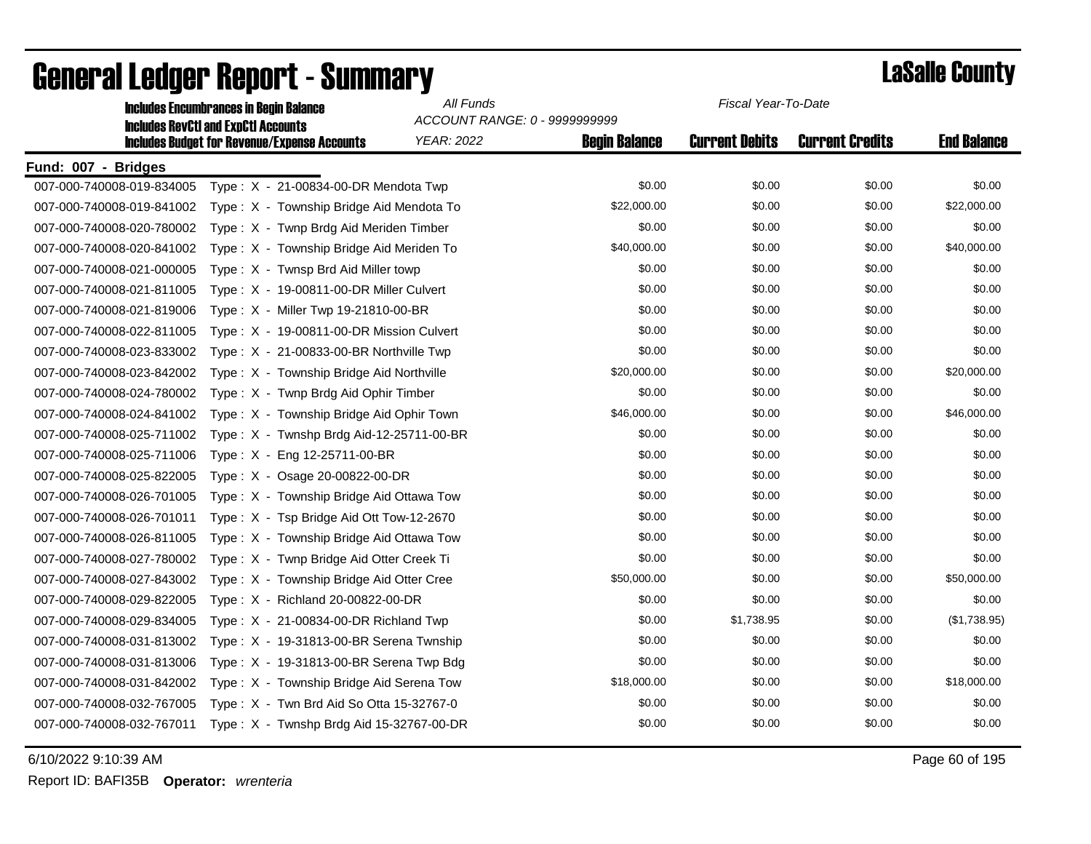|                           | <b>Includes Encumbrances in Begin Balance</b><br><b>Includes RevCtI and ExpCtI Accounts</b> | All Funds<br>ACCOUNT RANGE: 0 - 9999999999 | Fiscal Year-To-Date  |                       |                        |                    |
|---------------------------|---------------------------------------------------------------------------------------------|--------------------------------------------|----------------------|-----------------------|------------------------|--------------------|
|                           | <b>Includes Budget for Revenue/Expense Accounts</b>                                         | <b>YEAR: 2022</b>                          | <b>Begin Balance</b> | <b>Current Debits</b> | <b>Current Credits</b> | <b>End Balance</b> |
| Fund: 007 - Bridges       |                                                                                             |                                            |                      |                       |                        |                    |
| 007-000-740008-019-834005 | Type: X - 21-00834-00-DR Mendota Twp                                                        |                                            | \$0.00               | \$0.00                | \$0.00                 | \$0.00             |
| 007-000-740008-019-841002 | Type: X - Township Bridge Aid Mendota To                                                    |                                            | \$22,000.00          | \$0.00                | \$0.00                 | \$22,000.00        |
| 007-000-740008-020-780002 | Type: X - Twnp Brdg Aid Meriden Timber                                                      |                                            | \$0.00               | \$0.00                | \$0.00                 | \$0.00             |
| 007-000-740008-020-841002 | Type: X - Township Bridge Aid Meriden To                                                    |                                            | \$40,000.00          | \$0.00                | \$0.00                 | \$40,000.00        |
| 007-000-740008-021-000005 | Type: $X -$ Twnsp Brd Aid Miller towp                                                       |                                            | \$0.00               | \$0.00                | \$0.00                 | \$0.00             |
| 007-000-740008-021-811005 | Type: X - 19-00811-00-DR Miller Culvert                                                     |                                            | \$0.00               | \$0.00                | \$0.00                 | \$0.00             |
| 007-000-740008-021-819006 | Type: X - Miller Twp 19-21810-00-BR                                                         |                                            | \$0.00               | \$0.00                | \$0.00                 | \$0.00             |
| 007-000-740008-022-811005 | Type: $X - 19 - 00811 - 00 - DR$ Mission Culvert                                            |                                            | \$0.00               | \$0.00                | \$0.00                 | \$0.00             |
| 007-000-740008-023-833002 | Type: $X - 21 - 00833 - 00 - BR$ Northville Twp                                             |                                            | \$0.00               | \$0.00                | \$0.00                 | \$0.00             |
| 007-000-740008-023-842002 | Type: X - Township Bridge Aid Northville                                                    |                                            | \$20,000.00          | \$0.00                | \$0.00                 | \$20,000.00        |
| 007-000-740008-024-780002 | Type: X - Twnp Brdg Aid Ophir Timber                                                        |                                            | \$0.00               | \$0.00                | \$0.00                 | \$0.00             |
| 007-000-740008-024-841002 | Type: X - Township Bridge Aid Ophir Town                                                    |                                            | \$46,000.00          | \$0.00                | \$0.00                 | \$46,000.00        |
| 007-000-740008-025-711002 | Type: X - Twnshp Brdg Aid-12-25711-00-BR                                                    |                                            | \$0.00               | \$0.00                | \$0.00                 | \$0.00             |
| 007-000-740008-025-711006 | Type: X - Eng 12-25711-00-BR                                                                |                                            | \$0.00               | \$0.00                | \$0.00                 | \$0.00             |
| 007-000-740008-025-822005 | Type: X - Osage 20-00822-00-DR                                                              |                                            | \$0.00               | \$0.00                | \$0.00                 | \$0.00             |
| 007-000-740008-026-701005 | Type: X - Township Bridge Aid Ottawa Tow                                                    |                                            | \$0.00               | \$0.00                | \$0.00                 | \$0.00             |
| 007-000-740008-026-701011 | Type: X - Tsp Bridge Aid Ott Tow-12-2670                                                    |                                            | \$0.00               | \$0.00                | \$0.00                 | \$0.00             |
| 007-000-740008-026-811005 | Type: X - Township Bridge Aid Ottawa Tow                                                    |                                            | \$0.00               | \$0.00                | \$0.00                 | \$0.00             |
| 007-000-740008-027-780002 | Type: X - Twnp Bridge Aid Otter Creek Ti                                                    |                                            | \$0.00               | \$0.00                | \$0.00                 | \$0.00             |
| 007-000-740008-027-843002 | Type: X - Township Bridge Aid Otter Cree                                                    |                                            | \$50,000.00          | \$0.00                | \$0.00                 | \$50,000.00        |
| 007-000-740008-029-822005 | Type: X - Richland 20-00822-00-DR                                                           |                                            | \$0.00               | \$0.00                | \$0.00                 | \$0.00             |
| 007-000-740008-029-834005 | Type: X - 21-00834-00-DR Richland Twp                                                       |                                            | \$0.00               | \$1,738.95            | \$0.00                 | (\$1,738.95)       |
| 007-000-740008-031-813002 | Type: X - 19-31813-00-BR Serena Twnship                                                     |                                            | \$0.00               | \$0.00                | \$0.00                 | \$0.00             |
| 007-000-740008-031-813006 | Type: X - 19-31813-00-BR Serena Twp Bdg                                                     |                                            | \$0.00               | \$0.00                | \$0.00                 | \$0.00             |
| 007-000-740008-031-842002 | Type: X - Township Bridge Aid Serena Tow                                                    |                                            | \$18,000.00          | \$0.00                | \$0.00                 | \$18,000.00        |
| 007-000-740008-032-767005 | Type: X - Twn Brd Aid So Otta 15-32767-0                                                    |                                            | \$0.00               | \$0.00                | \$0.00                 | \$0.00             |
| 007-000-740008-032-767011 | Type: $X -$ Twnshp Brdg Aid 15-32767-00-DR                                                  |                                            | \$0.00               | \$0.00                | \$0.00                 | \$0.00             |

## General Ledger Report - Summary **Lassing County**

6/10/2022 9:10:39 AM Page 60 of 195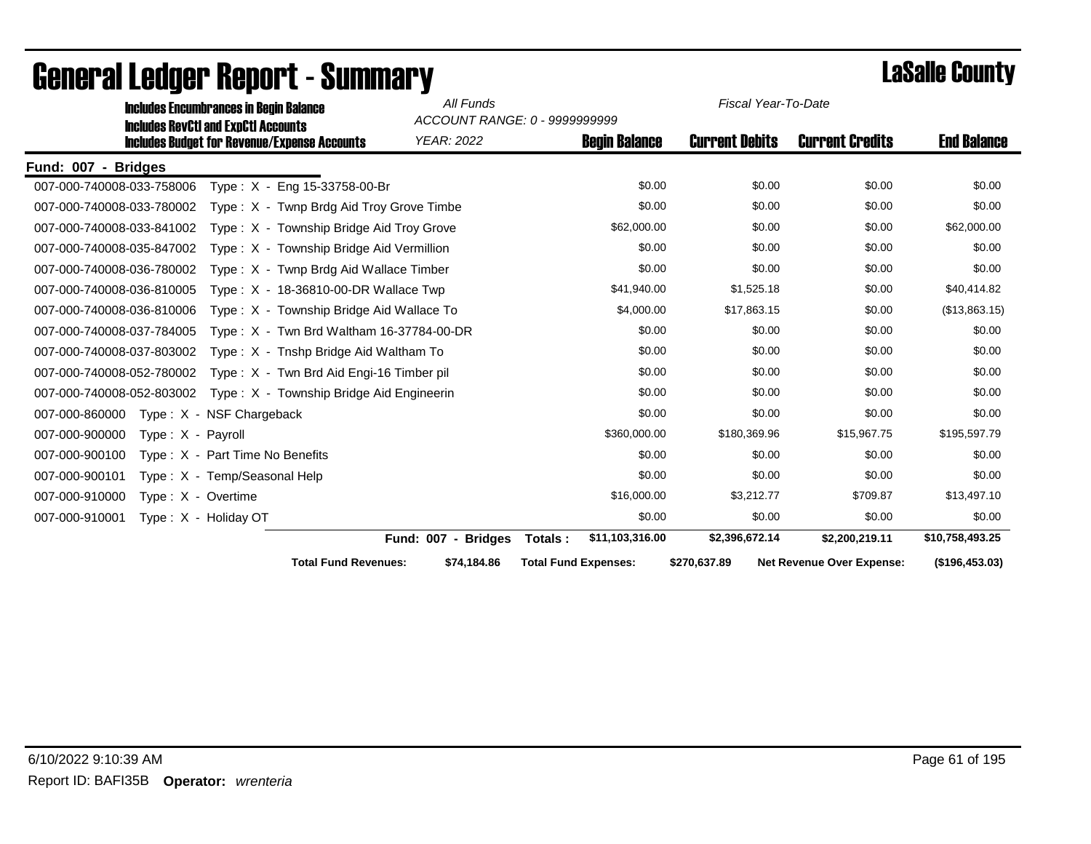| <b>Includes Encumbrances in Begin Balance</b>                                                     |                                              | All Funds         | ACCOUNT RANGE: 0 - 9999999999 | Fiscal Year-To-Date   |                                  |                    |  |
|---------------------------------------------------------------------------------------------------|----------------------------------------------|-------------------|-------------------------------|-----------------------|----------------------------------|--------------------|--|
| <b>Includes RevCtI and ExpCtI Accounts</b><br><b>Includes Budget for Revenue/Expense Accounts</b> |                                              | <b>YEAR: 2022</b> | <b>Begin Balance</b>          | <b>Current Debits</b> | <b>Current Credits</b>           | <b>End Balance</b> |  |
| Fund: 007 - Bridges                                                                               |                                              |                   |                               |                       |                                  |                    |  |
| 007-000-740008-033-758006                                                                         | Type: X - Eng 15-33758-00-Br                 |                   | \$0.00                        | \$0.00                | \$0.00                           | \$0.00             |  |
| 007-000-740008-033-780002                                                                         | Type: X - Twnp Brdg Aid Troy Grove Timbe     |                   | \$0.00                        | \$0.00                | \$0.00                           | \$0.00             |  |
| 007-000-740008-033-841002                                                                         | Type: X - Township Bridge Aid Troy Grove     |                   | \$62,000.00                   | \$0.00                | \$0.00                           | \$62,000.00        |  |
| 007-000-740008-035-847002                                                                         | Type: X - Township Bridge Aid Vermillion     |                   | \$0.00                        | \$0.00                | \$0.00                           | \$0.00             |  |
| 007-000-740008-036-780002                                                                         | Type: X - Twnp Brdg Aid Wallace Timber       |                   | \$0.00                        | \$0.00                | \$0.00                           | \$0.00             |  |
| 007-000-740008-036-810005                                                                         | Type: $X - 18 - 36810 - 00 - DR$ Wallace Twp |                   | \$41,940.00                   | \$1,525.18            | \$0.00                           | \$40,414.82        |  |
| 007-000-740008-036-810006                                                                         | Type: X - Township Bridge Aid Wallace To     |                   | \$4,000.00                    | \$17,863.15           | \$0.00                           | (\$13,863.15)      |  |
| 007-000-740008-037-784005                                                                         | Type: $X - T$ wn Brd Waltham 16-37784-00-DR  |                   | \$0.00                        | \$0.00                | \$0.00                           | \$0.00             |  |
| 007-000-740008-037-803002                                                                         | Type: X - Tnshp Bridge Aid Waltham To        |                   | \$0.00                        | \$0.00                | \$0.00                           | \$0.00             |  |
| 007-000-740008-052-780002                                                                         | Type: X - Twn Brd Aid Engi-16 Timber pil     |                   | \$0.00                        | \$0.00                | \$0.00                           | \$0.00             |  |
| 007-000-740008-052-803002                                                                         | Type: X - Township Bridge Aid Engineerin     |                   | \$0.00                        | \$0.00                | \$0.00                           | \$0.00             |  |
| 007-000-860000<br>$Type: X - NSF Chargeback$                                                      |                                              |                   | \$0.00                        | \$0.00                | \$0.00                           | \$0.00             |  |
| 007-000-900000<br>Type: $X -$ Payroll                                                             |                                              |                   | \$360,000.00                  | \$180,369.96          | \$15,967.75                      | \$195,597.79       |  |
| Type: X - Part Time No Benefits<br>007-000-900100                                                 |                                              |                   | \$0.00                        | \$0.00                | \$0.00                           | \$0.00             |  |
| 007-000-900101<br>Type: X - Temp/Seasonal Help                                                    |                                              |                   | \$0.00                        | \$0.00                | \$0.00                           | \$0.00             |  |
| 007-000-910000<br>Type: X - Overtime                                                              |                                              |                   | \$16,000.00                   | \$3,212.77            | \$709.87                         | \$13,497.10        |  |
| 007-000-910001<br>Type: X - Holiday OT                                                            |                                              |                   | \$0.00                        | \$0.00                | \$0.00                           | \$0.00             |  |
|                                                                                                   | Fund: 007 -                                  | <b>Bridges</b>    | \$11,103,316.00<br>Totals:    | \$2,396,672.14        | \$2,200,219.11                   | \$10,758,493.25    |  |
|                                                                                                   | <b>Total Fund Revenues:</b>                  | \$74,184.86       | <b>Total Fund Expenses:</b>   | \$270,637.89          | <b>Net Revenue Over Expense:</b> | (\$196,453.03)     |  |

## General Ledger Report - Summary **Lassing Service Report - Summary**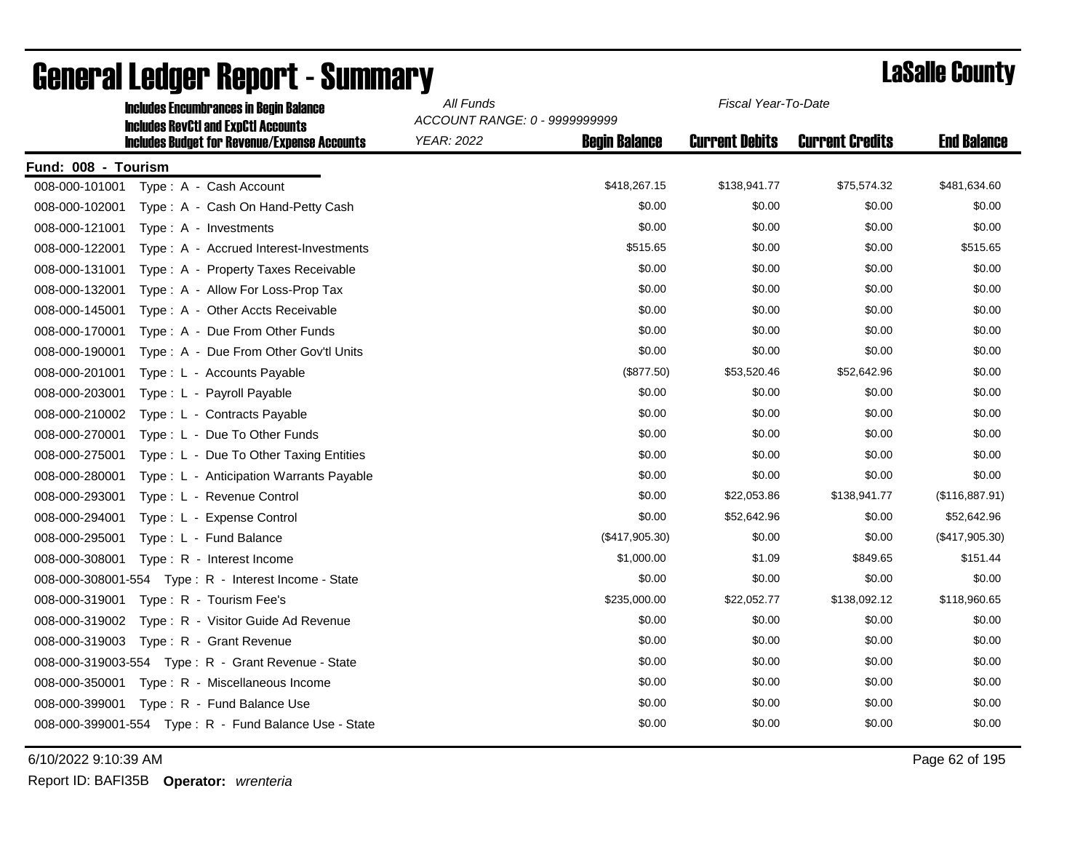| <b>Includes Encumbrances in Begin Balance</b><br><b>Includes RevCtI and ExpCtI Accounts</b> | All Funds         | Fiscal Year-To-Date<br>ACCOUNT RANGE: 0 - 9999999999 |                       |                        |                    |  |
|---------------------------------------------------------------------------------------------|-------------------|------------------------------------------------------|-----------------------|------------------------|--------------------|--|
| <b>Includes Budget for Revenue/Expense Accounts</b>                                         | <b>YEAR: 2022</b> | <b>Begin Balance</b>                                 | <b>Current Debits</b> | <b>Current Credits</b> | <b>End Balance</b> |  |
| Fund: 008 - Tourism                                                                         |                   |                                                      |                       |                        |                    |  |
| 008-000-101001<br>Type: A - Cash Account                                                    |                   | \$418,267.15                                         | \$138,941.77          | \$75,574.32            | \$481,634.60       |  |
| 008-000-102001<br>Type: A - Cash On Hand-Petty Cash                                         |                   | \$0.00                                               | \$0.00                | \$0.00                 | \$0.00             |  |
| 008-000-121001<br>Type: A - Investments                                                     |                   | \$0.00                                               | \$0.00                | \$0.00                 | \$0.00             |  |
| 008-000-122001<br>Type: A - Accrued Interest-Investments                                    |                   | \$515.65                                             | \$0.00                | \$0.00                 | \$515.65           |  |
| 008-000-131001<br>Type: A - Property Taxes Receivable                                       |                   | \$0.00                                               | \$0.00                | \$0.00                 | \$0.00             |  |
| 008-000-132001<br>Type: A - Allow For Loss-Prop Tax                                         |                   | \$0.00                                               | \$0.00                | \$0.00                 | \$0.00             |  |
| 008-000-145001<br>Type: A - Other Accts Receivable                                          |                   | \$0.00                                               | \$0.00                | \$0.00                 | \$0.00             |  |
| 008-000-170001<br>Type: A - Due From Other Funds                                            |                   | \$0.00                                               | \$0.00                | \$0.00                 | \$0.00             |  |
| Type: A - Due From Other Gov'tl Units<br>008-000-190001                                     |                   | \$0.00                                               | \$0.00                | \$0.00                 | \$0.00             |  |
| 008-000-201001<br>Type: L - Accounts Payable                                                |                   | (\$877.50)                                           | \$53,520.46           | \$52,642.96            | \$0.00             |  |
| 008-000-203001<br>Type: L - Payroll Payable                                                 |                   | \$0.00                                               | \$0.00                | \$0.00                 | \$0.00             |  |
| 008-000-210002<br>Type: L - Contracts Payable                                               |                   | \$0.00                                               | \$0.00                | \$0.00                 | \$0.00             |  |
| Type: L - Due To Other Funds<br>008-000-270001                                              |                   | \$0.00                                               | \$0.00                | \$0.00                 | \$0.00             |  |
| 008-000-275001<br>Type: L - Due To Other Taxing Entities                                    |                   | \$0.00                                               | \$0.00                | \$0.00                 | \$0.00             |  |
| 008-000-280001<br>Type: L - Anticipation Warrants Payable                                   |                   | \$0.00                                               | \$0.00                | \$0.00                 | \$0.00             |  |
| Type: L - Revenue Control<br>008-000-293001                                                 |                   | \$0.00                                               | \$22,053.86           | \$138,941.77           | (\$116,887.91)     |  |
| 008-000-294001<br>Type: L - Expense Control                                                 |                   | \$0.00                                               | \$52,642.96           | \$0.00                 | \$52,642.96        |  |
| 008-000-295001<br>Type: L - Fund Balance                                                    |                   | $(\$417,905.30)$                                     | \$0.00                | \$0.00                 | (\$417,905.30)     |  |
| 008-000-308001<br>Type: R - Interest Income                                                 |                   | \$1,000.00                                           | \$1.09                | \$849.65               | \$151.44           |  |
| 008-000-308001-554    Type: R - Interest Income - State                                     |                   | \$0.00                                               | \$0.00                | \$0.00                 | \$0.00             |  |
| Type: R - Tourism Fee's<br>008-000-319001                                                   |                   | \$235,000.00                                         | \$22,052.77           | \$138,092.12           | \$118,960.65       |  |
| 008-000-319002<br>Type: R - Visitor Guide Ad Revenue                                        |                   | \$0.00                                               | \$0.00                | \$0.00                 | \$0.00             |  |
| Type: R - Grant Revenue<br>008-000-319003                                                   |                   | \$0.00                                               | \$0.00                | \$0.00                 | \$0.00             |  |
| 008-000-319003-554 Type: R - Grant Revenue - State                                          |                   | \$0.00                                               | \$0.00                | \$0.00                 | \$0.00             |  |
| 008-000-350001 Type: R - Miscellaneous Income                                               |                   | \$0.00                                               | \$0.00                | \$0.00                 | \$0.00             |  |
| 008-000-399001<br>Type: R - Fund Balance Use                                                |                   | \$0.00                                               | \$0.00                | \$0.00                 | \$0.00             |  |
| 008-000-399001-554 Type: R - Fund Balance Use - State                                       |                   | \$0.00                                               | \$0.00                | \$0.00                 | \$0.00             |  |

6/10/2022 9:10:39 AM Page 62 of 195

Report ID: BAFI35B **Operator:** *wrenteria*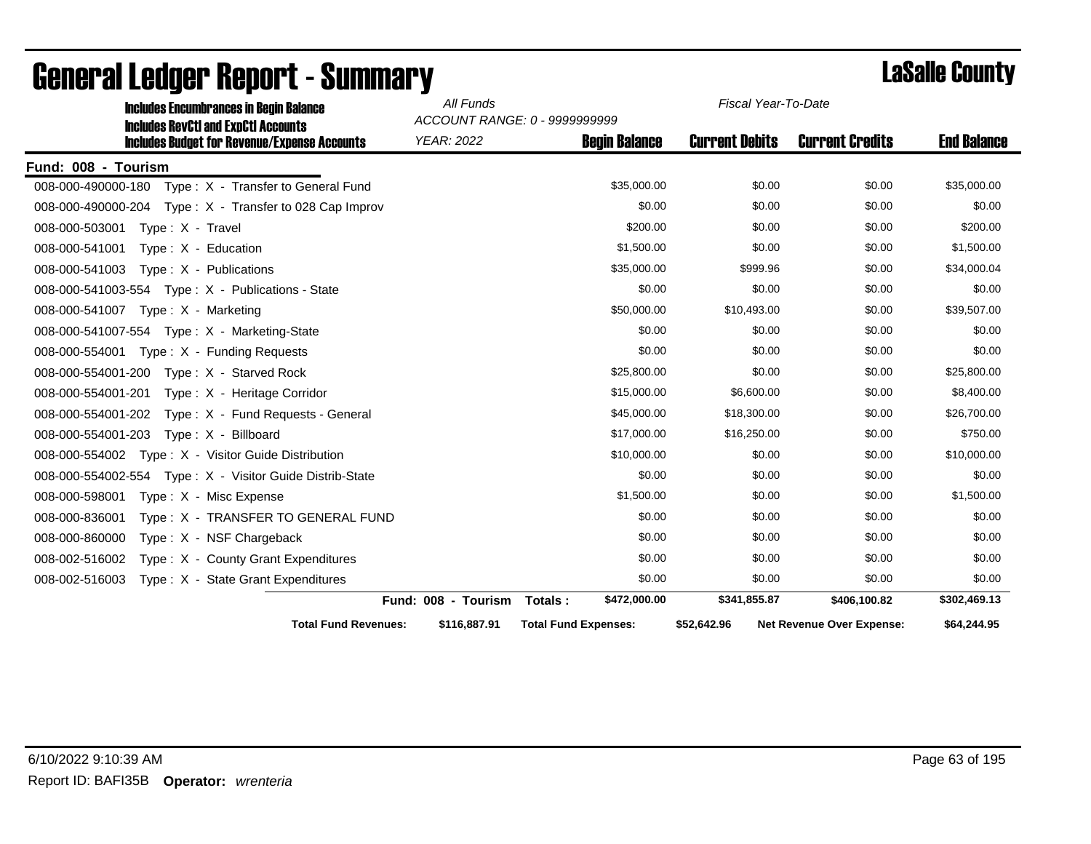| <b>Includes Encumbrances in Begin Balance</b>                                                     | All Funds<br>Fiscal Year-To-Date<br>ACCOUNT RANGE: 0 - 9999999999 |                             |                       |                                  |                    |
|---------------------------------------------------------------------------------------------------|-------------------------------------------------------------------|-----------------------------|-----------------------|----------------------------------|--------------------|
| <b>Includes RevCtI and ExpCtI Accounts</b><br><b>Includes Budget for Revenue/Expense Accounts</b> | <b>YEAR: 2022</b>                                                 | <b>Begin Balance</b>        | <b>Current Debits</b> | <b>Current Credits</b>           | <b>End Balance</b> |
| Fund: 008 - Tourism                                                                               |                                                                   |                             |                       |                                  |                    |
| 008-000-490000-180    Type: X - Transfer to General Fund                                          |                                                                   | \$35,000.00                 | \$0.00                | \$0.00                           | \$35,000.00        |
| 008-000-490000-204 Type: X - Transfer to 028 Cap Improv                                           |                                                                   | \$0.00                      | \$0.00                | \$0.00                           | \$0.00             |
| 008-000-503001<br>Type: X - Travel                                                                |                                                                   | \$200.00                    | \$0.00                | \$0.00                           | \$200.00           |
| Type: $X -$ Education<br>008-000-541001                                                           |                                                                   | \$1,500.00                  | \$0.00                | \$0.00                           | \$1,500.00         |
| 008-000-541003    Type: X - Publications                                                          |                                                                   | \$35,000.00                 | \$999.96              | \$0.00                           | \$34,000.04        |
| 008-000-541003-554    Type: X - Publications - State                                              |                                                                   | \$0.00                      | \$0.00                | \$0.00                           | \$0.00             |
| 008-000-541007    Type: X - Marketing                                                             |                                                                   | \$50,000.00                 | \$10,493.00           | \$0.00                           | \$39,507.00        |
| 008-000-541007-554 Type: X - Marketing-State                                                      |                                                                   | \$0.00                      | \$0.00                | \$0.00                           | \$0.00             |
| 008-000-554001    Type: X - Funding Requests                                                      |                                                                   | \$0.00                      | \$0.00                | \$0.00                           | \$0.00             |
| 008-000-554001-200 Type: X - Starved Rock                                                         |                                                                   | \$25,800.00                 | \$0.00                | \$0.00                           | \$25,800.00        |
| 008-000-554001-201    Type: X - Heritage Corridor                                                 |                                                                   | \$15,000.00                 | \$6,600.00            | \$0.00                           | \$8,400.00         |
| 008-000-554001-202 Type: X - Fund Requests - General                                              |                                                                   | \$45,000.00                 | \$18,300.00           | \$0.00                           | \$26,700.00        |
| 008-000-554001-203<br>Type: X - Billboard                                                         |                                                                   | \$17,000.00                 | \$16,250.00           | \$0.00                           | \$750.00           |
| Type: X - Visitor Guide Distribution<br>008-000-554002                                            |                                                                   | \$10,000.00                 | \$0.00                | \$0.00                           | \$10,000.00        |
| 008-000-554002-554 Type: X - Visitor Guide Distrib-State                                          |                                                                   | \$0.00                      | \$0.00                | \$0.00                           | \$0.00             |
| 008-000-598001<br>Type: X - Misc Expense                                                          |                                                                   | \$1,500.00                  | \$0.00                | \$0.00                           | \$1,500.00         |
| 008-000-836001<br>Type: X - TRANSFER TO GENERAL FUND                                              |                                                                   | \$0.00                      | \$0.00                | \$0.00                           | \$0.00             |
| 008-000-860000<br>$Type: X - NSF Chargeback$                                                      |                                                                   | \$0.00                      | \$0.00                | \$0.00                           | \$0.00             |
| 008-002-516002<br>Type: X - County Grant Expenditures                                             |                                                                   | \$0.00                      | \$0.00                | \$0.00                           | \$0.00             |
| 008-002-516003<br>Type: X - State Grant Expenditures                                              |                                                                   | \$0.00                      | \$0.00                | \$0.00                           | \$0.00             |
|                                                                                                   | Fund: 008 - Tourism                                               | \$472,000.00<br>Totals:     | \$341,855.87          | \$406,100.82                     | \$302,469.13       |
| <b>Total Fund Revenues:</b>                                                                       | \$116.887.91                                                      | <b>Total Fund Expenses:</b> | \$52.642.96           | <b>Net Revenue Over Expense:</b> | \$64,244.95        |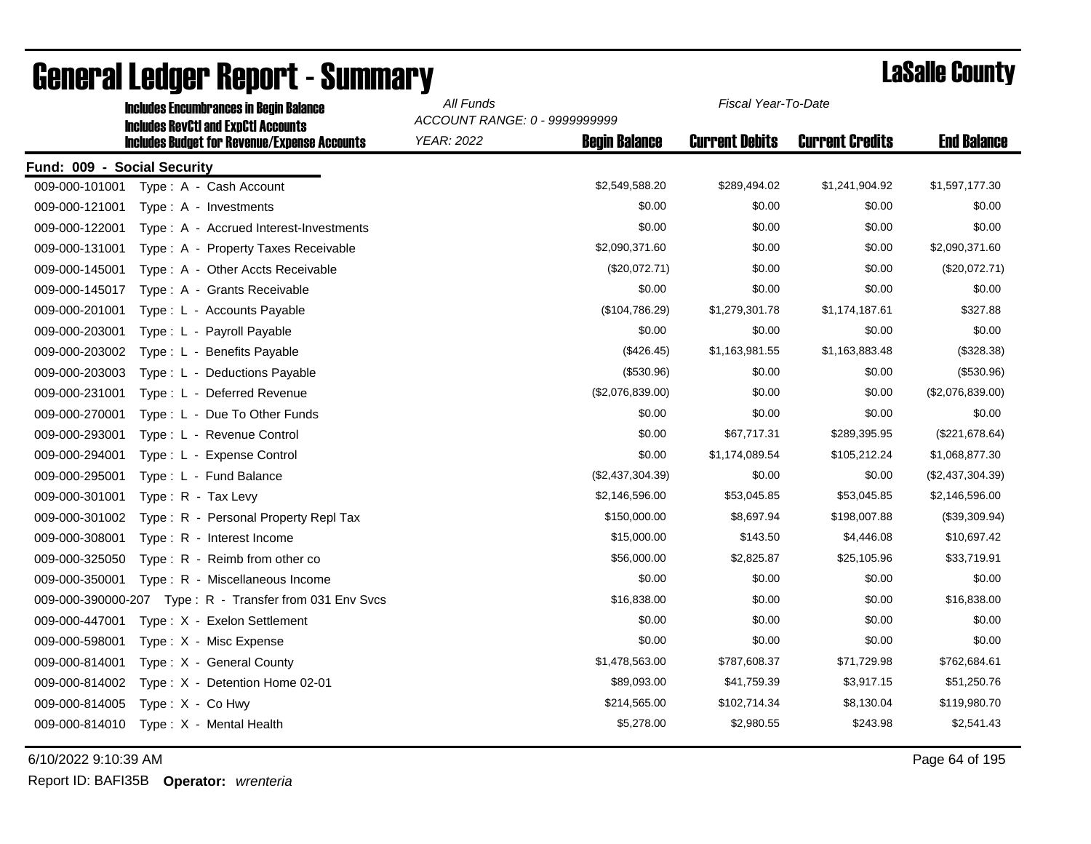| <b>Includes Encumbrances in Begin Balance</b> |                                                           | All Funds<br>Fiscal Year-To-Date<br>ACCOUNT RANGE: 0 - 9999999999 |                      |                       |                        |                    |
|-----------------------------------------------|-----------------------------------------------------------|-------------------------------------------------------------------|----------------------|-----------------------|------------------------|--------------------|
| <b>Includes RevCtI and ExpCtI Accounts</b>    |                                                           |                                                                   |                      |                       |                        |                    |
|                                               | <b>Includes Budget for Revenue/Expense Accounts</b>       | <b>YEAR: 2022</b>                                                 | <b>Begin Balance</b> | <b>Current Debits</b> | <b>Current Credits</b> | <b>End Balance</b> |
| Fund: 009 - Social Security                   |                                                           |                                                                   |                      |                       |                        |                    |
| 009-000-101001                                | Type: A - Cash Account                                    |                                                                   | \$2,549,588.20       | \$289,494.02          | \$1,241,904.92         | \$1,597,177.30     |
| 009-000-121001                                | $Type: A - Investments$                                   |                                                                   | \$0.00               | \$0.00                | \$0.00                 | \$0.00             |
| 009-000-122001                                | Type: A - Accrued Interest-Investments                    |                                                                   | \$0.00               | \$0.00                | \$0.00                 | \$0.00             |
| 009-000-131001                                | Type: A - Property Taxes Receivable                       |                                                                   | \$2,090,371.60       | \$0.00                | \$0.00                 | \$2,090,371.60     |
| 009-000-145001                                | Type: A - Other Accts Receivable                          |                                                                   | (\$20,072.71)        | \$0.00                | \$0.00                 | (\$20,072.71)      |
| 009-000-145017                                | Type: A - Grants Receivable                               |                                                                   | \$0.00               | \$0.00                | \$0.00                 | \$0.00             |
| 009-000-201001                                | Type: L - Accounts Payable                                |                                                                   | (\$104,786.29)       | \$1,279,301.78        | \$1,174,187.61         | \$327.88           |
| 009-000-203001                                | Type: L - Payroll Payable                                 |                                                                   | \$0.00               | \$0.00                | \$0.00                 | \$0.00             |
| 009-000-203002                                | Type : L - Benefits Payable                               |                                                                   | (\$426.45)           | \$1,163,981.55        | \$1,163,883.48         | (\$328.38)         |
| 009-000-203003                                | Type: L - Deductions Payable                              |                                                                   | (\$530.96)           | \$0.00                | \$0.00                 | (\$530.96)         |
| 009-000-231001                                | Type: L - Deferred Revenue                                |                                                                   | (\$2,076,839.00)     | \$0.00                | \$0.00                 | (\$2,076,839.00)   |
| 009-000-270001                                | Type: L - Due To Other Funds                              |                                                                   | \$0.00               | \$0.00                | \$0.00                 | \$0.00             |
| 009-000-293001                                | Type: L - Revenue Control                                 |                                                                   | \$0.00               | \$67,717.31           | \$289,395.95           | (\$221,678.64)     |
| 009-000-294001                                | Type: L - Expense Control                                 |                                                                   | \$0.00               | \$1,174,089.54        | \$105,212.24           | \$1,068,877.30     |
| 009-000-295001                                | Type: L - Fund Balance                                    |                                                                   | (\$2,437,304.39)     | \$0.00                | \$0.00                 | (\$2,437,304.39)   |
| 009-000-301001                                | Type: R - Tax Levy                                        |                                                                   | \$2,146,596.00       | \$53,045.85           | \$53,045.85            | \$2,146,596.00     |
| 009-000-301002                                | Type: R - Personal Property Repl Tax                      |                                                                   | \$150,000.00         | \$8,697.94            | \$198,007.88           | (\$39,309.94)      |
| 009-000-308001                                | Type: R - Interest Income                                 |                                                                   | \$15,000.00          | \$143.50              | \$4,446.08             | \$10,697.42        |
| 009-000-325050                                | Type: $R -$ Reimb from other co                           |                                                                   | \$56,000.00          | \$2,825.87            | \$25,105.96            | \$33,719.91        |
| 009-000-350001                                | Type: R - Miscellaneous Income                            |                                                                   | \$0.00               | \$0.00                | \$0.00                 | \$0.00             |
|                                               | 009-000-390000-207  Type: R - Transfer from 031  Env Svcs |                                                                   | \$16,838.00          | \$0.00                | \$0.00                 | \$16,838.00        |
| 009-000-447001                                | Type: X - Exelon Settlement                               |                                                                   | \$0.00               | \$0.00                | \$0.00                 | \$0.00             |
| 009-000-598001                                | Type: X - Misc Expense                                    |                                                                   | \$0.00               | \$0.00                | \$0.00                 | \$0.00             |
| 009-000-814001                                | Type: X - General County                                  |                                                                   | \$1,478,563.00       | \$787,608.37          | \$71,729.98            | \$762,684.61       |
| 009-000-814002                                | Type: X - Detention Home 02-01                            |                                                                   | \$89,093.00          | \$41,759.39           | \$3,917.15             | \$51,250.76        |
| 009-000-814005                                | Type: X - Co Hwy                                          |                                                                   | \$214,565.00         | \$102,714.34          | \$8,130.04             | \$119,980.70       |
| 009-000-814010                                | Type: X - Mental Health                                   |                                                                   | \$5,278.00           | \$2,980.55            | \$243.98               | \$2,541.43         |

6/10/2022 9:10:39 AM Page 64 of 195

Report ID: BAFI35B **Operator:** *wrenteria*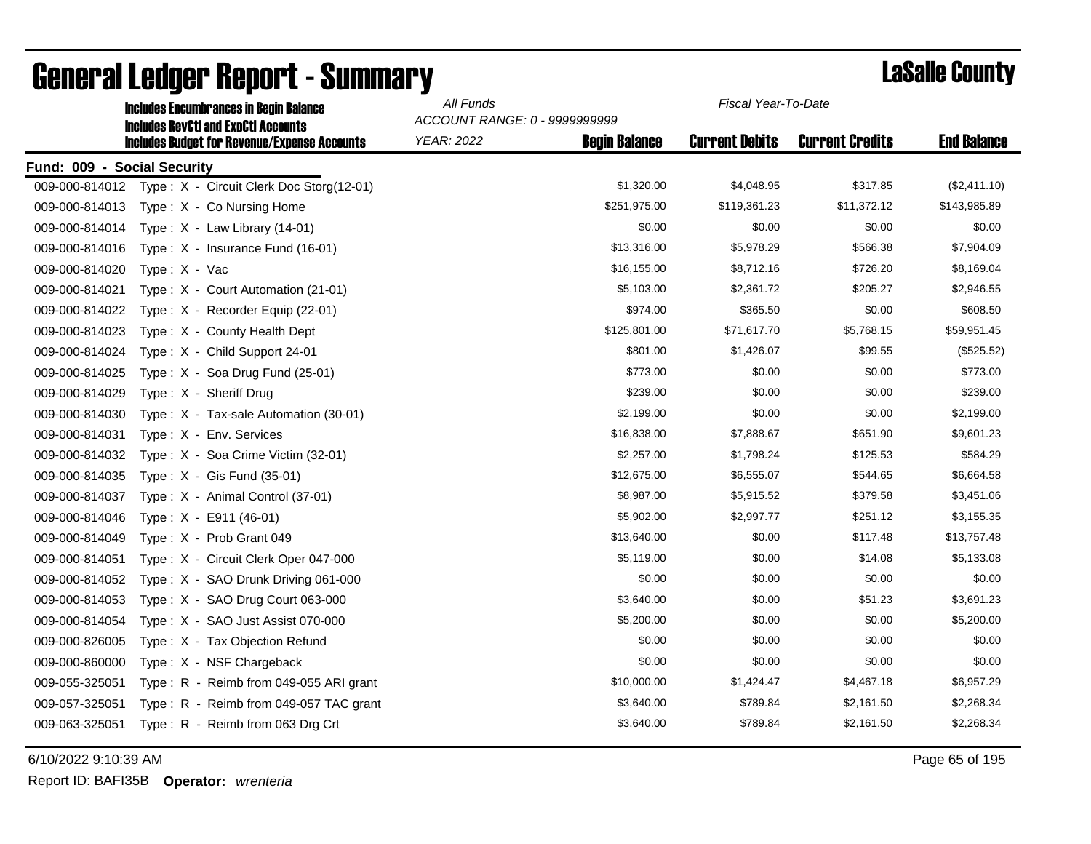| <b>Includes Encumbrances in Begin Balance</b> |                                                                                                 |                                |                                                                     |                                     |                                                           |  |
|-----------------------------------------------|-------------------------------------------------------------------------------------------------|--------------------------------|---------------------------------------------------------------------|-------------------------------------|-----------------------------------------------------------|--|
| <b>Includes RevCtI and ExpCtI Accounts</b>    |                                                                                                 |                                |                                                                     |                                     |                                                           |  |
|                                               |                                                                                                 |                                |                                                                     |                                     | <b>End Balance</b>                                        |  |
| Fund: 009 - Social Security                   |                                                                                                 |                                |                                                                     |                                     |                                                           |  |
|                                               |                                                                                                 |                                |                                                                     |                                     | (\$2,411.10)                                              |  |
| Type: X - Co Nursing Home                     |                                                                                                 | \$251,975.00                   | \$119,361.23                                                        | \$11,372.12                         | \$143,985.89                                              |  |
| Type: $X - Law Library (14-01)$               |                                                                                                 | \$0.00                         | \$0.00                                                              | \$0.00                              | \$0.00                                                    |  |
| Type: $X -$ Insurance Fund (16-01)            |                                                                                                 | \$13,316.00                    | \$5,978.29                                                          | \$566.38                            | \$7,904.09                                                |  |
| Type: X - Vac                                 |                                                                                                 | \$16,155.00                    | \$8,712.16                                                          | \$726.20                            | \$8,169.04                                                |  |
| Type: X - Court Automation (21-01)            |                                                                                                 | \$5,103.00                     | \$2,361.72                                                          | \$205.27                            | \$2,946.55                                                |  |
| Type: X - Recorder Equip (22-01)              |                                                                                                 | \$974.00                       | \$365.50                                                            | \$0.00                              | \$608.50                                                  |  |
| Type: X - County Health Dept                  |                                                                                                 | \$125,801.00                   | \$71,617.70                                                         | \$5,768.15                          | \$59,951.45                                               |  |
| Type: X - Child Support 24-01                 |                                                                                                 | \$801.00                       | \$1,426.07                                                          | \$99.55                             | (\$525.52)                                                |  |
| Type: X - Soa Drug Fund (25-01)               |                                                                                                 | \$773.00                       | \$0.00                                                              | \$0.00                              | \$773.00                                                  |  |
| Type: X - Sheriff Drug                        |                                                                                                 | \$239.00                       | \$0.00                                                              | \$0.00                              | \$239.00                                                  |  |
| Type: X - Tax-sale Automation (30-01)         |                                                                                                 | \$2,199.00                     | \$0.00                                                              | \$0.00                              | \$2,199.00                                                |  |
| Type: X - Env. Services                       |                                                                                                 | \$16,838.00                    | \$7,888.67                                                          | \$651.90                            | \$9,601.23                                                |  |
| Type: X - Soa Crime Victim (32-01)            |                                                                                                 | \$2,257.00                     | \$1,798.24                                                          | \$125.53                            | \$584.29                                                  |  |
| Type: $X - G$ is Fund (35-01)                 |                                                                                                 | \$12,675.00                    | \$6,555.07                                                          | \$544.65                            | \$6,664.58                                                |  |
| Type: X - Animal Control (37-01)              |                                                                                                 | \$8,987.00                     | \$5,915.52                                                          | \$379.58                            | \$3,451.06                                                |  |
| Type: $X - E911(46-01)$                       |                                                                                                 | \$5,902.00                     | \$2,997.77                                                          | \$251.12                            | \$3,155.35                                                |  |
| Type: X - Prob Grant 049                      |                                                                                                 | \$13,640.00                    | \$0.00                                                              | \$117.48                            | \$13,757.48                                               |  |
| Type: X - Circuit Clerk Oper 047-000          |                                                                                                 | \$5,119.00                     | \$0.00                                                              | \$14.08                             | \$5,133.08                                                |  |
| Type: X - SAO Drunk Driving 061-000           |                                                                                                 | \$0.00                         | \$0.00                                                              | \$0.00                              | \$0.00                                                    |  |
| Type: X - SAO Drug Court 063-000              |                                                                                                 | \$3,640.00                     | \$0.00                                                              | \$51.23                             | \$3,691.23                                                |  |
| Type: X - SAO Just Assist 070-000             |                                                                                                 | \$5,200.00                     | \$0.00                                                              | \$0.00                              | \$5,200.00                                                |  |
| Type: X - Tax Objection Refund                |                                                                                                 | \$0.00                         | \$0.00                                                              | \$0.00                              | \$0.00                                                    |  |
| Type: X - NSF Chargeback                      |                                                                                                 | \$0.00                         | \$0.00                                                              | \$0.00                              | \$0.00                                                    |  |
| Type: R - Reimb from 049-055 ARI grant        |                                                                                                 | \$10,000.00                    | \$1,424.47                                                          | \$4,467.18                          | \$6,957.29                                                |  |
| Type: R - Reimb from 049-057 TAC grant        |                                                                                                 | \$3,640.00                     | \$789.84                                                            | \$2,161.50                          | \$2,268.34                                                |  |
| Type: R - Reimb from 063 Drg Crt              |                                                                                                 | \$3,640.00                     | \$789.84                                                            | \$2,161.50                          | \$2,268.34                                                |  |
|                                               | <b>Includes Budget for Revenue/Expense Accounts</b><br>Type: X - Circuit Clerk Doc Storg(12-01) | All Funds<br><b>YEAR: 2022</b> | ACCOUNT RANGE: 0 - 9999999999<br><b>Begin Balance</b><br>\$1,320.00 | <b>Current Debits</b><br>\$4,048.95 | Fiscal Year-To-Date<br><b>Current Credits</b><br>\$317.85 |  |

6/10/2022 9:10:39 AM Page 65 of 195

Report ID: BAFI35B **Operator:** *wrenteria*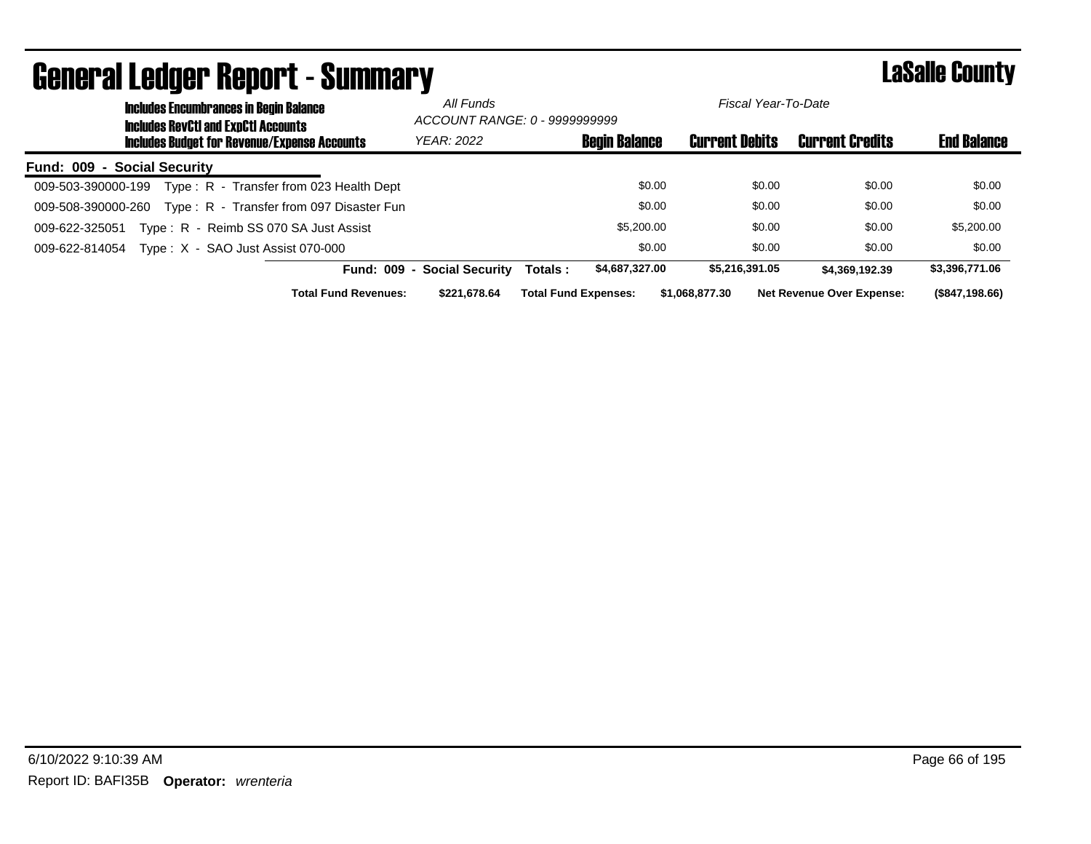| uvnoi ui Lougoi Tiopoi te vunnilui y                           |                             |                               |                       |                                  | -----------        |
|----------------------------------------------------------------|-----------------------------|-------------------------------|-----------------------|----------------------------------|--------------------|
| <b>Includes Encumbrances in Begin Balance</b>                  | All Funds                   |                               | Fiscal Year-To-Date   |                                  |                    |
| <b>Includes RevCtI and ExpCtI Accounts</b>                     |                             | ACCOUNT RANGE: 0 - 9999999999 |                       |                                  |                    |
| <b>Includes Budget for Revenue/Expense Accounts</b>            | <b>YEAR: 2022</b>           | <b>Begin Balance</b>          | <b>Current Debits</b> | <b>Current Credits</b>           | <b>End Balance</b> |
| <b>Fund: 009 - Social Security</b>                             |                             |                               |                       |                                  |                    |
| Type: R - Transfer from 023 Health Dept<br>009-503-390000-199  |                             | \$0.00                        | \$0.00                | \$0.00                           | \$0.00             |
| Type: R - Transfer from 097 Disaster Fun<br>009-508-390000-260 |                             | \$0.00                        | \$0.00                | \$0.00                           | \$0.00             |
| Type: R - Reimb SS 070 SA Just Assist<br>009-622-325051        |                             | \$5,200.00                    | \$0.00                | \$0.00                           | \$5,200.00         |
| Type: $X - SAO$ Just Assist 070-000<br>009-622-814054          |                             | \$0.00                        | \$0.00                | \$0.00                           | \$0.00             |
|                                                                | Fund: 009 - Social Security | \$4,687,327.00<br>Totals:     | \$5,216,391.05        | \$4.369.192.39                   | \$3,396,771.06     |
| <b>Total Fund Revenues:</b>                                    | \$221.678.64                | <b>Total Fund Expenses:</b>   | \$1,068,877.30        | <b>Net Revenue Over Expense:</b> | (\$847,198.66)     |

### General Ledger Report - Summary LaSalle County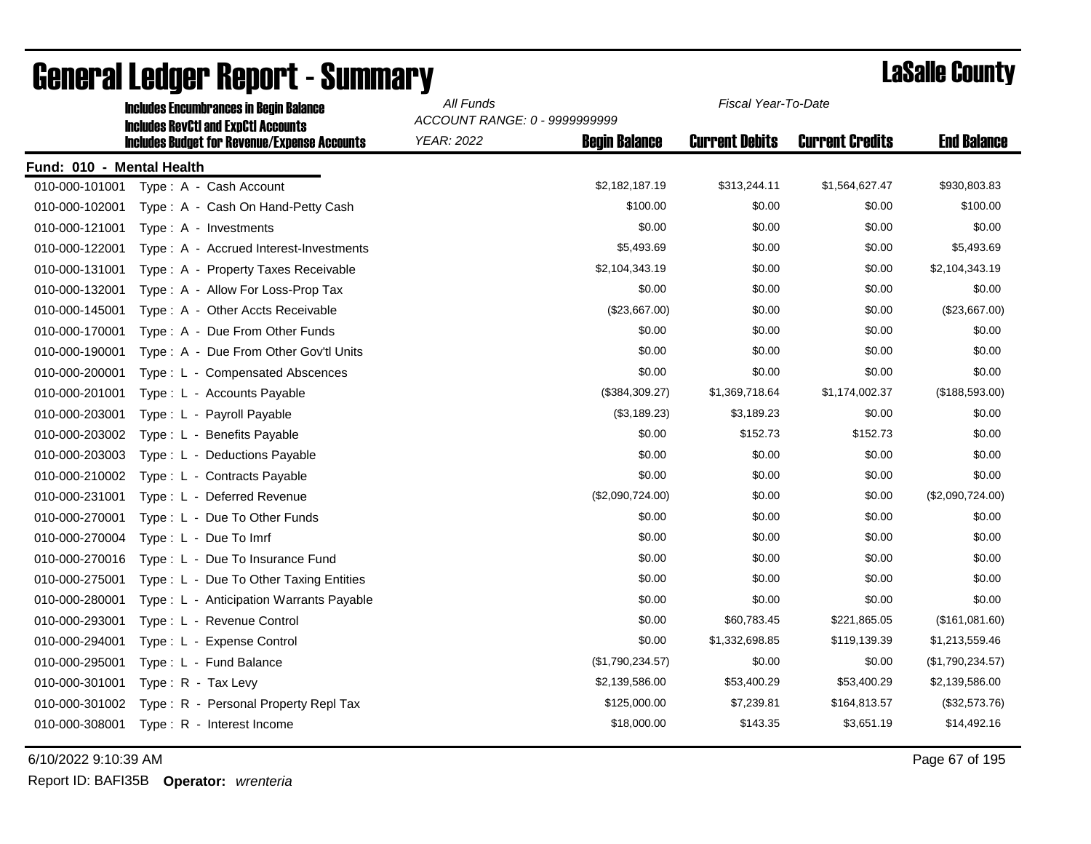| <b>Includes Encumbrances in Begin Balance</b> |                                                     | All Funds<br>Fiscal Year-To-Date<br>ACCOUNT RANGE: 0 - 9999999999 |                      |                       |                        |                    |  |
|-----------------------------------------------|-----------------------------------------------------|-------------------------------------------------------------------|----------------------|-----------------------|------------------------|--------------------|--|
|                                               | <b>Includes RevCtI and ExpCtI Accounts</b>          |                                                                   |                      |                       |                        |                    |  |
|                                               | <b>Includes Budget for Revenue/Expense Accounts</b> | <b>YEAR: 2022</b>                                                 | <b>Begin Balance</b> | <b>Current Debits</b> | <b>Current Credits</b> | <b>End Balance</b> |  |
| Fund: 010 - Mental Health                     |                                                     |                                                                   |                      |                       |                        |                    |  |
| 010-000-101001                                | Type: A - Cash Account                              |                                                                   | \$2,182,187.19       | \$313,244.11          | \$1,564,627.47         | \$930,803.83       |  |
| 010-000-102001                                | Type: A - Cash On Hand-Petty Cash                   |                                                                   | \$100.00             | \$0.00                | \$0.00                 | \$100.00           |  |
| 010-000-121001                                | Type: A - Investments                               |                                                                   | \$0.00               | \$0.00                | \$0.00                 | \$0.00             |  |
| 010-000-122001                                | Type: A - Accrued Interest-Investments              |                                                                   | \$5,493.69           | \$0.00                | \$0.00                 | \$5,493.69         |  |
| 010-000-131001                                | Type: A - Property Taxes Receivable                 |                                                                   | \$2,104,343.19       | \$0.00                | \$0.00                 | \$2,104,343.19     |  |
| 010-000-132001                                | Type: A - Allow For Loss-Prop Tax                   |                                                                   | \$0.00               | \$0.00                | \$0.00                 | \$0.00             |  |
| 010-000-145001                                | Type: A - Other Accts Receivable                    |                                                                   | (\$23,667.00)        | \$0.00                | \$0.00                 | (\$23,667.00)      |  |
| 010-000-170001                                | Type: A - Due From Other Funds                      |                                                                   | \$0.00               | \$0.00                | \$0.00                 | \$0.00             |  |
| 010-000-190001                                | Type: A - Due From Other Gov'tl Units               |                                                                   | \$0.00               | \$0.00                | \$0.00                 | \$0.00             |  |
| 010-000-200001                                | Type: L - Compensated Abscences                     |                                                                   | \$0.00               | \$0.00                | \$0.00                 | \$0.00             |  |
| 010-000-201001                                | Type: L - Accounts Payable                          |                                                                   | (\$384,309.27)       | \$1,369,718.64        | \$1,174,002.37         | (\$188,593.00)     |  |
| 010-000-203001                                | Type: L - Payroll Payable                           |                                                                   | (\$3,189.23)         | \$3,189.23            | \$0.00                 | \$0.00             |  |
| 010-000-203002                                | Type: L - Benefits Payable                          |                                                                   | \$0.00               | \$152.73              | \$152.73               | \$0.00             |  |
| 010-000-203003                                | Type: L - Deductions Payable                        |                                                                   | \$0.00               | \$0.00                | \$0.00                 | \$0.00             |  |
| 010-000-210002                                | Type: L - Contracts Payable                         |                                                                   | \$0.00               | \$0.00                | \$0.00                 | \$0.00             |  |
| 010-000-231001                                | Type: L - Deferred Revenue                          |                                                                   | (\$2,090,724.00)     | \$0.00                | \$0.00                 | (\$2,090,724.00)   |  |
| 010-000-270001                                | Type: L - Due To Other Funds                        |                                                                   | \$0.00               | \$0.00                | \$0.00                 | \$0.00             |  |
| 010-000-270004                                | Type: L - Due To Imrf                               |                                                                   | \$0.00               | \$0.00                | \$0.00                 | \$0.00             |  |
| 010-000-270016                                | Type: L - Due To Insurance Fund                     |                                                                   | \$0.00               | \$0.00                | \$0.00                 | \$0.00             |  |
| 010-000-275001                                | Type: L - Due To Other Taxing Entities              |                                                                   | \$0.00               | \$0.00                | \$0.00                 | \$0.00             |  |
| 010-000-280001                                | Type: L - Anticipation Warrants Payable             |                                                                   | \$0.00               | \$0.00                | \$0.00                 | \$0.00             |  |
| 010-000-293001                                | Type: L - Revenue Control                           |                                                                   | \$0.00               | \$60,783.45           | \$221,865.05           | (\$161,081.60)     |  |
| 010-000-294001                                | Type: L - Expense Control                           |                                                                   | \$0.00               | \$1,332,698.85        | \$119,139.39           | \$1,213,559.46     |  |
| 010-000-295001                                | Type: L - Fund Balance                              |                                                                   | (\$1,790,234.57)     | \$0.00                | \$0.00                 | (\$1,790,234.57)   |  |
| 010-000-301001                                | Type: R - Tax Levy                                  |                                                                   | \$2,139,586.00       | \$53,400.29           | \$53,400.29            | \$2,139,586.00     |  |
| 010-000-301002                                | Type: R - Personal Property Repl Tax                |                                                                   | \$125,000.00         | \$7,239.81            | \$164,813.57           | (\$32,573.76)      |  |
| 010-000-308001                                | Type: R - Interest Income                           |                                                                   | \$18,000.00          | \$143.35              | \$3,651.19             | \$14,492.16        |  |
|                                               |                                                     |                                                                   |                      |                       |                        |                    |  |

Report ID: BAFI35B **Operator:** *wrenteria*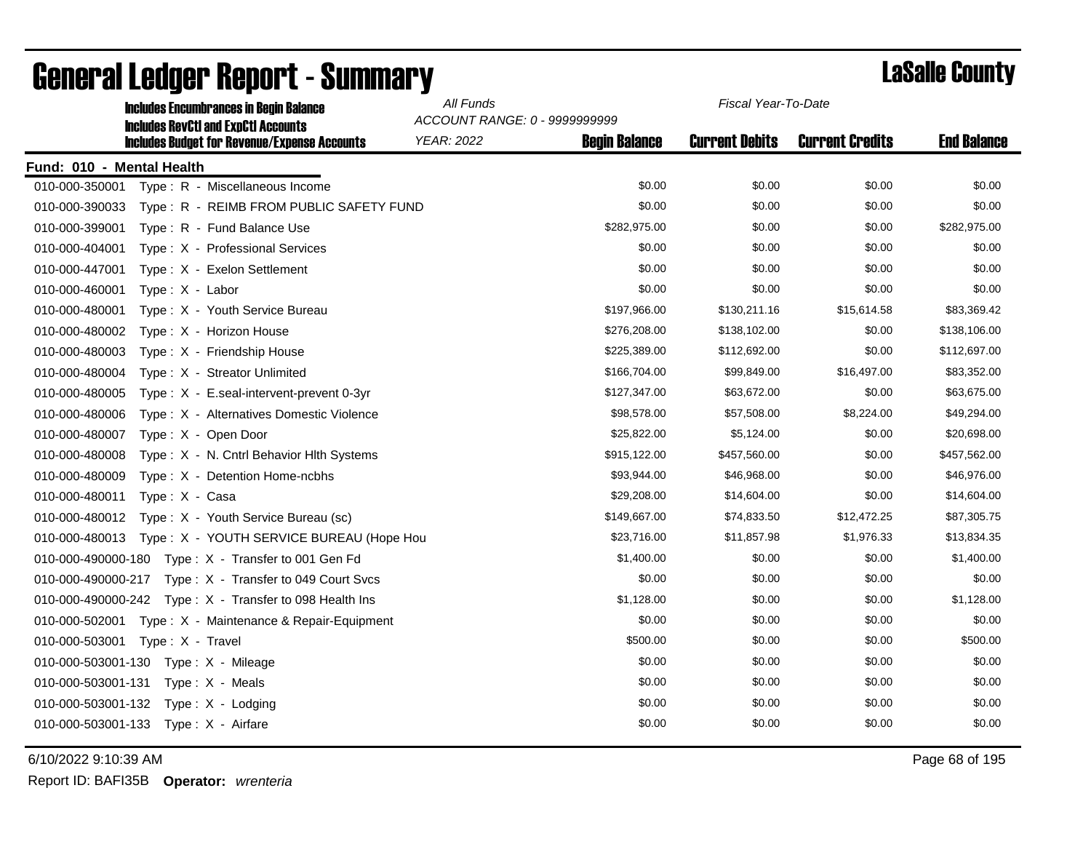| <b>Includes Encumbrances in Begin Balance</b><br><b>Includes RevCtI and ExpCtI Accounts</b> | All Funds         | Fiscal Year-To-Date<br>ACCOUNT RANGE: 0 - 9999999999 |                       |                        |                    |  |
|---------------------------------------------------------------------------------------------|-------------------|------------------------------------------------------|-----------------------|------------------------|--------------------|--|
| <b>Includes Budget for Revenue/Expense Accounts</b>                                         | <b>YEAR: 2022</b> | <b>Begin Balance</b>                                 | <b>Current Debits</b> | <b>Current Credits</b> | <b>End Balance</b> |  |
| Fund: 010 - Mental Health                                                                   |                   |                                                      |                       |                        |                    |  |
| 010-000-350001<br>Type: R - Miscellaneous Income                                            |                   | \$0.00                                               | \$0.00                | \$0.00                 | \$0.00             |  |
| Type: R - REIMB FROM PUBLIC SAFETY FUND<br>010-000-390033                                   |                   | \$0.00                                               | \$0.00                | \$0.00                 | \$0.00             |  |
| 010-000-399001<br>Type: R - Fund Balance Use                                                |                   | \$282,975.00                                         | \$0.00                | \$0.00                 | \$282,975.00       |  |
| 010-000-404001<br>Type: X - Professional Services                                           |                   | \$0.00                                               | \$0.00                | \$0.00                 | \$0.00             |  |
| 010-000-447001<br>Type: X - Exelon Settlement                                               |                   | \$0.00                                               | \$0.00                | \$0.00                 | \$0.00             |  |
| 010-000-460001<br>Type: X - Labor                                                           |                   | \$0.00                                               | \$0.00                | \$0.00                 | \$0.00             |  |
| 010-000-480001<br>Type: X - Youth Service Bureau                                            |                   | \$197,966.00                                         | \$130,211.16          | \$15,614.58            | \$83,369.42        |  |
| 010-000-480002<br>Type: X - Horizon House                                                   |                   | \$276,208.00                                         | \$138,102.00          | \$0.00                 | \$138,106.00       |  |
| 010-000-480003<br>Type: X - Friendship House                                                |                   | \$225,389.00                                         | \$112,692.00          | \$0.00                 | \$112,697.00       |  |
| Type: X - Streator Unlimited<br>010-000-480004                                              |                   | \$166,704.00                                         | \$99,849.00           | \$16,497.00            | \$83,352.00        |  |
| 010-000-480005<br>Type: X - E.seal-intervent-prevent 0-3yr                                  |                   | \$127,347.00                                         | \$63,672.00           | \$0.00                 | \$63,675.00        |  |
| 010-000-480006<br>Type: X - Alternatives Domestic Violence                                  |                   | \$98,578.00                                          | \$57,508.00           | \$8,224.00             | \$49,294.00        |  |
| 010-000-480007<br>Type: X - Open Door                                                       |                   | \$25,822.00                                          | \$5,124.00            | \$0.00                 | \$20,698.00        |  |
| 010-000-480008<br>Type: X - N. Cntrl Behavior Hith Systems                                  |                   | \$915,122.00                                         | \$457,560.00          | \$0.00                 | \$457,562.00       |  |
| 010-000-480009<br>Type: X - Detention Home-ncbhs                                            |                   | \$93,944.00                                          | \$46,968.00           | \$0.00                 | \$46,976.00        |  |
| 010-000-480011<br>Type: X - Casa                                                            |                   | \$29,208.00                                          | \$14,604.00           | \$0.00                 | \$14,604.00        |  |
| 010-000-480012<br>Type: X - Youth Service Bureau (sc)                                       |                   | \$149,667.00                                         | \$74,833.50           | \$12,472.25            | \$87,305.75        |  |
| 010-000-480013<br>Type: X - YOUTH SERVICE BUREAU (Hope Hou                                  |                   | \$23,716.00                                          | \$11,857.98           | \$1,976.33             | \$13,834.35        |  |
| 010-000-490000-180 Type: X - Transfer to 001 Gen Fd                                         |                   | \$1,400.00                                           | \$0.00                | \$0.00                 | \$1,400.00         |  |
|                                                                                             |                   | \$0.00                                               | \$0.00                | \$0.00                 | \$0.00             |  |
| 010-000-490000-242 Type: X - Transfer to 098 Health Ins                                     |                   | \$1,128.00                                           | \$0.00                | \$0.00                 | \$1,128.00         |  |
| 010-000-502001 Type: X - Maintenance & Repair-Equipment                                     |                   | \$0.00                                               | \$0.00                | \$0.00                 | \$0.00             |  |
| 010-000-503001 Type: X - Travel                                                             |                   | \$500.00                                             | \$0.00                | \$0.00                 | \$500.00           |  |
| 010-000-503001-130 Type: X - Mileage                                                        |                   | \$0.00                                               | \$0.00                | \$0.00                 | \$0.00             |  |
| 010-000-503001-131 Type: X - Meals                                                          |                   | \$0.00                                               | \$0.00                | \$0.00                 | \$0.00             |  |
| 010-000-503001-132 Type: X - Lodging                                                        |                   | \$0.00                                               | \$0.00                | \$0.00                 | \$0.00             |  |
| 010-000-503001-133 Type: X - Airfare                                                        |                   | \$0.00                                               | \$0.00                | \$0.00                 | \$0.00             |  |

## General Ledger Report - Summary **Lassing Service Report - Summary**

6/10/2022 9:10:39 AM Page 68 of 195

Report ID: BAFI35B **Operator:** *wrenteria*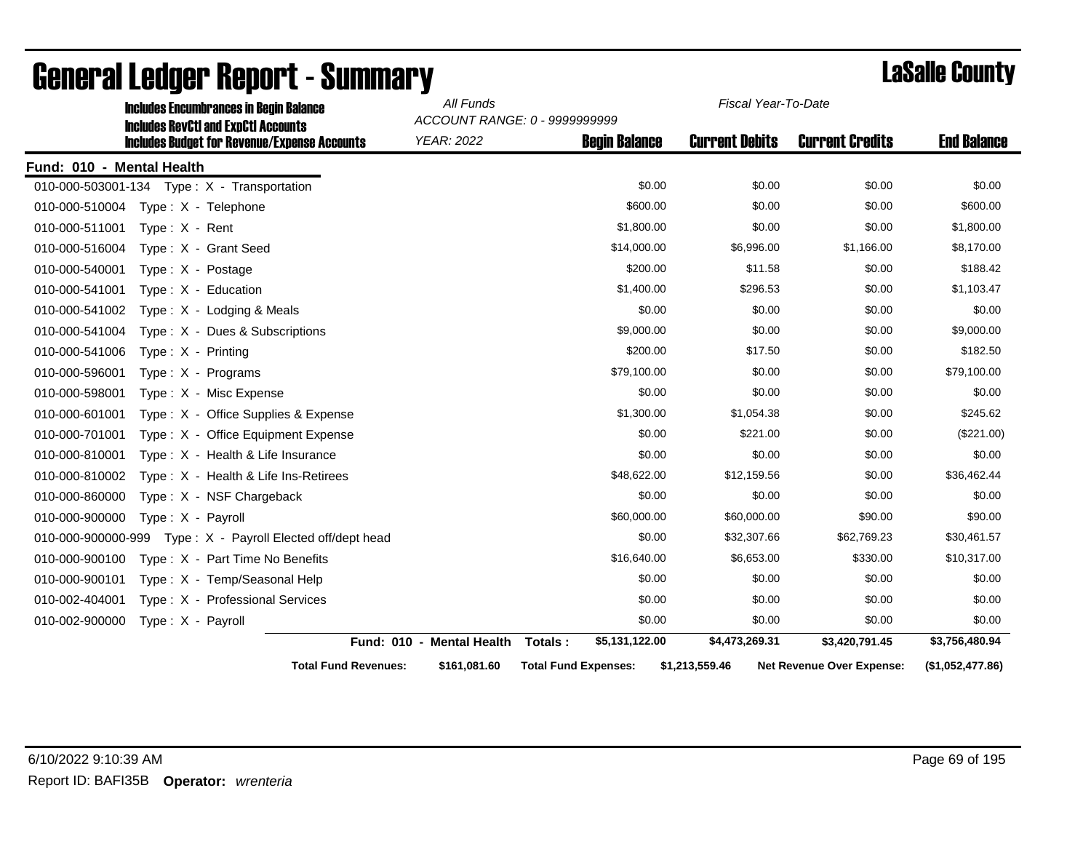| <b>Includes Encumbrances in Begin Balance</b>                                                     | All Funds<br>Fiscal Year-To-Date<br>ACCOUNT RANGE: 0 - 9999999999 |                             |                       |                                  |                    |
|---------------------------------------------------------------------------------------------------|-------------------------------------------------------------------|-----------------------------|-----------------------|----------------------------------|--------------------|
| <b>Includes RevCtI and ExpCtI Accounts</b><br><b>Includes Budget for Revenue/Expense Accounts</b> | <b>YEAR: 2022</b>                                                 | <b>Begin Balance</b>        | <b>Current Debits</b> | <b>Current Credits</b>           | <b>End Balance</b> |
| Fund: 010 - Mental Health                                                                         |                                                                   |                             |                       |                                  |                    |
|                                                                                                   |                                                                   | \$0.00                      | \$0.00                | \$0.00                           | \$0.00             |
| 010-000-510004<br>Type: X - Telephone                                                             |                                                                   | \$600.00                    | \$0.00                | \$0.00                           | \$600.00           |
| 010-000-511001<br>Type: $X -$ Rent                                                                |                                                                   | \$1,800.00                  | \$0.00                | \$0.00                           | \$1,800.00         |
| 010-000-516004<br>Type: X - Grant Seed                                                            |                                                                   | \$14,000.00                 | \$6,996.00            | \$1,166.00                       | \$8,170.00         |
| 010-000-540001<br>Type: $X -$ Postage                                                             |                                                                   | \$200.00                    | \$11.58               | \$0.00                           | \$188.42           |
| 010-000-541001<br>Type: $X -$ Education                                                           |                                                                   | \$1,400.00                  | \$296.53              | \$0.00                           | \$1,103.47         |
| 010-000-541002<br>Type : $X -$ Lodging & Meals                                                    |                                                                   | \$0.00                      | \$0.00                | \$0.00                           | \$0.00             |
| 010-000-541004<br>Type: X - Dues & Subscriptions                                                  |                                                                   | \$9,000.00                  | \$0.00                | \$0.00                           | \$9,000.00         |
| 010-000-541006<br>Type: $X -$ Printing                                                            |                                                                   | \$200.00                    | \$17.50               | \$0.00                           | \$182.50           |
| 010-000-596001<br>Type: X - Programs                                                              |                                                                   | \$79,100.00                 | \$0.00                | \$0.00                           | \$79,100.00        |
| 010-000-598001<br>Type: X - Misc Expense                                                          |                                                                   | \$0.00                      | \$0.00                | \$0.00                           | \$0.00             |
| 010-000-601001<br>Type: X - Office Supplies & Expense                                             |                                                                   | \$1,300.00                  | \$1,054.38            | \$0.00                           | \$245.62           |
| 010-000-701001<br>Type: X - Office Equipment Expense                                              |                                                                   | \$0.00                      | \$221.00              | \$0.00                           | $(\$221.00)$       |
| 010-000-810001<br>Type: $X -$ Health & Life Insurance                                             |                                                                   | \$0.00                      | \$0.00                | \$0.00                           | \$0.00             |
| 010-000-810002<br>$Type: X - Health & Life Ins-Retirees$                                          |                                                                   | \$48,622.00                 | \$12,159.56           | \$0.00                           | \$36,462.44        |
| 010-000-860000<br>Type: X - NSF Chargeback                                                        |                                                                   | \$0.00                      | \$0.00                | \$0.00                           | \$0.00             |
| 010-000-900000<br>$Type: X - Payroll$                                                             |                                                                   | \$60,000.00                 | \$60,000.00           | \$90.00                          | \$90.00            |
| 010-000-900000-999<br>Type: X - Payroll Elected off/dept head                                     |                                                                   | \$0.00                      | \$32,307.66           | \$62,769.23                      | \$30,461.57        |
| 010-000-900100<br>Type: X - Part Time No Benefits                                                 |                                                                   | \$16,640.00                 | \$6,653.00            | \$330.00                         | \$10,317.00        |
| 010-000-900101<br>Type: X - Temp/Seasonal Help                                                    |                                                                   | \$0.00                      | \$0.00                | \$0.00                           | \$0.00             |
| 010-002-404001<br>Type: X - Professional Services                                                 |                                                                   | \$0.00                      | \$0.00                | \$0.00                           | \$0.00             |
| 010-002-900000<br>Type: X - Payroll                                                               |                                                                   | \$0.00                      | \$0.00                | \$0.00                           | \$0.00             |
|                                                                                                   | Fund: 010 - Mental Health                                         | Totals:<br>\$5,131,122.00   | \$4,473,269.31        | \$3,420,791.45                   | \$3,756,480.94     |
| <b>Total Fund Revenues:</b>                                                                       | \$161,081.60                                                      | <b>Total Fund Expenses:</b> | \$1,213,559.46        | <b>Net Revenue Over Expense:</b> | (\$1,052,477.86)   |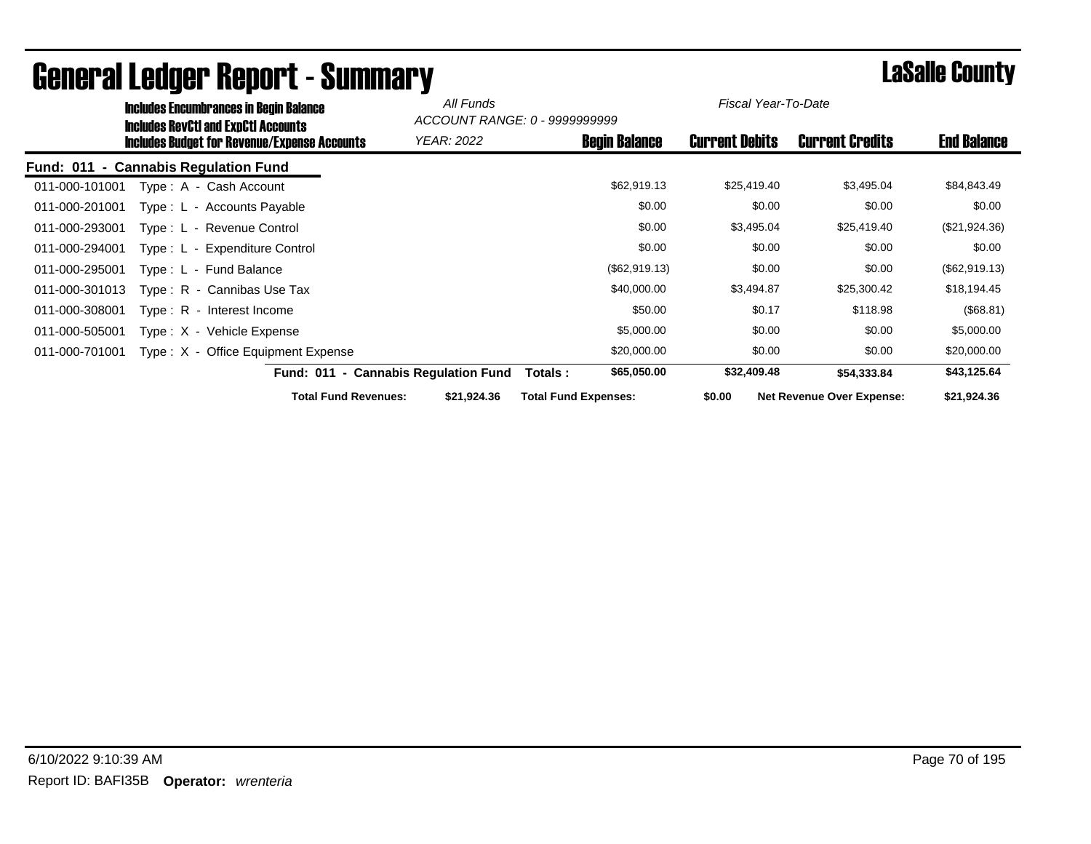|                  | <b>Includes Encumbrances in Begin Balance</b>                                              | All Funds                            | ACCOUNT RANGE: 0 - 9999999999 |                       | Fiscal Year-To-Date              |                    |
|------------------|--------------------------------------------------------------------------------------------|--------------------------------------|-------------------------------|-----------------------|----------------------------------|--------------------|
|                  | <b>Includes RevCtI and ExpCtI Accounts</b><br>Includes Budget for Revenue/Expense Accounts | YEAR: 2022                           | <b>Begin Balance</b>          | <b>Current Debits</b> | <b>Current Credits</b>           | <b>End Balance</b> |
| <b>Fund: 011</b> | - Cannabis Regulation Fund                                                                 |                                      |                               |                       |                                  |                    |
| 011-000-101001   | Type: A - Cash Account                                                                     |                                      | \$62,919.13                   | \$25,419.40           | \$3,495.04                       | \$84,843.49        |
| 011-000-201001   | Type: L - Accounts Payable                                                                 |                                      | \$0.00                        | \$0.00                | \$0.00                           | \$0.00             |
| 011-000-293001   | Type: L - Revenue Control                                                                  |                                      | \$0.00                        | \$3,495.04            | \$25,419.40                      | (\$21,924.36)      |
| 011-000-294001   | Type: L - Expenditure Control                                                              |                                      | \$0.00                        | \$0.00                | \$0.00                           | \$0.00             |
| 011-000-295001   | Type: L - Fund Balance                                                                     |                                      | (\$62,919.13)                 | \$0.00                | \$0.00                           | (\$62,919.13)      |
| 011-000-301013   | Type: R - Cannibas Use Tax                                                                 |                                      | \$40,000.00                   | \$3,494.87            | \$25,300.42                      | \$18,194.45        |
| 011-000-308001   | $Type: R - Interest Income$                                                                |                                      | \$50.00                       | \$0.17                | \$118.98                         | (\$68.81)          |
| 011-000-505001   | Type: X - Vehicle Expense                                                                  |                                      | \$5,000.00                    | \$0.00                | \$0.00                           | \$5,000.00         |
| 011-000-701001   | Type: X - Office Equipment Expense                                                         |                                      | \$20,000.00                   | \$0.00                | \$0.00                           | \$20,000.00        |
|                  |                                                                                            | Fund: 011 - Cannabis Regulation Fund | \$65,050.00<br>Totals :       | \$32,409.48           | \$54,333.84                      | \$43,125.64        |
|                  | <b>Total Fund Revenues:</b>                                                                | \$21,924.36                          | <b>Total Fund Expenses:</b>   | \$0.00                | <b>Net Revenue Over Expense:</b> | \$21,924.36        |

## General Ledger Report - Summary LaSalle County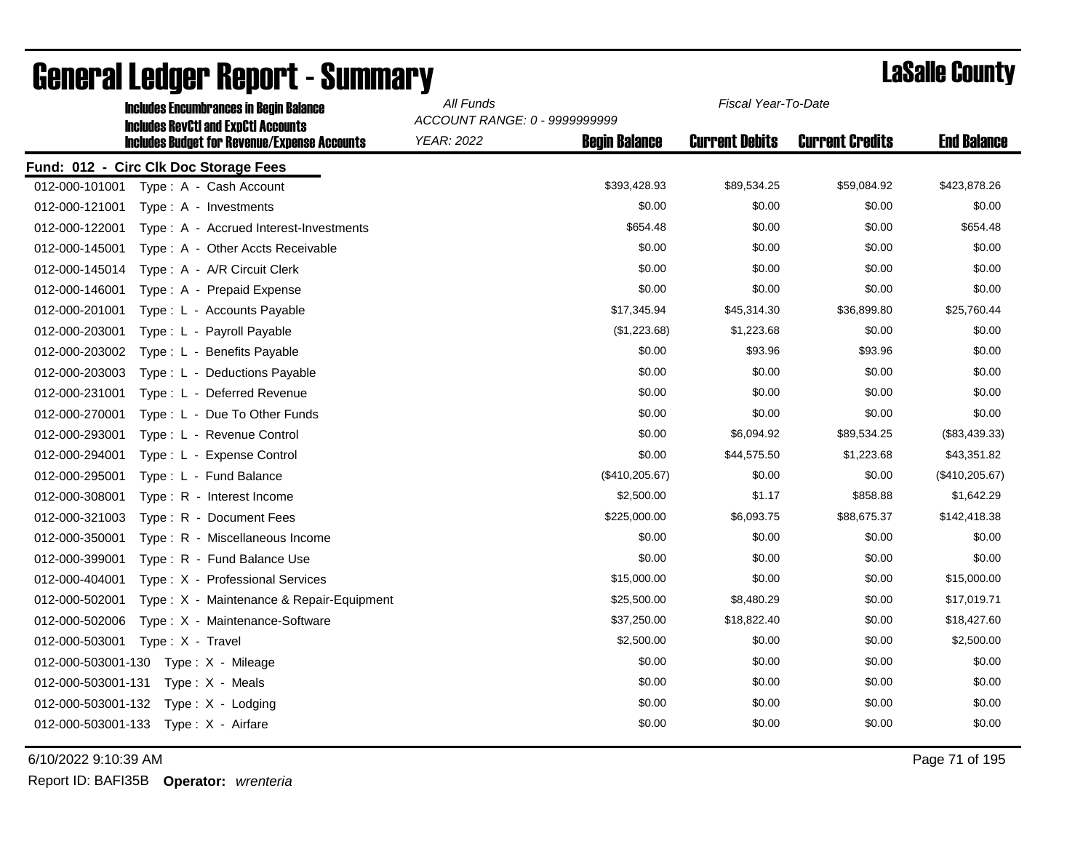| <b>Includes Encumbrances in Begin Balance</b><br><b>Includes RevCtI and ExpCtI Accounts</b> | All Funds         | Fiscal Year-To-Date<br>ACCOUNT RANGE: 0 - 9999999999 |                       |                        |                    |
|---------------------------------------------------------------------------------------------|-------------------|------------------------------------------------------|-----------------------|------------------------|--------------------|
| <b>Includes Budget for Revenue/Expense Accounts</b>                                         | <b>YEAR: 2022</b> | <b>Begin Balance</b>                                 | <b>Current Debits</b> | <b>Current Credits</b> | <b>End Balance</b> |
| Fund: 012 - Circ Clk Doc Storage Fees                                                       |                   |                                                      |                       |                        |                    |
| 012-000-101001<br>Type: A - Cash Account                                                    |                   | \$393,428.93                                         | \$89,534.25           | \$59,084.92            | \$423,878.26       |
| 012-000-121001<br>$Type: A - Investments$                                                   |                   | \$0.00                                               | \$0.00                | \$0.00                 | \$0.00             |
| 012-000-122001<br>Type: A - Accrued Interest-Investments                                    |                   | \$654.48                                             | \$0.00                | \$0.00                 | \$654.48           |
| 012-000-145001<br>Type: A - Other Accts Receivable                                          |                   | \$0.00                                               | \$0.00                | \$0.00                 | \$0.00             |
| Type: A - A/R Circuit Clerk<br>012-000-145014                                               |                   | \$0.00                                               | \$0.00                | \$0.00                 | \$0.00             |
| 012-000-146001<br>Type: A - Prepaid Expense                                                 |                   | \$0.00                                               | \$0.00                | \$0.00                 | \$0.00             |
| 012-000-201001<br>Type: L - Accounts Payable                                                |                   | \$17,345.94                                          | \$45,314.30           | \$36,899.80            | \$25,760.44        |
| 012-000-203001<br>Type: L - Payroll Payable                                                 |                   | (\$1,223.68)                                         | \$1,223.68            | \$0.00                 | \$0.00             |
| 012-000-203002<br>Type: L - Benefits Payable                                                |                   | \$0.00                                               | \$93.96               | \$93.96                | \$0.00             |
| 012-000-203003<br>Type: L - Deductions Payable                                              |                   | \$0.00                                               | \$0.00                | \$0.00                 | \$0.00             |
| 012-000-231001<br>Type: L - Deferred Revenue                                                |                   | \$0.00                                               | \$0.00                | \$0.00                 | \$0.00             |
| 012-000-270001<br>Type: L - Due To Other Funds                                              |                   | \$0.00                                               | \$0.00                | \$0.00                 | \$0.00             |
| 012-000-293001<br>Type: L - Revenue Control                                                 |                   | \$0.00                                               | \$6,094.92            | \$89,534.25            | (\$83,439.33)      |
| 012-000-294001<br>Type: L - Expense Control                                                 |                   | \$0.00                                               | \$44,575.50           | \$1,223.68             | \$43,351.82        |
| 012-000-295001<br>Type: L - Fund Balance                                                    |                   | (\$410, 205.67)                                      | \$0.00                | \$0.00                 | (\$410, 205.67)    |
| 012-000-308001<br>Type: R - Interest Income                                                 |                   | \$2,500.00                                           | \$1.17                | \$858.88               | \$1,642.29         |
| 012-000-321003<br>Type: R - Document Fees                                                   |                   | \$225,000.00                                         | \$6,093.75            | \$88,675.37            | \$142,418.38       |
| 012-000-350001<br>Type: R - Miscellaneous Income                                            |                   | \$0.00                                               | \$0.00                | \$0.00                 | \$0.00             |
| 012-000-399001<br>Type: R - Fund Balance Use                                                |                   | \$0.00                                               | \$0.00                | \$0.00                 | \$0.00             |
| 012-000-404001<br>Type: X - Professional Services                                           |                   | \$15,000.00                                          | \$0.00                | \$0.00                 | \$15,000.00        |
| 012-000-502001<br>Type: X - Maintenance & Repair-Equipment                                  |                   | \$25,500.00                                          | \$8,480.29            | \$0.00                 | \$17,019.71        |
| 012-000-502006<br>Type: X - Maintenance-Software                                            |                   | \$37,250.00                                          | \$18,822.40           | \$0.00                 | \$18,427.60        |
| 012-000-503001<br>Type: X - Travel                                                          |                   | \$2,500.00                                           | \$0.00                | \$0.00                 | \$2,500.00         |
| 012-000-503001-130<br>Type: X - Mileage                                                     |                   | \$0.00                                               | \$0.00                | \$0.00                 | \$0.00             |
| 012-000-503001-131<br>Type: X - Meals                                                       |                   | \$0.00                                               | \$0.00                | \$0.00                 | \$0.00             |
| 012-000-503001-132<br>Type: X - Lodging                                                     |                   | \$0.00                                               | \$0.00                | \$0.00                 | \$0.00             |
| 012-000-503001-133 Type: $X -$ Airfare                                                      |                   | \$0.00                                               | \$0.00                | \$0.00                 | \$0.00             |

# **General Ledger Report - Summary Lassalle County**

6/10/2022 9:10:39 AM Page 71 of 195

Report ID: BAFI35B **Operator:** *wrenteria*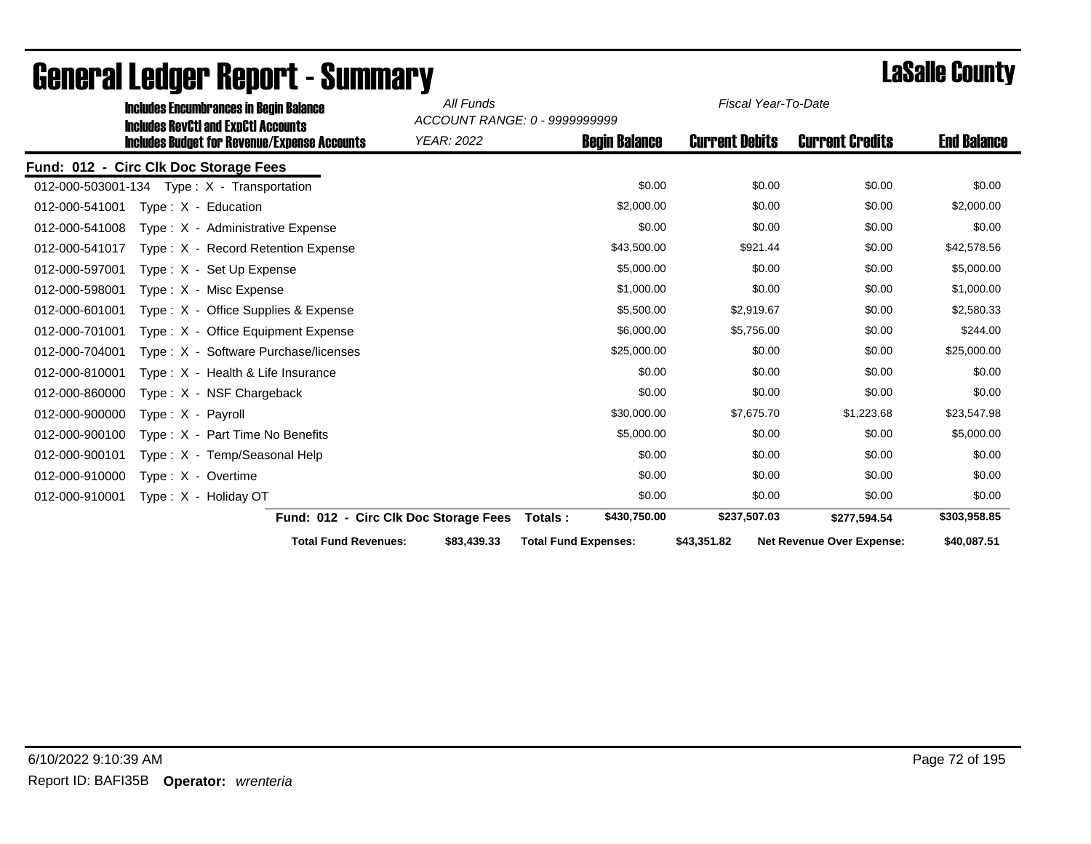| <b>Includes Encumbrances in Begin Balance</b>                                                     | All Funds                             | ACCOUNT RANGE: 0 - 9999999999 | Fiscal Year-To-Date   |                                  |                    |
|---------------------------------------------------------------------------------------------------|---------------------------------------|-------------------------------|-----------------------|----------------------------------|--------------------|
| <b>Includes RevCtI and ExpCtI Accounts</b><br><b>Includes Budget for Revenue/Expense Accounts</b> | <b>YEAR: 2022</b>                     | <b>Begin Balance</b>          | <b>Current Debits</b> | <b>Current Credits</b>           | <b>End Balance</b> |
| Fund: 012 - Circ Clk Doc Storage Fees                                                             |                                       |                               |                       |                                  |                    |
| 012-000-503001-134 Type: X - Transportation                                                       |                                       | \$0.00                        | \$0.00                | \$0.00                           | \$0.00             |
| 012-000-541001<br>Type: X - Education                                                             |                                       | \$2,000.00                    | \$0.00                | \$0.00                           | \$2,000.00         |
| 012-000-541008<br>Type: X - Administrative Expense                                                |                                       | \$0.00                        | \$0.00                | \$0.00                           | \$0.00             |
| 012-000-541017<br>Type: X - Record Retention Expense                                              |                                       | \$43,500.00                   | \$921.44              | \$0.00                           | \$42,578.56        |
| 012-000-597001<br>$Type: X - Set Up Expense$                                                      |                                       | \$5,000.00                    | \$0.00                | \$0.00                           | \$5,000.00         |
| 012-000-598001<br>Type: X - Misc Expense                                                          |                                       | \$1,000.00                    | \$0.00                | \$0.00                           | \$1,000.00         |
| 012-000-601001<br>Type: X - Office Supplies & Expense                                             |                                       | \$5,500.00                    | \$2,919.67            | \$0.00                           | \$2,580.33         |
| 012-000-701001<br>Type: X - Office Equipment Expense                                              |                                       | \$6,000.00                    | \$5,756.00            | \$0.00                           | \$244.00           |
| 012-000-704001<br>Type: X - Software Purchase/licenses                                            |                                       | \$25,000.00                   | \$0.00                | \$0.00                           | \$25,000.00        |
| 012-000-810001<br>Type: $X -$ Health & Life Insurance                                             |                                       | \$0.00                        | \$0.00                | \$0.00                           | \$0.00             |
| 012-000-860000<br>Type : $X -$ NSF Chargeback                                                     |                                       | \$0.00                        | \$0.00                | \$0.00                           | \$0.00             |
| 012-000-900000<br>$Type: X - Payroll$                                                             |                                       | \$30,000.00                   | \$7,675.70            | \$1,223.68                       | \$23,547.98        |
| 012-000-900100<br>Type: X - Part Time No Benefits                                                 |                                       | \$5,000.00                    | \$0.00                | \$0.00                           | \$5,000.00         |
| 012-000-900101<br>Type: X - Temp/Seasonal Help                                                    |                                       | \$0.00                        | \$0.00                | \$0.00                           | \$0.00             |
| 012-000-910000<br>Type: X - Overtime                                                              |                                       | \$0.00                        | \$0.00                | \$0.00                           | \$0.00             |
| 012-000-910001<br>Type: X - Holiday OT                                                            |                                       | \$0.00                        | \$0.00                | \$0.00                           | \$0.00             |
|                                                                                                   | Fund: 012 - Circ Clk Doc Storage Fees | \$430,750.00<br>Totals:       | \$237,507.03          | \$277,594.54                     | \$303,958.85       |
| <b>Total Fund Revenues:</b>                                                                       | \$83,439.33                           | <b>Total Fund Expenses:</b>   | \$43,351.82           | <b>Net Revenue Over Expense:</b> | \$40,087.51        |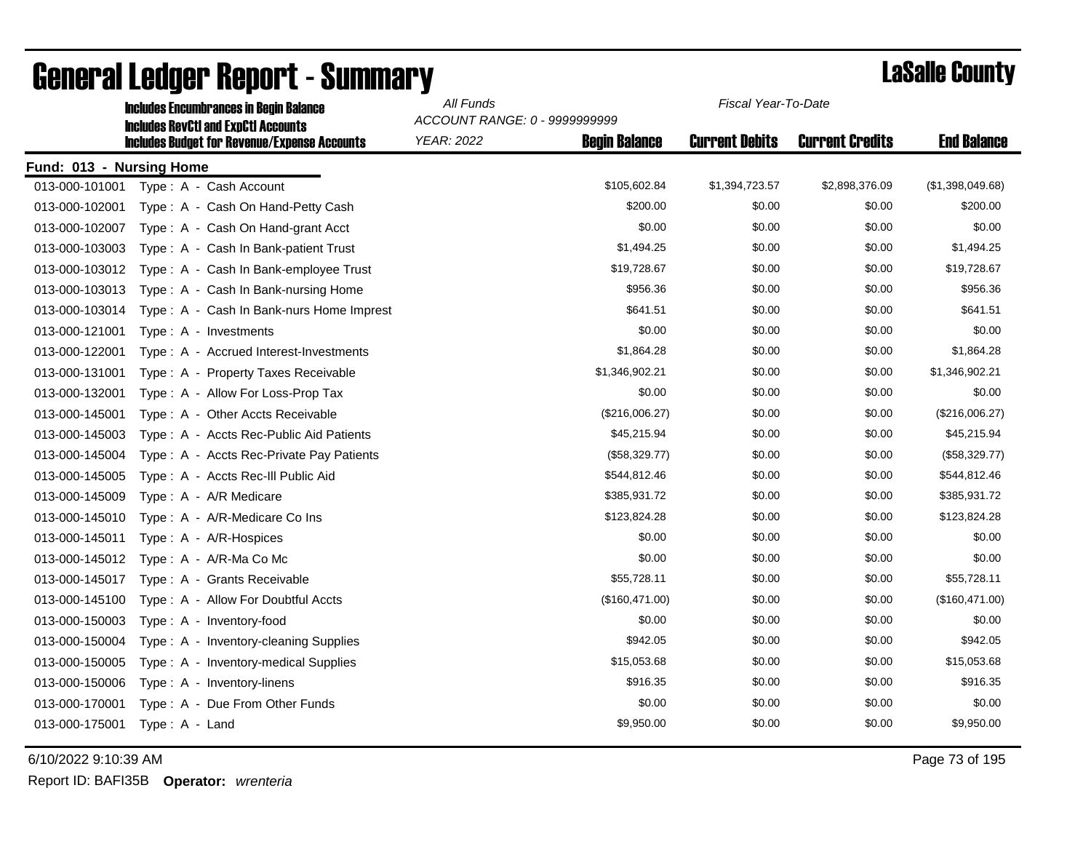|                                            | <b>Includes Encumbrances in Begin Balance</b>                                                     | All Funds                                          | Fiscal Year-To-Date  |                       |                        |                    |
|--------------------------------------------|---------------------------------------------------------------------------------------------------|----------------------------------------------------|----------------------|-----------------------|------------------------|--------------------|
|                                            | <b>Includes RevCtI and ExpCtI Accounts</b><br><b>Includes Budget for Revenue/Expense Accounts</b> | ACCOUNT RANGE: 0 - 9999999999<br><b>YEAR: 2022</b> | <b>Begin Balance</b> | <b>Current Debits</b> | <b>Current Credits</b> | <b>End Balance</b> |
|                                            |                                                                                                   |                                                    |                      |                       |                        |                    |
| Fund: 013 - Nursing Home<br>013-000-101001 | Type: A - Cash Account                                                                            |                                                    | \$105,602.84         | \$1,394,723.57        | \$2,898,376.09         | (\$1,398,049.68)   |
| 013-000-102001                             | Type: A - Cash On Hand-Petty Cash                                                                 |                                                    | \$200.00             | \$0.00                | \$0.00                 | \$200.00           |
| 013-000-102007                             | Type: A - Cash On Hand-grant Acct                                                                 |                                                    | \$0.00               | \$0.00                | \$0.00                 | \$0.00             |
| 013-000-103003                             | Type: A - Cash In Bank-patient Trust                                                              |                                                    | \$1,494.25           | \$0.00                | \$0.00                 | \$1,494.25         |
| 013-000-103012                             | Type: A - Cash In Bank-employee Trust                                                             |                                                    | \$19,728.67          | \$0.00                | \$0.00                 | \$19,728.67        |
| 013-000-103013                             | Type: A - Cash In Bank-nursing Home                                                               |                                                    | \$956.36             | \$0.00                | \$0.00                 | \$956.36           |
| 013-000-103014                             | Type: A - Cash In Bank-nurs Home Imprest                                                          |                                                    | \$641.51             | \$0.00                | \$0.00                 | \$641.51           |
| 013-000-121001                             | Type: A - Investments                                                                             |                                                    | \$0.00               | \$0.00                | \$0.00                 | \$0.00             |
| 013-000-122001                             | Type: A - Accrued Interest-Investments                                                            |                                                    | \$1,864.28           | \$0.00                | \$0.00                 | \$1,864.28         |
| 013-000-131001                             | Type: A - Property Taxes Receivable                                                               |                                                    | \$1,346,902.21       | \$0.00                | \$0.00                 | \$1,346,902.21     |
| 013-000-132001                             | Type: A - Allow For Loss-Prop Tax                                                                 |                                                    | \$0.00               | \$0.00                | \$0.00                 | \$0.00             |
| 013-000-145001                             | Type: A - Other Accts Receivable                                                                  |                                                    | (\$216,006.27)       | \$0.00                | \$0.00                 | (\$216,006.27)     |
| 013-000-145003                             | Type: A - Accts Rec-Public Aid Patients                                                           |                                                    | \$45,215.94          | \$0.00                | \$0.00                 | \$45,215.94        |
| 013-000-145004                             | Type: A - Accts Rec-Private Pay Patients                                                          |                                                    | (\$58,329.77)        | \$0.00                | \$0.00                 | (\$58,329.77)      |
| 013-000-145005                             | Type: A - Accts Rec-III Public Aid                                                                |                                                    | \$544,812.46         | \$0.00                | \$0.00                 | \$544,812.46       |
| 013-000-145009                             | Type: A - A/R Medicare                                                                            |                                                    | \$385,931.72         | \$0.00                | \$0.00                 | \$385,931.72       |
| 013-000-145010                             | Type: A - A/R-Medicare Co Ins                                                                     |                                                    | \$123,824.28         | \$0.00                | \$0.00                 | \$123,824.28       |
| 013-000-145011                             | Type: A - A/R-Hospices                                                                            |                                                    | \$0.00               | \$0.00                | \$0.00                 | \$0.00             |
| 013-000-145012                             | Type: A - A/R-Ma Co Mc                                                                            |                                                    | \$0.00               | \$0.00                | \$0.00                 | \$0.00             |
| 013-000-145017                             | Type: A - Grants Receivable                                                                       |                                                    | \$55,728.11          | \$0.00                | \$0.00                 | \$55,728.11        |
| 013-000-145100                             | Type: A - Allow For Doubtful Accts                                                                |                                                    | (\$160,471.00)       | \$0.00                | \$0.00                 | (\$160,471.00)     |
| 013-000-150003                             | Type: A - Inventory-food                                                                          |                                                    | \$0.00               | \$0.00                | \$0.00                 | \$0.00             |
| 013-000-150004                             | Type: A - Inventory-cleaning Supplies                                                             |                                                    | \$942.05             | \$0.00                | \$0.00                 | \$942.05           |
| 013-000-150005                             | Type: A - Inventory-medical Supplies                                                              |                                                    | \$15,053.68          | \$0.00                | \$0.00                 | \$15,053.68        |
| 013-000-150006                             | Type: A - Inventory-linens                                                                        |                                                    | \$916.35             | \$0.00                | \$0.00                 | \$916.35           |
| 013-000-170001                             | Type: A - Due From Other Funds                                                                    |                                                    | \$0.00               | \$0.00                | \$0.00                 | \$0.00             |
| 013-000-175001                             | Type: A - Land                                                                                    |                                                    | \$9,950.00           | \$0.00                | \$0.00                 | \$9,950.00         |
|                                            |                                                                                                   |                                                    |                      |                       |                        |                    |

Report ID: BAFI35B **Operator:** *wrenteria*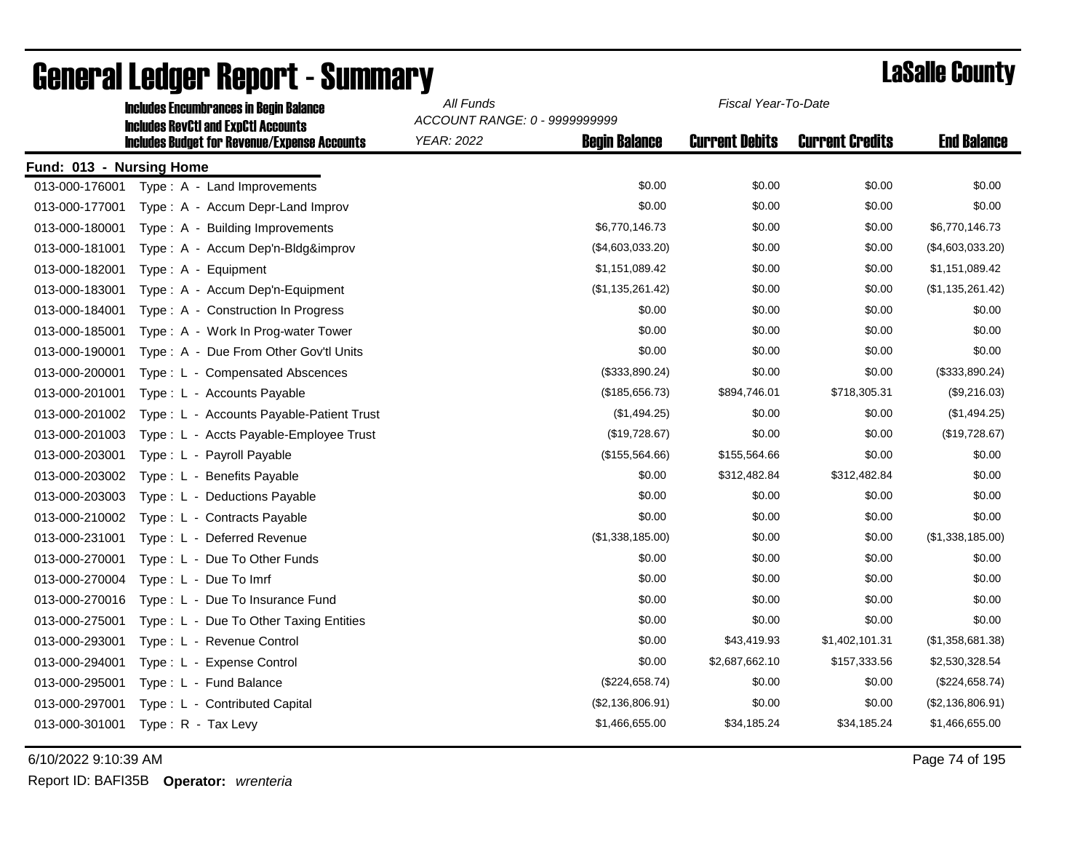| <b>Includes Encumbrances in Begin Balance</b><br><b>Includes RevCtI and ExpCtI Accounts</b> |                                                     | All Funds<br>ACCOUNT RANGE: 0 - 9999999999 |                      | Fiscal Year-To-Date   |                        |                    |  |  |  |
|---------------------------------------------------------------------------------------------|-----------------------------------------------------|--------------------------------------------|----------------------|-----------------------|------------------------|--------------------|--|--|--|
|                                                                                             | <b>Includes Budget for Revenue/Expense Accounts</b> | <b>YEAR: 2022</b>                          | <b>Begin Balance</b> | <b>Current Debits</b> | <b>Current Credits</b> | <b>End Balance</b> |  |  |  |
| Fund: 013 - Nursing Home                                                                    |                                                     |                                            |                      |                       |                        |                    |  |  |  |
| 013-000-176001                                                                              | Type: A - Land Improvements                         |                                            | \$0.00               | \$0.00                | \$0.00                 | \$0.00             |  |  |  |
| 013-000-177001                                                                              | Type: A - Accum Depr-Land Improv                    |                                            | \$0.00               | \$0.00                | \$0.00                 | \$0.00             |  |  |  |
| 013-000-180001                                                                              | Type: A - Building Improvements                     |                                            | \$6,770,146.73       | \$0.00                | \$0.00                 | \$6,770,146.73     |  |  |  |
| 013-000-181001                                                                              | Type: A - Accum Dep'n-Bldg&improv                   |                                            | (\$4,603,033.20)     | \$0.00                | \$0.00                 | (\$4,603,033.20)   |  |  |  |
| 013-000-182001                                                                              | Type: A - Equipment                                 |                                            | \$1,151,089.42       | \$0.00                | \$0.00                 | \$1,151,089.42     |  |  |  |
| 013-000-183001                                                                              | Type: A - Accum Dep'n-Equipment                     |                                            | (\$1,135,261.42)     | \$0.00                | \$0.00                 | (\$1,135,261.42)   |  |  |  |
| 013-000-184001                                                                              | Type: A - Construction In Progress                  |                                            | \$0.00               | \$0.00                | \$0.00                 | \$0.00             |  |  |  |
| 013-000-185001                                                                              | Type: A - Work In Prog-water Tower                  |                                            | \$0.00               | \$0.00                | \$0.00                 | \$0.00             |  |  |  |
| 013-000-190001                                                                              | Type: A - Due From Other Gov'tl Units               |                                            | \$0.00               | \$0.00                | \$0.00                 | \$0.00             |  |  |  |
| 013-000-200001                                                                              | Type: L - Compensated Abscences                     |                                            | (\$333,890.24)       | \$0.00                | \$0.00                 | (\$333,890.24)     |  |  |  |
| 013-000-201001                                                                              | Type: L - Accounts Payable                          |                                            | (\$185,656.73)       | \$894,746.01          | \$718,305.31           | (\$9,216.03)       |  |  |  |
| 013-000-201002                                                                              | Type: L - Accounts Payable-Patient Trust            |                                            | (\$1,494.25)         | \$0.00                | \$0.00                 | (\$1,494.25)       |  |  |  |
| 013-000-201003                                                                              | Type: L - Accts Payable-Employee Trust              |                                            | (\$19,728.67)        | \$0.00                | \$0.00                 | (\$19,728.67)      |  |  |  |
| 013-000-203001                                                                              | Type: L - Payroll Payable                           |                                            | (\$155,564.66)       | \$155,564.66          | \$0.00                 | \$0.00             |  |  |  |
| 013-000-203002                                                                              | Type: L - Benefits Payable                          |                                            | \$0.00               | \$312,482.84          | \$312,482.84           | \$0.00             |  |  |  |
| 013-000-203003                                                                              | Type: L - Deductions Payable                        |                                            | \$0.00               | \$0.00                | \$0.00                 | \$0.00             |  |  |  |
| 013-000-210002                                                                              | Type: L - Contracts Payable                         |                                            | \$0.00               | \$0.00                | \$0.00                 | \$0.00             |  |  |  |
| 013-000-231001                                                                              | Type: L - Deferred Revenue                          |                                            | (\$1,338,185.00)     | \$0.00                | \$0.00                 | (\$1,338,185.00)   |  |  |  |
| 013-000-270001                                                                              | Type: L - Due To Other Funds                        |                                            | \$0.00               | \$0.00                | \$0.00                 | \$0.00             |  |  |  |
| 013-000-270004                                                                              | Type: L - Due To Imrf                               |                                            | \$0.00               | \$0.00                | \$0.00                 | \$0.00             |  |  |  |
| 013-000-270016                                                                              | Type: L - Due To Insurance Fund                     |                                            | \$0.00               | \$0.00                | \$0.00                 | \$0.00             |  |  |  |
| 013-000-275001                                                                              | Type: L - Due To Other Taxing Entities              |                                            | \$0.00               | \$0.00                | \$0.00                 | \$0.00             |  |  |  |
| 013-000-293001                                                                              | Type: L - Revenue Control                           |                                            | \$0.00               | \$43,419.93           | \$1,402,101.31         | (\$1,358,681.38)   |  |  |  |
| 013-000-294001                                                                              | Type: L - Expense Control                           |                                            | \$0.00               | \$2,687,662.10        | \$157,333.56           | \$2,530,328.54     |  |  |  |
| 013-000-295001                                                                              | Type: L - Fund Balance                              |                                            | (\$224,658.74)       | \$0.00                | \$0.00                 | (\$224,658.74)     |  |  |  |
| 013-000-297001                                                                              | Type: L - Contributed Capital                       |                                            | (\$2,136,806.91)     | \$0.00                | \$0.00                 | (\$2,136,806.91)   |  |  |  |
| 013-000-301001                                                                              | Type: R - Tax Levy                                  |                                            | \$1,466,655.00       | \$34,185.24           | \$34,185.24            | \$1,466,655.00     |  |  |  |

# General Ledger Report - Summary **Lassing Service Report - Summary**

6/10/2022 9:10:39 AM Page 74 of 195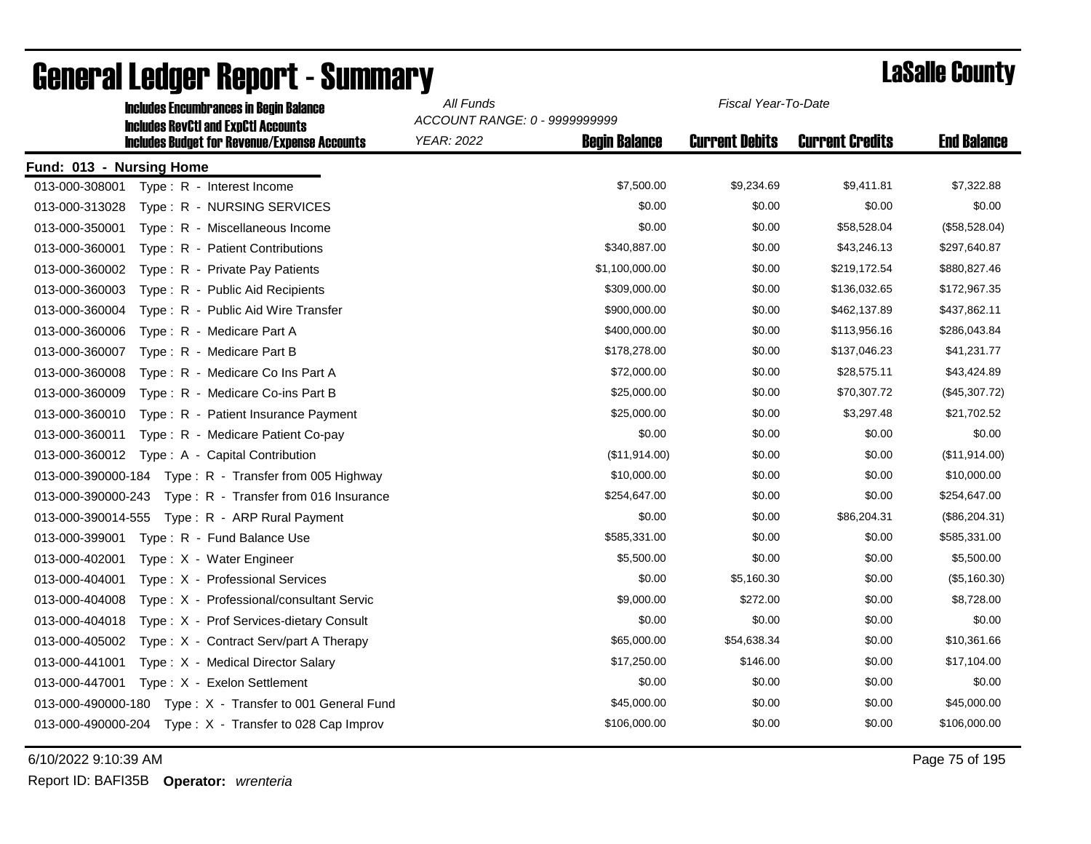| <b>Includes Encumbrances in Begin Balance</b>                | All Funds                     | Fiscal Year-To-Date  |                       |                        |                    |
|--------------------------------------------------------------|-------------------------------|----------------------|-----------------------|------------------------|--------------------|
| <b>Includes RevCtI and ExpCtI Accounts</b>                   | ACCOUNT RANGE: 0 - 9999999999 |                      |                       |                        |                    |
| <b>Includes Budget for Revenue/Expense Accounts</b>          | <b>YEAR: 2022</b>             | <b>Begin Balance</b> | <b>Current Debits</b> | <b>Current Credits</b> | <b>End Balance</b> |
| Fund: 013 - Nursing Home                                     |                               |                      |                       |                        |                    |
| 013-000-308001<br>Type: R - Interest Income                  |                               | \$7,500.00           | \$9,234.69            | \$9,411.81             | \$7,322.88         |
| 013-000-313028<br>Type: R - NURSING SERVICES                 |                               | \$0.00               | \$0.00                | \$0.00                 | \$0.00             |
| 013-000-350001<br>Type: R - Miscellaneous Income             |                               | \$0.00               | \$0.00                | \$58,528.04            | (\$58,528.04)      |
| 013-000-360001<br>Type: R - Patient Contributions            |                               | \$340,887.00         | \$0.00                | \$43,246.13            | \$297,640.87       |
| 013-000-360002<br>Type: R - Private Pay Patients             |                               | \$1,100,000.00       | \$0.00                | \$219,172.54           | \$880,827.46       |
| 013-000-360003<br>Type: R - Public Aid Recipients            |                               | \$309,000.00         | \$0.00                | \$136,032.65           | \$172,967.35       |
| 013-000-360004<br>Type: R - Public Aid Wire Transfer         |                               | \$900,000.00         | \$0.00                | \$462,137.89           | \$437,862.11       |
| 013-000-360006<br>Type: R - Medicare Part A                  |                               | \$400,000.00         | \$0.00                | \$113,956.16           | \$286,043.84       |
| 013-000-360007<br>Type: R - Medicare Part B                  |                               | \$178,278.00         | \$0.00                | \$137,046.23           | \$41,231.77        |
| 013-000-360008<br>Type: R - Medicare Co Ins Part A           |                               | \$72,000.00          | \$0.00                | \$28,575.11            | \$43,424.89        |
| 013-000-360009<br>Type: R - Medicare Co-ins Part B           |                               | \$25,000.00          | \$0.00                | \$70,307.72            | (\$45,307.72)      |
| 013-000-360010<br>Type: R - Patient Insurance Payment        |                               | \$25,000.00          | \$0.00                | \$3,297.48             | \$21,702.52        |
| 013-000-360011<br>Type: R - Medicare Patient Co-pay          |                               | \$0.00               | \$0.00                | \$0.00                 | \$0.00             |
| 013-000-360012<br>Type: A - Capital Contribution             |                               | (\$11,914.00)        | \$0.00                | \$0.00                 | (\$11,914.00)      |
| 013-000-390000-184 Type: R - Transfer from 005 Highway       |                               | \$10,000.00          | \$0.00                | \$0.00                 | \$10,000.00        |
| Type: R - Transfer from 016 Insurance<br>013-000-390000-243  |                               | \$254,647.00         | \$0.00                | \$0.00                 | \$254,647.00       |
| 013-000-390014-555<br>Type: R - ARP Rural Payment            |                               | \$0.00               | \$0.00                | \$86,204.31            | (\$86,204.31)      |
| 013-000-399001<br>Type: R - Fund Balance Use                 |                               | \$585,331.00         | \$0.00                | \$0.00                 | \$585,331.00       |
| 013-000-402001<br>Type: X - Water Engineer                   |                               | \$5,500.00           | \$0.00                | \$0.00                 | \$5,500.00         |
| 013-000-404001<br>Type: X - Professional Services            |                               | \$0.00               | \$5,160.30            | \$0.00                 | (\$5,160.30)       |
| 013-000-404008<br>Type: X - Professional/consultant Servic   |                               | \$9,000.00           | \$272.00              | \$0.00                 | \$8,728.00         |
| 013-000-404018<br>Type: X - Prof Services-dietary Consult    |                               | \$0.00               | \$0.00                | \$0.00                 | \$0.00             |
| 013-000-405002<br>Type: X - Contract Serv/part A Therapy     |                               | \$65,000.00          | \$54,638.34           | \$0.00                 | \$10,361.66        |
| 013-000-441001<br>Type: X - Medical Director Salary          |                               | \$17,250.00          | \$146.00              | \$0.00                 | \$17,104.00        |
| 013-000-447001<br>Type: X - Exelon Settlement                |                               | \$0.00               | \$0.00                | \$0.00                 | \$0.00             |
| Type: X - Transfer to 001 General Fund<br>013-000-490000-180 |                               | \$45,000.00          | \$0.00                | \$0.00                 | \$45,000.00        |
| 013-000-490000-204 Type: X - Transfer to 028 Cap Improv      |                               | \$106,000.00         | \$0.00                | \$0.00                 | \$106,000.00       |
|                                                              |                               |                      |                       |                        |                    |

6/10/2022 9:10:39 AM Page 75 of 195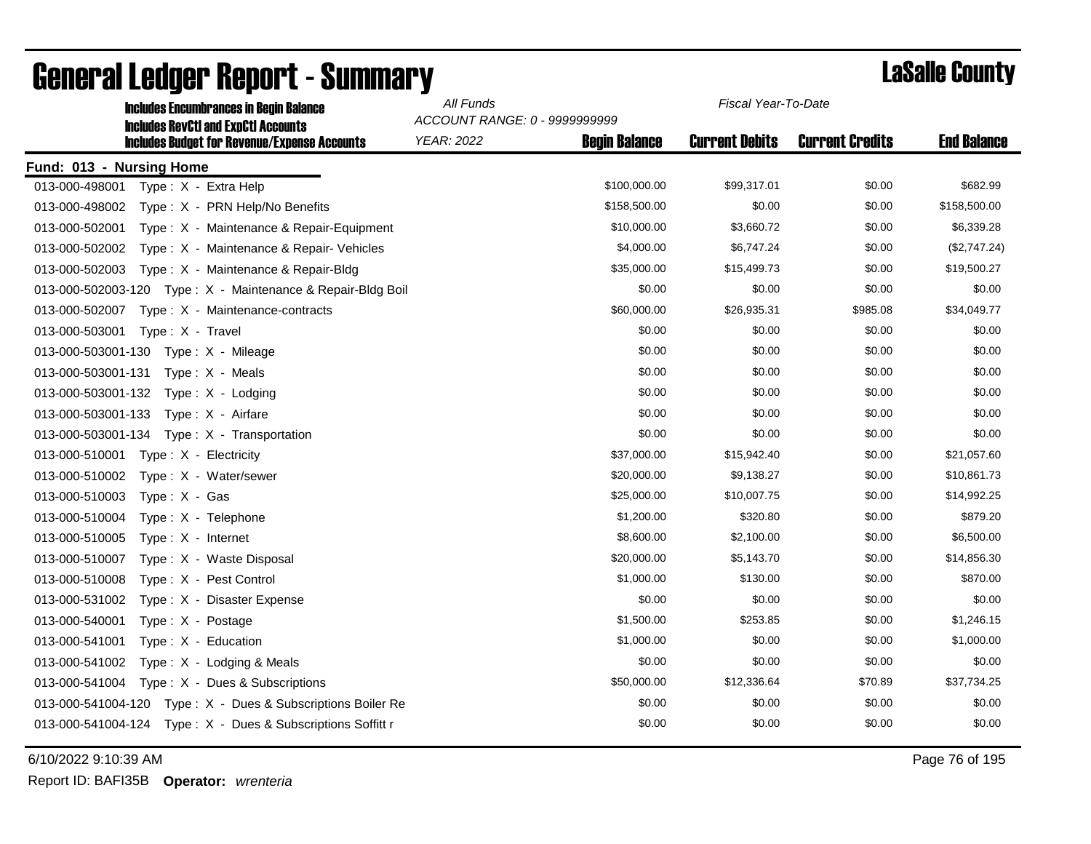| All Funds<br>Fiscal Year-To-Date<br><b>Includes Encumbrances in Begin Balance</b><br>ACCOUNT RANGE: 0 - 9999999999 |                   |                      |                       |                        |                    |
|--------------------------------------------------------------------------------------------------------------------|-------------------|----------------------|-----------------------|------------------------|--------------------|
| <b>Includes RevCtI and ExpCtI Accounts</b><br><b>Includes Budget for Revenue/Expense Accounts</b>                  | <b>YEAR: 2022</b> | <b>Begin Balance</b> | <b>Current Debits</b> | <b>Current Credits</b> | <b>End Balance</b> |
| Fund: 013 - Nursing Home                                                                                           |                   |                      |                       |                        |                    |
| 013-000-498001<br>Type: X - Extra Help                                                                             |                   | \$100,000.00         | \$99,317.01           | \$0.00                 | \$682.99           |
| 013-000-498002<br>Type: X - PRN Help/No Benefits                                                                   |                   | \$158,500.00         | \$0.00                | \$0.00                 | \$158,500.00       |
| 013-000-502001<br>Type: X - Maintenance & Repair-Equipment                                                         |                   | \$10,000.00          | \$3,660.72            | \$0.00                 | \$6,339.28         |
| 013-000-502002<br>Type: X - Maintenance & Repair- Vehicles                                                         |                   | \$4,000.00           | \$6,747.24            | \$0.00                 | (\$2,747.24)       |
| 013-000-502003<br>Type: X - Maintenance & Repair-Bldg                                                              |                   | \$35,000.00          | \$15,499.73           | \$0.00                 | \$19,500.27        |
| 013-000-502003-120 Type: X - Maintenance & Repair-Bldg Boil                                                        |                   | \$0.00               | \$0.00                | \$0.00                 | \$0.00             |
| 013-000-502007 Type: X - Maintenance-contracts                                                                     |                   | \$60,000.00          | \$26,935.31           | \$985.08               | \$34,049.77        |
| 013-000-503001<br>Type: X - Travel                                                                                 |                   | \$0.00               | \$0.00                | \$0.00                 | \$0.00             |
| 013-000-503001-130    Type: X - Mileage                                                                            |                   | \$0.00               | \$0.00                | \$0.00                 | \$0.00             |
| 013-000-503001-131<br>Type: X - Meals                                                                              |                   | \$0.00               | \$0.00                | \$0.00                 | \$0.00             |
| 013-000-503001-132<br>Type: X - Lodging                                                                            |                   | \$0.00               | \$0.00                | \$0.00                 | \$0.00             |
| 013-000-503001-133<br>Type: X - Airfare                                                                            |                   | \$0.00               | \$0.00                | \$0.00                 | \$0.00             |
| 013-000-503001-134<br>Type: X - Transportation                                                                     |                   | \$0.00               | \$0.00                | \$0.00                 | \$0.00             |
| 013-000-510001<br>Type: X - Electricity                                                                            |                   | \$37,000.00          | \$15,942.40           | \$0.00                 | \$21,057.60        |
| 013-000-510002<br>Type: X - Water/sewer                                                                            |                   | \$20,000.00          | \$9,138.27            | \$0.00                 | \$10,861.73        |
| 013-000-510003<br>Type: X - Gas                                                                                    |                   | \$25,000.00          | \$10,007.75           | \$0.00                 | \$14,992.25        |
| 013-000-510004<br>Type: X - Telephone                                                                              |                   | \$1,200.00           | \$320.80              | \$0.00                 | \$879.20           |
| 013-000-510005<br>Type : $X -$ Internet                                                                            |                   | \$8,600.00           | \$2,100.00            | \$0.00                 | \$6,500.00         |
| 013-000-510007<br>Type: X - Waste Disposal                                                                         |                   | \$20,000.00          | \$5,143.70            | \$0.00                 | \$14,856.30        |
| 013-000-510008<br>Type: X - Pest Control                                                                           |                   | \$1,000.00           | \$130.00              | \$0.00                 | \$870.00           |
| 013-000-531002<br>Type: X - Disaster Expense                                                                       |                   | \$0.00               | \$0.00                | \$0.00                 | \$0.00             |
| 013-000-540001<br>Type: X - Postage                                                                                |                   | \$1,500.00           | \$253.85              | \$0.00                 | \$1,246.15         |
| 013-000-541001<br>Type: $X -$ Education                                                                            |                   | \$1,000.00           | \$0.00                | \$0.00                 | \$1,000.00         |
| 013-000-541002<br>Type: X - Lodging & Meals                                                                        |                   | \$0.00               | \$0.00                | \$0.00                 | \$0.00             |
| 013-000-541004 Type: X - Dues & Subscriptions                                                                      |                   | \$50,000.00          | \$12,336.64           | \$70.89                | \$37,734.25        |
| 013-000-541004-120 Type: X - Dues & Subscriptions Boiler Re                                                        |                   | \$0.00               | \$0.00                | \$0.00                 | \$0.00             |
| 013-000-541004-124 Type: X - Dues & Subscriptions Soffitt r                                                        |                   | \$0.00               | \$0.00                | \$0.00                 | \$0.00             |

# **General Ledger Report - Summary Lassalle County**

6/10/2022 9:10:39 AM Page 76 of 195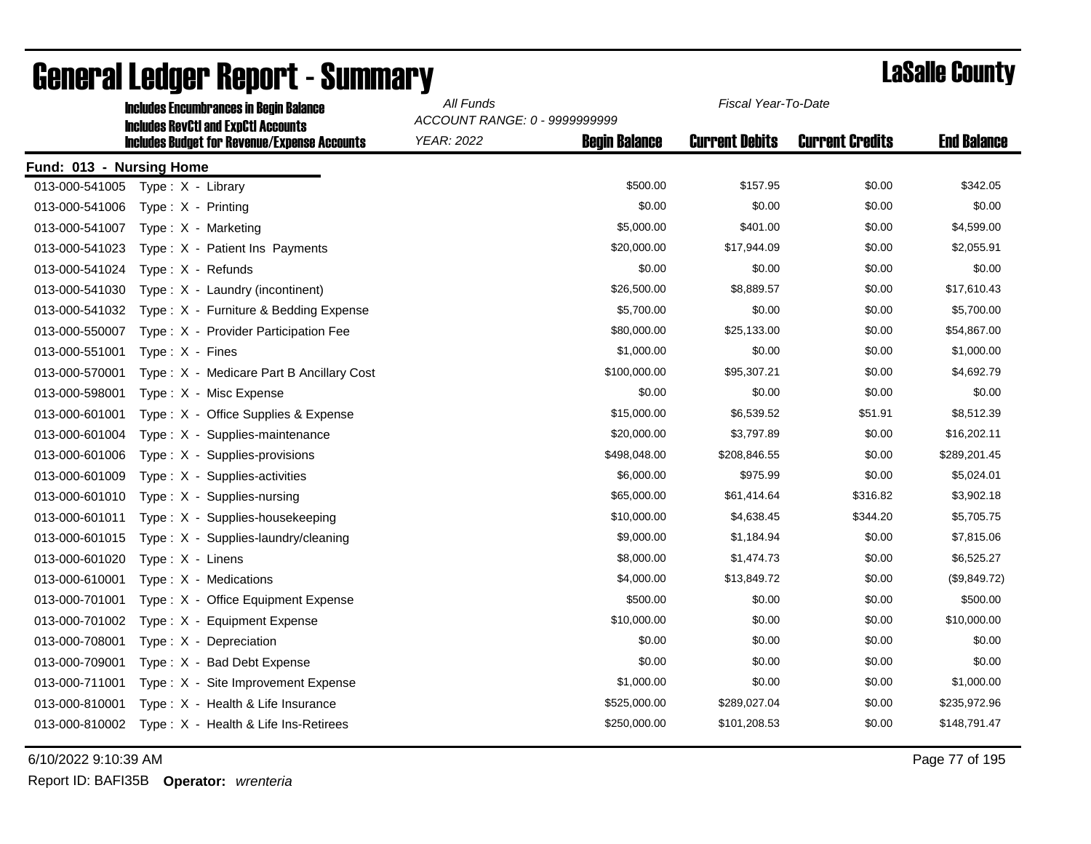|                          | <b>Includes Encumbrances in Begin Balance</b>       | All Funds                                          |                      | Fiscal Year-To-Date   |                        |                    |
|--------------------------|-----------------------------------------------------|----------------------------------------------------|----------------------|-----------------------|------------------------|--------------------|
|                          | <b>Includes RevCtI and ExpCtI Accounts</b>          | ACCOUNT RANGE: 0 - 9999999999<br><b>YEAR: 2022</b> | <b>Begin Balance</b> | <b>Current Debits</b> | <b>Current Credits</b> | <b>End Balance</b> |
|                          | <b>Includes Budget for Revenue/Expense Accounts</b> |                                                    |                      |                       |                        |                    |
| Fund: 013 - Nursing Home |                                                     |                                                    |                      |                       |                        |                    |
| 013-000-541005           | Type: X - Library                                   |                                                    | \$500.00             | \$157.95              | \$0.00                 | \$342.05           |
| 013-000-541006           | Type: X - Printing                                  |                                                    | \$0.00               | \$0.00                | \$0.00                 | \$0.00             |
| 013-000-541007           | Type: X - Marketing                                 |                                                    | \$5,000.00           | \$401.00              | \$0.00                 | \$4,599.00         |
| 013-000-541023           | Type: X - Patient Ins Payments                      |                                                    | \$20,000.00          | \$17,944.09           | \$0.00                 | \$2,055.91         |
| 013-000-541024           | Type: X - Refunds                                   |                                                    | \$0.00               | \$0.00                | \$0.00                 | \$0.00             |
| 013-000-541030           | Type : $X -$ Laundry (incontinent)                  |                                                    | \$26,500.00          | \$8,889.57            | \$0.00                 | \$17,610.43        |
| 013-000-541032           | Type: X - Furniture & Bedding Expense               |                                                    | \$5,700.00           | \$0.00                | \$0.00                 | \$5,700.00         |
| 013-000-550007           | Type: X - Provider Participation Fee                |                                                    | \$80,000.00          | \$25,133.00           | \$0.00                 | \$54,867.00        |
| 013-000-551001           | Type: X - Fines                                     |                                                    | \$1,000.00           | \$0.00                | \$0.00                 | \$1,000.00         |
| 013-000-570001           | Type: X - Medicare Part B Ancillary Cost            |                                                    | \$100,000.00         | \$95,307.21           | \$0.00                 | \$4,692.79         |
| 013-000-598001           | Type: X - Misc Expense                              |                                                    | \$0.00               | \$0.00                | \$0.00                 | \$0.00             |
| 013-000-601001           | Type: X - Office Supplies & Expense                 |                                                    | \$15,000.00          | \$6,539.52            | \$51.91                | \$8,512.39         |
| 013-000-601004           | Type: X - Supplies-maintenance                      |                                                    | \$20,000.00          | \$3,797.89            | \$0.00                 | \$16,202.11        |
| 013-000-601006           | Type: X - Supplies-provisions                       |                                                    | \$498,048.00         | \$208,846.55          | \$0.00                 | \$289,201.45       |
| 013-000-601009           | Type: X - Supplies-activities                       |                                                    | \$6,000.00           | \$975.99              | \$0.00                 | \$5,024.01         |
| 013-000-601010           | Type: X - Supplies-nursing                          |                                                    | \$65,000.00          | \$61,414.64           | \$316.82               | \$3,902.18         |
| 013-000-601011           | Type: X - Supplies-housekeeping                     |                                                    | \$10,000.00          | \$4,638.45            | \$344.20               | \$5,705.75         |
| 013-000-601015           | Type: X - Supplies-laundry/cleaning                 |                                                    | \$9,000.00           | \$1,184.94            | \$0.00                 | \$7,815.06         |
| 013-000-601020           | Type: X - Linens                                    |                                                    | \$8,000.00           | \$1,474.73            | \$0.00                 | \$6,525.27         |
| 013-000-610001           | Type: X - Medications                               |                                                    | \$4,000.00           | \$13,849.72           | \$0.00                 | (\$9,849.72)       |
| 013-000-701001           | Type: X - Office Equipment Expense                  |                                                    | \$500.00             | \$0.00                | \$0.00                 | \$500.00           |
| 013-000-701002           | Type: X - Equipment Expense                         |                                                    | \$10,000.00          | \$0.00                | \$0.00                 | \$10,000.00        |
| 013-000-708001           | Type: X - Depreciation                              |                                                    | \$0.00               | \$0.00                | \$0.00                 | \$0.00             |
| 013-000-709001           | Type: X - Bad Debt Expense                          |                                                    | \$0.00               | \$0.00                | \$0.00                 | \$0.00             |
| 013-000-711001           | Type: X - Site Improvement Expense                  |                                                    | \$1,000.00           | \$0.00                | \$0.00                 | \$1,000.00         |
| 013-000-810001           | Type: X - Health & Life Insurance                   |                                                    | \$525,000.00         | \$289,027.04          | \$0.00                 | \$235,972.96       |
| 013-000-810002           | Type: X - Health & Life Ins-Retirees                |                                                    | \$250,000.00         | \$101,208.53          | \$0.00                 | \$148,791.47       |
|                          |                                                     |                                                    |                      |                       |                        |                    |

# General Ledger Report - Summary **Lassing Report - Summary**

6/10/2022 9:10:39 AM Page 77 of 195

Report ID: BAFI35B **Operator:** *wrenteria*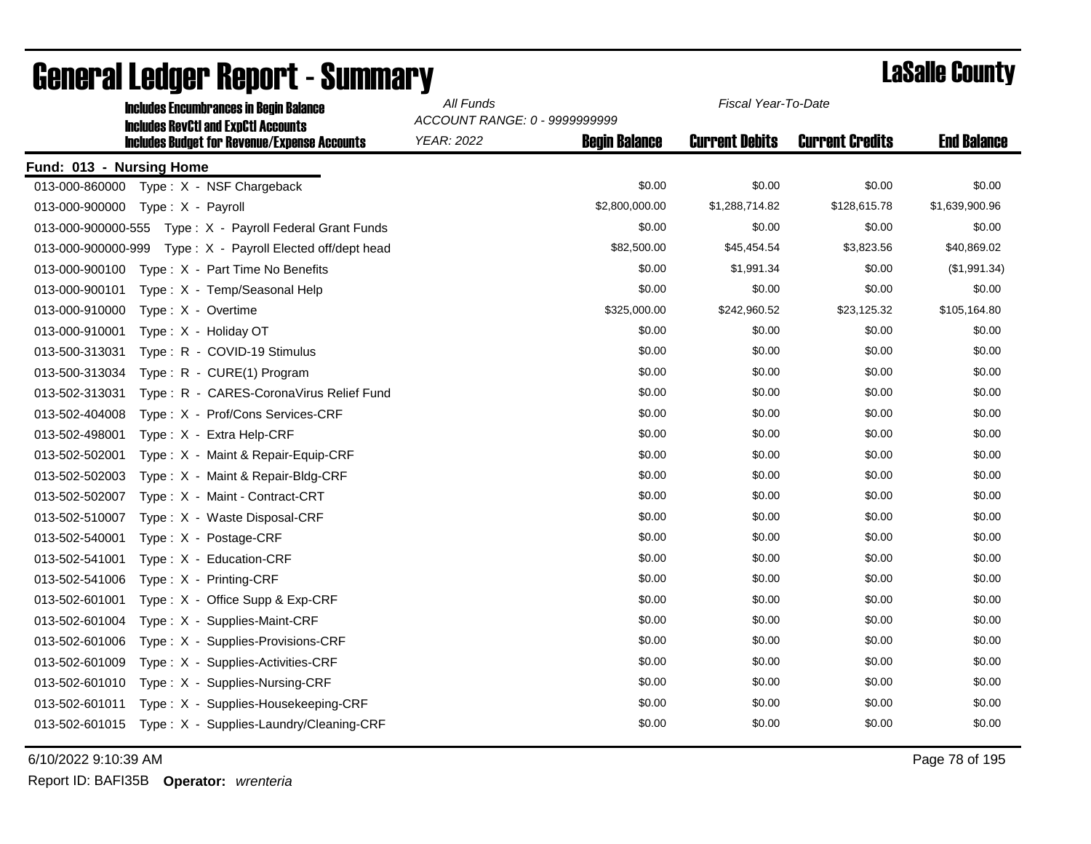| <b>Includes Encumbrances in Begin Balance</b><br><b>Includes RevCtI and ExpCtI Accounts</b> | All Funds<br>ACCOUNT RANGE: 0 - 9999999999 |                      | Fiscal Year-To-Date   |                        |                    |  |  |  |
|---------------------------------------------------------------------------------------------|--------------------------------------------|----------------------|-----------------------|------------------------|--------------------|--|--|--|
| <b>Includes Budget for Revenue/Expense Accounts</b>                                         | <b>YEAR: 2022</b>                          | <b>Begin Balance</b> | <b>Current Debits</b> | <b>Current Credits</b> | <b>End Balance</b> |  |  |  |
| Fund: 013 - Nursing Home                                                                    |                                            |                      |                       |                        |                    |  |  |  |
| Type: X - NSF Chargeback<br>013-000-860000                                                  |                                            | \$0.00               | \$0.00                | \$0.00                 | \$0.00             |  |  |  |
| 013-000-900000<br>Type: X - Payroll                                                         |                                            | \$2,800,000.00       | \$1,288,714.82        | \$128,615.78           | \$1,639,900.96     |  |  |  |
| 013-000-900000-555<br>Type: X - Payroll Federal Grant Funds                                 |                                            | \$0.00               | \$0.00                | \$0.00                 | \$0.00             |  |  |  |
| 013-000-900000-999<br>Type: X - Payroll Elected off/dept head                               |                                            | \$82,500.00          | \$45,454.54           | \$3,823.56             | \$40,869.02        |  |  |  |
| Type: X - Part Time No Benefits<br>013-000-900100                                           |                                            | \$0.00               | \$1,991.34            | \$0.00                 | (\$1,991.34)       |  |  |  |
| 013-000-900101<br>Type: X - Temp/Seasonal Help                                              |                                            | \$0.00               | \$0.00                | \$0.00                 | \$0.00             |  |  |  |
| 013-000-910000<br>Type: X - Overtime                                                        |                                            | \$325,000.00         | \$242,960.52          | \$23,125.32            | \$105,164.80       |  |  |  |
| Type: X - Holiday OT<br>013-000-910001                                                      |                                            | \$0.00               | \$0.00                | \$0.00                 | \$0.00             |  |  |  |
| 013-500-313031<br>Type: R - COVID-19 Stimulus                                               |                                            | \$0.00               | \$0.00                | \$0.00                 | \$0.00             |  |  |  |
| 013-500-313034<br>Type: R - CURE(1) Program                                                 |                                            | \$0.00               | \$0.00                | \$0.00                 | \$0.00             |  |  |  |
| 013-502-313031<br>Type: R - CARES-CoronaVirus Relief Fund                                   |                                            | \$0.00               | \$0.00                | \$0.00                 | \$0.00             |  |  |  |
| Type: X - Prof/Cons Services-CRF<br>013-502-404008                                          |                                            | \$0.00               | \$0.00                | \$0.00                 | \$0.00             |  |  |  |
| Type: X - Extra Help-CRF<br>013-502-498001                                                  |                                            | \$0.00               | \$0.00                | \$0.00                 | \$0.00             |  |  |  |
| 013-502-502001<br>Type: X - Maint & Repair-Equip-CRF                                        |                                            | \$0.00               | \$0.00                | \$0.00                 | \$0.00             |  |  |  |
| 013-502-502003<br>Type: X - Maint & Repair-Bldg-CRF                                         |                                            | \$0.00               | \$0.00                | \$0.00                 | \$0.00             |  |  |  |
| 013-502-502007<br>Type: X - Maint - Contract-CRT                                            |                                            | \$0.00               | \$0.00                | \$0.00                 | \$0.00             |  |  |  |
| Type: X - Waste Disposal-CRF<br>013-502-510007                                              |                                            | \$0.00               | \$0.00                | \$0.00                 | \$0.00             |  |  |  |
| 013-502-540001<br>Type: X - Postage-CRF                                                     |                                            | \$0.00               | \$0.00                | \$0.00                 | \$0.00             |  |  |  |
| 013-502-541001<br>Type: X - Education-CRF                                                   |                                            | \$0.00               | \$0.00                | \$0.00                 | \$0.00             |  |  |  |
| 013-502-541006<br>Type: X - Printing-CRF                                                    |                                            | \$0.00               | \$0.00                | \$0.00                 | \$0.00             |  |  |  |
| Type: X - Office Supp & Exp-CRF<br>013-502-601001                                           |                                            | \$0.00               | \$0.00                | \$0.00                 | \$0.00             |  |  |  |
| 013-502-601004<br>Type: X - Supplies-Maint-CRF                                              |                                            | \$0.00               | \$0.00                | \$0.00                 | \$0.00             |  |  |  |
| 013-502-601006<br>Type: X - Supplies-Provisions-CRF                                         |                                            | \$0.00               | \$0.00                | \$0.00                 | \$0.00             |  |  |  |
| 013-502-601009<br>Type: X - Supplies-Activities-CRF                                         |                                            | \$0.00               | \$0.00                | \$0.00                 | \$0.00             |  |  |  |
| 013-502-601010<br>Type: X - Supplies-Nursing-CRF                                            |                                            | \$0.00               | \$0.00                | \$0.00                 | \$0.00             |  |  |  |
| 013-502-601011<br>Type: X - Supplies-Housekeeping-CRF                                       |                                            | \$0.00               | \$0.00                | \$0.00                 | \$0.00             |  |  |  |
| 013-502-601015<br>Type: X - Supplies-Laundry/Cleaning-CRF                                   |                                            | \$0.00               | \$0.00                | \$0.00                 | \$0.00             |  |  |  |

# General Ledger Report - Summary **Lassing Service Report - Summary**

6/10/2022 9:10:39 AM Page 78 of 195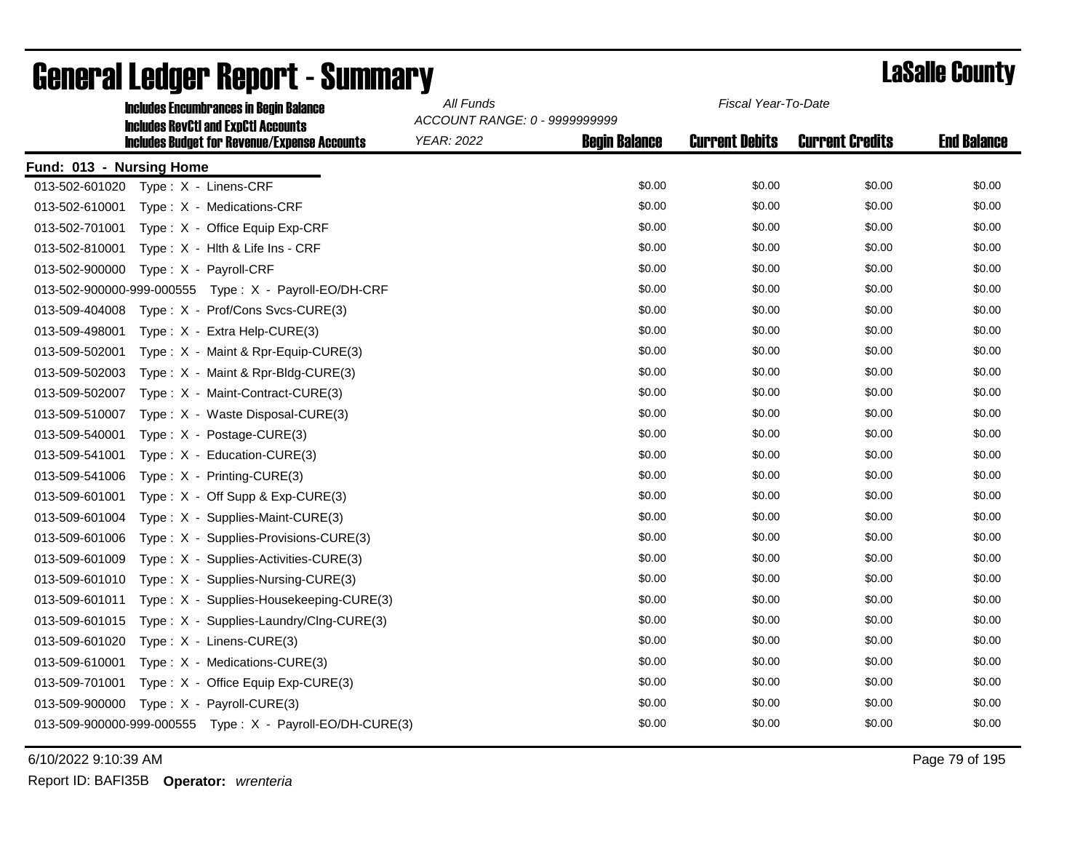| <b>Includes Encumbrances in Begin Balance</b><br><b>Includes RevCtI and ExpCtI Accounts</b> | All Funds<br>ACCOUNT RANGE: 0 - 9999999999 | Fiscal Year-To-Date  |                       |                        |                    |
|---------------------------------------------------------------------------------------------|--------------------------------------------|----------------------|-----------------------|------------------------|--------------------|
| <b>Includes Budget for Revenue/Expense Accounts</b>                                         | <b>YEAR: 2022</b>                          | <b>Begin Balance</b> | <b>Current Debits</b> | <b>Current Credits</b> | <b>End Balance</b> |
| Fund: 013 - Nursing Home                                                                    |                                            |                      |                       |                        |                    |
| 013-502-601020<br>Type: X - Linens-CRF                                                      |                                            | \$0.00               | \$0.00                | \$0.00                 | \$0.00             |
| 013-502-610001<br>Type: X - Medications-CRF                                                 |                                            | \$0.00               | \$0.00                | \$0.00                 | \$0.00             |
| Type: X - Office Equip Exp-CRF<br>013-502-701001                                            |                                            | \$0.00               | \$0.00                | \$0.00                 | \$0.00             |
| 013-502-810001<br>Type: X - Hlth & Life Ins - CRF                                           |                                            | \$0.00               | \$0.00                | \$0.00                 | \$0.00             |
| Type: X - Payroll-CRF<br>013-502-900000                                                     |                                            | \$0.00               | \$0.00                | \$0.00                 | \$0.00             |
|                                                                                             |                                            | \$0.00               | \$0.00                | \$0.00                 | \$0.00             |
| 013-509-404008<br>Type: X - Prof/Cons Svcs-CURE(3)                                          |                                            | \$0.00               | \$0.00                | \$0.00                 | \$0.00             |
| 013-509-498001<br>Type: X - Extra Help-CURE(3)                                              |                                            | \$0.00               | \$0.00                | \$0.00                 | \$0.00             |
| 013-509-502001<br>Type: X - Maint & Rpr-Equip-CURE(3)                                       |                                            | \$0.00               | \$0.00                | \$0.00                 | \$0.00             |
| 013-509-502003<br>Type: X - Maint & Rpr-Bldg-CURE(3)                                        |                                            | \$0.00               | \$0.00                | \$0.00                 | \$0.00             |
| 013-509-502007<br>Type: X - Maint-Contract-CURE(3)                                          |                                            | \$0.00               | \$0.00                | \$0.00                 | \$0.00             |
| 013-509-510007<br>Type: X - Waste Disposal-CURE(3)                                          |                                            | \$0.00               | \$0.00                | \$0.00                 | \$0.00             |
| 013-509-540001<br>Type: $X - Postage-CURE(3)$                                               |                                            | \$0.00               | \$0.00                | \$0.00                 | \$0.00             |
| 013-509-541001<br>Type: X - Education-CURE(3)                                               |                                            | \$0.00               | \$0.00                | \$0.00                 | \$0.00             |
| 013-509-541006<br>Type: $X - Prining-CURE(3)$                                               |                                            | \$0.00               | \$0.00                | \$0.00                 | \$0.00             |
| 013-509-601001<br>Type: $X - \text{Off Supp } 8$ Exp-CURE(3)                                |                                            | \$0.00               | \$0.00                | \$0.00                 | \$0.00             |
| 013-509-601004<br>Type: X - Supplies-Maint-CURE(3)                                          |                                            | \$0.00               | \$0.00                | \$0.00                 | \$0.00             |
| 013-509-601006<br>Type: X - Supplies-Provisions-CURE(3)                                     |                                            | \$0.00               | \$0.00                | \$0.00                 | \$0.00             |
| 013-509-601009<br>Type: X - Supplies-Activities-CURE(3)                                     |                                            | \$0.00               | \$0.00                | \$0.00                 | \$0.00             |
| 013-509-601010<br>Type: X - Supplies-Nursing-CURE(3)                                        |                                            | \$0.00               | \$0.00                | \$0.00                 | \$0.00             |
| 013-509-601011<br>Type: X - Supplies-Housekeeping-CURE(3)                                   |                                            | \$0.00               | \$0.00                | \$0.00                 | \$0.00             |
| 013-509-601015<br>Type: X - Supplies-Laundry/Clng-CURE(3)                                   |                                            | \$0.00               | \$0.00                | \$0.00                 | \$0.00             |
| 013-509-601020<br>Type: X - Linens-CURE(3)                                                  |                                            | \$0.00               | \$0.00                | \$0.00                 | \$0.00             |
| 013-509-610001<br>Type: X - Medications-CURE(3)                                             |                                            | \$0.00               | \$0.00                | \$0.00                 | \$0.00             |
| 013-509-701001<br>Type: X - Office Equip Exp-CURE(3)                                        |                                            | \$0.00               | \$0.00                | \$0.00                 | \$0.00             |
| 013-509-900000<br>Type: X - Payroll-CURE(3)                                                 |                                            | \$0.00               | \$0.00                | \$0.00                 | \$0.00             |
|                                                                                             |                                            | \$0.00               | \$0.00                | \$0.00                 | \$0.00             |

# General Ledger Report - Summary **Lassing Service Report - Summary**

6/10/2022 9:10:39 AM Page 79 of 195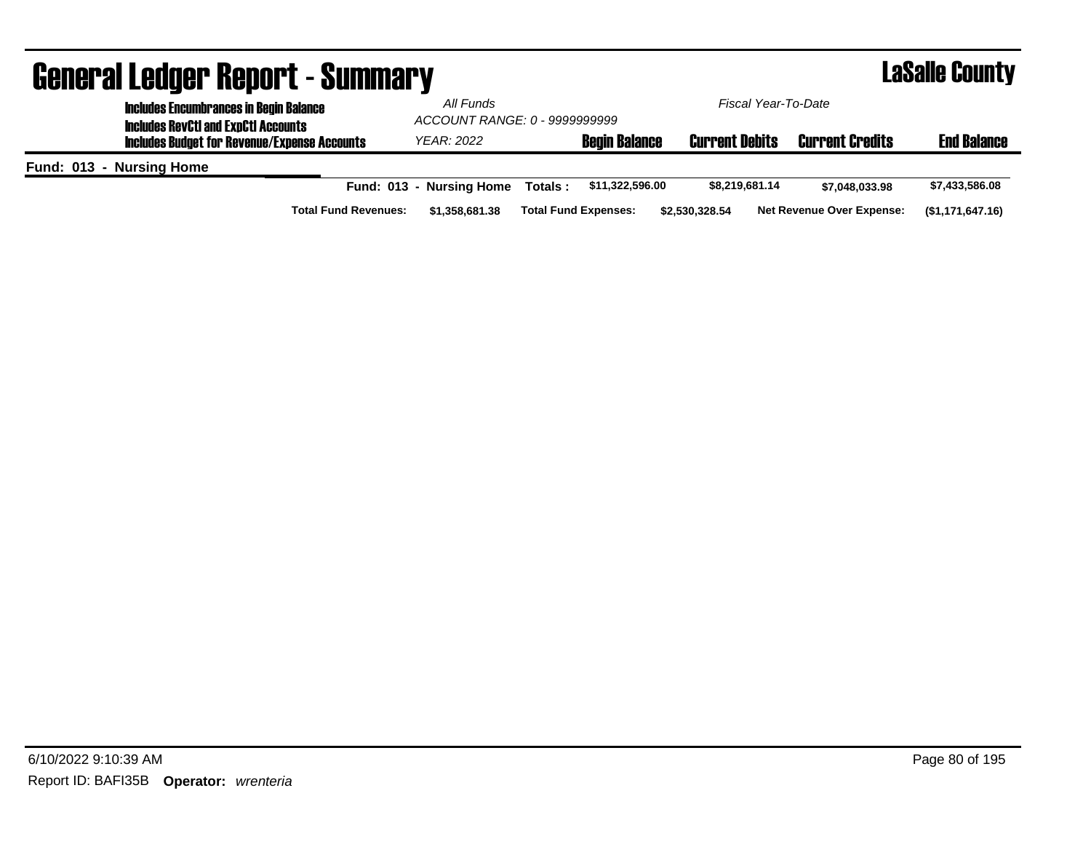| <b>General Ledger Report - Summary</b>                                                      |                          |                                                      |                       |                                  | <b>LaSalle County</b> |
|---------------------------------------------------------------------------------------------|--------------------------|------------------------------------------------------|-----------------------|----------------------------------|-----------------------|
| <b>Includes Encumbrances in Begin Balance</b><br><b>Includes RevCtI and ExpCtI Accounts</b> | All Funds                | Fiscal Year-To-Date<br>ACCOUNT RANGE: 0 - 9999999999 |                       |                                  |                       |
| <b>Includes Budget for Revenue/Expense Accounts</b>                                         | YEAR: 2022               | <b>Begin Balance</b>                                 | <b>Current Debits</b> | <b>Current Credits</b>           | <b>End Balance</b>    |
| Fund: 013 - Nursing Home                                                                    |                          |                                                      |                       |                                  |                       |
|                                                                                             | Fund: 013 - Nursing Home | Totals:<br>\$11.322.596.00                           | \$8,219,681.14        | \$7.048.033.98                   | \$7,433,586.08        |
| <b>Total Fund Revenues:</b>                                                                 | \$1,358,681.38           | <b>Total Fund Expenses:</b>                          | \$2,530,328.54        | <b>Net Revenue Over Expense:</b> | (\$1,171,647.16)      |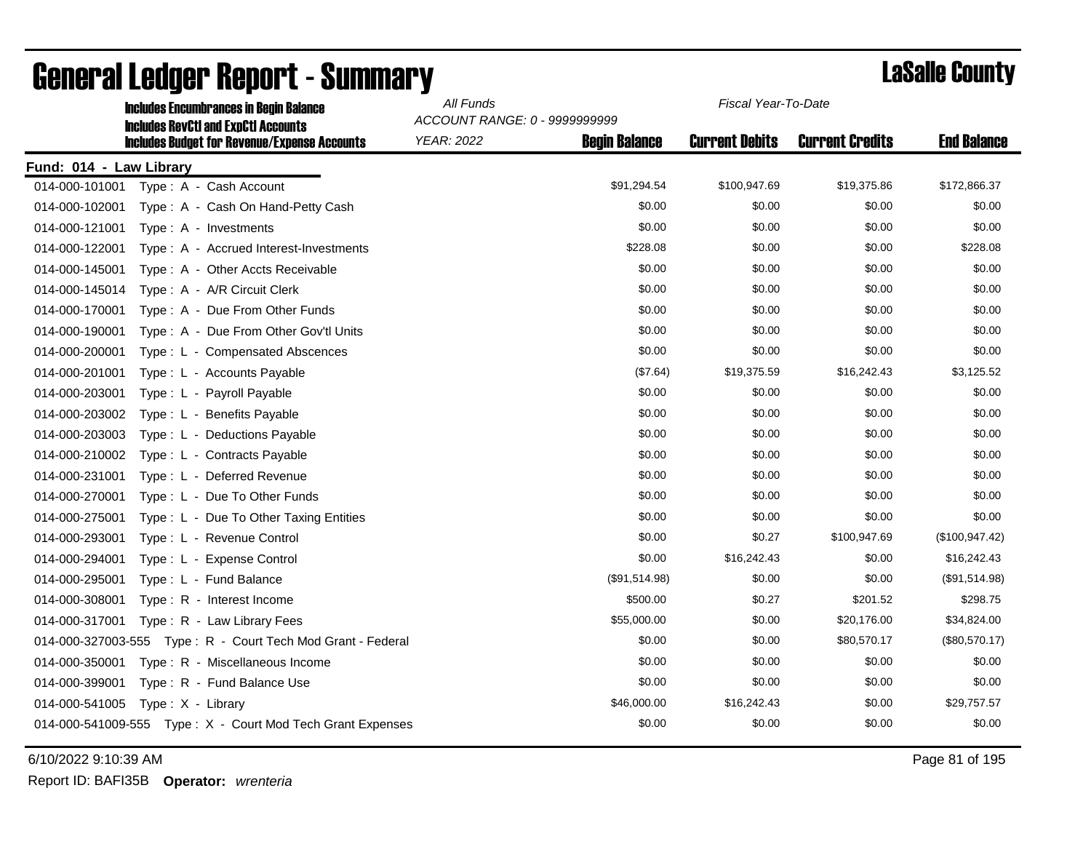| <b>Includes Encumbrances in Begin Balance</b>                                                     | All Funds         | Fiscal Year-To-Date                                   |                       |                        |                    |
|---------------------------------------------------------------------------------------------------|-------------------|-------------------------------------------------------|-----------------------|------------------------|--------------------|
| <b>Includes RevCtI and ExpCtI Accounts</b><br><b>Includes Budget for Revenue/Expense Accounts</b> | <b>YEAR: 2022</b> | ACCOUNT RANGE: 0 - 9999999999<br><b>Begin Balance</b> | <b>Current Debits</b> | <b>Current Credits</b> | <b>End Balance</b> |
| Fund: 014 - Law Library                                                                           |                   |                                                       |                       |                        |                    |
| 014-000-101001<br>Type: A - Cash Account                                                          |                   | \$91,294.54                                           | \$100,947.69          | \$19,375.86            | \$172,866.37       |
| 014-000-102001<br>Type: A - Cash On Hand-Petty Cash                                               |                   | \$0.00                                                | \$0.00                | \$0.00                 | \$0.00             |
| 014-000-121001<br>Type: A - Investments                                                           |                   | \$0.00                                                | \$0.00                | \$0.00                 | \$0.00             |
| 014-000-122001<br>Type: A - Accrued Interest-Investments                                          |                   | \$228.08                                              | \$0.00                | \$0.00                 | \$228.08           |
| 014-000-145001<br>Type: A - Other Accts Receivable                                                |                   | \$0.00                                                | \$0.00                | \$0.00                 | \$0.00             |
| Type: A - A/R Circuit Clerk<br>014-000-145014                                                     |                   | \$0.00                                                | \$0.00                | \$0.00                 | \$0.00             |
| 014-000-170001<br>Type: A - Due From Other Funds                                                  |                   | \$0.00                                                | \$0.00                | \$0.00                 | \$0.00             |
| 014-000-190001<br>Type: A - Due From Other Gov'tl Units                                           |                   | \$0.00                                                | \$0.00                | \$0.00                 | \$0.00             |
| 014-000-200001<br>Type: L - Compensated Abscences                                                 |                   | \$0.00                                                | \$0.00                | \$0.00                 | \$0.00             |
| 014-000-201001<br>Type: L - Accounts Payable                                                      |                   | (\$7.64)                                              | \$19,375.59           | \$16,242.43            | \$3,125.52         |
| 014-000-203001<br>Type: L - Payroll Payable                                                       |                   | \$0.00                                                | \$0.00                | \$0.00                 | \$0.00             |
| 014-000-203002<br>Type: L - Benefits Payable                                                      |                   | \$0.00                                                | \$0.00                | \$0.00                 | \$0.00             |
| 014-000-203003<br>Type: L - Deductions Payable                                                    |                   | \$0.00                                                | \$0.00                | \$0.00                 | \$0.00             |
| 014-000-210002<br>Type: L - Contracts Payable                                                     |                   | \$0.00                                                | \$0.00                | \$0.00                 | \$0.00             |
| 014-000-231001<br>Type: L - Deferred Revenue                                                      |                   | \$0.00                                                | \$0.00                | \$0.00                 | \$0.00             |
| 014-000-270001<br>Type: L - Due To Other Funds                                                    |                   | \$0.00                                                | \$0.00                | \$0.00                 | \$0.00             |
| 014-000-275001<br>Type: L - Due To Other Taxing Entities                                          |                   | \$0.00                                                | \$0.00                | \$0.00                 | \$0.00             |
| 014-000-293001<br>Type: L - Revenue Control                                                       |                   | \$0.00                                                | \$0.27                | \$100,947.69           | (\$100, 947.42)    |
| 014-000-294001<br>Type: L - Expense Control                                                       |                   | \$0.00                                                | \$16,242.43           | \$0.00                 | \$16,242.43        |
| 014-000-295001<br>Type: L - Fund Balance                                                          |                   | (\$91,514.98)                                         | \$0.00                | \$0.00                 | (\$91,514.98)      |
| 014-000-308001<br>Type: R - Interest Income                                                       |                   | \$500.00                                              | \$0.27                | \$201.52               | \$298.75           |
| 014-000-317001<br>Type: R - Law Library Fees                                                      |                   | \$55,000.00                                           | \$0.00                | \$20,176.00            | \$34,824.00        |
|                                                                                                   |                   | \$0.00                                                | \$0.00                | \$80,570.17            | (\$80,570.17)      |
| 014-000-350001<br>Type: R - Miscellaneous Income                                                  |                   | \$0.00                                                | \$0.00                | \$0.00                 | \$0.00             |
| 014-000-399001<br>Type: R - Fund Balance Use                                                      |                   | \$0.00                                                | \$0.00                | \$0.00                 | \$0.00             |
| 014-000-541005<br>Type: X - Library                                                               |                   | \$46,000.00                                           | \$16,242.43           | \$0.00                 | \$29,757.57        |
| 014-000-541009-555 Type: X - Court Mod Tech Grant Expenses                                        |                   | \$0.00                                                | \$0.00                | \$0.00                 | \$0.00             |

6/10/2022 9:10:39 AM Page 81 of 195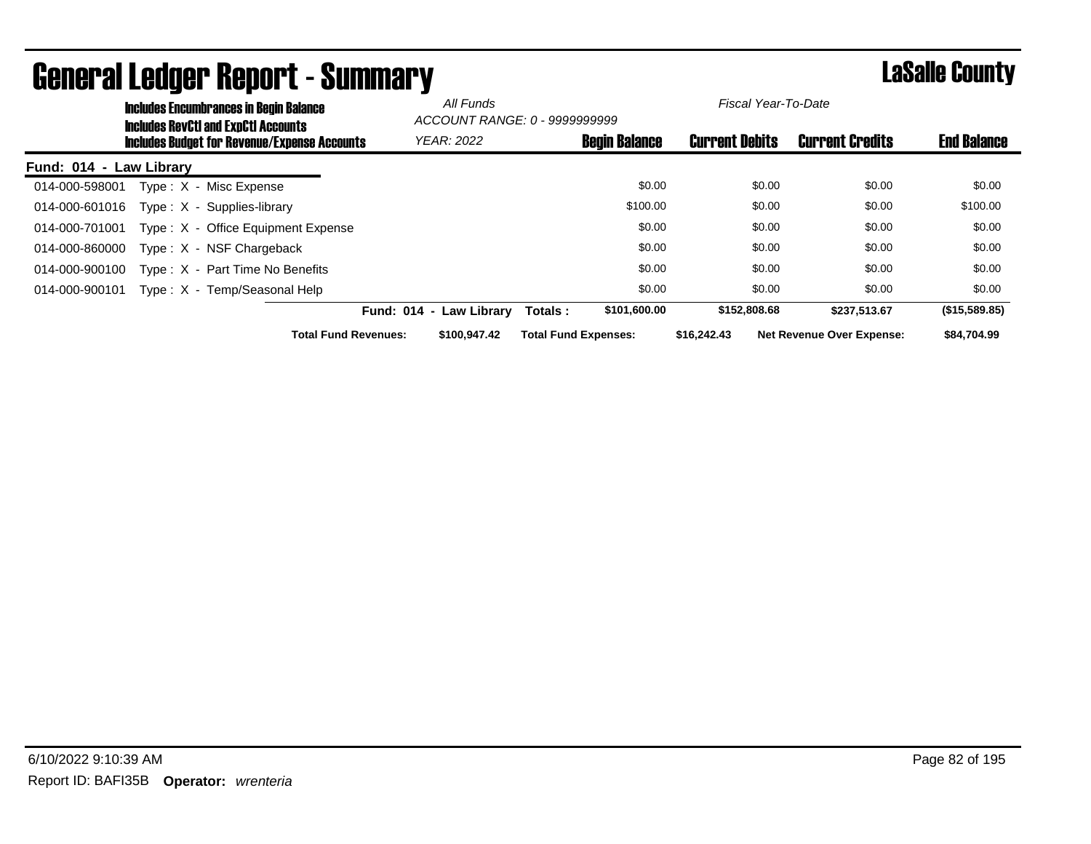| <b>Includes Encumbrances in Begin Balance</b> | All Funds                                                                                         |                                                    | Fiscal Year-To-Date         |                      |                       |        |                                  |                    |
|-----------------------------------------------|---------------------------------------------------------------------------------------------------|----------------------------------------------------|-----------------------------|----------------------|-----------------------|--------|----------------------------------|--------------------|
|                                               | <b>Includes RevCtI and ExpCtI Accounts</b><br><b>Includes Budget for Revenue/Expense Accounts</b> | ACCOUNT RANGE: 0 - 9999999999<br><b>YEAR: 2022</b> |                             | <b>Begin Balance</b> | <b>Current Debits</b> |        | <b>Current Credits</b>           | <b>End Balance</b> |
| Fund: 014 - Law Library                       |                                                                                                   |                                                    |                             |                      |                       |        |                                  |                    |
| 014-000-598001                                | Type: X - Misc Expense                                                                            |                                                    |                             | \$0.00               |                       | \$0.00 | \$0.00                           | \$0.00             |
| 014-000-601016                                | Type: $X -$ Supplies-library                                                                      |                                                    |                             | \$100.00             |                       | \$0.00 | \$0.00                           | \$100.00           |
| 014-000-701001                                | Type: X - Office Equipment Expense                                                                |                                                    |                             | \$0.00               |                       | \$0.00 | \$0.00                           | \$0.00             |
| 014-000-860000                                | $Type: X - NSF Chargeback$                                                                        |                                                    |                             | \$0.00               |                       | \$0.00 | \$0.00                           | \$0.00             |
| 014-000-900100                                | Type: X - Part Time No Benefits                                                                   |                                                    |                             | \$0.00               |                       | \$0.00 | \$0.00                           | \$0.00             |
| 014-000-900101                                | Type: X - Temp/Seasonal Help                                                                      |                                                    |                             | \$0.00               |                       | \$0.00 | \$0.00                           | \$0.00             |
|                                               |                                                                                                   | Fund: 014 - Law Library                            | Totals:                     | \$101,600.00         | \$152,808.68          |        | \$237.513.67                     | (\$15,589.85)      |
|                                               | <b>Total Fund Revenues:</b>                                                                       | \$100,947.42                                       | <b>Total Fund Expenses:</b> |                      | \$16,242,43           |        | <b>Net Revenue Over Expense:</b> | \$84.704.99        |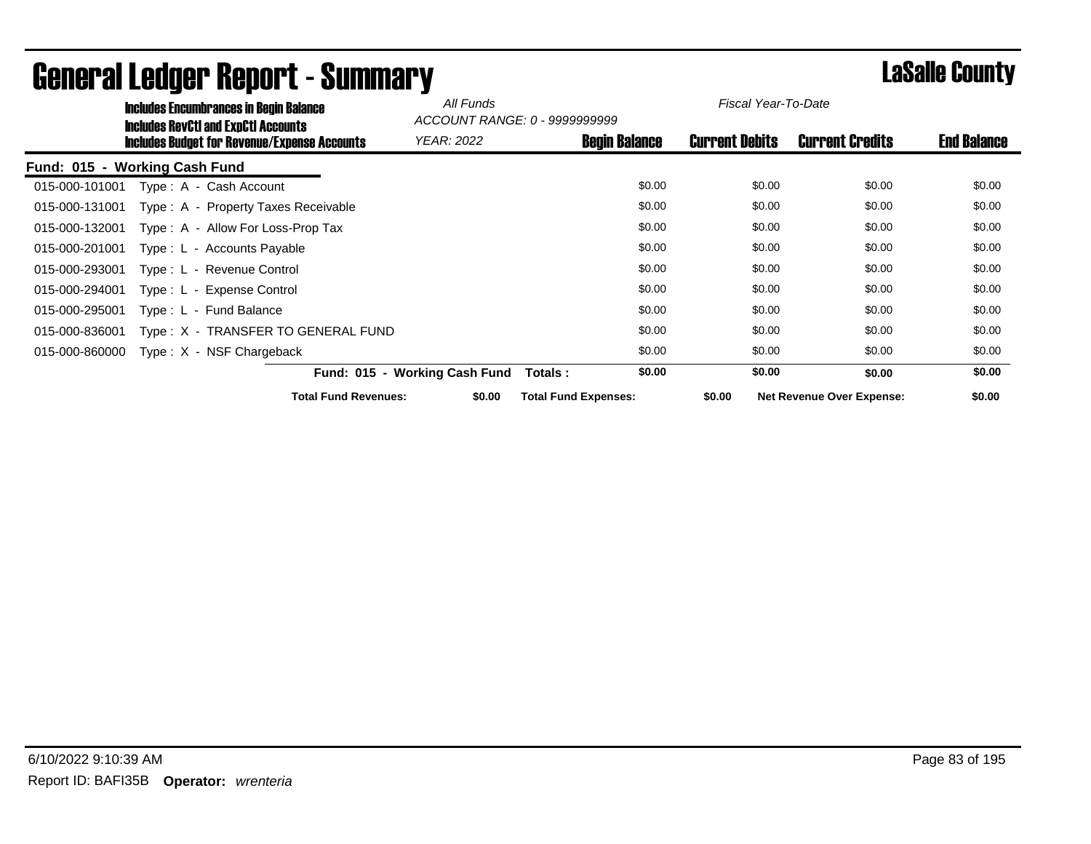|                | <b>Includes Encumbrances in Begin Balance</b>                                                     | All Funds                     | ACCOUNT RANGE: 0 - 9999999999 | Fiscal Year-To-Date   |                                  |                    |
|----------------|---------------------------------------------------------------------------------------------------|-------------------------------|-------------------------------|-----------------------|----------------------------------|--------------------|
|                | <b>Includes RevCtI and ExpCtI Accounts</b><br><b>Includes Budget for Revenue/Expense Accounts</b> | <b>YEAR: 2022</b>             | <b>Begin Balance</b>          | <b>Current Debits</b> | <b>Current Credits</b>           | <b>End Balance</b> |
|                | Fund: 015 - Working Cash Fund                                                                     |                               |                               |                       |                                  |                    |
| 015-000-101001 | Type: A - Cash Account                                                                            |                               | \$0.00                        | \$0.00                | \$0.00                           | \$0.00             |
| 015-000-131001 | Type: A - Property Taxes Receivable                                                               |                               | \$0.00                        | \$0.00                | \$0.00                           | \$0.00             |
| 015-000-132001 | Type: A - Allow For Loss-Prop Tax                                                                 |                               | \$0.00                        | \$0.00                | \$0.00                           | \$0.00             |
| 015-000-201001 | Type: L - Accounts Payable                                                                        |                               | \$0.00                        | \$0.00                | \$0.00                           | \$0.00             |
| 015-000-293001 | Type: L - Revenue Control                                                                         |                               | \$0.00                        | \$0.00                | \$0.00                           | \$0.00             |
| 015-000-294001 | Type: L - Expense Control                                                                         |                               | \$0.00                        | \$0.00                | \$0.00                           | \$0.00             |
| 015-000-295001 | Type: L - Fund Balance                                                                            |                               | \$0.00                        | \$0.00                | \$0.00                           | \$0.00             |
| 015-000-836001 | Type: X - TRANSFER TO GENERAL FUND                                                                |                               | \$0.00                        | \$0.00                | \$0.00                           | \$0.00             |
| 015-000-860000 | Type: $X - NSF$ Chargeback                                                                        |                               | \$0.00                        | \$0.00                | \$0.00                           | \$0.00             |
|                |                                                                                                   | Fund: 015 - Working Cash Fund | \$0.00<br>Totals :            | \$0.00                | \$0.00                           | \$0.00             |
|                | <b>Total Fund Revenues:</b>                                                                       | \$0.00                        | <b>Total Fund Expenses:</b>   | \$0.00                | <b>Net Revenue Over Expense:</b> | \$0.00             |

# General Ledger Report - Summary LaSalle County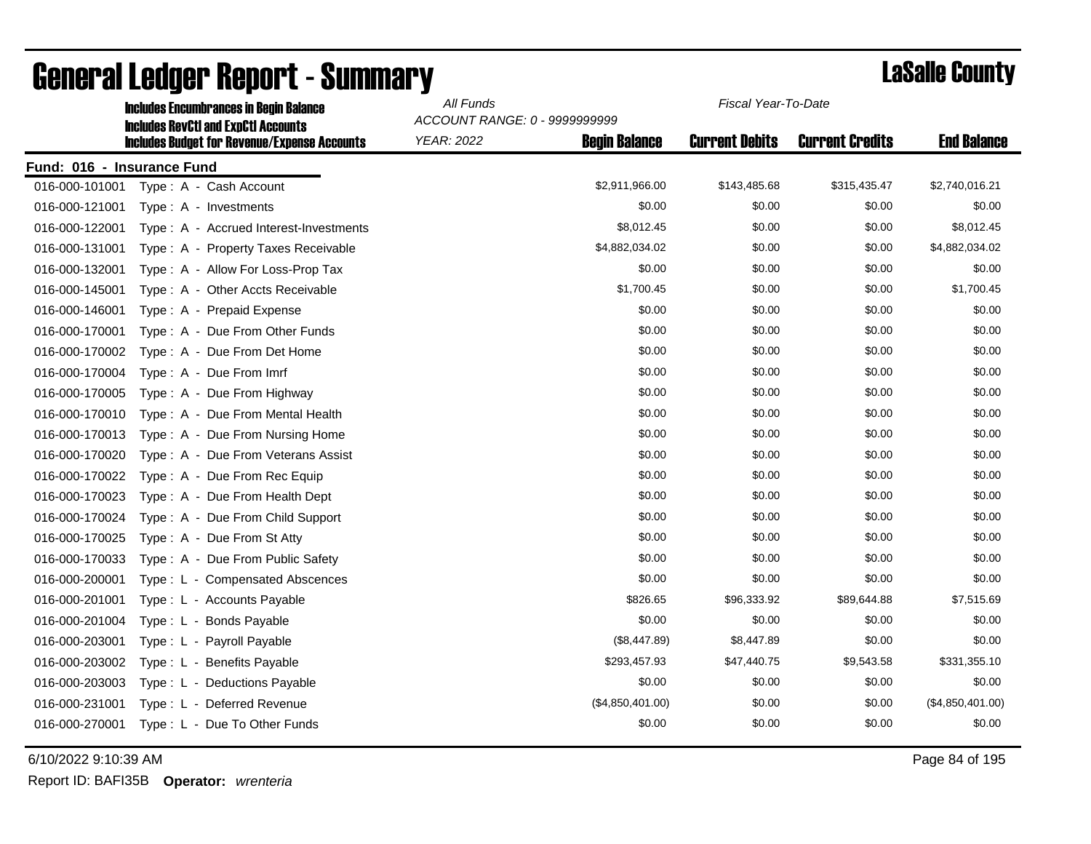|                            | <b>Includes Encumbrances in Begin Balance</b>                                                     | All Funds         | Fiscal Year-To-Date<br>ACCOUNT RANGE: 0 - 9999999999 |                       |                        |                    |
|----------------------------|---------------------------------------------------------------------------------------------------|-------------------|------------------------------------------------------|-----------------------|------------------------|--------------------|
|                            | <b>Includes RevCtI and ExpCtI Accounts</b><br><b>Includes Budget for Revenue/Expense Accounts</b> | <b>YEAR: 2022</b> | <b>Begin Balance</b>                                 | <b>Current Debits</b> | <b>Current Credits</b> | <b>End Balance</b> |
| Fund: 016 - Insurance Fund |                                                                                                   |                   |                                                      |                       |                        |                    |
| 016-000-101001             | Type: A - Cash Account                                                                            |                   | \$2,911,966.00                                       | \$143,485.68          | \$315,435.47           | \$2,740,016.21     |
| 016-000-121001             | Type: A - Investments                                                                             |                   | \$0.00                                               | \$0.00                | \$0.00                 | \$0.00             |
| 016-000-122001             | Type: A - Accrued Interest-Investments                                                            |                   | \$8,012.45                                           | \$0.00                | \$0.00                 | \$8,012.45         |
| 016-000-131001             | Type: A - Property Taxes Receivable                                                               |                   | \$4,882,034.02                                       | \$0.00                | \$0.00                 | \$4,882,034.02     |
| 016-000-132001             | Type: A - Allow For Loss-Prop Tax                                                                 |                   | \$0.00                                               | \$0.00                | \$0.00                 | \$0.00             |
| 016-000-145001             | Type: A - Other Accts Receivable                                                                  |                   | \$1,700.45                                           | \$0.00                | \$0.00                 | \$1,700.45         |
| 016-000-146001             | Type: A - Prepaid Expense                                                                         |                   | \$0.00                                               | \$0.00                | \$0.00                 | \$0.00             |
| 016-000-170001             | Type: A - Due From Other Funds                                                                    |                   | \$0.00                                               | \$0.00                | \$0.00                 | \$0.00             |
| 016-000-170002             | Type: A - Due From Det Home                                                                       |                   | \$0.00                                               | \$0.00                | \$0.00                 | \$0.00             |
| 016-000-170004             | Type: A - Due From Imrf                                                                           |                   | \$0.00                                               | \$0.00                | \$0.00                 | \$0.00             |
| 016-000-170005             | Type: A - Due From Highway                                                                        |                   | \$0.00                                               | \$0.00                | \$0.00                 | \$0.00             |
| 016-000-170010             | Type: A - Due From Mental Health                                                                  |                   | \$0.00                                               | \$0.00                | \$0.00                 | \$0.00             |
| 016-000-170013             | Type: A - Due From Nursing Home                                                                   |                   | \$0.00                                               | \$0.00                | \$0.00                 | \$0.00             |
| 016-000-170020             | Type: A - Due From Veterans Assist                                                                |                   | \$0.00                                               | \$0.00                | \$0.00                 | \$0.00             |
| 016-000-170022             | Type: A - Due From Rec Equip                                                                      |                   | \$0.00                                               | \$0.00                | \$0.00                 | \$0.00             |
| 016-000-170023             | Type: A - Due From Health Dept                                                                    |                   | \$0.00                                               | \$0.00                | \$0.00                 | \$0.00             |
| 016-000-170024             | Type: A - Due From Child Support                                                                  |                   | \$0.00                                               | \$0.00                | \$0.00                 | \$0.00             |
| 016-000-170025             | Type: A - Due From St Atty                                                                        |                   | \$0.00                                               | \$0.00                | \$0.00                 | \$0.00             |
| 016-000-170033             | Type: A - Due From Public Safety                                                                  |                   | \$0.00                                               | \$0.00                | \$0.00                 | \$0.00             |
| 016-000-200001             | Type: L - Compensated Abscences                                                                   |                   | \$0.00                                               | \$0.00                | \$0.00                 | \$0.00             |
| 016-000-201001             | Type: L - Accounts Payable                                                                        |                   | \$826.65                                             | \$96,333.92           | \$89,644.88            | \$7,515.69         |
| 016-000-201004             | Type: L - Bonds Payable                                                                           |                   | \$0.00                                               | \$0.00                | \$0.00                 | \$0.00             |
| 016-000-203001             | Type: L - Payroll Payable                                                                         |                   | (\$8,447.89)                                         | \$8,447.89            | \$0.00                 | \$0.00             |
| 016-000-203002             | Type: L - Benefits Payable                                                                        |                   | \$293,457.93                                         | \$47,440.75           | \$9,543.58             | \$331,355.10       |
| 016-000-203003             | Type : L - Deductions Payable                                                                     |                   | \$0.00                                               | \$0.00                | \$0.00                 | \$0.00             |
| 016-000-231001             | Type: L - Deferred Revenue                                                                        |                   | (\$4,850,401.00)                                     | \$0.00                | \$0.00                 | (\$4,850,401.00)   |
| 016-000-270001             | Type: L - Due To Other Funds                                                                      |                   | \$0.00                                               | \$0.00                | \$0.00                 | \$0.00             |

6/10/2022 9:10:39 AM Page 84 of 195

Report ID: BAFI35B **Operator:** *wrenteria*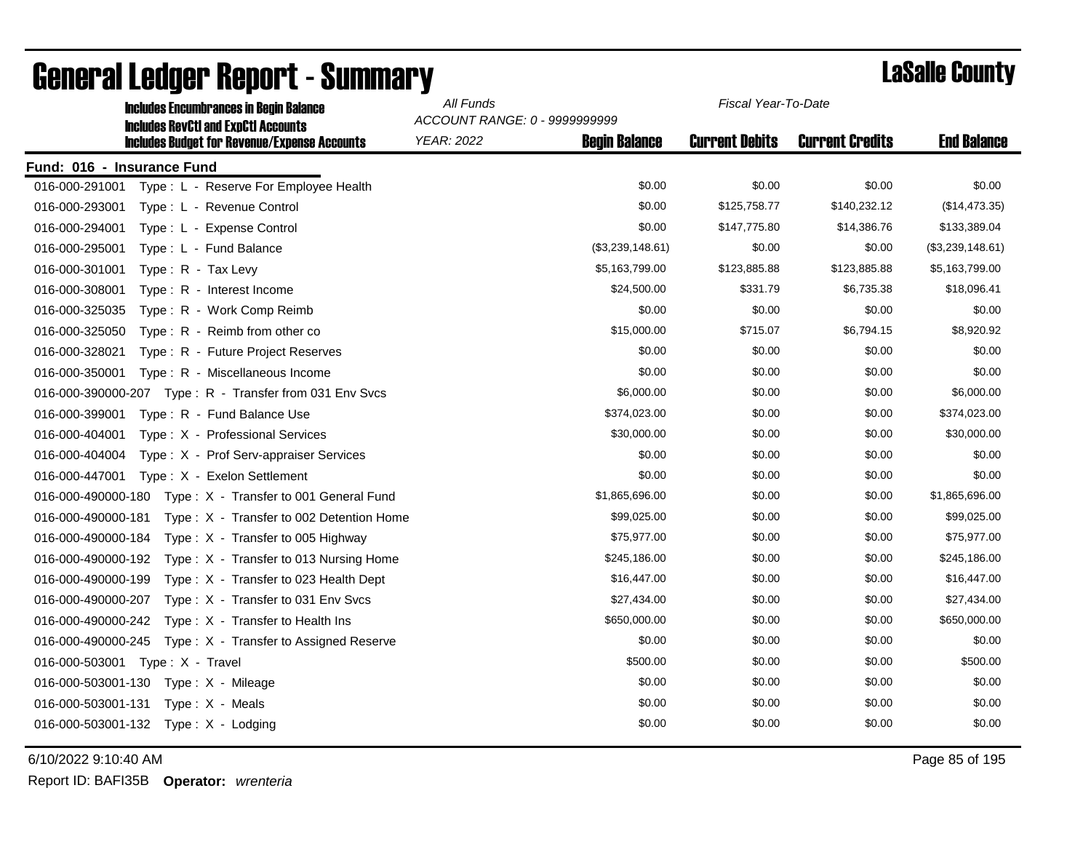| <b>Includes Encumbrances in Begin Balance</b><br><b>Includes RevCtI and ExpCtI Accounts</b> | All Funds         | Fiscal Year-To-Date<br>ACCOUNT RANGE: 0 - 9999999999 |                       |                        |                    |  |
|---------------------------------------------------------------------------------------------|-------------------|------------------------------------------------------|-----------------------|------------------------|--------------------|--|
| <b>Includes Budget for Revenue/Expense Accounts</b>                                         | <b>YEAR: 2022</b> | <b>Begin Balance</b>                                 | <b>Current Debits</b> | <b>Current Credits</b> | <b>End Balance</b> |  |
| Fund: 016 - Insurance Fund                                                                  |                   |                                                      |                       |                        |                    |  |
| 016-000-291001<br>Type: L - Reserve For Employee Health                                     |                   | \$0.00                                               | \$0.00                | \$0.00                 | \$0.00             |  |
| 016-000-293001<br>Type: L - Revenue Control                                                 |                   | \$0.00                                               | \$125,758.77          | \$140,232.12           | (\$14,473.35)      |  |
| 016-000-294001<br>Type: L - Expense Control                                                 |                   | \$0.00                                               | \$147,775.80          | \$14,386.76            | \$133,389.04       |  |
| 016-000-295001<br>Type: L - Fund Balance                                                    |                   | (\$3,239,148.61)                                     | \$0.00                | \$0.00                 | (\$3,239,148.61)   |  |
| 016-000-301001<br>Type: R - Tax Levy                                                        |                   | \$5,163,799.00                                       | \$123,885.88          | \$123,885.88           | \$5,163,799.00     |  |
| 016-000-308001<br>Type: R - Interest Income                                                 |                   | \$24,500.00                                          | \$331.79              | \$6,735.38             | \$18,096.41        |  |
| 016-000-325035<br>Type: R - Work Comp Reimb                                                 |                   | \$0.00                                               | \$0.00                | \$0.00                 | \$0.00             |  |
| 016-000-325050<br>Type: R - Reimb from other co                                             |                   | \$15,000.00                                          | \$715.07              | \$6,794.15             | \$8,920.92         |  |
| 016-000-328021<br>Type: R - Future Project Reserves                                         |                   | \$0.00                                               | \$0.00                | \$0.00                 | \$0.00             |  |
| 016-000-350001<br>Type: R - Miscellaneous Income                                            |                   | \$0.00                                               | \$0.00                | \$0.00                 | \$0.00             |  |
| 016-000-390000-207    Type: R - Transfer from 031    Env Svcs                               |                   | \$6,000.00                                           | \$0.00                | \$0.00                 | \$6,000.00         |  |
| 016-000-399001<br>Type: R - Fund Balance Use                                                |                   | \$374,023.00                                         | \$0.00                | \$0.00                 | \$374,023.00       |  |
| 016-000-404001<br>Type: X - Professional Services                                           |                   | \$30,000.00                                          | \$0.00                | \$0.00                 | \$30,000.00        |  |
| 016-000-404004<br>Type: X - Prof Serv-appraiser Services                                    |                   | \$0.00                                               | \$0.00                | \$0.00                 | \$0.00             |  |
| 016-000-447001<br>Type: X - Exelon Settlement                                               |                   | \$0.00                                               | \$0.00                | \$0.00                 | \$0.00             |  |
| 016-000-490000-180<br>Type: X - Transfer to 001 General Fund                                |                   | \$1,865,696.00                                       | \$0.00                | \$0.00                 | \$1,865,696.00     |  |
| 016-000-490000-181<br>Type : $X - T$ ransfer to 002 Detention Home                          |                   | \$99,025.00                                          | \$0.00                | \$0.00                 | \$99,025.00        |  |
| 016-000-490000-184<br>Type: X - Transfer to 005 Highway                                     |                   | \$75,977.00                                          | \$0.00                | \$0.00                 | \$75,977.00        |  |
| 016-000-490000-192<br>Type $: X -$ Transfer to 013 Nursing Home                             |                   | \$245,186.00                                         | \$0.00                | \$0.00                 | \$245,186.00       |  |
| 016-000-490000-199<br>Type : $X -$ Transfer to 023 Health Dept                              |                   | \$16,447.00                                          | \$0.00                | \$0.00                 | \$16,447.00        |  |
| 016-000-490000-207<br>Type: X - Transfer to 031 Env Svcs                                    |                   | \$27,434.00                                          | \$0.00                | \$0.00                 | \$27,434.00        |  |
| 016-000-490000-242<br>Type : $X -$ Transfer to Health Ins                                   |                   | \$650,000.00                                         | \$0.00                | \$0.00                 | \$650,000.00       |  |
| 016-000-490000-245<br>Type: X - Transfer to Assigned Reserve                                |                   | \$0.00                                               | \$0.00                | \$0.00                 | \$0.00             |  |
| 016-000-503001 Type: X - Travel                                                             |                   | \$500.00                                             | \$0.00                | \$0.00                 | \$500.00           |  |
| 016-000-503001-130    Type: X - Mileage                                                     |                   | \$0.00                                               | \$0.00                | \$0.00                 | \$0.00             |  |
| 016-000-503001-131<br>Type: X - Meals                                                       |                   | \$0.00                                               | \$0.00                | \$0.00                 | \$0.00             |  |
| 016-000-503001-132 Type: X - Lodging                                                        |                   | \$0.00                                               | \$0.00                | \$0.00                 | \$0.00             |  |

# **General Ledger Report - Summary Lassalle County**

6/10/2022 9:10:40 AM Page 85 of 195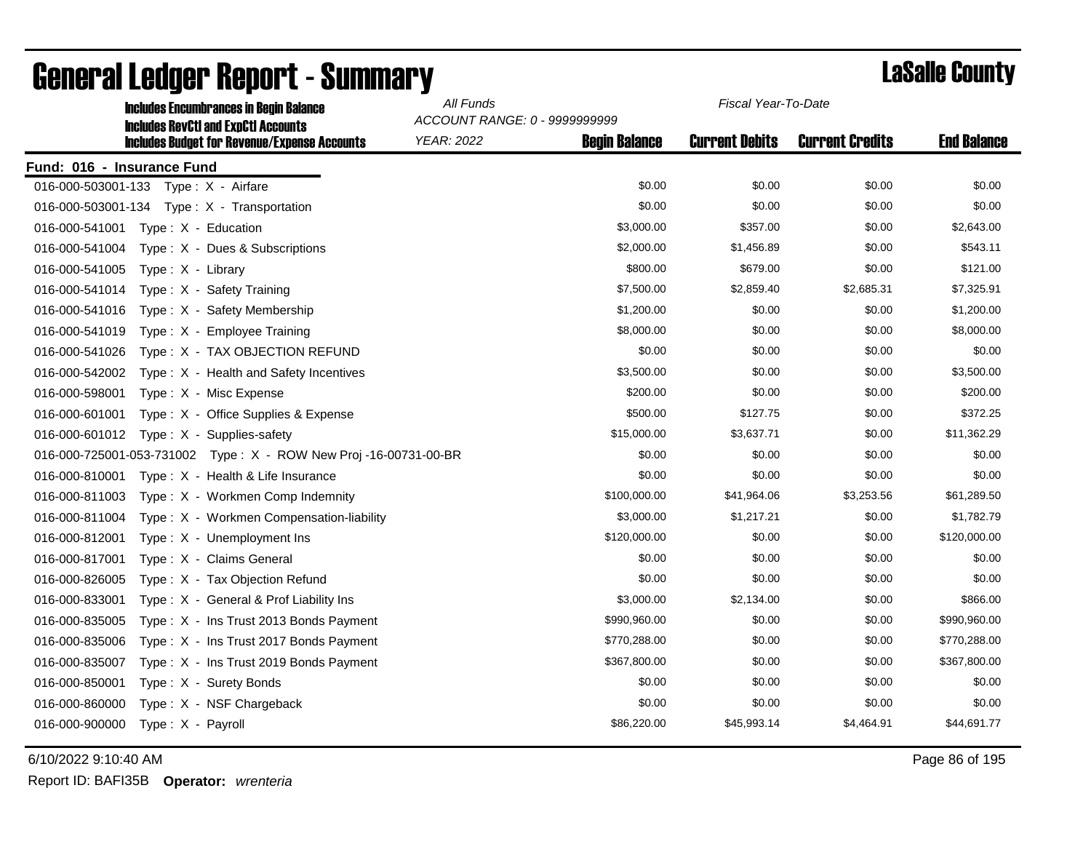| <b>Includes Encumbrances in Begin Balance</b>                                                     | All Funds                                                                  | Fiscal Year-To-Date   |                        |                    |
|---------------------------------------------------------------------------------------------------|----------------------------------------------------------------------------|-----------------------|------------------------|--------------------|
| <b>Includes RevCtI and ExpCtI Accounts</b><br><b>Includes Budget for Revenue/Expense Accounts</b> | ACCOUNT RANGE: 0 - 9999999999<br><b>YEAR: 2022</b><br><b>Begin Balance</b> | <b>Current Debits</b> | <b>Current Credits</b> | <b>End Balance</b> |
| Fund: 016 - Insurance Fund                                                                        |                                                                            |                       |                        |                    |
| 016-000-503001-133 Type: X - Airfare                                                              | \$0.00                                                                     | \$0.00                | \$0.00                 | \$0.00             |
|                                                                                                   | \$0.00                                                                     | \$0.00                | \$0.00                 | \$0.00             |
| 016-000-541001<br>Type: $X -$ Education                                                           | \$3,000.00                                                                 | \$357.00              | \$0.00                 | \$2,643.00         |
| 016-000-541004<br>Type: X - Dues & Subscriptions                                                  | \$2,000.00                                                                 | \$1,456.89            | \$0.00                 | \$543.11           |
| 016-000-541005<br>Type: X - Library                                                               | \$800.00                                                                   | \$679.00              | \$0.00                 | \$121.00           |
| 016-000-541014<br>Type: X - Safety Training                                                       | \$7,500.00                                                                 | \$2,859.40            | \$2,685.31             | \$7,325.91         |
| 016-000-541016<br>Type: X - Safety Membership                                                     | \$1,200.00                                                                 | \$0.00                | \$0.00                 | \$1,200.00         |
| 016-000-541019<br>Type: X - Employee Training                                                     | \$8,000.00                                                                 | \$0.00                | \$0.00                 | \$8,000.00         |
| 016-000-541026<br>Type: X - TAX OBJECTION REFUND                                                  | \$0.00                                                                     | \$0.00                | \$0.00                 | \$0.00             |
| 016-000-542002<br>Type: X - Health and Safety Incentives                                          | \$3,500.00                                                                 | \$0.00                | \$0.00                 | \$3,500.00         |
| 016-000-598001<br>Type: X - Misc Expense                                                          | \$200.00                                                                   | \$0.00                | \$0.00                 | \$200.00           |
| 016-000-601001<br>Type: X - Office Supplies & Expense                                             | \$500.00                                                                   | \$127.75              | \$0.00                 | \$372.25           |
| 016-000-601012<br>Type: $X -$ Supplies-safety                                                     | \$15,000.00                                                                | \$3,637.71            | \$0.00                 | \$11,362.29        |
| 016-000-725001-053-731002    Type: X - ROW New Proj -16-00731-00-BR                               | \$0.00                                                                     | \$0.00                | \$0.00                 | \$0.00             |
| 016-000-810001<br>Type: X - Health & Life Insurance                                               | \$0.00                                                                     | \$0.00                | \$0.00                 | \$0.00             |
| 016-000-811003<br>Type: X - Workmen Comp Indemnity                                                | \$100,000.00                                                               | \$41,964.06           | \$3,253.56             | \$61,289.50        |
| 016-000-811004<br>Type: X - Workmen Compensation-liability                                        | \$3,000.00                                                                 | \$1,217.21            | \$0.00                 | \$1,782.79         |
| 016-000-812001<br>Type: X - Unemployment Ins                                                      | \$120,000.00                                                               | \$0.00                | \$0.00                 | \$120,000.00       |
| 016-000-817001<br>Type: X - Claims General                                                        | \$0.00                                                                     | \$0.00                | \$0.00                 | \$0.00             |
| 016-000-826005<br>Type: X - Tax Objection Refund                                                  | \$0.00                                                                     | \$0.00                | \$0.00                 | \$0.00             |
| 016-000-833001<br>Type: X - General & Prof Liability Ins                                          | \$3,000.00                                                                 | \$2,134.00            | \$0.00                 | \$866.00           |
| 016-000-835005<br>Type: X - Ins Trust 2013 Bonds Payment                                          | \$990,960.00                                                               | \$0.00                | \$0.00                 | \$990,960.00       |
| 016-000-835006<br>Type: X - Ins Trust 2017 Bonds Payment                                          | \$770,288.00                                                               | \$0.00                | \$0.00                 | \$770,288.00       |
| 016-000-835007<br>Type: X - Ins Trust 2019 Bonds Payment                                          | \$367,800.00                                                               | \$0.00                | \$0.00                 | \$367,800.00       |
| 016-000-850001<br>Type: X - Surety Bonds                                                          | \$0.00                                                                     | \$0.00                | \$0.00                 | \$0.00             |
| 016-000-860000<br>Type: X - NSF Chargeback                                                        | \$0.00                                                                     | \$0.00                | \$0.00                 | \$0.00             |
| 016-000-900000<br>Type: X - Payroll                                                               | \$86,220.00                                                                | \$45,993.14           | \$4,464.91             | \$44,691.77        |

# General Ledger Report - Summary LaSalle County

6/10/2022 9:10:40 AM Page 86 of 195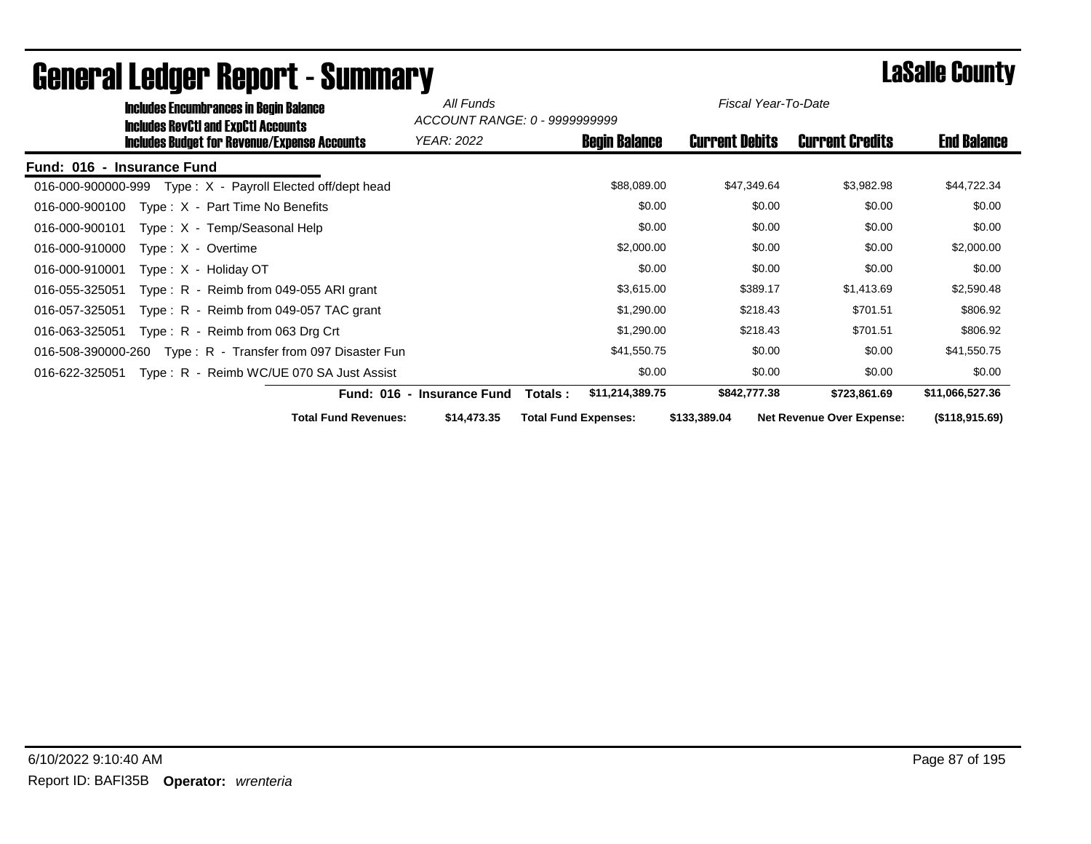| <b>Includes Encumbrances in Begin Balance</b>                  | All Funds                  | Fiscal Year-To-Date           |                       |                                  |                    |  |
|----------------------------------------------------------------|----------------------------|-------------------------------|-----------------------|----------------------------------|--------------------|--|
| Includes RevCtI and ExpCtI Accounts                            |                            | ACCOUNT RANGE: 0 - 9999999999 |                       |                                  |                    |  |
| <b>Includes Budget for Revenue/Expense Accounts</b>            | YEAR: 2022                 | <b>Begin Balance</b>          | <b>Current Debits</b> | <b>Current Credits</b>           | <b>End Balance</b> |  |
| Fund: 016 - Insurance Fund                                     |                            |                               |                       |                                  |                    |  |
| Type: X - Payroll Elected off/dept head<br>016-000-900000-999  |                            | \$88,089.00                   | \$47,349.64           | \$3,982.98                       | \$44,722.34        |  |
| Type: X - Part Time No Benefits<br>016-000-900100              |                            | \$0.00                        | \$0.00                | \$0.00                           | \$0.00             |  |
| Type: X - Temp/Seasonal Help<br>016-000-900101                 |                            | \$0.00                        | \$0.00                | \$0.00                           | \$0.00             |  |
| 016-000-910000<br>Type: X - Overtime                           |                            | \$2,000.00                    | \$0.00                | \$0.00                           | \$2,000.00         |  |
| 016-000-910001<br>Type: X - Holiday OT                         |                            | \$0.00                        | \$0.00                | \$0.00                           | \$0.00             |  |
| 016-055-325051<br>Type: $R -$ Reimb from 049-055 ARI grant     |                            | \$3,615.00                    | \$389.17              | \$1,413.69                       | \$2,590.48         |  |
| Type: R - Reimb from 049-057 TAC grant<br>016-057-325051       |                            | \$1,290.00                    | \$218.43              | \$701.51                         | \$806.92           |  |
| 016-063-325051<br>Type: $R -$ Reimb from 063 Drg Crt           |                            | \$1,290.00                    | \$218.43              | \$701.51                         | \$806.92           |  |
| Type: R - Transfer from 097 Disaster Fun<br>016-508-390000-260 |                            | \$41,550.75                   | \$0.00                | \$0.00                           | \$41,550.75        |  |
| Type: R - Reimb WC/UE 070 SA Just Assist<br>016-622-325051     |                            | \$0.00                        | \$0.00                | \$0.00                           | \$0.00             |  |
|                                                                | Fund: 016 - Insurance Fund | \$11,214,389.75<br>Totals:    | \$842,777.38          | \$723,861.69                     | \$11,066,527.36    |  |
| <b>Total Fund Revenues:</b>                                    | \$14,473.35                | <b>Total Fund Expenses:</b>   | \$133,389.04          | <b>Net Revenue Over Expense:</b> | $($ \$118,915.69)  |  |

# General Ledger Report - Summary LaSalle County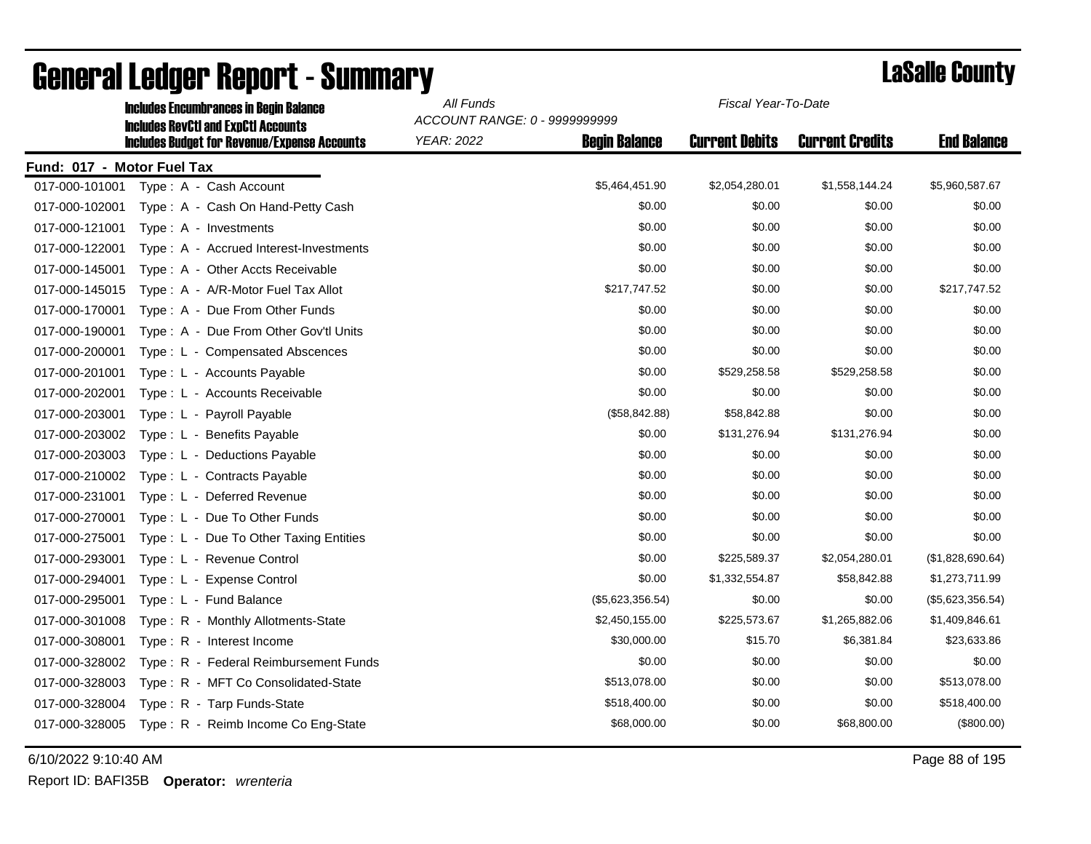|                            | <b>Includes Encumbrances in Begin Balance</b>       | All Funds<br>Fiscal Year-To-Date |                      |                       |                        |                    |
|----------------------------|-----------------------------------------------------|----------------------------------|----------------------|-----------------------|------------------------|--------------------|
|                            | <b>Includes RevCtI and ExpCtI Accounts</b>          | ACCOUNT RANGE: 0 - 9999999999    |                      |                       |                        |                    |
|                            | <b>Includes Budget for Revenue/Expense Accounts</b> | <b>YEAR: 2022</b>                | <b>Begin Balance</b> | <b>Current Debits</b> | <b>Current Credits</b> | <b>End Balance</b> |
| Fund: 017 - Motor Fuel Tax |                                                     |                                  |                      |                       |                        |                    |
| 017-000-101001             | Type: A - Cash Account                              |                                  | \$5,464,451.90       | \$2,054,280.01        | \$1,558,144.24         | \$5,960,587.67     |
| 017-000-102001             | Type: A - Cash On Hand-Petty Cash                   |                                  | \$0.00               | \$0.00                | \$0.00                 | \$0.00             |
| 017-000-121001             | Type: A - Investments                               |                                  | \$0.00               | \$0.00                | \$0.00                 | \$0.00             |
| 017-000-122001             | Type: A - Accrued Interest-Investments              |                                  | \$0.00               | \$0.00                | \$0.00                 | \$0.00             |
| 017-000-145001             | Type: A - Other Accts Receivable                    |                                  | \$0.00               | \$0.00                | \$0.00                 | \$0.00             |
| 017-000-145015             | Type: A - A/R-Motor Fuel Tax Allot                  |                                  | \$217,747.52         | \$0.00                | \$0.00                 | \$217,747.52       |
| 017-000-170001             | Type: A - Due From Other Funds                      |                                  | \$0.00               | \$0.00                | \$0.00                 | \$0.00             |
| 017-000-190001             | Type: A - Due From Other Gov'tl Units               |                                  | \$0.00               | \$0.00                | \$0.00                 | \$0.00             |
| 017-000-200001             | Type: L - Compensated Abscences                     |                                  | \$0.00               | \$0.00                | \$0.00                 | \$0.00             |
| 017-000-201001             | Type: L - Accounts Payable                          |                                  | \$0.00               | \$529,258.58          | \$529,258.58           | \$0.00             |
| 017-000-202001             | Type: L - Accounts Receivable                       |                                  | \$0.00               | \$0.00                | \$0.00                 | \$0.00             |
| 017-000-203001             | Type: L - Payroll Payable                           |                                  | (\$58,842.88)        | \$58,842.88           | \$0.00                 | \$0.00             |
| 017-000-203002             | Type: L - Benefits Payable                          |                                  | \$0.00               | \$131,276.94          | \$131,276.94           | \$0.00             |
| 017-000-203003             | Type: L - Deductions Payable                        |                                  | \$0.00               | \$0.00                | \$0.00                 | \$0.00             |
| 017-000-210002             | Type: L - Contracts Payable                         |                                  | \$0.00               | \$0.00                | \$0.00                 | \$0.00             |
| 017-000-231001             | Type: L - Deferred Revenue                          |                                  | \$0.00               | \$0.00                | \$0.00                 | \$0.00             |
| 017-000-270001             | Type: L - Due To Other Funds                        |                                  | \$0.00               | \$0.00                | \$0.00                 | \$0.00             |
| 017-000-275001             | Type: L - Due To Other Taxing Entities              |                                  | \$0.00               | \$0.00                | \$0.00                 | \$0.00             |
| 017-000-293001             | Type: L - Revenue Control                           |                                  | \$0.00               | \$225,589.37          | \$2,054,280.01         | (\$1,828,690.64)   |
| 017-000-294001             | Type: L - Expense Control                           |                                  | \$0.00               | \$1,332,554.87        | \$58,842.88            | \$1,273,711.99     |
| 017-000-295001             | Type: L - Fund Balance                              |                                  | (\$5,623,356.54)     | \$0.00                | \$0.00                 | (\$5,623,356.54)   |
| 017-000-301008             | Type: R - Monthly Allotments-State                  |                                  | \$2,450,155.00       | \$225,573.67          | \$1,265,882.06         | \$1,409,846.61     |
| 017-000-308001             | Type: R - Interest Income                           |                                  | \$30,000.00          | \$15.70               | \$6,381.84             | \$23,633.86        |
| 017-000-328002             | Type: R - Federal Reimbursement Funds               |                                  | \$0.00               | \$0.00                | \$0.00                 | \$0.00             |
| 017-000-328003             | Type: R - MFT Co Consolidated-State                 |                                  | \$513,078.00         | \$0.00                | \$0.00                 | \$513,078.00       |
| 017-000-328004             | Type: R - Tarp Funds-State                          |                                  | \$518,400.00         | \$0.00                | \$0.00                 | \$518,400.00       |
| 017-000-328005             | Type: R - Reimb Income Co Eng-State                 |                                  | \$68,000.00          | \$0.00                | \$68,800.00            | $(\$800.00)$       |
|                            |                                                     |                                  |                      |                       |                        |                    |

6/10/2022 9:10:40 AM Page 88 of 195

Report ID: BAFI35B **Operator:** *wrenteria*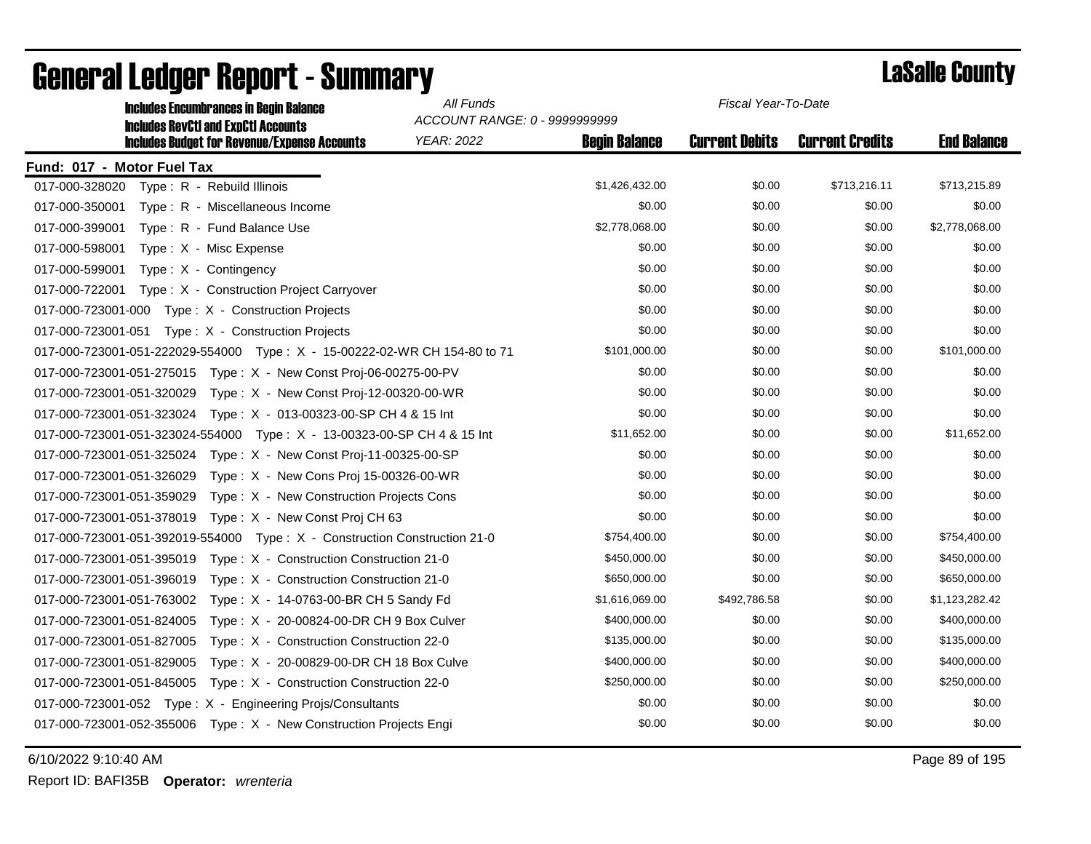| <b>Includes Encumbrances in Begin Balance</b>                                                     | All Funds<br>ACCOUNT RANGE: 0 - 9999999999 |                      | Fiscal Year-To-Date   |                        |                    |
|---------------------------------------------------------------------------------------------------|--------------------------------------------|----------------------|-----------------------|------------------------|--------------------|
| <b>Includes RevCtI and ExpCtI Accounts</b><br><b>Includes Budget for Revenue/Expense Accounts</b> | <b>YEAR: 2022</b>                          | <b>Begin Balance</b> | <b>Current Debits</b> | <b>Current Credits</b> | <b>End Balance</b> |
| Fund: 017 - Motor Fuel Tax                                                                        |                                            |                      |                       |                        |                    |
| 017-000-328020<br>Type: R - Rebuild Illinois                                                      |                                            | \$1,426,432.00       | \$0.00                | \$713,216.11           | \$713,215.89       |
| Type: R - Miscellaneous Income<br>017-000-350001                                                  |                                            | \$0.00               | \$0.00                | \$0.00                 | \$0.00             |
| 017-000-399001<br>Type: R - Fund Balance Use                                                      |                                            | \$2,778,068.00       | \$0.00                | \$0.00                 | \$2,778,068.00     |
| 017-000-598001<br>Type: X - Misc Expense                                                          |                                            | \$0.00               | \$0.00                | \$0.00                 | \$0.00             |
| 017-000-599001<br>Type: X - Contingency                                                           |                                            | \$0.00               | \$0.00                | \$0.00                 | \$0.00             |
| Type: X - Construction Project Carryover<br>017-000-722001                                        |                                            | \$0.00               | \$0.00                | \$0.00                 | \$0.00             |
| 017-000-723001-000 Type: X - Construction Projects                                                |                                            | \$0.00               | \$0.00                | \$0.00                 | \$0.00             |
| 017-000-723001-051 Type: X - Construction Projects                                                |                                            | \$0.00               | \$0.00                | \$0.00                 | \$0.00             |
| 017-000-723001-051-222029-554000 Type: X - 15-00222-02-WR CH 154-80 to 71                         |                                            | \$101,000.00         | \$0.00                | \$0.00                 | \$101,000.00       |
| 017-000-723001-051-275015    Type: X - New Const Proj-06-00275-00-PV                              |                                            | \$0.00               | \$0.00                | \$0.00                 | \$0.00             |
| 017-000-723001-051-320029<br>Type: X - New Const Proj-12-00320-00-WR                              |                                            | \$0.00               | \$0.00                | \$0.00                 | \$0.00             |
| 017-000-723001-051-323024 Type: X - 013-00323-00-SP CH 4 & 15 Int                                 |                                            | \$0.00               | \$0.00                | \$0.00                 | \$0.00             |
| 017-000-723001-051-323024-554000 Type: X - 13-00323-00-SP CH 4 & 15 Int                           |                                            | \$11,652.00          | \$0.00                | \$0.00                 | \$11,652.00        |
| 017-000-723001-051-325024 Type: X - New Const Proj-11-00325-00-SP                                 |                                            | \$0.00               | \$0.00                | \$0.00                 | \$0.00             |
| 017-000-723001-051-326029<br>Type: X - New Cons Proj 15-00326-00-WR                               |                                            | \$0.00               | \$0.00                | \$0.00                 | \$0.00             |
| 017-000-723001-051-359029<br>Type: X - New Construction Projects Cons                             |                                            | \$0.00               | \$0.00                | \$0.00                 | \$0.00             |
| 017-000-723001-051-378019<br>Type: X - New Const Proj CH 63                                       |                                            | \$0.00               | \$0.00                | \$0.00                 | \$0.00             |
| 017-000-723001-051-392019-554000 Type: X - Construction Construction 21-0                         |                                            | \$754,400.00         | \$0.00                | \$0.00                 | \$754,400.00       |
| Type: X - Construction Construction 21-0<br>017-000-723001-051-395019                             |                                            | \$450,000.00         | \$0.00                | \$0.00                 | \$450,000.00       |
| 017-000-723001-051-396019<br>Type: X - Construction Construction 21-0                             |                                            | \$650,000.00         | \$0.00                | \$0.00                 | \$650,000.00       |
| 017-000-723001-051-763002<br>Type: X - 14-0763-00-BR CH 5 Sandy Fd                                |                                            | \$1,616,069.00       | \$492,786.58          | \$0.00                 | \$1,123,282.42     |
| 017-000-723001-051-824005<br>Type: X - 20-00824-00-DR CH 9 Box Culver                             |                                            | \$400,000.00         | \$0.00                | \$0.00                 | \$400,000.00       |
| 017-000-723001-051-827005<br>Type: X - Construction Construction 22-0                             |                                            | \$135,000.00         | \$0.00                | \$0.00                 | \$135,000.00       |
| 017-000-723001-051-829005<br>Type: X - 20-00829-00-DR CH 18 Box Culve                             |                                            | \$400,000.00         | \$0.00                | \$0.00                 | \$400,000.00       |
| 017-000-723001-051-845005<br>Type: X - Construction Construction 22-0                             |                                            | \$250,000.00         | \$0.00                | \$0.00                 | \$250,000.00       |
| 017-000-723001-052 Type: X - Engineering Projs/Consultants                                        |                                            | \$0.00               | \$0.00                | \$0.00                 | \$0.00             |
| 017-000-723001-052-355006    Type: X - New Construction Projects Engi                             |                                            | \$0.00               | \$0.00                | \$0.00                 | \$0.00             |

# General Ledger Report - Summary **Lassing Report - Summary**

6/10/2022 9:10:40 AM Page 89 of 195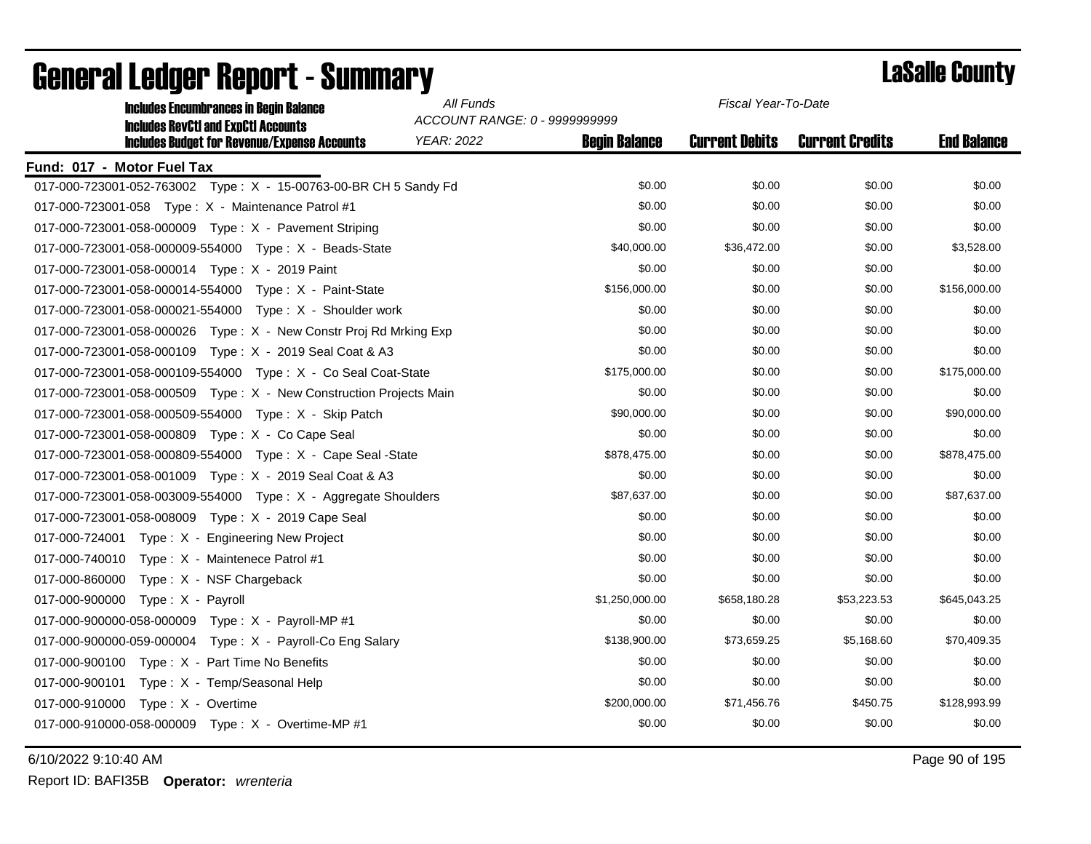| <b>Includes Encumbrances in Begin Balance</b>                                                     | All Funds                                   | Fiscal Year-To-Date  |                       |                        |                    |
|---------------------------------------------------------------------------------------------------|---------------------------------------------|----------------------|-----------------------|------------------------|--------------------|
| <b>Includes RevCtI and ExpCtI Accounts</b><br><b>Includes Budget for Revenue/Expense Accounts</b> | ACCOUNT RANGE: 0 - 9999999999<br>YEAR: 2022 | <b>Begin Balance</b> | <b>Current Debits</b> | <b>Current Credits</b> | <b>End Balance</b> |
| Fund: 017 - Motor Fuel Tax                                                                        |                                             |                      |                       |                        |                    |
| 017-000-723001-052-763002 Type: X - 15-00763-00-BR CH 5 Sandy Fd                                  |                                             | \$0.00               | \$0.00                | \$0.00                 | \$0.00             |
| 017-000-723001-058 Type: X - Maintenance Patrol #1                                                |                                             | \$0.00               | \$0.00                | \$0.00                 | \$0.00             |
| 017-000-723001-058-000009 Type: X - Pavement Striping                                             |                                             | \$0.00               | \$0.00                | \$0.00                 | \$0.00             |
| 017-000-723001-058-000009-554000 Type: X - Beads-State                                            |                                             | \$40,000.00          | \$36,472.00           | \$0.00                 | \$3,528.00         |
| 017-000-723001-058-000014 Type: X - 2019 Paint                                                    |                                             | \$0.00               | \$0.00                | \$0.00                 | \$0.00             |
| 017-000-723001-058-000014-554000 Type: X - Paint-State                                            |                                             | \$156,000.00         | \$0.00                | \$0.00                 | \$156,000.00       |
| 017-000-723001-058-000021-554000   Type: X - Shoulder work                                        |                                             | \$0.00               | \$0.00                | \$0.00                 | \$0.00             |
| 017-000-723001-058-000026    Type: X - New Constr Proj Rd Mrking Exp                              |                                             | \$0.00               | \$0.00                | \$0.00                 | \$0.00             |
| 017-000-723001-058-000109    Type: X - 2019 Seal Coat & A3                                        |                                             | \$0.00               | \$0.00                | \$0.00                 | \$0.00             |
| 017-000-723001-058-000109-554000 Type: X - Co Seal Coat-State                                     |                                             | \$175,000.00         | \$0.00                | \$0.00                 | \$175,000.00       |
| 017-000-723001-058-000509 Type: X - New Construction Projects Main                                |                                             | \$0.00               | \$0.00                | \$0.00                 | \$0.00             |
| 017-000-723001-058-000509-554000 Type: X - Skip Patch                                             |                                             | \$90,000.00          | \$0.00                | \$0.00                 | \$90,000.00        |
| 017-000-723001-058-000809 Type: X - Co Cape Seal                                                  |                                             | \$0.00               | \$0.00                | \$0.00                 | \$0.00             |
| 017-000-723001-058-000809-554000 Type: X - Cape Seal -State                                       |                                             | \$878,475.00         | \$0.00                | \$0.00                 | \$878,475.00       |
| 017-000-723001-058-001009 Type: X - 2019 Seal Coat & A3                                           |                                             | \$0.00               | \$0.00                | \$0.00                 | \$0.00             |
| 017-000-723001-058-003009-554000    Type: X - Aggregate Shoulders                                 |                                             | \$87,637.00          | \$0.00                | \$0.00                 | \$87,637.00        |
| 017-000-723001-058-008009    Type: X - 2019 Cape Seal                                             |                                             | \$0.00               | \$0.00                | \$0.00                 | \$0.00             |
| 017-000-724001 Type: X - Engineering New Project                                                  |                                             | \$0.00               | \$0.00                | \$0.00                 | \$0.00             |
| 017-000-740010 Type: X - Maintenece Patrol #1                                                     |                                             | \$0.00               | \$0.00                | \$0.00                 | \$0.00             |
| 017-000-860000 Type: X - NSF Chargeback                                                           |                                             | \$0.00               | \$0.00                | \$0.00                 | \$0.00             |
| 017-000-900000 Type: X - Payroll                                                                  |                                             | \$1,250,000.00       | \$658,180.28          | \$53,223.53            | \$645,043.25       |
| 017-000-900000-058-000009    Type: X - Payroll-MP #1                                              |                                             | \$0.00               | \$0.00                | \$0.00                 | \$0.00             |
| 017-000-900000-059-000004    Type: X - Payroll-Co Eng Salary                                      |                                             | \$138,900.00         | \$73,659.25           | \$5,168.60             | \$70,409.35        |
| 017-000-900100 Type: $X - Part$ Time No Benefits                                                  |                                             | \$0.00               | \$0.00                | \$0.00                 | \$0.00             |
| 017-000-900101 Type: X - Temp/Seasonal Help                                                       |                                             | \$0.00               | \$0.00                | \$0.00                 | \$0.00             |
| 017-000-910000 Type: X - Overtime                                                                 |                                             | \$200,000.00         | \$71,456.76           | \$450.75               | \$128,993.99       |
| 017-000-910000-058-000009    Type: X - Overtime-MP #1                                             |                                             | \$0.00               | \$0.00                | \$0.00                 | \$0.00             |

# General Ledger Report - Summary LaSalle County

6/10/2022 9:10:40 AM Page 90 of 195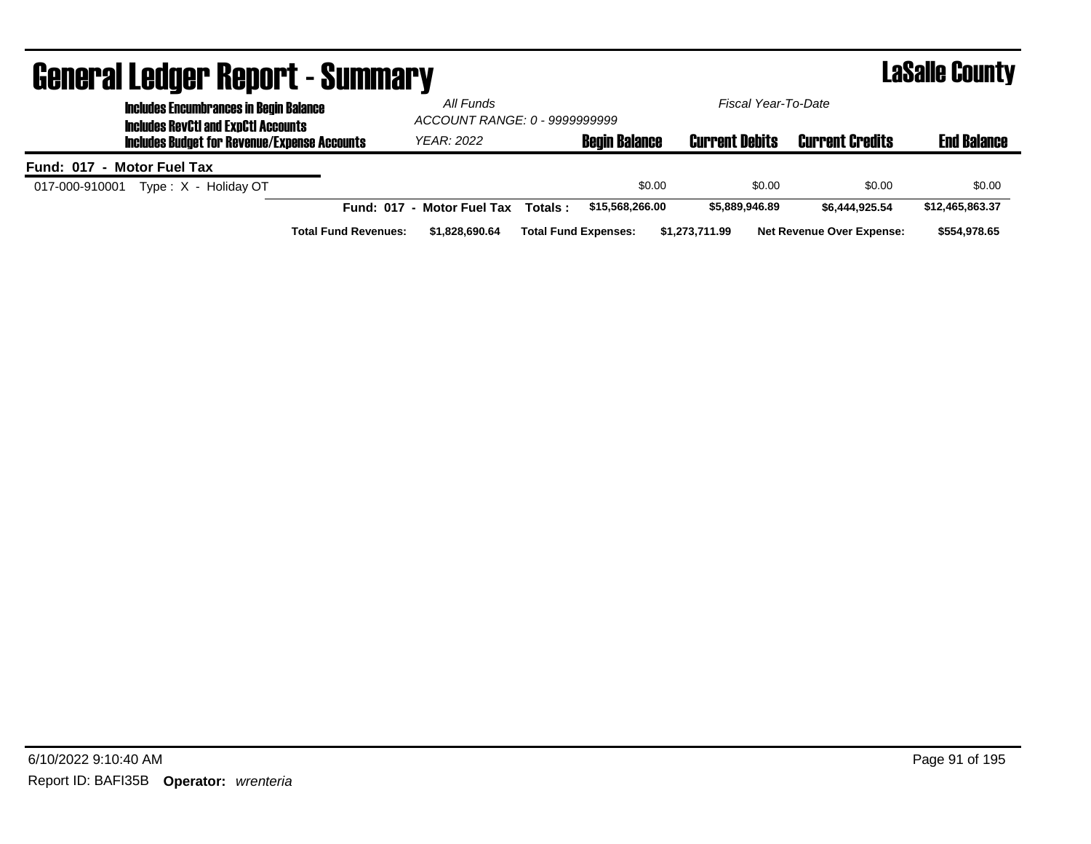| <b>General Ledger Report - Summary</b>                                                      |                             |                                            |         |                             |                       | <b>LaSalle County</b>            |                    |
|---------------------------------------------------------------------------------------------|-----------------------------|--------------------------------------------|---------|-----------------------------|-----------------------|----------------------------------|--------------------|
| <b>Includes Encumbrances in Begin Balance</b><br><b>Includes RevCtI and ExpCtI Accounts</b> |                             | All Funds<br>ACCOUNT RANGE: 0 - 9999999999 |         |                             | Fiscal Year-To-Date   |                                  |                    |
| <b>Includes Budget for Revenue/Expense Accounts</b>                                         |                             | <b>YEAR: 2022</b>                          |         | <b>Begin Balance</b>        | <b>Current Debits</b> | <b>Current Credits</b>           | <b>End Balance</b> |
| Fund: 017 - Motor Fuel Tax                                                                  |                             |                                            |         |                             |                       |                                  |                    |
| Type: X - Holiday OT<br>017-000-910001                                                      |                             |                                            |         | \$0.00                      | \$0.00                | \$0.00                           | \$0.00             |
|                                                                                             | <b>Fund: 017</b>            | - Motor Fuel Tax                           | Totals: | \$15,568,266.00             | \$5,889,946.89        | \$6,444,925.54                   | \$12,465,863.37    |
|                                                                                             | <b>Total Fund Revenues:</b> | \$1.828.690.64                             |         | <b>Total Fund Expenses:</b> | \$1.273.711.99        | <b>Net Revenue Over Expense:</b> | \$554.978.65       |

### 6/10/2022 9:10:40 AM Page 91 of 195 Report ID: BAFI35B **Operator:** *wrenteria*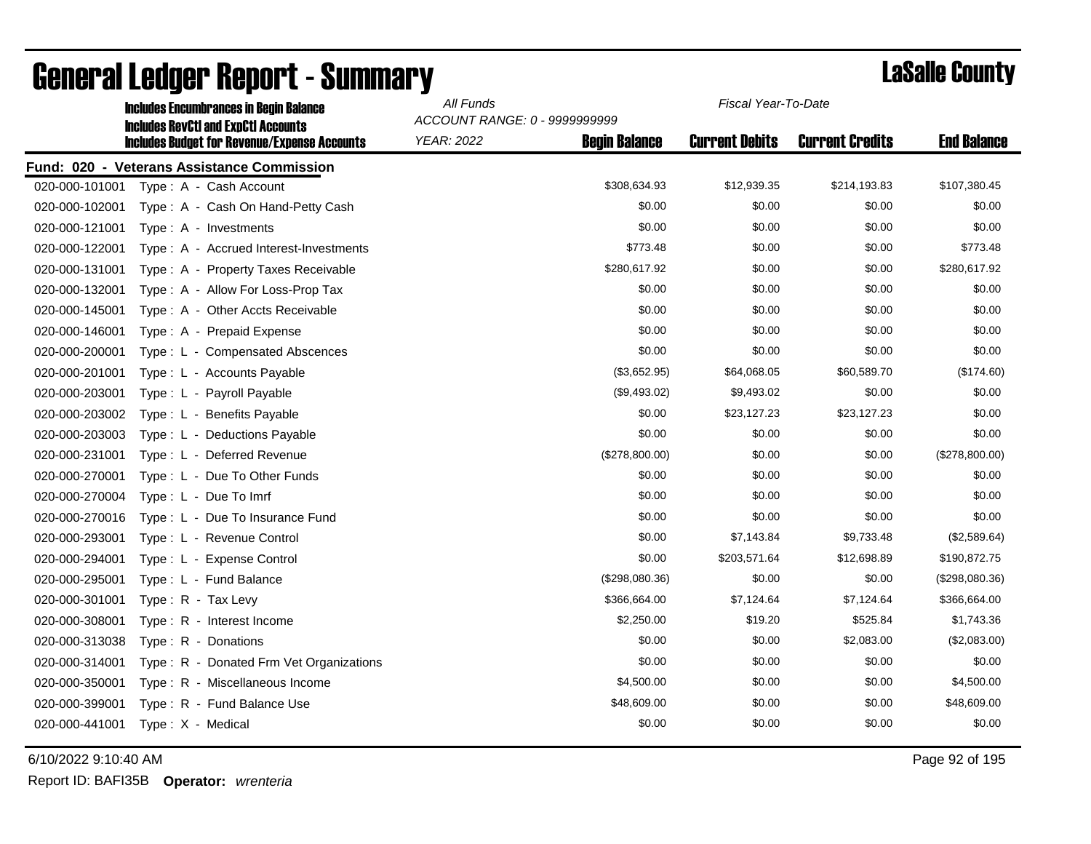| <b>Includes Encumbrances in Begin Balance</b><br><b>Includes RevCtI and ExpCtI Accounts</b> |                                                     | All Funds<br>Fiscal Year-To-Date<br>ACCOUNT RANGE: 0 - 9999999999 |                      |                       |                        |                    |
|---------------------------------------------------------------------------------------------|-----------------------------------------------------|-------------------------------------------------------------------|----------------------|-----------------------|------------------------|--------------------|
|                                                                                             | <b>Includes Budget for Revenue/Expense Accounts</b> | <b>YEAR: 2022</b>                                                 | <b>Begin Balance</b> | <b>Current Debits</b> | <b>Current Credits</b> | <b>End Balance</b> |
|                                                                                             | Fund: 020 - Veterans Assistance Commission          |                                                                   |                      |                       |                        |                    |
| 020-000-101001                                                                              | Type: A - Cash Account                              |                                                                   | \$308,634.93         | \$12,939.35           | \$214,193.83           | \$107,380.45       |
| 020-000-102001                                                                              | Type: A - Cash On Hand-Petty Cash                   |                                                                   | \$0.00               | \$0.00                | \$0.00                 | \$0.00             |
| 020-000-121001                                                                              | Type: A - Investments                               |                                                                   | \$0.00               | \$0.00                | \$0.00                 | \$0.00             |
| 020-000-122001                                                                              | Type: A - Accrued Interest-Investments              |                                                                   | \$773.48             | \$0.00                | \$0.00                 | \$773.48           |
| 020-000-131001                                                                              | Type: A - Property Taxes Receivable                 |                                                                   | \$280,617.92         | \$0.00                | \$0.00                 | \$280,617.92       |
| 020-000-132001                                                                              | Type: A - Allow For Loss-Prop Tax                   |                                                                   | \$0.00               | \$0.00                | \$0.00                 | \$0.00             |
| 020-000-145001                                                                              | Type: A - Other Accts Receivable                    |                                                                   | \$0.00               | \$0.00                | \$0.00                 | \$0.00             |
| 020-000-146001                                                                              | Type: A - Prepaid Expense                           |                                                                   | \$0.00               | \$0.00                | \$0.00                 | \$0.00             |
| 020-000-200001                                                                              | Type: L - Compensated Abscences                     |                                                                   | \$0.00               | \$0.00                | \$0.00                 | \$0.00             |
| 020-000-201001                                                                              | Type: L - Accounts Payable                          |                                                                   | (\$3,652.95)         | \$64,068.05           | \$60,589.70            | (\$174.60)         |
| 020-000-203001                                                                              | Type: L - Payroll Payable                           |                                                                   | (\$9,493.02)         | \$9,493.02            | \$0.00                 | \$0.00             |
| 020-000-203002                                                                              | Type: L - Benefits Payable                          |                                                                   | \$0.00               | \$23,127.23           | \$23,127.23            | \$0.00             |
| 020-000-203003                                                                              | Type: L - Deductions Payable                        |                                                                   | \$0.00               | \$0.00                | \$0.00                 | \$0.00             |
| 020-000-231001                                                                              | Type: L - Deferred Revenue                          |                                                                   | (\$278,800.00)       | \$0.00                | \$0.00                 | (\$278,800.00)     |
| 020-000-270001                                                                              | Type: L - Due To Other Funds                        |                                                                   | \$0.00               | \$0.00                | \$0.00                 | \$0.00             |
| 020-000-270004                                                                              | Type: L - Due To Imrf                               |                                                                   | \$0.00               | \$0.00                | \$0.00                 | \$0.00             |
| 020-000-270016                                                                              | Type: L - Due To Insurance Fund                     |                                                                   | \$0.00               | \$0.00                | \$0.00                 | \$0.00             |
| 020-000-293001                                                                              | Type: L - Revenue Control                           |                                                                   | \$0.00               | \$7,143.84            | \$9,733.48             | (\$2,589.64)       |
| 020-000-294001                                                                              | Type: L - Expense Control                           |                                                                   | \$0.00               | \$203,571.64          | \$12,698.89            | \$190,872.75       |
| 020-000-295001                                                                              | Type: L - Fund Balance                              |                                                                   | (\$298,080.36)       | \$0.00                | \$0.00                 | (\$298,080.36)     |
| 020-000-301001                                                                              | Type: R - Tax Levy                                  |                                                                   | \$366,664.00         | \$7,124.64            | \$7,124.64             | \$366,664.00       |
| 020-000-308001                                                                              | Type: R - Interest Income                           |                                                                   | \$2,250.00           | \$19.20               | \$525.84               | \$1,743.36         |
| 020-000-313038                                                                              | Type: R - Donations                                 |                                                                   | \$0.00               | \$0.00                | \$2,083.00             | (\$2,083.00)       |
| 020-000-314001                                                                              | Type: R - Donated Frm Vet Organizations             |                                                                   | \$0.00               | \$0.00                | \$0.00                 | \$0.00             |
| 020-000-350001                                                                              | Type: R - Miscellaneous Income                      |                                                                   | \$4,500.00           | \$0.00                | \$0.00                 | \$4,500.00         |
| 020-000-399001                                                                              | Type: R - Fund Balance Use                          |                                                                   | \$48,609.00          | \$0.00                | \$0.00                 | \$48,609.00        |
| 020-000-441001                                                                              | Type: X - Medical                                   |                                                                   | \$0.00               | \$0.00                | \$0.00                 | \$0.00             |

# General Ledger Report - Summary **Lassing County**

6/10/2022 9:10:40 AM Page 92 of 195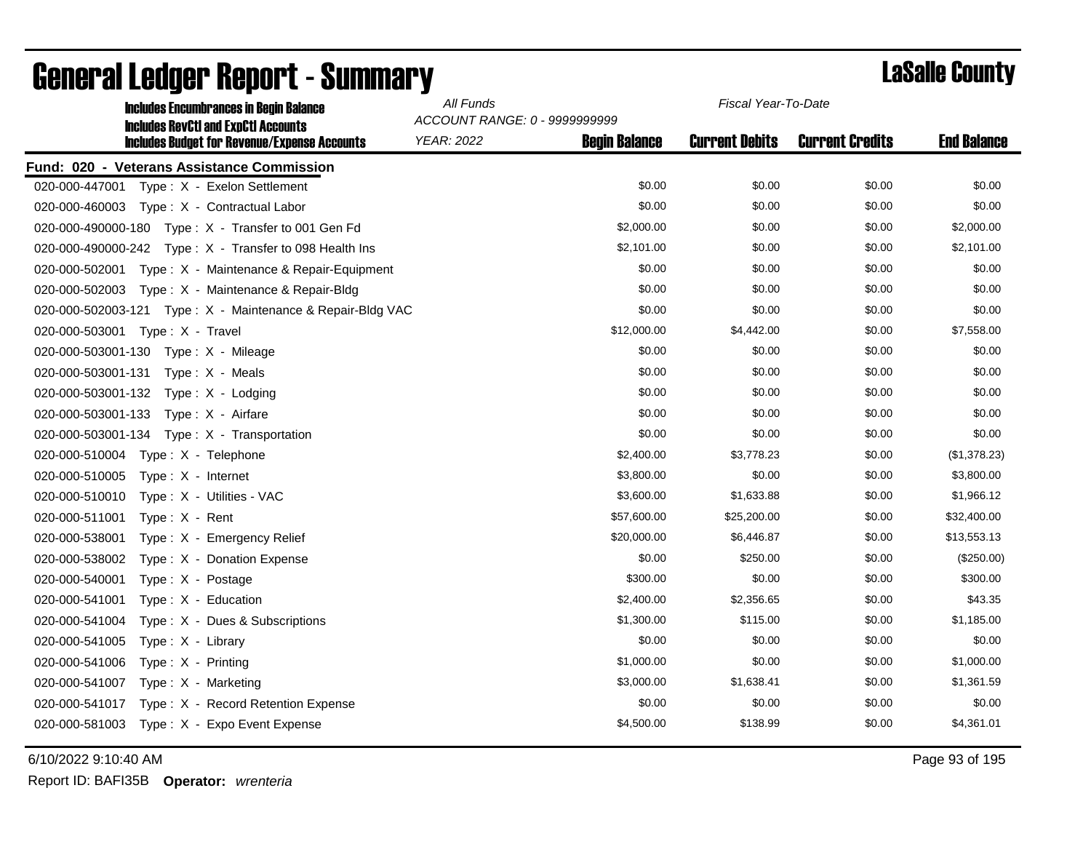| All Funds<br><b>Includes Encumbrances in Begin Balance</b> |                                           |                       | Fiscal Year-To-Date    |                    |  |
|------------------------------------------------------------|-------------------------------------------|-----------------------|------------------------|--------------------|--|
| <b>Includes RevCtI and ExpCtI Accounts</b>                 | ACCOUNT RANGE: 0 - 9999999999             |                       |                        |                    |  |
| <b>Includes Budget for Revenue/Expense Accounts</b>        | <b>YEAR: 2022</b><br><b>Begin Balance</b> | <b>Current Debits</b> | <b>Current Credits</b> | <b>End Balance</b> |  |
| <b>Fund: 020 - Veterans Assistance Commission</b>          |                                           |                       |                        |                    |  |
| 020-000-447001    Type: X - Exelon Settlement              | \$0.00                                    | \$0.00                | \$0.00                 | \$0.00             |  |
| 020-000-460003 Type: X - Contractual Labor                 | \$0.00                                    | \$0.00                | \$0.00                 | \$0.00             |  |
| 020-000-490000-180    Type: X - Transfer to 001 Gen Fd     | \$2,000.00                                | \$0.00                | \$0.00                 | \$2,000.00         |  |
| 020-000-490000-242 Type: X - Transfer to 098 Health Ins    | \$2,101.00                                | \$0.00                | \$0.00                 | \$2,101.00         |  |
| 020-000-502001 Type: X - Maintenance & Repair-Equipment    | \$0.00                                    | \$0.00                | \$0.00                 | \$0.00             |  |
| 020-000-502003 Type: X - Maintenance & Repair-Bldg         | \$0.00                                    | \$0.00                | \$0.00                 | \$0.00             |  |
| 020-000-502003-121 Type: X - Maintenance & Repair-Bldg VAC | \$0.00                                    | \$0.00                | \$0.00                 | \$0.00             |  |
| 020-000-503001 Type: X - Travel                            | \$12,000.00                               | \$4,442.00            | \$0.00                 | \$7,558.00         |  |
| 020-000-503001-130    Type: X - Mileage                    | \$0.00                                    | \$0.00                | \$0.00                 | \$0.00             |  |
| 020-000-503001-131 Type: X - Meals                         | \$0.00                                    | \$0.00                | \$0.00                 | \$0.00             |  |
| 020-000-503001-132<br>Type: X - Lodging                    | \$0.00                                    | \$0.00                | \$0.00                 | \$0.00             |  |
| 020-000-503001-133<br>Type: X - Airfare                    | \$0.00                                    | \$0.00                | \$0.00                 | \$0.00             |  |
| 020-000-503001-134 Type: X - Transportation                | \$0.00                                    | \$0.00                | \$0.00                 | \$0.00             |  |
| 020-000-510004 Type: X - Telephone                         | \$2,400.00                                | \$3,778.23            | \$0.00                 | (\$1,378.23)       |  |
| 020-000-510005<br>Type : $X -$ Internet                    | \$3,800.00                                | \$0.00                | \$0.00                 | \$3,800.00         |  |
| 020-000-510010<br>Type: X - Utilities - VAC                | \$3,600.00                                | \$1,633.88            | \$0.00                 | \$1,966.12         |  |
| 020-000-511001<br>Type: $X -$ Rent                         | \$57,600.00                               | \$25,200.00           | \$0.00                 | \$32,400.00        |  |
| 020-000-538001<br>Type: X - Emergency Relief               | \$20,000.00                               | \$6,446.87            | \$0.00                 | \$13,553.13        |  |
| 020-000-538002<br>Type: X - Donation Expense               | \$0.00                                    | \$250.00              | \$0.00                 | (\$250.00)         |  |
| 020-000-540001<br>Type: X - Postage                        | \$300.00                                  | \$0.00                | \$0.00                 | \$300.00           |  |
| 020-000-541001<br>Type: X - Education                      | \$2,400.00                                | \$2,356.65            | \$0.00                 | \$43.35            |  |
| 020-000-541004<br>Type: X - Dues & Subscriptions           | \$1,300.00                                | \$115.00              | \$0.00                 | \$1,185.00         |  |
| 020-000-541005<br>Type: X - Library                        | \$0.00                                    | \$0.00                | \$0.00                 | \$0.00             |  |
| 020-000-541006<br>Type: $X -$ Printing                     | \$1,000.00                                | \$0.00                | \$0.00                 | \$1,000.00         |  |
| 020-000-541007<br>Type: X - Marketing                      | \$3,000.00                                | \$1,638.41            | \$0.00                 | \$1,361.59         |  |
| Type: X - Record Retention Expense<br>020-000-541017       | \$0.00                                    | \$0.00                | \$0.00                 | \$0.00             |  |
| 020-000-581003<br>Type: X - Expo Event Expense             | \$4,500.00                                | \$138.99              | \$0.00                 | \$4,361.01         |  |
|                                                            |                                           |                       |                        |                    |  |

6/10/2022 9:10:40 AM Page 93 of 195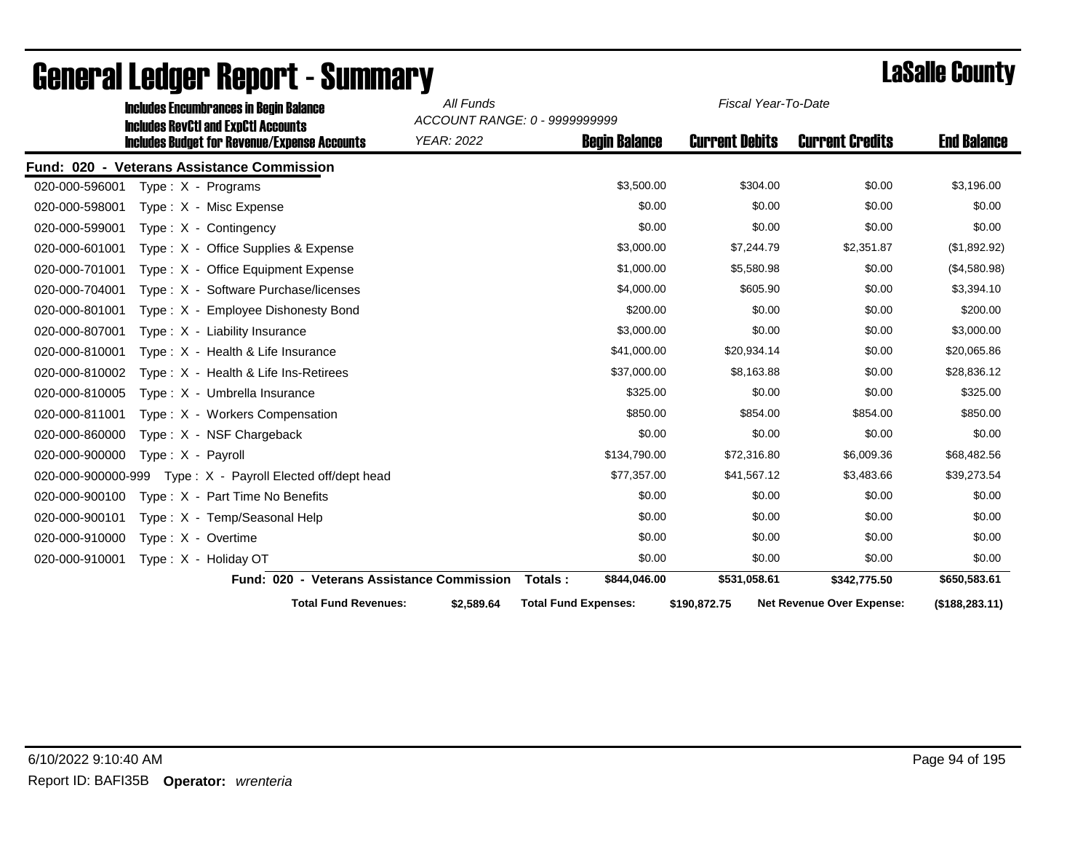|                | <b>Includes Encumbrances in Begin Balance</b>                                                     | All Funds         | Fiscal Year-To-Date<br>ACCOUNT RANGE: 0 - 9999999999 |                       |                                  |                    |
|----------------|---------------------------------------------------------------------------------------------------|-------------------|------------------------------------------------------|-----------------------|----------------------------------|--------------------|
|                | <b>Includes RevCtI and ExpCtI Accounts</b><br><b>Includes Budget for Revenue/Expense Accounts</b> | <b>YEAR: 2022</b> | <b>Begin Balance</b>                                 | <b>Current Debits</b> | <b>Current Credits</b>           | <b>End Balance</b> |
|                | <b>Fund: 020 - Veterans Assistance Commission</b>                                                 |                   |                                                      |                       |                                  |                    |
| 020-000-596001 | Type: $X - Programs$                                                                              |                   | \$3,500.00                                           | \$304.00              | \$0.00                           | \$3,196.00         |
| 020-000-598001 | Type: X - Misc Expense                                                                            |                   | \$0.00                                               | \$0.00                | \$0.00                           | \$0.00             |
| 020-000-599001 | $Type: X - Contingency$                                                                           |                   | \$0.00                                               | \$0.00                | \$0.00                           | \$0.00             |
| 020-000-601001 | Type: X - Office Supplies & Expense                                                               |                   | \$3,000.00                                           | \$7,244.79            | \$2,351.87                       | (\$1,892.92)       |
| 020-000-701001 | Type: X - Office Equipment Expense                                                                |                   | \$1,000.00                                           | \$5,580.98            | \$0.00                           | (\$4,580.98)       |
| 020-000-704001 | Type: X - Software Purchase/licenses                                                              |                   | \$4,000.00                                           | \$605.90              | \$0.00                           | \$3,394.10         |
| 020-000-801001 | Type: X - Employee Dishonesty Bond                                                                |                   | \$200.00                                             | \$0.00                | \$0.00                           | \$200.00           |
| 020-000-807001 | Type: X - Liability Insurance                                                                     |                   | \$3,000.00                                           | \$0.00                | \$0.00                           | \$3,000.00         |
| 020-000-810001 | Type: X - Health & Life Insurance                                                                 |                   | \$41,000.00                                          | \$20,934.14           | \$0.00                           | \$20,065.86        |
| 020-000-810002 | Type: X - Health & Life Ins-Retirees                                                              |                   | \$37,000.00                                          | \$8,163.88            | \$0.00                           | \$28,836.12        |
| 020-000-810005 | Type: X - Umbrella Insurance                                                                      |                   | \$325.00                                             | \$0.00                | \$0.00                           | \$325.00           |
| 020-000-811001 | Type: X - Workers Compensation                                                                    |                   | \$850.00                                             | \$854.00              | \$854.00                         | \$850.00           |
| 020-000-860000 | $Type: X - NSF Chargeback$                                                                        |                   | \$0.00                                               | \$0.00                | \$0.00                           | \$0.00             |
| 020-000-900000 | Type: $X -$ Payroll                                                                               |                   | \$134,790.00                                         | \$72,316.80           | \$6,009.36                       | \$68,482.56        |
|                | 020-000-900000-999 Type: X - Payroll Elected off/dept head                                        |                   | \$77,357.00                                          | \$41,567.12           | \$3,483.66                       | \$39,273.54        |
| 020-000-900100 | Type: X - Part Time No Benefits                                                                   |                   | \$0.00                                               | \$0.00                | \$0.00                           | \$0.00             |
| 020-000-900101 | Type: X - Temp/Seasonal Help                                                                      |                   | \$0.00                                               | \$0.00                | \$0.00                           | \$0.00             |
| 020-000-910000 | Type: X - Overtime                                                                                |                   | \$0.00                                               | \$0.00                | \$0.00                           | \$0.00             |
| 020-000-910001 | Type: X - Holiday OT                                                                              |                   | \$0.00                                               | \$0.00                | \$0.00                           | \$0.00             |
|                | Fund: 020 - Veterans Assistance Commission                                                        |                   | \$844,046.00<br>Totals:                              | \$531,058.61          | \$342,775.50                     | \$650,583.61       |
|                | <b>Total Fund Revenues:</b>                                                                       | \$2,589.64        | <b>Total Fund Expenses:</b>                          | \$190,872.75          | <b>Net Revenue Over Expense:</b> | (\$188,283.11)     |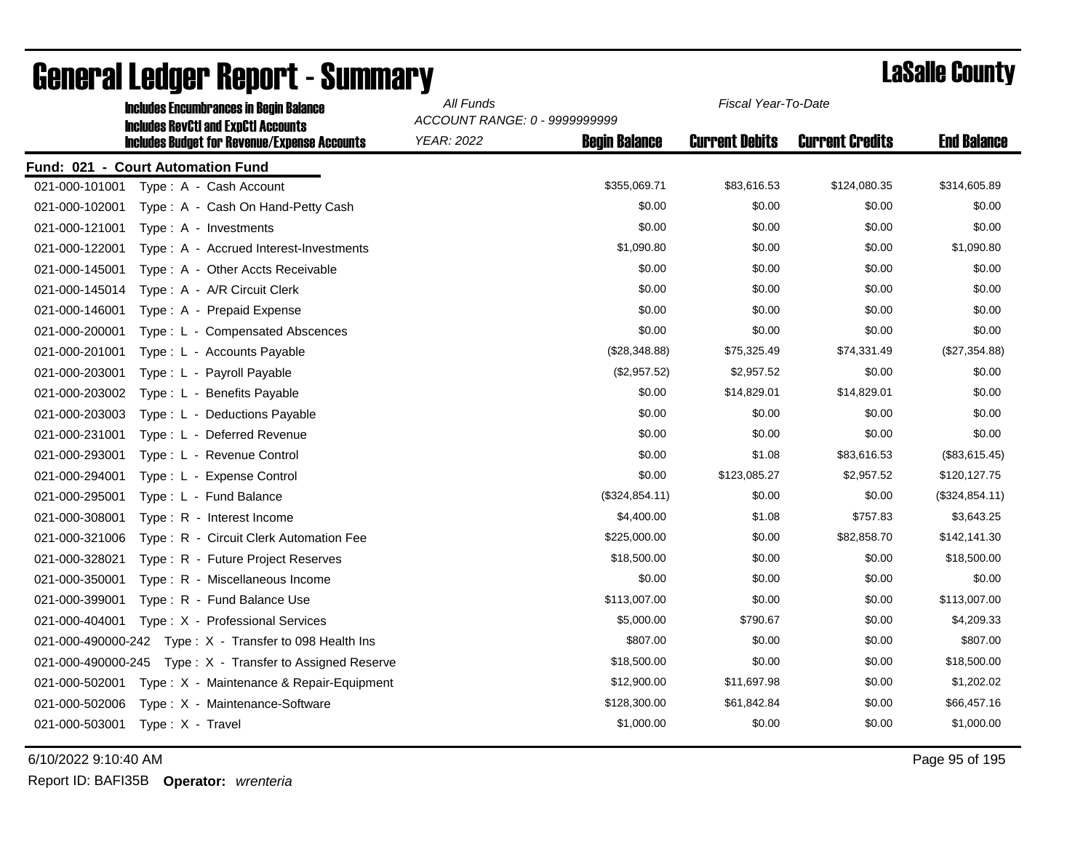| <b>Includes Encumbrances in Begin Balance</b>                                                     | All Funds         | Fiscal Year-To-Date<br>ACCOUNT RANGE: 0 - 9999999999 |                       |                        |                    |  |
|---------------------------------------------------------------------------------------------------|-------------------|------------------------------------------------------|-----------------------|------------------------|--------------------|--|
| <b>Includes RevCtI and ExpCtI Accounts</b><br><b>Includes Budget for Revenue/Expense Accounts</b> | <b>YEAR: 2022</b> | <b>Begin Balance</b>                                 | <b>Current Debits</b> | <b>Current Credits</b> | <b>End Balance</b> |  |
| Fund: 021 - Court Automation Fund                                                                 |                   |                                                      |                       |                        |                    |  |
| 021-000-101001<br>Type: A - Cash Account                                                          |                   | \$355,069.71                                         | \$83,616.53           | \$124,080.35           | \$314,605.89       |  |
| 021-000-102001<br>Type: A - Cash On Hand-Petty Cash                                               |                   | \$0.00                                               | \$0.00                | \$0.00                 | \$0.00             |  |
| 021-000-121001<br>Type: A - Investments                                                           |                   | \$0.00                                               | \$0.00                | \$0.00                 | \$0.00             |  |
| 021-000-122001<br>Type: A - Accrued Interest-Investments                                          |                   | \$1,090.80                                           | \$0.00                | \$0.00                 | \$1,090.80         |  |
| 021-000-145001<br>Type: A - Other Accts Receivable                                                |                   | \$0.00                                               | \$0.00                | \$0.00                 | \$0.00             |  |
| 021-000-145014<br>Type: A - A/R Circuit Clerk                                                     |                   | \$0.00                                               | \$0.00                | \$0.00                 | \$0.00             |  |
| 021-000-146001<br>Type: A - Prepaid Expense                                                       |                   | \$0.00                                               | \$0.00                | \$0.00                 | \$0.00             |  |
| 021-000-200001<br>Type: L - Compensated Abscences                                                 |                   | \$0.00                                               | \$0.00                | \$0.00                 | \$0.00             |  |
| 021-000-201001<br>Type: L - Accounts Payable                                                      |                   | (\$28,348.88)                                        | \$75,325.49           | \$74,331.49            | (\$27,354.88)      |  |
| 021-000-203001<br>Type: L - Payroll Payable                                                       |                   | (\$2,957.52)                                         | \$2,957.52            | \$0.00                 | \$0.00             |  |
| 021-000-203002<br>Type: L - Benefits Payable                                                      |                   | \$0.00                                               | \$14,829.01           | \$14,829.01            | \$0.00             |  |
| 021-000-203003<br>Type: L - Deductions Payable                                                    |                   | \$0.00                                               | \$0.00                | \$0.00                 | \$0.00             |  |
| 021-000-231001<br>Type: L - Deferred Revenue                                                      |                   | \$0.00                                               | \$0.00                | \$0.00                 | \$0.00             |  |
| 021-000-293001<br>Type: L - Revenue Control                                                       |                   | \$0.00                                               | \$1.08                | \$83,616.53            | (\$83,615.45)      |  |
| 021-000-294001<br>Type: L - Expense Control                                                       |                   | \$0.00                                               | \$123,085.27          | \$2,957.52             | \$120,127.75       |  |
| 021-000-295001<br>Type: L - Fund Balance                                                          |                   | (\$324, 854.11)                                      | \$0.00                | \$0.00                 | (\$324,854.11)     |  |
| 021-000-308001<br>Type: R - Interest Income                                                       |                   | \$4,400.00                                           | \$1.08                | \$757.83               | \$3,643.25         |  |
| 021-000-321006<br>Type: R - Circuit Clerk Automation Fee                                          |                   | \$225,000.00                                         | \$0.00                | \$82,858.70            | \$142,141.30       |  |
| 021-000-328021<br>Type: R - Future Project Reserves                                               |                   | \$18,500.00                                          | \$0.00                | \$0.00                 | \$18,500.00        |  |
| 021-000-350001<br>Type: R - Miscellaneous Income                                                  |                   | \$0.00                                               | \$0.00                | \$0.00                 | \$0.00             |  |
| Type: R - Fund Balance Use<br>021-000-399001                                                      |                   | \$113,007.00                                         | \$0.00                | \$0.00                 | \$113,007.00       |  |
| 021-000-404001<br>Type: X - Professional Services                                                 |                   | \$5,000.00                                           | \$790.67              | \$0.00                 | \$4,209.33         |  |
| 021-000-490000-242<br>Type: X - Transfer to 098 Health Ins                                        |                   | \$807.00                                             | \$0.00                | \$0.00                 | \$807.00           |  |
| 021-000-490000-245<br>Type: X - Transfer to Assigned Reserve                                      |                   | \$18,500.00                                          | \$0.00                | \$0.00                 | \$18,500.00        |  |
| 021-000-502001<br>Type: X - Maintenance & Repair-Equipment                                        |                   | \$12,900.00                                          | \$11,697.98           | \$0.00                 | \$1,202.02         |  |
| 021-000-502006<br>Type: X - Maintenance-Software                                                  |                   | \$128,300.00                                         | \$61,842.84           | \$0.00                 | \$66,457.16        |  |
| 021-000-503001<br>Type: X - Travel                                                                |                   | \$1,000.00                                           | \$0.00                | \$0.00                 | \$1,000.00         |  |

6/10/2022 9:10:40 AM Page 95 of 195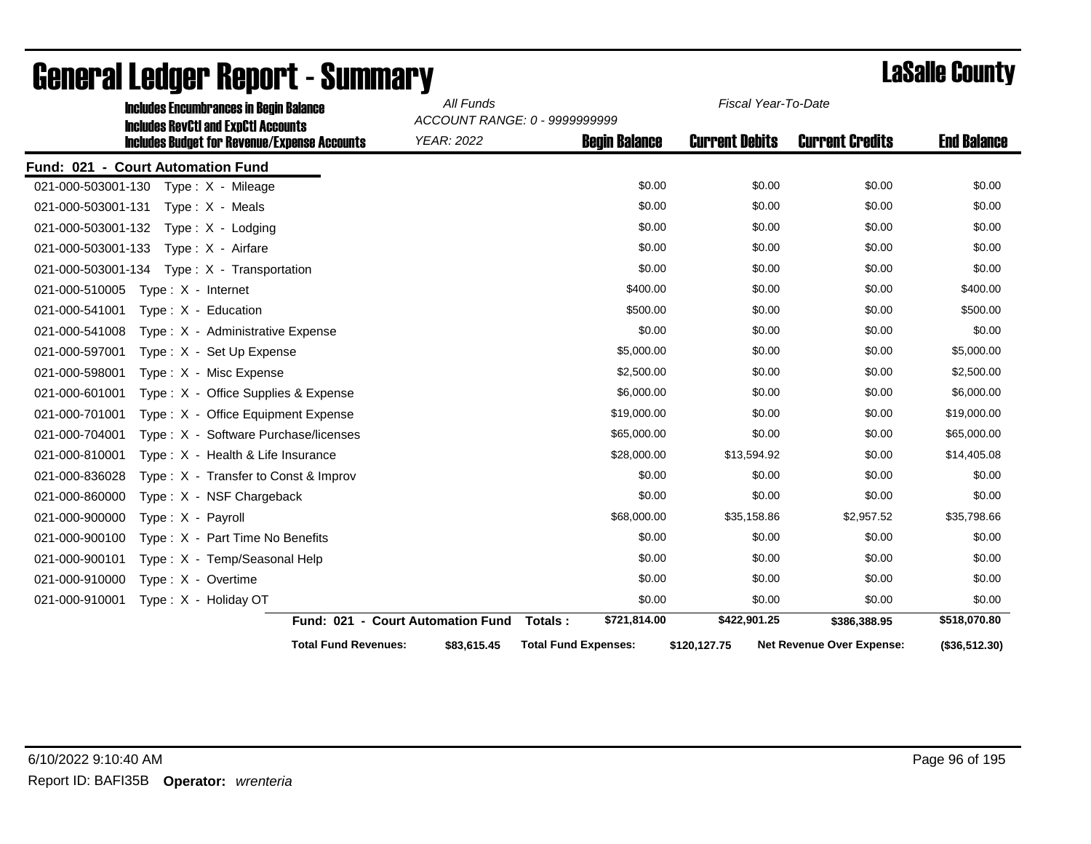| <b>Includes Encumbrances in Begin Balance</b>                                                     | All Funds                         | Fiscal Year-To-Date<br>ACCOUNT RANGE: 0 - 9999999999 |                       |                                  |                    |
|---------------------------------------------------------------------------------------------------|-----------------------------------|------------------------------------------------------|-----------------------|----------------------------------|--------------------|
| <b>Includes RevCtI and ExpCtI Accounts</b><br><b>Includes Budget for Revenue/Expense Accounts</b> | <b>YEAR: 2022</b>                 | <b>Begin Balance</b>                                 | <b>Current Debits</b> | <b>Current Credits</b>           | <b>End Balance</b> |
| Fund: 021 - Court Automation Fund                                                                 |                                   |                                                      |                       |                                  |                    |
| 021-000-503001-130 Type: X - Mileage                                                              |                                   | \$0.00                                               | \$0.00                | \$0.00                           | \$0.00             |
| 021-000-503001-131<br>Type: X - Meals                                                             |                                   | \$0.00                                               | \$0.00                | \$0.00                           | \$0.00             |
| 021-000-503001-132<br>Type: X - Lodging                                                           |                                   | \$0.00                                               | \$0.00                | \$0.00                           | \$0.00             |
| 021-000-503001-133<br>Type: X - Airfare                                                           |                                   | \$0.00                                               | \$0.00                | \$0.00                           | \$0.00             |
|                                                                                                   |                                   | \$0.00                                               | \$0.00                | \$0.00                           | \$0.00             |
| 021-000-510005<br>$Type: X - Internet$                                                            |                                   | \$400.00                                             | \$0.00                | \$0.00                           | \$400.00           |
| 021-000-541001<br>Type : $X -$ Education                                                          |                                   | \$500.00                                             | \$0.00                | \$0.00                           | \$500.00           |
| 021-000-541008<br>Type: X - Administrative Expense                                                |                                   | \$0.00                                               | \$0.00                | \$0.00                           | \$0.00             |
| 021-000-597001<br>Type: X - Set Up Expense                                                        |                                   | \$5,000.00                                           | \$0.00                | \$0.00                           | \$5,000.00         |
| 021-000-598001<br>Type: X - Misc Expense                                                          |                                   | \$2,500.00                                           | \$0.00                | \$0.00                           | \$2,500.00         |
| 021-000-601001<br>Type: X - Office Supplies & Expense                                             |                                   | \$6,000.00                                           | \$0.00                | \$0.00                           | \$6,000.00         |
| 021-000-701001<br>Type: X - Office Equipment Expense                                              |                                   | \$19,000.00                                          | \$0.00                | \$0.00                           | \$19,000.00        |
| 021-000-704001<br>Type: X - Software Purchase/licenses                                            |                                   | \$65,000.00                                          | \$0.00                | \$0.00                           | \$65,000.00        |
| 021-000-810001<br>Type: X - Health & Life Insurance                                               |                                   | \$28,000.00                                          | \$13,594.92           | \$0.00                           | \$14,405.08        |
| 021-000-836028<br>Type : $X -$ Transfer to Const & Improv                                         |                                   | \$0.00                                               | \$0.00                | \$0.00                           | \$0.00             |
| 021-000-860000<br>Type: X - NSF Chargeback                                                        |                                   | \$0.00                                               | \$0.00                | \$0.00                           | \$0.00             |
| Type: X - Payroll<br>021-000-900000                                                               |                                   | \$68,000.00                                          | \$35,158.86           | \$2,957.52                       | \$35,798.66        |
| 021-000-900100<br>Type: X - Part Time No Benefits                                                 |                                   | \$0.00                                               | \$0.00                | \$0.00                           | \$0.00             |
| 021-000-900101<br>Type: X - Temp/Seasonal Help                                                    |                                   | \$0.00                                               | \$0.00                | \$0.00                           | \$0.00             |
| 021-000-910000<br>Type: X - Overtime                                                              |                                   | \$0.00                                               | \$0.00                | \$0.00                           | \$0.00             |
| 021-000-910001<br>Type: X - Holiday OT                                                            |                                   | \$0.00                                               | \$0.00                | \$0.00                           | \$0.00             |
|                                                                                                   | Fund: 021 - Court Automation Fund | Totals:<br>\$721,814.00                              | \$422,901.25          | \$386,388.95                     | \$518,070.80       |
| <b>Total Fund Revenues:</b>                                                                       | \$83,615.45                       | <b>Total Fund Expenses:</b>                          | \$120,127.75          | <b>Net Revenue Over Expense:</b> | (\$36,512.30)      |

# **General Ledger Report - Summary Lassalle County**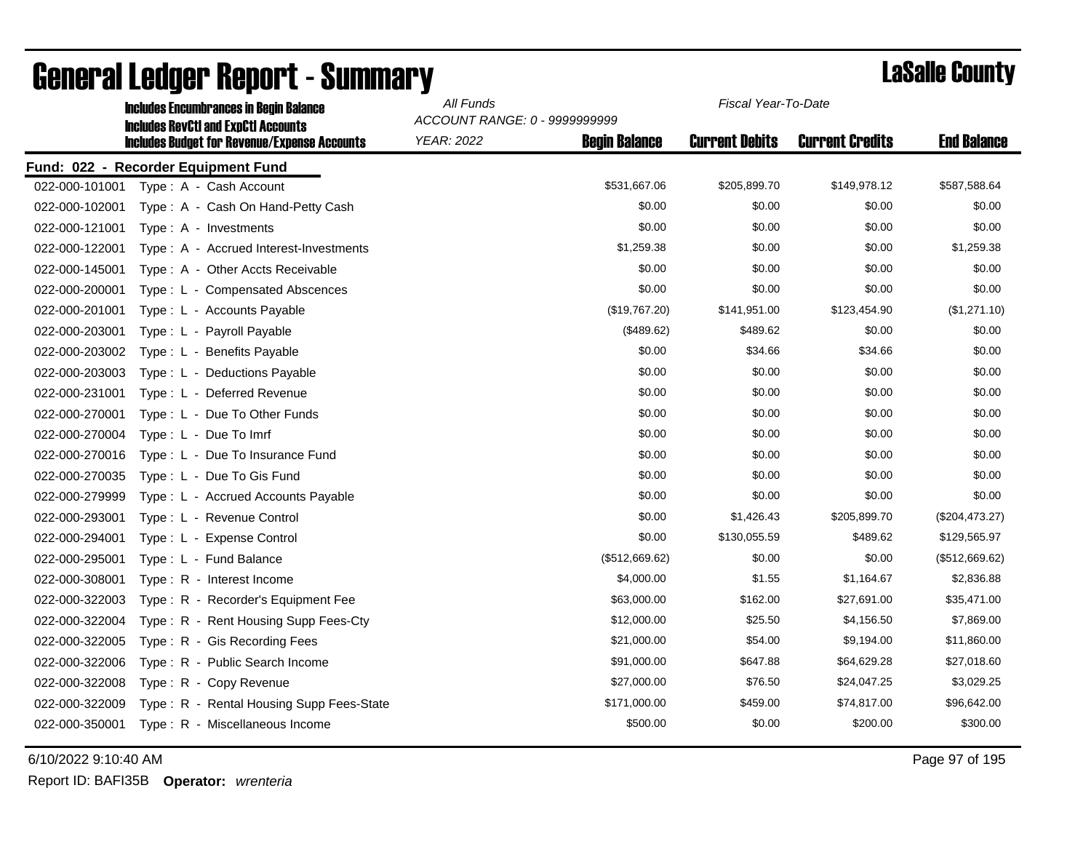|                | <b>Includes Encumbrances in Begin Balance</b>                                                     | All Funds<br>Fiscal Year-To-Date<br>ACCOUNT RANGE: 0 - 9999999999 |                      |                       |                        |                    |  |
|----------------|---------------------------------------------------------------------------------------------------|-------------------------------------------------------------------|----------------------|-----------------------|------------------------|--------------------|--|
|                | <b>Includes RevCtI and ExpCtI Accounts</b><br><b>Includes Budget for Revenue/Expense Accounts</b> | <b>YEAR: 2022</b>                                                 | <b>Begin Balance</b> | <b>Current Debits</b> | <b>Current Credits</b> | <b>End Balance</b> |  |
|                | Fund: 022 - Recorder Equipment Fund                                                               |                                                                   |                      |                       |                        |                    |  |
| 022-000-101001 | Type: A - Cash Account                                                                            |                                                                   | \$531,667.06         | \$205,899.70          | \$149,978.12           | \$587,588.64       |  |
| 022-000-102001 | Type: A - Cash On Hand-Petty Cash                                                                 |                                                                   | \$0.00               | \$0.00                | \$0.00                 | \$0.00             |  |
| 022-000-121001 | Type: A - Investments                                                                             |                                                                   | \$0.00               | \$0.00                | \$0.00                 | \$0.00             |  |
| 022-000-122001 | Type: A - Accrued Interest-Investments                                                            |                                                                   | \$1,259.38           | \$0.00                | \$0.00                 | \$1,259.38         |  |
| 022-000-145001 | Type: A - Other Accts Receivable                                                                  |                                                                   | \$0.00               | \$0.00                | \$0.00                 | \$0.00             |  |
| 022-000-200001 | Type: L - Compensated Abscences                                                                   |                                                                   | \$0.00               | \$0.00                | \$0.00                 | \$0.00             |  |
| 022-000-201001 | Type: L - Accounts Payable                                                                        |                                                                   | (\$19,767.20)        | \$141,951.00          | \$123,454.90           | (\$1,271.10)       |  |
| 022-000-203001 | Type: L - Payroll Payable                                                                         |                                                                   | (\$489.62)           | \$489.62              | \$0.00                 | \$0.00             |  |
| 022-000-203002 | Type: L - Benefits Payable                                                                        |                                                                   | \$0.00               | \$34.66               | \$34.66                | \$0.00             |  |
| 022-000-203003 | Type : L - Deductions Payable                                                                     |                                                                   | \$0.00               | \$0.00                | \$0.00                 | \$0.00             |  |
| 022-000-231001 | Type: L - Deferred Revenue                                                                        |                                                                   | \$0.00               | \$0.00                | \$0.00                 | \$0.00             |  |
| 022-000-270001 | Type: L - Due To Other Funds                                                                      |                                                                   | \$0.00               | \$0.00                | \$0.00                 | \$0.00             |  |
| 022-000-270004 | Type: L - Due To Imrf                                                                             |                                                                   | \$0.00               | \$0.00                | \$0.00                 | \$0.00             |  |
| 022-000-270016 | Type: L - Due To Insurance Fund                                                                   |                                                                   | \$0.00               | \$0.00                | \$0.00                 | \$0.00             |  |
| 022-000-270035 | Type: L - Due To Gis Fund                                                                         |                                                                   | \$0.00               | \$0.00                | \$0.00                 | \$0.00             |  |
| 022-000-279999 | Type: L - Accrued Accounts Payable                                                                |                                                                   | \$0.00               | \$0.00                | \$0.00                 | \$0.00             |  |
| 022-000-293001 | Type: L - Revenue Control                                                                         |                                                                   | \$0.00               | \$1,426.43            | \$205,899.70           | (\$204,473.27)     |  |
| 022-000-294001 | Type: L - Expense Control                                                                         |                                                                   | \$0.00               | \$130,055.59          | \$489.62               | \$129,565.97       |  |
| 022-000-295001 | Type: L - Fund Balance                                                                            |                                                                   | (\$512,669.62)       | \$0.00                | \$0.00                 | (\$512,669.62)     |  |
| 022-000-308001 | Type: R - Interest Income                                                                         |                                                                   | \$4,000.00           | \$1.55                | \$1,164.67             | \$2,836.88         |  |
| 022-000-322003 | Type: R - Recorder's Equipment Fee                                                                |                                                                   | \$63,000.00          | \$162.00              | \$27,691.00            | \$35,471.00        |  |
| 022-000-322004 | Type: R - Rent Housing Supp Fees-Cty                                                              |                                                                   | \$12,000.00          | \$25.50               | \$4,156.50             | \$7,869.00         |  |
| 022-000-322005 | Type: R - Gis Recording Fees                                                                      |                                                                   | \$21,000.00          | \$54.00               | \$9,194.00             | \$11,860.00        |  |
| 022-000-322006 | Type: R - Public Search Income                                                                    |                                                                   | \$91,000.00          | \$647.88              | \$64,629.28            | \$27,018.60        |  |
| 022-000-322008 | Type: R - Copy Revenue                                                                            |                                                                   | \$27,000.00          | \$76.50               | \$24,047.25            | \$3,029.25         |  |
| 022-000-322009 | Type: R - Rental Housing Supp Fees-State                                                          |                                                                   | \$171,000.00         | \$459.00              | \$74,817.00            | \$96,642.00        |  |
| 022-000-350001 | Type: R - Miscellaneous Income                                                                    |                                                                   | \$500.00             | \$0.00                | \$200.00               | \$300.00           |  |
|                |                                                                                                   |                                                                   |                      |                       |                        |                    |  |

6/10/2022 9:10:40 AM Page 97 of 195

Report ID: BAFI35B **Operator:** *wrenteria*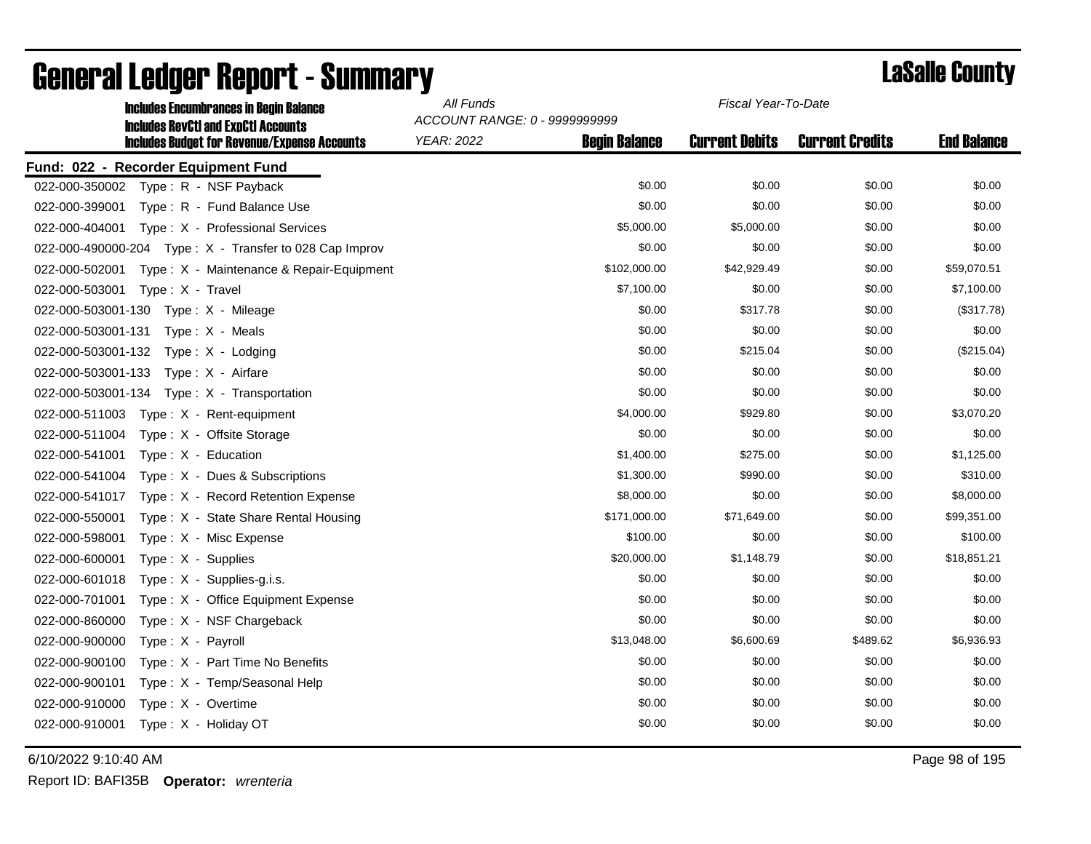| <b>Includes Encumbrances in Begin Balance</b>                                                     | All Funds                                                           | Fiscal Year-To-Date   |                        |                    |
|---------------------------------------------------------------------------------------------------|---------------------------------------------------------------------|-----------------------|------------------------|--------------------|
| <b>Includes RevCtI and ExpCtI Accounts</b><br><b>Includes Budget for Revenue/Expense Accounts</b> | ACCOUNT RANGE: 0 - 9999999999<br>YEAR: 2022<br><b>Begin Balance</b> | <b>Current Debits</b> | <b>Current Credits</b> | <b>End Balance</b> |
| Fund: 022 - Recorder Equipment Fund                                                               |                                                                     |                       |                        |                    |
| 022-000-350002 Type: R - NSF Payback                                                              | \$0.00                                                              | \$0.00                | \$0.00                 | \$0.00             |
| 022-000-399001<br>Type: R - Fund Balance Use                                                      | \$0.00                                                              | \$0.00                | \$0.00                 | \$0.00             |
| 022-000-404001<br>Type: X - Professional Services                                                 | \$5,000.00                                                          | \$5,000.00            | \$0.00                 | \$0.00             |
| 022-000-490000-204    Type: X - Transfer to 028 Cap Improv                                        | \$0.00                                                              | \$0.00                | \$0.00                 | \$0.00             |
| 022-000-502001 Type: X - Maintenance & Repair-Equipment                                           | \$102,000.00                                                        | \$42,929.49           | \$0.00                 | \$59,070.51        |
| Type: X - Travel<br>022-000-503001                                                                | \$7,100.00                                                          | \$0.00                | \$0.00                 | \$7,100.00         |
| 022-000-503001-130    Type: X - Mileage                                                           | \$0.00                                                              | \$317.78              | \$0.00                 | (\$317.78)         |
| 022-000-503001-131<br>Type: X - Meals                                                             | \$0.00                                                              | \$0.00                | \$0.00                 | \$0.00             |
| 022-000-503001-132<br>Type: X - Lodging                                                           | \$0.00                                                              | \$215.04              | \$0.00                 | (\$215.04)         |
| 022-000-503001-133<br>Type: X - Airfare                                                           | \$0.00                                                              | \$0.00                | \$0.00                 | \$0.00             |
| 022-000-503001-134<br>Type: X - Transportation                                                    | \$0.00                                                              | \$0.00                | \$0.00                 | \$0.00             |
| 022-000-511003 Type: $X -$ Rent-equipment                                                         | \$4,000.00                                                          | \$929.80              | \$0.00                 | \$3,070.20         |
| 022-000-511004<br>Type: X - Offsite Storage                                                       | \$0.00                                                              | \$0.00                | \$0.00                 | \$0.00             |
| 022-000-541001<br>Type: $X -$ Education                                                           | \$1,400.00                                                          | \$275.00              | \$0.00                 | \$1,125.00         |
| 022-000-541004<br>Type: X - Dues & Subscriptions                                                  | \$1,300.00                                                          | \$990.00              | \$0.00                 | \$310.00           |
| 022-000-541017<br>Type: X - Record Retention Expense                                              | \$8,000.00                                                          | \$0.00                | \$0.00                 | \$8,000.00         |
| 022-000-550001<br>Type: X - State Share Rental Housing                                            | \$171,000.00                                                        | \$71,649.00           | \$0.00                 | \$99,351.00        |
| 022-000-598001<br>Type: X - Misc Expense                                                          | \$100.00                                                            | \$0.00                | \$0.00                 | \$100.00           |
| 022-000-600001<br>Type: X - Supplies                                                              | \$20,000.00                                                         | \$1,148.79            | \$0.00                 | \$18,851.21        |
| 022-000-601018<br>Type: X - Supplies-g.i.s.                                                       | \$0.00                                                              | \$0.00                | \$0.00                 | \$0.00             |
| 022-000-701001<br>Type: X - Office Equipment Expense                                              | \$0.00                                                              | \$0.00                | \$0.00                 | \$0.00             |
| 022-000-860000<br>Type: X - NSF Chargeback                                                        | \$0.00                                                              | \$0.00                | \$0.00                 | \$0.00             |
| 022-000-900000<br>Type: X - Payroll                                                               | \$13,048.00                                                         | \$6,600.69            | \$489.62               | \$6,936.93         |
| 022-000-900100<br>Type: X - Part Time No Benefits                                                 | \$0.00                                                              | \$0.00                | \$0.00                 | \$0.00             |
| 022-000-900101<br>Type: X - Temp/Seasonal Help                                                    | \$0.00                                                              | \$0.00                | \$0.00                 | \$0.00             |
| Type: X - Overtime<br>022-000-910000                                                              | \$0.00                                                              | \$0.00                | \$0.00                 | \$0.00             |
| 022-000-910001<br>Type: X - Holiday OT                                                            | \$0.00                                                              | \$0.00                | \$0.00                 | \$0.00             |

# General Ledger Report - Summary LaSalle County

6/10/2022 9:10:40 AM Page 98 of 195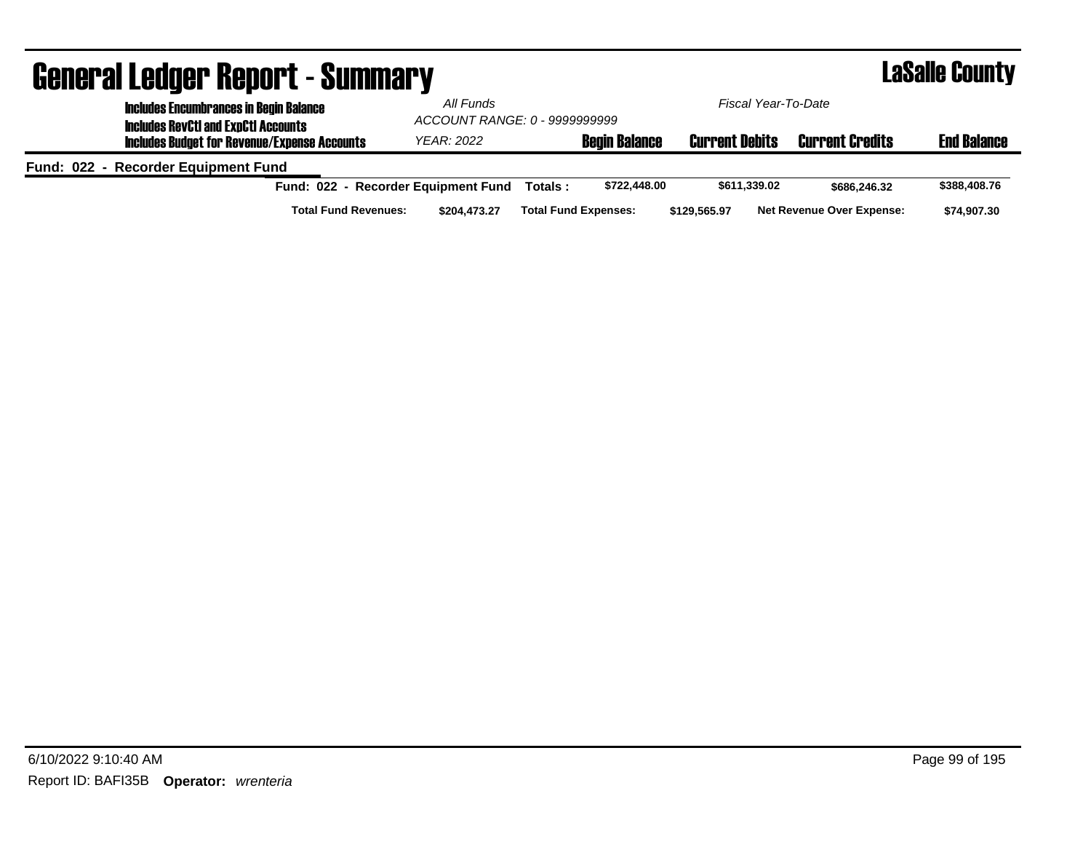| <b>General Ledger Report - Summary</b>                                                      |                                     |                               |                       |                                  | <b>LaSalle County</b> |
|---------------------------------------------------------------------------------------------|-------------------------------------|-------------------------------|-----------------------|----------------------------------|-----------------------|
| <b>Includes Encumbrances in Begin Balance</b><br><b>Includes RevCtI and ExpCtI Accounts</b> | All Funds                           | ACCOUNT RANGE: 0 - 9999999999 | Fiscal Year-To-Date   |                                  |                       |
| <b>Includes Budget for Revenue/Expense Accounts</b>                                         | YEAR: 2022                          | <b>Begin Balance</b>          | <b>Current Debits</b> | <b>Current Credits</b>           | <b>End Balance</b>    |
| Fund: 022 - Recorder Equipment Fund                                                         |                                     |                               |                       |                                  |                       |
|                                                                                             | Fund: 022 - Recorder Equipment Fund | Totals:<br>\$722,448.00       | \$611.339.02          | \$686,246.32                     | \$388,408.76          |
| <b>Total Fund Revenues:</b>                                                                 | \$204.473.27                        | <b>Total Fund Expenses:</b>   | \$129,565.97          | <b>Net Revenue Over Expense:</b> | \$74,907.30           |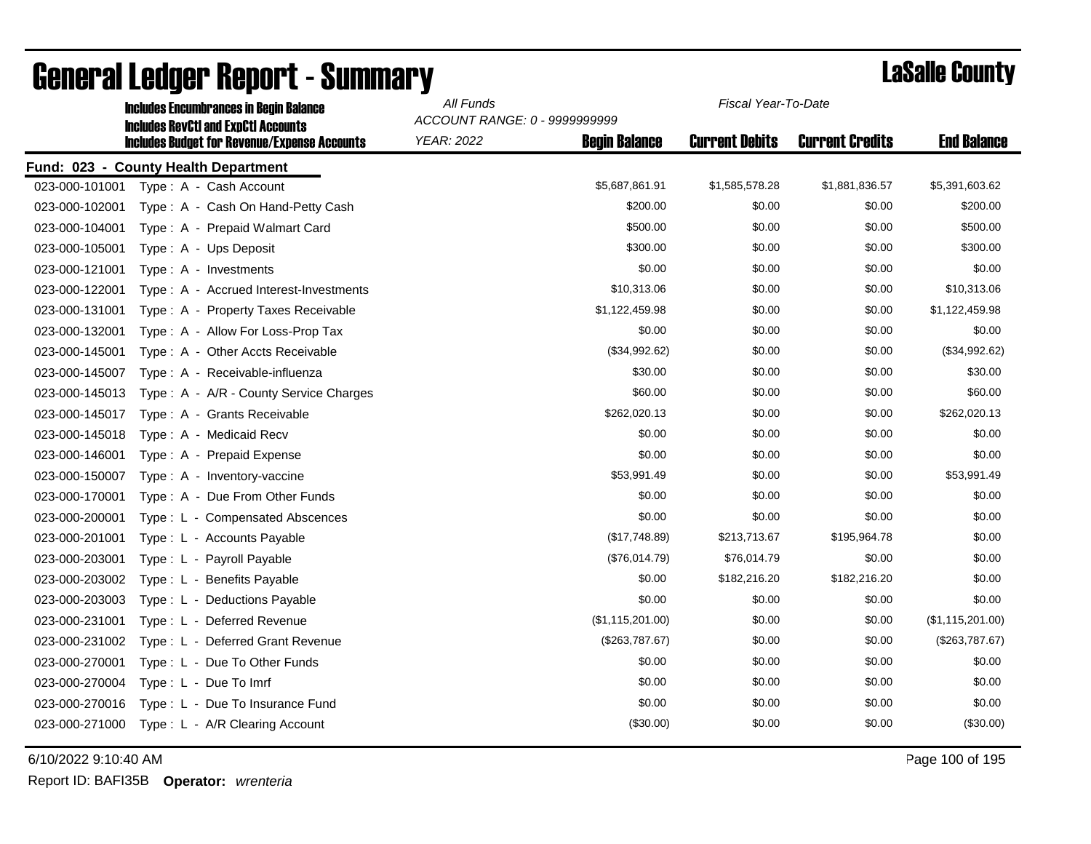|                | <b>Includes Encumbrances in Begin Balance</b>       | All Funds                     | Fiscal Year-To-Date  |                       |                        |                    |  |
|----------------|-----------------------------------------------------|-------------------------------|----------------------|-----------------------|------------------------|--------------------|--|
|                | <b>Includes RevCtI and ExpCtI Accounts</b>          | ACCOUNT RANGE: 0 - 9999999999 |                      |                       |                        |                    |  |
|                | <b>Includes Budget for Revenue/Expense Accounts</b> | <b>YEAR: 2022</b>             | <b>Begin Balance</b> | <b>Current Debits</b> | <b>Current Credits</b> | <b>End Balance</b> |  |
|                | Fund: 023 - County Health Department                |                               |                      |                       |                        |                    |  |
| 023-000-101001 | Type: A - Cash Account                              |                               | \$5,687,861.91       | \$1,585,578.28        | \$1,881,836.57         | \$5,391,603.62     |  |
| 023-000-102001 | Type: A - Cash On Hand-Petty Cash                   |                               | \$200.00             | \$0.00                | \$0.00                 | \$200.00           |  |
| 023-000-104001 | Type: A - Prepaid Walmart Card                      |                               | \$500.00             | \$0.00                | \$0.00                 | \$500.00           |  |
| 023-000-105001 | Type: A - Ups Deposit                               |                               | \$300.00             | \$0.00                | \$0.00                 | \$300.00           |  |
| 023-000-121001 | Type: A - Investments                               |                               | \$0.00               | \$0.00                | \$0.00                 | \$0.00             |  |
| 023-000-122001 | Type: A - Accrued Interest-Investments              |                               | \$10,313.06          | \$0.00                | \$0.00                 | \$10,313.06        |  |
| 023-000-131001 | Type: A - Property Taxes Receivable                 |                               | \$1,122,459.98       | \$0.00                | \$0.00                 | \$1,122,459.98     |  |
| 023-000-132001 | Type: A - Allow For Loss-Prop Tax                   |                               | \$0.00               | \$0.00                | \$0.00                 | \$0.00             |  |
| 023-000-145001 | Type: A - Other Accts Receivable                    |                               | (\$34,992.62)        | \$0.00                | \$0.00                 | (\$34,992.62)      |  |
| 023-000-145007 | Type: A - Receivable-influenza                      |                               | \$30.00              | \$0.00                | \$0.00                 | \$30.00            |  |
| 023-000-145013 | Type: A - A/R - County Service Charges              |                               | \$60.00              | \$0.00                | \$0.00                 | \$60.00            |  |
| 023-000-145017 | Type: A - Grants Receivable                         |                               | \$262,020.13         | \$0.00                | \$0.00                 | \$262,020.13       |  |
| 023-000-145018 | Type: A - Medicaid Recv                             |                               | \$0.00               | \$0.00                | \$0.00                 | \$0.00             |  |
| 023-000-146001 | Type: A - Prepaid Expense                           |                               | \$0.00               | \$0.00                | \$0.00                 | \$0.00             |  |
| 023-000-150007 | Type: A - Inventory-vaccine                         |                               | \$53,991.49          | \$0.00                | \$0.00                 | \$53,991.49        |  |
| 023-000-170001 | Type: A - Due From Other Funds                      |                               | \$0.00               | \$0.00                | \$0.00                 | \$0.00             |  |
| 023-000-200001 | Type: L - Compensated Abscences                     |                               | \$0.00               | \$0.00                | \$0.00                 | \$0.00             |  |
| 023-000-201001 | Type: L - Accounts Payable                          |                               | (\$17,748.89)        | \$213,713.67          | \$195,964.78           | \$0.00             |  |
| 023-000-203001 | Type: L - Payroll Payable                           |                               | (\$76,014.79)        | \$76,014.79           | \$0.00                 | \$0.00             |  |
| 023-000-203002 | Type: L - Benefits Payable                          |                               | \$0.00               | \$182,216.20          | \$182,216.20           | \$0.00             |  |
| 023-000-203003 | Type: L - Deductions Payable                        |                               | \$0.00               | \$0.00                | \$0.00                 | \$0.00             |  |
| 023-000-231001 | Type: L - Deferred Revenue                          |                               | (\$1,115,201.00)     | \$0.00                | \$0.00                 | (\$1,115,201.00)   |  |
| 023-000-231002 | Type: L - Deferred Grant Revenue                    |                               | (\$263,787.67)       | \$0.00                | \$0.00                 | (\$263,787.67)     |  |
| 023-000-270001 | Type: L - Due To Other Funds                        |                               | \$0.00               | \$0.00                | \$0.00                 | \$0.00             |  |
| 023-000-270004 | Type: L - Due To Imrf                               |                               | \$0.00               | \$0.00                | \$0.00                 | \$0.00             |  |
| 023-000-270016 | Type: L - Due To Insurance Fund                     |                               | \$0.00               | \$0.00                | \$0.00                 | \$0.00             |  |
| 023-000-271000 | Type: L - A/R Clearing Account                      |                               | (\$30.00)            | \$0.00                | \$0.00                 | (\$30.00)          |  |
|                |                                                     |                               |                      |                       |                        |                    |  |

6/10/2022 9:10:40 AM Page 100 of 195

Report ID: BAFI35B **Operator:** *wrenteria*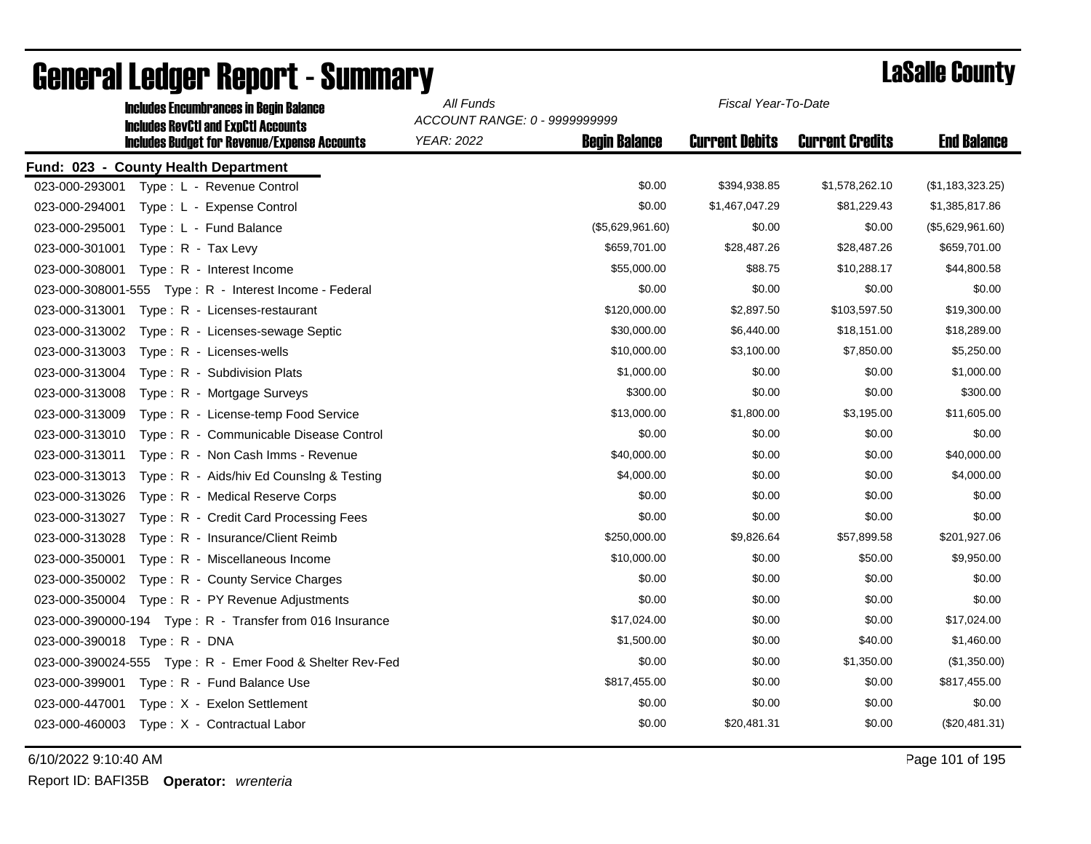| <b>Includes Encumbrances in Begin Balance</b>               | All Funds                     |                      | Fiscal Year-To-Date   |                        |                    |
|-------------------------------------------------------------|-------------------------------|----------------------|-----------------------|------------------------|--------------------|
| <b>Includes RevCtI and ExpCtI Accounts</b>                  | ACCOUNT RANGE: 0 - 9999999999 |                      |                       |                        |                    |
| <b>Includes Budget for Revenue/Expense Accounts</b>         | <b>YEAR: 2022</b>             | <b>Begin Balance</b> | <b>Current Debits</b> | <b>Current Credits</b> | <b>End Balance</b> |
| Fund: 023 - County Health Department                        |                               |                      |                       |                        |                    |
| 023-000-293001<br>Type: L - Revenue Control                 |                               | \$0.00               | \$394,938.85          | \$1,578,262.10         | (\$1,183,323.25)   |
| 023-000-294001<br>Type: L - Expense Control                 |                               | \$0.00               | \$1,467,047.29        | \$81,229.43            | \$1,385,817.86     |
| 023-000-295001<br>Type: L - Fund Balance                    |                               | (\$5,629,961.60)     | \$0.00                | \$0.00                 | (\$5,629,961.60)   |
| 023-000-301001<br>Type: R - Tax Levy                        |                               | \$659,701.00         | \$28,487.26           | \$28,487.26            | \$659,701.00       |
| 023-000-308001<br>Type: R - Interest Income                 |                               | \$55,000.00          | \$88.75               | \$10,288.17            | \$44,800.58        |
|                                                             |                               | \$0.00               | \$0.00                | \$0.00                 | \$0.00             |
| 023-000-313001<br>Type: R - Licenses-restaurant             |                               | \$120,000.00         | \$2,897.50            | \$103,597.50           | \$19,300.00        |
| 023-000-313002<br>Type: R - Licenses-sewage Septic          |                               | \$30,000.00          | \$6,440.00            | \$18,151.00            | \$18,289.00        |
| 023-000-313003<br>Type: R - Licenses-wells                  |                               | \$10,000.00          | \$3,100.00            | \$7,850.00             | \$5,250.00         |
| 023-000-313004<br>Type: R - Subdivision Plats               |                               | \$1,000.00           | \$0.00                | \$0.00                 | \$1,000.00         |
| 023-000-313008<br>Type: R - Mortgage Surveys                |                               | \$300.00             | \$0.00                | \$0.00                 | \$300.00           |
| 023-000-313009<br>Type: R - License-temp Food Service       |                               | \$13,000.00          | \$1,800.00            | \$3,195.00             | \$11,605.00        |
| 023-000-313010<br>Type: R - Communicable Disease Control    |                               | \$0.00               | \$0.00                | \$0.00                 | \$0.00             |
| 023-000-313011<br>Type: R - Non Cash Imms - Revenue         |                               | \$40,000.00          | \$0.00                | \$0.00                 | \$40,000.00        |
| 023-000-313013<br>Type: R - Aids/hiv Ed Counsing & Testing  |                               | \$4,000.00           | \$0.00                | \$0.00                 | \$4,000.00         |
| 023-000-313026<br>Type: R - Medical Reserve Corps           |                               | \$0.00               | \$0.00                | \$0.00                 | \$0.00             |
| 023-000-313027<br>Type: R - Credit Card Processing Fees     |                               | \$0.00               | \$0.00                | \$0.00                 | \$0.00             |
| 023-000-313028<br>Type: R - Insurance/Client Reimb          |                               | \$250,000.00         | \$9,826.64            | \$57,899.58            | \$201,927.06       |
| 023-000-350001<br>Type: R - Miscellaneous Income            |                               | \$10,000.00          | \$0.00                | \$50.00                | \$9,950.00         |
| 023-000-350002<br>Type: R - County Service Charges          |                               | \$0.00               | \$0.00                | \$0.00                 | \$0.00             |
| 023-000-350004<br>Type: R - PY Revenue Adjustments          |                               | \$0.00               | \$0.00                | \$0.00                 | \$0.00             |
| 023-000-390000-194 Type: R - Transfer from 016 Insurance    |                               | \$17,024.00          | \$0.00                | \$0.00                 | \$17,024.00        |
| 023-000-390018<br>Type: R - DNA                             |                               | \$1,500.00           | \$0.00                | \$40.00                | \$1,460.00         |
| 023-000-390024-555    Type: R - Emer Food & Shelter Rev-Fed |                               | \$0.00               | \$0.00                | \$1,350.00             | (\$1,350.00)       |
| 023-000-399001<br>Type: R - Fund Balance Use                |                               | \$817,455.00         | \$0.00                | \$0.00                 | \$817,455.00       |
| 023-000-447001<br>Type: X - Exelon Settlement               |                               | \$0.00               | \$0.00                | \$0.00                 | \$0.00             |
| 023-000-460003<br>Type: X - Contractual Labor               |                               | \$0.00               | \$20,481.31           | \$0.00                 | (\$20,481.31)      |
|                                                             |                               |                      |                       |                        |                    |

6/10/2022 9:10:40 AM Page 101 of 195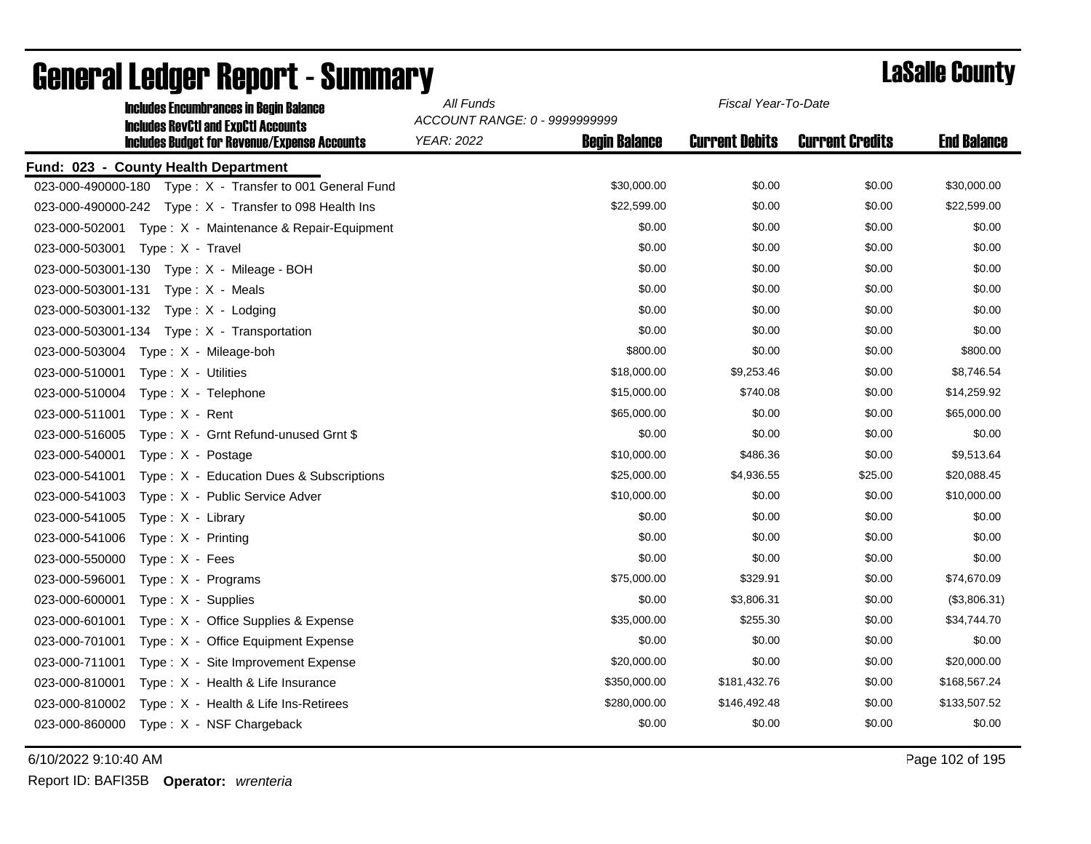| <b>Includes Encumbrances in Begin Balance</b><br><b>Includes RevCtI and ExpCtI Accounts</b> | All Funds<br>Fiscal Year-To-Date<br>ACCOUNT RANGE: 0 - 9999999999 |                      |                       |                        |                    |
|---------------------------------------------------------------------------------------------|-------------------------------------------------------------------|----------------------|-----------------------|------------------------|--------------------|
| <b>Includes Budget for Revenue/Expense Accounts</b>                                         | <b>YEAR: 2022</b>                                                 | <b>Begin Balance</b> | <b>Current Debits</b> | <b>Current Credits</b> | <b>End Balance</b> |
| Fund: 023 - County Health Department                                                        |                                                                   |                      |                       |                        |                    |
| 023-000-490000-180    Type: X - Transfer to 001 General Fund                                |                                                                   | \$30,000.00          | \$0.00                | \$0.00                 | \$30,000.00        |
| 023-000-490000-242 Type: X - Transfer to 098 Health Ins                                     |                                                                   | \$22.599.00          | \$0.00                | \$0.00                 | \$22,599.00        |
| 023-000-502001 Type: X - Maintenance & Repair-Equipment                                     |                                                                   | \$0.00               | \$0.00                | \$0.00                 | \$0.00             |
| 023-000-503001    Type: X - Travel                                                          |                                                                   | \$0.00               | \$0.00                | \$0.00                 | \$0.00             |
| 023-000-503001-130    Type: X - Mileage - BOH                                               |                                                                   | \$0.00               | \$0.00                | \$0.00                 | \$0.00             |
| 023-000-503001-131<br>Type: X - Meals                                                       |                                                                   | \$0.00               | \$0.00                | \$0.00                 | \$0.00             |
| 023-000-503001-132<br>Type: X - Lodging                                                     |                                                                   | \$0.00               | \$0.00                | \$0.00                 | \$0.00             |
| 023-000-503001-134<br>Type: X - Transportation                                              |                                                                   | \$0.00               | \$0.00                | \$0.00                 | \$0.00             |
| 023-000-503004<br>Type: X - Mileage-boh                                                     |                                                                   | \$800.00             | \$0.00                | \$0.00                 | \$800.00           |
| Type: X - Utilities<br>023-000-510001                                                       |                                                                   | \$18,000.00          | \$9,253.46            | \$0.00                 | \$8,746.54         |
| 023-000-510004<br>Type: X - Telephone                                                       |                                                                   | \$15,000.00          | \$740.08              | \$0.00                 | \$14,259.92        |
| Type: $X -$ Rent<br>023-000-511001                                                          |                                                                   | \$65,000.00          | \$0.00                | \$0.00                 | \$65,000.00        |
| 023-000-516005<br>Type: X - Grnt Refund-unused Grnt \$                                      |                                                                   | \$0.00               | \$0.00                | \$0.00                 | \$0.00             |
| 023-000-540001<br>Type: X - Postage                                                         |                                                                   | \$10,000.00          | \$486.36              | \$0.00                 | \$9,513.64         |
| 023-000-541001<br>Type: X - Education Dues & Subscriptions                                  |                                                                   | \$25,000.00          | \$4,936.55            | \$25.00                | \$20,088.45        |
| 023-000-541003<br>Type: X - Public Service Adver                                            |                                                                   | \$10,000.00          | \$0.00                | \$0.00                 | \$10,000.00        |
| 023-000-541005<br>Type: $X -$ Library                                                       |                                                                   | \$0.00               | \$0.00                | \$0.00                 | \$0.00             |
| 023-000-541006<br>Type: X - Printing                                                        |                                                                   | \$0.00               | \$0.00                | \$0.00                 | \$0.00             |
| 023-000-550000<br>Type: X - Fees                                                            |                                                                   | \$0.00               | \$0.00                | \$0.00                 | \$0.00             |
| 023-000-596001<br>Type: X - Programs                                                        |                                                                   | \$75,000.00          | \$329.91              | \$0.00                 | \$74,670.09        |
| 023-000-600001<br>Type: X - Supplies                                                        |                                                                   | \$0.00               | \$3,806.31            | \$0.00                 | (\$3,806.31)       |
| 023-000-601001<br>Type: X - Office Supplies & Expense                                       |                                                                   | \$35,000.00          | \$255.30              | \$0.00                 | \$34,744.70        |
| 023-000-701001<br>Type: X - Office Equipment Expense                                        |                                                                   | \$0.00               | \$0.00                | \$0.00                 | \$0.00             |
| 023-000-711001<br>Type: X - Site Improvement Expense                                        |                                                                   | \$20,000.00          | \$0.00                | \$0.00                 | \$20,000.00        |
| 023-000-810001<br>Type: X - Health & Life Insurance                                         |                                                                   | \$350,000.00         | \$181,432.76          | \$0.00                 | \$168,567.24       |
| 023-000-810002<br>Type: X - Health & Life Ins-Retirees                                      |                                                                   | \$280,000.00         | \$146,492.48          | \$0.00                 | \$133,507.52       |
| 023-000-860000<br>Type: X - NSF Chargeback                                                  |                                                                   | \$0.00               | \$0.00                | \$0.00                 | \$0.00             |

# General Ledger Report - Summary **Lassing County** Lassing County

6/10/2022 9:10:40 AM Page 102 of 195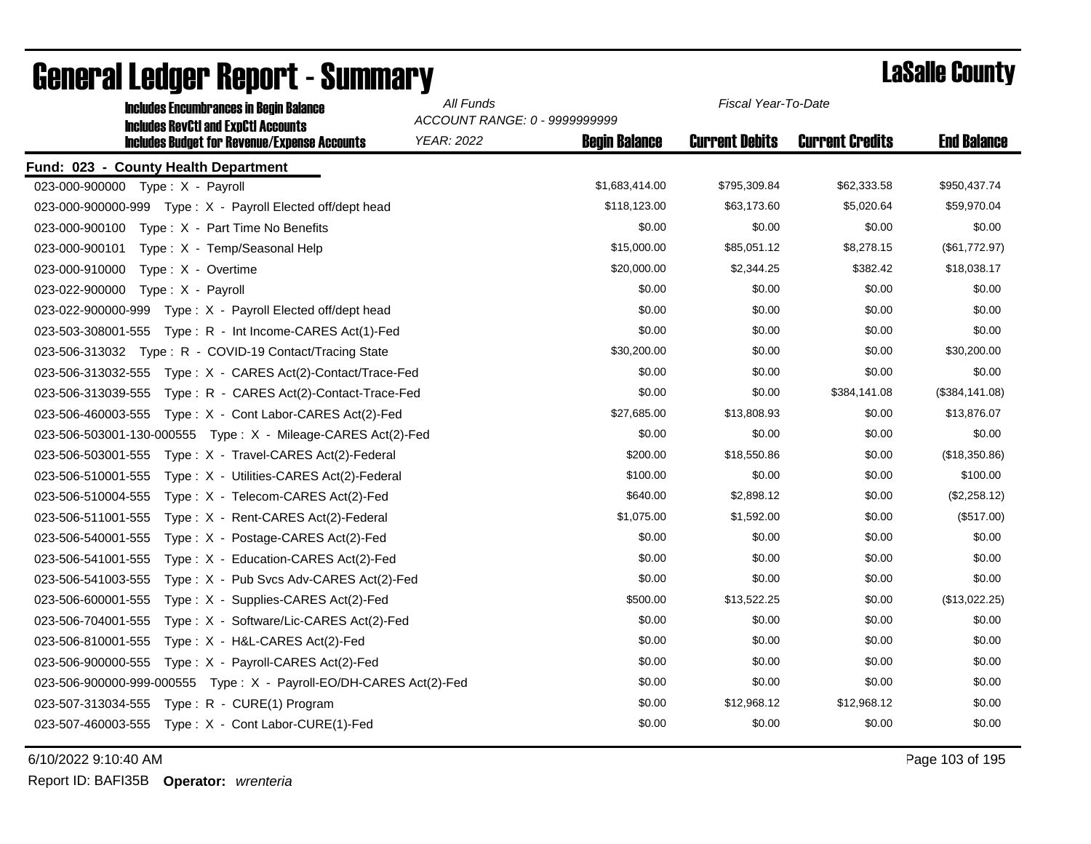| <b>Includes Encumbrances in Begin Balance</b><br><b>Includes RevCtI and ExpCtI Accounts</b> | All Funds<br>Fiscal Year-To-Date<br>ACCOUNT RANGE: 0 - 9999999999 |                      |                       |                        |                    |
|---------------------------------------------------------------------------------------------|-------------------------------------------------------------------|----------------------|-----------------------|------------------------|--------------------|
| <b>Includes Budget for Revenue/Expense Accounts</b>                                         | <b>YEAR: 2022</b>                                                 | <b>Begin Balance</b> | <b>Current Debits</b> | <b>Current Credits</b> | <b>End Balance</b> |
| Fund: 023 - County Health Department                                                        |                                                                   |                      |                       |                        |                    |
| 023-000-900000 Type: X - Payroll                                                            |                                                                   | \$1,683,414.00       | \$795,309.84          | \$62,333.58            | \$950,437.74       |
| 023-000-900000-999 Type: X - Payroll Elected off/dept head                                  |                                                                   | \$118,123.00         | \$63,173.60           | \$5,020.64             | \$59,970.04        |
| 023-000-900100 Type: X - Part Time No Benefits                                              |                                                                   | \$0.00               | \$0.00                | \$0.00                 | \$0.00             |
| 023-000-900101<br>Type: X - Temp/Seasonal Help                                              |                                                                   | \$15,000.00          | \$85,051.12           | \$8,278.15             | (\$61,772.97)      |
| Type: X - Overtime<br>023-000-910000                                                        |                                                                   | \$20,000.00          | \$2,344.25            | \$382.42               | \$18,038.17        |
| 023-022-900000<br>Type: X - Payroll                                                         |                                                                   | \$0.00               | \$0.00                | \$0.00                 | \$0.00             |
| 023-022-900000-999 Type: X - Payroll Elected off/dept head                                  |                                                                   | \$0.00               | \$0.00                | \$0.00                 | \$0.00             |
| Type: R - Int Income-CARES Act(1)-Fed<br>023-503-308001-555                                 |                                                                   | \$0.00               | \$0.00                | \$0.00                 | \$0.00             |
| 023-506-313032 Type: R - COVID-19 Contact/Tracing State                                     |                                                                   | \$30,200.00          | \$0.00                | \$0.00                 | \$30,200.00        |
| Type: X - CARES Act(2)-Contact/Trace-Fed<br>023-506-313032-555                              |                                                                   | \$0.00               | \$0.00                | \$0.00                 | \$0.00             |
| Type: R - CARES Act(2)-Contact-Trace-Fed<br>023-506-313039-555                              |                                                                   | \$0.00               | \$0.00                | \$384,141.08           | (\$384,141.08)     |
| 023-506-460003-555<br>Type: X - Cont Labor-CARES Act(2)-Fed                                 |                                                                   | \$27,685.00          | \$13,808.93           | \$0.00                 | \$13,876.07        |
| 023-506-503001-130-000555    Type: X - Mileage-CARES Act(2)-Fed                             |                                                                   | \$0.00               | \$0.00                | \$0.00                 | \$0.00             |
| 023-506-503001-555<br>Type: X - Travel-CARES Act(2)-Federal                                 |                                                                   | \$200.00             | \$18,550.86           | \$0.00                 | (\$18,350.86)      |
| 023-506-510001-555<br>Type: X - Utilities-CARES Act(2)-Federal                              |                                                                   | \$100.00             | \$0.00                | \$0.00                 | \$100.00           |
| 023-506-510004-555<br>Type: X - Telecom-CARES Act(2)-Fed                                    |                                                                   | \$640.00             | \$2,898.12            | \$0.00                 | (\$2,258.12)       |
| 023-506-511001-555<br>Type: X - Rent-CARES Act(2)-Federal                                   |                                                                   | \$1,075.00           | \$1,592.00            | \$0.00                 | (\$517.00)         |
| 023-506-540001-555<br>Type: X - Postage-CARES Act(2)-Fed                                    |                                                                   | \$0.00               | \$0.00                | \$0.00                 | \$0.00             |
| 023-506-541001-555<br>Type: X - Education-CARES Act(2)-Fed                                  |                                                                   | \$0.00               | \$0.00                | \$0.00                 | \$0.00             |
| 023-506-541003-555<br>Type: X - Pub Svcs Adv-CARES Act(2)-Fed                               |                                                                   | \$0.00               | \$0.00                | \$0.00                 | \$0.00             |
| 023-506-600001-555<br>Type: X - Supplies-CARES Act(2)-Fed                                   |                                                                   | \$500.00             | \$13,522.25           | \$0.00                 | (\$13,022.25)      |
| 023-506-704001-555<br>Type: X - Software/Lic-CARES Act(2)-Fed                               |                                                                   | \$0.00               | \$0.00                | \$0.00                 | \$0.00             |
| Type: X - H&L-CARES Act(2)-Fed<br>023-506-810001-555                                        |                                                                   | \$0.00               | \$0.00                | \$0.00                 | \$0.00             |
| 023-506-900000-555<br>Type: X - Payroll-CARES Act(2)-Fed                                    |                                                                   | \$0.00               | \$0.00                | \$0.00                 | \$0.00             |
| 023-506-900000-999-000555    Type: X - Payroll-EO/DH-CARES Act(2)-Fed                       |                                                                   | \$0.00               | \$0.00                | \$0.00                 | \$0.00             |
| Type: R - CURE(1) Program<br>023-507-313034-555                                             |                                                                   | \$0.00               | \$12,968.12           | \$12,968.12            | \$0.00             |
| Type: X - Cont Labor-CURE(1)-Fed<br>023-507-460003-555                                      |                                                                   | \$0.00               | \$0.00                | \$0.00                 | \$0.00             |

# General Ledger Report - Summary **Lassing Service Report - Summary**

6/10/2022 9:10:40 AM Page 103 of 195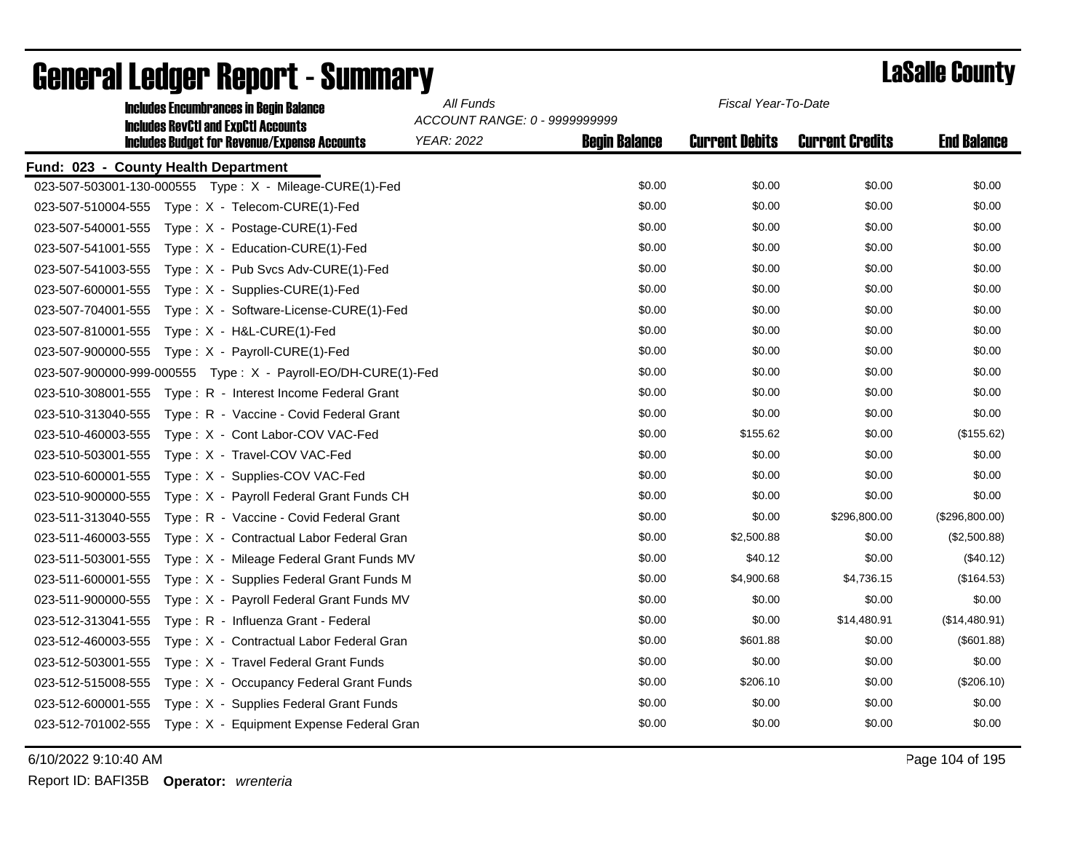| <b>Includes Encumbrances in Begin Balance</b>                  | All Funds                     |                      | Fiscal Year-To-Date   |                        |                    |
|----------------------------------------------------------------|-------------------------------|----------------------|-----------------------|------------------------|--------------------|
| <b>Includes RevCtI and ExpCtI Accounts</b>                     | ACCOUNT RANGE: 0 - 9999999999 |                      |                       |                        |                    |
| <b>Includes Budget for Revenue/Expense Accounts</b>            | <b>YEAR: 2022</b>             | <b>Begin Balance</b> | <b>Current Debits</b> | <b>Current Credits</b> | <b>End Balance</b> |
| Fund: 023 - County Health Department                           |                               |                      |                       |                        |                    |
| 023-507-503001-130-000555    Type: X - Mileage-CURE(1)-Fed     |                               | \$0.00               | \$0.00                | \$0.00                 | \$0.00             |
|                                                                |                               | \$0.00               | \$0.00                | \$0.00                 | \$0.00             |
| 023-507-540001-555<br>Type: X - Postage-CURE(1)-Fed            |                               | \$0.00               | \$0.00                | \$0.00                 | \$0.00             |
| 023-507-541001-555<br>Type: X - Education-CURE(1)-Fed          |                               | \$0.00               | \$0.00                | \$0.00                 | \$0.00             |
| 023-507-541003-555<br>$Type: X - Pub Svcs Adv-CURE(1)-Fed$     |                               | \$0.00               | \$0.00                | \$0.00                 | \$0.00             |
| 023-507-600001-555<br>Type: X - Supplies-CURE(1)-Fed           |                               | \$0.00               | \$0.00                | \$0.00                 | \$0.00             |
| Type: X - Software-License-CURE(1)-Fed<br>023-507-704001-555   |                               | \$0.00               | \$0.00                | \$0.00                 | \$0.00             |
| 023-507-810001-555<br>$Type: X - H&L-CURE(1)-Fed$              |                               | \$0.00               | \$0.00                | \$0.00                 | \$0.00             |
| 023-507-900000-555<br>Type: X - Payroll-CURE(1)-Fed            |                               | \$0.00               | \$0.00                | \$0.00                 | \$0.00             |
|                                                                |                               | \$0.00               | \$0.00                | \$0.00                 | \$0.00             |
| 023-510-308001-555<br>Type: R - Interest Income Federal Grant  |                               | \$0.00               | \$0.00                | \$0.00                 | \$0.00             |
| Type: R - Vaccine - Covid Federal Grant<br>023-510-313040-555  |                               | \$0.00               | \$0.00                | \$0.00                 | \$0.00             |
| 023-510-460003-555<br>Type: X - Cont Labor-COV VAC-Fed         |                               | \$0.00               | \$155.62              | \$0.00                 | (\$155.62)         |
| Type: X - Travel-COV VAC-Fed<br>023-510-503001-555             |                               | \$0.00               | \$0.00                | \$0.00                 | \$0.00             |
| 023-510-600001-555<br>Type: X - Supplies-COV VAC-Fed           |                               | \$0.00               | \$0.00                | \$0.00                 | \$0.00             |
| 023-510-900000-555<br>Type: X - Payroll Federal Grant Funds CH |                               | \$0.00               | \$0.00                | \$0.00                 | \$0.00             |
| 023-511-313040-555<br>Type: R - Vaccine - Covid Federal Grant  |                               | \$0.00               | \$0.00                | \$296,800.00           | (\$296,800.00)     |
| 023-511-460003-555<br>Type: X - Contractual Labor Federal Gran |                               | \$0.00               | \$2,500.88            | \$0.00                 | (\$2,500.88)       |
| 023-511-503001-555<br>Type: X - Mileage Federal Grant Funds MV |                               | \$0.00               | \$40.12               | \$0.00                 | (\$40.12)          |
| Type: X - Supplies Federal Grant Funds M<br>023-511-600001-555 |                               | \$0.00               | \$4,900.68            | \$4,736.15             | (\$164.53)         |
| 023-511-900000-555<br>Type: X - Payroll Federal Grant Funds MV |                               | \$0.00               | \$0.00                | \$0.00                 | \$0.00             |
| Type: R - Influenza Grant - Federal<br>023-512-313041-555      |                               | \$0.00               | \$0.00                | \$14,480.91            | (\$14,480.91)      |
| 023-512-460003-555<br>Type: X - Contractual Labor Federal Gran |                               | \$0.00               | \$601.88              | \$0.00                 | (\$601.88)         |
| Type: X - Travel Federal Grant Funds<br>023-512-503001-555     |                               | \$0.00               | \$0.00                | \$0.00                 | \$0.00             |
| 023-512-515008-555<br>Type: X - Occupancy Federal Grant Funds  |                               | \$0.00               | \$206.10              | \$0.00                 | (\$206.10)         |
| 023-512-600001-555<br>Type: X - Supplies Federal Grant Funds   |                               | \$0.00               | \$0.00                | \$0.00                 | \$0.00             |
| 023-512-701002-555<br>Type: X - Equipment Expense Federal Gran |                               | \$0.00               | \$0.00                | \$0.00                 | \$0.00             |
|                                                                |                               |                      |                       |                        |                    |

6/10/2022 9:10:40 AM Page 104 of 195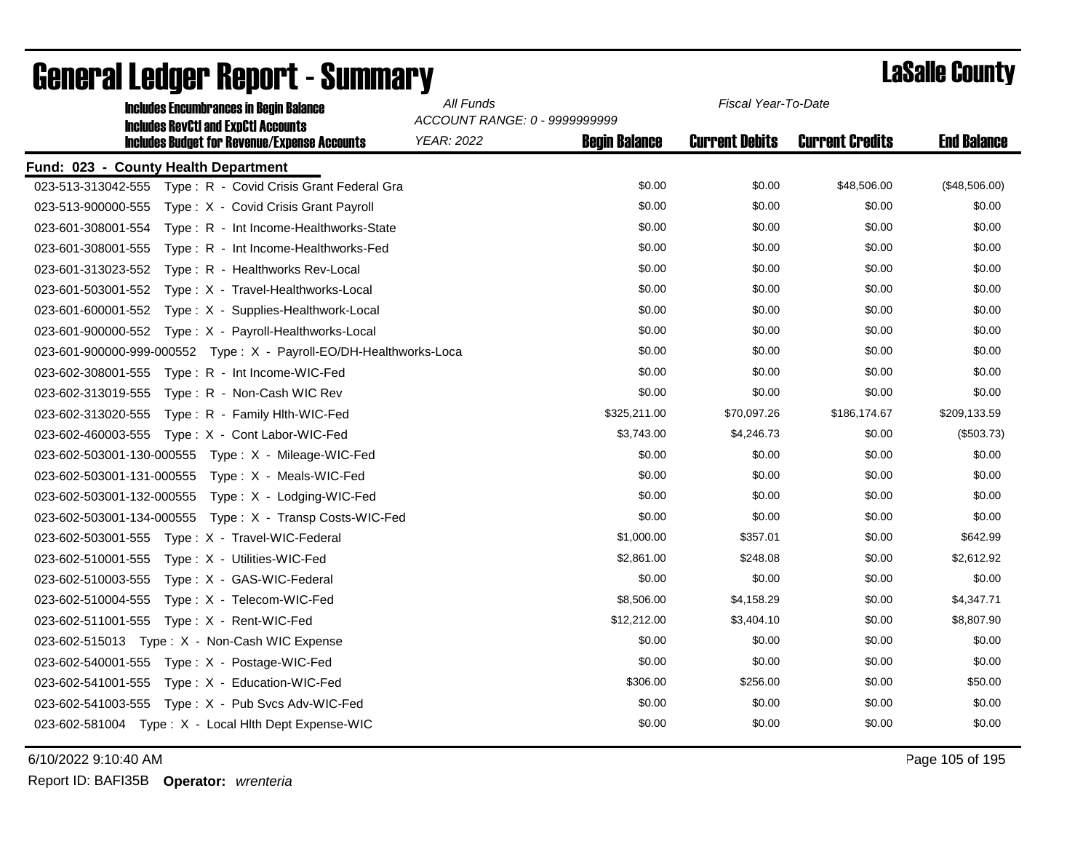| <b>Includes Encumbrances in Begin Balance</b>                                                     | All Funds                                          |                      | Fiscal Year-To-Date   |                        |                    |
|---------------------------------------------------------------------------------------------------|----------------------------------------------------|----------------------|-----------------------|------------------------|--------------------|
| <b>Includes RevCtI and ExpCtI Accounts</b><br><b>Includes Budget for Revenue/Expense Accounts</b> | ACCOUNT RANGE: 0 - 9999999999<br><b>YEAR: 2022</b> | <b>Begin Balance</b> | <b>Current Debits</b> | <b>Current Credits</b> | <b>End Balance</b> |
| Fund: 023 - County Health Department                                                              |                                                    |                      |                       |                        |                    |
| 023-513-313042-555 Type: R - Covid Crisis Grant Federal Gra                                       |                                                    | \$0.00               | \$0.00                | \$48,506.00            | (\$48,506.00)      |
| 023-513-900000-555<br>Type: X - Covid Crisis Grant Payroll                                        |                                                    | \$0.00               | \$0.00                | \$0.00                 | \$0.00             |
| Type: R - Int Income-Healthworks-State<br>023-601-308001-554                                      |                                                    | \$0.00               | \$0.00                | \$0.00                 | \$0.00             |
| 023-601-308001-555<br>Type: R - Int Income-Healthworks-Fed                                        |                                                    | \$0.00               | \$0.00                | \$0.00                 | \$0.00             |
| 023-601-313023-552<br>Type: R - Healthworks Rev-Local                                             |                                                    | \$0.00               | \$0.00                | \$0.00                 | \$0.00             |
| 023-601-503001-552<br>Type: X - Travel-Healthworks-Local                                          |                                                    | \$0.00               | \$0.00                | \$0.00                 | \$0.00             |
| 023-601-600001-552<br>Type: X - Supplies-Healthwork-Local                                         |                                                    | \$0.00               | \$0.00                | \$0.00                 | \$0.00             |
| 023-601-900000-552 Type: X - Payroll-Healthworks-Local                                            |                                                    | \$0.00               | \$0.00                | \$0.00                 | \$0.00             |
| 023-601-900000-999-000552    Type: X - Payroll-EO/DH-Healthworks-Loca                             |                                                    | \$0.00               | \$0.00                | \$0.00                 | \$0.00             |
|                                                                                                   |                                                    | \$0.00               | \$0.00                | \$0.00                 | \$0.00             |
| Type: R - Non-Cash WIC Rev<br>023-602-313019-555                                                  |                                                    | \$0.00               | \$0.00                | \$0.00                 | \$0.00             |
| Type: R - Family Hlth-WIC-Fed<br>023-602-313020-555                                               |                                                    | \$325,211.00         | \$70,097.26           | \$186,174.67           | \$209,133.59       |
|                                                                                                   |                                                    | \$3,743.00           | \$4,246.73            | \$0.00                 | (\$503.73)         |
| 023-602-503001-130-000555    Type: X - Mileage-WIC-Fed                                            |                                                    | \$0.00               | \$0.00                | \$0.00                 | \$0.00             |
| 023-602-503001-131-000555    Type: X - Meals-WIC-Fed                                              |                                                    | \$0.00               | \$0.00                | \$0.00                 | \$0.00             |
| 023-602-503001-132-000555<br>Type: X - Lodging-WIC-Fed                                            |                                                    | \$0.00               | \$0.00                | \$0.00                 | \$0.00             |
| 023-602-503001-134-000555    Type: X - Transp Costs-WIC-Fed                                       |                                                    | \$0.00               | \$0.00                | \$0.00                 | \$0.00             |
|                                                                                                   |                                                    | \$1,000.00           | \$357.01              | \$0.00                 | \$642.99           |
| 023-602-510001-555<br>Type: X - Utilities-WIC-Fed                                                 |                                                    | \$2,861.00           | \$248.08              | \$0.00                 | \$2,612.92         |
| 023-602-510003-555    Type: X - GAS-WIC-Federal                                                   |                                                    | \$0.00               | \$0.00                | \$0.00                 | \$0.00             |
| 023-602-510004-555<br>Type: X - Telecom-WIC-Fed                                                   |                                                    | \$8,506.00           | \$4,158.29            | \$0.00                 | \$4,347.71         |
|                                                                                                   |                                                    | \$12,212.00          | \$3,404.10            | \$0.00                 | \$8,807.90         |
| 023-602-515013 Type: X - Non-Cash WIC Expense                                                     |                                                    | \$0.00               | \$0.00                | \$0.00                 | \$0.00             |
|                                                                                                   |                                                    | \$0.00               | \$0.00                | \$0.00                 | \$0.00             |
|                                                                                                   |                                                    | \$306.00             | \$256.00              | \$0.00                 | \$50.00            |
|                                                                                                   |                                                    | \$0.00               | \$0.00                | \$0.00                 | \$0.00             |
| 023-602-581004 Type: X - Local Hith Dept Expense-WIC                                              |                                                    | \$0.00               | \$0.00                | \$0.00                 | \$0.00             |

6/10/2022 9:10:40 AM Page 105 of 195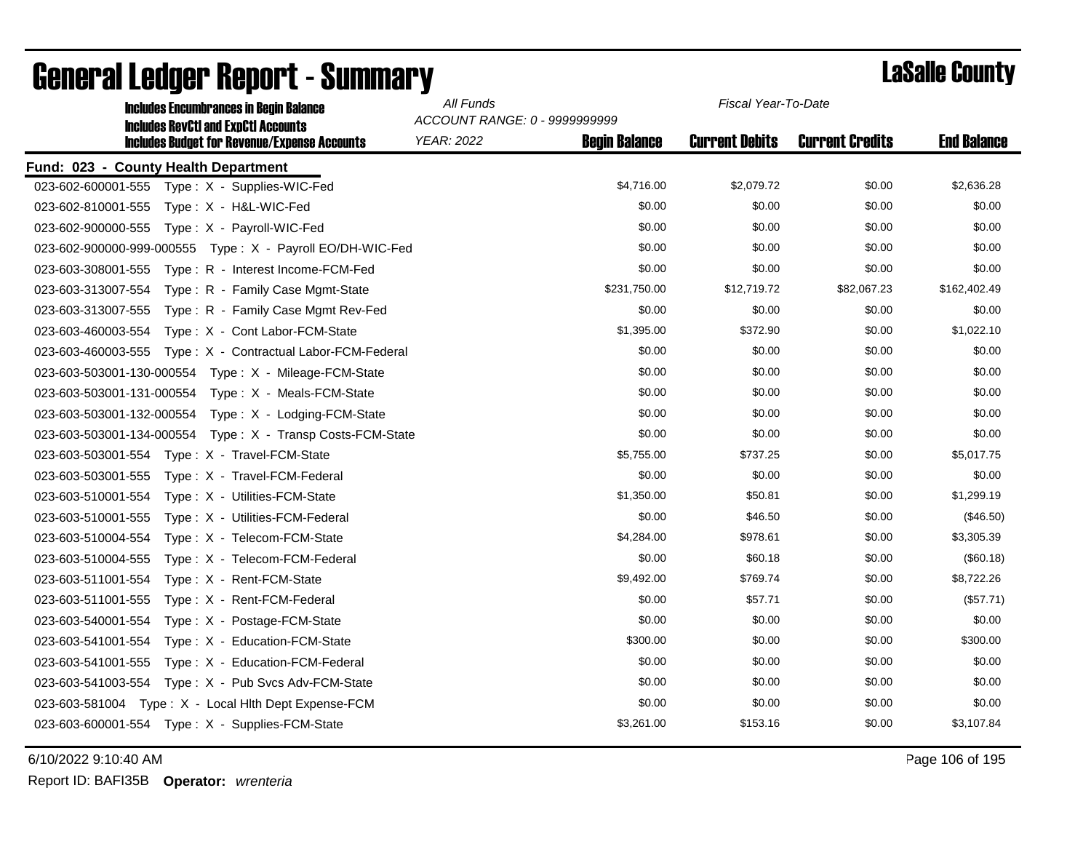| <b>Includes Encumbrances in Begin Balance</b><br><b>Includes RevCtI and ExpCtI Accounts</b> | All Funds<br>Fiscal Year-To-Date<br>ACCOUNT RANGE: 0 - 9999999999 |                      |                       |                        |                    |
|---------------------------------------------------------------------------------------------|-------------------------------------------------------------------|----------------------|-----------------------|------------------------|--------------------|
| <b>Includes Budget for Revenue/Expense Accounts</b>                                         | <b>YEAR: 2022</b>                                                 | <b>Begin Balance</b> | <b>Current Debits</b> | <b>Current Credits</b> | <b>End Balance</b> |
| Fund: 023 - County Health Department                                                        |                                                                   |                      |                       |                        |                    |
|                                                                                             |                                                                   | \$4,716.00           | \$2,079.72            | \$0.00                 | \$2,636.28         |
| 023-602-810001-555<br>Type: X - H&L-WIC-Fed                                                 |                                                                   | \$0.00               | \$0.00                | \$0.00                 | \$0.00             |
| 023-602-900000-555<br>Type: X - Payroll-WIC-Fed                                             |                                                                   | \$0.00               | \$0.00                | \$0.00                 | \$0.00             |
| 023-602-900000-999-000555    Type: X - Payroll EO/DH-WIC-Fed                                |                                                                   | \$0.00               | \$0.00                | \$0.00                 | \$0.00             |
| Type: R - Interest Income-FCM-Fed<br>023-603-308001-555                                     |                                                                   | \$0.00               | \$0.00                | \$0.00                 | \$0.00             |
| 023-603-313007-554<br>Type: R - Family Case Mgmt-State                                      |                                                                   | \$231,750.00         | \$12,719.72           | \$82,067.23            | \$162,402.49       |
| 023-603-313007-555<br>Type: R - Family Case Mgmt Rev-Fed                                    |                                                                   | \$0.00               | \$0.00                | \$0.00                 | \$0.00             |
| Type: X - Cont Labor-FCM-State<br>023-603-460003-554                                        |                                                                   | \$1,395.00           | \$372.90              | \$0.00                 | \$1,022.10         |
| 023-603-460003-555 Type: X - Contractual Labor-FCM-Federal                                  |                                                                   | \$0.00               | \$0.00                | \$0.00                 | \$0.00             |
| 023-603-503001-130-000554    Type: X - Mileage-FCM-State                                    |                                                                   | \$0.00               | \$0.00                | \$0.00                 | \$0.00             |
| 023-603-503001-131-000554<br>Type: X - Meals-FCM-State                                      |                                                                   | \$0.00               | \$0.00                | \$0.00                 | \$0.00             |
| 023-603-503001-132-000554<br>Type: X - Lodging-FCM-State                                    |                                                                   | \$0.00               | \$0.00                | \$0.00                 | \$0.00             |
| 023-603-503001-134-000554<br>Type: X - Transp Costs-FCM-State                               |                                                                   | \$0.00               | \$0.00                | \$0.00                 | \$0.00             |
|                                                                                             |                                                                   | \$5,755.00           | \$737.25              | \$0.00                 | \$5,017.75         |
| 023-603-503001-555<br>Type: X - Travel-FCM-Federal                                          |                                                                   | \$0.00               | \$0.00                | \$0.00                 | \$0.00             |
| 023-603-510001-554<br>Type: X - Utilities-FCM-State                                         |                                                                   | \$1,350.00           | \$50.81               | \$0.00                 | \$1,299.19         |
| 023-603-510001-555<br>Type: X - Utilities-FCM-Federal                                       |                                                                   | \$0.00               | \$46.50               | \$0.00                 | $(\$46.50)$        |
| 023-603-510004-554<br>Type: X - Telecom-FCM-State                                           |                                                                   | \$4,284.00           | \$978.61              | \$0.00                 | \$3,305.39         |
| 023-603-510004-555<br>Type: X - Telecom-FCM-Federal                                         |                                                                   | \$0.00               | \$60.18               | \$0.00                 | (\$60.18)          |
| 023-603-511001-554<br>Type: X - Rent-FCM-State                                              |                                                                   | \$9,492.00           | \$769.74              | \$0.00                 | \$8,722.26         |
| 023-603-511001-555<br>Type: X - Rent-FCM-Federal                                            |                                                                   | \$0.00               | \$57.71               | \$0.00                 | (\$57.71)          |
| 023-603-540001-554<br>Type: X - Postage-FCM-State                                           |                                                                   | \$0.00               | \$0.00                | \$0.00                 | \$0.00             |
| Type: X - Education-FCM-State<br>023-603-541001-554                                         |                                                                   | \$300.00             | \$0.00                | \$0.00                 | \$300.00           |
| 023-603-541001-555<br>Type: X - Education-FCM-Federal                                       |                                                                   | \$0.00               | \$0.00                | \$0.00                 | \$0.00             |
| Type: X - Pub Svcs Adv-FCM-State<br>023-603-541003-554                                      |                                                                   | \$0.00               | \$0.00                | \$0.00                 | \$0.00             |
| 023-603-581004 Type: X - Local Hith Dept Expense-FCM                                        |                                                                   | \$0.00               | \$0.00                | \$0.00                 | \$0.00             |
|                                                                                             |                                                                   | \$3,261.00           | \$153.16              | \$0.00                 | \$3,107.84         |

# General Ledger Report - Summary **Lassing Service Report - Summary**

6/10/2022 9:10:40 AM Page 106 of 195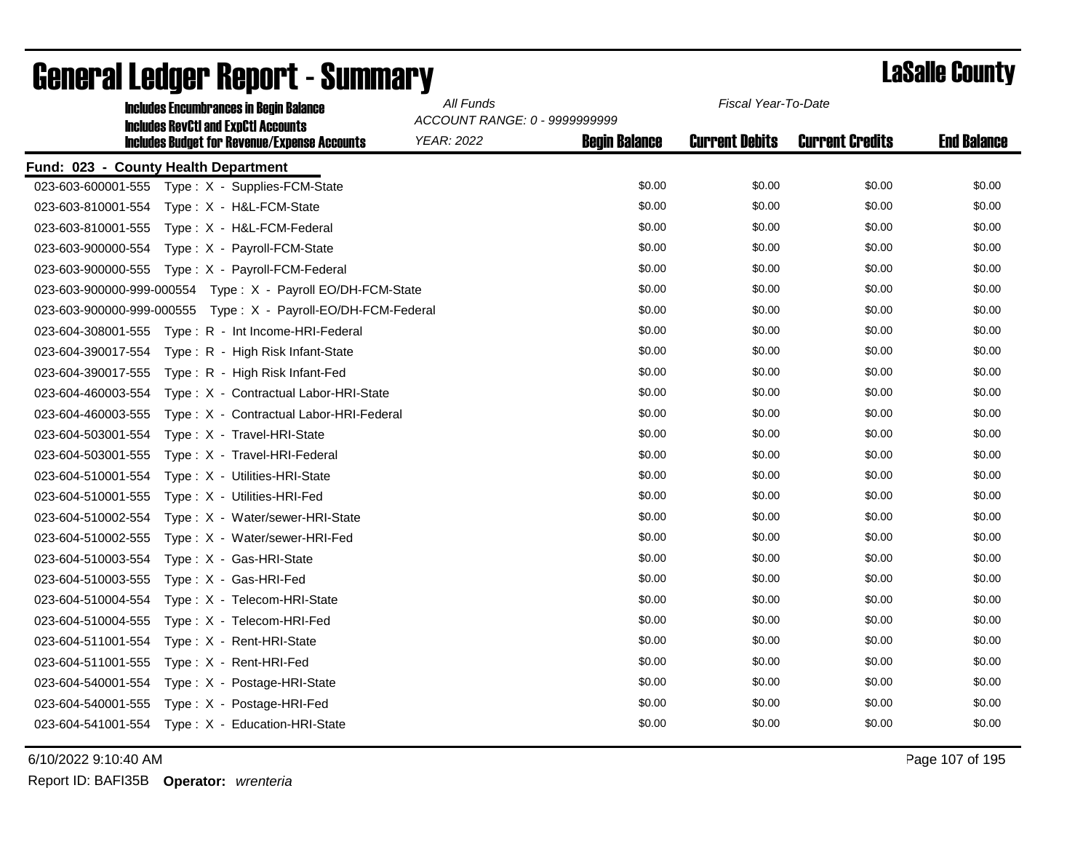| <b>Includes Encumbrances in Begin Balance</b>                  | All Funds                     | Fiscal Year-To-Date  |                       |                        |                    |  |
|----------------------------------------------------------------|-------------------------------|----------------------|-----------------------|------------------------|--------------------|--|
| <b>Includes RevCtI and ExpCtI Accounts</b>                     | ACCOUNT RANGE: 0 - 9999999999 |                      |                       |                        |                    |  |
| <b>Includes Budget for Revenue/Expense Accounts</b>            | <b>YEAR: 2022</b>             | <b>Begin Balance</b> | <b>Current Debits</b> | <b>Current Credits</b> | <b>End Balance</b> |  |
| Fund: 023 - County Health Department                           |                               |                      |                       |                        |                    |  |
| 023-603-600001-555<br>Type: X - Supplies-FCM-State             |                               | \$0.00               | \$0.00                | \$0.00                 | \$0.00             |  |
| 023-603-810001-554<br>Type: X - H&L-FCM-State                  |                               | \$0.00               | \$0.00                | \$0.00                 | \$0.00             |  |
| 023-603-810001-555<br>Type: X - H&L-FCM-Federal                |                               | \$0.00               | \$0.00                | \$0.00                 | \$0.00             |  |
| 023-603-900000-554<br>Type: X - Payroll-FCM-State              |                               | \$0.00               | \$0.00                | \$0.00                 | \$0.00             |  |
|                                                                |                               | \$0.00               | \$0.00                | \$0.00                 | \$0.00             |  |
| 023-603-900000-999-000554    Type: X - Payroll EO/DH-FCM-State |                               | \$0.00               | \$0.00                | \$0.00                 | \$0.00             |  |
|                                                                |                               | \$0.00               | \$0.00                | \$0.00                 | \$0.00             |  |
| 023-604-308001-555<br>Type: R - Int Income-HRI-Federal         |                               | \$0.00               | \$0.00                | \$0.00                 | \$0.00             |  |
| 023-604-390017-554<br>Type: R - High Risk Infant-State         |                               | \$0.00               | \$0.00                | \$0.00                 | \$0.00             |  |
| 023-604-390017-555<br>Type: R - High Risk Infant-Fed           |                               | \$0.00               | \$0.00                | \$0.00                 | \$0.00             |  |
| 023-604-460003-554<br>Type: X - Contractual Labor-HRI-State    |                               | \$0.00               | \$0.00                | \$0.00                 | \$0.00             |  |
| 023-604-460003-555<br>Type: X - Contractual Labor-HRI-Federal  |                               | \$0.00               | \$0.00                | \$0.00                 | \$0.00             |  |
| 023-604-503001-554<br>Type: X - Travel-HRI-State               |                               | \$0.00               | \$0.00                | \$0.00                 | \$0.00             |  |
| 023-604-503001-555<br>Type: X - Travel-HRI-Federal             |                               | \$0.00               | \$0.00                | \$0.00                 | \$0.00             |  |
| 023-604-510001-554<br>Type: X - Utilities-HRI-State            |                               | \$0.00               | \$0.00                | \$0.00                 | \$0.00             |  |
| Type: X - Utilities-HRI-Fed<br>023-604-510001-555              |                               | \$0.00               | \$0.00                | \$0.00                 | \$0.00             |  |
| 023-604-510002-554<br>Type: X - Water/sewer-HRI-State          |                               | \$0.00               | \$0.00                | \$0.00                 | \$0.00             |  |
| 023-604-510002-555<br>Type: X - Water/sewer-HRI-Fed            |                               | \$0.00               | \$0.00                | \$0.00                 | \$0.00             |  |
| 023-604-510003-554<br>Type: X - Gas-HRI-State                  |                               | \$0.00               | \$0.00                | \$0.00                 | \$0.00             |  |
| 023-604-510003-555<br>Type: X - Gas-HRI-Fed                    |                               | \$0.00               | \$0.00                | \$0.00                 | \$0.00             |  |
| Type: X - Telecom-HRI-State<br>023-604-510004-554              |                               | \$0.00               | \$0.00                | \$0.00                 | \$0.00             |  |
| 023-604-510004-555<br>Type: X - Telecom-HRI-Fed                |                               | \$0.00               | \$0.00                | \$0.00                 | \$0.00             |  |
| 023-604-511001-554<br>Type: X - Rent-HRI-State                 |                               | \$0.00               | \$0.00                | \$0.00                 | \$0.00             |  |
| 023-604-511001-555<br>Type: X - Rent-HRI-Fed                   |                               | \$0.00               | \$0.00                | \$0.00                 | \$0.00             |  |
| Type: X - Postage-HRI-State<br>023-604-540001-554              |                               | \$0.00               | \$0.00                | \$0.00                 | \$0.00             |  |
| 023-604-540001-555<br>Type: X - Postage-HRI-Fed                |                               | \$0.00               | \$0.00                | \$0.00                 | \$0.00             |  |
| 023-604-541001-554<br>Type: X - Education-HRI-State            |                               | \$0.00               | \$0.00                | \$0.00                 | \$0.00             |  |
|                                                                |                               |                      |                       |                        |                    |  |

6/10/2022 9:10:40 AM Page 107 of 195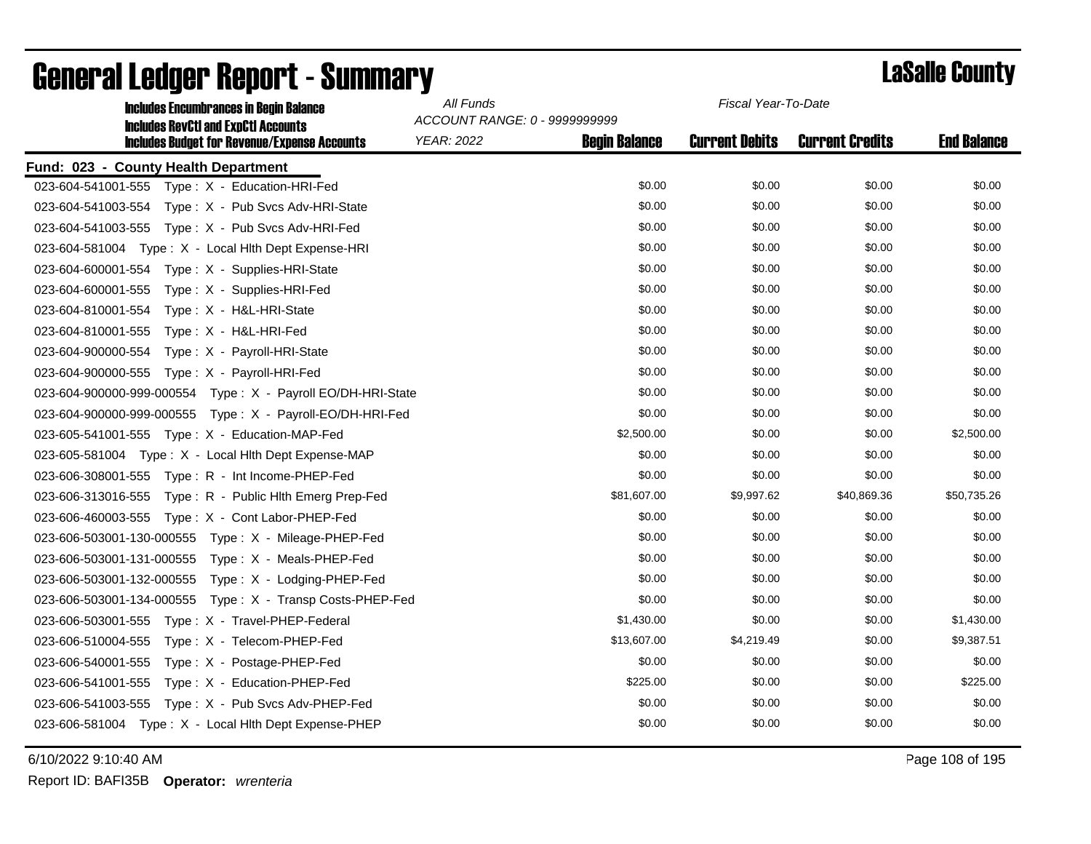| <b>Includes Encumbrances in Begin Balance</b>                | All Funds<br>Fiscal Year-To-Date<br>ACCOUNT RANGE: 0 - 9999999999 |                      |                       |                        |                    |
|--------------------------------------------------------------|-------------------------------------------------------------------|----------------------|-----------------------|------------------------|--------------------|
| <b>Includes RevCtI and ExpCtI Accounts</b>                   |                                                                   |                      |                       |                        |                    |
| <b>Includes Budget for Revenue/Expense Accounts</b>          | <b>YEAR: 2022</b>                                                 | <b>Begin Balance</b> | <b>Current Debits</b> | <b>Current Credits</b> | <b>End Balance</b> |
| Fund: 023 - County Health Department                         |                                                                   |                      |                       |                        |                    |
|                                                              |                                                                   | \$0.00               | \$0.00                | \$0.00                 | \$0.00             |
|                                                              |                                                                   | \$0.00               | \$0.00                | \$0.00                 | \$0.00             |
|                                                              |                                                                   | \$0.00               | \$0.00                | \$0.00                 | \$0.00             |
| 023-604-581004 Type: X - Local Hith Dept Expense-HRI         |                                                                   | \$0.00               | \$0.00                | \$0.00                 | \$0.00             |
|                                                              |                                                                   | \$0.00               | \$0.00                | \$0.00                 | \$0.00             |
| 023-604-600001-555<br>Type: X - Supplies-HRI-Fed             |                                                                   | \$0.00               | \$0.00                | \$0.00                 | \$0.00             |
| 023-604-810001-554<br>Type: X - H&L-HRI-State                |                                                                   | \$0.00               | \$0.00                | \$0.00                 | \$0.00             |
| Type: X - H&L-HRI-Fed<br>023-604-810001-555                  |                                                                   | \$0.00               | \$0.00                | \$0.00                 | \$0.00             |
| 023-604-900000-554<br>Type: X - Payroll-HRI-State            |                                                                   | \$0.00               | \$0.00                | \$0.00                 | \$0.00             |
|                                                              |                                                                   | \$0.00               | \$0.00                | \$0.00                 | \$0.00             |
|                                                              |                                                                   | \$0.00               | \$0.00                | \$0.00                 | \$0.00             |
| 023-604-900000-999-000555    Type: X - Payroll-EO/DH-HRI-Fed |                                                                   | \$0.00               | \$0.00                | \$0.00                 | \$0.00             |
|                                                              |                                                                   | \$2,500.00           | \$0.00                | \$0.00                 | \$2,500.00         |
| 023-605-581004 Type: X - Local Hith Dept Expense-MAP         |                                                                   | \$0.00               | \$0.00                | \$0.00                 | \$0.00             |
| 023-606-308001-555    Type: R - Int Income-PHEP-Fed          |                                                                   | \$0.00               | \$0.00                | \$0.00                 | \$0.00             |
|                                                              |                                                                   | \$81,607.00          | \$9,997.62            | \$40,869.36            | \$50,735.26        |
|                                                              |                                                                   | \$0.00               | \$0.00                | \$0.00                 | \$0.00             |
| 023-606-503001-130-000555    Type: X - Mileage-PHEP-Fed      |                                                                   | \$0.00               | \$0.00                | \$0.00                 | \$0.00             |
| 023-606-503001-131-000555<br>Type: X - Meals-PHEP-Fed        |                                                                   | \$0.00               | \$0.00                | \$0.00                 | \$0.00             |
| 023-606-503001-132-000555<br>Type: X - Lodging-PHEP-Fed      |                                                                   | \$0.00               | \$0.00                | \$0.00                 | \$0.00             |
| 023-606-503001-134-000555    Type: X - Transp Costs-PHEP-Fed |                                                                   | \$0.00               | \$0.00                | \$0.00                 | \$0.00             |
|                                                              |                                                                   | \$1,430.00           | \$0.00                | \$0.00                 | \$1,430.00         |
| 023-606-510004-555<br>Type: X - Telecom-PHEP-Fed             |                                                                   | \$13,607.00          | \$4,219.49            | \$0.00                 | \$9,387.51         |
|                                                              |                                                                   | \$0.00               | \$0.00                | \$0.00                 | \$0.00             |
| Type: X - Education-PHEP-Fed<br>023-606-541001-555           |                                                                   | \$225.00             | \$0.00                | \$0.00                 | \$225.00           |
|                                                              |                                                                   | \$0.00               | \$0.00                | \$0.00                 | \$0.00             |
| 023-606-581004 Type: X - Local Hith Dept Expense-PHEP        |                                                                   | \$0.00               | \$0.00                | \$0.00                 | \$0.00             |

6/10/2022 9:10:40 AM Page 108 of 195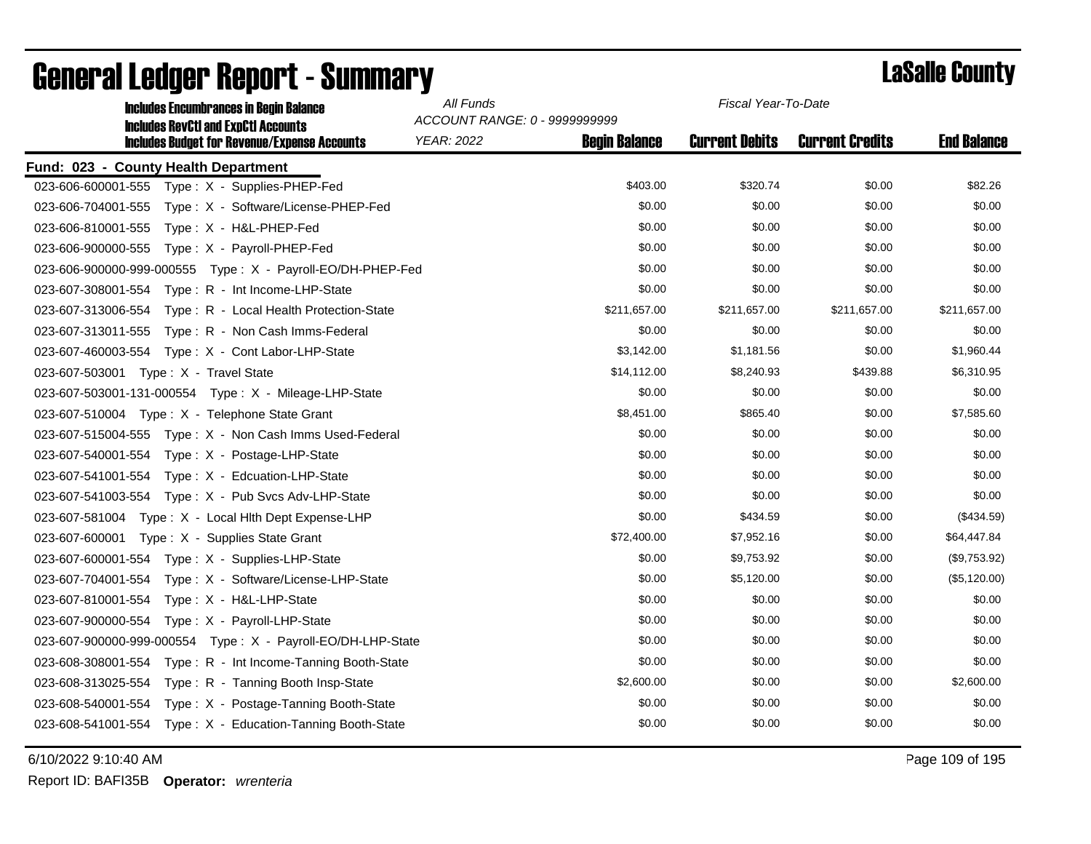| <b>Includes Encumbrances in Begin Balance</b>                 | All Funds                     | Fiscal Year-To-Date  |                       |                        |                    |  |
|---------------------------------------------------------------|-------------------------------|----------------------|-----------------------|------------------------|--------------------|--|
| <b>Includes RevCtI and ExpCtI Accounts</b>                    | ACCOUNT RANGE: 0 - 9999999999 |                      |                       |                        |                    |  |
| <b>Includes Budget for Revenue/Expense Accounts</b>           | YEAR: 2022                    | <b>Begin Balance</b> | <b>Current Debits</b> | <b>Current Credits</b> | <b>End Balance</b> |  |
| Fund: 023 - County Health Department                          |                               |                      |                       |                        |                    |  |
|                                                               |                               | \$403.00             | \$320.74              | \$0.00                 | \$82.26            |  |
| Type: X - Software/License-PHEP-Fed<br>023-606-704001-555     |                               | \$0.00               | \$0.00                | \$0.00                 | \$0.00             |  |
| 023-606-810001-555<br>Type: X - H&L-PHEP-Fed                  |                               | \$0.00               | \$0.00                | \$0.00                 | \$0.00             |  |
| 023-606-900000-555<br>Type: X - Payroll-PHEP-Fed              |                               | \$0.00               | \$0.00                | \$0.00                 | \$0.00             |  |
|                                                               |                               | \$0.00               | \$0.00                | \$0.00                 | \$0.00             |  |
|                                                               |                               | \$0.00               | \$0.00                | \$0.00                 | \$0.00             |  |
| Type: R - Local Health Protection-State<br>023-607-313006-554 |                               | \$211,657.00         | \$211,657.00          | \$211,657.00           | \$211,657.00       |  |
| 023-607-313011-555    Type: R - Non Cash Imms-Federal         |                               | \$0.00               | \$0.00                | \$0.00                 | \$0.00             |  |
|                                                               |                               | \$3,142.00           | \$1,181.56            | \$0.00                 | \$1,960.44         |  |
| 023-607-503001 Type: X - Travel State                         |                               | \$14,112.00          | \$8,240.93            | \$439.88               | \$6,310.95         |  |
| 023-607-503001-131-000554    Type: X - Mileage-LHP-State      |                               | \$0.00               | \$0.00                | \$0.00                 | \$0.00             |  |
| 023-607-510004 Type: X - Telephone State Grant                |                               | \$8,451.00           | \$865.40              | \$0.00                 | \$7,585.60         |  |
| 023-607-515004-555 Type: X - Non Cash Imms Used-Federal       |                               | \$0.00               | \$0.00                | \$0.00                 | \$0.00             |  |
| 023-607-540001-554 Type: X - Postage-LHP-State                |                               | \$0.00               | \$0.00                | \$0.00                 | \$0.00             |  |
|                                                               |                               | \$0.00               | \$0.00                | \$0.00                 | \$0.00             |  |
|                                                               |                               | \$0.00               | \$0.00                | \$0.00                 | \$0.00             |  |
| 023-607-581004 Type: X - Local Hith Dept Expense-LHP          |                               | \$0.00               | \$434.59              | \$0.00                 | (\$434.59)         |  |
| 023-607-600001 Type: X - Supplies State Grant                 |                               | \$72,400.00          | \$7,952.16            | \$0.00                 | \$64,447.84        |  |
|                                                               |                               | \$0.00               | \$9,753.92            | \$0.00                 | (\$9,753.92)       |  |
| 023-607-704001-554 Type: X - Software/License-LHP-State       |                               | \$0.00               | \$5,120.00            | \$0.00                 | (\$5,120.00)       |  |
| 023-607-810001-554<br>Type: X - H&L-LHP-State                 |                               | \$0.00               | \$0.00                | \$0.00                 | \$0.00             |  |
| 023-607-900000-554 Type: X - Payroll-LHP-State                |                               | \$0.00               | \$0.00                | \$0.00                 | \$0.00             |  |
|                                                               |                               | \$0.00               | \$0.00                | \$0.00                 | \$0.00             |  |
| 023-608-308001-554 Type: R - Int Income-Tanning Booth-State   |                               | \$0.00               | \$0.00                | \$0.00                 | \$0.00             |  |
| 023-608-313025-554 Type: R - Tanning Booth Insp-State         |                               | \$2,600.00           | \$0.00                | \$0.00                 | \$2,600.00         |  |
| 023-608-540001-554<br>Type: X - Postage-Tanning Booth-State   |                               | \$0.00               | \$0.00                | \$0.00                 | \$0.00             |  |
| 023-608-541001-554 Type: X - Education-Tanning Booth-State    |                               | \$0.00               | \$0.00                | \$0.00                 | \$0.00             |  |
|                                                               |                               |                      |                       |                        |                    |  |

## General Ledger Report - Summary LaSalle County

6/10/2022 9:10:40 AM Page 109 of 195

Report ID: BAFI35B **Operator:** *wrenteria*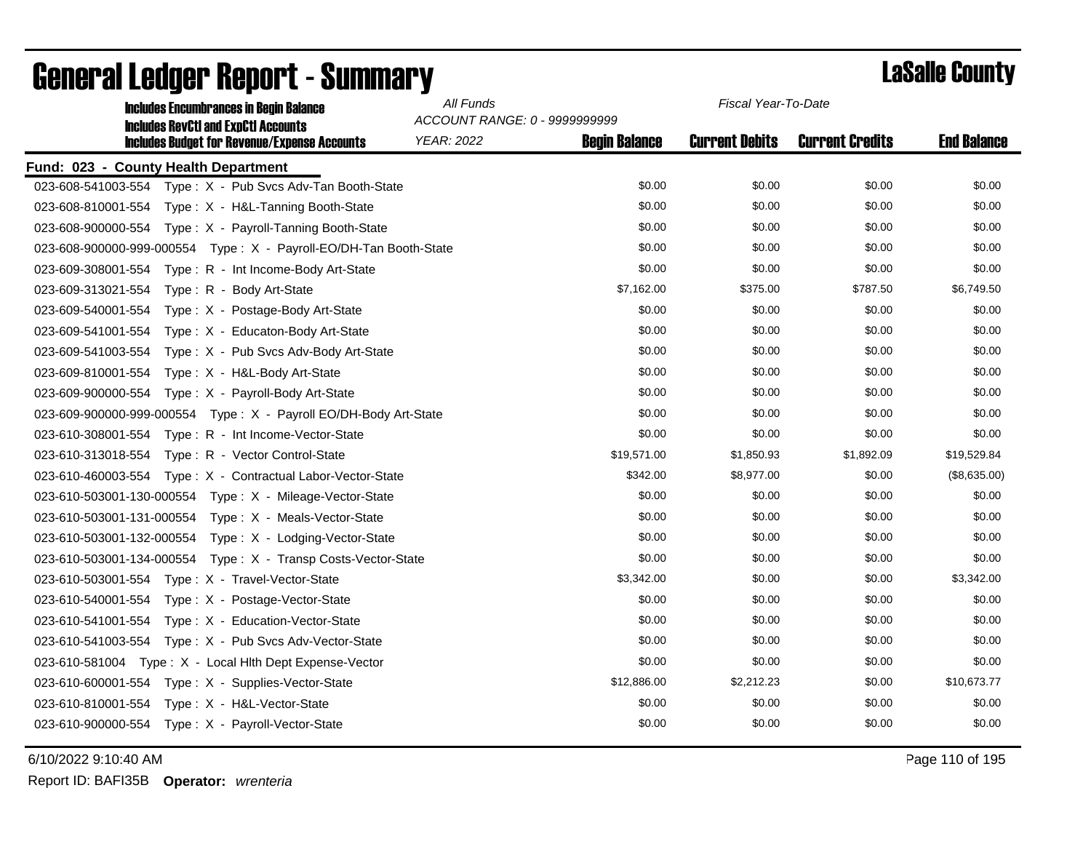| <b>Includes Encumbrances in Begin Balance</b>                        | Fiscal Year-To-Date<br>All Funds<br>ACCOUNT RANGE: 0 - 9999999999 |                      |                       |                        |                    |
|----------------------------------------------------------------------|-------------------------------------------------------------------|----------------------|-----------------------|------------------------|--------------------|
| <b>Includes RevCtI and ExpCtI Accounts</b>                           |                                                                   |                      |                       |                        |                    |
| <b>Includes Budget for Revenue/Expense Accounts</b>                  | <b>YEAR: 2022</b>                                                 | <b>Begin Balance</b> | <b>Current Debits</b> | <b>Current Credits</b> | <b>End Balance</b> |
| Fund: 023 - County Health Department                                 |                                                                   |                      |                       |                        |                    |
|                                                                      |                                                                   | \$0.00               | \$0.00                | \$0.00                 | \$0.00             |
| 023-608-810001-554    Type: X - H&L-Tanning Booth-State              |                                                                   | \$0.00               | \$0.00                | \$0.00                 | \$0.00             |
| 023-608-900000-554 Type: X - Payroll-Tanning Booth-State             |                                                                   | \$0.00               | \$0.00                | \$0.00                 | \$0.00             |
| 023-608-900000-999-000554    Type: X - Payroll-EO/DH-Tan Booth-State |                                                                   | \$0.00               | \$0.00                | \$0.00                 | \$0.00             |
| 023-609-308001-554 Type: R - Int Income-Body Art-State               |                                                                   | \$0.00               | \$0.00                | \$0.00                 | \$0.00             |
| Type: R - Body Art-State<br>023-609-313021-554                       |                                                                   | \$7,162.00           | \$375.00              | \$787.50               | \$6,749.50         |
| Type: X - Postage-Body Art-State<br>023-609-540001-554               |                                                                   | \$0.00               | \$0.00                | \$0.00                 | \$0.00             |
| 023-609-541001-554<br>Type: X - Educaton-Body Art-State              |                                                                   | \$0.00               | \$0.00                | \$0.00                 | \$0.00             |
| 023-609-541003-554<br>Type: X - Pub Svcs Adv-Body Art-State          |                                                                   | \$0.00               | \$0.00                | \$0.00                 | \$0.00             |
|                                                                      |                                                                   | \$0.00               | \$0.00                | \$0.00                 | \$0.00             |
| Type: X - Payroll-Body Art-State<br>023-609-900000-554               |                                                                   | \$0.00               | \$0.00                | \$0.00                 | \$0.00             |
| 023-609-900000-999-000554 Type: X - Payroll EO/DH-Body Art-State     |                                                                   | \$0.00               | \$0.00                | \$0.00                 | \$0.00             |
|                                                                      |                                                                   | \$0.00               | \$0.00                | \$0.00                 | \$0.00             |
| 023-610-313018-554 Type: R - Vector Control-State                    |                                                                   | \$19,571.00          | \$1,850.93            | \$1,892.09             | \$19,529.84        |
| 023-610-460003-554 Type: X - Contractual Labor-Vector-State          |                                                                   | \$342.00             | \$8,977.00            | \$0.00                 | (\$8,635.00)       |
| 023-610-503001-130-000554    Type: X - Mileage-Vector-State          |                                                                   | \$0.00               | \$0.00                | \$0.00                 | \$0.00             |
| 023-610-503001-131-000554    Type: X - Meals-Vector-State            |                                                                   | \$0.00               | \$0.00                | \$0.00                 | \$0.00             |
| 023-610-503001-132-000554    Type: X - Lodging-Vector-State          |                                                                   | \$0.00               | \$0.00                | \$0.00                 | \$0.00             |
| 023-610-503001-134-000554    Type: X - Transp Costs-Vector-State     |                                                                   | \$0.00               | \$0.00                | \$0.00                 | \$0.00             |
|                                                                      |                                                                   | \$3,342.00           | \$0.00                | \$0.00                 | \$3,342.00         |
|                                                                      |                                                                   | \$0.00               | \$0.00                | \$0.00                 | \$0.00             |
|                                                                      |                                                                   | \$0.00               | \$0.00                | \$0.00                 | \$0.00             |
| 023-610-541003-554 Type: X - Pub Svcs Adv-Vector-State               |                                                                   | \$0.00               | \$0.00                | \$0.00                 | \$0.00             |
| 023-610-581004 Type: X - Local Hith Dept Expense-Vector              |                                                                   | \$0.00               | \$0.00                | \$0.00                 | \$0.00             |
|                                                                      |                                                                   | \$12,886.00          | \$2,212.23            | \$0.00                 | \$10,673.77        |
| Type: X - H&L-Vector-State<br>023-610-810001-554                     |                                                                   | \$0.00               | \$0.00                | \$0.00                 | \$0.00             |
|                                                                      |                                                                   | \$0.00               | \$0.00                | \$0.00                 | \$0.00             |
|                                                                      |                                                                   |                      |                       |                        |                    |

6/10/2022 9:10:40 AM Page 110 of 195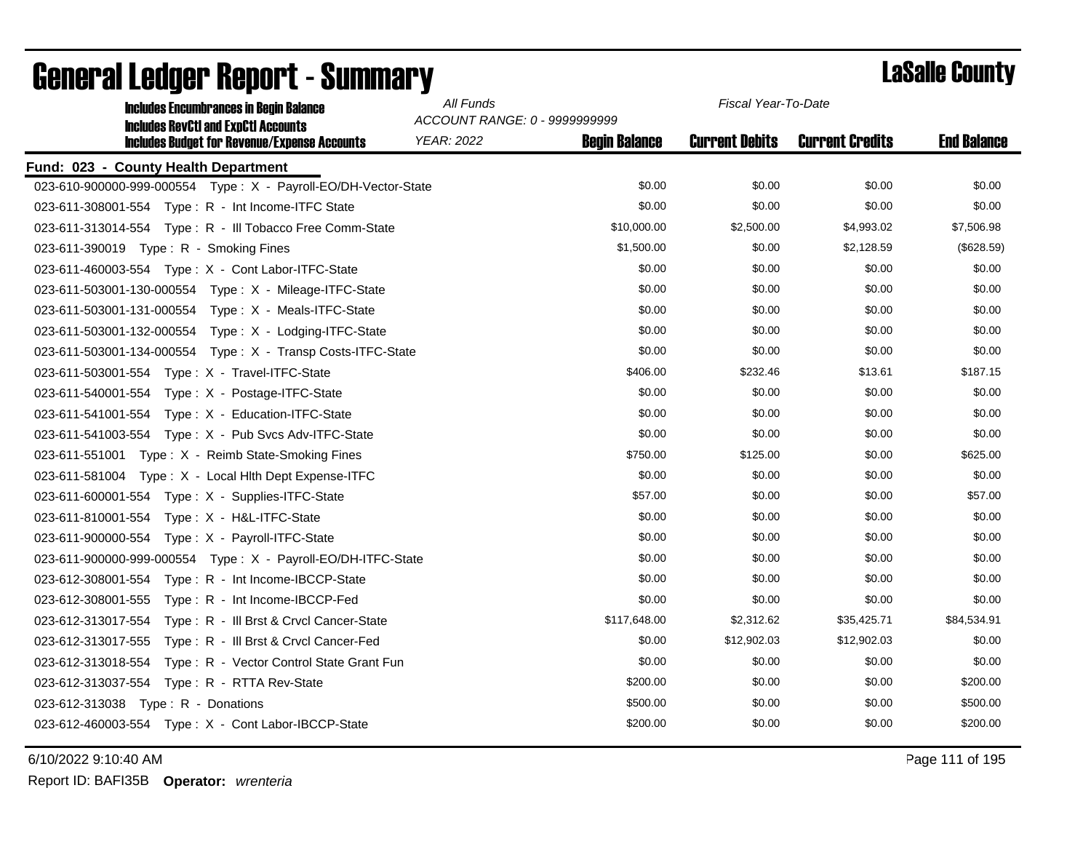| All Funds<br><b>Includes Encumbrances in Begin Balance</b>                                        |                                                    | Fiscal Year-To-Date  |                       |                        |                    |  |
|---------------------------------------------------------------------------------------------------|----------------------------------------------------|----------------------|-----------------------|------------------------|--------------------|--|
| <b>Includes RevCtI and ExpCtI Accounts</b><br><b>Includes Budget for Revenue/Expense Accounts</b> | ACCOUNT RANGE: 0 - 9999999999<br><b>YEAR: 2022</b> | <b>Begin Balance</b> | <b>Current Debits</b> | <b>Current Credits</b> | <b>End Balance</b> |  |
| Fund: 023 - County Health Department                                                              |                                                    |                      |                       |                        |                    |  |
|                                                                                                   |                                                    | \$0.00               | \$0.00                | \$0.00                 | \$0.00             |  |
| 023-611-308001-554    Type: R - Int Income-ITFC State                                             |                                                    | \$0.00               | \$0.00                | \$0.00                 | \$0.00             |  |
| 023-611-313014-554 Type: R - Ill Tobacco Free Comm-State                                          |                                                    | \$10,000.00          | \$2,500.00            | \$4,993.02             | \$7,506.98         |  |
| 023-611-390019 Type: R - Smoking Fines                                                            |                                                    | \$1,500.00           | \$0.00                | \$2,128.59             | (\$628.59)         |  |
|                                                                                                   |                                                    | \$0.00               | \$0.00                | \$0.00                 | \$0.00             |  |
| 023-611-503001-130-000554    Type: X - Mileage-ITFC-State                                         |                                                    | \$0.00               | \$0.00                | \$0.00                 | \$0.00             |  |
|                                                                                                   |                                                    | \$0.00               | \$0.00                | \$0.00                 | \$0.00             |  |
| 023-611-503001-132-000554    Type: X - Lodging-ITFC-State                                         |                                                    | \$0.00               | \$0.00                | \$0.00                 | \$0.00             |  |
| 023-611-503001-134-000554    Type: X - Transp Costs-ITFC-State                                    |                                                    | \$0.00               | \$0.00                | \$0.00                 | \$0.00             |  |
|                                                                                                   |                                                    | \$406.00             | \$232.46              | \$13.61                | \$187.15           |  |
|                                                                                                   |                                                    | \$0.00               | \$0.00                | \$0.00                 | \$0.00             |  |
|                                                                                                   |                                                    | \$0.00               | \$0.00                | \$0.00                 | \$0.00             |  |
| 023-611-541003-554 Type: X - Pub Svcs Adv-ITFC-State                                              |                                                    | \$0.00               | \$0.00                | \$0.00                 | \$0.00             |  |
| 023-611-551001 Type: X - Reimb State-Smoking Fines                                                |                                                    | \$750.00             | \$125.00              | \$0.00                 | \$625.00           |  |
| 023-611-581004 Type: X - Local Hith Dept Expense-ITFC                                             |                                                    | \$0.00               | \$0.00                | \$0.00                 | \$0.00             |  |
|                                                                                                   |                                                    | \$57.00              | \$0.00                | \$0.00                 | \$57.00            |  |
|                                                                                                   |                                                    | \$0.00               | \$0.00                | \$0.00                 | \$0.00             |  |
|                                                                                                   |                                                    | \$0.00               | \$0.00                | \$0.00                 | \$0.00             |  |
|                                                                                                   |                                                    | \$0.00               | \$0.00                | \$0.00                 | \$0.00             |  |
| 023-612-308001-554 Type: R - Int Income-IBCCP-State                                               |                                                    | \$0.00               | \$0.00                | \$0.00                 | \$0.00             |  |
| Type: R - Int Income-IBCCP-Fed<br>023-612-308001-555                                              |                                                    | \$0.00               | \$0.00                | \$0.00                 | \$0.00             |  |
| 023-612-313017-554 Type: R - III Brst & Crycl Cancer-State                                        |                                                    | \$117,648.00         | \$2,312.62            | \$35,425.71            | \$84,534.91        |  |
| 023-612-313017-555    Type: R - III Brst & Crvcl Cancer-Fed                                       |                                                    | \$0.00               | \$12,902.03           | \$12,902.03            | \$0.00             |  |
| 023-612-313018-554 Type: R - Vector Control State Grant Fun                                       |                                                    | \$0.00               | \$0.00                | \$0.00                 | \$0.00             |  |
| 023-612-313037-554 Type: R - RTTA Rev-State                                                       |                                                    | \$200.00             | \$0.00                | \$0.00                 | \$200.00           |  |
| 023-612-313038    Type: R - Donations                                                             |                                                    | \$500.00             | \$0.00                | \$0.00                 | \$500.00           |  |
|                                                                                                   |                                                    | \$200.00             | \$0.00                | \$0.00                 | \$200.00           |  |
|                                                                                                   |                                                    |                      |                       |                        |                    |  |

## General Ledger Report - Summary LaSalle County

6/10/2022 9:10:40 AM Page 111 of 195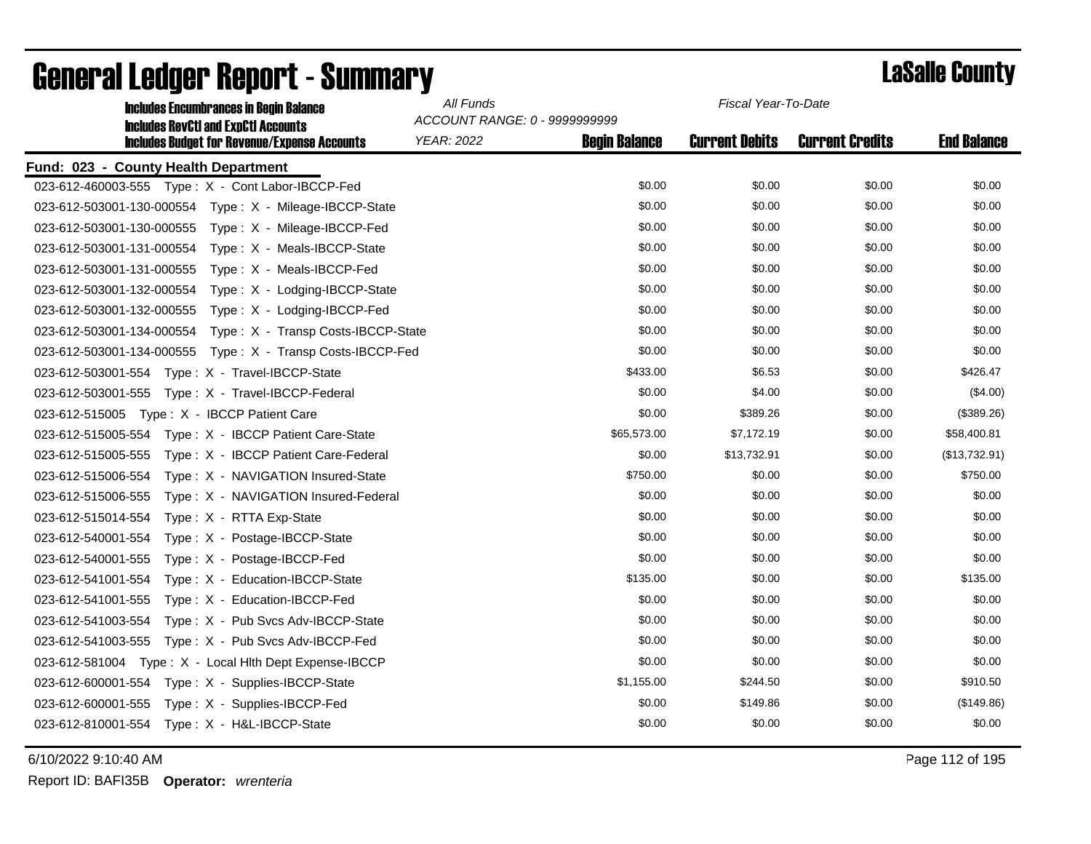| <b>Includes Encumbrances in Begin Balance</b>                   | All Funds<br>Fiscal Year-To-Date |                      |                       |                        |                    |
|-----------------------------------------------------------------|----------------------------------|----------------------|-----------------------|------------------------|--------------------|
| <b>Includes RevCtI and ExpCtI Accounts</b>                      | ACCOUNT RANGE: 0 - 9999999999    |                      |                       |                        |                    |
| <b>Includes Budget for Revenue/Expense Accounts</b>             | <b>YEAR: 2022</b>                | <b>Begin Balance</b> | <b>Current Debits</b> | <b>Current Credits</b> | <b>End Balance</b> |
| Fund: 023 - County Health Department                            |                                  |                      |                       |                        |                    |
|                                                                 |                                  | \$0.00               | \$0.00                | \$0.00                 | \$0.00             |
| 023-612-503001-130-000554    Type: X - Mileage-IBCCP-State      |                                  | \$0.00               | \$0.00                | \$0.00                 | \$0.00             |
| Type: X - Mileage-IBCCP-Fed<br>023-612-503001-130-000555        |                                  | \$0.00               | \$0.00                | \$0.00                 | \$0.00             |
| Type: X - Meals-IBCCP-State<br>023-612-503001-131-000554        |                                  | \$0.00               | \$0.00                | \$0.00                 | \$0.00             |
| 023-612-503001-131-000555<br>Type: X - Meals-IBCCP-Fed          |                                  | \$0.00               | \$0.00                | \$0.00                 | \$0.00             |
| 023-612-503001-132-000554<br>Type: X - Lodging-IBCCP-State      |                                  | \$0.00               | \$0.00                | \$0.00                 | \$0.00             |
| 023-612-503001-132-000555<br>Type: X - Lodging-IBCCP-Fed        |                                  | \$0.00               | \$0.00                | \$0.00                 | \$0.00             |
| Type: X - Transp Costs-IBCCP-State<br>023-612-503001-134-000554 |                                  | \$0.00               | \$0.00                | \$0.00                 | \$0.00             |
| 023-612-503001-134-000555    Type: X - Transp Costs-IBCCP-Fed   |                                  | \$0.00               | \$0.00                | \$0.00                 | \$0.00             |
|                                                                 |                                  | \$433.00             | \$6.53                | \$0.00                 | \$426.47           |
|                                                                 |                                  | \$0.00               | \$4.00                | \$0.00                 | (\$4.00)           |
| 023-612-515005 Type: X - IBCCP Patient Care                     |                                  | \$0.00               | \$389.26              | \$0.00                 | (\$389.26)         |
| 023-612-515005-554    Type: X - IBCCP    Patient Care-State     |                                  | \$65,573.00          | \$7,172.19            | \$0.00                 | \$58,400.81        |
| Type: X - IBCCP Patient Care-Federal<br>023-612-515005-555      |                                  | \$0.00               | \$13,732.91           | \$0.00                 | (\$13,732.91)      |
| 023-612-515006-554<br>Type: X - NAVIGATION Insured-State        |                                  | \$750.00             | \$0.00                | \$0.00                 | \$750.00           |
| 023-612-515006-555<br>Type: X - NAVIGATION Insured-Federal      |                                  | \$0.00               | \$0.00                | \$0.00                 | \$0.00             |
| 023-612-515014-554<br>Type: X - RTTA Exp-State                  |                                  | \$0.00               | \$0.00                | \$0.00                 | \$0.00             |
| Type: X - Postage-IBCCP-State<br>023-612-540001-554             |                                  | \$0.00               | \$0.00                | \$0.00                 | \$0.00             |
| 023-612-540001-555<br>Type: X - Postage-IBCCP-Fed               |                                  | \$0.00               | \$0.00                | \$0.00                 | \$0.00             |
| 023-612-541001-554<br>Type: X - Education-IBCCP-State           |                                  | \$135.00             | \$0.00                | \$0.00                 | \$135.00           |
| Type: X - Education-IBCCP-Fed<br>023-612-541001-555             |                                  | \$0.00               | \$0.00                | \$0.00                 | \$0.00             |
| Type: X - Pub Svcs Adv-IBCCP-State<br>023-612-541003-554        |                                  | \$0.00               | \$0.00                | \$0.00                 | \$0.00             |
| Type: X - Pub Svcs Adv-IBCCP-Fed<br>023-612-541003-555          |                                  | \$0.00               | \$0.00                | \$0.00                 | \$0.00             |
| 023-612-581004 Type: X - Local Hith Dept Expense-IBCCP          |                                  | \$0.00               | \$0.00                | \$0.00                 | \$0.00             |
|                                                                 |                                  | \$1,155.00           | \$244.50              | \$0.00                 | \$910.50           |
| Type: X - Supplies-IBCCP-Fed<br>023-612-600001-555              |                                  | \$0.00               | \$149.86              | \$0.00                 | (\$149.86)         |
| 023-612-810001-554 Type: X - H&L-IBCCP-State                    |                                  | \$0.00               | \$0.00                | \$0.00                 | \$0.00             |
|                                                                 |                                  |                      |                       |                        |                    |

6/10/2022 9:10:40 AM Page 112 of 195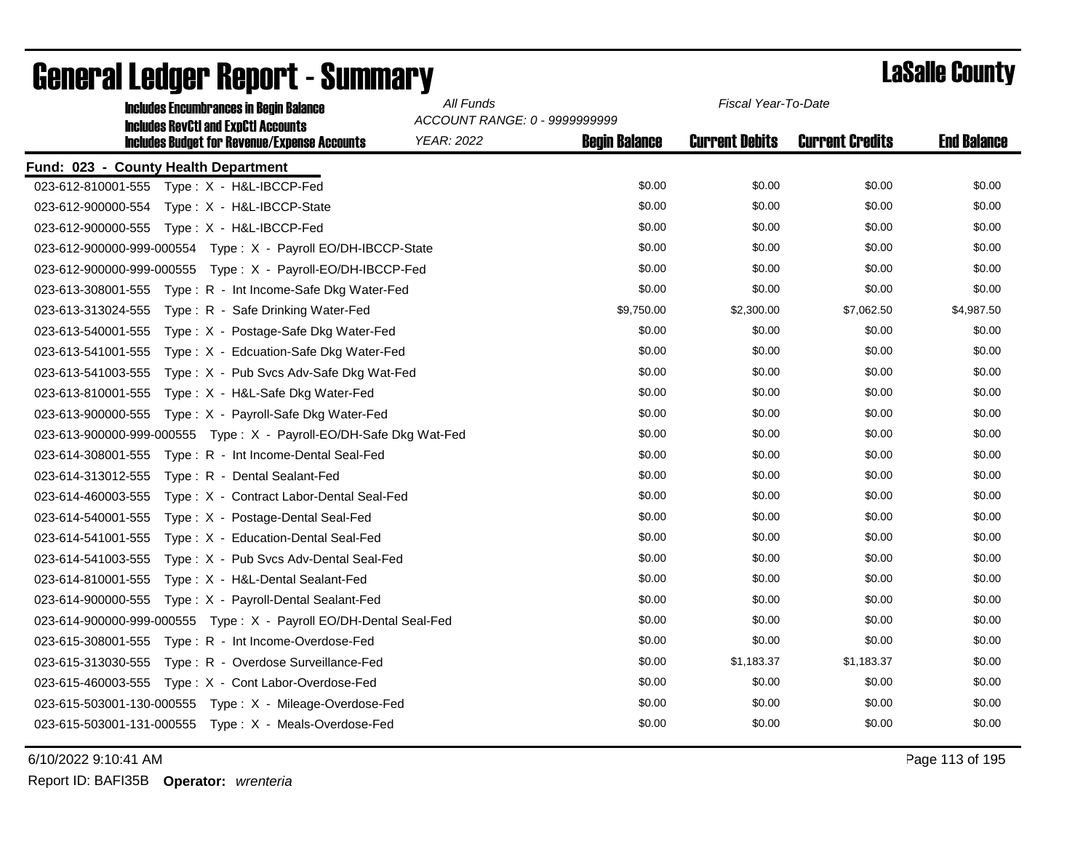| <b>Includes Encumbrances in Begin Balance</b>                                                     | All Funds         | Fiscal Year-To-Date<br>ACCOUNT RANGE: 0 - 9999999999 |                       |                        |                    |  |
|---------------------------------------------------------------------------------------------------|-------------------|------------------------------------------------------|-----------------------|------------------------|--------------------|--|
| <b>Includes RevCtI and ExpCtI Accounts</b><br><b>Includes Budget for Revenue/Expense Accounts</b> | <b>YEAR: 2022</b> | <b>Begin Balance</b>                                 | <b>Current Debits</b> | <b>Current Credits</b> | <b>End Balance</b> |  |
| Fund: 023 - County Health Department                                                              |                   |                                                      |                       |                        |                    |  |
|                                                                                                   |                   | \$0.00                                               | \$0.00                | \$0.00                 | \$0.00             |  |
|                                                                                                   |                   | \$0.00                                               | \$0.00                | \$0.00                 | \$0.00             |  |
|                                                                                                   |                   | \$0.00                                               | \$0.00                | \$0.00                 | \$0.00             |  |
| 023-612-900000-999-000554    Type: X - Payroll EO/DH-IBCCP-State                                  |                   | \$0.00                                               | \$0.00                | \$0.00                 | \$0.00             |  |
| 023-612-900000-999-000555    Type: X - Payroll-EO/DH-IBCCP-Fed                                    |                   | \$0.00                                               | \$0.00                | \$0.00                 | \$0.00             |  |
| Type: R - Int Income-Safe Dkg Water-Fed<br>023-613-308001-555                                     |                   | \$0.00                                               | \$0.00                | \$0.00                 | \$0.00             |  |
| Type: R - Safe Drinking Water-Fed<br>023-613-313024-555                                           |                   | \$9,750.00                                           | \$2,300.00            | \$7,062.50             | \$4,987.50         |  |
| 023-613-540001-555<br>Type: X - Postage-Safe Dkg Water-Fed                                        |                   | \$0.00                                               | \$0.00                | \$0.00                 | \$0.00             |  |
| 023-613-541001-555<br>Type: X - Edcuation-Safe Dkg Water-Fed                                      |                   | \$0.00                                               | \$0.00                | \$0.00                 | \$0.00             |  |
| 023-613-541003-555<br>Type: X - Pub Svcs Adv-Safe Dkg Wat-Fed                                     |                   | \$0.00                                               | \$0.00                | \$0.00                 | \$0.00             |  |
| 023-613-810001-555<br>Type: X - H&L-Safe Dkg Water-Fed                                            |                   | \$0.00                                               | \$0.00                | \$0.00                 | \$0.00             |  |
| 023-613-900000-555<br>Type: X - Payroll-Safe Dkg Water-Fed                                        |                   | \$0.00                                               | \$0.00                | \$0.00                 | \$0.00             |  |
| 023-613-900000-999-000555    Type: X - Payroll-EO/DH-Safe Dkg Wat-Fed                             |                   | \$0.00                                               | \$0.00                | \$0.00                 | \$0.00             |  |
| Type: R - Int Income-Dental Seal-Fed<br>023-614-308001-555                                        |                   | \$0.00                                               | \$0.00                | \$0.00                 | \$0.00             |  |
| 023-614-313012-555<br>Type: R - Dental Sealant-Fed                                                |                   | \$0.00                                               | \$0.00                | \$0.00                 | \$0.00             |  |
| Type: X - Contract Labor-Dental Seal-Fed<br>023-614-460003-555                                    |                   | \$0.00                                               | \$0.00                | \$0.00                 | \$0.00             |  |
| 023-614-540001-555<br>Type: X - Postage-Dental Seal-Fed                                           |                   | \$0.00                                               | \$0.00                | \$0.00                 | \$0.00             |  |
| Type: X - Education-Dental Seal-Fed<br>023-614-541001-555                                         |                   | \$0.00                                               | \$0.00                | \$0.00                 | \$0.00             |  |
| Type: X - Pub Svcs Adv-Dental Seal-Fed<br>023-614-541003-555                                      |                   | \$0.00                                               | \$0.00                | \$0.00                 | \$0.00             |  |
| Type: X - H&L-Dental Sealant-Fed<br>023-614-810001-555                                            |                   | \$0.00                                               | \$0.00                | \$0.00                 | \$0.00             |  |
| 023-614-900000-555<br>Type: X - Payroll-Dental Sealant-Fed                                        |                   | \$0.00                                               | \$0.00                | \$0.00                 | \$0.00             |  |
| 023-614-900000-999-000555    Type: X - Payroll EO/DH-Dental Seal-Fed                              |                   | \$0.00                                               | \$0.00                | \$0.00                 | \$0.00             |  |
| 023-615-308001-555    Type: R - Int Income-Overdose-Fed                                           |                   | \$0.00                                               | \$0.00                | \$0.00                 | \$0.00             |  |
| 023-615-313030-555<br>Type: R - Overdose Surveillance-Fed                                         |                   | \$0.00                                               | \$1,183.37            | \$1,183.37             | \$0.00             |  |
|                                                                                                   |                   | \$0.00                                               | \$0.00                | \$0.00                 | \$0.00             |  |
| 023-615-503001-130-000555    Type: X - Mileage-Overdose-Fed                                       |                   | \$0.00                                               | \$0.00                | \$0.00                 | \$0.00             |  |
| 023-615-503001-131-000555    Type: X - Meals-Overdose-Fed                                         |                   | \$0.00                                               | \$0.00                | \$0.00                 | \$0.00             |  |

6/10/2022 9:10:41 AM Page 113 of 195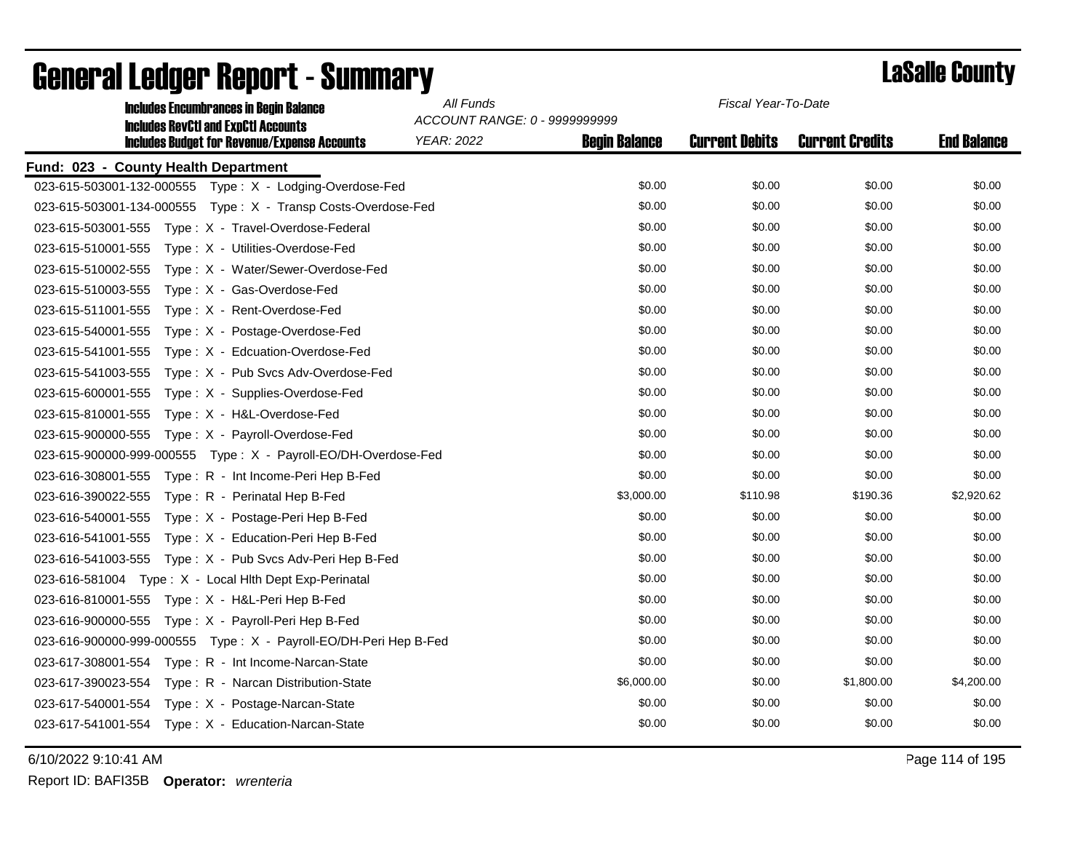| <b>Includes Encumbrances in Begin Balance</b>                                                     | All Funds                                          | Fiscal Year-To-Date  |                       |                        |                    |
|---------------------------------------------------------------------------------------------------|----------------------------------------------------|----------------------|-----------------------|------------------------|--------------------|
| <b>Includes RevCtI and ExpCtI Accounts</b><br><b>Includes Budget for Revenue/Expense Accounts</b> | ACCOUNT RANGE: 0 - 9999999999<br><b>YEAR: 2022</b> | <b>Begin Balance</b> | <b>Current Debits</b> | <b>Current Credits</b> | <b>End Balance</b> |
|                                                                                                   |                                                    |                      |                       |                        |                    |
| Fund: 023 - County Health Department                                                              |                                                    |                      |                       |                        |                    |
| 023-615-503001-132-000555    Type: X - Lodging-Overdose-Fed                                       |                                                    | \$0.00               | \$0.00                | \$0.00                 | \$0.00             |
| 023-615-503001-134-000555    Type: X - Transp Costs-Overdose-Fed                                  |                                                    | \$0.00               | \$0.00                | \$0.00                 | \$0.00             |
|                                                                                                   |                                                    | \$0.00               | \$0.00                | \$0.00                 | \$0.00             |
| 023-615-510001-555<br>Type: X - Utilities-Overdose-Fed                                            |                                                    | \$0.00               | \$0.00                | \$0.00                 | \$0.00             |
| 023-615-510002-555<br>Type: X - Water/Sewer-Overdose-Fed                                          |                                                    | \$0.00               | \$0.00                | \$0.00                 | \$0.00             |
| 023-615-510003-555<br>Type: X - Gas-Overdose-Fed                                                  |                                                    | \$0.00               | \$0.00                | \$0.00                 | \$0.00             |
| 023-615-511001-555<br>Type: X - Rent-Overdose-Fed                                                 |                                                    | \$0.00               | \$0.00                | \$0.00                 | \$0.00             |
| Type: X - Postage-Overdose-Fed<br>023-615-540001-555                                              |                                                    | \$0.00               | \$0.00                | \$0.00                 | \$0.00             |
| 023-615-541001-555<br>Type: X - Edcuation-Overdose-Fed                                            |                                                    | \$0.00               | \$0.00                | \$0.00                 | \$0.00             |
| 023-615-541003-555<br>Type: X - Pub Svcs Adv-Overdose-Fed                                         |                                                    | \$0.00               | \$0.00                | \$0.00                 | \$0.00             |
| 023-615-600001-555<br>Type: X - Supplies-Overdose-Fed                                             |                                                    | \$0.00               | \$0.00                | \$0.00                 | \$0.00             |
| 023-615-810001-555<br>Type: X - H&L-Overdose-Fed                                                  |                                                    | \$0.00               | \$0.00                | \$0.00                 | \$0.00             |
|                                                                                                   |                                                    | \$0.00               | \$0.00                | \$0.00                 | \$0.00             |
| 023-615-900000-999-000555    Type: X - Payroll-EO/DH-Overdose-Fed                                 |                                                    | \$0.00               | \$0.00                | \$0.00                 | \$0.00             |
| 023-616-308001-555    Type: R - Int Income-Peri Hep B-Fed                                         |                                                    | \$0.00               | \$0.00                | \$0.00                 | \$0.00             |
| Type: R - Perinatal Hep B-Fed<br>023-616-390022-555                                               |                                                    | \$3,000.00           | \$110.98              | \$190.36               | \$2,920.62         |
|                                                                                                   |                                                    | \$0.00               | \$0.00                | \$0.00                 | \$0.00             |
| 023-616-541001-555    Type: X - Education-Peri Hep B-Fed                                          |                                                    | \$0.00               | \$0.00                | \$0.00                 | \$0.00             |
| 023-616-541003-555 Type: X - Pub Svcs Adv-Peri Hep B-Fed                                          |                                                    | \$0.00               | \$0.00                | \$0.00                 | \$0.00             |
| 023-616-581004 Type: X - Local Hith Dept Exp-Perinatal                                            |                                                    | \$0.00               | \$0.00                | \$0.00                 | \$0.00             |
|                                                                                                   |                                                    | \$0.00               | \$0.00                | \$0.00                 | \$0.00             |
|                                                                                                   |                                                    | \$0.00               | \$0.00                | \$0.00                 | \$0.00             |
| 023-616-900000-999-000555    Type: X - Payroll-EO/DH-Peri Hep B-Fed                               |                                                    | \$0.00               | \$0.00                | \$0.00                 | \$0.00             |
|                                                                                                   |                                                    | \$0.00               | \$0.00                | \$0.00                 | \$0.00             |
| 023-617-390023-554 Type: R - Narcan Distribution-State                                            |                                                    | \$6,000.00           | \$0.00                | \$1,800.00             | \$4,200.00         |
| 023-617-540001-554<br>Type: X - Postage-Narcan-State                                              |                                                    | \$0.00               | \$0.00                | \$0.00                 | \$0.00             |
|                                                                                                   |                                                    | \$0.00               | \$0.00                | \$0.00                 | \$0.00             |
|                                                                                                   |                                                    |                      |                       |                        |                    |

6/10/2022 9:10:41 AM Page 114 of 195

Report ID: BAFI35B **Operator:** *wrenteria*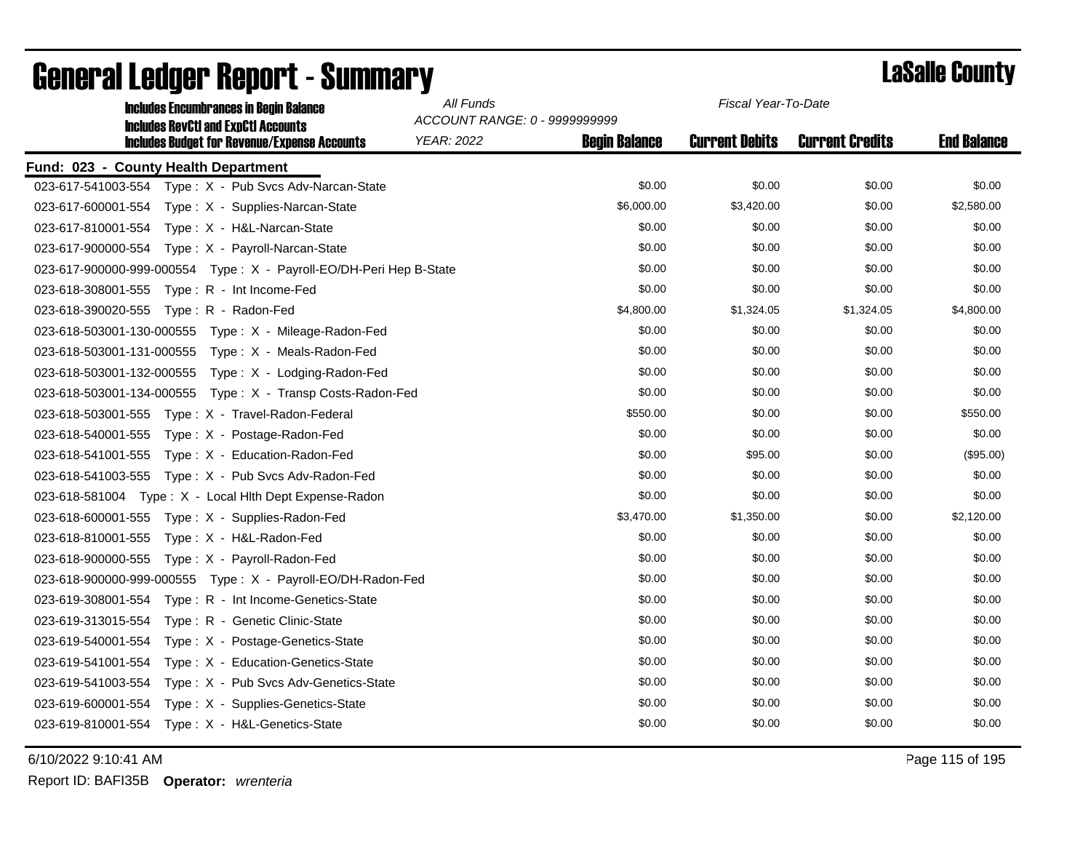| <b>Includes Encumbrances in Begin Balance</b>                         | All Funds                     | Fiscal Year-To-Date  |                       |                        |                    |
|-----------------------------------------------------------------------|-------------------------------|----------------------|-----------------------|------------------------|--------------------|
| <b>Includes RevCtI and ExpCtI Accounts</b>                            | ACCOUNT RANGE: 0 - 9999999999 |                      |                       |                        |                    |
| <b>Includes Budget for Revenue/Expense Accounts</b>                   | <b>YEAR: 2022</b>             | <b>Begin Balance</b> | <b>Current Debits</b> | <b>Current Credits</b> | <b>End Balance</b> |
| Fund: 023 - County Health Department                                  |                               |                      |                       |                        |                    |
| 023-617-541003-554 Type: X - Pub Svcs Adv-Narcan-State                |                               | \$0.00               | \$0.00                | \$0.00                 | \$0.00             |
|                                                                       |                               | \$6,000.00           | \$3,420.00            | \$0.00                 | \$2,580.00         |
| 023-617-810001-554 Type: X - H&L-Narcan-State                         |                               | \$0.00               | \$0.00                | \$0.00                 | \$0.00             |
|                                                                       |                               | \$0.00               | \$0.00                | \$0.00                 | \$0.00             |
| 023-617-900000-999-000554    Type: X - Payroll-EO/DH-Peri Hep B-State |                               | \$0.00               | \$0.00                | \$0.00                 | \$0.00             |
|                                                                       |                               | \$0.00               | \$0.00                | \$0.00                 | \$0.00             |
|                                                                       |                               | \$4,800.00           | \$1,324.05            | \$1,324.05             | \$4,800.00         |
| 023-618-503001-130-000555    Type: X - Mileage-Radon-Fed              |                               | \$0.00               | \$0.00                | \$0.00                 | \$0.00             |
| 023-618-503001-131-000555    Type: X - Meals-Radon-Fed                |                               | \$0.00               | \$0.00                | \$0.00                 | \$0.00             |
| 023-618-503001-132-000555    Type: X - Lodging-Radon-Fed              |                               | \$0.00               | \$0.00                | \$0.00                 | \$0.00             |
| 023-618-503001-134-000555    Type: X - Transp Costs-Radon-Fed         |                               | \$0.00               | \$0.00                | \$0.00                 | \$0.00             |
|                                                                       |                               | \$550.00             | \$0.00                | \$0.00                 | \$550.00           |
| 023-618-540001-555    Type: X - Postage-Radon-Fed                     |                               | \$0.00               | \$0.00                | \$0.00                 | \$0.00             |
|                                                                       |                               | \$0.00               | \$95.00               | \$0.00                 | (\$95.00)          |
| 023-618-541003-555    Type: X - Pub Svcs Adv-Radon-Fed                |                               | \$0.00               | \$0.00                | \$0.00                 | \$0.00             |
| 023-618-581004 Type: X - Local Hith Dept Expense-Radon                |                               | \$0.00               | \$0.00                | \$0.00                 | \$0.00             |
| 023-618-600001-555    Type: X - Supplies-Radon-Fed                    |                               | \$3,470.00           | \$1,350.00            | \$0.00                 | \$2,120.00         |
|                                                                       |                               | \$0.00               | \$0.00                | \$0.00                 | \$0.00             |
|                                                                       |                               | \$0.00               | \$0.00                | \$0.00                 | \$0.00             |
|                                                                       |                               | \$0.00               | \$0.00                | \$0.00                 | \$0.00             |
| Type: R - Int Income-Genetics-State<br>023-619-308001-554             |                               | \$0.00               | \$0.00                | \$0.00                 | \$0.00             |
| 023-619-313015-554 Type: R - Genetic Clinic-State                     |                               | \$0.00               | \$0.00                | \$0.00                 | \$0.00             |
| Type: X - Postage-Genetics-State<br>023-619-540001-554                |                               | \$0.00               | \$0.00                | \$0.00                 | \$0.00             |
| 023-619-541001-554<br>Type: X - Education-Genetics-State              |                               | \$0.00               | \$0.00                | \$0.00                 | \$0.00             |
| 023-619-541003-554 Type: X - Pub Svcs Adv-Genetics-State              |                               | \$0.00               | \$0.00                | \$0.00                 | \$0.00             |
| 023-619-600001-554<br>Type: X - Supplies-Genetics-State               |                               | \$0.00               | \$0.00                | \$0.00                 | \$0.00             |
|                                                                       |                               | \$0.00               | \$0.00                | \$0.00                 | \$0.00             |
|                                                                       |                               |                      |                       |                        |                    |

6/10/2022 9:10:41 AM Page 115 of 195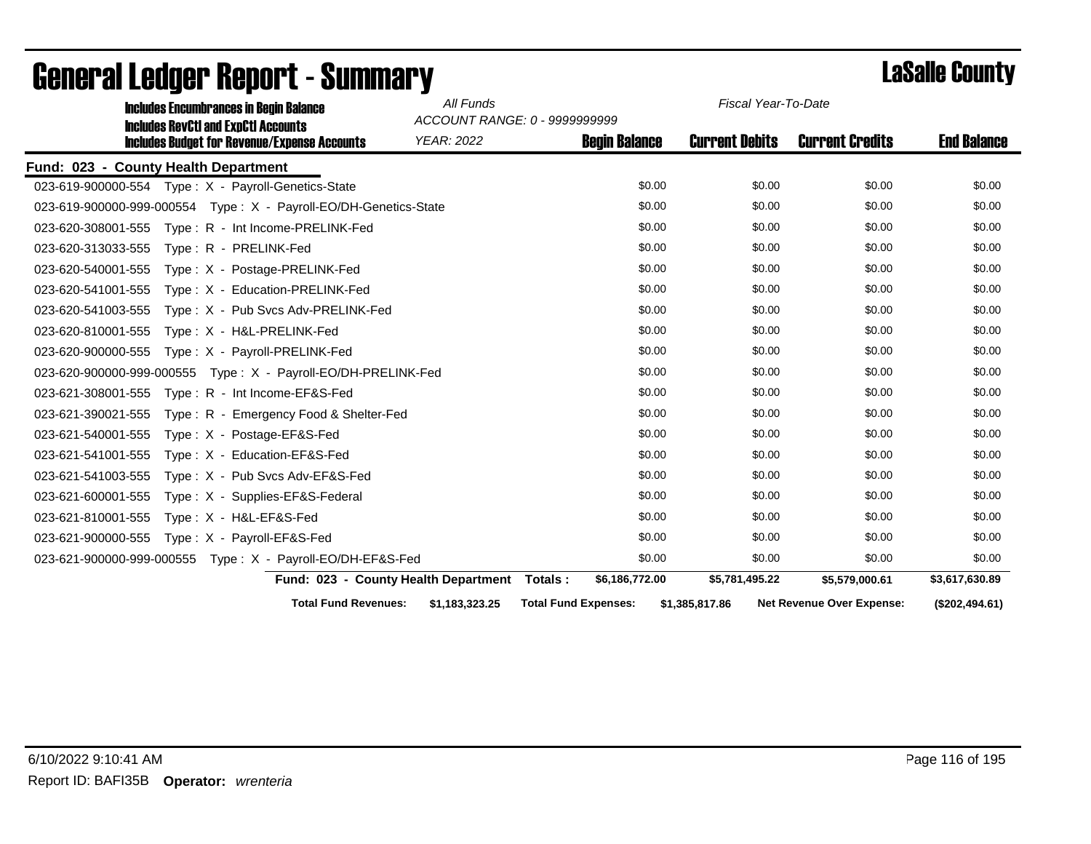| <b>Includes Encumbrances in Begin Balance</b>                       | All Funds                                    |                             | Fiscal Year-To-Date   |                                  |                    |
|---------------------------------------------------------------------|----------------------------------------------|-----------------------------|-----------------------|----------------------------------|--------------------|
| <b>Includes RevCtI and ExpCtI Accounts</b>                          | ACCOUNT RANGE: 0 - 9999999999                |                             |                       |                                  |                    |
| <b>Includes Budget for Revenue/Expense Accounts</b>                 | YEAR: 2022                                   | <b>Begin Balance</b>        | <b>Current Debits</b> | <b>Current Credits</b>           | <b>End Balance</b> |
| Fund: 023 - County Health Department                                |                                              |                             |                       |                                  |                    |
|                                                                     |                                              | \$0.00                      | \$0.00                | \$0.00                           | \$0.00             |
| 023-619-900000-999-000554    Type: X - Payroll-EO/DH-Genetics-State |                                              | \$0.00                      | \$0.00                | \$0.00                           | \$0.00             |
|                                                                     |                                              | \$0.00                      | \$0.00                | \$0.00                           | \$0.00             |
|                                                                     |                                              | \$0.00                      | \$0.00                | \$0.00                           | \$0.00             |
|                                                                     |                                              | \$0.00                      | \$0.00                | \$0.00                           | \$0.00             |
|                                                                     |                                              | \$0.00                      | \$0.00                | \$0.00                           | \$0.00             |
|                                                                     |                                              | \$0.00                      | \$0.00                | \$0.00                           | \$0.00             |
|                                                                     |                                              | \$0.00                      | \$0.00                | \$0.00                           | \$0.00             |
|                                                                     |                                              | \$0.00                      | \$0.00                | \$0.00                           | \$0.00             |
| 023-620-900000-999-000555    Type: X - Payroll-EO/DH-PRELINK-Fed    |                                              | \$0.00                      | \$0.00                | \$0.00                           | \$0.00             |
| 023-621-308001-555    Type: R - Int Income-EF&S-Fed                 |                                              | \$0.00                      | \$0.00                | \$0.00                           | \$0.00             |
| 023-621-390021-555 Type: R - Emergency Food & Shelter-Fed           |                                              | \$0.00                      | \$0.00                | \$0.00                           | \$0.00             |
|                                                                     |                                              | \$0.00                      | \$0.00                | \$0.00                           | \$0.00             |
| Type: X - Education-EF&S-Fed<br>023-621-541001-555                  |                                              | \$0.00                      | \$0.00                | \$0.00                           | \$0.00             |
| 023-621-541003-555    Type: X - Pub Svcs Adv-EF&S-Fed               |                                              | \$0.00                      | \$0.00                | \$0.00                           | \$0.00             |
| $023-621-600001-555$ Type: X - Supplies-EF&S-Federal                |                                              | \$0.00                      | \$0.00                | \$0.00                           | \$0.00             |
|                                                                     |                                              | \$0.00                      | \$0.00                | \$0.00                           | \$0.00             |
|                                                                     |                                              | \$0.00                      | \$0.00                | \$0.00                           | \$0.00             |
| 023-621-900000-999-000555    Type: X - Payroll-EO/DH-EF&S-Fed       |                                              | \$0.00                      | \$0.00                | \$0.00                           | \$0.00             |
|                                                                     | Fund: 023 - County Health Department Totals: | \$6,186,772.00              | \$5,781,495.22        | \$5,579,000.61                   | \$3,617,630.89     |
| <b>Total Fund Revenues:</b>                                         | \$1,183,323.25                               | <b>Total Fund Expenses:</b> | \$1,385,817.86        | <b>Net Revenue Over Expense:</b> | (\$202,494.61)     |

## General Ledger Report - Summary **Lassing Service Report - Summary**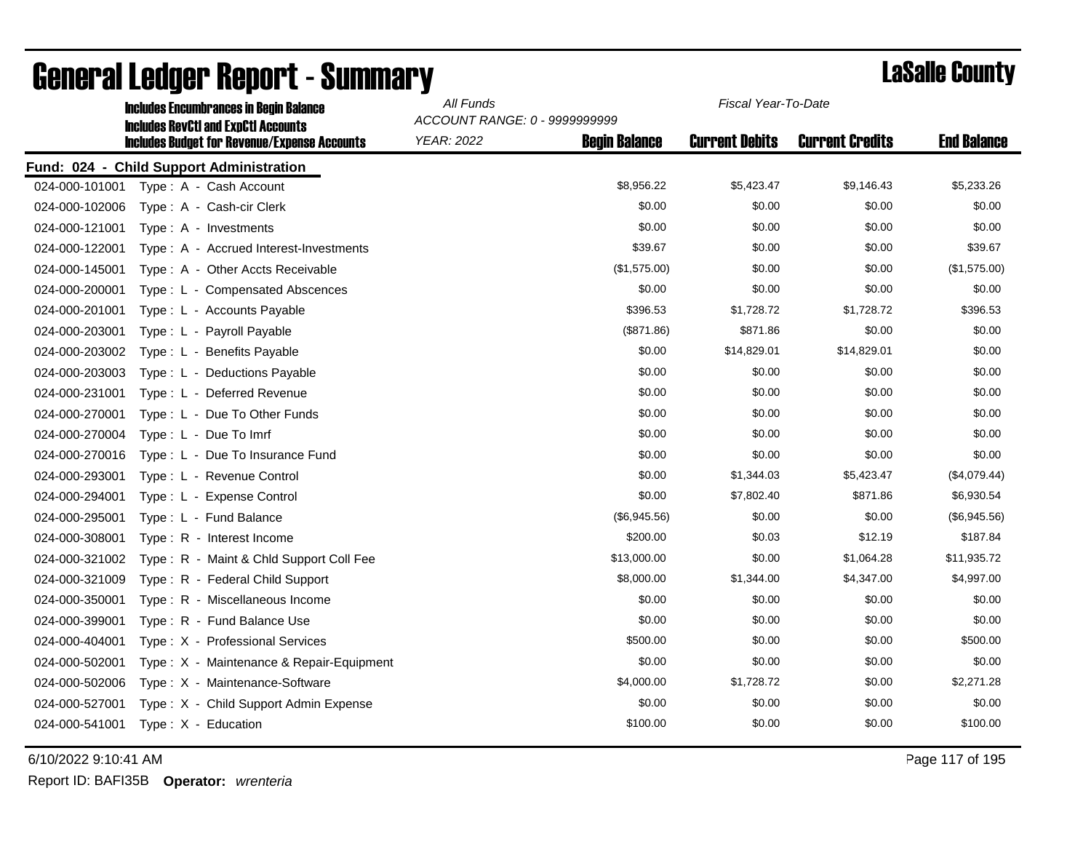| <b>Includes Encumbrances in Begin Balance</b><br><b>Includes RevCtI and ExpCtI Accounts</b> |                                                     | All Funds<br>Fiscal Year-To-Date<br>ACCOUNT RANGE: 0 - 9999999999 |                      |                       |                        |                    |
|---------------------------------------------------------------------------------------------|-----------------------------------------------------|-------------------------------------------------------------------|----------------------|-----------------------|------------------------|--------------------|
|                                                                                             | <b>Includes Budget for Revenue/Expense Accounts</b> | <b>YEAR: 2022</b>                                                 | <b>Begin Balance</b> | <b>Current Debits</b> | <b>Current Credits</b> | <b>End Balance</b> |
|                                                                                             | Fund: 024 - Child Support Administration            |                                                                   |                      |                       |                        |                    |
| 024-000-101001                                                                              | Type: A - Cash Account                              |                                                                   | \$8,956.22           | \$5,423.47            | \$9,146.43             | \$5,233.26         |
| 024-000-102006                                                                              | Type: A - Cash-cir Clerk                            |                                                                   | \$0.00               | \$0.00                | \$0.00                 | \$0.00             |
| 024-000-121001                                                                              | Type: A - Investments                               |                                                                   | \$0.00               | \$0.00                | \$0.00                 | \$0.00             |
| 024-000-122001                                                                              | Type: A - Accrued Interest-Investments              |                                                                   | \$39.67              | \$0.00                | \$0.00                 | \$39.67            |
| 024-000-145001                                                                              | Type: A - Other Accts Receivable                    |                                                                   | (\$1,575.00)         | \$0.00                | \$0.00                 | (\$1,575.00)       |
| 024-000-200001                                                                              | Type: L - Compensated Abscences                     |                                                                   | \$0.00               | \$0.00                | \$0.00                 | \$0.00             |
| 024-000-201001                                                                              | Type: L - Accounts Payable                          |                                                                   | \$396.53             | \$1,728.72            | \$1,728.72             | \$396.53           |
| 024-000-203001                                                                              | Type : L - Payroll Payable                          |                                                                   | (\$871.86)           | \$871.86              | \$0.00                 | \$0.00             |
| 024-000-203002                                                                              | Type: L - Benefits Payable                          |                                                                   | \$0.00               | \$14,829.01           | \$14,829.01            | \$0.00             |
| 024-000-203003                                                                              | Type: L - Deductions Payable                        |                                                                   | \$0.00               | \$0.00                | \$0.00                 | \$0.00             |
| 024-000-231001                                                                              | Type: L - Deferred Revenue                          |                                                                   | \$0.00               | \$0.00                | \$0.00                 | \$0.00             |
| 024-000-270001                                                                              | Type: L - Due To Other Funds                        |                                                                   | \$0.00               | \$0.00                | \$0.00                 | \$0.00             |
| 024-000-270004                                                                              | Type: L - Due To Imrf                               |                                                                   | \$0.00               | \$0.00                | \$0.00                 | \$0.00             |
| 024-000-270016                                                                              | Type: L - Due To Insurance Fund                     |                                                                   | \$0.00               | \$0.00                | \$0.00                 | \$0.00             |
| 024-000-293001                                                                              | Type: L - Revenue Control                           |                                                                   | \$0.00               | \$1,344.03            | \$5,423.47             | (\$4,079.44)       |
| 024-000-294001                                                                              | Type: L - Expense Control                           |                                                                   | \$0.00               | \$7,802.40            | \$871.86               | \$6,930.54         |
| 024-000-295001                                                                              | Type: L - Fund Balance                              |                                                                   | (\$6,945.56)         | \$0.00                | \$0.00                 | (\$6,945.56)       |
| 024-000-308001                                                                              | Type: R - Interest Income                           |                                                                   | \$200.00             | \$0.03                | \$12.19                | \$187.84           |
| 024-000-321002                                                                              | Type: R - Maint & Chld Support Coll Fee             |                                                                   | \$13,000.00          | \$0.00                | \$1,064.28             | \$11,935.72        |
| 024-000-321009                                                                              | Type: R - Federal Child Support                     |                                                                   | \$8,000.00           | \$1,344.00            | \$4,347.00             | \$4,997.00         |
| 024-000-350001                                                                              | Type: R - Miscellaneous Income                      |                                                                   | \$0.00               | \$0.00                | \$0.00                 | \$0.00             |
| 024-000-399001                                                                              | Type: R - Fund Balance Use                          |                                                                   | \$0.00               | \$0.00                | \$0.00                 | \$0.00             |
| 024-000-404001                                                                              | Type: X - Professional Services                     |                                                                   | \$500.00             | \$0.00                | \$0.00                 | \$500.00           |
| 024-000-502001                                                                              | Type: X - Maintenance & Repair-Equipment            |                                                                   | \$0.00               | \$0.00                | \$0.00                 | \$0.00             |
| 024-000-502006                                                                              | Type: X - Maintenance-Software                      |                                                                   | \$4,000.00           | \$1,728.72            | \$0.00                 | \$2,271.28         |
| 024-000-527001                                                                              | Type: X - Child Support Admin Expense               |                                                                   | \$0.00               | \$0.00                | \$0.00                 | \$0.00             |
| 024-000-541001                                                                              | Type: $X -$ Education                               |                                                                   | \$100.00             | \$0.00                | \$0.00                 | \$100.00           |

## General Ledger Report - Summary **Lassing County**

6/10/2022 9:10:41 AM Page 117 of 195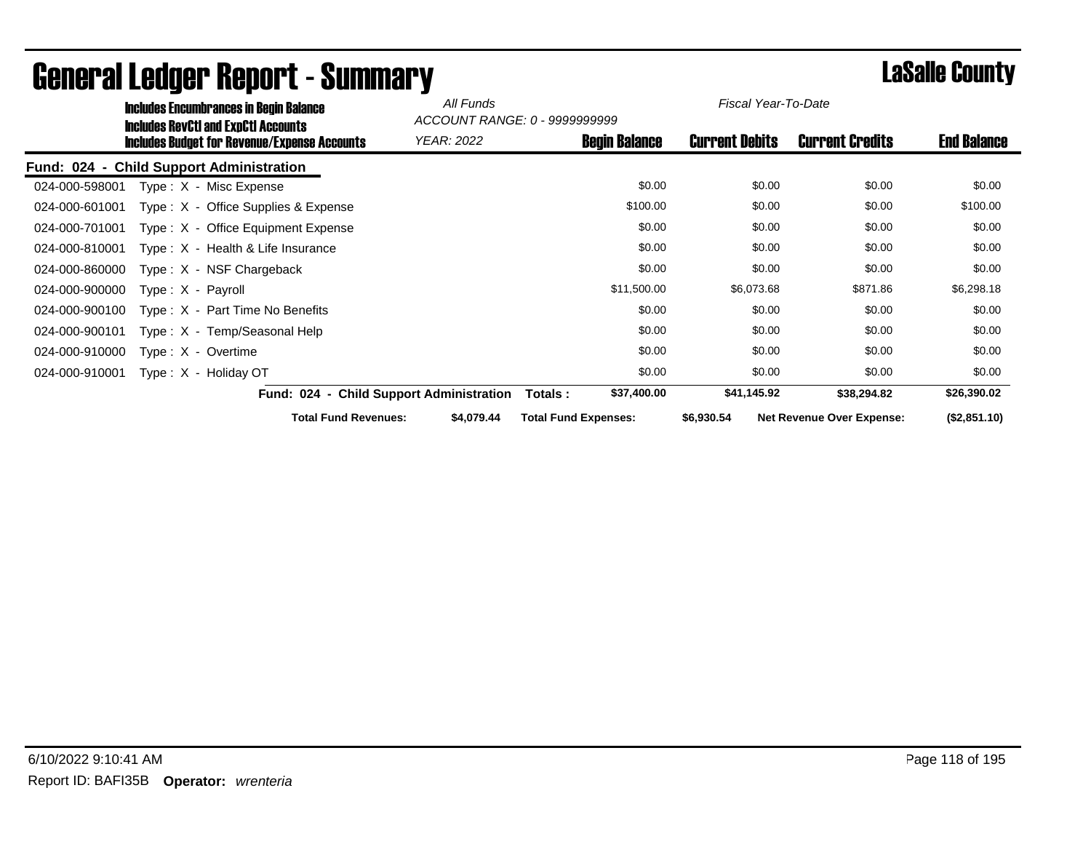| <b>Includes Encumbrances in Begin Balance</b> |                                                                                            | All Funds         | ACCOUNT RANGE: 0 - 9999999999 | Fiscal Year-To-Date   |                                  |                    |
|-----------------------------------------------|--------------------------------------------------------------------------------------------|-------------------|-------------------------------|-----------------------|----------------------------------|--------------------|
|                                               | Includes RevCtI and ExpCtI Accounts<br><b>Includes Budget for Revenue/Expense Accounts</b> | <b>YEAR: 2022</b> | <b>Begin Balance</b>          | <b>Current Debits</b> | <b>Current Credits</b>           | <b>End Balance</b> |
|                                               | <b>Fund: 024 - Child Support Administration</b>                                            |                   |                               |                       |                                  |                    |
| 024-000-598001                                | Type: X - Misc Expense                                                                     |                   | \$0.00                        | \$0.00                | \$0.00                           | \$0.00             |
| 024-000-601001                                | Type: X - Office Supplies & Expense                                                        |                   | \$100.00                      | \$0.00                | \$0.00                           | \$100.00           |
| 024-000-701001                                | Type: X - Office Equipment Expense                                                         |                   | \$0.00                        | \$0.00                | \$0.00                           | \$0.00             |
| 024-000-810001                                | $Type: X - Health & Life Insurance$                                                        |                   | \$0.00                        | \$0.00                | \$0.00                           | \$0.00             |
| 024-000-860000                                | $Type: X - NSF Chargeback$                                                                 |                   | \$0.00                        | \$0.00                | \$0.00                           | \$0.00             |
| 024-000-900000                                | $Type: X - Payroll$                                                                        |                   | \$11,500.00                   | \$6,073.68            | \$871.86                         | \$6,298.18         |
| 024-000-900100                                | Type: X - Part Time No Benefits                                                            |                   | \$0.00                        | \$0.00                | \$0.00                           | \$0.00             |
| 024-000-900101                                | Type: X - Temp/Seasonal Help                                                               |                   | \$0.00                        | \$0.00                | \$0.00                           | \$0.00             |
| 024-000-910000                                | $Type: X - Overtime$                                                                       |                   | \$0.00                        | \$0.00                | \$0.00                           | \$0.00             |
| 024-000-910001                                | Type: X - Holiday OT                                                                       |                   | \$0.00                        | \$0.00                | \$0.00                           | \$0.00             |
|                                               | Fund: 024 - Child Support Administration                                                   |                   | \$37,400.00<br>Totals :       | \$41,145.92           | \$38,294.82                      | \$26,390.02        |
|                                               | <b>Total Fund Revenues:</b>                                                                | \$4,079.44        | <b>Total Fund Expenses:</b>   | \$6,930.54            | <b>Net Revenue Over Expense:</b> | (\$2,851.10)       |

## General Ledger Report - Summary LaSalle County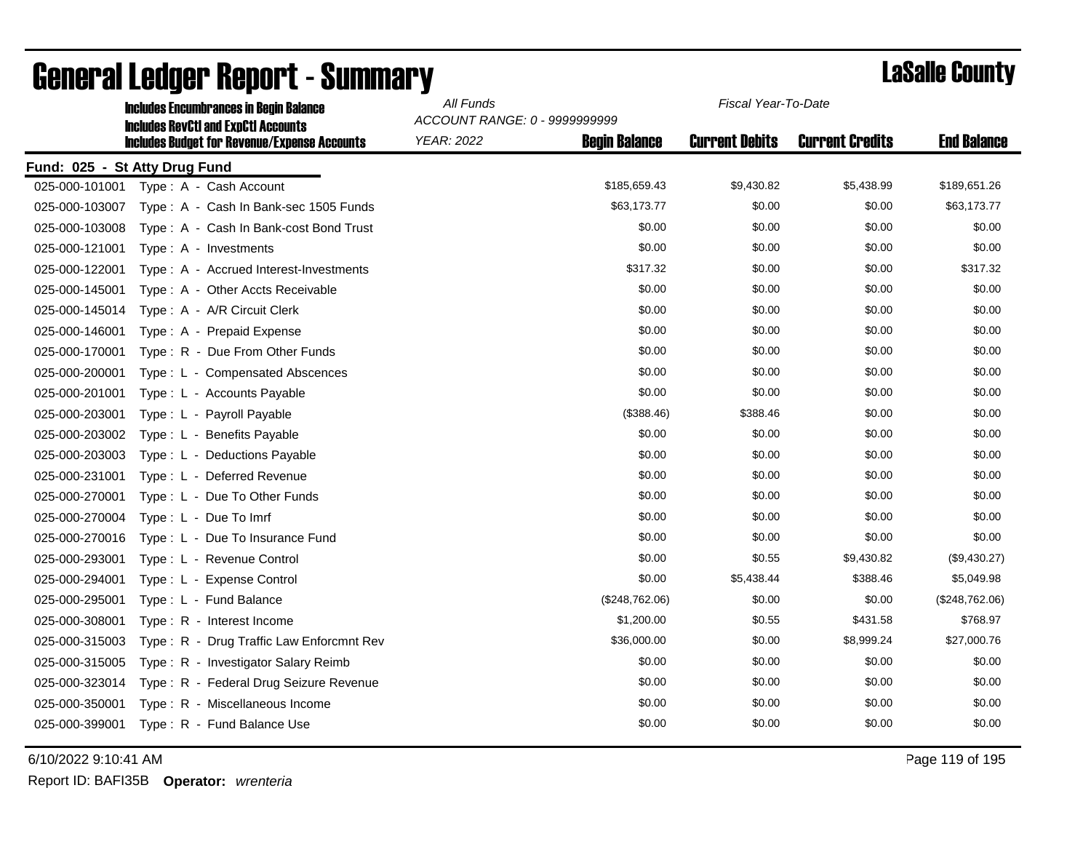|                               | <b>Includes Encumbrances in Begin Balance</b>       | All Funds<br>Fiscal Year-To-Date<br>ACCOUNT RANGE: 0 - 9999999999 |                      |                       |                        |                    |
|-------------------------------|-----------------------------------------------------|-------------------------------------------------------------------|----------------------|-----------------------|------------------------|--------------------|
|                               | <b>Includes RevCtI and ExpCtI Accounts</b>          |                                                                   |                      |                       |                        |                    |
|                               | <b>Includes Budget for Revenue/Expense Accounts</b> | <b>YEAR: 2022</b>                                                 | <b>Begin Balance</b> | <b>Current Debits</b> | <b>Current Credits</b> | <b>End Balance</b> |
| Fund: 025 - St Atty Drug Fund |                                                     |                                                                   |                      |                       |                        |                    |
| 025-000-101001                | Type: A - Cash Account                              |                                                                   | \$185,659.43         | \$9,430.82            | \$5,438.99             | \$189,651.26       |
| 025-000-103007                | Type: A - Cash In Bank-sec 1505 Funds               |                                                                   | \$63,173.77          | \$0.00                | \$0.00                 | \$63,173.77        |
| 025-000-103008                | Type: A - Cash In Bank-cost Bond Trust              |                                                                   | \$0.00               | \$0.00                | \$0.00                 | \$0.00             |
| 025-000-121001                | Type: A - Investments                               |                                                                   | \$0.00               | \$0.00                | \$0.00                 | \$0.00             |
| 025-000-122001                | Type: A - Accrued Interest-Investments              |                                                                   | \$317.32             | \$0.00                | \$0.00                 | \$317.32           |
| 025-000-145001                | Type: A - Other Accts Receivable                    |                                                                   | \$0.00               | \$0.00                | \$0.00                 | \$0.00             |
| 025-000-145014                | Type: A - A/R Circuit Clerk                         |                                                                   | \$0.00               | \$0.00                | \$0.00                 | \$0.00             |
| 025-000-146001                | Type: A - Prepaid Expense                           |                                                                   | \$0.00               | \$0.00                | \$0.00                 | \$0.00             |
| 025-000-170001                | Type: R - Due From Other Funds                      |                                                                   | \$0.00               | \$0.00                | \$0.00                 | \$0.00             |
| 025-000-200001                | Type: L - Compensated Abscences                     |                                                                   | \$0.00               | \$0.00                | \$0.00                 | \$0.00             |
| 025-000-201001                | Type: L - Accounts Payable                          |                                                                   | \$0.00               | \$0.00                | \$0.00                 | \$0.00             |
| 025-000-203001                | Type: L - Payroll Payable                           |                                                                   | (\$388.46)           | \$388.46              | \$0.00                 | \$0.00             |
| 025-000-203002                | Type: L - Benefits Payable                          |                                                                   | \$0.00               | \$0.00                | \$0.00                 | \$0.00             |
| 025-000-203003                | Type: L - Deductions Payable                        |                                                                   | \$0.00               | \$0.00                | \$0.00                 | \$0.00             |
| 025-000-231001                | Type: L - Deferred Revenue                          |                                                                   | \$0.00               | \$0.00                | \$0.00                 | \$0.00             |
| 025-000-270001                | Type: L - Due To Other Funds                        |                                                                   | \$0.00               | \$0.00                | \$0.00                 | \$0.00             |
| 025-000-270004                | Type: L - Due To Imrf                               |                                                                   | \$0.00               | \$0.00                | \$0.00                 | \$0.00             |
| 025-000-270016                | Type: L - Due To Insurance Fund                     |                                                                   | \$0.00               | \$0.00                | \$0.00                 | \$0.00             |
| 025-000-293001                | Type: L - Revenue Control                           |                                                                   | \$0.00               | \$0.55                | \$9,430.82             | (\$9,430.27)       |
| 025-000-294001                | Type: L - Expense Control                           |                                                                   | \$0.00               | \$5,438.44            | \$388.46               | \$5,049.98         |
| 025-000-295001                | Type: L - Fund Balance                              |                                                                   | (\$248,762.06)       | \$0.00                | \$0.00                 | (\$248,762.06)     |
| 025-000-308001                | Type: R - Interest Income                           |                                                                   | \$1,200.00           | \$0.55                | \$431.58               | \$768.97           |
| 025-000-315003                | Type: R - Drug Traffic Law Enforcmnt Rev            |                                                                   | \$36,000.00          | \$0.00                | \$8,999.24             | \$27,000.76        |
| 025-000-315005                | Type: R - Investigator Salary Reimb                 |                                                                   | \$0.00               | \$0.00                | \$0.00                 | \$0.00             |
| 025-000-323014                | Type: R - Federal Drug Seizure Revenue              |                                                                   | \$0.00               | \$0.00                | \$0.00                 | \$0.00             |
| 025-000-350001                | Type: R - Miscellaneous Income                      |                                                                   | \$0.00               | \$0.00                | \$0.00                 | \$0.00             |
| 025-000-399001                | Type: R - Fund Balance Use                          |                                                                   | \$0.00               | \$0.00                | \$0.00                 | \$0.00             |
|                               |                                                     |                                                                   |                      |                       |                        |                    |

6/10/2022 9:10:41 AM Page 119 of 195

Report ID: BAFI35B **Operator:** *wrenteria*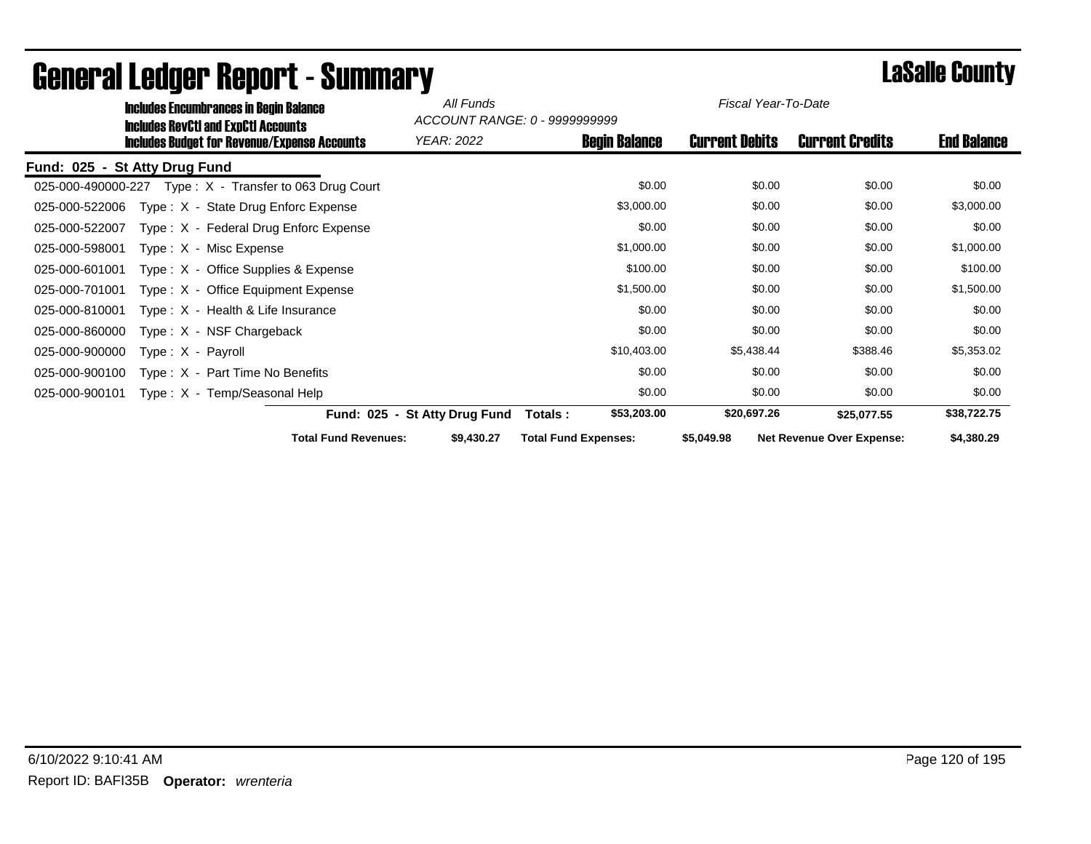| <b>Includes Encumbrances in Begin Balance</b>                                                     | All Funds                     | Fiscal Year-To-Date<br>ACCOUNT RANGE: 0 - 9999999999 |                       |                                  |                    |
|---------------------------------------------------------------------------------------------------|-------------------------------|------------------------------------------------------|-----------------------|----------------------------------|--------------------|
| <b>Includes RevCtI and ExpCtI Accounts</b><br><b>Includes Budget for Revenue/Expense Accounts</b> | YEAR: 2022                    | <b>Begin Balance</b>                                 | <b>Current Debits</b> | <b>Current Credits</b>           | <b>End Balance</b> |
| Fund: 025 - St Atty Drug Fund                                                                     |                               |                                                      |                       |                                  |                    |
| Type: X - Transfer to 063 Drug Court<br>025-000-490000-227                                        |                               | \$0.00                                               | \$0.00                | \$0.00                           | \$0.00             |
| Type: X - State Drug Enforc Expense<br>025-000-522006                                             |                               | \$3,000.00                                           | \$0.00                | \$0.00                           | \$3,000.00         |
| 025-000-522007<br>Type: X - Federal Drug Enforc Expense                                           |                               | \$0.00                                               | \$0.00                | \$0.00                           | \$0.00             |
| 025-000-598001<br>Type: X - Misc Expense                                                          |                               | \$1,000.00                                           | \$0.00                | \$0.00                           | \$1,000.00         |
| 025-000-601001<br>Type : $X -$ Office Supplies & Expense                                          |                               | \$100.00                                             | \$0.00                | \$0.00                           | \$100.00           |
| 025-000-701001<br>Type: X - Office Equipment Expense                                              |                               | \$1,500.00                                           | \$0.00                | \$0.00                           | \$1,500.00         |
| 025-000-810001<br>Type : $X -$ Health & Life Insurance                                            |                               | \$0.00                                               | \$0.00                | \$0.00                           | \$0.00             |
| 025-000-860000<br>Type: X - NSF Chargeback                                                        |                               | \$0.00                                               | \$0.00                | \$0.00                           | \$0.00             |
| 025-000-900000<br>$Type: X - Payroll$                                                             |                               | \$10,403.00                                          | \$5,438.44            | \$388.46                         | \$5,353.02         |
| 025-000-900100<br>$Type: X - Part Time No Benefits$                                               |                               | \$0.00                                               | \$0.00                | \$0.00                           | \$0.00             |
| 025-000-900101<br>Type: X - Temp/Seasonal Help                                                    |                               | \$0.00                                               | \$0.00                | \$0.00                           | \$0.00             |
|                                                                                                   | Fund: 025 - St Atty Drug Fund | \$53,203.00<br>Totals :                              | \$20,697.26           | \$25,077.55                      | \$38,722.75        |
| <b>Total Fund Revenues:</b>                                                                       | \$9,430.27                    | <b>Total Fund Expenses:</b>                          | \$5,049.98            | <b>Net Revenue Over Expense:</b> | \$4,380.29         |

## General Ledger Report - Summary **Lassing County**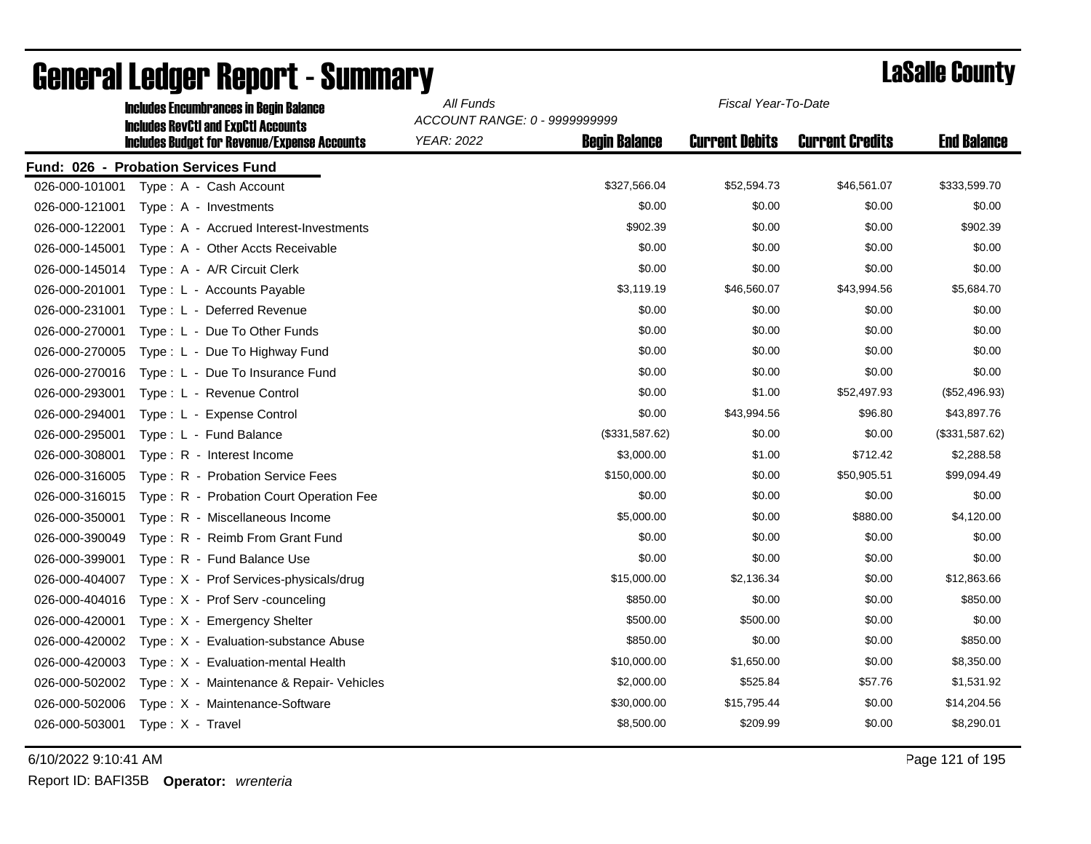| All Funds<br>Fiscal Year-To-Date<br><b>Includes Encumbrances in Begin Balance</b> |                                                     |                               |                      |                       |                        |                    |
|-----------------------------------------------------------------------------------|-----------------------------------------------------|-------------------------------|----------------------|-----------------------|------------------------|--------------------|
|                                                                                   | <b>Includes RevCtI and ExpCtI Accounts</b>          | ACCOUNT RANGE: 0 - 9999999999 |                      |                       |                        |                    |
|                                                                                   | <b>Includes Budget for Revenue/Expense Accounts</b> | <b>YEAR: 2022</b>             | <b>Begin Balance</b> | <b>Current Debits</b> | <b>Current Credits</b> | <b>End Balance</b> |
|                                                                                   | Fund: 026 - Probation Services Fund                 |                               |                      |                       |                        |                    |
| 026-000-101001                                                                    | Type: A - Cash Account                              |                               | \$327,566.04         | \$52,594.73           | \$46,561.07            | \$333,599.70       |
| 026-000-121001                                                                    | $Type: A - Investments$                             |                               | \$0.00               | \$0.00                | \$0.00                 | \$0.00             |
| 026-000-122001                                                                    | Type: A - Accrued Interest-Investments              |                               | \$902.39             | \$0.00                | \$0.00                 | \$902.39           |
| 026-000-145001                                                                    | Type: A - Other Accts Receivable                    |                               | \$0.00               | \$0.00                | \$0.00                 | \$0.00             |
| 026-000-145014                                                                    | Type: A - A/R Circuit Clerk                         |                               | \$0.00               | \$0.00                | \$0.00                 | \$0.00             |
| 026-000-201001                                                                    | Type: L - Accounts Payable                          |                               | \$3,119.19           | \$46,560.07           | \$43,994.56            | \$5,684.70         |
| 026-000-231001                                                                    | Type: L - Deferred Revenue                          |                               | \$0.00               | \$0.00                | \$0.00                 | \$0.00             |
| 026-000-270001                                                                    | Type: L - Due To Other Funds                        |                               | \$0.00               | \$0.00                | \$0.00                 | \$0.00             |
| 026-000-270005                                                                    | Type: L - Due To Highway Fund                       |                               | \$0.00               | \$0.00                | \$0.00                 | \$0.00             |
| 026-000-270016                                                                    | Type: L - Due To Insurance Fund                     |                               | \$0.00               | \$0.00                | \$0.00                 | \$0.00             |
| 026-000-293001                                                                    | Type: L - Revenue Control                           |                               | \$0.00               | \$1.00                | \$52,497.93            | (\$52,496.93)      |
| 026-000-294001                                                                    | Type: L - Expense Control                           |                               | \$0.00               | \$43,994.56           | \$96.80                | \$43,897.76        |
| 026-000-295001                                                                    | Type: L - Fund Balance                              |                               | (\$331,587.62)       | \$0.00                | \$0.00                 | (\$331,587.62)     |
| 026-000-308001                                                                    | Type: R - Interest Income                           |                               | \$3,000.00           | \$1.00                | \$712.42               | \$2,288.58         |
| 026-000-316005                                                                    | Type: R - Probation Service Fees                    |                               | \$150,000.00         | \$0.00                | \$50,905.51            | \$99,094.49        |
| 026-000-316015                                                                    | Type: R - Probation Court Operation Fee             |                               | \$0.00               | \$0.00                | \$0.00                 | \$0.00             |
| 026-000-350001                                                                    | Type: R - Miscellaneous Income                      |                               | \$5,000.00           | \$0.00                | \$880.00               | \$4,120.00         |
| 026-000-390049                                                                    | Type: R - Reimb From Grant Fund                     |                               | \$0.00               | \$0.00                | \$0.00                 | \$0.00             |
| 026-000-399001                                                                    | Tvpe : R - Fund Balance Use                         |                               | \$0.00               | \$0.00                | \$0.00                 | \$0.00             |
| 026-000-404007                                                                    | Type: X - Prof Services-physicals/drug              |                               | \$15,000.00          | \$2,136.34            | \$0.00                 | \$12,863.66        |
| 026-000-404016                                                                    | Type: X - Prof Serv -counceling                     |                               | \$850.00             | \$0.00                | \$0.00                 | \$850.00           |
| 026-000-420001                                                                    | Type: X - Emergency Shelter                         |                               | \$500.00             | \$500.00              | \$0.00                 | \$0.00             |
| 026-000-420002                                                                    | Type: X - Evaluation-substance Abuse                |                               | \$850.00             | \$0.00                | \$0.00                 | \$850.00           |
| 026-000-420003                                                                    | Type: X - Evaluation-mental Health                  |                               | \$10,000.00          | \$1,650.00            | \$0.00                 | \$8,350.00         |
| 026-000-502002                                                                    | Type: X - Maintenance & Repair- Vehicles            |                               | \$2,000.00           | \$525.84              | \$57.76                | \$1,531.92         |
| 026-000-502006                                                                    | Type: X - Maintenance-Software                      |                               | \$30,000.00          | \$15,795.44           | \$0.00                 | \$14,204.56        |
| 026-000-503001                                                                    | Type: X - Travel                                    |                               | \$8,500.00           | \$209.99              | \$0.00                 | \$8,290.01         |
|                                                                                   |                                                     |                               |                      |                       |                        |                    |

6/10/2022 9:10:41 AM Page 121 of 195

Report ID: BAFI35B **Operator:** *wrenteria*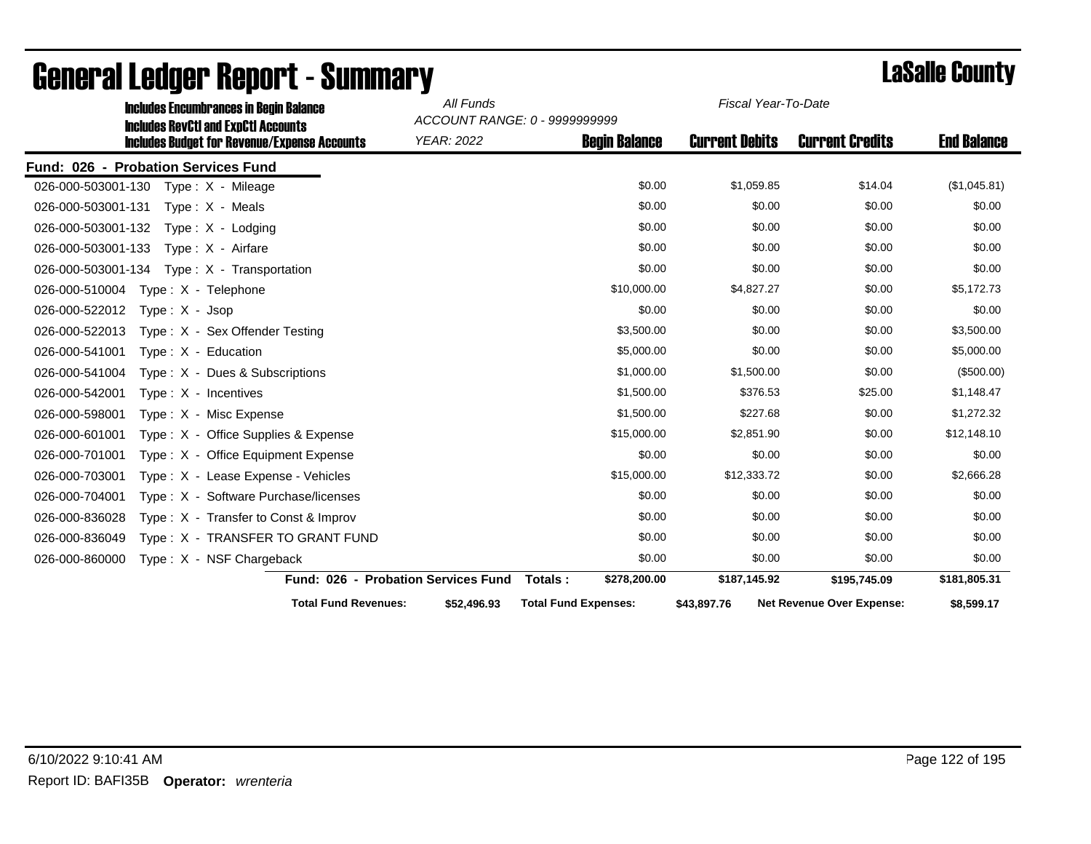| <b>Includes Encumbrances in Begin Balance</b>                                                     | All Funds                           | Fiscal Year-To-Date<br>ACCOUNT RANGE: 0 - 9999999999 |                       |                                  |                    |
|---------------------------------------------------------------------------------------------------|-------------------------------------|------------------------------------------------------|-----------------------|----------------------------------|--------------------|
| <b>Includes RevCtI and ExpCtI Accounts</b><br><b>Includes Budget for Revenue/Expense Accounts</b> | YEAR: 2022                          | <b>Begin Balance</b>                                 | <b>Current Debits</b> | <b>Current Credits</b>           | <b>End Balance</b> |
| Fund: 026 - Probation Services Fund                                                               |                                     |                                                      |                       |                                  |                    |
| 026-000-503001-130    Type: X - Mileage                                                           |                                     | \$0.00                                               | \$1,059.85            | \$14.04                          | (\$1,045.81)       |
| 026-000-503001-131<br>Type: X - Meals                                                             |                                     | \$0.00                                               | \$0.00                | \$0.00                           | \$0.00             |
| 026-000-503001-132<br>Type: X - Lodging                                                           |                                     | \$0.00                                               | \$0.00                | \$0.00                           | \$0.00             |
| 026-000-503001-133<br>Type: X - Airfare                                                           |                                     | \$0.00                                               | \$0.00                | \$0.00                           | \$0.00             |
|                                                                                                   |                                     | \$0.00                                               | \$0.00                | \$0.00                           | \$0.00             |
| 026-000-510004<br>Type: X - Telephone                                                             |                                     | \$10,000.00                                          | \$4,827.27            | \$0.00                           | \$5,172.73         |
| 026-000-522012<br>$Type: X - Jsop$                                                                |                                     | \$0.00                                               | \$0.00                | \$0.00                           | \$0.00             |
| 026-000-522013<br>Type: X - Sex Offender Testing                                                  |                                     | \$3,500.00                                           | \$0.00                | \$0.00                           | \$3,500.00         |
| 026-000-541001<br>Type: $X -$ Education                                                           |                                     | \$5,000.00                                           | \$0.00                | \$0.00                           | \$5,000.00         |
| 026-000-541004<br>Type: X - Dues & Subscriptions                                                  |                                     | \$1,000.00                                           | \$1,500.00            | \$0.00                           | (\$500.00)         |
| 026-000-542001<br>$Type: X - Incentives$                                                          |                                     | \$1,500.00                                           | \$376.53              | \$25.00                          | \$1,148.47         |
| 026-000-598001<br>Type: X - Misc Expense                                                          |                                     | \$1,500.00                                           | \$227.68              | \$0.00                           | \$1,272.32         |
| 026-000-601001<br>Type: X - Office Supplies & Expense                                             |                                     | \$15,000.00                                          | \$2,851.90            | \$0.00                           | \$12,148.10        |
| 026-000-701001<br>Type: X - Office Equipment Expense                                              |                                     | \$0.00                                               | \$0.00                | \$0.00                           | \$0.00             |
| 026-000-703001<br>Type: X - Lease Expense - Vehicles                                              |                                     | \$15,000.00                                          | \$12,333.72           | \$0.00                           | \$2,666.28         |
| 026-000-704001<br>Type: X - Software Purchase/licenses                                            |                                     | \$0.00                                               | \$0.00                | \$0.00                           | \$0.00             |
| 026-000-836028<br>Type: X - Transfer to Const & Improv                                            |                                     | \$0.00                                               | \$0.00                | \$0.00                           | \$0.00             |
| 026-000-836049<br>Type: X - TRANSFER TO GRANT FUND                                                |                                     | \$0.00                                               | \$0.00                | \$0.00                           | \$0.00             |
| 026-000-860000<br>Type: X - NSF Chargeback                                                        |                                     | \$0.00                                               | \$0.00                | \$0.00                           | \$0.00             |
|                                                                                                   | Fund: 026 - Probation Services Fund | \$278,200.00<br>Totals:                              | \$187,145.92          | \$195,745.09                     | \$181,805.31       |
| <b>Total Fund Revenues:</b>                                                                       | \$52,496.93                         | <b>Total Fund Expenses:</b>                          | \$43,897.76           | <b>Net Revenue Over Expense:</b> | \$8,599.17         |

# **General Ledger Report - Summary Lassalle County**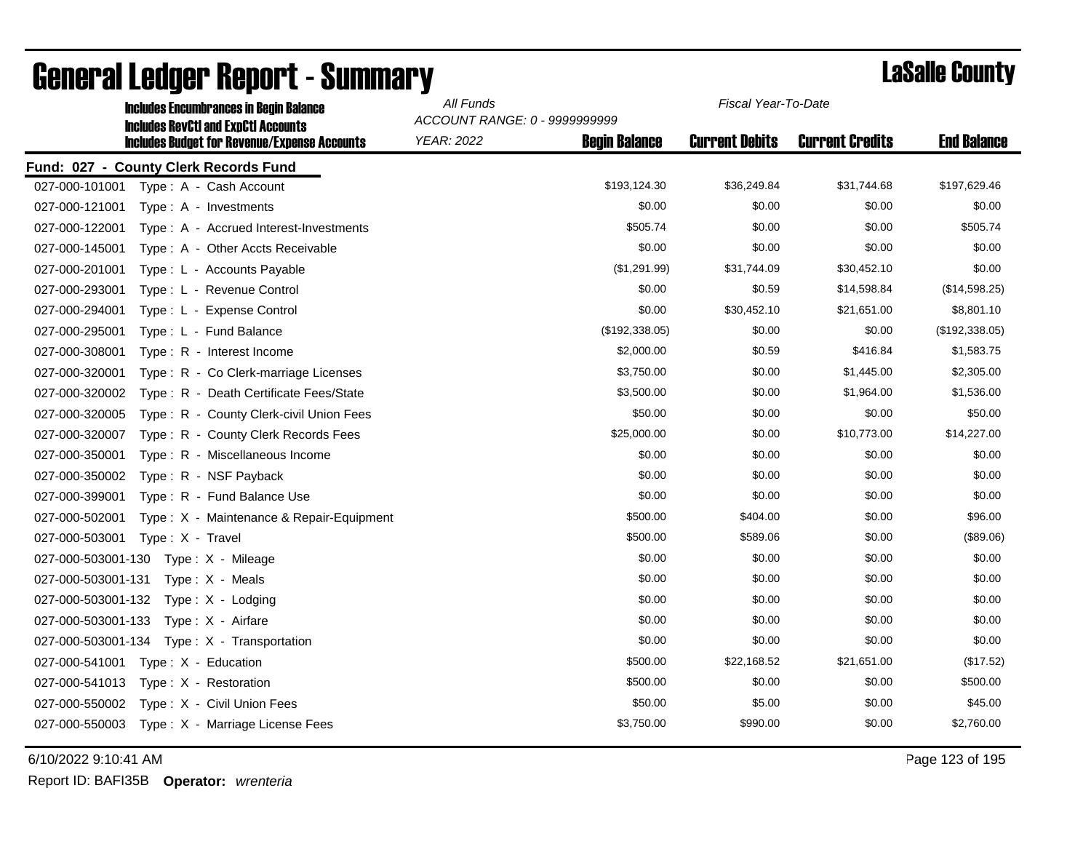| <b>Includes Encumbrances in Begin Balance</b>                                                     | All Funds                                          | Fiscal Year-To-Date  |                       |                        |                    |
|---------------------------------------------------------------------------------------------------|----------------------------------------------------|----------------------|-----------------------|------------------------|--------------------|
| <b>Includes RevCtI and ExpCtI Accounts</b><br><b>Includes Budget for Revenue/Expense Accounts</b> | ACCOUNT RANGE: 0 - 9999999999<br><b>YEAR: 2022</b> | <b>Begin Balance</b> | <b>Current Debits</b> | <b>Current Credits</b> | <b>End Balance</b> |
| Fund: 027 - County Clerk Records Fund                                                             |                                                    |                      |                       |                        |                    |
| 027-000-101001<br>Type: A - Cash Account                                                          |                                                    | \$193,124.30         | \$36,249.84           | \$31,744.68            | \$197,629.46       |
| 027-000-121001<br>Type: A - Investments                                                           |                                                    | \$0.00               | \$0.00                | \$0.00                 | \$0.00             |
| 027-000-122001<br>Type: A - Accrued Interest-Investments                                          |                                                    | \$505.74             | \$0.00                | \$0.00                 | \$505.74           |
| 027-000-145001<br>Type: A - Other Accts Receivable                                                |                                                    | \$0.00               | \$0.00                | \$0.00                 | \$0.00             |
| 027-000-201001<br>Type: L - Accounts Payable                                                      |                                                    | (\$1,291.99)         | \$31,744.09           | \$30,452.10            | \$0.00             |
| 027-000-293001<br>Type: L - Revenue Control                                                       |                                                    | \$0.00               | \$0.59                | \$14,598.84            | (\$14,598.25)      |
| 027-000-294001<br>Type: L - Expense Control                                                       |                                                    | \$0.00               | \$30,452.10           | \$21,651.00            | \$8,801.10         |
| 027-000-295001<br>Type: L - Fund Balance                                                          |                                                    | (\$192,338.05)       | \$0.00                | \$0.00                 | (\$192,338.05)     |
| 027-000-308001<br>Type: R - Interest Income                                                       |                                                    | \$2,000.00           | \$0.59                | \$416.84               | \$1,583.75         |
| 027-000-320001<br>Type: R - Co Clerk-marriage Licenses                                            |                                                    | \$3,750.00           | \$0.00                | \$1,445.00             | \$2,305.00         |
| 027-000-320002<br>Type: R - Death Certificate Fees/State                                          |                                                    | \$3,500.00           | \$0.00                | \$1,964.00             | \$1,536.00         |
| 027-000-320005<br>Type: R - County Clerk-civil Union Fees                                         |                                                    | \$50.00              | \$0.00                | \$0.00                 | \$50.00            |
| 027-000-320007<br>Type: R - County Clerk Records Fees                                             |                                                    | \$25,000.00          | \$0.00                | \$10,773.00            | \$14,227.00        |
| 027-000-350001<br>Type: R - Miscellaneous Income                                                  |                                                    | \$0.00               | \$0.00                | \$0.00                 | \$0.00             |
| 027-000-350002<br>Type: R - NSF Payback                                                           |                                                    | \$0.00               | \$0.00                | \$0.00                 | \$0.00             |
| Type: R - Fund Balance Use<br>027-000-399001                                                      |                                                    | \$0.00               | \$0.00                | \$0.00                 | \$0.00             |
| 027-000-502001<br>Type: X - Maintenance & Repair-Equipment                                        |                                                    | \$500.00             | \$404.00              | \$0.00                 | \$96.00            |
| Type: X - Travel<br>027-000-503001                                                                |                                                    | \$500.00             | \$589.06              | \$0.00                 | (\$89.06)          |
| 027-000-503001-130    Type: X - Mileage                                                           |                                                    | \$0.00               | \$0.00                | \$0.00                 | \$0.00             |
| 027-000-503001-131<br>Type: X - Meals                                                             |                                                    | \$0.00               | \$0.00                | \$0.00                 | \$0.00             |
| 027-000-503001-132<br>Type: X - Lodging                                                           |                                                    | \$0.00               | \$0.00                | \$0.00                 | \$0.00             |
| 027-000-503001-133<br>Type: X - Airfare                                                           |                                                    | \$0.00               | \$0.00                | \$0.00                 | \$0.00             |
| 027-000-503001-134<br>Type: X - Transportation                                                    |                                                    | \$0.00               | \$0.00                | \$0.00                 | \$0.00             |
| 027-000-541001<br>$Type: X - Education$                                                           |                                                    | \$500.00             | \$22,168.52           | \$21,651.00            | (\$17.52)          |
| 027-000-541013<br>Type: X - Restoration                                                           |                                                    | \$500.00             | \$0.00                | \$0.00                 | \$500.00           |
| 027-000-550002<br>Type: X - Civil Union Fees                                                      |                                                    | \$50.00              | \$5.00                | \$0.00                 | \$45.00            |
| 027-000-550003<br>Type: X - Marriage License Fees                                                 |                                                    | \$3,750.00           | \$990.00              | \$0.00                 | \$2,760.00         |

# **General Ledger Report - Summary Lassalle County**

6/10/2022 9:10:41 AM Page 123 of 195

Report ID: BAFI35B **Operator:** *wrenteria*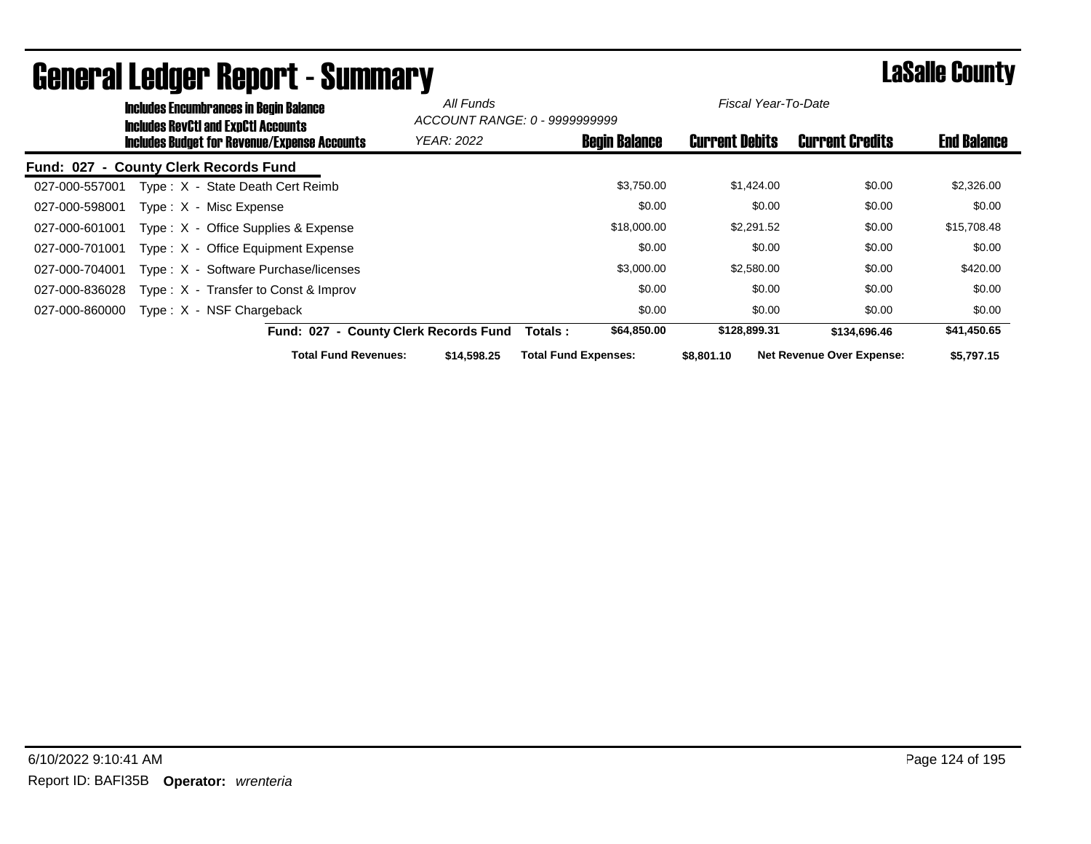|                  | <b>Includes Encumbrances in Begin Balance</b><br>Includes RevCtI and ExpCtI Accounts |                   | ACCOUNT RANGE: 0 - 9999999999 |                       | Fiscal Year-To-Date              |                    |  |  |
|------------------|--------------------------------------------------------------------------------------|-------------------|-------------------------------|-----------------------|----------------------------------|--------------------|--|--|
|                  | <b>Includes Budget for Revenue/Expense Accounts</b>                                  | <b>YEAR: 2022</b> | <b>Begin Balance</b>          | <b>Current Debits</b> | <b>Current Credits</b>           | <b>End Balance</b> |  |  |
| <b>Fund: 027</b> | - County Clerk Records Fund                                                          |                   |                               |                       |                                  |                    |  |  |
| 027-000-557001   | Type: X - State Death Cert Reimb                                                     |                   | \$3,750.00                    | \$1,424.00            | \$0.00                           | \$2,326.00         |  |  |
| 027-000-598001   | Type: X - Misc Expense                                                               |                   | \$0.00                        | \$0.00                | \$0.00                           | \$0.00             |  |  |
| 027-000-601001   | Type: X - Office Supplies & Expense                                                  |                   | \$18,000.00                   | \$2,291.52            | \$0.00                           | \$15,708.48        |  |  |
| 027-000-701001   | Type: X - Office Equipment Expense                                                   |                   | \$0.00                        | \$0.00                | \$0.00                           | \$0.00             |  |  |
| 027-000-704001   | Type: X - Software Purchase/licenses                                                 |                   | \$3,000.00                    | \$2,580.00            | \$0.00                           | \$420.00           |  |  |
| 027-000-836028   | Type: X - Transfer to Const & Improv                                                 |                   | \$0.00                        | \$0.00                | \$0.00                           | \$0.00             |  |  |
| 027-000-860000   | $Type: X - NSF Chargeback$                                                           |                   | \$0.00                        | \$0.00                | \$0.00                           | \$0.00             |  |  |
|                  | Fund: 027 - County Clerk Records Fund                                                |                   | \$64,850.00<br>Totals :       | \$128,899.31          | \$134,696.46                     | \$41,450.65        |  |  |
|                  | <b>Total Fund Revenues:</b>                                                          | \$14,598.25       | <b>Total Fund Expenses:</b>   | \$8,801.10            | <b>Net Revenue Over Expense:</b> | \$5,797.15         |  |  |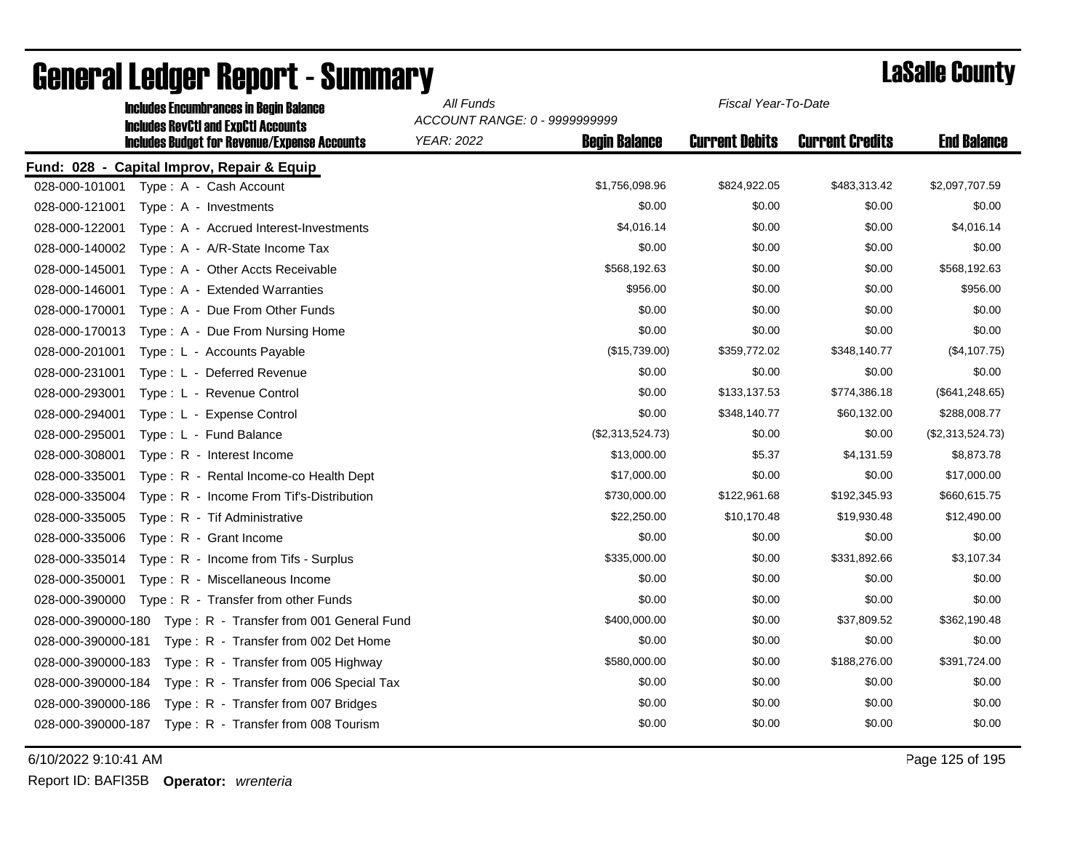|                    | <b>Includes Encumbrances in Begin Balance</b>       | All Funds                     | Fiscal Year-To-Date  |                       |                        |                    |
|--------------------|-----------------------------------------------------|-------------------------------|----------------------|-----------------------|------------------------|--------------------|
|                    | <b>Includes RevCtI and ExpCtI Accounts</b>          | ACCOUNT RANGE: 0 - 9999999999 |                      |                       |                        |                    |
|                    | <b>Includes Budget for Revenue/Expense Accounts</b> | YEAR: 2022                    | <b>Begin Balance</b> | <b>Current Debits</b> | <b>Current Credits</b> | <b>End Balance</b> |
|                    | Fund: 028 - Capital Improv, Repair & Equip          |                               |                      |                       |                        |                    |
| 028-000-101001     | Type: A - Cash Account                              |                               | \$1,756,098.96       | \$824,922.05          | \$483,313.42           | \$2,097,707.59     |
| 028-000-121001     | Type: A - Investments                               |                               | \$0.00               | \$0.00                | \$0.00                 | \$0.00             |
| 028-000-122001     | Type: A - Accrued Interest-Investments              |                               | \$4,016.14           | \$0.00                | \$0.00                 | \$4,016.14         |
| 028-000-140002     | Type: A - A/R-State Income Tax                      |                               | \$0.00               | \$0.00                | \$0.00                 | \$0.00             |
| 028-000-145001     | Type: A - Other Accts Receivable                    |                               | \$568,192.63         | \$0.00                | \$0.00                 | \$568,192.63       |
| 028-000-146001     | Type: A - Extended Warranties                       |                               | \$956.00             | \$0.00                | \$0.00                 | \$956.00           |
| 028-000-170001     | Type: A - Due From Other Funds                      |                               | \$0.00               | \$0.00                | \$0.00                 | \$0.00             |
| 028-000-170013     | Type: A - Due From Nursing Home                     |                               | \$0.00               | \$0.00                | \$0.00                 | \$0.00             |
| 028-000-201001     | Type: L - Accounts Payable                          |                               | (\$15,739.00)        | \$359,772.02          | \$348,140.77           | (\$4,107.75)       |
| 028-000-231001     | Type: L - Deferred Revenue                          |                               | \$0.00               | \$0.00                | \$0.00                 | \$0.00             |
| 028-000-293001     | Type: L - Revenue Control                           |                               | \$0.00               | \$133,137.53          | \$774,386.18           | (\$641, 248.65)    |
| 028-000-294001     | Type: L - Expense Control                           |                               | \$0.00               | \$348,140.77          | \$60,132.00            | \$288,008.77       |
| 028-000-295001     | Type: L - Fund Balance                              |                               | (\$2,313,524.73)     | \$0.00                | \$0.00                 | (\$2,313,524.73)   |
| 028-000-308001     | Type: R - Interest Income                           |                               | \$13,000.00          | \$5.37                | \$4,131.59             | \$8,873.78         |
| 028-000-335001     | Type: R - Rental Income-co Health Dept              |                               | \$17,000.00          | \$0.00                | \$0.00                 | \$17,000.00        |
| 028-000-335004     | Type: R - Income From Tif's-Distribution            |                               | \$730,000.00         | \$122,961.68          | \$192,345.93           | \$660,615.75       |
| 028-000-335005     | Type: R - Tif Administrative                        |                               | \$22,250.00          | \$10,170.48           | \$19,930.48            | \$12,490.00        |
| 028-000-335006     | Type: R - Grant Income                              |                               | \$0.00               | \$0.00                | \$0.00                 | \$0.00             |
| 028-000-335014     | Type: R - Income from Tifs - Surplus                |                               | \$335,000.00         | \$0.00                | \$331,892.66           | \$3,107.34         |
| 028-000-350001     | Type: R - Miscellaneous Income                      |                               | \$0.00               | \$0.00                | \$0.00                 | \$0.00             |
| 028-000-390000     | Type: R - Transfer from other Funds                 |                               | \$0.00               | \$0.00                | \$0.00                 | \$0.00             |
| 028-000-390000-180 | Type: R - Transfer from 001 General Fund            |                               | \$400,000.00         | \$0.00                | \$37,809.52            | \$362,190.48       |
| 028-000-390000-181 | Type: R - Transfer from 002 Det Home                |                               | \$0.00               | \$0.00                | \$0.00                 | \$0.00             |
| 028-000-390000-183 | Type: R - Transfer from 005 Highway                 |                               | \$580,000.00         | \$0.00                | \$188,276.00           | \$391,724.00       |
| 028-000-390000-184 | Type: R - Transfer from 006 Special Tax             |                               | \$0.00               | \$0.00                | \$0.00                 | \$0.00             |
| 028-000-390000-186 | Type: R - Transfer from 007 Bridges                 |                               | \$0.00               | \$0.00                | \$0.00                 | \$0.00             |
|                    |                                                     |                               | \$0.00               | \$0.00                | \$0.00                 | \$0.00             |
|                    |                                                     |                               |                      |                       |                        |                    |

# General Ledger Report - Summary **Lassing Report - Summary**

6/10/2022 9:10:41 AM Page 125 of 195

Report ID: BAFI35B **Operator:** *wrenteria*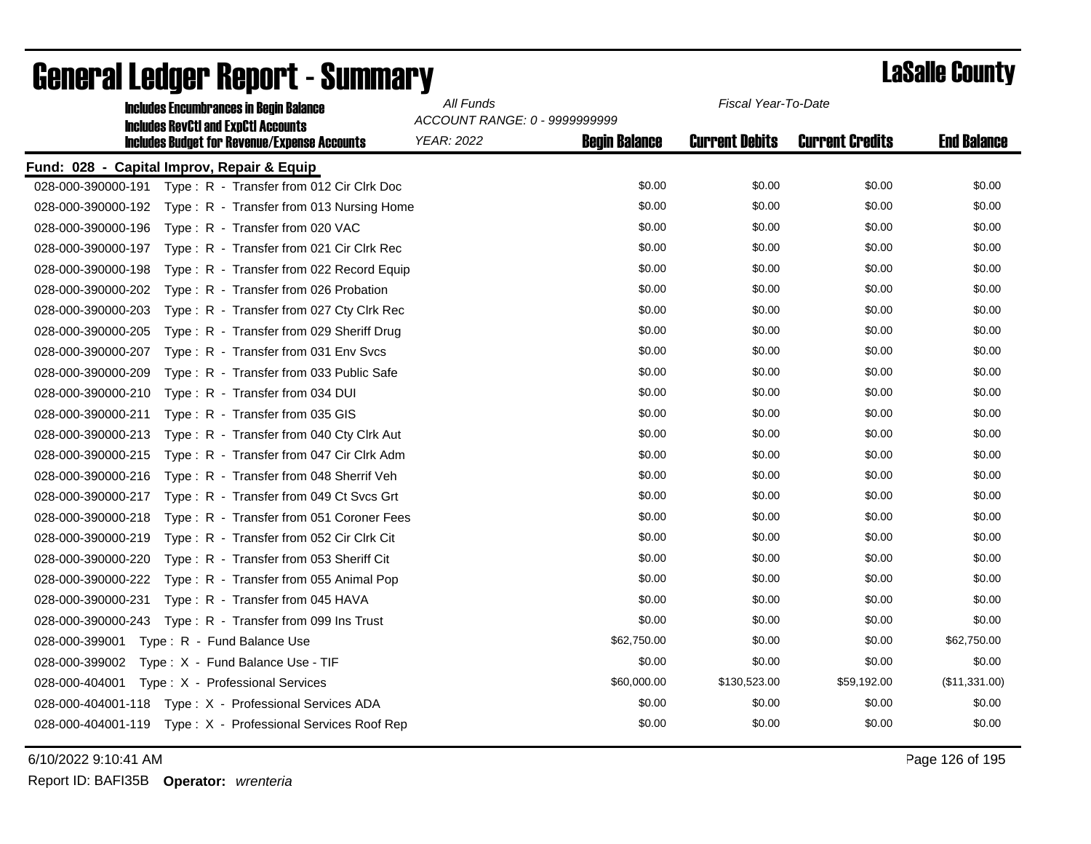| <b>Includes Encumbrances in Begin Balance</b>                  | All Funds                                          |                      | Fiscal Year-To-Date   |                        |                    |
|----------------------------------------------------------------|----------------------------------------------------|----------------------|-----------------------|------------------------|--------------------|
| <b>Includes RevCtI and ExpCtI Accounts</b>                     | ACCOUNT RANGE: 0 - 9999999999<br><b>YEAR: 2022</b> | <b>Begin Balance</b> | <b>Current Debits</b> | <b>Current Credits</b> | <b>End Balance</b> |
| <b>Includes Budget for Revenue/Expense Accounts</b>            |                                                    |                      |                       |                        |                    |
| Fund: 028 - Capital Improv, Repair & Equip                     |                                                    |                      |                       |                        |                    |
| Type: R - Transfer from 012 Cir Clrk Doc<br>028-000-390000-191 |                                                    | \$0.00               | \$0.00                | \$0.00                 | \$0.00             |
| 028-000-390000-192<br>Type: R - Transfer from 013 Nursing Home |                                                    | \$0.00               | \$0.00                | \$0.00                 | \$0.00             |
| 028-000-390000-196<br>Type: R - Transfer from 020 VAC          |                                                    | \$0.00               | \$0.00                | \$0.00                 | \$0.00             |
| 028-000-390000-197<br>Type: R - Transfer from 021 Cir Clrk Rec |                                                    | \$0.00               | \$0.00                | \$0.00                 | \$0.00             |
| 028-000-390000-198<br>Type: R - Transfer from 022 Record Equip |                                                    | \$0.00               | \$0.00                | \$0.00                 | \$0.00             |
| 028-000-390000-202<br>Type: R - Transfer from 026 Probation    |                                                    | \$0.00               | \$0.00                | \$0.00                 | \$0.00             |
| 028-000-390000-203<br>Type: R - Transfer from 027 Cty Clrk Rec |                                                    | \$0.00               | \$0.00                | \$0.00                 | \$0.00             |
| 028-000-390000-205<br>Type: R - Transfer from 029 Sheriff Drug |                                                    | \$0.00               | \$0.00                | \$0.00                 | \$0.00             |
| 028-000-390000-207<br>Type: R - Transfer from 031 Env Svcs     |                                                    | \$0.00               | \$0.00                | \$0.00                 | \$0.00             |
| 028-000-390000-209<br>Type: R - Transfer from 033 Public Safe  |                                                    | \$0.00               | \$0.00                | \$0.00                 | \$0.00             |
| 028-000-390000-210<br>Type: R - Transfer from 034 DUI          |                                                    | \$0.00               | \$0.00                | \$0.00                 | \$0.00             |
| 028-000-390000-211<br>Type: R - Transfer from 035 GIS          |                                                    | \$0.00               | \$0.00                | \$0.00                 | \$0.00             |
| 028-000-390000-213<br>Type: R - Transfer from 040 Cty Clrk Aut |                                                    | \$0.00               | \$0.00                | \$0.00                 | \$0.00             |
| 028-000-390000-215<br>Type: R - Transfer from 047 Cir Clrk Adm |                                                    | \$0.00               | \$0.00                | \$0.00                 | \$0.00             |
| 028-000-390000-216<br>Type: R - Transfer from 048 Sherrif Veh  |                                                    | \$0.00               | \$0.00                | \$0.00                 | \$0.00             |
| 028-000-390000-217<br>Type: R - Transfer from 049 Ct Svcs Grt  |                                                    | \$0.00               | \$0.00                | \$0.00                 | \$0.00             |
| Type: R - Transfer from 051 Coroner Fees<br>028-000-390000-218 |                                                    | \$0.00               | \$0.00                | \$0.00                 | \$0.00             |
| 028-000-390000-219<br>Type: R - Transfer from 052 Cir Clrk Cit |                                                    | \$0.00               | \$0.00                | \$0.00                 | \$0.00             |
| 028-000-390000-220<br>Type: R - Transfer from 053 Sheriff Cit  |                                                    | \$0.00               | \$0.00                | \$0.00                 | \$0.00             |
| 028-000-390000-222<br>Type: R - Transfer from 055 Animal Pop   |                                                    | \$0.00               | \$0.00                | \$0.00                 | \$0.00             |
| 028-000-390000-231<br>Type: R - Transfer from 045 HAVA         |                                                    | \$0.00               | \$0.00                | \$0.00                 | \$0.00             |
| Type: R - Transfer from 099 Ins Trust<br>028-000-390000-243    |                                                    | \$0.00               | \$0.00                | \$0.00                 | \$0.00             |
| 028-000-399001<br>Type: R - Fund Balance Use                   |                                                    | \$62,750.00          | \$0.00                | \$0.00                 | \$62,750.00        |
| 028-000-399002<br>Type: X - Fund Balance Use - TIF             |                                                    | \$0.00               | \$0.00                | \$0.00                 | \$0.00             |
| 028-000-404001 Type: X - Professional Services                 |                                                    | \$60,000.00          | \$130,523.00          | \$59,192.00            | (\$11,331.00)      |
| 028-000-404001-118 Type: X - Professional Services ADA         |                                                    | \$0.00               | \$0.00                | \$0.00                 | \$0.00             |
| 028-000-404001-119 Type: X - Professional Services Roof Rep    |                                                    | \$0.00               | \$0.00                | \$0.00                 | \$0.00             |
|                                                                |                                                    |                      |                       |                        |                    |

6/10/2022 9:10:41 AM Page 126 of 195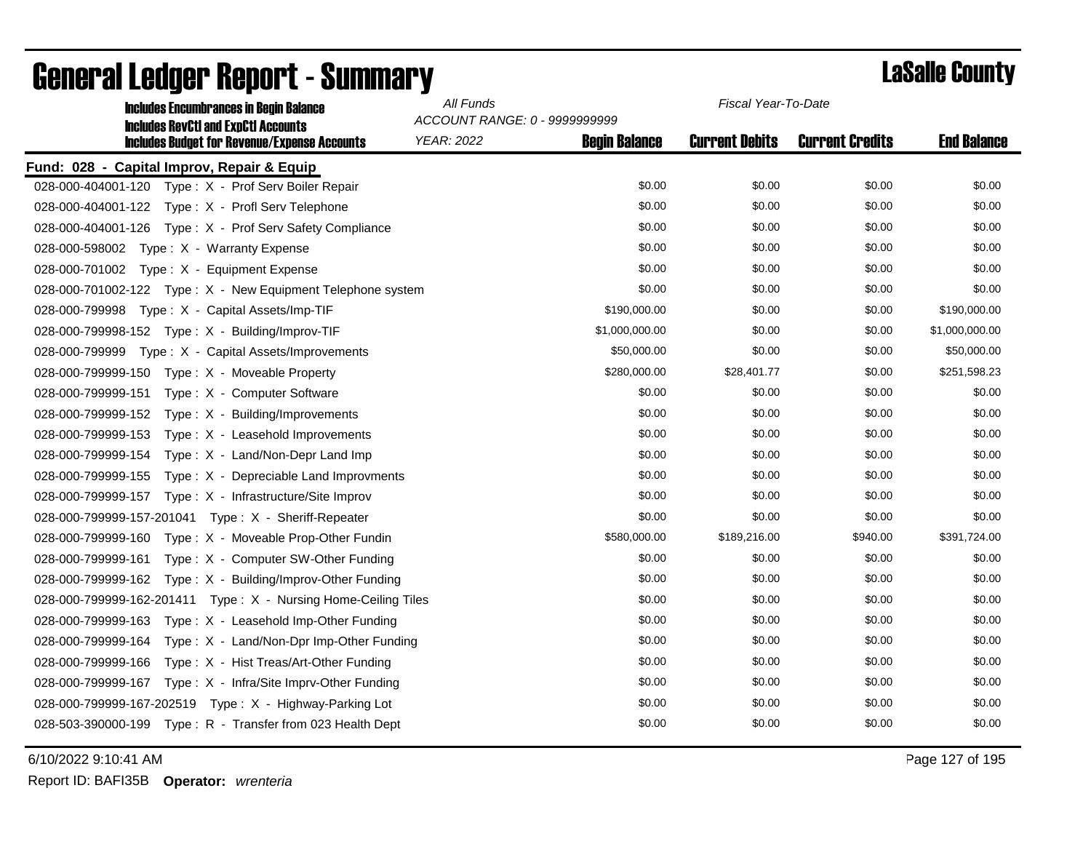| <b>Includes Encumbrances in Begin Balance</b>                                                     | All Funds<br>ACCOUNT RANGE: 0 - 9999999999 |                      | Fiscal Year-To-Date   |                        |                    |  |  |
|---------------------------------------------------------------------------------------------------|--------------------------------------------|----------------------|-----------------------|------------------------|--------------------|--|--|
| <b>Includes RevCtI and ExpCtI Accounts</b><br><b>Includes Budget for Revenue/Expense Accounts</b> | <b>YEAR: 2022</b>                          | <b>Begin Balance</b> | <b>Current Debits</b> | <b>Current Credits</b> | <b>End Balance</b> |  |  |
| Fund: 028 - Capital Improv, Repair & Equip                                                        |                                            |                      |                       |                        |                    |  |  |
| 028-000-404001-120    Type: X - Prof Serv Boiler Repair                                           |                                            | \$0.00               | \$0.00                | \$0.00                 | \$0.00             |  |  |
| 028-000-404001-122 Type: X - Profl Serv Telephone                                                 |                                            | \$0.00               | \$0.00                | \$0.00                 | \$0.00             |  |  |
| 028-000-404001-126 Type: X - Prof Serv Safety Compliance                                          |                                            | \$0.00               | \$0.00                | \$0.00                 | \$0.00             |  |  |
| 028-000-598002 Type: $X -$ Warranty Expense                                                       |                                            | \$0.00               | \$0.00                | \$0.00                 | \$0.00             |  |  |
| 028-000-701002 Type: X - Equipment Expense                                                        |                                            | \$0.00               | \$0.00                | \$0.00                 | \$0.00             |  |  |
| 028-000-701002-122 Type: X - New Equipment Telephone system                                       |                                            | \$0.00               | \$0.00                | \$0.00                 | \$0.00             |  |  |
| 028-000-799998 Type: X - Capital Assets/Imp-TIF                                                   |                                            | \$190,000.00         | \$0.00                | \$0.00                 | \$190,000.00       |  |  |
|                                                                                                   |                                            | \$1,000,000.00       | \$0.00                | \$0.00                 | \$1,000,000.00     |  |  |
| 028-000-799999 Type: X - Capital Assets/Improvements                                              |                                            | \$50,000.00          | \$0.00                | \$0.00                 | \$50,000.00        |  |  |
| 028-000-799999-150<br>Type: X - Moveable Property                                                 |                                            | \$280,000.00         | \$28,401.77           | \$0.00                 | \$251,598.23       |  |  |
| 028-000-799999-151<br>Type: X - Computer Software                                                 |                                            | \$0.00               | \$0.00                | \$0.00                 | \$0.00             |  |  |
| Type: X - Building/Improvements<br>028-000-799999-152                                             |                                            | \$0.00               | \$0.00                | \$0.00                 | \$0.00             |  |  |
| 028-000-799999-153<br>Type: X - Leasehold Improvements                                            |                                            | \$0.00               | \$0.00                | \$0.00                 | \$0.00             |  |  |
| 028-000-799999-154<br>Type: X - Land/Non-Depr Land Imp                                            |                                            | \$0.00               | \$0.00                | \$0.00                 | \$0.00             |  |  |
| 028-000-799999-155<br>Type: X - Depreciable Land Improvments                                      |                                            | \$0.00               | \$0.00                | \$0.00                 | \$0.00             |  |  |
| Type: X - Infrastructure/Site Improv<br>028-000-799999-157                                        |                                            | \$0.00               | \$0.00                | \$0.00                 | \$0.00             |  |  |
| 028-000-799999-157-201041    Type: X - Sheriff-Repeater                                           |                                            | \$0.00               | \$0.00                | \$0.00                 | \$0.00             |  |  |
| 028-000-799999-160<br>Type: X - Moveable Prop-Other Fundin                                        |                                            | \$580,000.00         | \$189,216.00          | \$940.00               | \$391,724.00       |  |  |
| 028-000-799999-161<br>Type: X - Computer SW-Other Funding                                         |                                            | \$0.00               | \$0.00                | \$0.00                 | \$0.00             |  |  |
| 028-000-799999-162 Type: X - Building/Improv-Other Funding                                        |                                            | \$0.00               | \$0.00                | \$0.00                 | \$0.00             |  |  |
| 028-000-799999-162-201411    Type: X - Nursing Home-Ceiling Tiles                                 |                                            | \$0.00               | \$0.00                | \$0.00                 | \$0.00             |  |  |
| 028-000-799999-163 Type: X - Leasehold Imp-Other Funding                                          |                                            | \$0.00               | \$0.00                | \$0.00                 | \$0.00             |  |  |
| 028-000-799999-164<br>Type: X - Land/Non-Dpr Imp-Other Funding                                    |                                            | \$0.00               | \$0.00                | \$0.00                 | \$0.00             |  |  |
| Type: X - Hist Treas/Art-Other Funding<br>028-000-799999-166                                      |                                            | \$0.00               | \$0.00                | \$0.00                 | \$0.00             |  |  |
| 028-000-799999-167  Type: X - Infra/Site Imprv-Other Funding                                      |                                            | \$0.00               | \$0.00                | \$0.00                 | \$0.00             |  |  |
| 028-000-799999-167-202519    Type: X - Highway-Parking Lot                                        |                                            | \$0.00               | \$0.00                | \$0.00                 | \$0.00             |  |  |
| 028-503-390000-199    Type: R - Transfer from 023 Health Dept                                     |                                            | \$0.00               | \$0.00                | \$0.00                 | \$0.00             |  |  |

6/10/2022 9:10:41 AM Page 127 of 195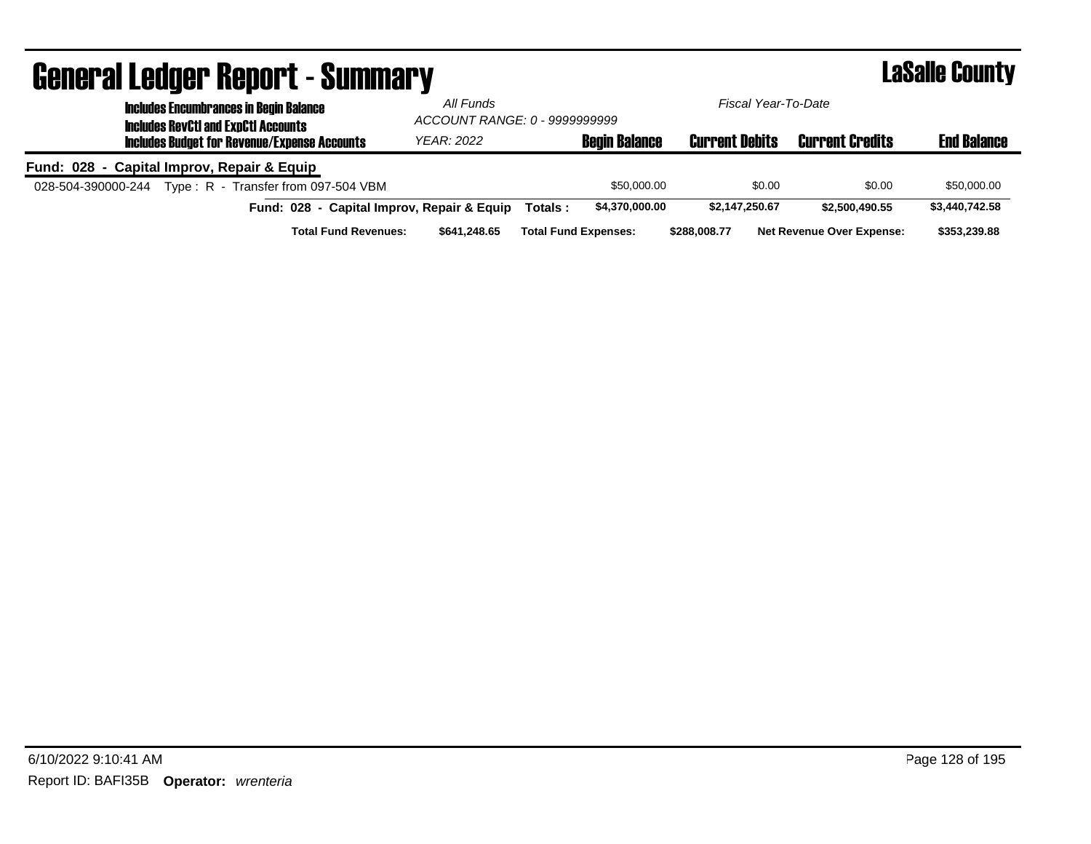| General Leuger Report - Summary                                                             |                   |                                                      |                             |                       |                                  | <b>L'ADAILE GUUILLY</b> |
|---------------------------------------------------------------------------------------------|-------------------|------------------------------------------------------|-----------------------------|-----------------------|----------------------------------|-------------------------|
| <b>Includes Encumbrances in Begin Balance</b><br><b>Includes RevCtI and ExpCtI Accounts</b> | All Funds         | Fiscal Year-To-Date<br>ACCOUNT RANGE: 0 - 9999999999 |                             |                       |                                  |                         |
| <b>Includes Budget for Revenue/Expense Accounts</b>                                         | <b>YEAR: 2022</b> |                                                      | <b>Begin Balance</b>        | <b>Current Debits</b> | <b>Current Credits</b>           | <b>End Balance</b>      |
| Fund: 028 - Capital Improv, Repair & Equip                                                  |                   |                                                      |                             |                       |                                  |                         |
| Type: R - Transfer from 097-504 VBM<br>028-504-390000-244                                   |                   |                                                      | \$50,000,00                 | \$0.00                | \$0.00                           | \$50,000.00             |
| Fund: 028 - Capital Improv, Repair & Equip                                                  |                   | Totals:                                              | \$4,370,000,00              | \$2,147,250.67        | \$2,500,490.55                   | \$3,440,742.58          |
| <b>Total Fund Revenues:</b>                                                                 | \$641.248.65      |                                                      | <b>Total Fund Expenses:</b> | \$288,008.77          | <b>Net Revenue Over Expense:</b> | \$353,239.88            |

### General Ledger Report - Summary LaSalle County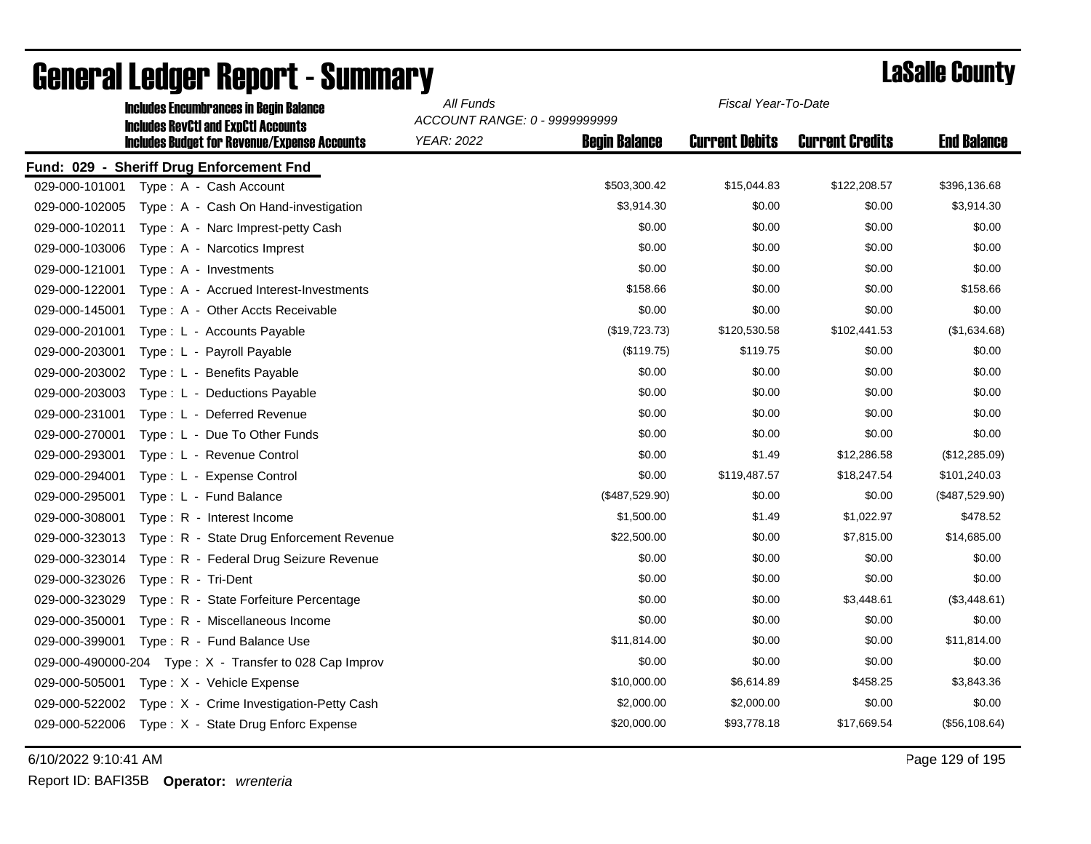|                    | <b>Includes Encumbrances in Begin Balance</b>       | All Funds                     |                      | Fiscal Year-To-Date   |                        |                    |
|--------------------|-----------------------------------------------------|-------------------------------|----------------------|-----------------------|------------------------|--------------------|
|                    | <b>Includes RevCtI and ExpCtI Accounts</b>          | ACCOUNT RANGE: 0 - 9999999999 |                      |                       |                        |                    |
|                    | <b>Includes Budget for Revenue/Expense Accounts</b> | <b>YEAR: 2022</b>             | <b>Begin Balance</b> | <b>Current Debits</b> | <b>Current Credits</b> | <b>End Balance</b> |
|                    | Fund: 029 - Sheriff Drug Enforcement Fnd            |                               |                      |                       |                        |                    |
| 029-000-101001     | Type: A - Cash Account                              |                               | \$503,300.42         | \$15,044.83           | \$122,208.57           | \$396,136.68       |
| 029-000-102005     | Type: A - Cash On Hand-investigation                |                               | \$3,914.30           | \$0.00                | \$0.00                 | \$3,914.30         |
| 029-000-102011     | Type: A - Narc Imprest-petty Cash                   |                               | \$0.00               | \$0.00                | \$0.00                 | \$0.00             |
| 029-000-103006     | Type: A - Narcotics Imprest                         |                               | \$0.00               | \$0.00                | \$0.00                 | \$0.00             |
| 029-000-121001     | $Type: A - Investments$                             |                               | \$0.00               | \$0.00                | \$0.00                 | \$0.00             |
| 029-000-122001     | Type: A - Accrued Interest-Investments              |                               | \$158.66             | \$0.00                | \$0.00                 | \$158.66           |
| 029-000-145001     | Type: A - Other Accts Receivable                    |                               | \$0.00               | \$0.00                | \$0.00                 | \$0.00             |
| 029-000-201001     | Type: L - Accounts Payable                          |                               | (\$19,723.73)        | \$120,530.58          | \$102,441.53           | (\$1,634.68)       |
| 029-000-203001     | Type: L - Payroll Payable                           |                               | (\$119.75)           | \$119.75              | \$0.00                 | \$0.00             |
| 029-000-203002     | Type: L - Benefits Payable                          |                               | \$0.00               | \$0.00                | \$0.00                 | \$0.00             |
| 029-000-203003     | Type: L - Deductions Payable                        |                               | \$0.00               | \$0.00                | \$0.00                 | \$0.00             |
| 029-000-231001     | Type: L - Deferred Revenue                          |                               | \$0.00               | \$0.00                | \$0.00                 | \$0.00             |
| 029-000-270001     | Type: L - Due To Other Funds                        |                               | \$0.00               | \$0.00                | \$0.00                 | \$0.00             |
| 029-000-293001     | Type: L - Revenue Control                           |                               | \$0.00               | \$1.49                | \$12,286.58            | (\$12,285.09)      |
| 029-000-294001     | Type: L - Expense Control                           |                               | \$0.00               | \$119,487.57          | \$18,247.54            | \$101,240.03       |
| 029-000-295001     | Type: L - Fund Balance                              |                               | (\$487,529.90)       | \$0.00                | \$0.00                 | (\$487,529.90)     |
| 029-000-308001     | Type: R - Interest Income                           |                               | \$1,500.00           | \$1.49                | \$1,022.97             | \$478.52           |
| 029-000-323013     | Type: R - State Drug Enforcement Revenue            |                               | \$22,500.00          | \$0.00                | \$7,815.00             | \$14,685.00        |
| 029-000-323014     | Type: R - Federal Drug Seizure Revenue              |                               | \$0.00               | \$0.00                | \$0.00                 | \$0.00             |
| 029-000-323026     | Type: R - Tri-Dent                                  |                               | \$0.00               | \$0.00                | \$0.00                 | \$0.00             |
| 029-000-323029     | Type: R - State Forfeiture Percentage               |                               | \$0.00               | \$0.00                | \$3,448.61             | (\$3,448.61)       |
| 029-000-350001     | Type: R - Miscellaneous Income                      |                               | \$0.00               | \$0.00                | \$0.00                 | \$0.00             |
| 029-000-399001     | Type: R - Fund Balance Use                          |                               | \$11,814.00          | \$0.00                | \$0.00                 | \$11,814.00        |
| 029-000-490000-204 | Type: X - Transfer to 028 Cap Improv                |                               | \$0.00               | \$0.00                | \$0.00                 | \$0.00             |
| 029-000-505001     | Type: X - Vehicle Expense                           |                               | \$10,000.00          | \$6,614.89            | \$458.25               | \$3,843.36         |
| 029-000-522002     | Type: X - Crime Investigation-Petty Cash            |                               | \$2,000.00           | \$2,000.00            | \$0.00                 | \$0.00             |
| 029-000-522006     | Type: X - State Drug Enforc Expense                 |                               | \$20,000.00          | \$93,778.18           | \$17,669.54            | (\$56,108.64)      |
|                    |                                                     |                               |                      |                       |                        |                    |

# General Ledger Report - Summary **Lassing Report - Summary**

6/10/2022 9:10:41 AM Page 129 of 195

Report ID: BAFI35B **Operator:** *wrenteria*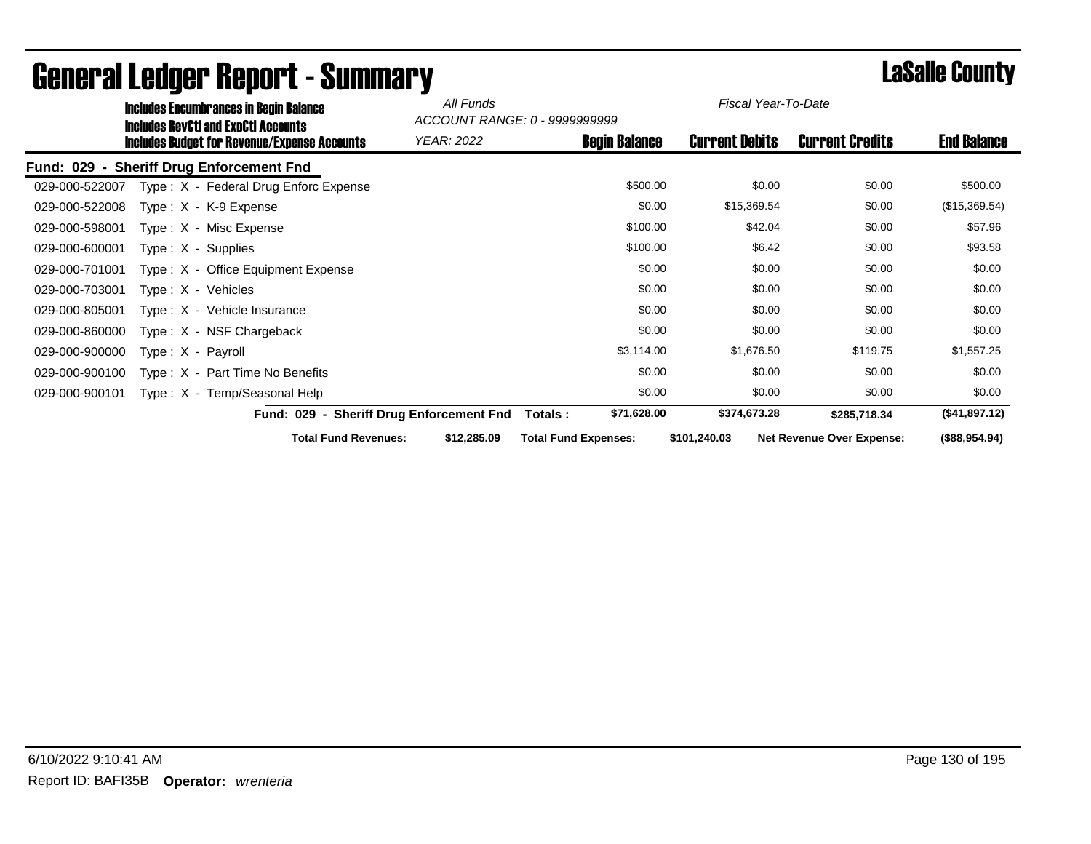|                | <b>Includes Encumbrances in Begin Balance</b>                                       | All Funds                                | Fiscal Year-To-Date<br>ACCOUNT RANGE: 0 - 9999999999 |                       |                                  |                    |
|----------------|-------------------------------------------------------------------------------------|------------------------------------------|------------------------------------------------------|-----------------------|----------------------------------|--------------------|
|                | Includes RevCtI and ExpCtI Accounts<br>Includes Budget for Revenue/Expense Accounts | YEAR: 2022                               | <b>Begin Balance</b>                                 | <b>Current Debits</b> | <b>Current Credits</b>           | <b>End Balance</b> |
|                | Fund: 029 - Sheriff Drug Enforcement Fnd                                            |                                          |                                                      |                       |                                  |                    |
| 029-000-522007 | Type: X - Federal Drug Enforc Expense                                               |                                          | \$500.00                                             | \$0.00                | \$0.00                           | \$500.00           |
| 029-000-522008 | Type: $X - K-9$ Expense                                                             |                                          | \$0.00                                               | \$15,369.54           | \$0.00                           | (\$15,369.54)      |
| 029-000-598001 | Type: X - Misc Expense                                                              |                                          | \$100.00                                             | \$42.04               | \$0.00                           | \$57.96            |
| 029-000-600001 | $Type: X - Supplies$                                                                |                                          | \$100.00                                             | \$6.42                | \$0.00                           | \$93.58            |
| 029-000-701001 | Type: X - Office Equipment Expense                                                  |                                          | \$0.00                                               | \$0.00                | \$0.00                           | \$0.00             |
| 029-000-703001 | Type: X - Vehicles                                                                  |                                          | \$0.00                                               | \$0.00                | \$0.00                           | \$0.00             |
| 029-000-805001 | Type: X - Vehicle Insurance                                                         |                                          | \$0.00                                               | \$0.00                | \$0.00                           | \$0.00             |
| 029-000-860000 | Type: X - NSF Chargeback                                                            |                                          | \$0.00                                               | \$0.00                | \$0.00                           | \$0.00             |
| 029-000-900000 | Type: X - Payroll                                                                   |                                          | \$3,114.00                                           | \$1,676.50            | \$119.75                         | \$1,557.25         |
| 029-000-900100 | $Type: X - Part Time No Benefits$                                                   |                                          | \$0.00                                               | \$0.00                | \$0.00                           | \$0.00             |
| 029-000-900101 | Type: X - Temp/Seasonal Help                                                        |                                          | \$0.00                                               | \$0.00                | \$0.00                           | \$0.00             |
|                |                                                                                     | Fund: 029 - Sheriff Drug Enforcement Fnd | \$71,628.00<br>Totals :                              | \$374,673.28          | \$285,718.34                     | (\$41,897.12)      |
|                | <b>Total Fund Revenues:</b>                                                         | \$12,285.09                              | <b>Total Fund Expenses:</b>                          | \$101,240.03          | <b>Net Revenue Over Expense:</b> | (\$88,954.94)      |

## General Ledger Report - Summary LaSalle County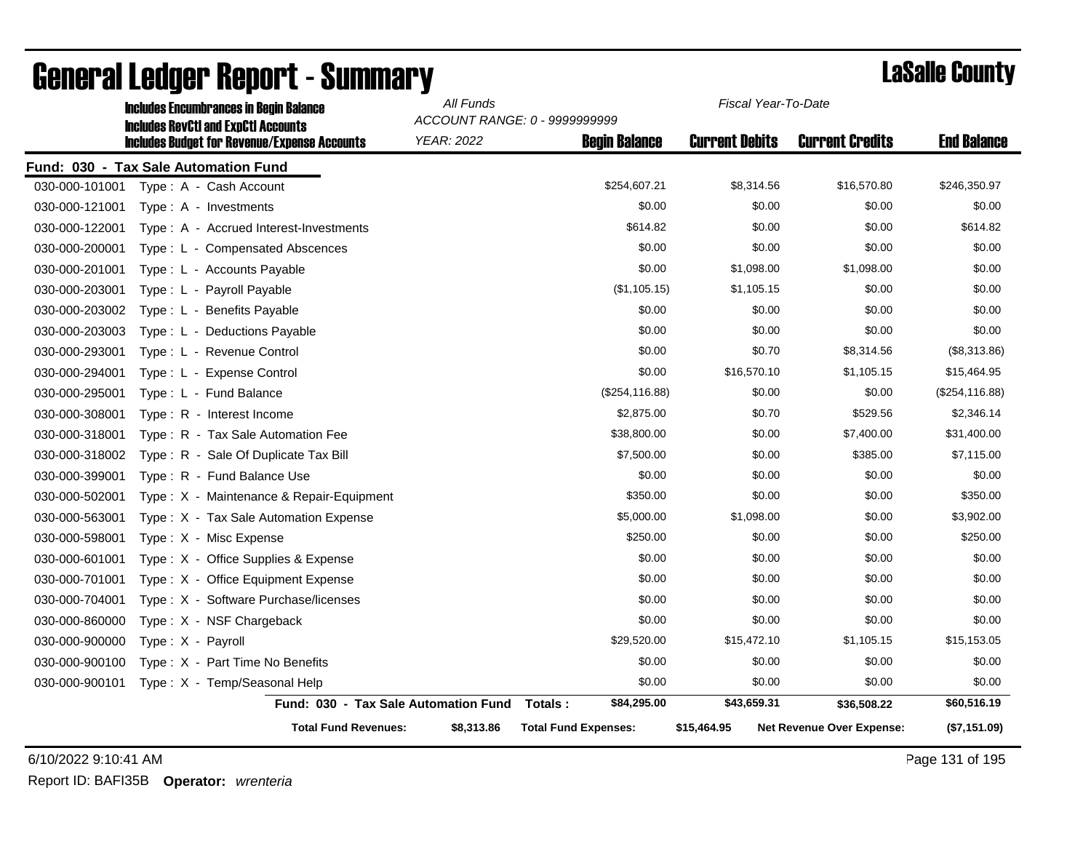|                | <b>Includes Encumbrances in Begin Balance</b>                                                     | All Funds<br>ACCOUNT RANGE: 0 - 9999999999 |                             | Fiscal Year-To-Date   |                           |                    |
|----------------|---------------------------------------------------------------------------------------------------|--------------------------------------------|-----------------------------|-----------------------|---------------------------|--------------------|
|                | <b>Includes RevCtI and ExpCtI Accounts</b><br><b>Includes Budget for Revenue/Expense Accounts</b> | <b>YEAR: 2022</b>                          | <b>Begin Balance</b>        | <b>Current Debits</b> | <b>Current Credits</b>    | <b>End Balance</b> |
|                | Fund: 030 - Tax Sale Automation Fund                                                              |                                            |                             |                       |                           |                    |
| 030-000-101001 | Type: A - Cash Account                                                                            |                                            | \$254,607.21                | \$8,314.56            | \$16,570.80               | \$246,350.97       |
| 030-000-121001 | Type: A - Investments                                                                             |                                            | \$0.00                      | \$0.00                | \$0.00                    | \$0.00             |
| 030-000-122001 | Type: A - Accrued Interest-Investments                                                            |                                            | \$614.82                    | \$0.00                | \$0.00                    | \$614.82           |
| 030-000-200001 | Type: L - Compensated Abscences                                                                   |                                            | \$0.00                      | \$0.00                | \$0.00                    | \$0.00             |
| 030-000-201001 | Type: L - Accounts Payable                                                                        |                                            | \$0.00                      | \$1,098.00            | \$1,098.00                | \$0.00             |
| 030-000-203001 | Type: L - Payroll Payable                                                                         |                                            | (\$1,105.15)                | \$1,105.15            | \$0.00                    | \$0.00             |
| 030-000-203002 | Type : L - Benefits Payable                                                                       |                                            | \$0.00                      | \$0.00                | \$0.00                    | \$0.00             |
| 030-000-203003 | Type: L - Deductions Payable                                                                      |                                            | \$0.00                      | \$0.00                | \$0.00                    | \$0.00             |
| 030-000-293001 | Type: L - Revenue Control                                                                         |                                            | \$0.00                      | \$0.70                | \$8,314.56                | (\$8,313.86)       |
| 030-000-294001 | Type: L - Expense Control                                                                         |                                            | \$0.00                      | \$16,570.10           | \$1,105.15                | \$15,464.95        |
| 030-000-295001 | Type: L - Fund Balance                                                                            |                                            | (\$254, 116.88)             | \$0.00                | \$0.00                    | (\$254, 116.88)    |
| 030-000-308001 | Type: R - Interest Income                                                                         |                                            | \$2,875.00                  | \$0.70                | \$529.56                  | \$2,346.14         |
| 030-000-318001 | Type: R - Tax Sale Automation Fee                                                                 |                                            | \$38,800.00                 | \$0.00                | \$7,400.00                | \$31,400.00        |
| 030-000-318002 | Type: R - Sale Of Duplicate Tax Bill                                                              |                                            | \$7,500.00                  | \$0.00                | \$385.00                  | \$7,115.00         |
| 030-000-399001 | Type: R - Fund Balance Use                                                                        |                                            | \$0.00                      | \$0.00                | \$0.00                    | \$0.00             |
| 030-000-502001 | Type: X - Maintenance & Repair-Equipment                                                          |                                            | \$350.00                    | \$0.00                | \$0.00                    | \$350.00           |
| 030-000-563001 | Type: X - Tax Sale Automation Expense                                                             |                                            | \$5,000.00                  | \$1,098.00            | \$0.00                    | \$3,902.00         |
| 030-000-598001 | Type: X - Misc Expense                                                                            |                                            | \$250.00                    | \$0.00                | \$0.00                    | \$250.00           |
| 030-000-601001 | Type: X - Office Supplies & Expense                                                               |                                            | \$0.00                      | \$0.00                | \$0.00                    | \$0.00             |
| 030-000-701001 | Type: X - Office Equipment Expense                                                                |                                            | \$0.00                      | \$0.00                | \$0.00                    | \$0.00             |
| 030-000-704001 | Type: X - Software Purchase/licenses                                                              |                                            | \$0.00                      | \$0.00                | \$0.00                    | \$0.00             |
| 030-000-860000 | Type: X - NSF Chargeback                                                                          |                                            | \$0.00                      | \$0.00                | \$0.00                    | \$0.00             |
| 030-000-900000 | Type: X - Payroll                                                                                 |                                            | \$29,520.00                 | \$15,472.10           | \$1,105.15                | \$15,153.05        |
| 030-000-900100 | Type: X - Part Time No Benefits                                                                   |                                            | \$0.00                      | \$0.00                | \$0.00                    | \$0.00             |
| 030-000-900101 | Type: X - Temp/Seasonal Help                                                                      |                                            | \$0.00                      | \$0.00                | \$0.00                    | \$0.00             |
|                | Fund: 030 - Tax Sale Automation Fund                                                              |                                            | \$84,295.00<br>Totals:      | \$43,659.31           | \$36,508.22               | \$60,516.19        |
|                | <b>Total Fund Revenues:</b>                                                                       | \$8,313.86                                 | <b>Total Fund Expenses:</b> | \$15,464.95           | Net Revenue Over Expense: | (\$7,151.09)       |

Report ID: BAFI35B **Operator:** *wrenteria*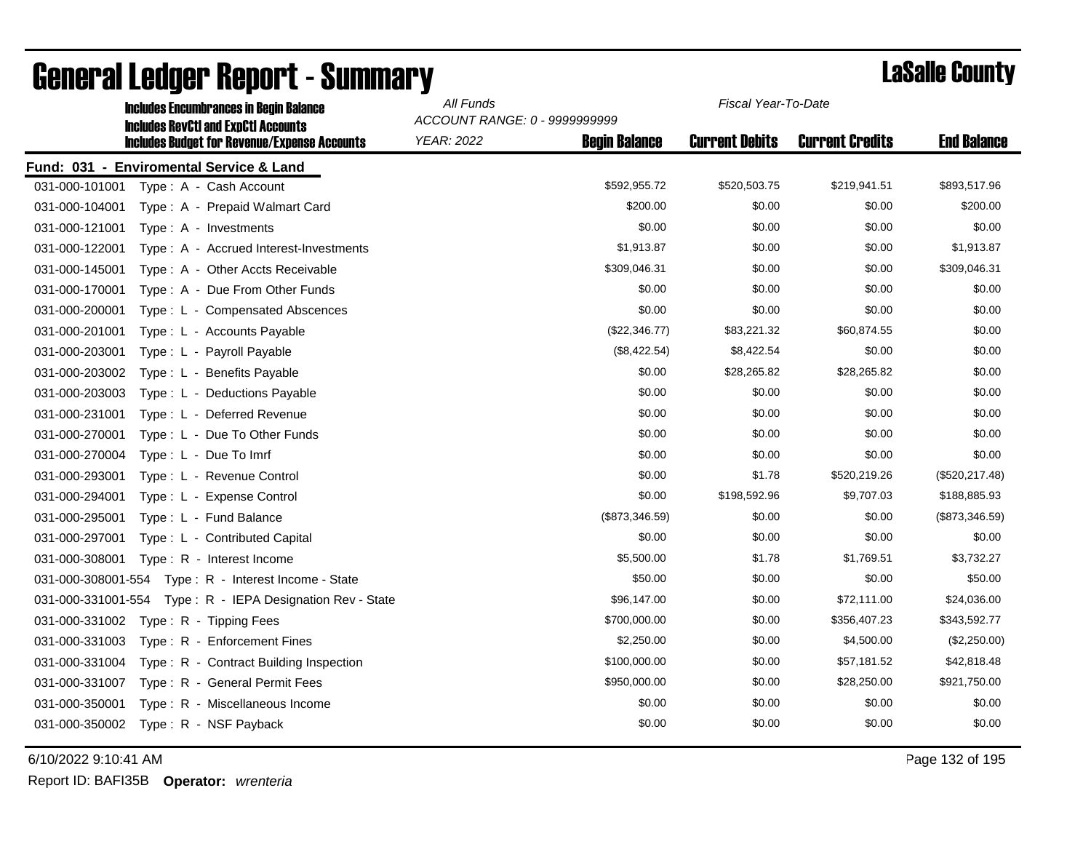|                | All Funds<br>Fiscal Year-To-Date<br><b>Includes Encumbrances in Begin Balance</b> |                               |                      |                       |                        |                    |
|----------------|-----------------------------------------------------------------------------------|-------------------------------|----------------------|-----------------------|------------------------|--------------------|
|                | <b>Includes RevCtI and ExpCtI Accounts</b>                                        | ACCOUNT RANGE: 0 - 9999999999 |                      |                       |                        |                    |
|                | <b>Includes Budget for Revenue/Expense Accounts</b>                               | <b>YEAR: 2022</b>             | <b>Begin Balance</b> | <b>Current Debits</b> | <b>Current Credits</b> | <b>End Balance</b> |
|                | Fund: 031 - Enviromental Service & Land                                           |                               |                      |                       |                        |                    |
| 031-000-101001 | Type: A - Cash Account                                                            |                               | \$592,955.72         | \$520,503.75          | \$219,941.51           | \$893,517.96       |
| 031-000-104001 | Type: A - Prepaid Walmart Card                                                    |                               | \$200.00             | \$0.00                | \$0.00                 | \$200.00           |
| 031-000-121001 | Type: A - Investments                                                             |                               | \$0.00               | \$0.00                | \$0.00                 | \$0.00             |
| 031-000-122001 | Type: A - Accrued Interest-Investments                                            |                               | \$1,913.87           | \$0.00                | \$0.00                 | \$1,913.87         |
| 031-000-145001 | Type: A - Other Accts Receivable                                                  |                               | \$309,046.31         | \$0.00                | \$0.00                 | \$309,046.31       |
| 031-000-170001 | Type: A - Due From Other Funds                                                    |                               | \$0.00               | \$0.00                | \$0.00                 | \$0.00             |
| 031-000-200001 | Type: L - Compensated Abscences                                                   |                               | \$0.00               | \$0.00                | \$0.00                 | \$0.00             |
| 031-000-201001 | Type: L - Accounts Payable                                                        |                               | (\$22,346.77)        | \$83,221.32           | \$60,874.55            | \$0.00             |
| 031-000-203001 | Type: L - Payroll Payable                                                         |                               | (\$8,422.54)         | \$8,422.54            | \$0.00                 | \$0.00             |
| 031-000-203002 | Type: L - Benefits Payable                                                        |                               | \$0.00               | \$28,265.82           | \$28,265.82            | \$0.00             |
| 031-000-203003 | Type: L - Deductions Payable                                                      |                               | \$0.00               | \$0.00                | \$0.00                 | \$0.00             |
| 031-000-231001 | Type: L - Deferred Revenue                                                        |                               | \$0.00               | \$0.00                | \$0.00                 | \$0.00             |
| 031-000-270001 | Type: L - Due To Other Funds                                                      |                               | \$0.00               | \$0.00                | \$0.00                 | \$0.00             |
| 031-000-270004 | Type: L - Due To Imrf                                                             |                               | \$0.00               | \$0.00                | \$0.00                 | \$0.00             |
| 031-000-293001 | Type: L - Revenue Control                                                         |                               | \$0.00               | \$1.78                | \$520,219.26           | (\$520, 217.48)    |
| 031-000-294001 | Type: L - Expense Control                                                         |                               | \$0.00               | \$198,592.96          | \$9,707.03             | \$188,885.93       |
| 031-000-295001 | Type: L - Fund Balance                                                            |                               | (\$873,346.59)       | \$0.00                | \$0.00                 | (\$873,346.59)     |
| 031-000-297001 | Type: L - Contributed Capital                                                     |                               | \$0.00               | \$0.00                | \$0.00                 | \$0.00             |
| 031-000-308001 | Type: R - Interest Income                                                         |                               | \$5,500.00           | \$1.78                | \$1,769.51             | \$3,732.27         |
|                | 031-000-308001-554 Type: R - Interest Income - State                              |                               | \$50.00              | \$0.00                | \$0.00                 | \$50.00            |
|                | 031-000-331001-554 Type: R - IEPA Designation Rev - State                         |                               | \$96,147.00          | \$0.00                | \$72,111.00            | \$24,036.00        |
|                | 031-000-331002 Type: R - Tipping Fees                                             |                               | \$700,000.00         | \$0.00                | \$356,407.23           | \$343,592.77       |
| 031-000-331003 | Type: R - Enforcement Fines                                                       |                               | \$2,250.00           | \$0.00                | \$4,500.00             | (\$2,250.00)       |
| 031-000-331004 | Type: R - Contract Building Inspection                                            |                               | \$100,000.00         | \$0.00                | \$57,181.52            | \$42,818.48        |
| 031-000-331007 | Type: R - General Permit Fees                                                     |                               | \$950,000.00         | \$0.00                | \$28,250.00            | \$921,750.00       |
| 031-000-350001 | Type: R - Miscellaneous Income                                                    |                               | \$0.00               | \$0.00                | \$0.00                 | \$0.00             |
| 031-000-350002 | Type: R - NSF Payback                                                             |                               | \$0.00               | \$0.00                | \$0.00                 | \$0.00             |
|                |                                                                                   |                               |                      |                       |                        |                    |

# **General Ledger Report - Summary Lassalle County**

6/10/2022 9:10:41 AM Page 132 of 195

Report ID: BAFI35B **Operator:** *wrenteria*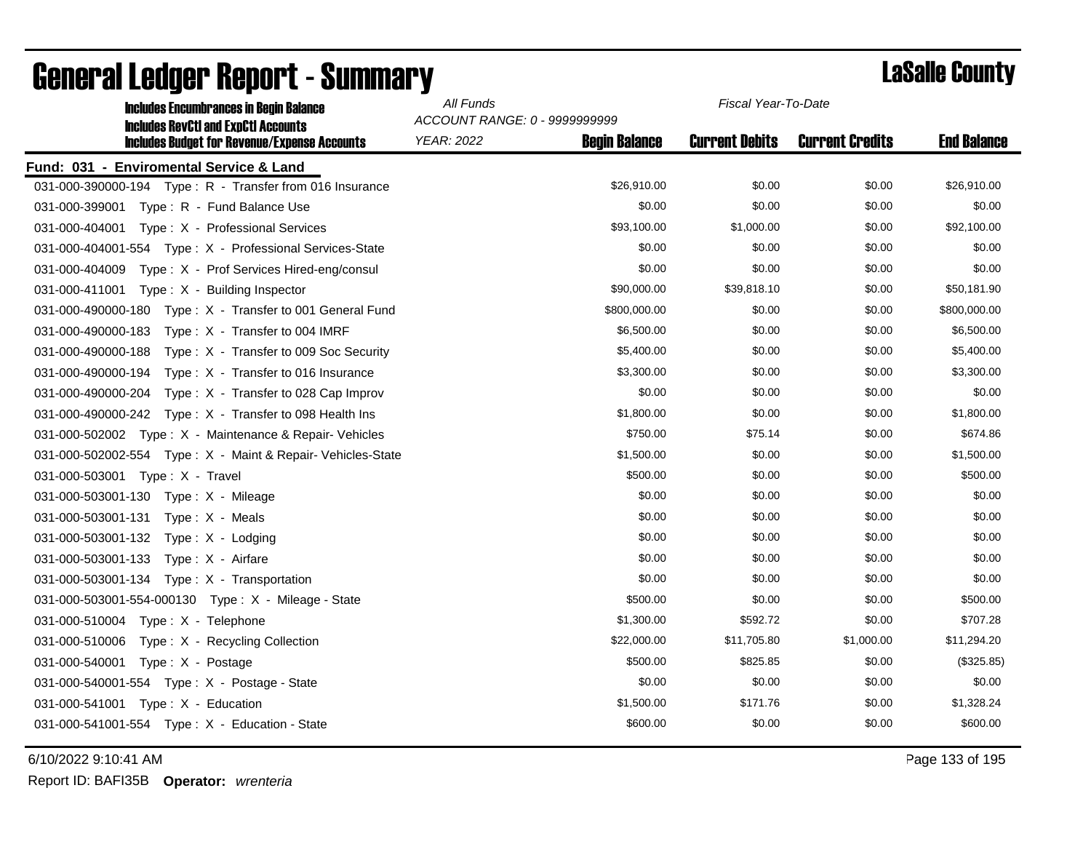| <b>Includes Encumbrances in Begin Balance</b>                                                     | All Funds<br>Fiscal Year-To-Date                                           |                       |                        |                    |  |
|---------------------------------------------------------------------------------------------------|----------------------------------------------------------------------------|-----------------------|------------------------|--------------------|--|
| <b>Includes RevCtI and ExpCtI Accounts</b><br><b>Includes Budget for Revenue/Expense Accounts</b> | ACCOUNT RANGE: 0 - 9999999999<br><b>YEAR: 2022</b><br><b>Begin Balance</b> | <b>Current Debits</b> | <b>Current Credits</b> | <b>End Balance</b> |  |
| Fund: 031 - Enviromental Service & Land                                                           |                                                                            |                       |                        |                    |  |
|                                                                                                   | \$26,910.00                                                                | \$0.00                | \$0.00                 | \$26,910.00        |  |
| 031-000-399001 Type: R - Fund Balance Use                                                         | \$0.00                                                                     | \$0.00                | \$0.00                 | \$0.00             |  |
| 031-000-404001 Type: X - Professional Services                                                    | \$93,100.00                                                                | \$1,000.00            | \$0.00                 | \$92,100.00        |  |
| 031-000-404001-554 Type: X - Professional Services-State                                          | \$0.00                                                                     | \$0.00                | \$0.00                 | \$0.00             |  |
| 031-000-404009 Type: X - Prof Services Hired-eng/consul                                           | \$0.00                                                                     | \$0.00                | \$0.00                 | \$0.00             |  |
| 031-000-411001<br>Type: X - Building Inspector                                                    | \$90,000.00                                                                | \$39,818.10           | \$0.00                 | \$50,181.90        |  |
| Type: X - Transfer to 001 General Fund<br>031-000-490000-180                                      | \$800,000.00                                                               | \$0.00                | \$0.00                 | \$800,000.00       |  |
| 031-000-490000-183<br>Type : $X -$ Transfer to 004 IMRF                                           | \$6,500.00                                                                 | \$0.00                | \$0.00                 | \$6,500.00         |  |
| 031-000-490000-188<br>Type: X - Transfer to 009 Soc Security                                      | \$5,400.00                                                                 | \$0.00                | \$0.00                 | \$5,400.00         |  |
| 031-000-490000-194<br>Type $: X -$ Transfer to 016 Insurance                                      | \$3,300.00                                                                 | \$0.00                | \$0.00                 | \$3,300.00         |  |
| 031-000-490000-204<br>Type: X - Transfer to 028 Cap Improv                                        | \$0.00                                                                     | \$0.00                | \$0.00                 | \$0.00             |  |
| Type: X - Transfer to 098 Health Ins<br>031-000-490000-242                                        | \$1,800.00                                                                 | \$0.00                | \$0.00                 | \$1,800.00         |  |
| 031-000-502002 Type: X - Maintenance & Repair- Vehicles                                           | \$750.00                                                                   | \$75.14               | \$0.00                 | \$674.86           |  |
| 031-000-502002-554 Type: X - Maint & Repair- Vehicles-State                                       | \$1,500.00                                                                 | \$0.00                | \$0.00                 | \$1,500.00         |  |
| 031-000-503001 Type: X - Travel                                                                   | \$500.00                                                                   | \$0.00                | \$0.00                 | \$500.00           |  |
| 031-000-503001-130    Type: X - Mileage                                                           | \$0.00                                                                     | \$0.00                | \$0.00                 | \$0.00             |  |
| 031-000-503001-131<br>Type: X - Meals                                                             | \$0.00                                                                     | \$0.00                | \$0.00                 | \$0.00             |  |
| 031-000-503001-132    Type: X - Lodging                                                           | \$0.00                                                                     | \$0.00                | \$0.00                 | \$0.00             |  |
| 031-000-503001-133<br>Type: X - Airfare                                                           | \$0.00                                                                     | \$0.00                | \$0.00                 | \$0.00             |  |
|                                                                                                   | \$0.00                                                                     | \$0.00                | \$0.00                 | \$0.00             |  |
| 031-000-503001-554-000130 Type: X - Mileage - State                                               | \$500.00                                                                   | \$0.00                | \$0.00                 | \$500.00           |  |
| 031-000-510004 Type: X - Telephone                                                                | \$1,300.00                                                                 | \$592.72              | \$0.00                 | \$707.28           |  |
| 031-000-510006<br>Type: X - Recycling Collection                                                  | \$22,000.00                                                                | \$11,705.80           | \$1,000.00             | \$11,294.20        |  |
| 031-000-540001<br>Type: X - Postage                                                               | \$500.00                                                                   | \$825.85              | \$0.00                 | (\$325.85)         |  |
| 031-000-540001-554 Type: X - Postage - State                                                      | \$0.00                                                                     | \$0.00                | \$0.00                 | \$0.00             |  |
| 031-000-541001    Type: X - Education                                                             | \$1,500.00                                                                 | \$171.76              | \$0.00                 | \$1,328.24         |  |
| 031-000-541001-554    Type: X - Education - State                                                 | \$600.00                                                                   | \$0.00                | \$0.00                 | \$600.00           |  |

## General Ledger Report - Summary LaSalle County

6/10/2022 9:10:41 AM Page 133 of 195

Report ID: BAFI35B **Operator:** *wrenteria*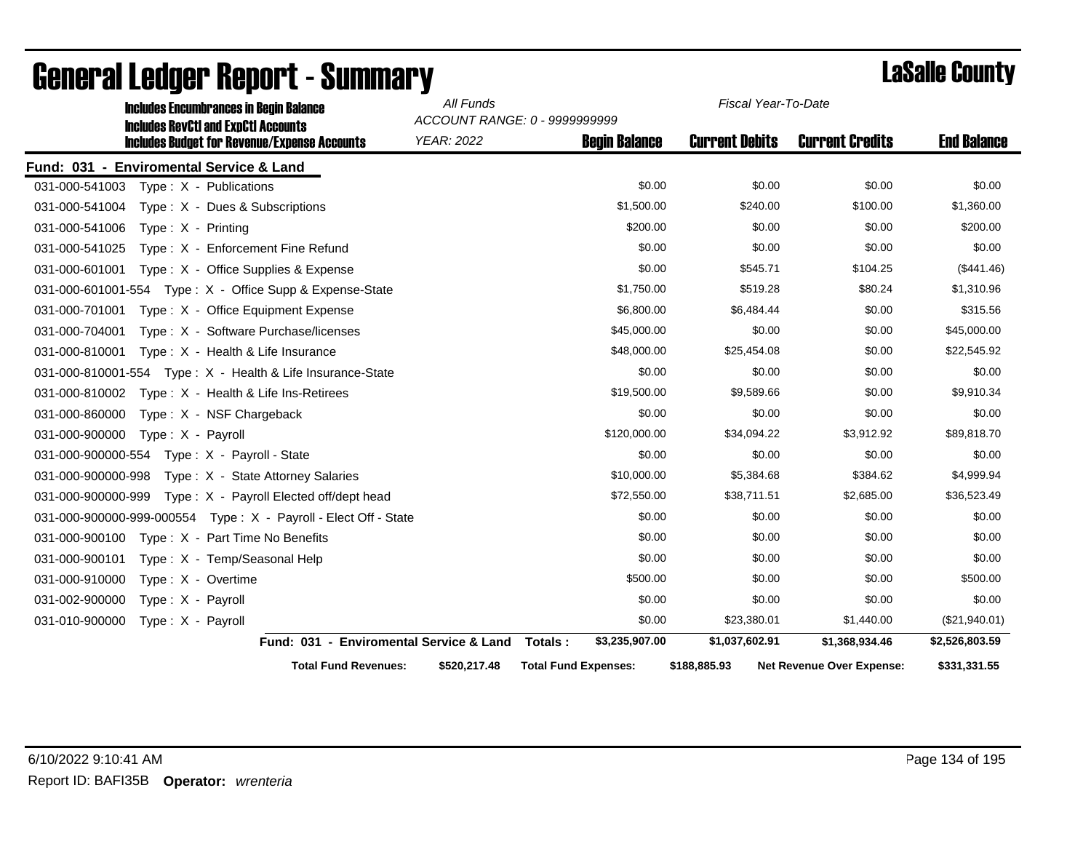| <b>Includes Encumbrances in Begin Balance</b>                                                     | All Funds         | Fiscal Year-To-Date<br>ACCOUNT RANGE: 0 - 9999999999 |                       |                                  |                    |
|---------------------------------------------------------------------------------------------------|-------------------|------------------------------------------------------|-----------------------|----------------------------------|--------------------|
| <b>Includes RevCtI and ExpCtI Accounts</b><br><b>Includes Budget for Revenue/Expense Accounts</b> | <b>YEAR: 2022</b> | <b>Begin Balance</b>                                 | <b>Current Debits</b> | <b>Current Credits</b>           | <b>End Balance</b> |
| Fund: 031 - Enviromental Service & Land                                                           |                   |                                                      |                       |                                  |                    |
| Type: X - Publications<br>031-000-541003                                                          |                   | \$0.00                                               | \$0.00                | \$0.00                           | \$0.00             |
| Type: X - Dues & Subscriptions<br>031-000-541004                                                  |                   | \$1,500.00                                           | \$240.00              | \$100.00                         | \$1,360.00         |
| 031-000-541006<br>Type: $X -$ Printing                                                            |                   | \$200.00                                             | \$0.00                | \$0.00                           | \$200.00           |
| Type: X - Enforcement Fine Refund<br>031-000-541025                                               |                   | \$0.00                                               | \$0.00                | \$0.00                           | \$0.00             |
| 031-000-601001<br>Type: X - Office Supplies & Expense                                             |                   | \$0.00                                               | \$545.71              | \$104.25                         | (\$441.46)         |
| 031-000-601001-554    Type: X - Office Supp & Expense-State                                       |                   | \$1,750.00                                           | \$519.28              | \$80.24                          | \$1,310.96         |
| 031-000-701001 Type: X - Office Equipment Expense                                                 |                   | \$6,800.00                                           | \$6,484.44            | \$0.00                           | \$315.56           |
| Type: X - Software Purchase/licenses<br>031-000-704001                                            |                   | \$45,000.00                                          | \$0.00                | \$0.00                           | \$45,000.00        |
| 031-000-810001 Type: X - Health & Life Insurance                                                  |                   | \$48,000.00                                          | \$25,454.08           | \$0.00                           | \$22,545.92        |
| 031-000-810001-554 Type: X - Health & Life Insurance-State                                        |                   | \$0.00                                               | \$0.00                | \$0.00                           | \$0.00             |
| Type: X - Health & Life Ins-Retirees<br>031-000-810002                                            |                   | \$19,500.00                                          | \$9,589.66            | \$0.00                           | \$9,910.34         |
| 031-000-860000<br>Type: X - NSF Chargeback                                                        |                   | \$0.00                                               | \$0.00                | \$0.00                           | \$0.00             |
| 031-000-900000<br>Type: X - Payroll                                                               |                   | \$120,000.00                                         | \$34,094.22           | \$3,912.92                       | \$89,818.70        |
| 031-000-900000-554<br>Type: X - Payroll - State                                                   |                   | \$0.00                                               | \$0.00                | \$0.00                           | \$0.00             |
| 031-000-900000-998 Type: X - State Attorney Salaries                                              |                   | \$10,000.00                                          | \$5,384.68            | \$384.62                         | \$4,999.94         |
| 031-000-900000-999<br>Type: X - Payroll Elected off/dept head                                     |                   | \$72,550.00                                          | \$38,711.51           | \$2,685.00                       | \$36,523.49        |
| 031-000-900000-999-000554    Type: X - Payroll - Elect Off - State                                |                   | \$0.00                                               | \$0.00                | \$0.00                           | \$0.00             |
| 031-000-900100 Type: X - Part Time No Benefits                                                    |                   | \$0.00                                               | \$0.00                | \$0.00                           | \$0.00             |
| 031-000-900101<br>Type: X - Temp/Seasonal Help                                                    |                   | \$0.00                                               | \$0.00                | \$0.00                           | \$0.00             |
| Type: X - Overtime<br>031-000-910000                                                              |                   | \$500.00                                             | \$0.00                | \$0.00                           | \$500.00           |
| 031-002-900000<br>Type: X - Payroll                                                               |                   | \$0.00                                               | \$0.00                | \$0.00                           | \$0.00             |
| 031-010-900000<br>Type: X - Payroll                                                               |                   | \$0.00                                               | \$23,380.01           | \$1,440.00                       | (\$21,940.01)      |
| Fund: 031 - Enviromental Service & Land                                                           |                   | \$3,235,907.00<br>Totals:                            | \$1,037,602.91        | \$1,368,934.46                   | \$2,526,803.59     |
| <b>Total Fund Revenues:</b>                                                                       | \$520,217.48      | <b>Total Fund Expenses:</b>                          | \$188,885.93          | <b>Net Revenue Over Expense:</b> | \$331,331.55       |

# **General Ledger Report - Summary Lassalle County**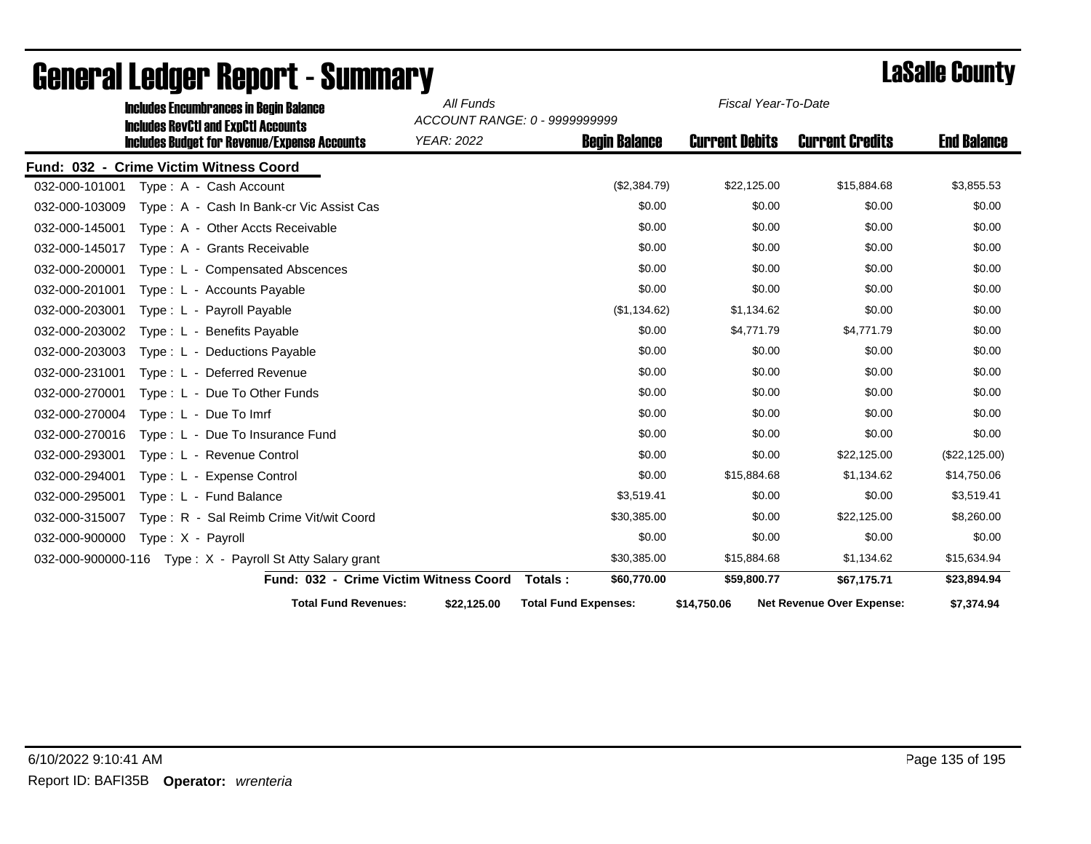|                | <b>Includes Encumbrances in Begin Balance</b>                                                     | All Funds         | ACCOUNT RANGE: 0 - 9999999999 | Fiscal Year-To-Date   |                                  |                    |
|----------------|---------------------------------------------------------------------------------------------------|-------------------|-------------------------------|-----------------------|----------------------------------|--------------------|
|                | <b>Includes RevCtI and ExpCtI Accounts</b><br><b>Includes Budget for Revenue/Expense Accounts</b> | <b>YEAR: 2022</b> | <b>Begin Balance</b>          | <b>Current Debits</b> | <b>Current Credits</b>           | <b>End Balance</b> |
|                | Fund: 032 - Crime Victim Witness Coord                                                            |                   |                               |                       |                                  |                    |
| 032-000-101001 | Type: A - Cash Account                                                                            |                   | (\$2,384.79)                  | \$22,125.00           | \$15,884.68                      | \$3,855.53         |
| 032-000-103009 | Type: A - Cash In Bank-cr Vic Assist Cas                                                          |                   | \$0.00                        | \$0.00                | \$0.00                           | \$0.00             |
| 032-000-145001 | Type: A - Other Accts Receivable                                                                  |                   | \$0.00                        | \$0.00                | \$0.00                           | \$0.00             |
| 032-000-145017 | Type: A - Grants Receivable                                                                       |                   | \$0.00                        | \$0.00                | \$0.00                           | \$0.00             |
| 032-000-200001 | Type: L - Compensated Abscences                                                                   |                   | \$0.00                        | \$0.00                | \$0.00                           | \$0.00             |
| 032-000-201001 | Type: L - Accounts Payable                                                                        |                   | \$0.00                        | \$0.00                | \$0.00                           | \$0.00             |
| 032-000-203001 | Type: L - Payroll Payable                                                                         |                   | (\$1,134.62)                  | \$1,134.62            | \$0.00                           | \$0.00             |
| 032-000-203002 | Type: L - Benefits Payable                                                                        |                   | \$0.00                        | \$4,771.79            | \$4,771.79                       | \$0.00             |
| 032-000-203003 | Type: L - Deductions Payable                                                                      |                   | \$0.00                        | \$0.00                | \$0.00                           | \$0.00             |
| 032-000-231001 | Type: L - Deferred Revenue                                                                        |                   | \$0.00                        | \$0.00                | \$0.00                           | \$0.00             |
| 032-000-270001 | Type: L - Due To Other Funds                                                                      |                   | \$0.00                        | \$0.00                | \$0.00                           | \$0.00             |
| 032-000-270004 | Type: L - Due To Imrf                                                                             |                   | \$0.00                        | \$0.00                | \$0.00                           | \$0.00             |
| 032-000-270016 | Type: L - Due To Insurance Fund                                                                   |                   | \$0.00                        | \$0.00                | \$0.00                           | \$0.00             |
| 032-000-293001 | Type: L - Revenue Control                                                                         |                   | \$0.00                        | \$0.00                | \$22,125.00                      | (\$22,125.00)      |
| 032-000-294001 | Type: L - Expense Control                                                                         |                   | \$0.00                        | \$15,884.68           | \$1,134.62                       | \$14,750.06        |
| 032-000-295001 | Type: L - Fund Balance                                                                            |                   | \$3,519.41                    | \$0.00                | \$0.00                           | \$3,519.41         |
| 032-000-315007 | Type: R - Sal Reimb Crime Vit/wit Coord                                                           |                   | \$30,385.00                   | \$0.00                | \$22,125.00                      | \$8,260.00         |
| 032-000-900000 | Type: X - Payroll                                                                                 |                   | \$0.00                        | \$0.00                | \$0.00                           | \$0.00             |
|                | 032-000-900000-116    Type: X - Payroll St Atty Salary grant                                      |                   | \$30,385.00                   | \$15,884.68           | \$1,134.62                       | \$15,634.94        |
|                | Fund: 032 - Crime Victim Witness Coord                                                            |                   | \$60,770.00<br>Totals:        | \$59,800.77           | \$67,175.71                      | \$23,894.94        |
|                | <b>Total Fund Revenues:</b>                                                                       | \$22,125.00       | <b>Total Fund Expenses:</b>   | \$14,750.06           | <b>Net Revenue Over Expense:</b> | \$7,374.94         |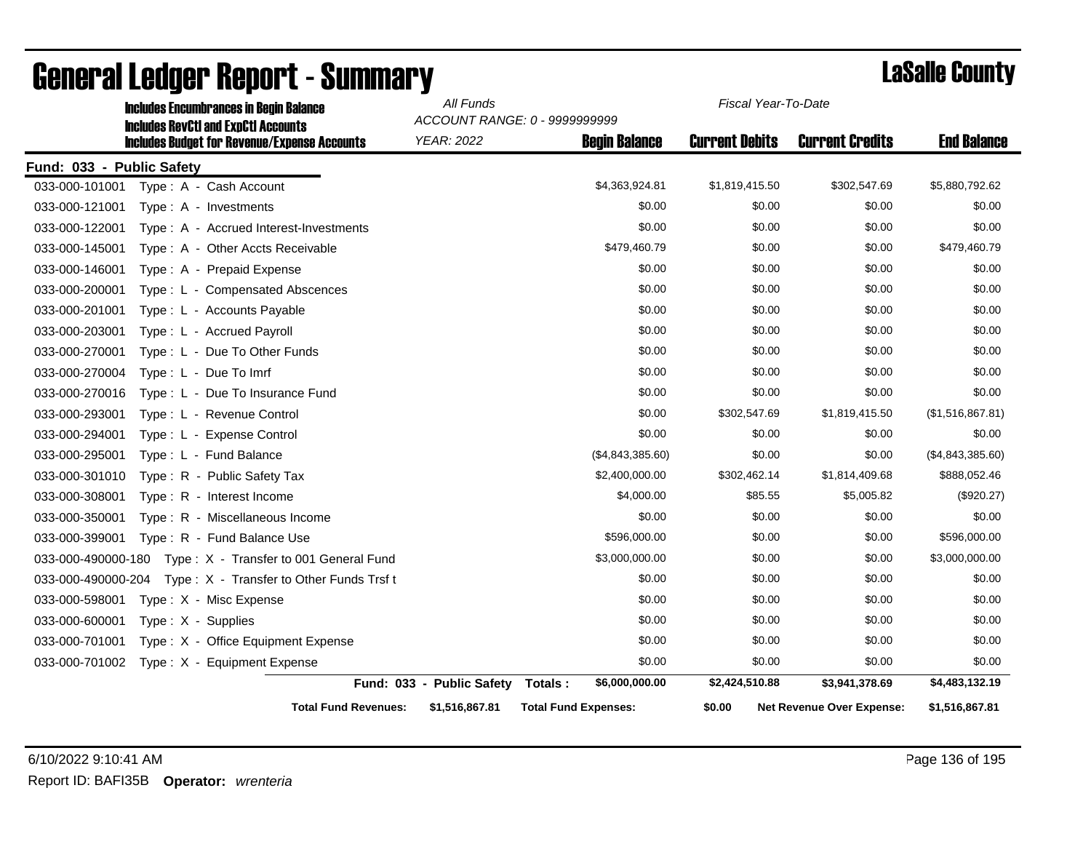|                           | <b>Includes Encumbrances in Begin Balance</b>                                                     | All Funds                 | ACCOUNT RANGE: 0 - 9999999999 | Fiscal Year-To-Date   |                                  |                    |
|---------------------------|---------------------------------------------------------------------------------------------------|---------------------------|-------------------------------|-----------------------|----------------------------------|--------------------|
|                           | <b>Includes RevCtI and ExpCtI Accounts</b><br><b>Includes Budget for Revenue/Expense Accounts</b> | <b>YEAR: 2022</b>         | <b>Begin Balance</b>          | <b>Current Debits</b> | <b>Current Credits</b>           | <b>End Balance</b> |
| Fund: 033 - Public Safety |                                                                                                   |                           |                               |                       |                                  |                    |
| 033-000-101001            | Type: A - Cash Account                                                                            |                           | \$4,363,924.81                | \$1,819,415.50        | \$302,547.69                     | \$5,880,792.62     |
| 033-000-121001            | Type: A - Investments                                                                             |                           | \$0.00                        | \$0.00                | \$0.00                           | \$0.00             |
| 033-000-122001            | Type: A - Accrued Interest-Investments                                                            |                           | \$0.00                        | \$0.00                | \$0.00                           | \$0.00             |
| 033-000-145001            | Type: A - Other Accts Receivable                                                                  |                           | \$479,460.79                  | \$0.00                | \$0.00                           | \$479,460.79       |
| 033-000-146001            | Type: A - Prepaid Expense                                                                         |                           | \$0.00                        | \$0.00                | \$0.00                           | \$0.00             |
| 033-000-200001            | Type: L - Compensated Abscences                                                                   |                           | \$0.00                        | \$0.00                | \$0.00                           | \$0.00             |
| 033-000-201001            | Type: L - Accounts Payable                                                                        |                           | \$0.00                        | \$0.00                | \$0.00                           | \$0.00             |
| 033-000-203001            | Type: L - Accrued Payroll                                                                         |                           | \$0.00                        | \$0.00                | \$0.00                           | \$0.00             |
| 033-000-270001            | Type: L - Due To Other Funds                                                                      |                           | \$0.00                        | \$0.00                | \$0.00                           | \$0.00             |
| 033-000-270004            | Type: L - Due To Imrf                                                                             |                           | \$0.00                        | \$0.00                | \$0.00                           | \$0.00             |
| 033-000-270016            | Type: L - Due To Insurance Fund                                                                   |                           | \$0.00                        | \$0.00                | \$0.00                           | \$0.00             |
| 033-000-293001            | Type: L - Revenue Control                                                                         |                           | \$0.00                        | \$302,547.69          | \$1,819,415.50                   | (\$1,516,867.81)   |
| 033-000-294001            | Type: L - Expense Control                                                                         |                           | \$0.00                        | \$0.00                | \$0.00                           | \$0.00             |
| 033-000-295001            | Type: L - Fund Balance                                                                            |                           | (\$4,843,385.60)              | \$0.00                | \$0.00                           | (\$4,843,385.60)   |
| 033-000-301010            | Type: R - Public Safety Tax                                                                       |                           | \$2,400,000.00                | \$302,462.14          | \$1,814,409.68                   | \$888,052.46       |
| 033-000-308001            | Type: R - Interest Income                                                                         |                           | \$4,000.00                    | \$85.55               | \$5,005.82                       | (\$920.27)         |
| 033-000-350001            | Type: R - Miscellaneous Income                                                                    |                           | \$0.00                        | \$0.00                | \$0.00                           | \$0.00             |
| 033-000-399001            | Type: R - Fund Balance Use                                                                        |                           | \$596,000.00                  | \$0.00                | \$0.00                           | \$596,000.00       |
| 033-000-490000-180        | Type: X - Transfer to 001 General Fund                                                            |                           | \$3,000,000.00                | \$0.00                | \$0.00                           | \$3,000,000.00     |
| 033-000-490000-204        | Type: X - Transfer to Other Funds Trsf t                                                          |                           | \$0.00                        | \$0.00                | \$0.00                           | \$0.00             |
| 033-000-598001            | Type: X - Misc Expense                                                                            |                           | \$0.00                        | \$0.00                | \$0.00                           | \$0.00             |
| 033-000-600001            | $Type: X - Supplies$                                                                              |                           | \$0.00                        | \$0.00                | \$0.00                           | \$0.00             |
| 033-000-701001            | Type: X - Office Equipment Expense                                                                |                           | \$0.00                        | \$0.00                | \$0.00                           | \$0.00             |
| 033-000-701002            | Type: X - Equipment Expense                                                                       |                           | \$0.00                        | \$0.00                | \$0.00                           | \$0.00             |
|                           |                                                                                                   | Fund: 033 - Public Safety | \$6,000,000.00<br>Totals:     | \$2,424,510.88        | \$3,941,378.69                   | \$4,483,132.19     |
|                           | <b>Total Fund Revenues:</b>                                                                       | \$1,516,867.81            | <b>Total Fund Expenses:</b>   | \$0.00                | <b>Net Revenue Over Expense:</b> | \$1,516,867.81     |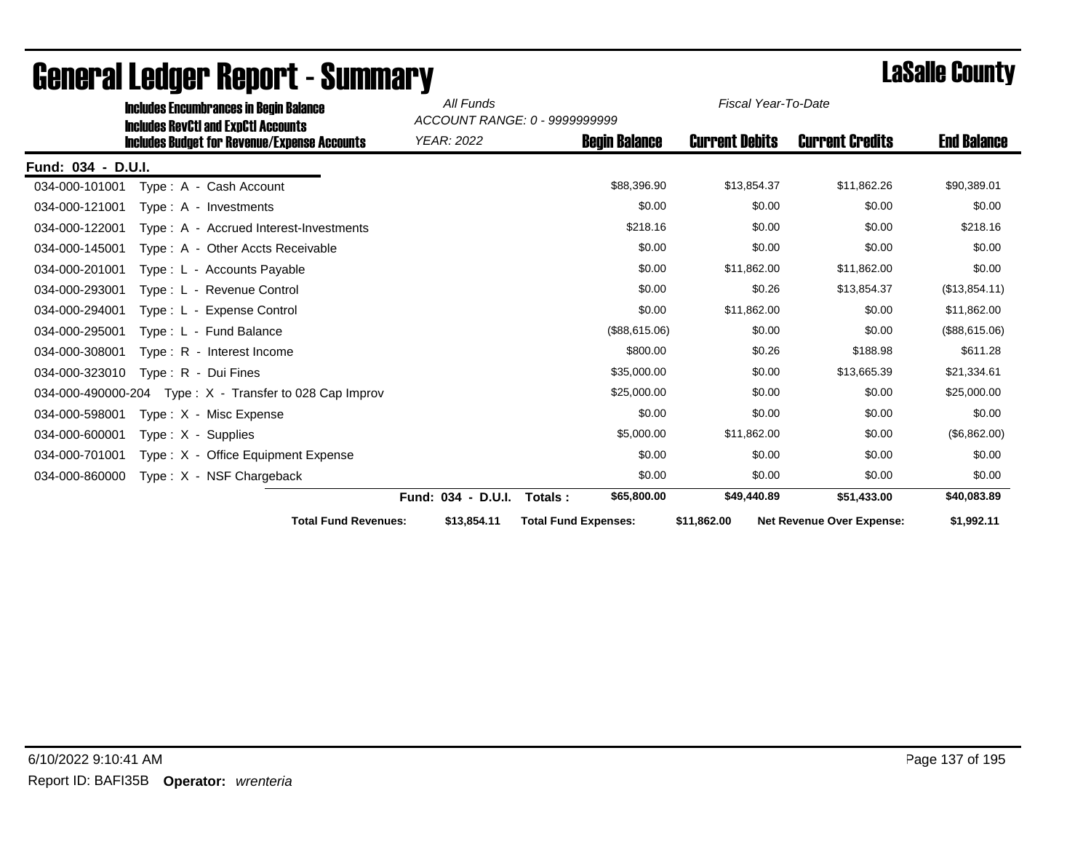|                    | <b>Includes Encumbrances in Begin Balance</b>                                                     | All Funds          | ACCOUNT RANGE: 0 - 9999999999 | Fiscal Year-To-Date   |                                  |                    |
|--------------------|---------------------------------------------------------------------------------------------------|--------------------|-------------------------------|-----------------------|----------------------------------|--------------------|
|                    | <b>Includes RevCtI and ExpCtI Accounts</b><br><b>Includes Budget for Revenue/Expense Accounts</b> | <b>YEAR: 2022</b>  | <b>Begin Balance</b>          | <b>Current Debits</b> | <b>Current Credits</b>           | <b>End Balance</b> |
| Fund: 034 - D.U.I. |                                                                                                   |                    |                               |                       |                                  |                    |
| 034-000-101001     | Type: A - Cash Account                                                                            |                    | \$88,396.90                   | \$13,854.37           | \$11,862.26                      | \$90,389.01        |
| 034-000-121001     | Type: A - Investments                                                                             |                    | \$0.00                        | \$0.00                | \$0.00                           | \$0.00             |
| 034-000-122001     | Type: A - Accrued Interest-Investments                                                            |                    | \$218.16                      | \$0.00                | \$0.00                           | \$218.16           |
| 034-000-145001     | Type: A - Other Accts Receivable                                                                  |                    | \$0.00                        | \$0.00                | \$0.00                           | \$0.00             |
| 034-000-201001     | Type: L - Accounts Payable                                                                        |                    | \$0.00                        | \$11,862.00           | \$11,862.00                      | \$0.00             |
| 034-000-293001     | Type: L - Revenue Control                                                                         |                    | \$0.00                        | \$0.26                | \$13,854.37                      | (\$13,854.11)      |
| 034-000-294001     | Type: L - Expense Control                                                                         |                    | \$0.00                        | \$11,862.00           | \$0.00                           | \$11,862.00        |
| 034-000-295001     | Type: L - Fund Balance                                                                            |                    | (\$88,615.06)                 | \$0.00                | \$0.00                           | (\$88,615.06)      |
| 034-000-308001     | Type: R - Interest Income                                                                         |                    | \$800.00                      | \$0.26                | \$188.98                         | \$611.28           |
| 034-000-323010     | Type: R - Dui Fines                                                                               |                    | \$35,000.00                   | \$0.00                | \$13,665.39                      | \$21,334.61        |
|                    | 034-000-490000-204 Type: $X -$ Transfer to 028 Cap Improv                                         |                    | \$25,000.00                   | \$0.00                | \$0.00                           | \$25,000.00        |
| 034-000-598001     | Type: X - Misc Expense                                                                            |                    | \$0.00                        | \$0.00                | \$0.00                           | \$0.00             |
| 034-000-600001     | Type: X - Supplies                                                                                |                    | \$5,000.00                    | \$11,862.00           | \$0.00                           | (\$6,862.00)       |
| 034-000-701001     | Type: X - Office Equipment Expense                                                                |                    | \$0.00                        | \$0.00                | \$0.00                           | \$0.00             |
| 034-000-860000     | Type: X - NSF Chargeback                                                                          |                    | \$0.00                        | \$0.00                | \$0.00                           | \$0.00             |
|                    |                                                                                                   | Fund: 034 - D.U.I. | \$65,800.00<br>Totals:        | \$49,440.89           | \$51,433.00                      | \$40,083.89        |
|                    | <b>Total Fund Revenues:</b>                                                                       | \$13,854.11        | <b>Total Fund Expenses:</b>   | \$11,862.00           | <b>Net Revenue Over Expense:</b> | \$1,992.11         |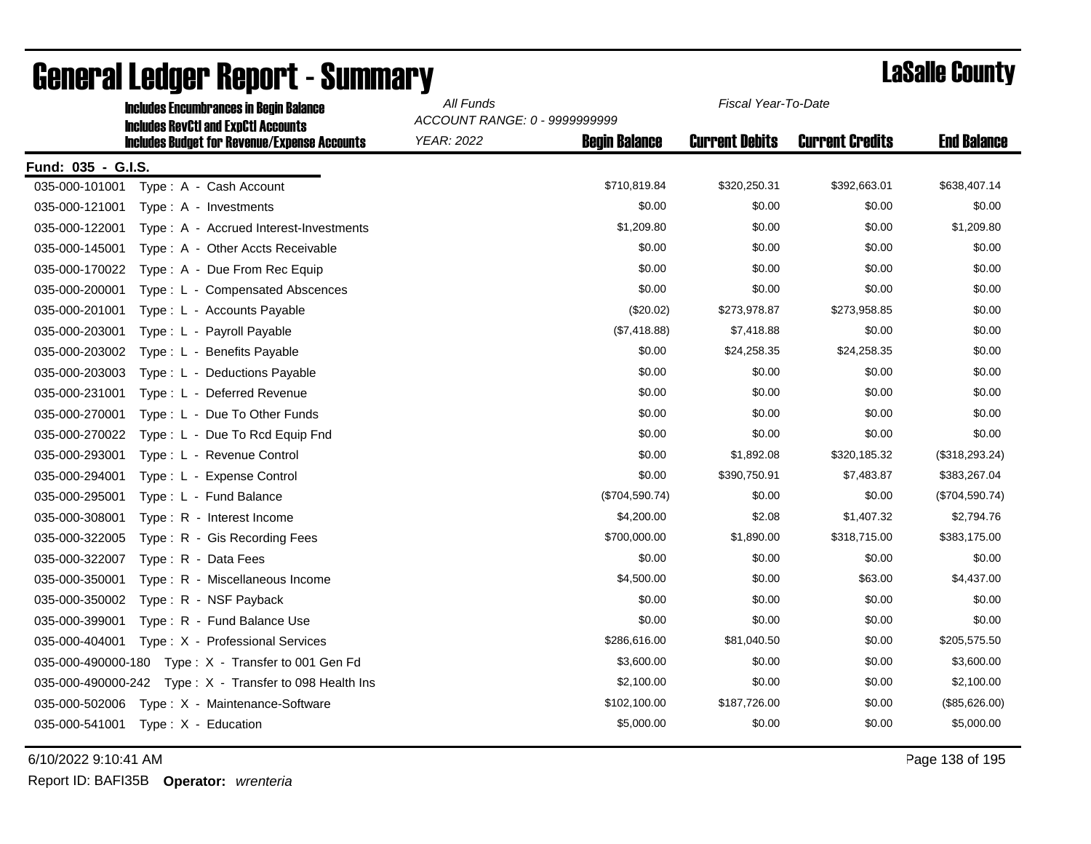| <b>Includes Encumbrances in Begin Balance</b> |                                                                                                   | All Funds<br>Fiscal Year-To-Date<br>ACCOUNT RANGE: 0 - 9999999999 |                      |                       |                        |                    |
|-----------------------------------------------|---------------------------------------------------------------------------------------------------|-------------------------------------------------------------------|----------------------|-----------------------|------------------------|--------------------|
|                                               | <b>Includes RevCtI and ExpCtI Accounts</b><br><b>Includes Budget for Revenue/Expense Accounts</b> | <b>YEAR: 2022</b>                                                 | <b>Begin Balance</b> | <b>Current Debits</b> | <b>Current Credits</b> | <b>End Balance</b> |
| Fund: 035 - G.I.S.                            |                                                                                                   |                                                                   |                      |                       |                        |                    |
| 035-000-101001                                | Type: A - Cash Account                                                                            |                                                                   | \$710,819.84         | \$320,250.31          | \$392,663.01           | \$638,407.14       |
| 035-000-121001                                | $Type: A - Investments$                                                                           |                                                                   | \$0.00               | \$0.00                | \$0.00                 | \$0.00             |
| 035-000-122001                                | Type: A - Accrued Interest-Investments                                                            |                                                                   | \$1,209.80           | \$0.00                | \$0.00                 | \$1,209.80         |
| 035-000-145001                                | Type: A - Other Accts Receivable                                                                  |                                                                   | \$0.00               | \$0.00                | \$0.00                 | \$0.00             |
| 035-000-170022                                | Type: A - Due From Rec Equip                                                                      |                                                                   | \$0.00               | \$0.00                | \$0.00                 | \$0.00             |
| 035-000-200001                                | Type: L - Compensated Abscences                                                                   |                                                                   | \$0.00               | \$0.00                | \$0.00                 | \$0.00             |
| 035-000-201001                                | Type: L - Accounts Payable                                                                        |                                                                   | (\$20.02)            | \$273,978.87          | \$273,958.85           | \$0.00             |
| 035-000-203001                                | Type: L - Payroll Payable                                                                         |                                                                   | (\$7,418.88)         | \$7,418.88            | \$0.00                 | \$0.00             |
| 035-000-203002                                | Type: L - Benefits Payable                                                                        |                                                                   | \$0.00               | \$24,258.35           | \$24,258.35            | \$0.00             |
| 035-000-203003                                | Type : L - Deductions Payable                                                                     |                                                                   | \$0.00               | \$0.00                | \$0.00                 | \$0.00             |
| 035-000-231001                                | Type: L - Deferred Revenue                                                                        |                                                                   | \$0.00               | \$0.00                | \$0.00                 | \$0.00             |
| 035-000-270001                                | Type: L - Due To Other Funds                                                                      |                                                                   | \$0.00               | \$0.00                | \$0.00                 | \$0.00             |
| 035-000-270022                                | Type: L - Due To Rcd Equip Fnd                                                                    |                                                                   | \$0.00               | \$0.00                | \$0.00                 | \$0.00             |
| 035-000-293001                                | Type: L - Revenue Control                                                                         |                                                                   | \$0.00               | \$1,892.08            | \$320,185.32           | (\$318, 293.24)    |
| 035-000-294001                                | Type: L - Expense Control                                                                         |                                                                   | \$0.00               | \$390,750.91          | \$7,483.87             | \$383,267.04       |
| 035-000-295001                                | Type: L - Fund Balance                                                                            |                                                                   | $(\$704,590.74)$     | \$0.00                | \$0.00                 | (\$704,590.74)     |
| 035-000-308001                                | Type: R - Interest Income                                                                         |                                                                   | \$4,200.00           | \$2.08                | \$1,407.32             | \$2,794.76         |
| 035-000-322005                                | Type: R - Gis Recording Fees                                                                      |                                                                   | \$700,000.00         | \$1,890.00            | \$318,715.00           | \$383,175.00       |
| 035-000-322007                                | Type: R - Data Fees                                                                               |                                                                   | \$0.00               | \$0.00                | \$0.00                 | \$0.00             |
| 035-000-350001                                | Type: R - Miscellaneous Income                                                                    |                                                                   | \$4,500.00           | \$0.00                | \$63.00                | \$4,437.00         |
| 035-000-350002                                | Type: R - NSF Payback                                                                             |                                                                   | \$0.00               | \$0.00                | \$0.00                 | \$0.00             |
| 035-000-399001                                | Type: R - Fund Balance Use                                                                        |                                                                   | \$0.00               | \$0.00                | \$0.00                 | \$0.00             |
| 035-000-404001                                | Type: X - Professional Services                                                                   |                                                                   | \$286,616.00         | \$81,040.50           | \$0.00                 | \$205,575.50       |
| 035-000-490000-180                            | Type: X - Transfer to 001 Gen Fd                                                                  |                                                                   | \$3,600.00           | \$0.00                | \$0.00                 | \$3,600.00         |
| 035-000-490000-242                            | Type : $X -$ Transfer to 098 Health Ins                                                           |                                                                   | \$2,100.00           | \$0.00                | \$0.00                 | \$2,100.00         |
| 035-000-502006                                | Type: X - Maintenance-Software                                                                    |                                                                   | \$102,100.00         | \$187,726.00          | \$0.00                 | (\$85,626.00)      |
| 035-000-541001                                | Type: X - Education                                                                               |                                                                   | \$5,000.00           | \$0.00                | \$0.00                 | \$5,000.00         |

6/10/2022 9:10:41 AM Page 138 of 195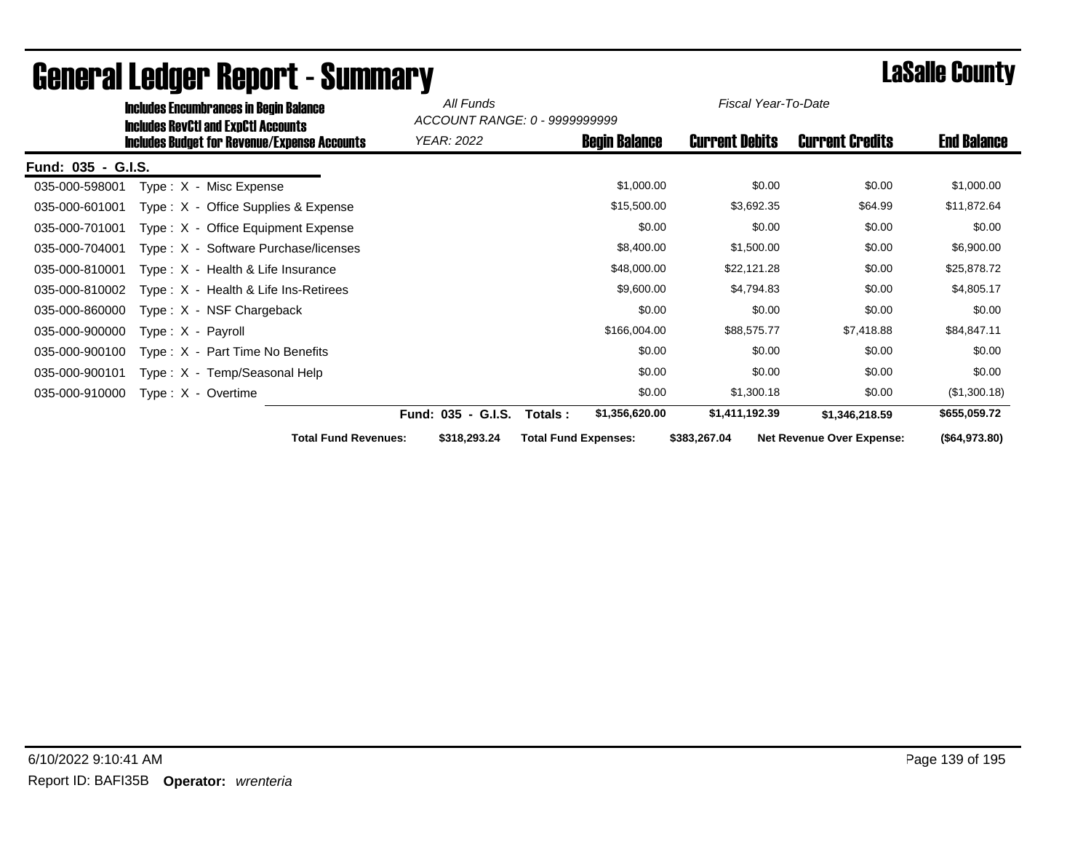| <b>Includes Encumbrances in Begin Balance</b><br>Includes RevCtI and ExpCtI Accounts |                                                     | All Funds<br>ACCOUNT RANGE: 0 - 9999999999 |                             | Fiscal Year-To-Date   |                                  |                    |
|--------------------------------------------------------------------------------------|-----------------------------------------------------|--------------------------------------------|-----------------------------|-----------------------|----------------------------------|--------------------|
|                                                                                      | <b>Includes Budget for Revenue/Expense Accounts</b> | YEAR: 2022                                 | <b>Begin Balance</b>        | <b>Current Debits</b> | <b>Current Credits</b>           | <b>End Balance</b> |
| Fund: 035 - G.I.S.                                                                   |                                                     |                                            |                             |                       |                                  |                    |
| 035-000-598001                                                                       | Type : X - Misc Expense                             |                                            | \$1,000.00                  | \$0.00                | \$0.00                           | \$1,000.00         |
| 035-000-601001                                                                       | Type: X - Office Supplies & Expense                 |                                            | \$15,500.00                 | \$3,692.35            | \$64.99                          | \$11,872.64        |
| 035-000-701001                                                                       | Type: X - Office Equipment Expense                  |                                            | \$0.00                      | \$0.00                | \$0.00                           | \$0.00             |
| 035-000-704001                                                                       | Type: X - Software Purchase/licenses                |                                            | \$8,400.00                  | \$1,500.00            | \$0.00                           | \$6,900.00         |
| 035-000-810001                                                                       | Type : $X -$ Health & Life Insurance                |                                            | \$48,000.00                 | \$22,121.28           | \$0.00                           | \$25,878.72        |
| 035-000-810002                                                                       | Type : $X -$ Health & Life Ins-Retirees             |                                            | \$9,600.00                  | \$4,794.83            | \$0.00                           | \$4,805.17         |
| 035-000-860000                                                                       | Type: X - NSF Chargeback                            |                                            | \$0.00                      | \$0.00                | \$0.00                           | \$0.00             |
| 035-000-900000                                                                       | Type: X - Payroll                                   |                                            | \$166,004.00                | \$88,575.77           | \$7,418.88                       | \$84,847.11        |
| 035-000-900100                                                                       | Type : $X - Part$ Time No Benefits                  |                                            | \$0.00                      | \$0.00                | \$0.00                           | \$0.00             |
| 035-000-900101                                                                       | Type: X - Temp/Seasonal Help                        |                                            | \$0.00                      | \$0.00                | \$0.00                           | \$0.00             |
| 035-000-910000                                                                       | $Type: X - Overtime$                                |                                            | \$0.00                      | \$1,300.18            | \$0.00                           | (\$1,300.18)       |
|                                                                                      |                                                     | Fund: 035 - G.I.S.                         | \$1,356,620.00<br>Totals:   | \$1,411,192.39        | \$1,346,218.59                   | \$655,059.72       |
|                                                                                      | <b>Total Fund Revenues:</b>                         | \$318,293.24                               | <b>Total Fund Expenses:</b> | \$383,267.04          | <b>Net Revenue Over Expense:</b> | (\$64,973.80)      |

# General Ledger Report - Summary **Lassing Report - Summary**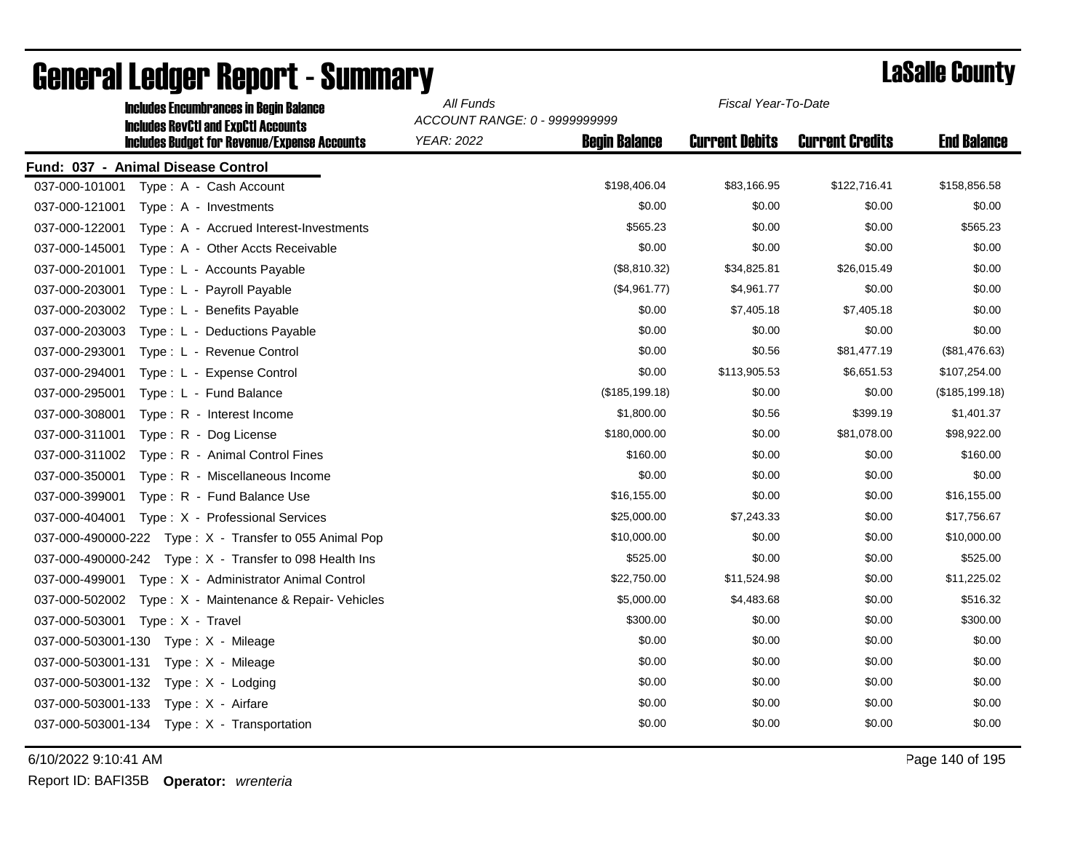| <b>Includes Encumbrances in Begin Balance</b>                                                     | All Funds<br>Fiscal Year-To-Date<br>ACCOUNT RANGE: 0 - 9999999999 |                      |                       |                        |                    |
|---------------------------------------------------------------------------------------------------|-------------------------------------------------------------------|----------------------|-----------------------|------------------------|--------------------|
| <b>Includes RevCtI and ExpCtI Accounts</b><br><b>Includes Budget for Revenue/Expense Accounts</b> | <b>YEAR: 2022</b>                                                 | <b>Begin Balance</b> | <b>Current Debits</b> | <b>Current Credits</b> | <b>End Balance</b> |
| Fund: 037 - Animal Disease Control                                                                |                                                                   |                      |                       |                        |                    |
| 037-000-101001<br>Type: A - Cash Account                                                          |                                                                   | \$198,406.04         | \$83,166.95           | \$122,716.41           | \$158,856.58       |
| 037-000-121001<br>Type: A - Investments                                                           |                                                                   | \$0.00               | \$0.00                | \$0.00                 | \$0.00             |
| 037-000-122001<br>Type: A - Accrued Interest-Investments                                          |                                                                   | \$565.23             | \$0.00                | \$0.00                 | \$565.23           |
| 037-000-145001<br>Type: A - Other Accts Receivable                                                |                                                                   | \$0.00               | \$0.00                | \$0.00                 | \$0.00             |
| 037-000-201001<br>Type: L - Accounts Payable                                                      |                                                                   | (\$8,810.32)         | \$34,825.81           | \$26,015.49            | \$0.00             |
| 037-000-203001<br>Type: L - Payroll Payable                                                       |                                                                   | (\$4,961.77)         | \$4,961.77            | \$0.00                 | \$0.00             |
| 037-000-203002<br>Type: L - Benefits Payable                                                      |                                                                   | \$0.00               | \$7,405.18            | \$7,405.18             | \$0.00             |
| 037-000-203003<br>Type: L - Deductions Payable                                                    |                                                                   | \$0.00               | \$0.00                | \$0.00                 | \$0.00             |
| 037-000-293001<br>Type: L - Revenue Control                                                       |                                                                   | \$0.00               | \$0.56                | \$81,477.19            | (\$81,476.63)      |
| 037-000-294001<br>Type: L - Expense Control                                                       |                                                                   | \$0.00               | \$113,905.53          | \$6,651.53             | \$107,254.00       |
| 037-000-295001<br>Type: L - Fund Balance                                                          |                                                                   | (\$185, 199.18)      | \$0.00                | \$0.00                 | (\$185, 199.18)    |
| 037-000-308001<br>Type: R - Interest Income                                                       |                                                                   | \$1,800.00           | \$0.56                | \$399.19               | \$1,401.37         |
| 037-000-311001<br>Type: R - Dog License                                                           |                                                                   | \$180,000.00         | \$0.00                | \$81,078.00            | \$98,922.00        |
| 037-000-311002<br>Type: R - Animal Control Fines                                                  |                                                                   | \$160.00             | \$0.00                | \$0.00                 | \$160.00           |
| 037-000-350001<br>Type: R - Miscellaneous Income                                                  |                                                                   | \$0.00               | \$0.00                | \$0.00                 | \$0.00             |
| 037-000-399001<br>Type: R - Fund Balance Use                                                      |                                                                   | \$16,155.00          | \$0.00                | \$0.00                 | \$16,155.00        |
| 037-000-404001<br>Type: X - Professional Services                                                 |                                                                   | \$25,000.00          | \$7,243.33            | \$0.00                 | \$17,756.67        |
| 037-000-490000-222 Type: X - Transfer to 055 Animal Pop                                           |                                                                   | \$10,000.00          | \$0.00                | \$0.00                 | \$10,000.00        |
|                                                                                                   |                                                                   | \$525.00             | \$0.00                | \$0.00                 | \$525.00           |
| 037-000-499001<br>Type: X - Administrator Animal Control                                          |                                                                   | \$22,750.00          | \$11,524.98           | \$0.00                 | \$11,225.02        |
| 037-000-502002<br>Type: X - Maintenance & Repair- Vehicles                                        |                                                                   | \$5,000.00           | \$4,483.68            | \$0.00                 | \$516.32           |
| 037-000-503001    Type: X - Travel                                                                |                                                                   | \$300.00             | \$0.00                | \$0.00                 | \$300.00           |
| 037-000-503001-130    Type: X - Mileage                                                           |                                                                   | \$0.00               | \$0.00                | \$0.00                 | \$0.00             |
| 037-000-503001-131<br>Type: X - Mileage                                                           |                                                                   | \$0.00               | \$0.00                | \$0.00                 | \$0.00             |
| 037-000-503001-132<br>Type: X - Lodging                                                           |                                                                   | \$0.00               | \$0.00                | \$0.00                 | \$0.00             |
| 037-000-503001-133<br>Type: X - Airfare                                                           |                                                                   | \$0.00               | \$0.00                | \$0.00                 | \$0.00             |
|                                                                                                   |                                                                   | \$0.00               | \$0.00                | \$0.00                 | \$0.00             |

6/10/2022 9:10:41 AM Page 140 of 195

Report ID: BAFI35B **Operator:** *wrenteria*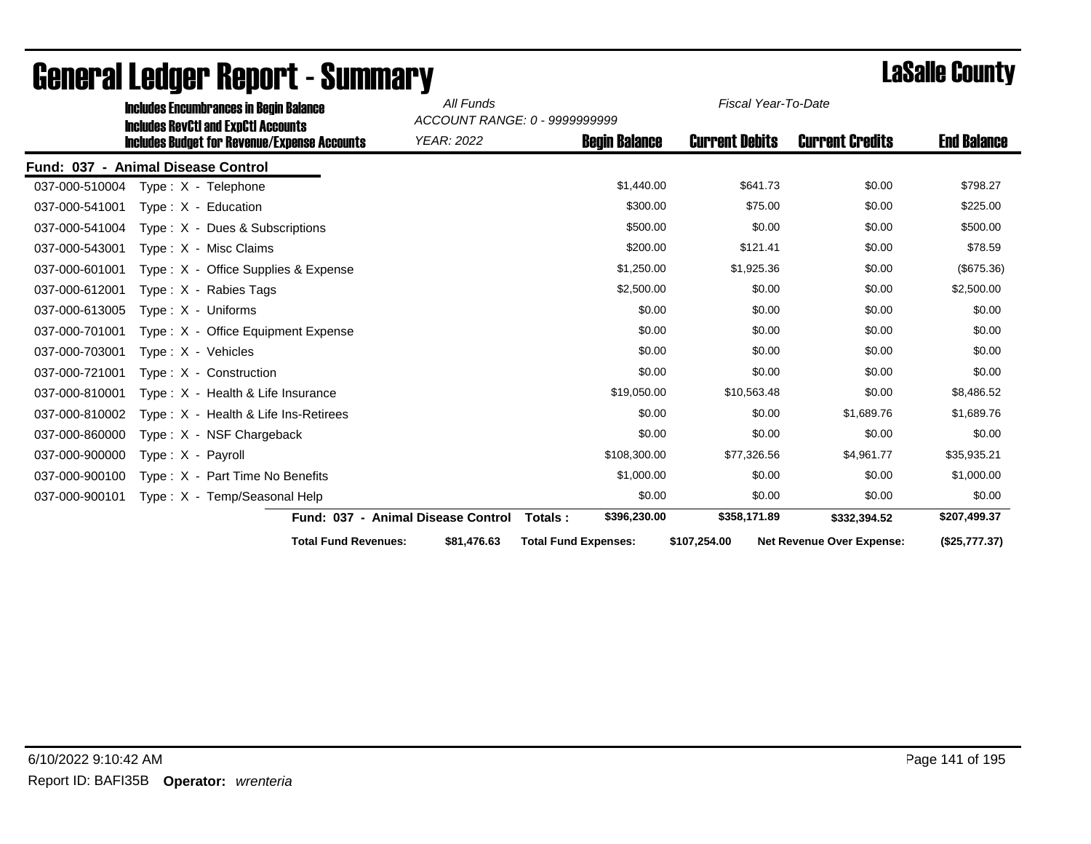|                | <b>Includes Encumbrances in Begin Balance</b>                                                     | All Funds                          | ACCOUNT RANGE: 0 - 9999999999 | Fiscal Year-To-Date   |                                  |                    |
|----------------|---------------------------------------------------------------------------------------------------|------------------------------------|-------------------------------|-----------------------|----------------------------------|--------------------|
|                | <b>Includes RevCtI and ExpCtI Accounts</b><br><b>Includes Budget for Revenue/Expense Accounts</b> | YEAR: 2022                         | <b>Begin Balance</b>          | <b>Current Debits</b> | <b>Current Credits</b>           | <b>End Balance</b> |
|                | Fund: 037 - Animal Disease Control                                                                |                                    |                               |                       |                                  |                    |
| 037-000-510004 | $Type: X - Telephone$                                                                             |                                    | \$1,440.00                    | \$641.73              | \$0.00                           | \$798.27           |
| 037-000-541001 | Type: X - Education                                                                               |                                    | \$300.00                      | \$75.00               | \$0.00                           | \$225.00           |
| 037-000-541004 | Type: X - Dues & Subscriptions                                                                    |                                    | \$500.00                      | \$0.00                | \$0.00                           | \$500.00           |
| 037-000-543001 | Type: X - Misc Claims                                                                             |                                    | \$200.00                      | \$121.41              | \$0.00                           | \$78.59            |
| 037-000-601001 | Type: X - Office Supplies & Expense                                                               |                                    | \$1,250.00                    | \$1,925.36            | \$0.00                           | (\$675.36)         |
| 037-000-612001 | $Type: X - Rabies Taqs$                                                                           |                                    | \$2,500.00                    | \$0.00                | \$0.00                           | \$2,500.00         |
| 037-000-613005 | Type: X - Uniforms                                                                                |                                    | \$0.00                        | \$0.00                | \$0.00                           | \$0.00             |
| 037-000-701001 | Type: X - Office Equipment Expense                                                                |                                    | \$0.00                        | \$0.00                | \$0.00                           | \$0.00             |
| 037-000-703001 | Type: X - Vehicles                                                                                |                                    | \$0.00                        | \$0.00                | \$0.00                           | \$0.00             |
| 037-000-721001 | $Type: X - Construction$                                                                          |                                    | \$0.00                        | \$0.00                | \$0.00                           | \$0.00             |
| 037-000-810001 | Type : $X -$ Health & Life Insurance                                                              |                                    | \$19,050.00                   | \$10,563.48           | \$0.00                           | \$8,486.52         |
| 037-000-810002 | Type : $X -$ Health & Life Ins-Retirees                                                           |                                    | \$0.00                        | \$0.00                | \$1,689.76                       | \$1,689.76         |
| 037-000-860000 | Type: X - NSF Chargeback                                                                          |                                    | \$0.00                        | \$0.00                | \$0.00                           | \$0.00             |
| 037-000-900000 | $Type: X - Payroll$                                                                               |                                    | \$108,300.00                  | \$77,326.56           | \$4,961.77                       | \$35,935.21        |
| 037-000-900100 | Type: X - Part Time No Benefits                                                                   |                                    | \$1,000.00                    | \$0.00                | \$0.00                           | \$1,000.00         |
| 037-000-900101 | Type: X - Temp/Seasonal Help                                                                      |                                    | \$0.00                        | \$0.00                | \$0.00                           | \$0.00             |
|                |                                                                                                   | Fund: 037 - Animal Disease Control | \$396,230.00<br>Totals:       | \$358,171.89          | \$332,394.52                     | \$207,499.37       |
|                | <b>Total Fund Revenues:</b>                                                                       | \$81,476.63                        | <b>Total Fund Expenses:</b>   | \$107,254.00          | <b>Net Revenue Over Expense:</b> | (\$25,777.37)      |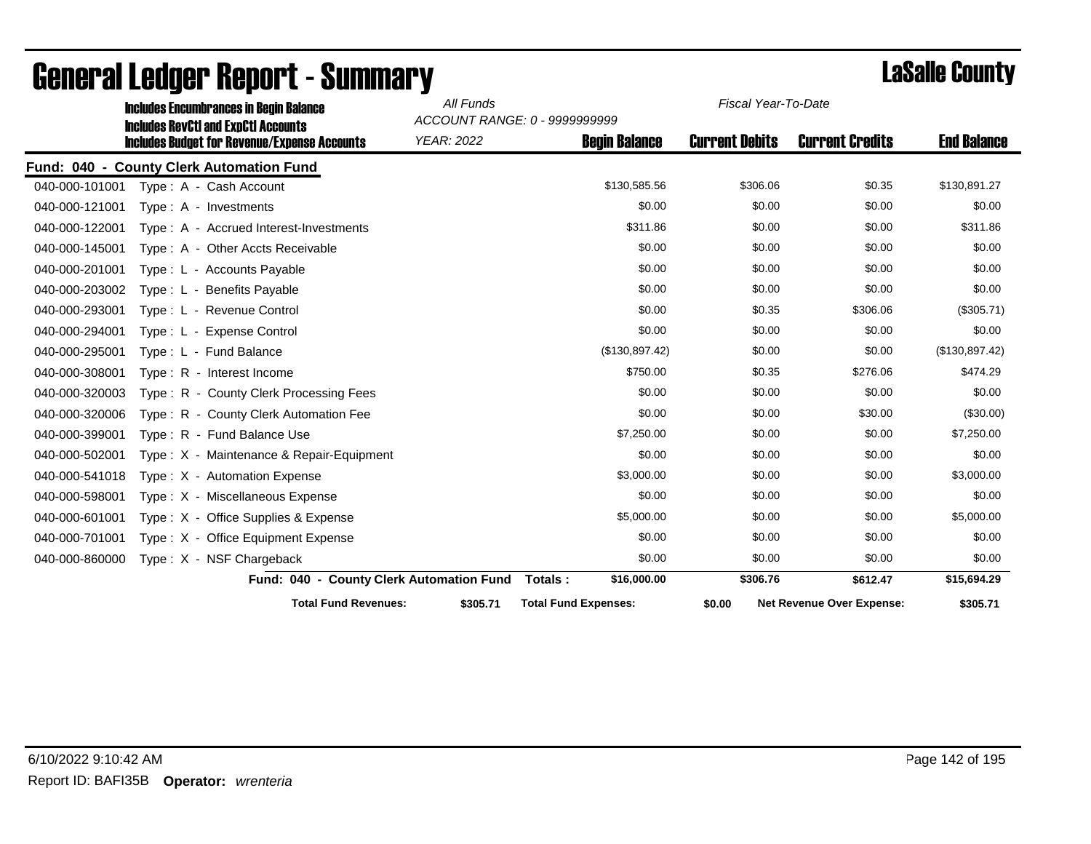|                | <b>Includes Encumbrances in Begin Balance</b>                                                     | All Funds  | ACCOUNT RANGE: 0 - 9999999999 | Fiscal Year-To-Date   |                                  |                    |
|----------------|---------------------------------------------------------------------------------------------------|------------|-------------------------------|-----------------------|----------------------------------|--------------------|
|                | <b>Includes RevCtI and ExpCtI Accounts</b><br><b>Includes Budget for Revenue/Expense Accounts</b> | YEAR: 2022 | <b>Begin Balance</b>          | <b>Current Debits</b> | <b>Current Credits</b>           | <b>End Balance</b> |
|                | Fund: 040 - County Clerk Automation Fund                                                          |            |                               |                       |                                  |                    |
| 040-000-101001 | Type: A - Cash Account                                                                            |            | \$130,585.56                  | \$306.06              | \$0.35                           | \$130,891.27       |
| 040-000-121001 | Type: A - Investments                                                                             |            | \$0.00                        | \$0.00                | \$0.00                           | \$0.00             |
| 040-000-122001 | Type: A - Accrued Interest-Investments                                                            |            | \$311.86                      | \$0.00                | \$0.00                           | \$311.86           |
| 040-000-145001 | Type: A - Other Accts Receivable                                                                  |            | \$0.00                        | \$0.00                | \$0.00                           | \$0.00             |
| 040-000-201001 | Type: L - Accounts Payable                                                                        |            | \$0.00                        | \$0.00                | \$0.00                           | \$0.00             |
| 040-000-203002 | Type: L - Benefits Payable                                                                        |            | \$0.00                        | \$0.00                | \$0.00                           | \$0.00             |
| 040-000-293001 | Type: L - Revenue Control                                                                         |            | \$0.00                        | \$0.35                | \$306.06                         | (\$305.71)         |
| 040-000-294001 | Type: L - Expense Control                                                                         |            | \$0.00                        | \$0.00                | \$0.00                           | \$0.00             |
| 040-000-295001 | Type: L - Fund Balance                                                                            |            | (\$130,897.42)                | \$0.00                | \$0.00                           | (\$130,897.42)     |
| 040-000-308001 | Type: R - Interest Income                                                                         |            | \$750.00                      | \$0.35                | \$276.06                         | \$474.29           |
| 040-000-320003 | Type: R - County Clerk Processing Fees                                                            |            | \$0.00                        | \$0.00                | \$0.00                           | \$0.00             |
| 040-000-320006 | Type: R - County Clerk Automation Fee                                                             |            | \$0.00                        | \$0.00                | \$30.00                          | (\$30.00)          |
| 040-000-399001 | Type: R - Fund Balance Use                                                                        |            | \$7,250.00                    | \$0.00                | \$0.00                           | \$7,250.00         |
| 040-000-502001 | Type: X - Maintenance & Repair-Equipment                                                          |            | \$0.00                        | \$0.00                | \$0.00                           | \$0.00             |
| 040-000-541018 | Type: X - Automation Expense                                                                      |            | \$3,000.00                    | \$0.00                | \$0.00                           | \$3,000.00         |
| 040-000-598001 | Type: X - Miscellaneous Expense                                                                   |            | \$0.00                        | \$0.00                | \$0.00                           | \$0.00             |
| 040-000-601001 | Type: X - Office Supplies & Expense                                                               |            | \$5,000.00                    | \$0.00                | \$0.00                           | \$5,000.00         |
| 040-000-701001 | Type: X - Office Equipment Expense                                                                |            | \$0.00                        | \$0.00                | \$0.00                           | \$0.00             |
| 040-000-860000 | Type: X - NSF Chargeback                                                                          |            | \$0.00                        | \$0.00                | \$0.00                           | \$0.00             |
|                | Fund: 040 - County Clerk Automation Fund                                                          |            | \$16,000.00<br>Totals:        | \$306.76              | \$612.47                         | \$15,694.29        |
|                | <b>Total Fund Revenues:</b>                                                                       | \$305.71   | <b>Total Fund Expenses:</b>   | \$0.00                | <b>Net Revenue Over Expense:</b> | \$305.71           |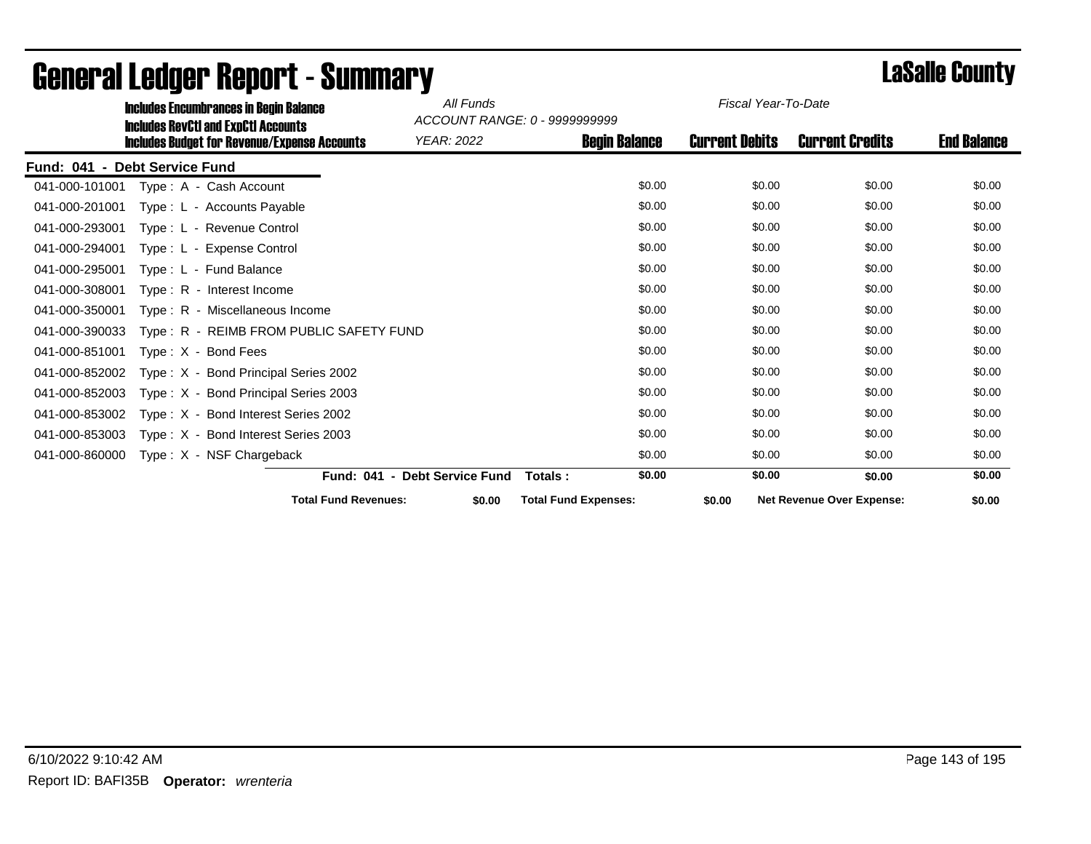|                | <b>Includes Encumbrances in Begin Balance</b>                                                     | All Funds<br>ACCOUNT RANGE: 0 - 9999999999 |                             | Fiscal Year-To-Date   |                                  |                    |
|----------------|---------------------------------------------------------------------------------------------------|--------------------------------------------|-----------------------------|-----------------------|----------------------------------|--------------------|
|                | <b>Includes RevCtI and ExpCtI Accounts</b><br><b>Includes Budget for Revenue/Expense Accounts</b> | YEAR: 2022                                 | <b>Begin Balance</b>        | <b>Current Debits</b> | <b>Current Credits</b>           | <b>End Balance</b> |
| Fund: 041 -    | <b>Debt Service Fund</b>                                                                          |                                            |                             |                       |                                  |                    |
| 041-000-101001 | Type: A - Cash Account                                                                            |                                            | \$0.00                      | \$0.00                | \$0.00                           | \$0.00             |
| 041-000-201001 | Type: L - Accounts Payable                                                                        |                                            | \$0.00                      | \$0.00                | \$0.00                           | \$0.00             |
| 041-000-293001 | Type: L - Revenue Control                                                                         |                                            | \$0.00                      | \$0.00                | \$0.00                           | \$0.00             |
| 041-000-294001 | Type: L - Expense Control                                                                         |                                            | \$0.00                      | \$0.00                | \$0.00                           | \$0.00             |
| 041-000-295001 | Type: L - Fund Balance                                                                            |                                            | \$0.00                      | \$0.00                | \$0.00                           | \$0.00             |
| 041-000-308001 | Type: R - Interest Income                                                                         |                                            | \$0.00                      | \$0.00                | \$0.00                           | \$0.00             |
| 041-000-350001 | Type: R - Miscellaneous Income                                                                    |                                            | \$0.00                      | \$0.00                | \$0.00                           | \$0.00             |
| 041-000-390033 | Type: R - REIMB FROM PUBLIC SAFETY FUND                                                           |                                            | \$0.00                      | \$0.00                | \$0.00                           | \$0.00             |
| 041-000-851001 | Type: X - Bond Fees                                                                               |                                            | \$0.00                      | \$0.00                | \$0.00                           | \$0.00             |
| 041-000-852002 | Type: X - Bond Principal Series 2002                                                              |                                            | \$0.00                      | \$0.00                | \$0.00                           | \$0.00             |
| 041-000-852003 | Type: X - Bond Principal Series 2003                                                              |                                            | \$0.00                      | \$0.00                | \$0.00                           | \$0.00             |
|                | 041-000-853002 Type: X - Bond Interest Series 2002                                                |                                            | \$0.00                      | \$0.00                | \$0.00                           | \$0.00             |
|                | 041-000-853003 Type: X - Bond Interest Series 2003                                                |                                            | \$0.00                      | \$0.00                | \$0.00                           | \$0.00             |
| 041-000-860000 | Type: X - NSF Chargeback                                                                          |                                            | \$0.00                      | \$0.00                | \$0.00                           | \$0.00             |
|                |                                                                                                   | Fund: 041 - Debt Service Fund              | \$0.00<br>Totals:           | \$0.00                | \$0.00                           | \$0.00             |
|                | <b>Total Fund Revenues:</b>                                                                       | \$0.00                                     | <b>Total Fund Expenses:</b> | \$0.00                | <b>Net Revenue Over Expense:</b> | \$0.00             |

## General Ledger Report - Summary **Lassing Service Report - Summary**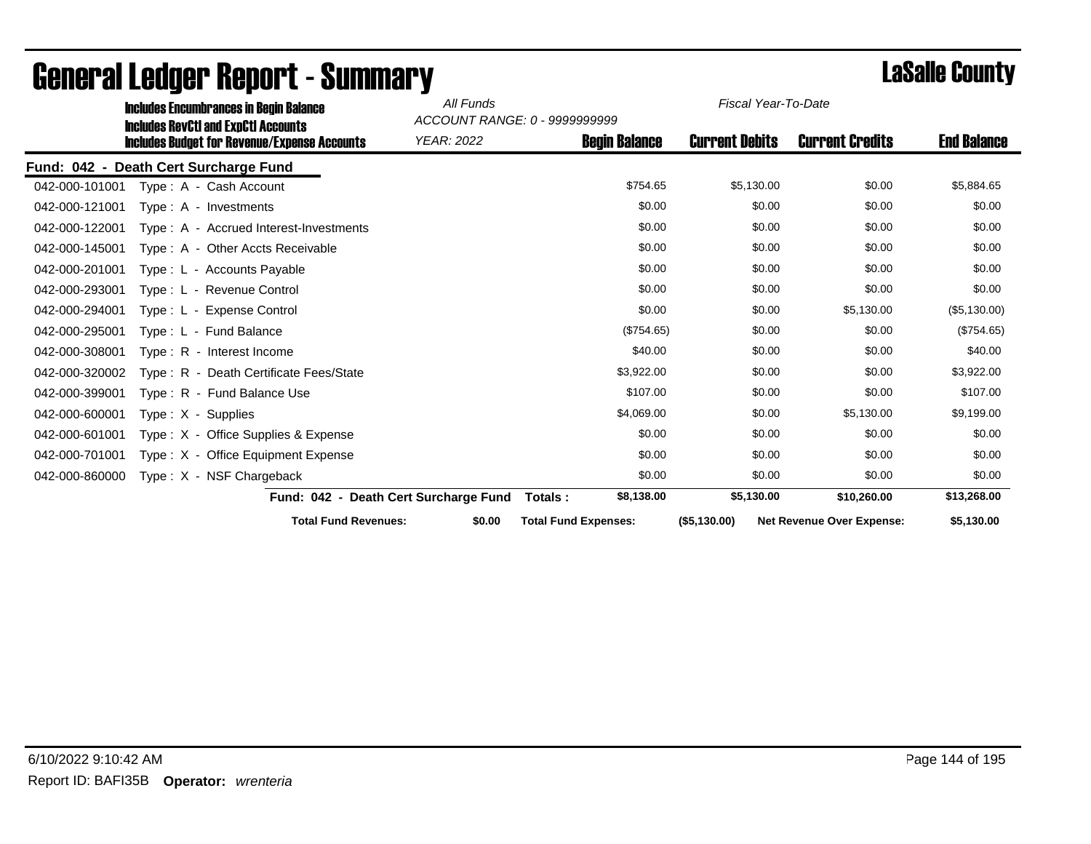|                | <b>Includes Encumbrances in Begin Balance</b>                                                     |                                       | ACCOUNT RANGE: 0 - 9999999999 | Fiscal Year-To-Date   |                                  |                    |
|----------------|---------------------------------------------------------------------------------------------------|---------------------------------------|-------------------------------|-----------------------|----------------------------------|--------------------|
|                | <b>Includes RevCtI and ExpCtI Accounts</b><br><b>Includes Budget for Revenue/Expense Accounts</b> | <b>YEAR: 2022</b>                     | <b>Begin Balance</b>          | <b>Current Debits</b> | <b>Current Credits</b>           | <b>End Balance</b> |
|                | Fund: 042 - Death Cert Surcharge Fund                                                             |                                       |                               |                       |                                  |                    |
| 042-000-101001 | Type: A - Cash Account                                                                            |                                       | \$754.65                      | \$5,130.00            | \$0.00                           | \$5,884.65         |
| 042-000-121001 | $Type: A - Investments$                                                                           |                                       | \$0.00                        | \$0.00                | \$0.00                           | \$0.00             |
| 042-000-122001 | Type: A - Accrued Interest-Investments                                                            |                                       | \$0.00                        | \$0.00                | \$0.00                           | \$0.00             |
| 042-000-145001 | Type: A - Other Accts Receivable                                                                  |                                       | \$0.00                        | \$0.00                | \$0.00                           | \$0.00             |
| 042-000-201001 | Type: L - Accounts Payable                                                                        |                                       | \$0.00                        | \$0.00                | \$0.00                           | \$0.00             |
| 042-000-293001 | Type: L - Revenue Control                                                                         |                                       | \$0.00                        | \$0.00                | \$0.00                           | \$0.00             |
| 042-000-294001 | Type: L - Expense Control                                                                         |                                       | \$0.00                        | \$0.00                | \$5,130.00                       | (\$5,130.00)       |
| 042-000-295001 | Type: L - Fund Balance                                                                            |                                       | (\$754.65)                    | \$0.00                | \$0.00                           | (\$754.65)         |
| 042-000-308001 | Type: R - Interest Income                                                                         |                                       | \$40.00                       | \$0.00                | \$0.00                           | \$40.00            |
| 042-000-320002 | Type: R - Death Certificate Fees/State                                                            |                                       | \$3,922.00                    | \$0.00                | \$0.00                           | \$3,922.00         |
| 042-000-399001 | Type: R - Fund Balance Use                                                                        |                                       | \$107.00                      | \$0.00                | \$0.00                           | \$107.00           |
| 042-000-600001 | Type: X - Supplies                                                                                |                                       | \$4,069.00                    | \$0.00                | \$5,130.00                       | \$9,199.00         |
| 042-000-601001 | Type: X - Office Supplies & Expense                                                               |                                       | \$0.00                        | \$0.00                | \$0.00                           | \$0.00             |
| 042-000-701001 | Type: X - Office Equipment Expense                                                                |                                       | \$0.00                        | \$0.00                | \$0.00                           | \$0.00             |
| 042-000-860000 | Type: X - NSF Chargeback                                                                          |                                       | \$0.00                        | \$0.00                | \$0.00                           | \$0.00             |
|                |                                                                                                   | Fund: 042 - Death Cert Surcharge Fund | \$8,138.00<br>Totals:         | \$5,130.00            | \$10,260.00                      | \$13,268.00        |
|                | <b>Total Fund Revenues:</b>                                                                       | \$0.00                                | <b>Total Fund Expenses:</b>   | (\$5,130.00)          | <b>Net Revenue Over Expense:</b> | \$5,130.00         |

## General Ledger Report - Summary **Lassing Service Report - Summary**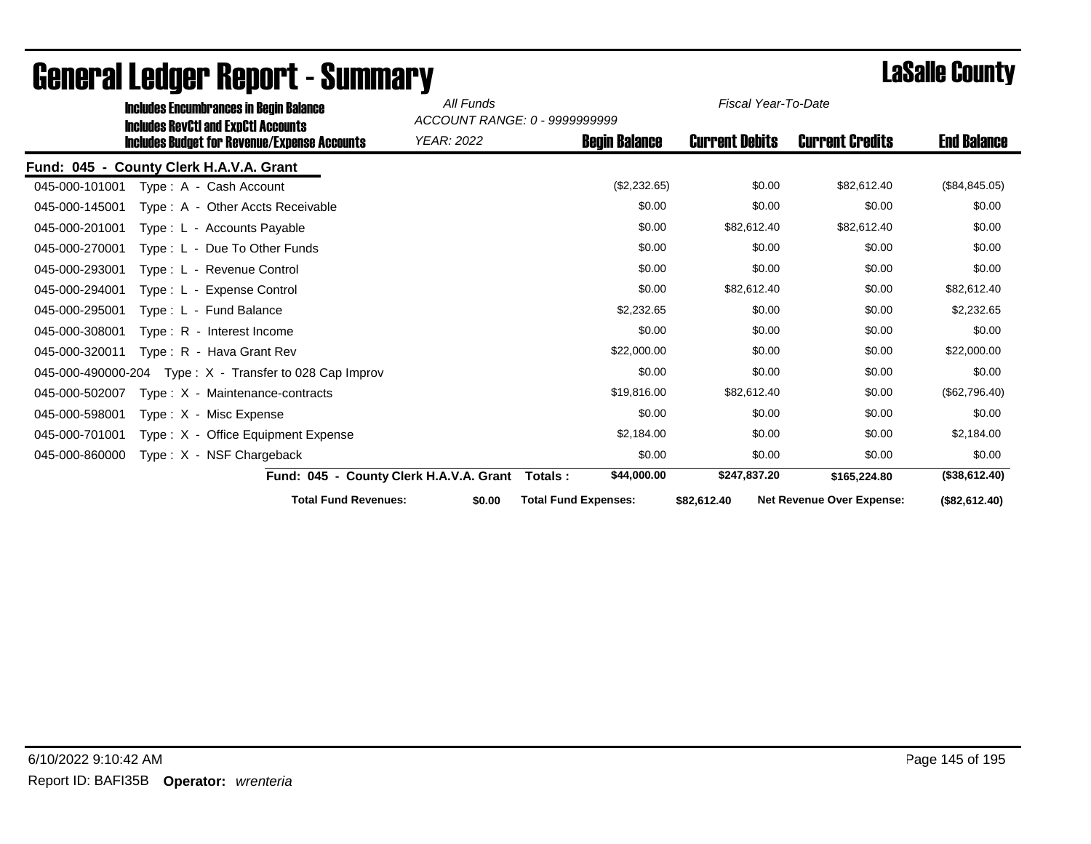| <b>Includes Encumbrances in Begin Balance</b>                                                     | All Funds                               | ACCOUNT RANGE: 0 - 9999999999 | Fiscal Year-To-Date   |                                  |                    |
|---------------------------------------------------------------------------------------------------|-----------------------------------------|-------------------------------|-----------------------|----------------------------------|--------------------|
| <b>Includes RevCtI and ExpCtI Accounts</b><br><b>Includes Budget for Revenue/Expense Accounts</b> | <b>YEAR: 2022</b>                       | <b>Begin Balance</b>          | <b>Current Debits</b> | <b>Current Credits</b>           | <b>End Balance</b> |
| Fund: 045 - County Clerk H.A.V.A. Grant                                                           |                                         |                               |                       |                                  |                    |
| 045-000-101001<br>Type: A - Cash Account                                                          |                                         | (\$2,232.65)                  | \$0.00                | \$82,612.40                      | (\$84, 845.05)     |
| 045-000-145001<br>Type: A - Other Accts Receivable                                                |                                         | \$0.00                        | \$0.00                | \$0.00                           | \$0.00             |
| 045-000-201001<br>Type: L - Accounts Payable                                                      |                                         | \$0.00                        | \$82,612.40           | \$82,612.40                      | \$0.00             |
| 045-000-270001<br>Type: L - Due To Other Funds                                                    |                                         | \$0.00                        | \$0.00                | \$0.00                           | \$0.00             |
| 045-000-293001<br>Type: L - Revenue Control                                                       |                                         | \$0.00                        | \$0.00                | \$0.00                           | \$0.00             |
| 045-000-294001<br>Type: L - Expense Control                                                       |                                         | \$0.00                        | \$82,612.40           | \$0.00                           | \$82,612.40        |
| 045-000-295001<br>Type: L - Fund Balance                                                          |                                         | \$2,232.65                    | \$0.00                | \$0.00                           | \$2,232.65         |
| 045-000-308001<br>$Type: R - Interest Income$                                                     |                                         | \$0.00                        | \$0.00                | \$0.00                           | \$0.00             |
| 045-000-320011<br>Type: R - Hava Grant Rev                                                        |                                         | \$22,000.00                   | \$0.00                | \$0.00                           | \$22,000.00        |
| 045-000-490000-204<br>Type $: X -$ Transfer to 028 Cap Improv                                     |                                         | \$0.00                        | \$0.00                | \$0.00                           | \$0.00             |
| 045-000-502007<br>Type: X - Maintenance-contracts                                                 |                                         | \$19,816.00                   | \$82,612.40           | \$0.00                           | (\$62,796.40)      |
| 045-000-598001<br>Type: X - Misc Expense                                                          |                                         | \$0.00                        | \$0.00                | \$0.00                           | \$0.00             |
| 045-000-701001<br>Type: X - Office Equipment Expense                                              |                                         | \$2,184.00                    | \$0.00                | \$0.00                           | \$2,184.00         |
| 045-000-860000<br>Type: X - NSF Chargeback                                                        |                                         | \$0.00                        | \$0.00                | \$0.00                           | \$0.00             |
|                                                                                                   | Fund: 045 - County Clerk H.A.V.A. Grant | \$44,000.00<br>Totals :       | \$247,837.20          | \$165,224.80                     | (\$38,612.40)      |
| <b>Total Fund Revenues:</b>                                                                       | \$0.00                                  | <b>Total Fund Expenses:</b>   | \$82,612.40           | <b>Net Revenue Over Expense:</b> | (\$82,612.40)      |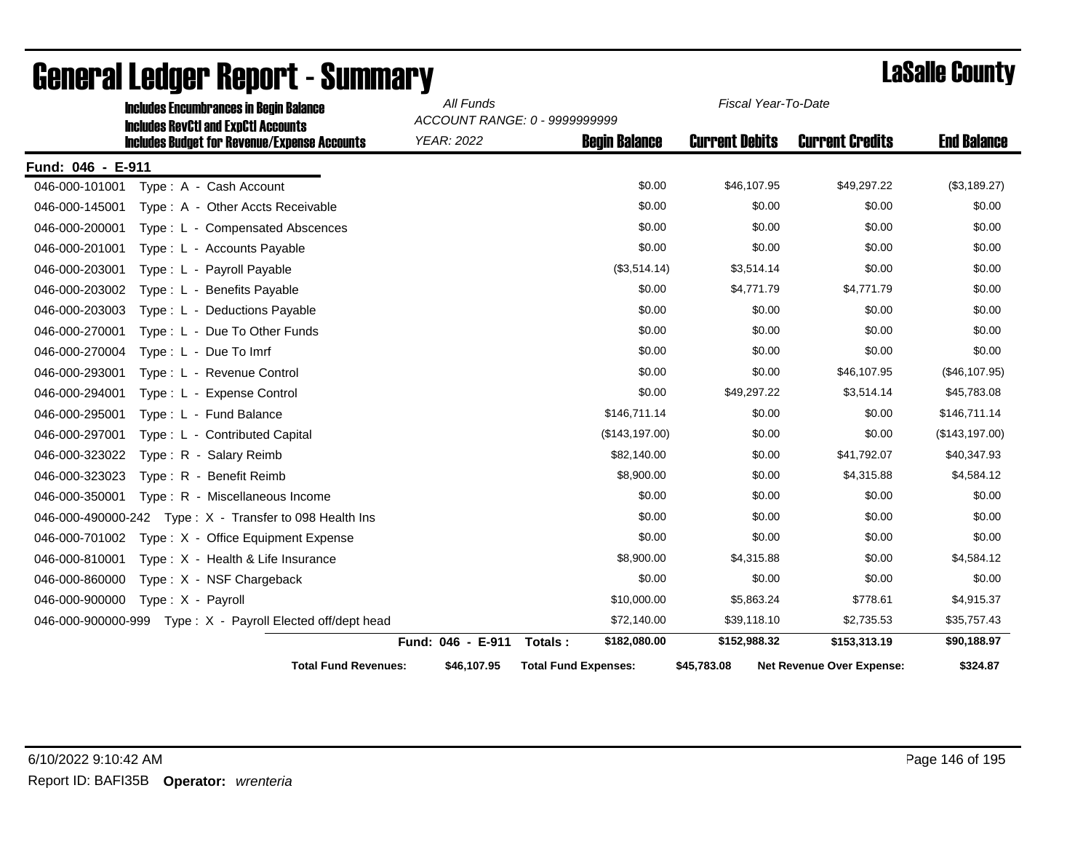| <b>Includes Encumbrances in Begin Balance</b>                                                     |                                         | All Funds         | ACCOUNT RANGE: 0 - 9999999999 | Fiscal Year-To-Date   |                           |                    |
|---------------------------------------------------------------------------------------------------|-----------------------------------------|-------------------|-------------------------------|-----------------------|---------------------------|--------------------|
| <b>Includes RevCtI and ExpCtI Accounts</b><br><b>Includes Budget for Revenue/Expense Accounts</b> |                                         | <b>YEAR: 2022</b> | <b>Begin Balance</b>          | <b>Current Debits</b> | <b>Current Credits</b>    | <b>End Balance</b> |
| Fund: 046 - E-911                                                                                 |                                         |                   |                               |                       |                           |                    |
| 046-000-101001<br>Type: A - Cash Account                                                          |                                         |                   | \$0.00                        | \$46,107.95           | \$49,297.22               | (\$3,189.27)       |
| 046-000-145001<br>Type: A - Other Accts Receivable                                                |                                         |                   | \$0.00                        | \$0.00                | \$0.00                    | \$0.00             |
| 046-000-200001<br>Type: L - Compensated Abscences                                                 |                                         |                   | \$0.00                        | \$0.00                | \$0.00                    | \$0.00             |
| 046-000-201001<br>Type: L - Accounts Payable                                                      |                                         |                   | \$0.00                        | \$0.00                | \$0.00                    | \$0.00             |
| 046-000-203001<br>Type: L - Payroll Payable                                                       |                                         |                   | (\$3,514.14)                  | \$3,514.14            | \$0.00                    | \$0.00             |
| 046-000-203002<br>Type: L - Benefits Payable                                                      |                                         |                   | \$0.00                        | \$4,771.79            | \$4,771.79                | \$0.00             |
| 046-000-203003<br>Type: L - Deductions Payable                                                    |                                         |                   | \$0.00                        | \$0.00                | \$0.00                    | \$0.00             |
| 046-000-270001<br>Type: L - Due To Other Funds                                                    |                                         |                   | \$0.00                        | \$0.00                | \$0.00                    | \$0.00             |
| 046-000-270004<br>Type: L - Due To Imrf                                                           |                                         |                   | \$0.00                        | \$0.00                | \$0.00                    | \$0.00             |
| 046-000-293001<br>Type: L - Revenue Control                                                       |                                         |                   | \$0.00                        | \$0.00                | \$46,107.95               | (\$46,107.95)      |
| 046-000-294001<br>Type: L - Expense Control                                                       |                                         |                   | \$0.00                        | \$49,297.22           | \$3,514.14                | \$45,783.08        |
| 046-000-295001<br>Type: L - Fund Balance                                                          |                                         |                   | \$146,711.14                  | \$0.00                | \$0.00                    | \$146,711.14       |
| 046-000-297001<br>Type: L - Contributed Capital                                                   |                                         |                   | (\$143, 197.00)               | \$0.00                | \$0.00                    | (\$143, 197.00)    |
| 046-000-323022<br>Type: R - Salary Reimb                                                          |                                         |                   | \$82,140.00                   | \$0.00                | \$41,792.07               | \$40,347.93        |
| 046-000-323023<br>Type: R - Benefit Reimb                                                         |                                         |                   | \$8,900.00                    | \$0.00                | \$4,315.88                | \$4,584.12         |
| 046-000-350001<br>Type: R - Miscellaneous Income                                                  |                                         |                   | \$0.00                        | \$0.00                | \$0.00                    | \$0.00             |
|                                                                                                   |                                         |                   | \$0.00                        | \$0.00                | \$0.00                    | \$0.00             |
| 046-000-701002<br>Type: X - Office Equipment Expense                                              |                                         |                   | \$0.00                        | \$0.00                | \$0.00                    | \$0.00             |
| 046-000-810001<br>Type: X - Health & Life Insurance                                               |                                         |                   | \$8,900.00                    | \$4,315.88            | \$0.00                    | \$4,584.12         |
| Type: X - NSF Chargeback<br>046-000-860000                                                        |                                         |                   | \$0.00                        | \$0.00                | \$0.00                    | \$0.00             |
| 046-000-900000<br>Type: X - Payroll                                                               |                                         |                   | \$10,000.00                   | \$5,863.24            | \$778.61                  | \$4,915.37         |
| 046-000-900000-999                                                                                | Type: X - Payroll Elected off/dept head |                   | \$72,140.00                   | \$39,118.10           | \$2,735.53                | \$35,757.43        |
|                                                                                                   |                                         | Fund: 046 - E-911 | Totals:<br>\$182,080.00       | \$152,988.32          | \$153,313.19              | \$90,188.97        |
|                                                                                                   | <b>Total Fund Revenues:</b>             | \$46,107.95       | <b>Total Fund Expenses:</b>   | \$45,783.08           | Net Revenue Over Expense: | \$324.87           |

### General Ledger Report - Summary **County County** LaSalle County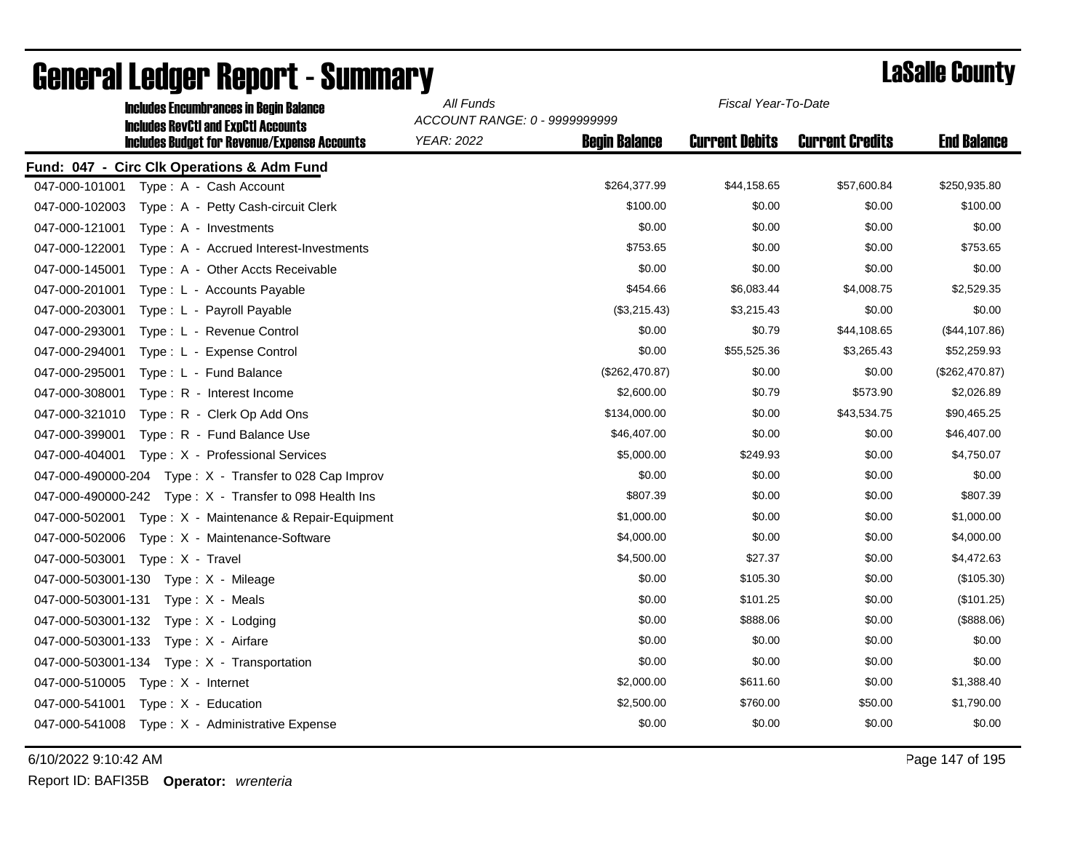| <b>Includes Encumbrances in Begin Balance</b><br><b>Includes RevCtI and ExpCtI Accounts</b> | All Funds<br>Fiscal Year-To-Date<br>ACCOUNT RANGE: 0 - 9999999999 |                      |                       |                        |                    |
|---------------------------------------------------------------------------------------------|-------------------------------------------------------------------|----------------------|-----------------------|------------------------|--------------------|
| <b>Includes Budget for Revenue/Expense Accounts</b>                                         | <b>YEAR: 2022</b>                                                 | <b>Begin Balance</b> | <b>Current Debits</b> | <b>Current Credits</b> | <b>End Balance</b> |
| Fund: 047 - Circ Clk Operations & Adm Fund                                                  |                                                                   |                      |                       |                        |                    |
| 047-000-101001<br>Type: A - Cash Account                                                    |                                                                   | \$264,377.99         | \$44,158.65           | \$57,600.84            | \$250,935.80       |
| 047-000-102003<br>Type: A - Petty Cash-circuit Clerk                                        |                                                                   | \$100.00             | \$0.00                | \$0.00                 | \$100.00           |
| 047-000-121001<br>$Type: A - Investments$                                                   |                                                                   | \$0.00               | \$0.00                | \$0.00                 | \$0.00             |
| 047-000-122001<br>Type: A - Accrued Interest-Investments                                    |                                                                   | \$753.65             | \$0.00                | \$0.00                 | \$753.65           |
| 047-000-145001<br>Type: A - Other Accts Receivable                                          |                                                                   | \$0.00               | \$0.00                | \$0.00                 | \$0.00             |
| 047-000-201001<br>Type: L - Accounts Payable                                                |                                                                   | \$454.66             | \$6,083.44            | \$4,008.75             | \$2,529.35         |
| 047-000-203001<br>Type: L - Payroll Payable                                                 |                                                                   | (\$3,215.43)         | \$3,215.43            | \$0.00                 | \$0.00             |
| 047-000-293001<br>Type: L - Revenue Control                                                 |                                                                   | \$0.00               | \$0.79                | \$44,108.65            | (\$44,107.86)      |
| 047-000-294001<br>Type: L - Expense Control                                                 |                                                                   | \$0.00               | \$55,525.36           | \$3,265.43             | \$52,259.93        |
| 047-000-295001<br>Type: L - Fund Balance                                                    |                                                                   | (\$262,470.87)       | \$0.00                | \$0.00                 | (\$262,470.87)     |
| 047-000-308001<br>Type: R - Interest Income                                                 |                                                                   | \$2,600.00           | \$0.79                | \$573.90               | \$2,026.89         |
| 047-000-321010<br>Type: R - Clerk Op Add Ons                                                |                                                                   | \$134,000.00         | \$0.00                | \$43,534.75            | \$90,465.25        |
| 047-000-399001<br>Type: R - Fund Balance Use                                                |                                                                   | \$46,407.00          | \$0.00                | \$0.00                 | \$46,407.00        |
| 047-000-404001<br>Type: X - Professional Services                                           |                                                                   | \$5,000.00           | \$249.93              | \$0.00                 | \$4,750.07         |
| 047-000-490000-204    Type: X - Transfer to 028 Cap Improv                                  |                                                                   | \$0.00               | \$0.00                | \$0.00                 | \$0.00             |
| 047-000-490000-242<br>Type: X - Transfer to 098 Health Ins                                  |                                                                   | \$807.39             | \$0.00                | \$0.00                 | \$807.39           |
| 047-000-502001 Type: X - Maintenance & Repair-Equipment                                     |                                                                   | \$1,000.00           | \$0.00                | \$0.00                 | \$1,000.00         |
| 047-000-502006<br>Type: X - Maintenance-Software                                            |                                                                   | \$4,000.00           | \$0.00                | \$0.00                 | \$4,000.00         |
| 047-000-503001<br>Type: X - Travel                                                          |                                                                   | \$4,500.00           | \$27.37               | \$0.00                 | \$4,472.63         |
| 047-000-503001-130    Type: X - Mileage                                                     |                                                                   | \$0.00               | \$105.30              | \$0.00                 | (\$105.30)         |
| 047-000-503001-131<br>Type: X - Meals                                                       |                                                                   | \$0.00               | \$101.25              | \$0.00                 | (\$101.25)         |
| 047-000-503001-132<br>Type: X - Lodging                                                     |                                                                   | \$0.00               | \$888.06              | \$0.00                 | (\$888.06)         |
| 047-000-503001-133<br>Type: X - Airfare                                                     |                                                                   | \$0.00               | \$0.00                | \$0.00                 | \$0.00             |
| 047-000-503001-134<br>Type: X - Transportation                                              |                                                                   | \$0.00               | \$0.00                | \$0.00                 | \$0.00             |
| 047-000-510005<br>Type $: X -$ Internet                                                     |                                                                   | \$2,000.00           | \$611.60              | \$0.00                 | \$1,388.40         |
| 047-000-541001<br>Type: X - Education                                                       |                                                                   | \$2,500.00           | \$760.00              | \$50.00                | \$1,790.00         |
| 047-000-541008<br>Type: X - Administrative Expense                                          |                                                                   | \$0.00               | \$0.00                | \$0.00                 | \$0.00             |

## General Ledger Report - Summary **Lassing County**

6/10/2022 9:10:42 AM Page 147 of 195

Report ID: BAFI35B **Operator:** *wrenteria*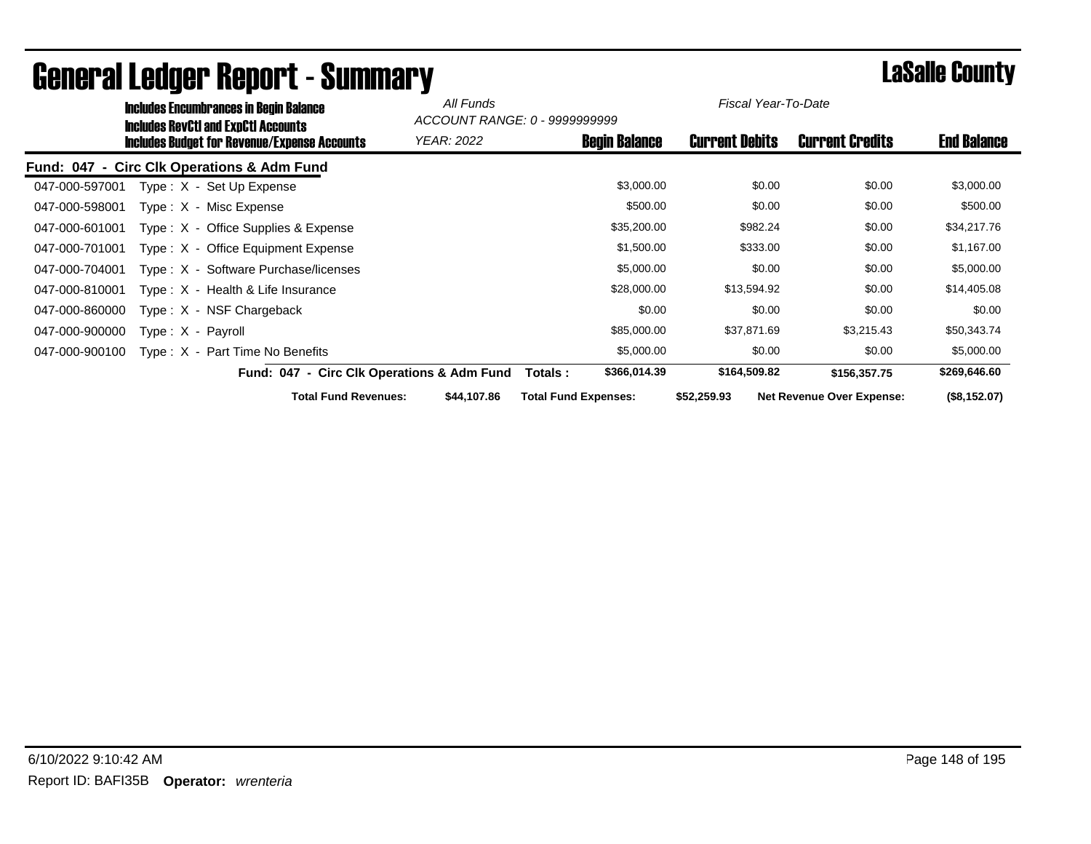|                | <b>Includes Encumbrances in Begin Balance</b>                                              | All Funds   | ACCOUNT RANGE: 0 - 9999999999 | Fiscal Year-To-Date   |                                  |                    |
|----------------|--------------------------------------------------------------------------------------------|-------------|-------------------------------|-----------------------|----------------------------------|--------------------|
|                | Includes RevCtI and ExpCtI Accounts<br><b>Includes Budget for Revenue/Expense Accounts</b> | YEAR: 2022  | <b>Begin Balance</b>          | <b>Current Debits</b> | <b>Current Credits</b>           | <b>End Balance</b> |
|                | Fund: 047 - Circ Clk Operations & Adm Fund                                                 |             |                               |                       |                                  |                    |
| 047-000-597001 | Type: X - Set Up Expense                                                                   |             | \$3,000.00                    | \$0.00                | \$0.00                           | \$3,000.00         |
| 047-000-598001 | Type: X - Misc Expense                                                                     |             | \$500.00                      | \$0.00                | \$0.00                           | \$500.00           |
| 047-000-601001 | Type: X - Office Supplies & Expense                                                        |             | \$35,200.00                   | \$982.24              | \$0.00                           | \$34,217.76        |
| 047-000-701001 | Type: X - Office Equipment Expense                                                         |             | \$1,500.00                    | \$333.00              | \$0.00                           | \$1,167.00         |
| 047-000-704001 | Type: X - Software Purchase/licenses                                                       |             | \$5,000.00                    | \$0.00                | \$0.00                           | \$5,000.00         |
| 047-000-810001 | Type : $X -$ Health & Life Insurance                                                       |             | \$28,000.00                   | \$13,594.92           | \$0.00                           | \$14,405.08        |
| 047-000-860000 | Type: X - NSF Chargeback                                                                   |             | \$0.00                        | \$0.00                | \$0.00                           | \$0.00             |
| 047-000-900000 | Type: X - Payroll                                                                          |             | \$85,000.00                   | \$37,871.69           | \$3,215.43                       | \$50,343.74        |
| 047-000-900100 | Type: X - Part Time No Benefits                                                            |             | \$5,000.00                    | \$0.00                | \$0.00                           | \$5,000.00         |
|                | Fund: 047 - Circ Clk Operations & Adm Fund                                                 |             | \$366,014.39<br>Totals :      | \$164,509.82          | \$156,357.75                     | \$269,646.60       |
|                | <b>Total Fund Revenues:</b>                                                                | \$44,107.86 | <b>Total Fund Expenses:</b>   | \$52,259.93           | <b>Net Revenue Over Expense:</b> | (\$8,152.07)       |

### General Ledger Report - Summary **Constants County** LaSalle County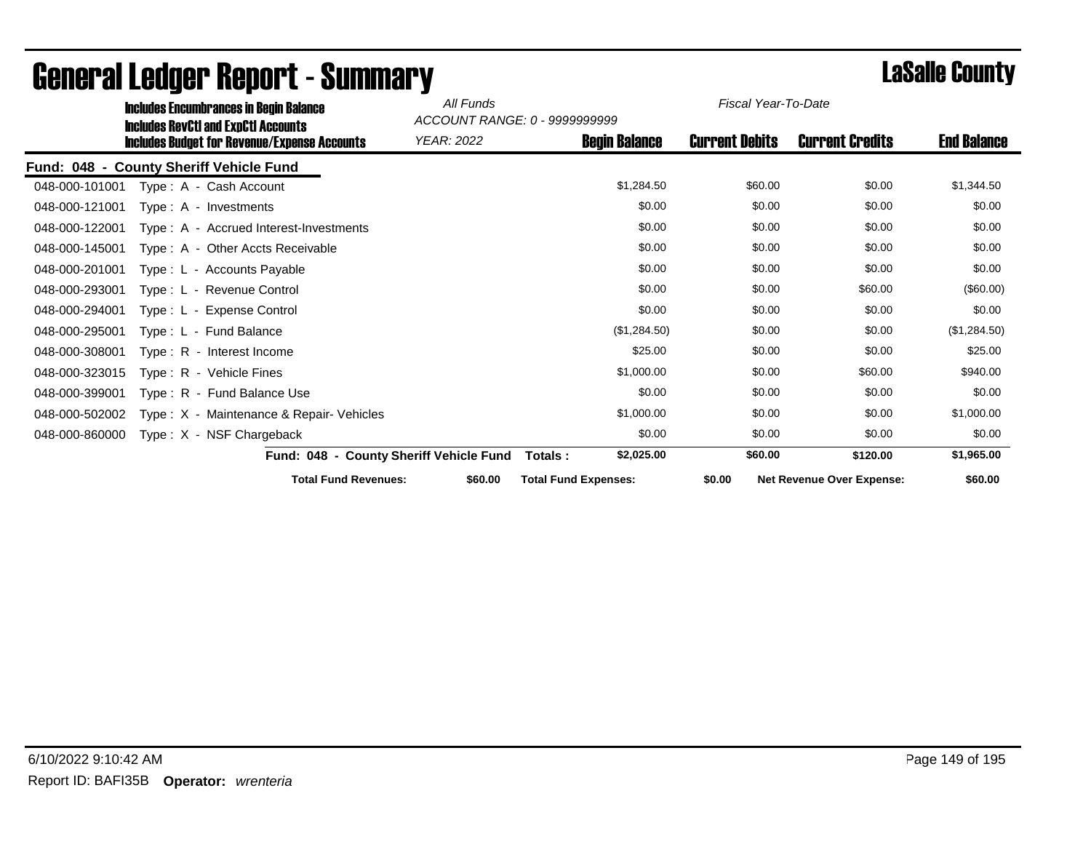|                | <b>Includes Encumbrances in Begin Balance</b>                                                     | All Funds  | ACCOUNT RANGE: 0 - 9999999999 | Fiscal Year-To-Date   |                                  |                    |
|----------------|---------------------------------------------------------------------------------------------------|------------|-------------------------------|-----------------------|----------------------------------|--------------------|
|                | <b>Includes RevCtI and ExpCtI Accounts</b><br><b>Includes Budget for Revenue/Expense Accounts</b> | YEAR: 2022 | <b>Begin Balance</b>          | <b>Current Debits</b> | <b>Current Credits</b>           | <b>End Balance</b> |
|                | <b>Fund: 048 - County Sheriff Vehicle Fund</b>                                                    |            |                               |                       |                                  |                    |
| 048-000-101001 | Type: A - Cash Account                                                                            |            | \$1,284.50                    | \$60.00               | \$0.00                           | \$1,344.50         |
| 048-000-121001 | $Type: A - Investments$                                                                           |            | \$0.00                        | \$0.00                | \$0.00                           | \$0.00             |
| 048-000-122001 | Type: A - Accrued Interest-Investments                                                            |            | \$0.00                        | \$0.00                | \$0.00                           | \$0.00             |
| 048-000-145001 | Type: A - Other Accts Receivable                                                                  |            | \$0.00                        | \$0.00                | \$0.00                           | \$0.00             |
| 048-000-201001 | Type: L - Accounts Payable                                                                        |            | \$0.00                        | \$0.00                | \$0.00                           | \$0.00             |
| 048-000-293001 | Type: L - Revenue Control                                                                         |            | \$0.00                        | \$0.00                | \$60.00                          | $(\$60.00)$        |
| 048-000-294001 | Type: L - Expense Control                                                                         |            | \$0.00                        | \$0.00                | \$0.00                           | \$0.00             |
| 048-000-295001 | Type: L - Fund Balance                                                                            |            | (\$1,284.50)                  | \$0.00                | \$0.00                           | (\$1,284.50)       |
| 048-000-308001 | Type: R - Interest Income                                                                         |            | \$25.00                       | \$0.00                | \$0.00                           | \$25.00            |
| 048-000-323015 | Type: R - Vehicle Fines                                                                           |            | \$1,000.00                    | \$0.00                | \$60.00                          | \$940.00           |
| 048-000-399001 | Type: R - Fund Balance Use                                                                        |            | \$0.00                        | \$0.00                | \$0.00                           | \$0.00             |
| 048-000-502002 | Type: X - Maintenance & Repair- Vehicles                                                          |            | \$1,000.00                    | \$0.00                | \$0.00                           | \$1,000.00         |
| 048-000-860000 | Type : $X - NSF$ Chargeback                                                                       |            | \$0.00                        | \$0.00                | \$0.00                           | \$0.00             |
|                | Fund: 048 - County Sheriff Vehicle Fund                                                           |            | \$2,025.00<br>Totals:         | \$60.00               | \$120.00                         | \$1,965.00         |
|                | <b>Total Fund Revenues:</b>                                                                       | \$60.00    | <b>Total Fund Expenses:</b>   | \$0.00                | <b>Net Revenue Over Expense:</b> | \$60.00            |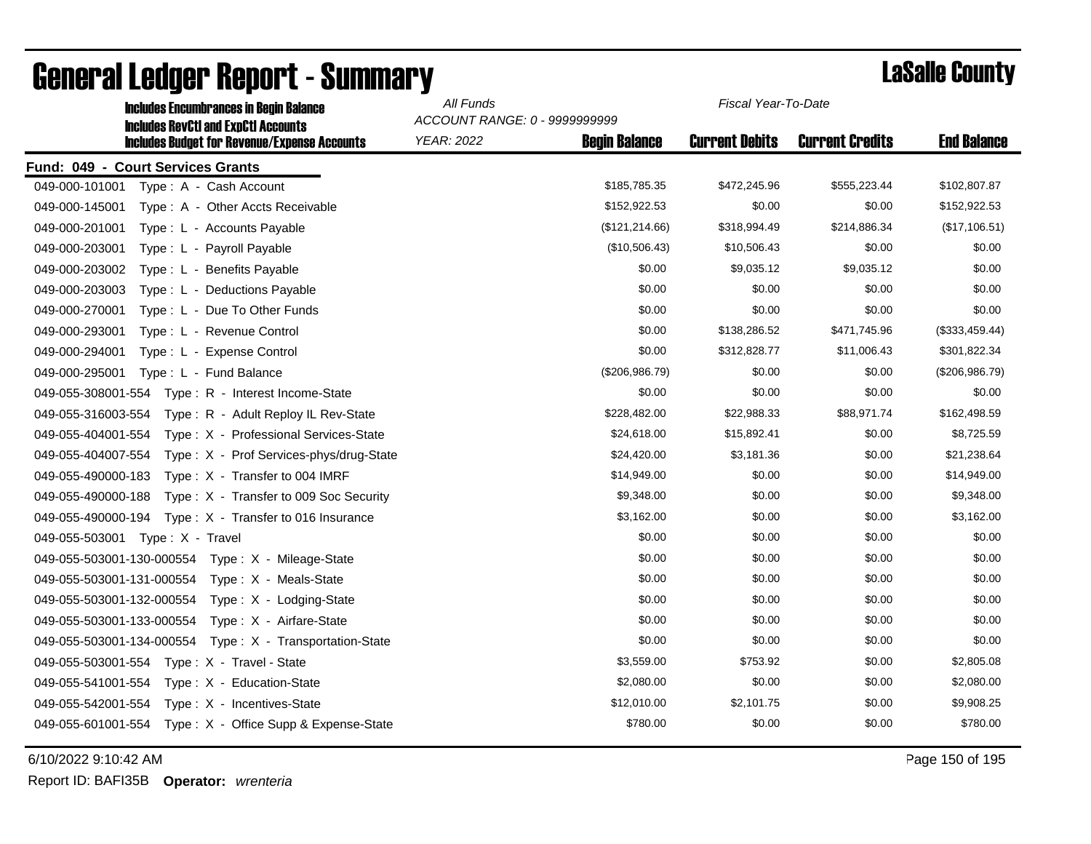| <b>Includes Encumbrances in Begin Balance</b>                 | All Funds                                          | Fiscal Year-To-Date  |                       |                        |                    |
|---------------------------------------------------------------|----------------------------------------------------|----------------------|-----------------------|------------------------|--------------------|
| <b>Includes RevCtI and ExpCtI Accounts</b>                    | ACCOUNT RANGE: 0 - 9999999999<br><b>YEAR: 2022</b> | <b>Begin Balance</b> | <b>Current Debits</b> | <b>Current Credits</b> | <b>End Balance</b> |
| <b>Includes Budget for Revenue/Expense Accounts</b>           |                                                    |                      |                       |                        |                    |
| Fund: 049 - Court Services Grants                             |                                                    |                      |                       |                        |                    |
| 049-000-101001<br>Type: A - Cash Account                      |                                                    | \$185,785.35         | \$472,245.96          | \$555,223.44           | \$102,807.87       |
| 049-000-145001<br>Type: A - Other Accts Receivable            |                                                    | \$152,922.53         | \$0.00                | \$0.00                 | \$152,922.53       |
| 049-000-201001<br>Type: L - Accounts Payable                  |                                                    | (\$121,214.66)       | \$318,994.49          | \$214,886.34           | (\$17,106.51)      |
| 049-000-203001<br>Type: L - Payroll Payable                   |                                                    | (\$10,506.43)        | \$10,506.43           | \$0.00                 | \$0.00             |
| 049-000-203002<br>Type : L - Benefits Payable                 |                                                    | \$0.00               | \$9,035.12            | \$9,035.12             | \$0.00             |
| 049-000-203003<br>Type: L - Deductions Payable                |                                                    | \$0.00               | \$0.00                | \$0.00                 | \$0.00             |
| 049-000-270001<br>Type: L - Due To Other Funds                |                                                    | \$0.00               | \$0.00                | \$0.00                 | \$0.00             |
| 049-000-293001<br>Type: L - Revenue Control                   |                                                    | \$0.00               | \$138,286.52          | \$471,745.96           | (\$333,459.44)     |
| Type: L - Expense Control<br>049-000-294001                   |                                                    | \$0.00               | \$312,828.77          | \$11,006.43            | \$301,822.34       |
| 049-000-295001<br>Type: L - Fund Balance                      |                                                    | (\$206,986.79)       | \$0.00                | \$0.00                 | (\$206,986.79)     |
| 049-055-308001-554<br>Type: R - Interest Income-State         |                                                    | \$0.00               | \$0.00                | \$0.00                 | \$0.00             |
| 049-055-316003-554<br>Type: R - Adult Reploy IL Rev-State     |                                                    | \$228,482.00         | \$22,988.33           | \$88,971.74            | \$162,498.59       |
| Type: X - Professional Services-State<br>049-055-404001-554   |                                                    | \$24,618.00          | \$15,892.41           | \$0.00                 | \$8,725.59         |
| 049-055-404007-554<br>Type: X - Prof Services-phys/drug-State |                                                    | \$24,420.00          | \$3,181.36            | \$0.00                 | \$21,238.64        |
| 049-055-490000-183<br>Type : $X -$ Transfer to 004 IMRF       |                                                    | \$14,949.00          | \$0.00                | \$0.00                 | \$14,949.00        |
| Type: X - Transfer to 009 Soc Security<br>049-055-490000-188  |                                                    | \$9,348.00           | \$0.00                | \$0.00                 | \$9,348.00         |
| 049-055-490000-194<br>Type : $X -$ Transfer to 016 Insurance  |                                                    | \$3,162.00           | \$0.00                | \$0.00                 | \$3,162.00         |
| 049-055-503001 Type: X - Travel                               |                                                    | \$0.00               | \$0.00                | \$0.00                 | \$0.00             |
| 049-055-503001-130-000554<br>Type: X - Mileage-State          |                                                    | \$0.00               | \$0.00                | \$0.00                 | \$0.00             |
| 049-055-503001-131-000554<br>Type: X - Meals-State            |                                                    | \$0.00               | \$0.00                | \$0.00                 | \$0.00             |
| 049-055-503001-132-000554<br>Type: X - Lodging-State          |                                                    | \$0.00               | \$0.00                | \$0.00                 | \$0.00             |
| Type: X - Airfare-State<br>049-055-503001-133-000554          |                                                    | \$0.00               | \$0.00                | \$0.00                 | \$0.00             |
| 049-055-503001-134-000554<br>Type: X - Transportation-State   |                                                    | \$0.00               | \$0.00                | \$0.00                 | \$0.00             |
| 049-055-503001-554 Type: X - Travel - State                   |                                                    | \$3,559.00           | \$753.92              | \$0.00                 | \$2,805.08         |
|                                                               |                                                    | \$2,080.00           | \$0.00                | \$0.00                 | \$2,080.00         |
| Type: X - Incentives-State<br>049-055-542001-554              |                                                    | \$12,010.00          | \$2,101.75            | \$0.00                 | \$9,908.25         |
| Type: X - Office Supp & Expense-State<br>049-055-601001-554   |                                                    | \$780.00             | \$0.00                | \$0.00                 | \$780.00           |
|                                                               |                                                    |                      |                       |                        |                    |

# **General Ledger Report - Summary Lassalle County**

6/10/2022 9:10:42 AM Page 150 of 195

Report ID: BAFI35B **Operator:** *wrenteria*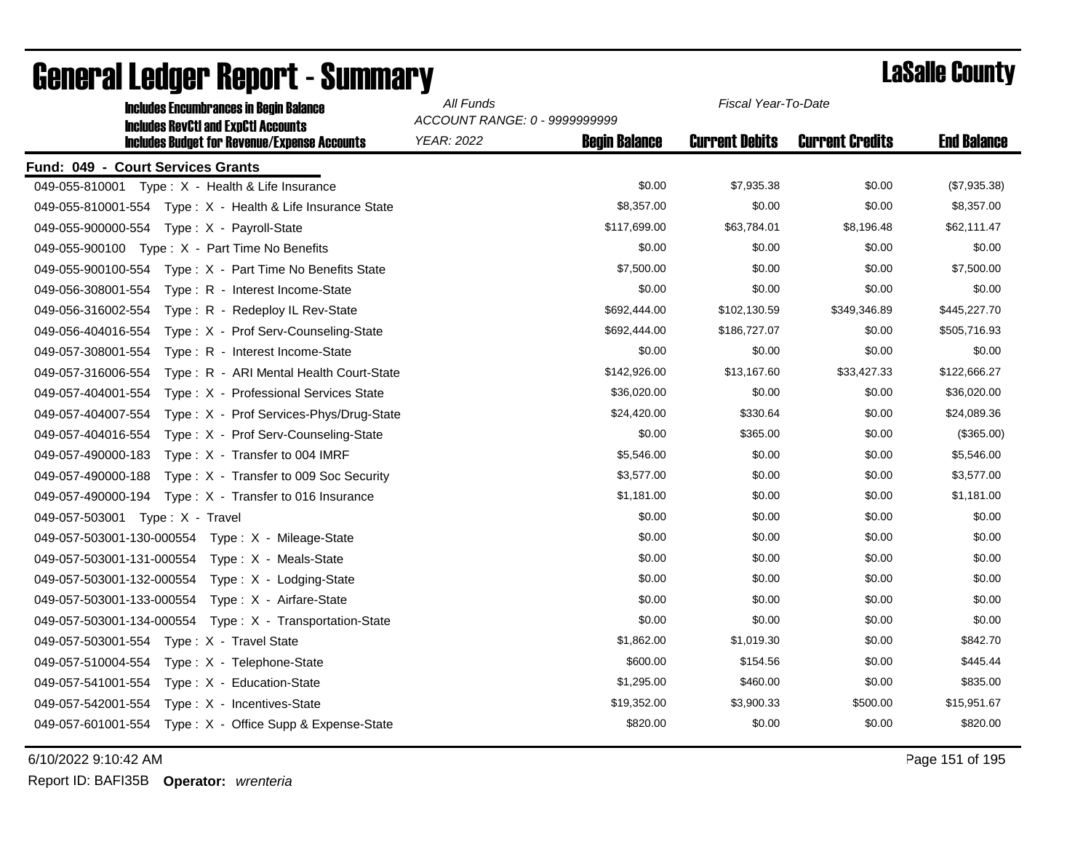| <b>Includes Encumbrances in Begin Balance</b>                 | All Funds                                 | Fiscal Year-To-Date   |                        |                    |
|---------------------------------------------------------------|-------------------------------------------|-----------------------|------------------------|--------------------|
| <b>Includes RevCtI and ExpCtI Accounts</b>                    | ACCOUNT RANGE: 0 - 9999999999             |                       |                        |                    |
| <b>Includes Budget for Revenue/Expense Accounts</b>           | <b>YEAR: 2022</b><br><b>Begin Balance</b> | <b>Current Debits</b> | <b>Current Credits</b> | <b>End Balance</b> |
| Fund: 049 - Court Services Grants                             |                                           |                       |                        |                    |
| 049-055-810001 Type: X - Health & Life Insurance              | \$0.00                                    | \$7,935.38            | \$0.00                 | (\$7,935.38)       |
| 049-055-810001-554 Type: X - Health & Life Insurance State    | \$8,357.00                                | \$0.00                | \$0.00                 | \$8,357.00         |
| 049-055-900000-554 Type: X - Payroll-State                    | \$117,699.00                              | \$63,784.01           | \$8,196.48             | \$62,111.47        |
| 049-055-900100 Type: X - Part Time No Benefits                | \$0.00                                    | \$0.00                | \$0.00                 | \$0.00             |
| 049-055-900100-554<br>Type: X - Part Time No Benefits State   | \$7,500.00                                | \$0.00                | \$0.00                 | \$7,500.00         |
| 049-056-308001-554<br>Type: R - Interest Income-State         | \$0.00                                    | \$0.00                | \$0.00                 | \$0.00             |
| 049-056-316002-554<br>Type: R - Redeploy IL Rev-State         | \$692,444.00                              | \$102,130.59          | \$349,346.89           | \$445,227.70       |
| 049-056-404016-554<br>Type: X - Prof Serv-Counseling-State    | \$692,444.00                              | \$186,727.07          | \$0.00                 | \$505,716.93       |
| 049-057-308001-554<br>Type: R - Interest Income-State         | \$0.00                                    | \$0.00                | \$0.00                 | \$0.00             |
| 049-057-316006-554<br>Type: R - ARI Mental Health Court-State | \$142,926.00                              | \$13,167.60           | \$33,427.33            | \$122,666.27       |
| 049-057-404001-554<br>Type: X - Professional Services State   | \$36,020.00                               | \$0.00                | \$0.00                 | \$36,020.00        |
| 049-057-404007-554<br>Type: X - Prof Services-Phys/Drug-State | \$24,420.00                               | \$330.64              | \$0.00                 | \$24,089.36        |
| Type: X - Prof Serv-Counseling-State<br>049-057-404016-554    | \$0.00                                    | \$365.00              | \$0.00                 | (\$365.00)         |
| Type: X - Transfer to 004 IMRF<br>049-057-490000-183          | \$5,546.00                                | \$0.00                | \$0.00                 | \$5,546.00         |
| Type: X - Transfer to 009 Soc Security<br>049-057-490000-188  | \$3,577.00                                | \$0.00                | \$0.00                 | \$3,577.00         |
| 049-057-490000-194    Type: X - Transfer to 016 Insurance     | \$1,181.00                                | \$0.00                | \$0.00                 | \$1,181.00         |
| 049-057-503001 Type: X - Travel                               | \$0.00                                    | \$0.00                | \$0.00                 | \$0.00             |
| 049-057-503001-130-000554 Type: X - Mileage-State             | \$0.00                                    | \$0.00                | \$0.00                 | \$0.00             |
| 049-057-503001-131-000554 Type: X - Meals-State               | \$0.00                                    | \$0.00                | \$0.00                 | \$0.00             |
| 049-057-503001-132-000554    Type: X - Lodging-State          | \$0.00                                    | \$0.00                | \$0.00                 | \$0.00             |
| 049-057-503001-133-000554    Type: X - Airfare-State          | \$0.00                                    | \$0.00                | \$0.00                 | \$0.00             |
| 049-057-503001-134-000554    Type: X - Transportation-State   | \$0.00                                    | \$0.00                | \$0.00                 | \$0.00             |
| 049-057-503001-554 Type: X - Travel State                     | \$1,862.00                                | \$1,019.30            | \$0.00                 | \$842.70           |
| 049-057-510004-554<br>Type: X - Telephone-State               | \$600.00                                  | \$154.56              | \$0.00                 | \$445.44           |
| 049-057-541001-554<br>Type: X - Education-State               | \$1,295.00                                | \$460.00              | \$0.00                 | \$835.00           |
| 049-057-542001-554<br>Type: X - Incentives-State              | \$19,352.00                               | \$3,900.33            | \$500.00               | \$15,951.67        |
| 049-057-601001-554    Type: X - Office Supp & Expense-State   | \$820.00                                  | \$0.00                | \$0.00                 | \$820.00           |
|                                                               |                                           |                       |                        |                    |

## General Ledger Report - Summary LaSalle County

6/10/2022 9:10:42 AM Page 151 of 195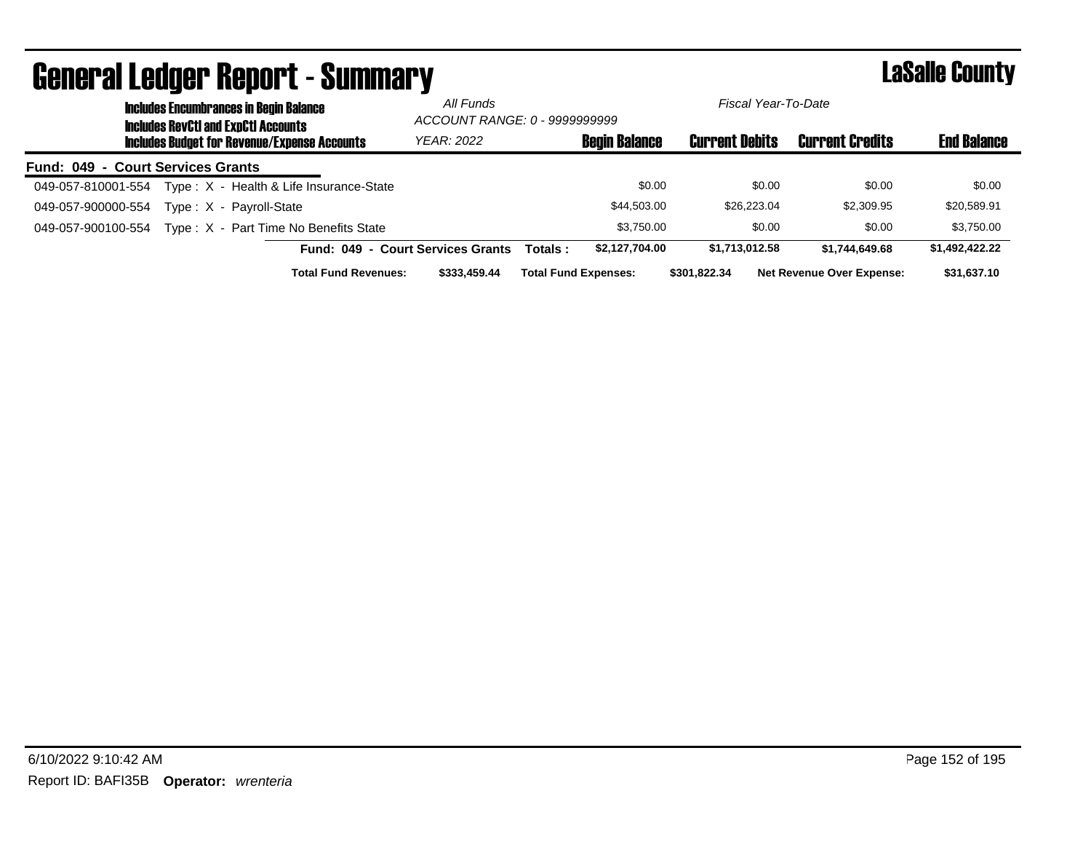| <b>Includes Encumbrances in Begin Balance</b><br><b>Includes RevCtI and ExpCtI Accounts</b> |                                                          | All Funds                         | Fiscal Year-To-Date<br>ACCOUNT RANGE: 0 - 9999999999 |                       |                                  |                    |
|---------------------------------------------------------------------------------------------|----------------------------------------------------------|-----------------------------------|------------------------------------------------------|-----------------------|----------------------------------|--------------------|
|                                                                                             | <b>Includes Budget for Revenue/Expense Accounts</b>      | <b>YEAR: 2022</b>                 | <b>Begin Balance</b>                                 | <b>Current Debits</b> | <b>Current Credits</b>           | <b>End Balance</b> |
| Fund: 049 - Court Services Grants                                                           |                                                          |                                   |                                                      |                       |                                  |                    |
| 049-057-810001-554                                                                          | Type: X - Health & Life Insurance-State                  |                                   | \$0.00                                               | \$0.00                | \$0.00                           | \$0.00             |
| 049-057-900000-554                                                                          | $Type: X - Payroll-State$                                |                                   | \$44,503.00                                          | \$26,223,04           | \$2,309.95                       | \$20,589.91        |
|                                                                                             | 049-057-900100-554 Type: X - Part Time No Benefits State |                                   | \$3.750.00                                           | \$0.00                | \$0.00                           | \$3,750.00         |
|                                                                                             |                                                          | Fund: 049 - Court Services Grants | \$2,127,704.00<br>Totals :                           | \$1,713,012.58        | \$1.744.649.68                   | \$1,492,422.22     |
|                                                                                             | <b>Total Fund Revenues:</b>                              | \$333,459.44                      | <b>Total Fund Expenses:</b>                          | \$301.822.34          | <b>Net Revenue Over Expense:</b> | \$31,637.10        |

### General Ledger Report - Summary LaSalle County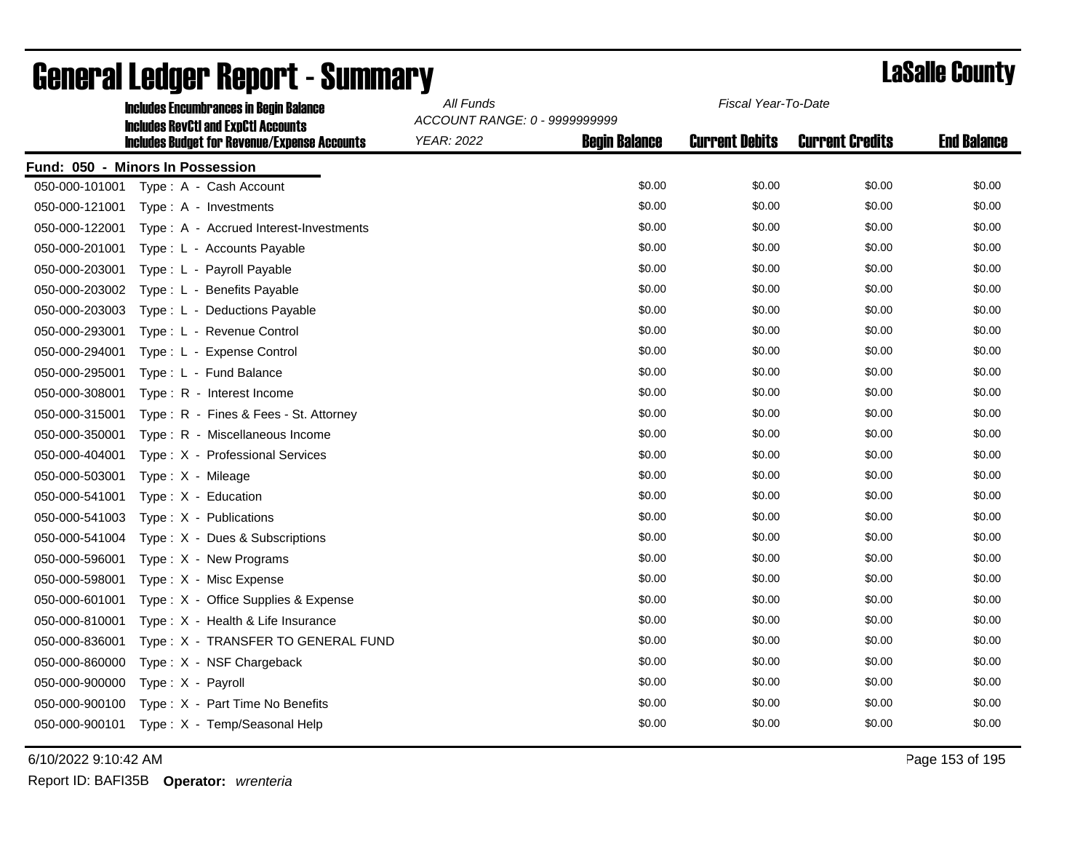|                | <b>Includes Encumbrances in Begin Balance</b>       | All Funds                     |                      | Fiscal Year-To-Date   |                        |                    |
|----------------|-----------------------------------------------------|-------------------------------|----------------------|-----------------------|------------------------|--------------------|
|                | <b>Includes RevCtI and ExpCtI Accounts</b>          | ACCOUNT RANGE: 0 - 9999999999 |                      |                       |                        |                    |
|                | <b>Includes Budget for Revenue/Expense Accounts</b> | <b>YEAR: 2022</b>             | <b>Begin Balance</b> | <b>Current Debits</b> | <b>Current Credits</b> | <b>End Balance</b> |
|                | Fund: 050 - Minors In Possession                    |                               |                      |                       |                        |                    |
| 050-000-101001 | Type: A - Cash Account                              |                               | \$0.00               | \$0.00                | \$0.00                 | \$0.00             |
| 050-000-121001 | Type: A - Investments                               |                               | \$0.00               | \$0.00                | \$0.00                 | \$0.00             |
| 050-000-122001 | Type: A - Accrued Interest-Investments              |                               | \$0.00               | \$0.00                | \$0.00                 | \$0.00             |
| 050-000-201001 | Type: L - Accounts Payable                          |                               | \$0.00               | \$0.00                | \$0.00                 | \$0.00             |
| 050-000-203001 | Type: L - Payroll Payable                           |                               | \$0.00               | \$0.00                | \$0.00                 | \$0.00             |
| 050-000-203002 | Type: L - Benefits Payable                          |                               | \$0.00               | \$0.00                | \$0.00                 | \$0.00             |
| 050-000-203003 | Type: L - Deductions Payable                        |                               | \$0.00               | \$0.00                | \$0.00                 | \$0.00             |
| 050-000-293001 | Type: L - Revenue Control                           |                               | \$0.00               | \$0.00                | \$0.00                 | \$0.00             |
| 050-000-294001 | Type: L - Expense Control                           |                               | \$0.00               | \$0.00                | \$0.00                 | \$0.00             |
| 050-000-295001 | Type: L - Fund Balance                              |                               | \$0.00               | \$0.00                | \$0.00                 | \$0.00             |
| 050-000-308001 | Type: R - Interest Income                           |                               | \$0.00               | \$0.00                | \$0.00                 | \$0.00             |
| 050-000-315001 | Type: R - Fines & Fees - St. Attorney               |                               | \$0.00               | \$0.00                | \$0.00                 | \$0.00             |
| 050-000-350001 | Type: R - Miscellaneous Income                      |                               | \$0.00               | \$0.00                | \$0.00                 | \$0.00             |
| 050-000-404001 | Type: X - Professional Services                     |                               | \$0.00               | \$0.00                | \$0.00                 | \$0.00             |
| 050-000-503001 | Type: X - Mileage                                   |                               | \$0.00               | \$0.00                | \$0.00                 | \$0.00             |
| 050-000-541001 | Type: X - Education                                 |                               | \$0.00               | \$0.00                | \$0.00                 | \$0.00             |
| 050-000-541003 | Type: X - Publications                              |                               | \$0.00               | \$0.00                | \$0.00                 | \$0.00             |
| 050-000-541004 | $Type: X - Dues & Subscripts$                       |                               | \$0.00               | \$0.00                | \$0.00                 | \$0.00             |
| 050-000-596001 | Type : $X - New Programs$                           |                               | \$0.00               | \$0.00                | \$0.00                 | \$0.00             |
| 050-000-598001 | Type: X - Misc Expense                              |                               | \$0.00               | \$0.00                | \$0.00                 | \$0.00             |
| 050-000-601001 | Type: X - Office Supplies & Expense                 |                               | \$0.00               | \$0.00                | \$0.00                 | \$0.00             |
| 050-000-810001 | Type: X - Health & Life Insurance                   |                               | \$0.00               | \$0.00                | \$0.00                 | \$0.00             |
| 050-000-836001 | Type: X - TRANSFER TO GENERAL FUND                  |                               | \$0.00               | \$0.00                | \$0.00                 | \$0.00             |
| 050-000-860000 | Type: X - NSF Chargeback                            |                               | \$0.00               | \$0.00                | \$0.00                 | \$0.00             |
| 050-000-900000 | Type: X - Payroll                                   |                               | \$0.00               | \$0.00                | \$0.00                 | \$0.00             |
| 050-000-900100 | Type: X - Part Time No Benefits                     |                               | \$0.00               | \$0.00                | \$0.00                 | \$0.00             |
| 050-000-900101 | Type: X - Temp/Seasonal Help                        |                               | \$0.00               | \$0.00                | \$0.00                 | \$0.00             |
|                |                                                     |                               |                      |                       |                        |                    |

6/10/2022 9:10:42 AM Page 153 of 195

Report ID: BAFI35B **Operator:** *wrenteria*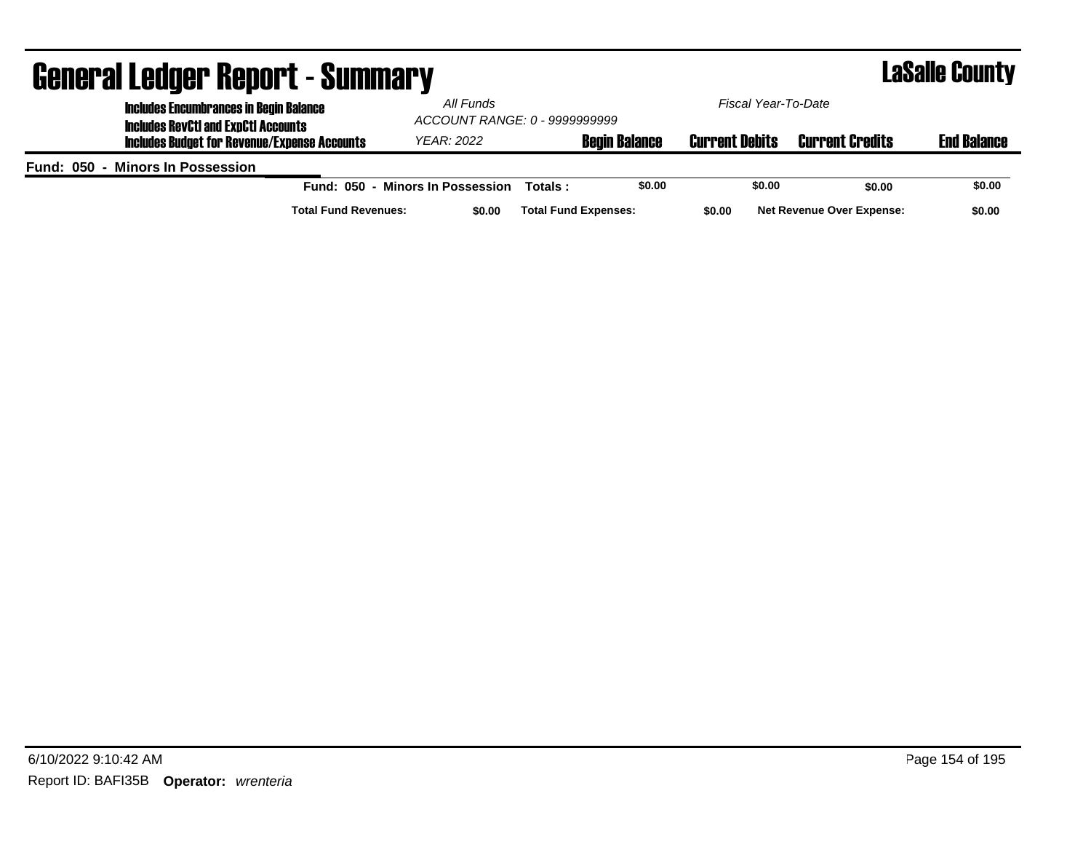| <b>General Ledger Report - Summary</b>                                                      |                                  |                               |                       |                                  | <b>LaSalle County</b> |
|---------------------------------------------------------------------------------------------|----------------------------------|-------------------------------|-----------------------|----------------------------------|-----------------------|
| <b>Includes Encumbrances in Begin Balance</b><br><b>Includes RevCtI and ExpCtI Accounts</b> | All Funds                        | ACCOUNT RANGE: 0 - 9999999999 | Fiscal Year-To-Date   |                                  |                       |
| Includes Budget for Revenue/Expense Accounts                                                | <b>YEAR: 2022</b>                | <b>Begin Balance</b>          | <b>Current Debits</b> | <b>Current Credits</b>           | <b>End Balance</b>    |
| Fund: 050 - Minors In Possession                                                            |                                  |                               |                       |                                  |                       |
|                                                                                             | Fund: 050 - Minors In Possession | \$0.00<br>Totals:             | \$0.00                | \$0.00                           | \$0.00                |
| <b>Total Fund Revenues:</b>                                                                 | \$0.00                           | <b>Total Fund Expenses:</b>   | \$0.00                | <b>Net Revenue Over Expense:</b> | \$0.00                |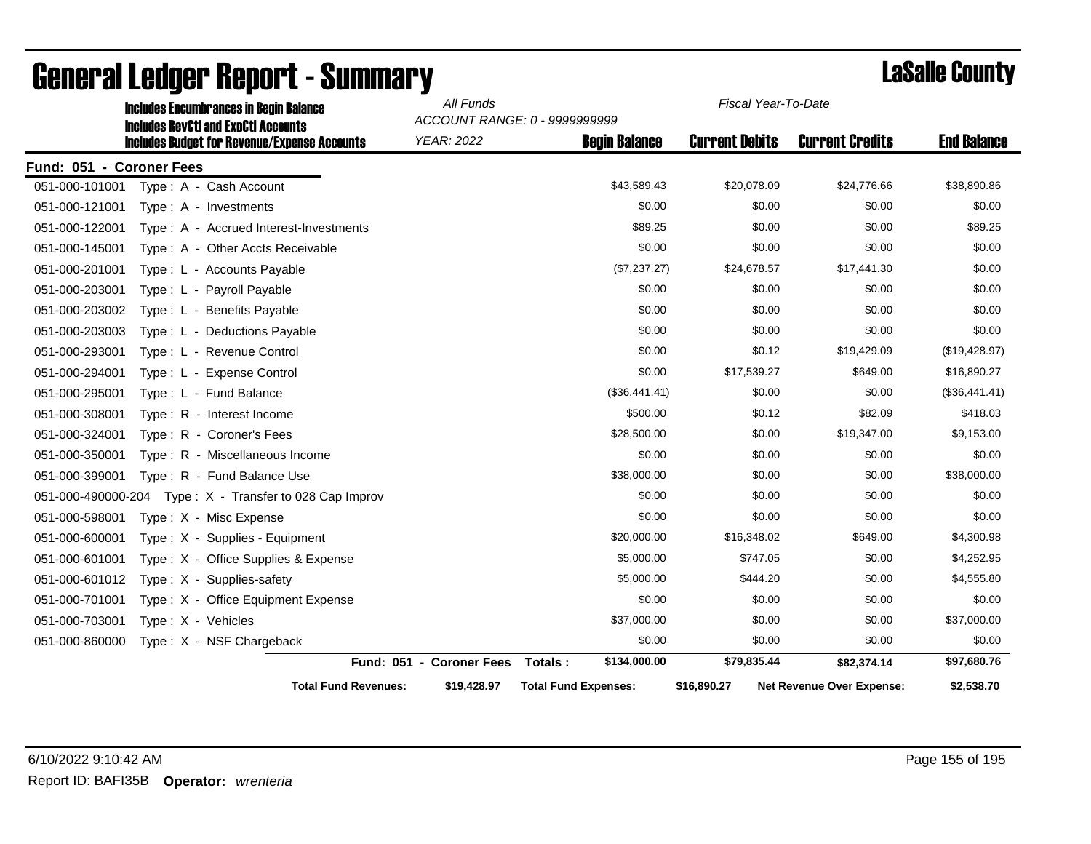|                          | <b>Includes Encumbrances in Begin Balance</b><br><b>Includes RevCtI and ExpCtI Accounts</b> | All Funds                | ACCOUNT RANGE: 0 - 9999999999 | Fiscal Year-To-Date   |                           |                    |
|--------------------------|---------------------------------------------------------------------------------------------|--------------------------|-------------------------------|-----------------------|---------------------------|--------------------|
|                          | <b>Includes Budget for Revenue/Expense Accounts</b>                                         | <b>YEAR: 2022</b>        | <b>Begin Balance</b>          | <b>Current Debits</b> | <b>Current Credits</b>    | <b>End Balance</b> |
| Fund: 051 - Coroner Fees |                                                                                             |                          |                               |                       |                           |                    |
| 051-000-101001           | Type: A - Cash Account                                                                      |                          | \$43,589.43                   | \$20,078.09           | \$24,776.66               | \$38,890.86        |
| 051-000-121001           | Type: A - Investments                                                                       |                          | \$0.00                        | \$0.00                | \$0.00                    | \$0.00             |
| 051-000-122001           | Type: A - Accrued Interest-Investments                                                      |                          | \$89.25                       | \$0.00                | \$0.00                    | \$89.25            |
| 051-000-145001           | Type: A - Other Accts Receivable                                                            |                          | \$0.00                        | \$0.00                | \$0.00                    | \$0.00             |
| 051-000-201001           | Type: L - Accounts Payable                                                                  |                          | (\$7,237.27)                  | \$24,678.57           | \$17,441.30               | \$0.00             |
| 051-000-203001           | Type: L - Payroll Payable                                                                   |                          | \$0.00                        | \$0.00                | \$0.00                    | \$0.00             |
| 051-000-203002           | Type: L - Benefits Payable                                                                  |                          | \$0.00                        | \$0.00                | \$0.00                    | \$0.00             |
| 051-000-203003           | Type: L - Deductions Payable                                                                |                          | \$0.00                        | \$0.00                | \$0.00                    | \$0.00             |
| 051-000-293001           | Type: L - Revenue Control                                                                   |                          | \$0.00                        | \$0.12                | \$19,429.09               | (\$19,428.97)      |
| 051-000-294001           | Type: L - Expense Control                                                                   |                          | \$0.00                        | \$17,539.27           | \$649.00                  | \$16,890.27        |
| 051-000-295001           | Type: L - Fund Balance                                                                      |                          | (\$36,441.41)                 | \$0.00                | \$0.00                    | (\$36,441.41)      |
| 051-000-308001           | Type: R - Interest Income                                                                   |                          | \$500.00                      | \$0.12                | \$82.09                   | \$418.03           |
| 051-000-324001           | Type: R - Coroner's Fees                                                                    |                          | \$28,500.00                   | \$0.00                | \$19,347.00               | \$9,153.00         |
| 051-000-350001           | Type: R - Miscellaneous Income                                                              |                          | \$0.00                        | \$0.00                | \$0.00                    | \$0.00             |
| 051-000-399001           | Type: R - Fund Balance Use                                                                  |                          | \$38,000.00                   | \$0.00                | \$0.00                    | \$38,000.00        |
| 051-000-490000-204       | Type: X - Transfer to 028 Cap Improv                                                        |                          | \$0.00                        | \$0.00                | \$0.00                    | \$0.00             |
| 051-000-598001           | Type: X - Misc Expense                                                                      |                          | \$0.00                        | \$0.00                | \$0.00                    | \$0.00             |
| 051-000-600001           | Type: X - Supplies - Equipment                                                              |                          | \$20,000.00                   | \$16,348.02           | \$649.00                  | \$4,300.98         |
| 051-000-601001           | Type: X - Office Supplies & Expense                                                         |                          | \$5,000.00                    | \$747.05              | \$0.00                    | \$4,252.95         |
| 051-000-601012           | Type: X - Supplies-safety                                                                   |                          | \$5,000.00                    | \$444.20              | \$0.00                    | \$4,555.80         |
| 051-000-701001           | Type: X - Office Equipment Expense                                                          |                          | \$0.00                        | \$0.00                | \$0.00                    | \$0.00             |
| 051-000-703001           | Type: X - Vehicles                                                                          |                          | \$37,000.00                   | \$0.00                | \$0.00                    | \$37,000.00        |
| 051-000-860000           | Type: X - NSF Chargeback                                                                    |                          | \$0.00                        | \$0.00                | \$0.00                    | \$0.00             |
|                          |                                                                                             | Fund: 051 - Coroner Fees | Totals:<br>\$134,000.00       | \$79,835.44           | \$82,374.14               | \$97,680.76        |
|                          | <b>Total Fund Revenues:</b>                                                                 | \$19,428.97              | <b>Total Fund Expenses:</b>   | \$16,890.27           | Net Revenue Over Expense: | \$2,538.70         |

### General Ledger Report - Summary **County County** LaSalle County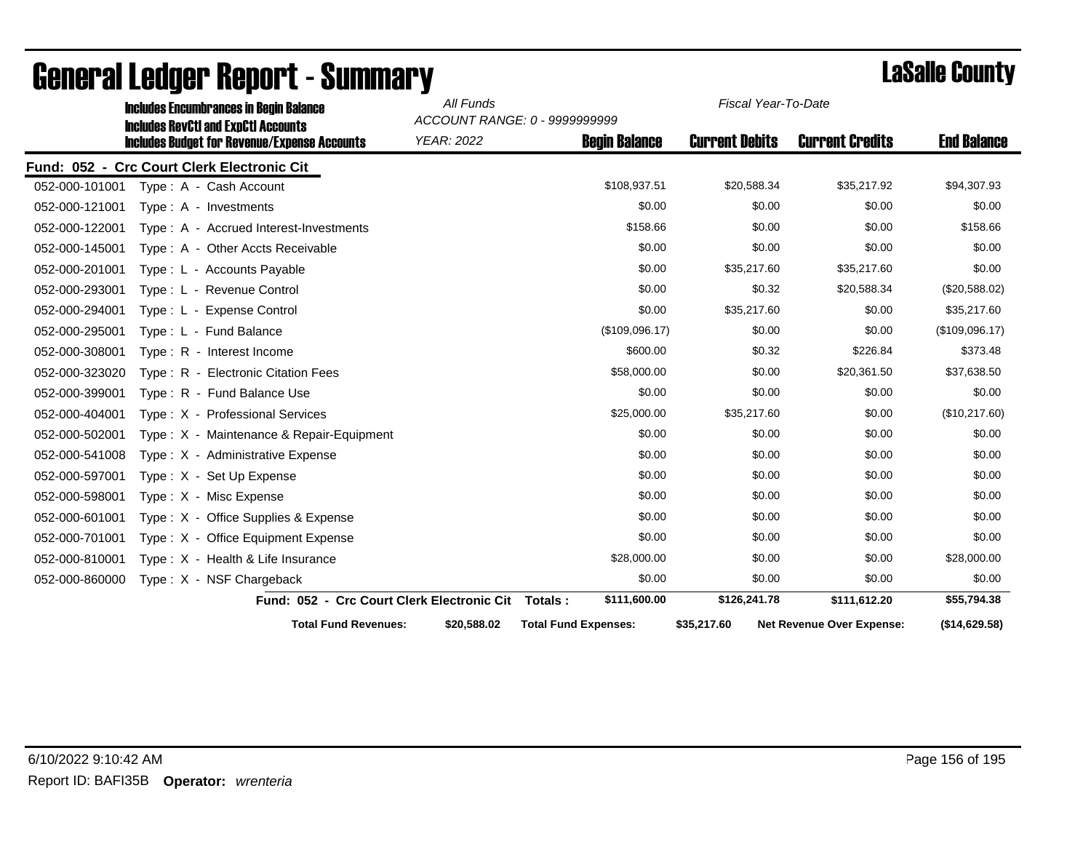|                | <b>Includes Encumbrances in Begin Balance</b><br><b>Includes RevCtI and ExnCtI Accounts</b> | All Funds         | ACCOUNT RANGE: 0 - 9999999999 | Fiscal Year-To-Date   |                           |                    |
|----------------|---------------------------------------------------------------------------------------------|-------------------|-------------------------------|-----------------------|---------------------------|--------------------|
|                | <b>Includes Budget for Revenue/Expense Accounts</b>                                         | <b>YEAR: 2022</b> | <b>Begin Balance</b>          | <b>Current Debits</b> | <b>Current Credits</b>    | <b>End Balance</b> |
|                | Fund: 052 - Crc Court Clerk Electronic Cit                                                  |                   |                               |                       |                           |                    |
| 052-000-101001 | Type: A - Cash Account                                                                      |                   | \$108,937.51                  | \$20,588.34           | \$35,217.92               | \$94,307.93        |
| 052-000-121001 | Type: A - Investments                                                                       |                   | \$0.00                        | \$0.00                | \$0.00                    | \$0.00             |
| 052-000-122001 | Type: A - Accrued Interest-Investments                                                      |                   | \$158.66                      | \$0.00                | \$0.00                    | \$158.66           |
| 052-000-145001 | Type: A - Other Accts Receivable                                                            |                   | \$0.00                        | \$0.00                | \$0.00                    | \$0.00             |
| 052-000-201001 | Type: L - Accounts Payable                                                                  |                   | \$0.00                        | \$35,217.60           | \$35,217.60               | \$0.00             |
| 052-000-293001 | Type: L - Revenue Control                                                                   |                   | \$0.00                        | \$0.32                | \$20,588.34               | (\$20,588.02)      |
| 052-000-294001 | Type: L - Expense Control                                                                   |                   | \$0.00                        | \$35,217.60           | \$0.00                    | \$35,217.60        |
| 052-000-295001 | Type: L - Fund Balance                                                                      |                   | (\$109,096.17)                | \$0.00                | \$0.00                    | (\$109,096.17)     |
| 052-000-308001 | Type: R - Interest Income                                                                   |                   | \$600.00                      | \$0.32                | \$226.84                  | \$373.48           |
| 052-000-323020 | Type: R - Electronic Citation Fees                                                          |                   | \$58,000.00                   | \$0.00                | \$20,361.50               | \$37,638.50        |
| 052-000-399001 | Type: R - Fund Balance Use                                                                  |                   | \$0.00                        | \$0.00                | \$0.00                    | \$0.00             |
| 052-000-404001 | Type: X - Professional Services                                                             |                   | \$25,000.00                   | \$35,217.60           | \$0.00                    | (\$10,217.60)      |
| 052-000-502001 | Type: X - Maintenance & Repair-Equipment                                                    |                   | \$0.00                        | \$0.00                | \$0.00                    | \$0.00             |
| 052-000-541008 | Type: X - Administrative Expense                                                            |                   | \$0.00                        | \$0.00                | \$0.00                    | \$0.00             |
| 052-000-597001 | Type: X - Set Up Expense                                                                    |                   | \$0.00                        | \$0.00                | \$0.00                    | \$0.00             |
| 052-000-598001 | Type: X - Misc Expense                                                                      |                   | \$0.00                        | \$0.00                | \$0.00                    | \$0.00             |
| 052-000-601001 | Type: X - Office Supplies & Expense                                                         |                   | \$0.00                        | \$0.00                | \$0.00                    | \$0.00             |
| 052-000-701001 | Type: X - Office Equipment Expense                                                          |                   | \$0.00                        | \$0.00                | \$0.00                    | \$0.00             |
| 052-000-810001 | Type: X - Health & Life Insurance                                                           |                   | \$28,000.00                   | \$0.00                | \$0.00                    | \$28,000.00        |
| 052-000-860000 | Type: X - NSF Chargeback                                                                    |                   | \$0.00                        | \$0.00                | \$0.00                    | \$0.00             |
|                | Fund: 052 - Crc Court Clerk Electronic Cit                                                  |                   | \$111,600.00<br>Totals:       | \$126,241.78          | \$111,612.20              | \$55,794.38        |
|                | <b>Total Fund Revenues:</b>                                                                 | \$20,588.02       | <b>Total Fund Expenses:</b>   | \$35,217.60           | Net Revenue Over Expense: | (\$14,629.58)      |

### General Ledger Report - Summary **County County** LaSalle County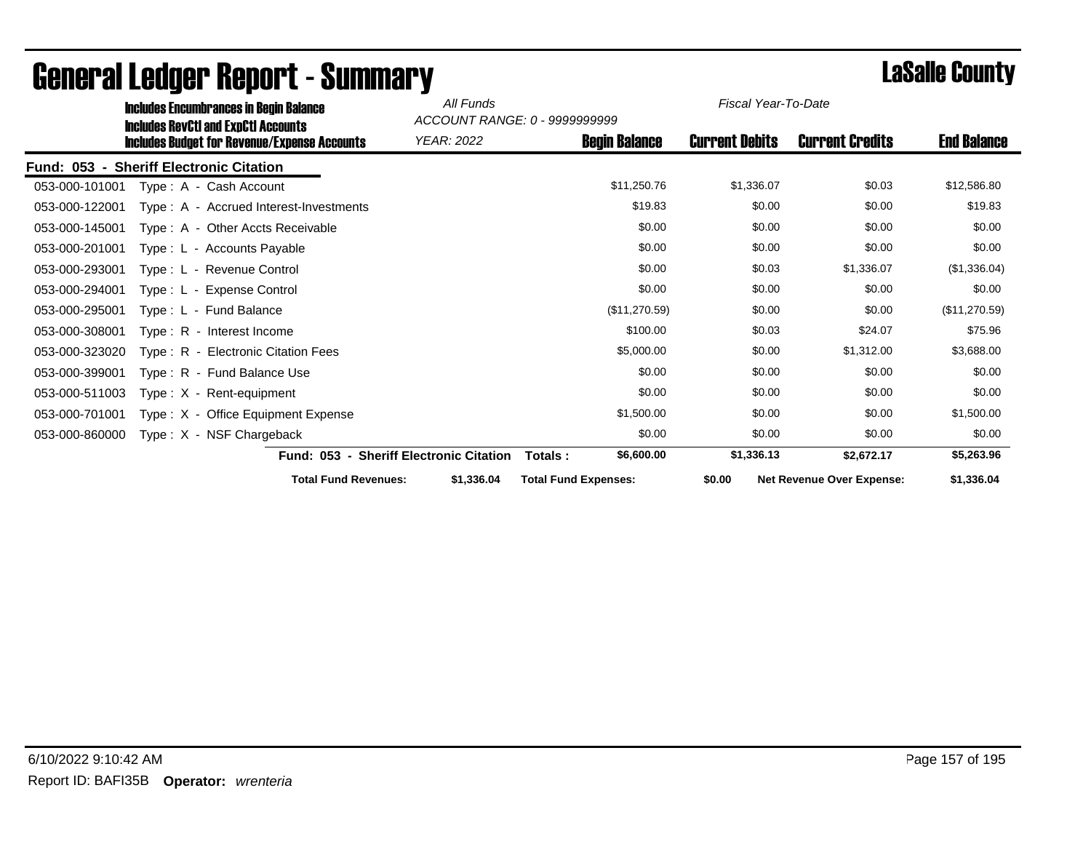|                                    | <b>Includes Encumbrances in Begin Balance</b>                                                     |                                    | ACCOUNT RANGE: 0 - 9999999999 | Fiscal Year-To-Date   |                                  |                    |
|------------------------------------|---------------------------------------------------------------------------------------------------|------------------------------------|-------------------------------|-----------------------|----------------------------------|--------------------|
|                                    | <b>Includes RevCtI and ExpCtI Accounts</b><br><b>Includes Budget for Revenue/Expense Accounts</b> | YEAR: 2022                         | <b>Begin Balance</b>          | <b>Current Debits</b> | <b>Current Credits</b>           | <b>End Balance</b> |
| <b>Fund: 053</b><br>$\blacksquare$ | <b>Sheriff Electronic Citation</b>                                                                |                                    |                               |                       |                                  |                    |
| 053-000-101001                     | Type: A - Cash Account                                                                            |                                    | \$11,250.76                   | \$1,336.07            | \$0.03                           | \$12,586.80        |
| 053-000-122001                     | Type: A - Accrued Interest-Investments                                                            |                                    | \$19.83                       | \$0.00                | \$0.00                           | \$19.83            |
| 053-000-145001                     | Type: A - Other Accts Receivable                                                                  |                                    | \$0.00                        | \$0.00                | \$0.00                           | \$0.00             |
| 053-000-201001                     | Type: L - Accounts Payable                                                                        |                                    | \$0.00                        | \$0.00                | \$0.00                           | \$0.00             |
| 053-000-293001                     | Type: L - Revenue Control                                                                         |                                    | \$0.00                        | \$0.03                | \$1,336.07                       | (\$1,336.04)       |
| 053-000-294001                     | Type: L - Expense Control                                                                         |                                    | \$0.00                        | \$0.00                | \$0.00                           | \$0.00             |
| 053-000-295001                     | Type: L - Fund Balance                                                                            |                                    | (\$11,270.59)                 | \$0.00                | \$0.00                           | (\$11,270.59)      |
| 053-000-308001                     | Type: R - Interest Income                                                                         |                                    | \$100.00                      | \$0.03                | \$24.07                          | \$75.96            |
| 053-000-323020                     | <b>Electronic Citation Fees</b><br>Tvpe: R -                                                      |                                    | \$5,000.00                    | \$0.00                | \$1,312.00                       | \$3,688.00         |
| 053-000-399001                     | Type: R - Fund Balance Use                                                                        |                                    | \$0.00                        | \$0.00                | \$0.00                           | \$0.00             |
| 053-000-511003                     | Type: X - Rent-equipment                                                                          |                                    | \$0.00                        | \$0.00                | \$0.00                           | \$0.00             |
| 053-000-701001                     | Type: X - Office Equipment Expense                                                                |                                    | \$1,500.00                    | \$0.00                | \$0.00                           | \$1,500.00         |
| 053-000-860000                     | Type: X - NSF Chargeback                                                                          |                                    | \$0.00                        | \$0.00                | \$0.00                           | \$0.00             |
|                                    | <b>Fund: 053 -</b>                                                                                | <b>Sheriff Electronic Citation</b> | \$6,600.00<br>Totals:         | \$1,336.13            | \$2,672.17                       | \$5,263.96         |
|                                    | <b>Total Fund Revenues:</b>                                                                       | \$1,336.04                         | <b>Total Fund Expenses:</b>   | \$0.00                | <b>Net Revenue Over Expense:</b> | \$1,336.04         |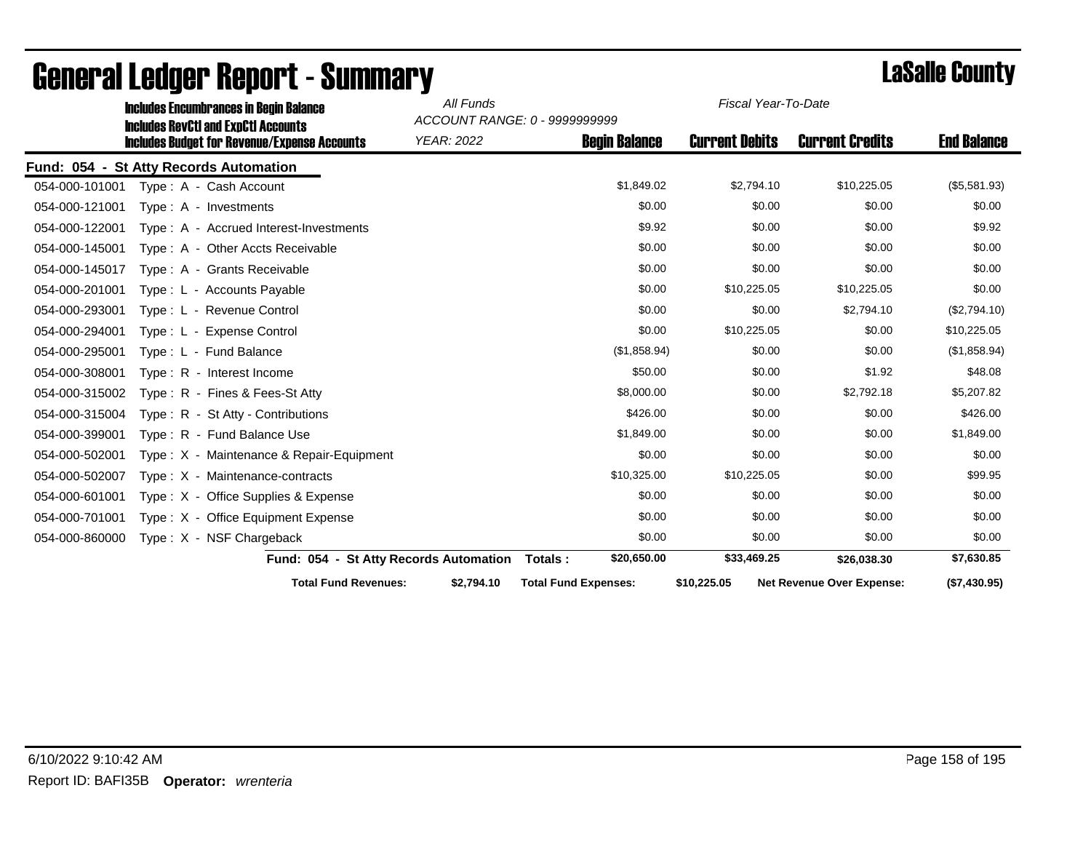|                | <b>Includes Encumbrances in Begin Balance</b>                                                     | All Funds<br>Fiscal Year-To-Date<br>ACCOUNT RANGE: 0 - 9999999999 |                             |                       |                                  |                    |
|----------------|---------------------------------------------------------------------------------------------------|-------------------------------------------------------------------|-----------------------------|-----------------------|----------------------------------|--------------------|
|                | <b>Includes RevCtI and ExpCtI Accounts</b><br><b>Includes Budget for Revenue/Expense Accounts</b> | <b>YEAR: 2022</b>                                                 | <b>Begin Balance</b>        | <b>Current Debits</b> | <b>Current Credits</b>           | <b>End Balance</b> |
|                | Fund: 054 - St Atty Records Automation                                                            |                                                                   |                             |                       |                                  |                    |
| 054-000-101001 | Type: A - Cash Account                                                                            |                                                                   | \$1,849.02                  | \$2,794.10            | \$10,225.05                      | (\$5,581.93)       |
| 054-000-121001 | Type: A - Investments                                                                             |                                                                   | \$0.00                      | \$0.00                | \$0.00                           | \$0.00             |
| 054-000-122001 | Type: A - Accrued Interest-Investments                                                            |                                                                   | \$9.92                      | \$0.00                | \$0.00                           | \$9.92             |
| 054-000-145001 | Type: A - Other Accts Receivable                                                                  |                                                                   | \$0.00                      | \$0.00                | \$0.00                           | \$0.00             |
| 054-000-145017 | Type: A - Grants Receivable                                                                       |                                                                   | \$0.00                      | \$0.00                | \$0.00                           | \$0.00             |
| 054-000-201001 | Type: L - Accounts Payable                                                                        |                                                                   | \$0.00                      | \$10,225.05           | \$10,225.05                      | \$0.00             |
| 054-000-293001 | Type: L - Revenue Control                                                                         |                                                                   | \$0.00                      | \$0.00                | \$2,794.10                       | (\$2,794.10)       |
| 054-000-294001 | Type: L - Expense Control                                                                         |                                                                   | \$0.00                      | \$10,225.05           | \$0.00                           | \$10,225.05        |
| 054-000-295001 | Type: L - Fund Balance                                                                            |                                                                   | (\$1,858.94)                | \$0.00                | \$0.00                           | (\$1,858.94)       |
| 054-000-308001 | Type: R - Interest Income                                                                         |                                                                   | \$50.00                     | \$0.00                | \$1.92                           | \$48.08            |
| 054-000-315002 | Type: R - Fines & Fees-St Atty                                                                    |                                                                   | \$8,000.00                  | \$0.00                | \$2,792.18                       | \$5,207.82         |
| 054-000-315004 | Type: R - St Atty - Contributions                                                                 |                                                                   | \$426.00                    | \$0.00                | \$0.00                           | \$426.00           |
| 054-000-399001 | Type: R - Fund Balance Use                                                                        |                                                                   | \$1.849.00                  | \$0.00                | \$0.00                           | \$1,849.00         |
| 054-000-502001 | Type: X - Maintenance & Repair-Equipment                                                          |                                                                   | \$0.00                      | \$0.00                | \$0.00                           | \$0.00             |
| 054-000-502007 | Type: X - Maintenance-contracts                                                                   |                                                                   | \$10,325.00                 | \$10,225.05           | \$0.00                           | \$99.95            |
| 054-000-601001 | Type: X - Office Supplies & Expense                                                               |                                                                   | \$0.00                      | \$0.00                | \$0.00                           | \$0.00             |
| 054-000-701001 | Type: X - Office Equipment Expense                                                                |                                                                   | \$0.00                      | \$0.00                | \$0.00                           | \$0.00             |
| 054-000-860000 | Type: X - NSF Chargeback                                                                          |                                                                   | \$0.00                      | \$0.00                | \$0.00                           | \$0.00             |
|                | Fund: 054 - St Atty Records Automation                                                            |                                                                   | \$20,650.00<br>Totals:      | \$33,469.25           | \$26,038.30                      | \$7,630.85         |
|                | <b>Total Fund Revenues:</b>                                                                       | \$2,794.10                                                        | <b>Total Fund Expenses:</b> | \$10,225.05           | <b>Net Revenue Over Expense:</b> | (\$7,430.95)       |

### General Ledger Report - Summary **County County** LaSalle County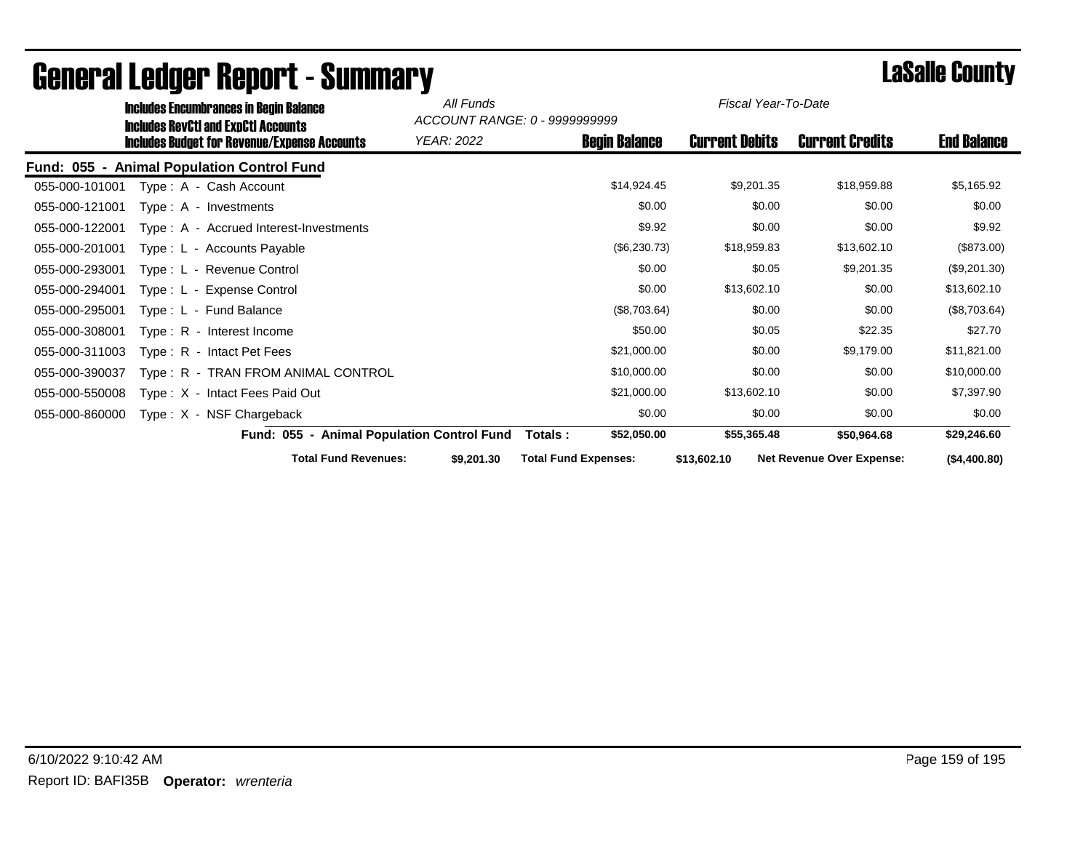| <b>Includes Encumbrances in Begin Balance</b><br><b>Includes RevCtI and ExpCtI Accounts</b> |                                                     | All Funds  | ACCOUNT RANGE: 0 - 9999999999 | Fiscal Year-To-Date   |                                  |                    |
|---------------------------------------------------------------------------------------------|-----------------------------------------------------|------------|-------------------------------|-----------------------|----------------------------------|--------------------|
|                                                                                             | <b>Includes Budget for Revenue/Expense Accounts</b> | YEAR: 2022 | <b>Begin Balance</b>          | <b>Current Debits</b> | <b>Current Credits</b>           | <b>End Balance</b> |
| <b>Fund: 055</b>                                                                            | - Animal Population Control Fund                    |            |                               |                       |                                  |                    |
| 055-000-101001                                                                              | Type: A - Cash Account                              |            | \$14,924.45                   | \$9,201.35            | \$18,959.88                      | \$5,165.92         |
| 055-000-121001                                                                              | $Type: A - Investments$                             |            | \$0.00                        | \$0.00                | \$0.00                           | \$0.00             |
| 055-000-122001                                                                              | Type: A - Accrued Interest-Investments              |            | \$9.92                        | \$0.00                | \$0.00                           | \$9.92             |
| 055-000-201001                                                                              | Type: L - Accounts Payable                          |            | (\$6,230.73)                  | \$18,959.83           | \$13,602.10                      | (\$873.00)         |
| 055-000-293001                                                                              | - Revenue Control<br>Type: L                        |            | \$0.00                        | \$0.05                | \$9,201.35                       | (\$9,201.30)       |
| 055-000-294001                                                                              | <b>Expense Control</b><br>Type: L -                 |            | \$0.00                        | \$13,602.10           | \$0.00                           | \$13,602.10        |
| 055-000-295001                                                                              | Type: L - Fund Balance                              |            | (\$8,703.64)                  | \$0.00                | \$0.00                           | (\$8,703.64)       |
| 055-000-308001                                                                              | $Type: R - Interest Income$                         |            | \$50.00                       | \$0.05                | \$22.35                          | \$27.70            |
| 055-000-311003                                                                              | Type: R - Intact Pet Fees                           |            | \$21,000.00                   | \$0.00                | \$9,179.00                       | \$11,821.00        |
| 055-000-390037                                                                              | Type: R - TRAN FROM ANIMAL CONTROL                  |            | \$10,000.00                   | \$0.00                | \$0.00                           | \$10,000.00        |
| 055-000-550008                                                                              | Type: X - Intact Fees Paid Out                      |            | \$21,000.00                   | \$13,602.10           | \$0.00                           | \$7,397.90         |
| 055-000-860000                                                                              | Type: X - NSF Chargeback                            |            | \$0.00                        | \$0.00                | \$0.00                           | \$0.00             |
|                                                                                             | Fund: 055 - Animal Population Control Fund          |            | \$52,050.00<br>Totals:        | \$55,365.48           | \$50,964.68                      | \$29,246.60        |
|                                                                                             | <b>Total Fund Revenues:</b>                         | \$9,201.30 | <b>Total Fund Expenses:</b>   | \$13,602.10           | <b>Net Revenue Over Expense:</b> | (\$4,400.80)       |

## General Ledger Report - Summary LaSalle County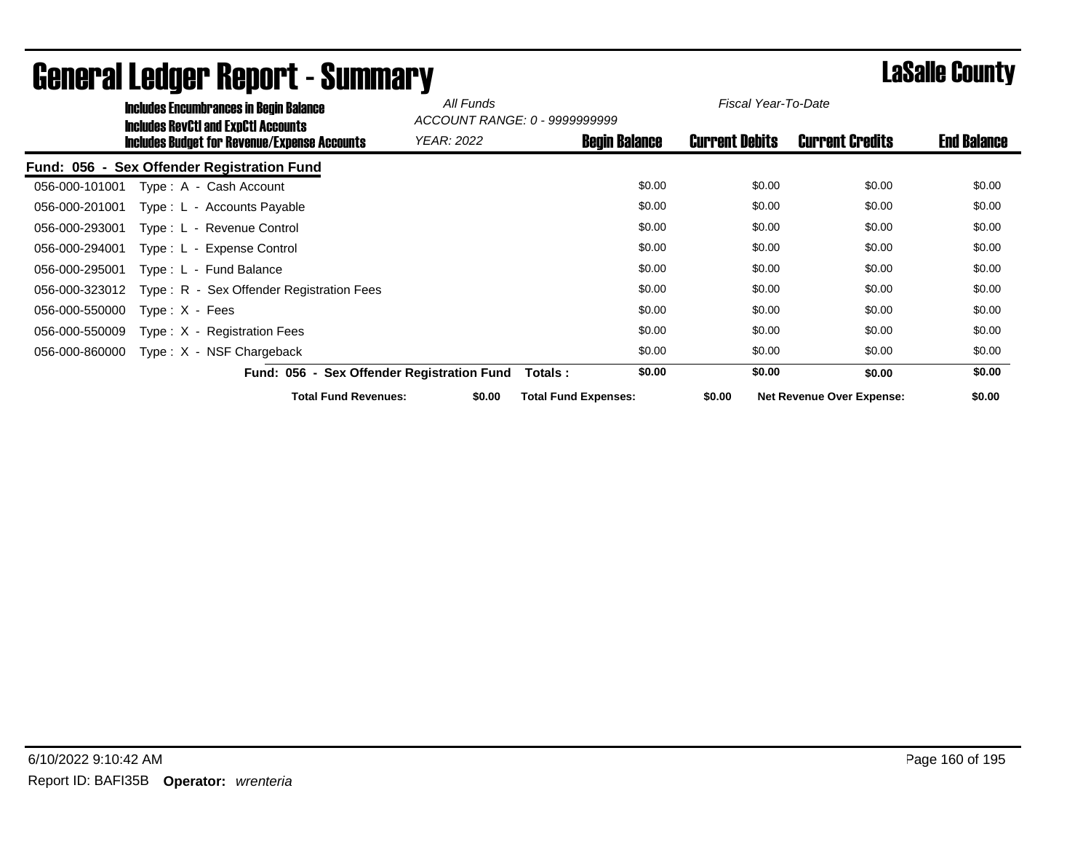| <b>Includes Encumbrances in Begin Balance</b> |                                                                                                   | All Funds                                  | ACCOUNT RANGE: 0 - 9999999999 | Fiscal Year-To-Date   |                                  |                    |
|-----------------------------------------------|---------------------------------------------------------------------------------------------------|--------------------------------------------|-------------------------------|-----------------------|----------------------------------|--------------------|
|                                               | <b>Includes RevCtI and ExpCtI Accounts</b><br><b>Includes Budget for Revenue/Expense Accounts</b> | <b>YEAR: 2022</b>                          | <b>Begin Balance</b>          | <b>Current Debits</b> | <b>Current Credits</b>           | <b>End Balance</b> |
| <b>Fund: 056</b>                              | - Sex Offender Registration Fund                                                                  |                                            |                               |                       |                                  |                    |
| 056-000-101001                                | Type: A - Cash Account                                                                            |                                            | \$0.00                        | \$0.00                | \$0.00                           | \$0.00             |
| 056-000-201001                                | Type: L - Accounts Payable                                                                        |                                            | \$0.00                        | \$0.00                | \$0.00                           | \$0.00             |
| 056-000-293001                                | Type: L - Revenue Control                                                                         |                                            | \$0.00                        | \$0.00                | \$0.00                           | \$0.00             |
| 056-000-294001                                | Type: L - Expense Control                                                                         |                                            | \$0.00                        | \$0.00                | \$0.00                           | \$0.00             |
| 056-000-295001                                | Type: L - Fund Balance                                                                            |                                            | \$0.00                        | \$0.00                | \$0.00                           | \$0.00             |
| 056-000-323012                                | Type: R - Sex Offender Registration Fees                                                          |                                            | \$0.00                        | \$0.00                | \$0.00                           | \$0.00             |
| 056-000-550000                                | $Type: X - Fees$                                                                                  |                                            | \$0.00                        | \$0.00                | \$0.00                           | \$0.00             |
| 056-000-550009                                | Type: X - Registration Fees                                                                       |                                            | \$0.00                        | \$0.00                | \$0.00                           | \$0.00             |
| 056-000-860000                                | Type: X - NSF Chargeback                                                                          |                                            | \$0.00                        | \$0.00                | \$0.00                           | \$0.00             |
|                                               |                                                                                                   | Fund: 056 - Sex Offender Registration Fund | \$0.00<br>Totals :            | \$0.00                | \$0.00                           | \$0.00             |
|                                               | <b>Total Fund Revenues:</b>                                                                       | \$0.00                                     | <b>Total Fund Expenses:</b>   | \$0.00                | <b>Net Revenue Over Expense:</b> | \$0.00             |

### General Ledger Report - Summary **Constants County** LaSalle County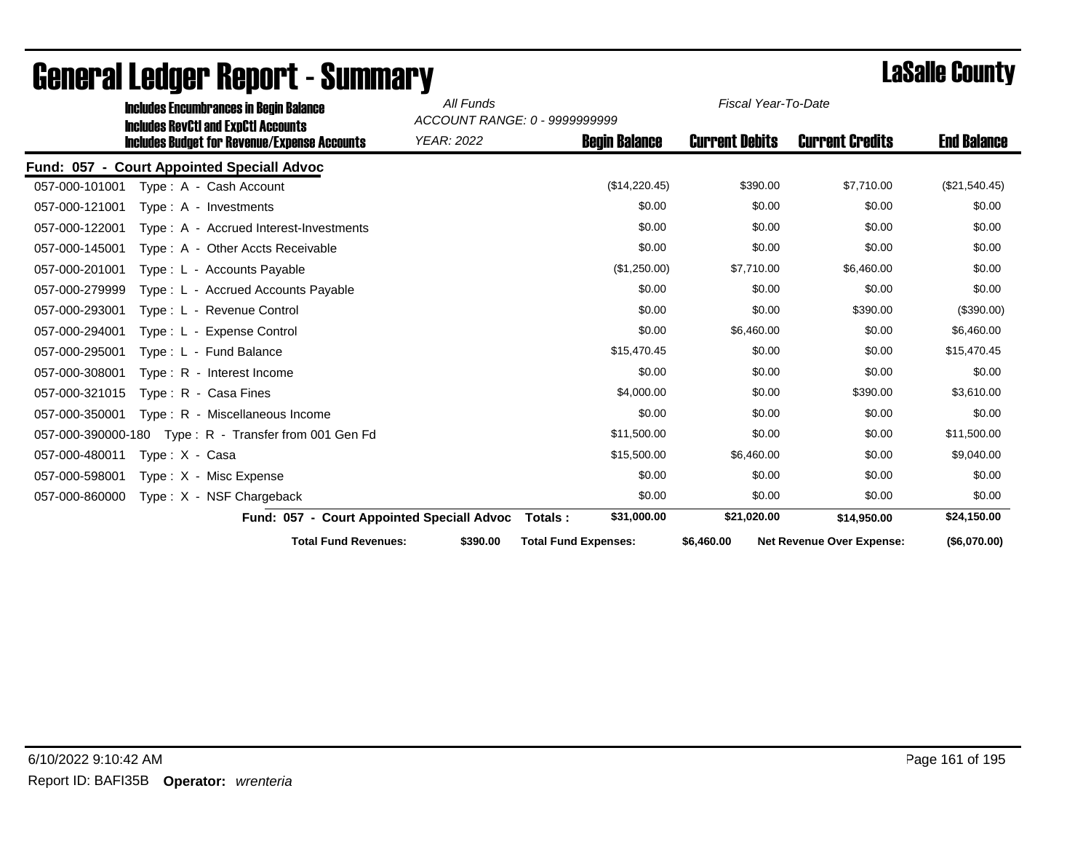|                | <b>Includes Encumbrances in Begin Balance</b>                                                     | All Funds                                  | ACCOUNT RANGE: 0 - 9999999999 | Fiscal Year-To-Date   |                                  |                    |
|----------------|---------------------------------------------------------------------------------------------------|--------------------------------------------|-------------------------------|-----------------------|----------------------------------|--------------------|
|                | <b>Includes RevCtI and ExpCtI Accounts</b><br><b>Includes Budget for Revenue/Expense Accounts</b> | <b>YEAR: 2022</b>                          | <b>Begin Balance</b>          | <b>Current Debits</b> | <b>Current Credits</b>           | <b>End Balance</b> |
|                | Fund: 057 - Court Appointed Speciall Advoc                                                        |                                            |                               |                       |                                  |                    |
| 057-000-101001 | Type: A - Cash Account                                                                            |                                            | (\$14,220.45)                 | \$390.00              | \$7,710.00                       | (\$21,540.45)      |
| 057-000-121001 | $Type: A - Investments$                                                                           |                                            | \$0.00                        | \$0.00                | \$0.00                           | \$0.00             |
| 057-000-122001 | Type: A - Accrued Interest-Investments                                                            |                                            | \$0.00                        | \$0.00                | \$0.00                           | \$0.00             |
| 057-000-145001 | Type: A - Other Accts Receivable                                                                  |                                            | \$0.00                        | \$0.00                | \$0.00                           | \$0.00             |
| 057-000-201001 | Type: L - Accounts Payable                                                                        |                                            | (\$1,250.00)                  | \$7,710.00            | \$6,460.00                       | \$0.00             |
| 057-000-279999 | Type: L - Accrued Accounts Payable                                                                |                                            | \$0.00                        | \$0.00                | \$0.00                           | \$0.00             |
| 057-000-293001 | Type: L - Revenue Control                                                                         |                                            | \$0.00                        | \$0.00                | \$390.00                         | (\$390.00)         |
| 057-000-294001 | Type: L - Expense Control                                                                         |                                            | \$0.00                        | \$6,460.00            | \$0.00                           | \$6,460.00         |
| 057-000-295001 | Type: L - Fund Balance                                                                            |                                            | \$15,470.45                   | \$0.00                | \$0.00                           | \$15,470.45        |
| 057-000-308001 | Type: R - Interest Income                                                                         |                                            | \$0.00                        | \$0.00                | \$0.00                           | \$0.00             |
| 057-000-321015 | Type: R - Casa Fines                                                                              |                                            | \$4,000.00                    | \$0.00                | \$390.00                         | \$3,610.00         |
| 057-000-350001 | Type: R - Miscellaneous Income                                                                    |                                            | \$0.00                        | \$0.00                | \$0.00                           | \$0.00             |
|                | 057-000-390000-180 Type: R - Transfer from 001 Gen Fd                                             |                                            | \$11,500.00                   | \$0.00                | \$0.00                           | \$11,500.00        |
| 057-000-480011 | Type: X - Casa                                                                                    |                                            | \$15,500.00                   | \$6,460.00            | \$0.00                           | \$9,040.00         |
| 057-000-598001 | Type: X - Misc Expense                                                                            |                                            | \$0.00                        | \$0.00                | \$0.00                           | \$0.00             |
| 057-000-860000 | Type: X - NSF Chargeback                                                                          |                                            | \$0.00                        | \$0.00                | \$0.00                           | \$0.00             |
|                |                                                                                                   | Fund: 057 - Court Appointed Speciall Advoc | \$31,000.00<br>Totals :       | \$21,020.00           | \$14,950.00                      | \$24,150.00        |
|                | <b>Total Fund Revenues:</b>                                                                       | \$390.00                                   | <b>Total Fund Expenses:</b>   | \$6,460.00            | <b>Net Revenue Over Expense:</b> | (\$6,070.00)       |

# **General Ledger Report - Summary Lassalle County**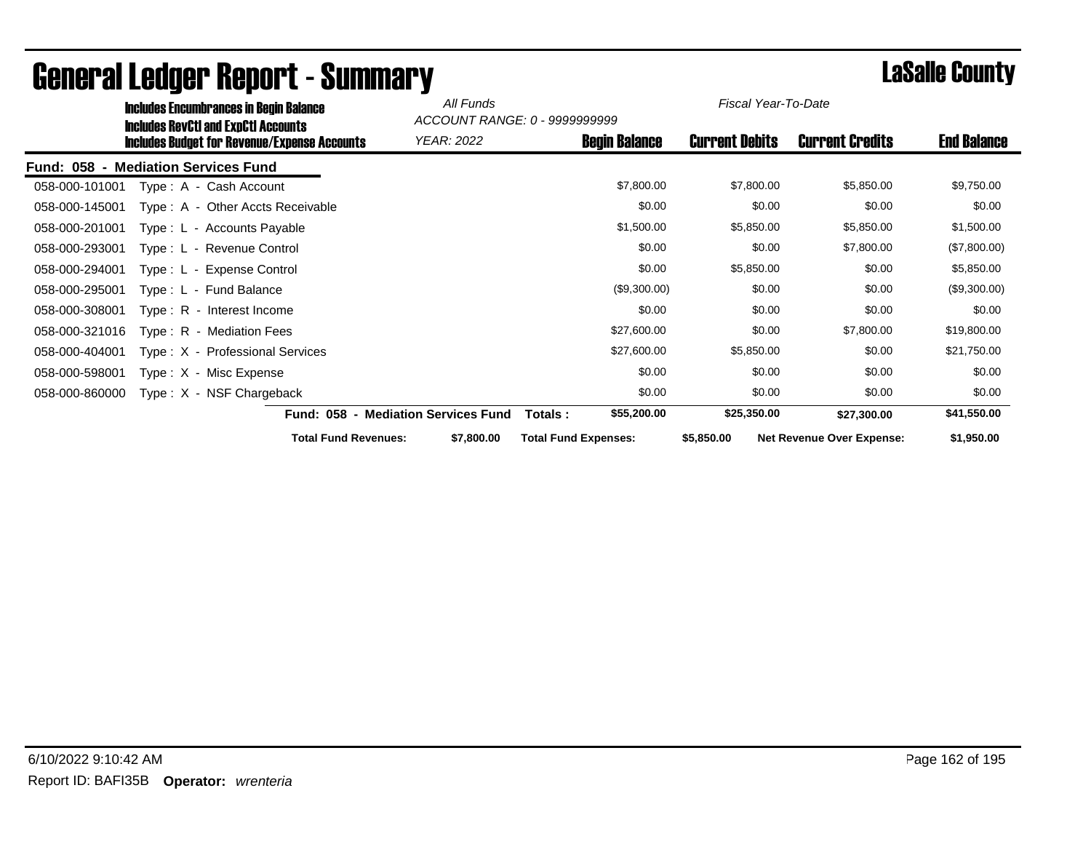| <b>Includes Encumbrances in Begin Balance</b> |                                                                                     | All Funds                                  | ACCOUNT RANGE: 0 - 9999999999 | Fiscal Year-To-Date   |                                  |                    |
|-----------------------------------------------|-------------------------------------------------------------------------------------|--------------------------------------------|-------------------------------|-----------------------|----------------------------------|--------------------|
|                                               | Includes RevCtI and ExpCtI Accounts<br>Includes Budget for Revenue/Expense Accounts | YEAR: 2022                                 | <b>Begin Balance</b>          | <b>Current Debits</b> | <b>Current Credits</b>           | <b>End Balance</b> |
| <b>Fund: 058</b><br>$\blacksquare$            | <b>Mediation Services Fund</b>                                                      |                                            |                               |                       |                                  |                    |
| 058-000-101001                                | Type: A - Cash Account                                                              |                                            | \$7,800.00                    | \$7,800.00            | \$5,850.00                       | \$9,750.00         |
| 058-000-145001                                | Type: A - Other Accts Receivable                                                    |                                            | \$0.00                        | \$0.00                | \$0.00                           | \$0.00             |
| 058-000-201001                                | Type: L - Accounts Payable                                                          |                                            | \$1,500.00                    | \$5,850.00            | \$5,850.00                       | \$1,500.00         |
| 058-000-293001                                | Type: L - Revenue Control                                                           |                                            | \$0.00                        | \$0.00                | \$7,800.00                       | (\$7,800.00)       |
| 058-000-294001                                | Type: L - Expense Control                                                           |                                            | \$0.00                        | \$5,850.00            | \$0.00                           | \$5,850.00         |
| 058-000-295001                                | Type: L - Fund Balance                                                              |                                            | (\$9,300.00)                  | \$0.00                | \$0.00                           | (\$9,300.00)       |
| 058-000-308001                                | Type: R - Interest Income                                                           |                                            | \$0.00                        | \$0.00                | \$0.00                           | \$0.00             |
| 058-000-321016                                | Type: R - Mediation Fees                                                            |                                            | \$27,600.00                   | \$0.00                | \$7,800.00                       | \$19,800.00        |
| 058-000-404001                                | Type: X - Professional Services                                                     |                                            | \$27,600.00                   | \$5,850.00            | \$0.00                           | \$21,750.00        |
| 058-000-598001                                | Type: X - Misc Expense                                                              |                                            | \$0.00                        | \$0.00                | \$0.00                           | \$0.00             |
| 058-000-860000                                | $Type: X - NSF Chargeback$                                                          |                                            | \$0.00                        | \$0.00                | \$0.00                           | \$0.00             |
|                                               |                                                                                     | <b>Fund: 058 - Mediation Services Fund</b> | \$55,200.00<br>Totals :       | \$25,350.00           | \$27,300.00                      | \$41,550.00        |
|                                               | <b>Total Fund Revenues:</b>                                                         | \$7,800.00                                 | <b>Total Fund Expenses:</b>   | \$5,850.00            | <b>Net Revenue Over Expense:</b> | \$1,950.00         |

## General Ledger Report - Summary LaSalle County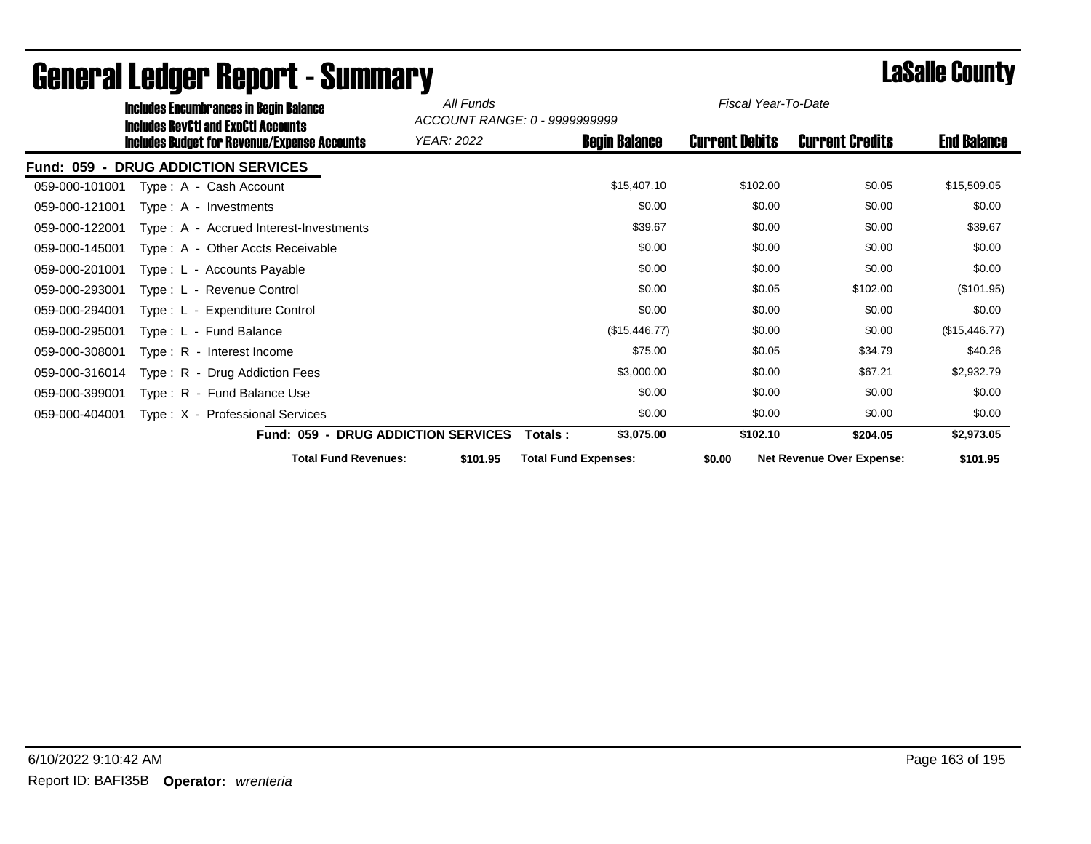|                | <b>Includes Encumbrances in Begin Balance</b>                                              | All Funds                                  | ACCOUNT RANGE: 0 - 9999999999 | Fiscal Year-To-Date   |                                  |                    |
|----------------|--------------------------------------------------------------------------------------------|--------------------------------------------|-------------------------------|-----------------------|----------------------------------|--------------------|
|                | <b>Includes RevCtI and ExpCtI Accounts</b><br>Includes Budget for Revenue/Expense Accounts | YEAR: 2022                                 | <b>Begin Balance</b>          | <b>Current Debits</b> | <b>Current Credits</b>           | <b>End Balance</b> |
| Fund: 059 -    | <b>DRUG ADDICTION SERVICES</b>                                                             |                                            |                               |                       |                                  |                    |
| 059-000-101001 | Type: A - Cash Account                                                                     |                                            | \$15,407.10                   | \$102.00              | \$0.05                           | \$15,509.05        |
| 059-000-121001 | Type: A - Investments                                                                      |                                            | \$0.00                        | \$0.00                | \$0.00                           | \$0.00             |
| 059-000-122001 | Type: A - Accrued Interest-Investments                                                     |                                            | \$39.67                       | \$0.00                | \$0.00                           | \$39.67            |
| 059-000-145001 | Type: A - Other Accts Receivable                                                           |                                            | \$0.00                        | \$0.00                | \$0.00                           | \$0.00             |
| 059-000-201001 | Type: L - Accounts Payable                                                                 |                                            | \$0.00                        | \$0.00                | \$0.00                           | \$0.00             |
| 059-000-293001 | Type: L - Revenue Control                                                                  |                                            | \$0.00                        | \$0.05                | \$102.00                         | (\$101.95)         |
| 059-000-294001 | Type: L - Expenditure Control                                                              |                                            | \$0.00                        | \$0.00                | \$0.00                           | \$0.00             |
| 059-000-295001 | Type: L - Fund Balance                                                                     |                                            | (\$15,446.77)                 | \$0.00                | \$0.00                           | (\$15,446.77)      |
| 059-000-308001 | Type: R - Interest Income                                                                  |                                            | \$75.00                       | \$0.05                | \$34.79                          | \$40.26            |
| 059-000-316014 | Type: R - Drug Addiction Fees                                                              |                                            | \$3,000.00                    | \$0.00                | \$67.21                          | \$2,932.79         |
| 059-000-399001 | Type: R - Fund Balance Use                                                                 |                                            | \$0.00                        | \$0.00                | \$0.00                           | \$0.00             |
| 059-000-404001 | Type: X - Professional Services                                                            |                                            | \$0.00                        | \$0.00                | \$0.00                           | \$0.00             |
|                |                                                                                            | <b>Fund: 059 - DRUG ADDICTION SERVICES</b> | \$3,075.00<br>Totals:         | \$102.10              | \$204.05                         | \$2,973.05         |
|                | <b>Total Fund Revenues:</b>                                                                | \$101.95                                   | <b>Total Fund Expenses:</b>   | \$0.00                | <b>Net Revenue Over Expense:</b> | \$101.95           |

## General Ledger Report - Summary **Lassing County**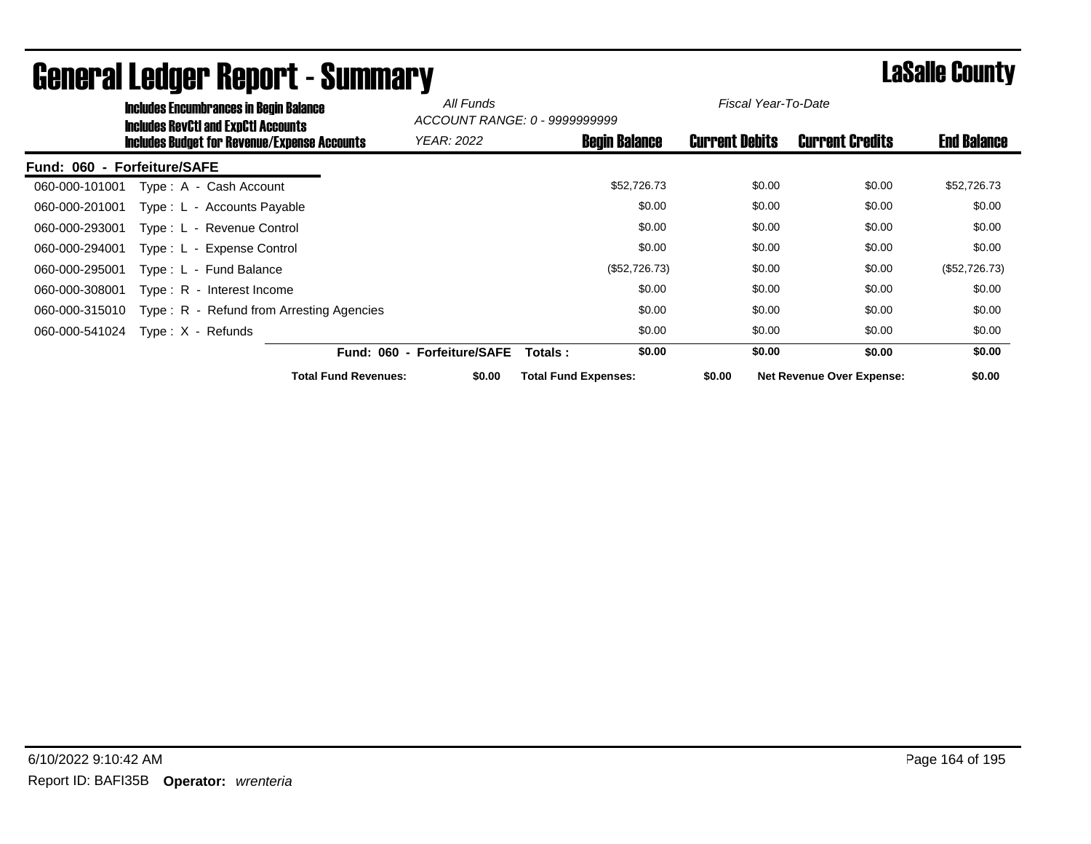| <b>Includes Encumbrances in Begin Balance</b><br><b>Includes RevCtI and ExpCtI Accounts</b> | All Funds                                           | ACCOUNT RANGE: 0 - 9999999999    | Fiscal Year-To-Date         |                       |                                  |                    |
|---------------------------------------------------------------------------------------------|-----------------------------------------------------|----------------------------------|-----------------------------|-----------------------|----------------------------------|--------------------|
|                                                                                             | <b>Includes Budget for Revenue/Expense Accounts</b> | YEAR: 2022                       | <b>Begin Balance</b>        | <b>Current Debits</b> | <b>Current Credits</b>           | <b>End Balance</b> |
| Fund: 060                                                                                   | - Forfeiture/SAFE                                   |                                  |                             |                       |                                  |                    |
| 060-000-101001                                                                              | Type: A - Cash Account                              |                                  | \$52,726.73                 | \$0.00                | \$0.00                           | \$52,726.73        |
| 060-000-201001                                                                              | Type: L - Accounts Payable                          |                                  | \$0.00                      | \$0.00                | \$0.00                           | \$0.00             |
| 060-000-293001                                                                              | Type: L - Revenue Control                           |                                  | \$0.00                      | \$0.00                | \$0.00                           | \$0.00             |
| 060-000-294001                                                                              | Type: L - Expense Control                           |                                  | \$0.00                      | \$0.00                | \$0.00                           | \$0.00             |
| 060-000-295001                                                                              | Type: L - Fund Balance                              |                                  | (\$52,726.73)               | \$0.00                | \$0.00                           | (\$52,726.73)      |
| 060-000-308001                                                                              | Type: R - Interest Income                           |                                  | \$0.00                      | \$0.00                | \$0.00                           | \$0.00             |
| 060-000-315010                                                                              | Type: R - Refund from Arresting Agencies            |                                  | \$0.00                      | \$0.00                | \$0.00                           | \$0.00             |
| 060-000-541024                                                                              | Type: X - Refunds                                   |                                  | \$0.00                      | \$0.00                | \$0.00                           | \$0.00             |
|                                                                                             | <b>Fund: 060</b>                                    | <b>Forfeiture/SAFE</b><br>$\sim$ | \$0.00<br>Totals :          | \$0.00                | \$0.00                           | \$0.00             |
|                                                                                             | <b>Total Fund Revenues:</b>                         | \$0.00                           | <b>Total Fund Expenses:</b> | \$0.00                | <b>Net Revenue Over Expense:</b> | \$0.00             |

### General Ledger Report - Summary **Constants County** LaSalle County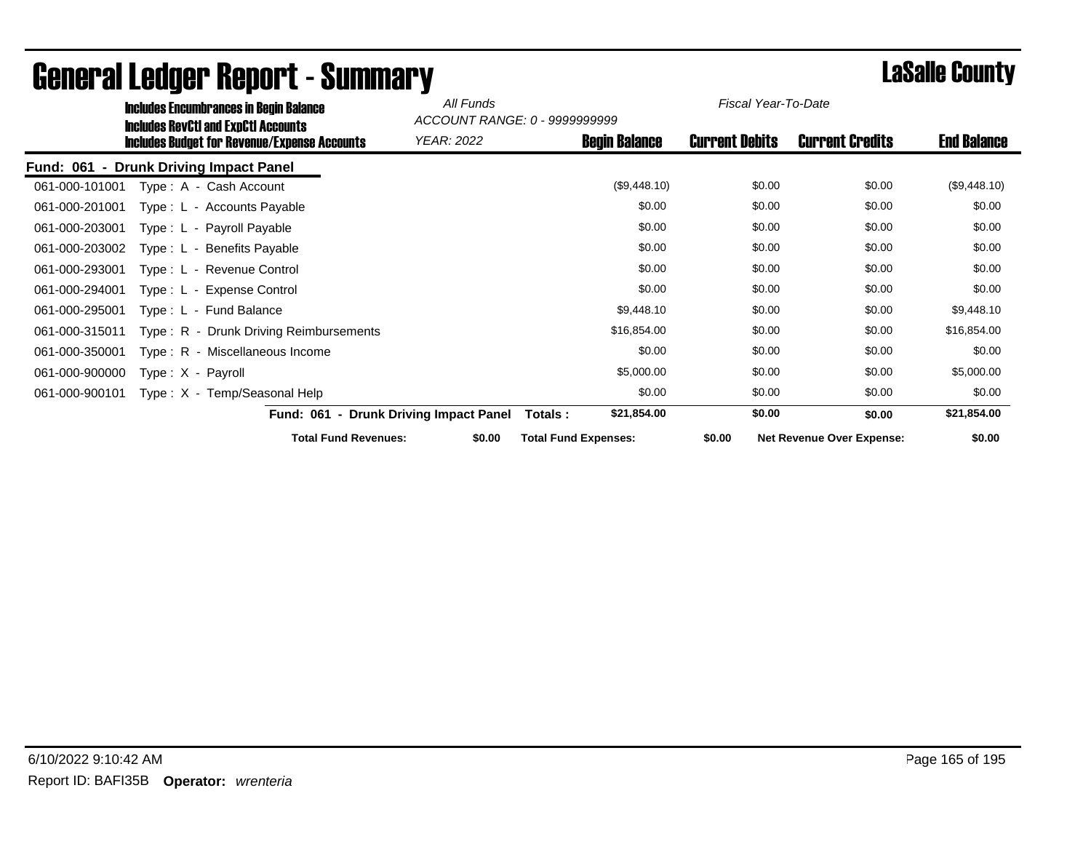| <b>Includes Encumbrances in Begin Balance</b> | All Funds                                                                                         | ACCOUNT RANGE: 0 - 9999999999          | Fiscal Year-To-Date         |                       |                                  |                    |
|-----------------------------------------------|---------------------------------------------------------------------------------------------------|----------------------------------------|-----------------------------|-----------------------|----------------------------------|--------------------|
|                                               | <b>Includes RevCtI and ExpCtI Accounts</b><br><b>Includes Budget for Revenue/Expense Accounts</b> | YEAR: 2022                             | <b>Begin Balance</b>        | <b>Current Debits</b> | <b>Current Credits</b>           | <b>End Balance</b> |
|                                               | Fund: 061 - Drunk Driving Impact Panel                                                            |                                        |                             |                       |                                  |                    |
| 061-000-101001                                | Type: A - Cash Account                                                                            |                                        | (\$9,448.10)                | \$0.00                | \$0.00                           | (\$9,448.10)       |
| 061-000-201001                                | Type: L - Accounts Payable                                                                        |                                        | \$0.00                      | \$0.00                | \$0.00                           | \$0.00             |
| 061-000-203001                                | Type: L - Payroll Payable                                                                         |                                        | \$0.00                      | \$0.00                | \$0.00                           | \$0.00             |
| 061-000-203002                                | Type: L - Benefits Payable                                                                        |                                        | \$0.00                      | \$0.00                | \$0.00                           | \$0.00             |
| 061-000-293001                                | Type: L - Revenue Control                                                                         |                                        | \$0.00                      | \$0.00                | \$0.00                           | \$0.00             |
| 061-000-294001                                | Type: L - Expense Control                                                                         |                                        | \$0.00                      | \$0.00                | \$0.00                           | \$0.00             |
| 061-000-295001                                | Type: L - Fund Balance                                                                            |                                        | \$9,448.10                  | \$0.00                | \$0.00                           | \$9,448.10         |
| 061-000-315011                                | Type: R - Drunk Driving Reimbursements                                                            |                                        | \$16,854.00                 | \$0.00                | \$0.00                           | \$16,854.00        |
| 061-000-350001                                | Type: R - Miscellaneous Income                                                                    |                                        | \$0.00                      | \$0.00                | \$0.00                           | \$0.00             |
| 061-000-900000                                | $Type: X - Payroll$                                                                               |                                        | \$5,000.00                  | \$0.00                | \$0.00                           | \$5,000.00         |
| 061-000-900101                                | Type: X - Temp/Seasonal Help                                                                      |                                        | \$0.00                      | \$0.00                | \$0.00                           | \$0.00             |
|                                               |                                                                                                   | Fund: 061 - Drunk Driving Impact Panel | \$21,854.00<br>Totals :     | \$0.00                | \$0.00                           | \$21,854.00        |
|                                               | <b>Total Fund Revenues:</b>                                                                       | \$0.00                                 | <b>Total Fund Expenses:</b> | \$0.00                | <b>Net Revenue Over Expense:</b> | \$0.00             |

## General Ledger Report - Summary **Lassing County**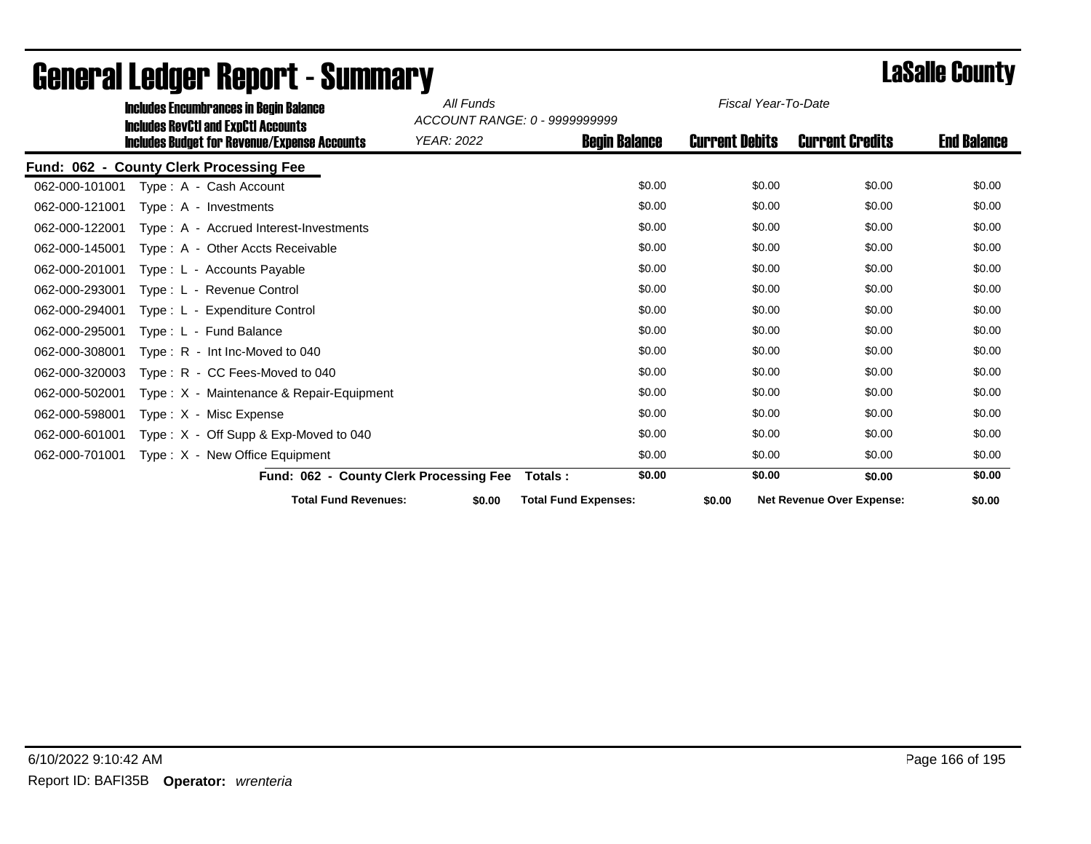|                | <b>Includes Encumbrances in Begin Balance</b>                                                     | All Funds  | ACCOUNT RANGE: 0 - 9999999999 | Fiscal Year-To-Date   |                                  |                    |
|----------------|---------------------------------------------------------------------------------------------------|------------|-------------------------------|-----------------------|----------------------------------|--------------------|
|                | <b>Includes RevCtI and ExpCtI Accounts</b><br><b>Includes Budget for Revenue/Expense Accounts</b> | YEAR: 2022 | <b>Begin Balance</b>          | <b>Current Debits</b> | <b>Current Credits</b>           | <b>End Balance</b> |
|                | <b>Fund: 062 - County Clerk Processing Fee</b>                                                    |            |                               |                       |                                  |                    |
| 062-000-101001 | Type: A - Cash Account                                                                            |            | \$0.00                        | \$0.00                | \$0.00                           | \$0.00             |
| 062-000-121001 | Type: A - Investments                                                                             |            | \$0.00                        | \$0.00                | \$0.00                           | \$0.00             |
| 062-000-122001 | Type: A - Accrued Interest-Investments                                                            |            | \$0.00                        | \$0.00                | \$0.00                           | \$0.00             |
| 062-000-145001 | Type: A - Other Accts Receivable                                                                  |            | \$0.00                        | \$0.00                | \$0.00                           | \$0.00             |
| 062-000-201001 | Type: L - Accounts Payable                                                                        |            | \$0.00                        | \$0.00                | \$0.00                           | \$0.00             |
| 062-000-293001 | Type: L - Revenue Control                                                                         |            | \$0.00                        | \$0.00                | \$0.00                           | \$0.00             |
| 062-000-294001 | Type: L - Expenditure Control                                                                     |            | \$0.00                        | \$0.00                | \$0.00                           | \$0.00             |
| 062-000-295001 | Type: L - Fund Balance                                                                            |            | \$0.00                        | \$0.00                | \$0.00                           | \$0.00             |
| 062-000-308001 | Type: $R - Int$ Inte-Moved to 040                                                                 |            | \$0.00                        | \$0.00                | \$0.00                           | \$0.00             |
| 062-000-320003 | Type: R - CC Fees-Moved to 040                                                                    |            | \$0.00                        | \$0.00                | \$0.00                           | \$0.00             |
| 062-000-502001 | Type: X - Maintenance & Repair-Equipment                                                          |            | \$0.00                        | \$0.00                | \$0.00                           | \$0.00             |
| 062-000-598001 | Type: X - Misc Expense                                                                            |            | \$0.00                        | \$0.00                | \$0.00                           | \$0.00             |
| 062-000-601001 | Type: X - Off Supp & Exp-Moved to 040                                                             |            | \$0.00                        | \$0.00                | \$0.00                           | \$0.00             |
| 062-000-701001 | Type: X - New Office Equipment                                                                    |            | \$0.00                        | \$0.00                | \$0.00                           | \$0.00             |
|                | Fund: 062 - County Clerk Processing Fee                                                           |            | \$0.00<br>Totals :            | \$0.00                | \$0.00                           | \$0.00             |
|                | <b>Total Fund Revenues:</b>                                                                       | \$0.00     | <b>Total Fund Expenses:</b>   | \$0.00                | <b>Net Revenue Over Expense:</b> | \$0.00             |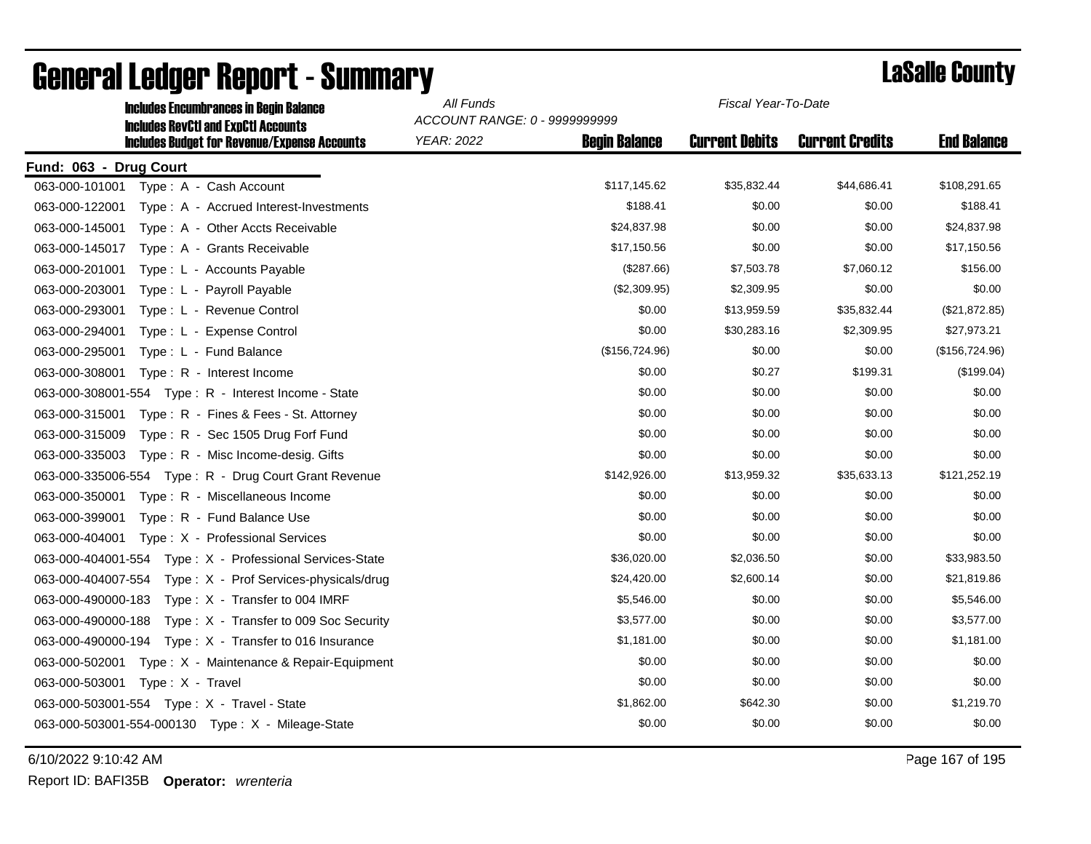| <b>Includes Encumbrances in Begin Balance</b>                                                     | All Funds<br>Fiscal Year-To-Date<br>ACCOUNT RANGE: 0 - 9999999999 |                      |                       |                        |                    |
|---------------------------------------------------------------------------------------------------|-------------------------------------------------------------------|----------------------|-----------------------|------------------------|--------------------|
| <b>Includes RevCtI and ExpCtI Accounts</b><br><b>Includes Budget for Revenue/Expense Accounts</b> | <b>YEAR: 2022</b>                                                 | <b>Begin Balance</b> | <b>Current Debits</b> | <b>Current Credits</b> | <b>End Balance</b> |
| Fund: 063 - Drug Court                                                                            |                                                                   |                      |                       |                        |                    |
| 063-000-101001<br>Type: A - Cash Account                                                          |                                                                   | \$117,145.62         | \$35,832.44           | \$44,686.41            | \$108,291.65       |
| 063-000-122001<br>Type: A - Accrued Interest-Investments                                          |                                                                   | \$188.41             | \$0.00                | \$0.00                 | \$188.41           |
| 063-000-145001<br>Type: A - Other Accts Receivable                                                |                                                                   | \$24,837.98          | \$0.00                | \$0.00                 | \$24,837.98        |
| 063-000-145017<br>Type: A - Grants Receivable                                                     |                                                                   | \$17,150.56          | \$0.00                | \$0.00                 | \$17,150.56        |
| 063-000-201001<br>Type: L - Accounts Payable                                                      |                                                                   | (\$287.66)           | \$7,503.78            | \$7,060.12             | \$156.00           |
| 063-000-203001<br>Type: L - Payroll Payable                                                       |                                                                   | (\$2,309.95)         | \$2,309.95            | \$0.00                 | \$0.00             |
| 063-000-293001<br>Type: L - Revenue Control                                                       |                                                                   | \$0.00               | \$13,959.59           | \$35,832.44            | (\$21,872.85)      |
| 063-000-294001<br>Type: L - Expense Control                                                       |                                                                   | \$0.00               | \$30,283.16           | \$2,309.95             | \$27,973.21        |
| 063-000-295001<br>Type: L - Fund Balance                                                          |                                                                   | (\$156, 724.96)      | \$0.00                | \$0.00                 | (\$156, 724.96)    |
| 063-000-308001<br>Type: R - Interest Income                                                       |                                                                   | \$0.00               | \$0.27                | \$199.31               | (\$199.04)         |
| 063-000-308001-554    Type: R - Interest Income - State                                           |                                                                   | \$0.00               | \$0.00                | \$0.00                 | \$0.00             |
| 063-000-315001<br>Type: R - Fines & Fees - St. Attorney                                           |                                                                   | \$0.00               | \$0.00                | \$0.00                 | \$0.00             |
| 063-000-315009<br>Type: R - Sec 1505 Drug Forf Fund                                               |                                                                   | \$0.00               | \$0.00                | \$0.00                 | \$0.00             |
| 063-000-335003<br>Type: R - Misc Income-desig. Gifts                                              |                                                                   | \$0.00               | \$0.00                | \$0.00                 | \$0.00             |
|                                                                                                   |                                                                   | \$142,926.00         | \$13,959.32           | \$35,633.13            | \$121,252.19       |
| 063-000-350001<br>Type: R - Miscellaneous Income                                                  |                                                                   | \$0.00               | \$0.00                | \$0.00                 | \$0.00             |
| 063-000-399001<br>Type: R - Fund Balance Use                                                      |                                                                   | \$0.00               | \$0.00                | \$0.00                 | \$0.00             |
| Type: X - Professional Services<br>063-000-404001                                                 |                                                                   | \$0.00               | \$0.00                | \$0.00                 | \$0.00             |
| 063-000-404001-554<br>Type: X - Professional Services-State                                       |                                                                   | \$36,020.00          | \$2,036.50            | \$0.00                 | \$33,983.50        |
| 063-000-404007-554<br>Type: X - Prof Services-physicals/drug                                      |                                                                   | \$24,420.00          | \$2,600.14            | \$0.00                 | \$21,819.86        |
| 063-000-490000-183<br>Type: X - Transfer to 004 IMRF                                              |                                                                   | \$5,546.00           | \$0.00                | \$0.00                 | \$5,546.00         |
| Type: X - Transfer to 009 Soc Security<br>063-000-490000-188                                      |                                                                   | \$3,577.00           | \$0.00                | \$0.00                 | \$3,577.00         |
| 063-000-490000-194<br>Type : $X -$ Transfer to 016 Insurance                                      |                                                                   | \$1,181.00           | \$0.00                | \$0.00                 | \$1,181.00         |
| 063-000-502001 Type: X - Maintenance & Repair-Equipment                                           |                                                                   | \$0.00               | \$0.00                | \$0.00                 | \$0.00             |
| 063-000-503001 Type: X - Travel                                                                   |                                                                   | \$0.00               | \$0.00                | \$0.00                 | \$0.00             |
| 063-000-503001-554 Type: X - Travel - State                                                       |                                                                   | \$1,862.00           | \$642.30              | \$0.00                 | \$1,219.70         |
| 063-000-503001-554-000130 Type: X - Mileage-State                                                 |                                                                   | \$0.00               | \$0.00                | \$0.00                 | \$0.00             |

### General Ledger Report - Summary **County County LaSalle County**

6/10/2022 9:10:42 AM Page 167 of 195

Report ID: BAFI35B **Operator:** *wrenteria*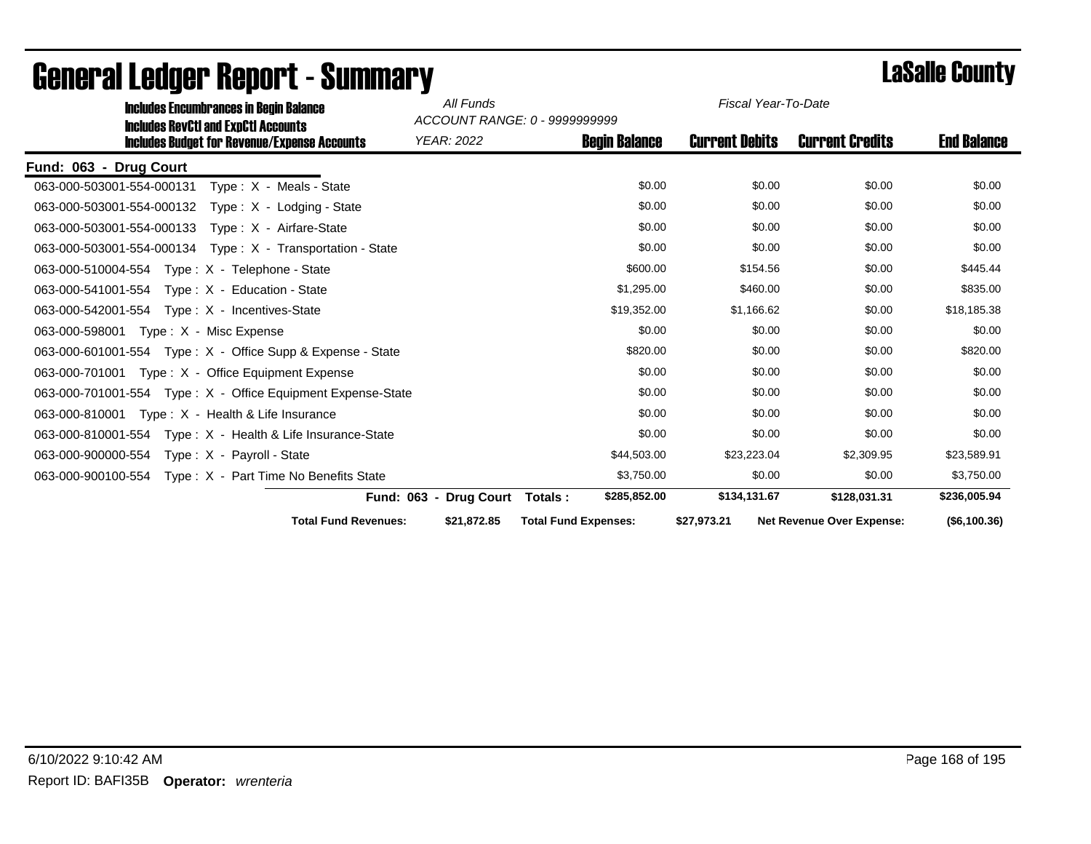| <b>Includes Encumbrances in Begin Balance</b>                                                     | All Funds              | ACCOUNT RANGE: 0 - 9999999999 | Fiscal Year-To-Date   |                                  |                    |  |
|---------------------------------------------------------------------------------------------------|------------------------|-------------------------------|-----------------------|----------------------------------|--------------------|--|
| <b>Includes RevCtI and ExpCtI Accounts</b><br><b>Includes Budget for Revenue/Expense Accounts</b> | <b>YEAR: 2022</b>      | <b>Begin Balance</b>          | <b>Current Debits</b> | <b>Current Credits</b>           | <b>End Balance</b> |  |
| Fund: 063 - Drug Court                                                                            |                        |                               |                       |                                  |                    |  |
| 063-000-503001-554-000131 Type: X - Meals - State                                                 |                        | \$0.00                        | \$0.00                | \$0.00                           | \$0.00             |  |
| 063-000-503001-554-000132 Type: X - Lodging - State                                               |                        | \$0.00                        | \$0.00                | \$0.00                           | \$0.00             |  |
| 063-000-503001-554-000133 Type: X - Airfare-State                                                 |                        | \$0.00                        | \$0.00                | \$0.00                           | \$0.00             |  |
| 063-000-503001-554-000134    Type: X - Transportation - State                                     |                        | \$0.00                        | \$0.00                | \$0.00                           | \$0.00             |  |
| 063-000-510004-554 Type: X - Telephone - State                                                    |                        | \$600.00                      | \$154.56              | \$0.00                           | \$445.44           |  |
| 063-000-541001-554    Type: X - Education - State                                                 |                        | \$1,295.00                    | \$460.00              | \$0.00                           | \$835.00           |  |
|                                                                                                   |                        | \$19,352.00                   | \$1,166.62            | \$0.00                           | \$18,185.38        |  |
| 063-000-598001 Type: X - Misc Expense                                                             |                        | \$0.00                        | \$0.00                | \$0.00                           | \$0.00             |  |
| 063-000-601001-554 Type: X - Office Supp & Expense - State                                        |                        | \$820.00                      | \$0.00                | \$0.00                           | \$820.00           |  |
| 063-000-701001 Type: X - Office Equipment Expense                                                 |                        | \$0.00                        | \$0.00                | \$0.00                           | \$0.00             |  |
| 063-000-701001-554 Type: X - Office Equipment Expense-State                                       |                        | \$0.00                        | \$0.00                | \$0.00                           | \$0.00             |  |
| 063-000-810001 Type: $X -$ Health & Life Insurance                                                |                        | \$0.00                        | \$0.00                | \$0.00                           | \$0.00             |  |
|                                                                                                   |                        | \$0.00                        | \$0.00                | \$0.00                           | \$0.00             |  |
| 063-000-900000-554 Type: X - Payroll - State                                                      |                        | \$44,503.00                   | \$23,223.04           | \$2,309.95                       | \$23,589.91        |  |
|                                                                                                   |                        | \$3,750.00                    | \$0.00                | \$0.00                           | \$3,750.00         |  |
|                                                                                                   | Fund: 063 - Drug Court | \$285,852.00<br>Totals :      | \$134,131.67          | \$128,031.31                     | \$236,005.94       |  |
| <b>Total Fund Revenues:</b>                                                                       | \$21,872.85            | <b>Total Fund Expenses:</b>   | \$27,973.21           | <b>Net Revenue Over Expense:</b> | (S6, 100.36)       |  |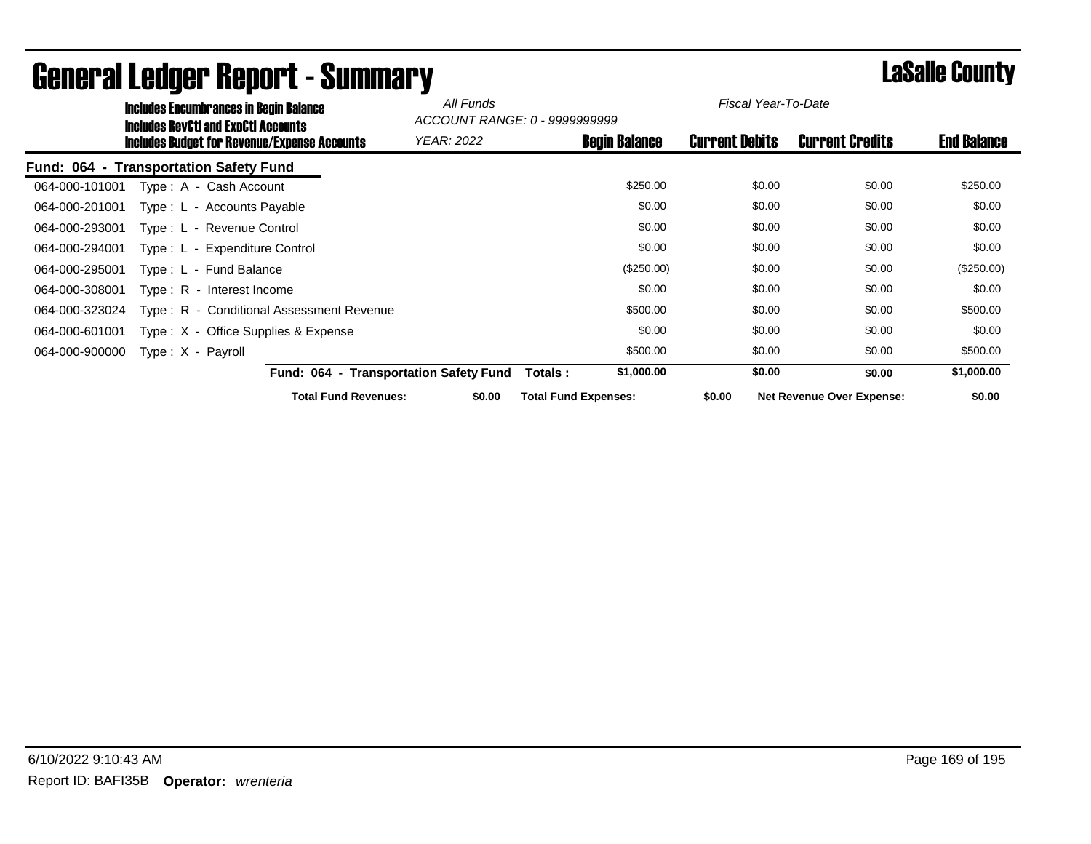|                | <b>Includes Encumbrances in Begin Balance</b>                                              | All Funds                              | ACCOUNT RANGE: 0 - 9999999999 | Fiscal Year-To-Date   |                                  |                    |
|----------------|--------------------------------------------------------------------------------------------|----------------------------------------|-------------------------------|-----------------------|----------------------------------|--------------------|
|                | Includes RevCtI and ExpCtI Accounts<br><b>Includes Budget for Revenue/Expense Accounts</b> | YEAR: 2022                             | <b>Begin Balance</b>          | <b>Current Debits</b> | <b>Current Credits</b>           | <b>End Balance</b> |
|                | <b>Fund: 064 - Transportation Safety Fund</b>                                              |                                        |                               |                       |                                  |                    |
| 064-000-101001 | Type: A - Cash Account                                                                     |                                        | \$250.00                      | \$0.00                | \$0.00                           | \$250.00           |
| 064-000-201001 | Type: L - Accounts Payable                                                                 |                                        | \$0.00                        | \$0.00                | \$0.00                           | \$0.00             |
| 064-000-293001 | Type: L - Revenue Control                                                                  |                                        | \$0.00                        | \$0.00                | \$0.00                           | \$0.00             |
| 064-000-294001 | Type: L - Expenditure Control                                                              |                                        | \$0.00                        | \$0.00                | \$0.00                           | \$0.00             |
| 064-000-295001 | Type: L - Fund Balance                                                                     |                                        | (\$250.00)                    | \$0.00                | \$0.00                           | (\$250.00)         |
| 064-000-308001 | Type: R - Interest Income                                                                  |                                        | \$0.00                        | \$0.00                | \$0.00                           | \$0.00             |
| 064-000-323024 | Type: R - Conditional Assessment Revenue                                                   |                                        | \$500.00                      | \$0.00                | \$0.00                           | \$500.00           |
| 064-000-601001 | Type: X - Office Supplies & Expense                                                        |                                        | \$0.00                        | \$0.00                | \$0.00                           | \$0.00             |
| 064-000-900000 | $Type: X - Payroll$                                                                        |                                        | \$500.00                      | \$0.00                | \$0.00                           | \$500.00           |
|                |                                                                                            | Fund: 064 - Transportation Safety Fund | \$1,000.00<br>Totals :        | \$0.00                | \$0.00                           | \$1,000.00         |
|                | <b>Total Fund Revenues:</b>                                                                | \$0.00                                 | <b>Total Fund Expenses:</b>   | \$0.00                | <b>Net Revenue Over Expense:</b> | \$0.00             |

### General Ledger Report - Summary **Constants County** LaSalle County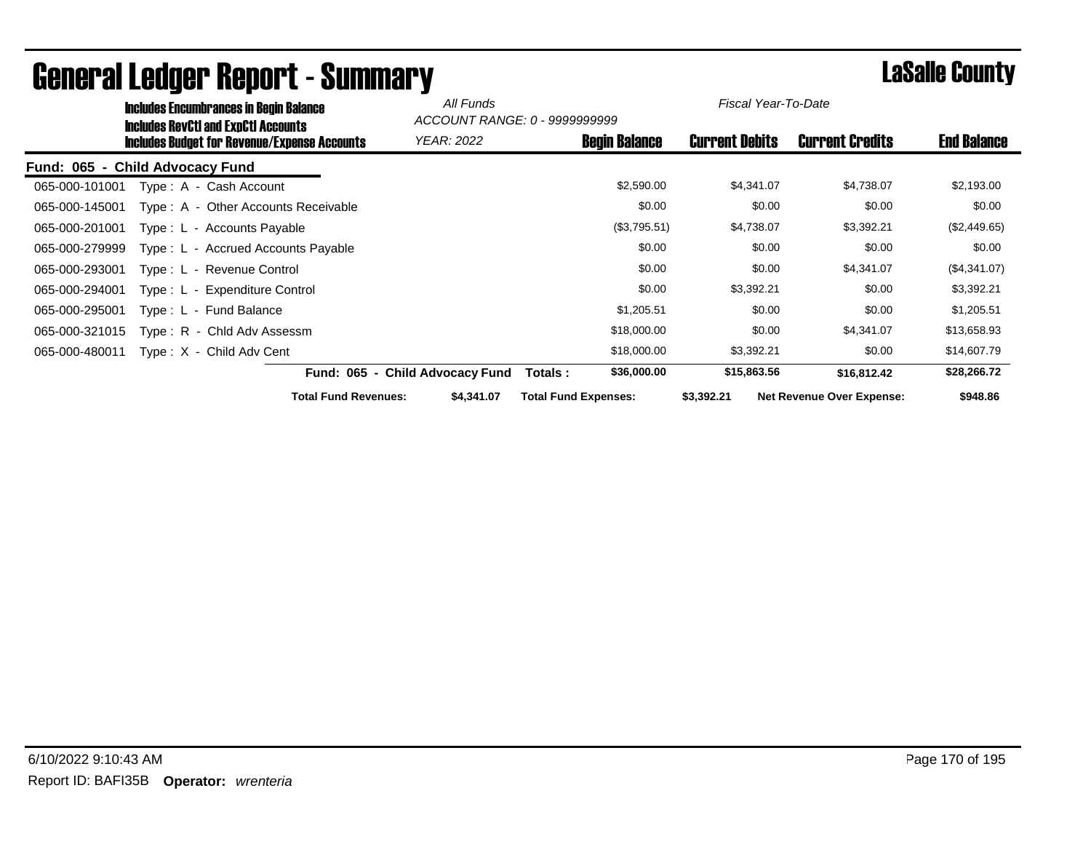|                | <b>Includes Encumbrances in Begin Balance</b>                                                     | All Funds                       |                                                       | Fiscal Year-To-Date   |                                  |                    |
|----------------|---------------------------------------------------------------------------------------------------|---------------------------------|-------------------------------------------------------|-----------------------|----------------------------------|--------------------|
|                | <b>Includes RevCtI and ExpCtI Accounts</b><br><b>Includes Budget for Revenue/Expense Accounts</b> | <b>YEAR: 2022</b>               | ACCOUNT RANGE: 0 - 9999999999<br><b>Begin Balance</b> | <b>Current Debits</b> | <b>Current Credits</b>           | <b>End Balance</b> |
|                | Fund: 065 - Child Advocacy Fund                                                                   |                                 |                                                       |                       |                                  |                    |
| 065-000-101001 | Type: A - Cash Account                                                                            |                                 | \$2,590.00                                            | \$4,341.07            | \$4,738.07                       | \$2,193.00         |
| 065-000-145001 | Type: A - Other Accounts Receivable                                                               |                                 | \$0.00                                                | \$0.00                | \$0.00                           | \$0.00             |
| 065-000-201001 | Type: L - Accounts Payable                                                                        |                                 | (\$3,795.51)                                          | \$4,738.07            | \$3,392.21                       | (\$2,449.65)       |
| 065-000-279999 | Type: L - Accrued Accounts Payable                                                                |                                 | \$0.00                                                | \$0.00                | \$0.00                           | \$0.00             |
| 065-000-293001 | Type: L - Revenue Control                                                                         |                                 | \$0.00                                                | \$0.00                | \$4,341.07                       | (\$4,341.07)       |
| 065-000-294001 | Type: L - Expenditure Control                                                                     |                                 | \$0.00                                                | \$3,392.21            | \$0.00                           | \$3,392.21         |
| 065-000-295001 | Type: L - Fund Balance                                                                            |                                 | \$1,205.51                                            | \$0.00                | \$0.00                           | \$1,205.51         |
| 065-000-321015 | Type: R - Chid Adv Assessm                                                                        |                                 | \$18,000.00                                           | \$0.00                | \$4,341.07                       | \$13,658.93        |
| 065-000-480011 | Type: X - Child Adv Cent                                                                          |                                 | \$18,000.00                                           | \$3,392.21            | \$0.00                           | \$14,607.79        |
|                |                                                                                                   | Fund: 065 - Child Advocacy Fund | \$36,000.00<br>Totals :                               | \$15,863.56           | \$16,812.42                      | \$28,266.72        |
|                | <b>Total Fund Revenues:</b>                                                                       | \$4,341.07                      | <b>Total Fund Expenses:</b>                           | \$3,392.21            | <b>Net Revenue Over Expense:</b> | \$948.86           |

### General Ledger Report - Summary **Constants County** LaSalle County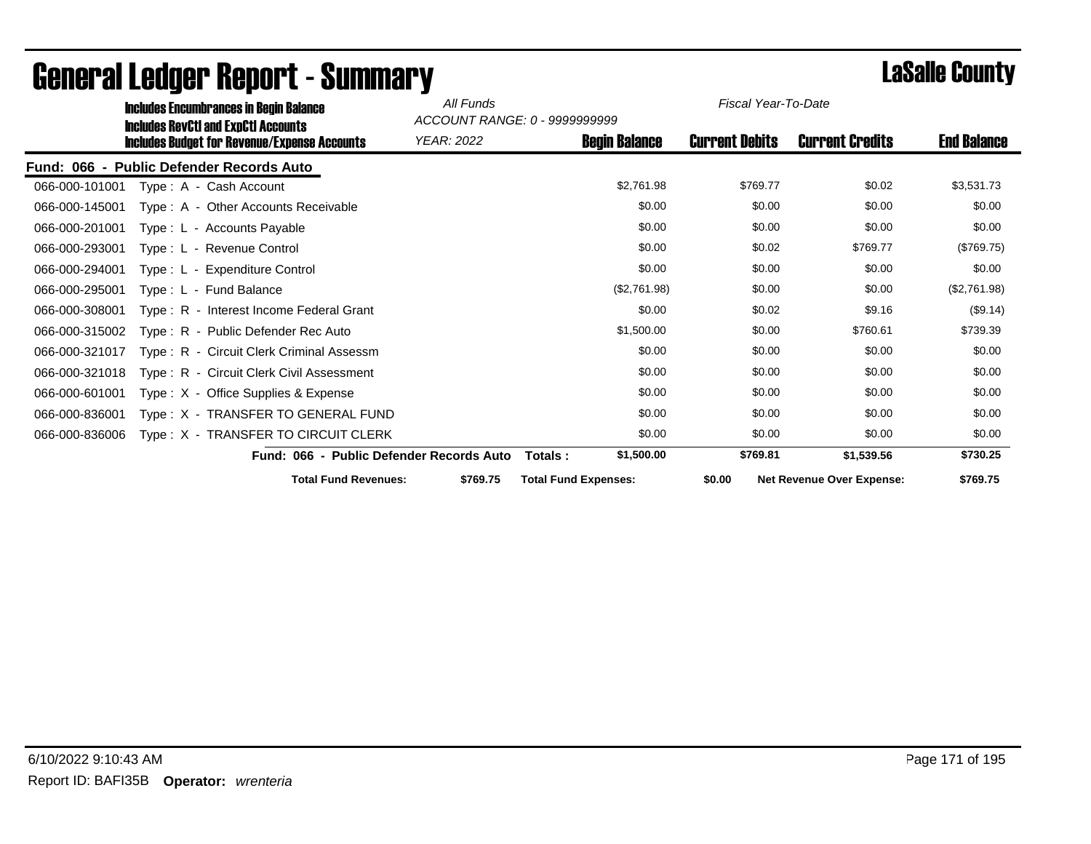| <b>Includes Encumbrances in Begin Balance</b> |                                                                                            | All Funds  | ACCOUNT RANGE: 0 - 9999999999 | Fiscal Year-To-Date   |                                  |                    |  |
|-----------------------------------------------|--------------------------------------------------------------------------------------------|------------|-------------------------------|-----------------------|----------------------------------|--------------------|--|
|                                               | <b>Includes RevCtI and ExpCtI Accounts</b><br>Includes Budget for Revenue/Expense Accounts | YEAR: 2022 | <b>Begin Balance</b>          | <b>Current Debits</b> | <b>Current Credits</b>           | <b>End Balance</b> |  |
|                                               | Fund: 066 - Public Defender Records Auto                                                   |            |                               |                       |                                  |                    |  |
| 066-000-101001                                | Type: A - Cash Account                                                                     |            | \$2,761.98                    | \$769.77              | \$0.02                           | \$3,531.73         |  |
| 066-000-145001                                | Type: A - Other Accounts Receivable                                                        |            | \$0.00                        | \$0.00                | \$0.00                           | \$0.00             |  |
| 066-000-201001                                | Type: L - Accounts Payable                                                                 |            | \$0.00                        | \$0.00                | \$0.00                           | \$0.00             |  |
| 066-000-293001                                | Type: L - Revenue Control                                                                  |            | \$0.00                        | \$0.02                | \$769.77                         | (\$769.75)         |  |
| 066-000-294001                                | Type: L - Expenditure Control                                                              |            | \$0.00                        | \$0.00                | \$0.00                           | \$0.00             |  |
| 066-000-295001                                | Type: L - Fund Balance                                                                     |            | (\$2,761.98)                  | \$0.00                | \$0.00                           | (\$2,761.98)       |  |
| 066-000-308001                                | Type: R - Interest Income Federal Grant                                                    |            | \$0.00                        | \$0.02                | \$9.16                           | (\$9.14)           |  |
| 066-000-315002                                | Type: R - Public Defender Rec Auto                                                         |            | \$1,500.00                    | \$0.00                | \$760.61                         | \$739.39           |  |
| 066-000-321017                                | Type: R - Circuit Clerk Criminal Assessm                                                   |            | \$0.00                        | \$0.00                | \$0.00                           | \$0.00             |  |
| 066-000-321018                                | Type: R - Circuit Clerk Civil Assessment                                                   |            | \$0.00                        | \$0.00                | \$0.00                           | \$0.00             |  |
| 066-000-601001                                | Type: X - Office Supplies & Expense                                                        |            | \$0.00                        | \$0.00                | \$0.00                           | \$0.00             |  |
| 066-000-836001                                | Type: X - TRANSFER TO GENERAL FUND                                                         |            | \$0.00                        | \$0.00                | \$0.00                           | \$0.00             |  |
| 066-000-836006                                | Type: X - TRANSFER TO CIRCUIT CLERK                                                        |            | \$0.00                        | \$0.00                | \$0.00                           | \$0.00             |  |
|                                               | Fund: 066 - Public Defender Records Auto                                                   |            | \$1,500.00<br>Totals :        | \$769.81              | \$1,539.56                       | \$730.25           |  |
|                                               | <b>Total Fund Revenues:</b>                                                                | \$769.75   | <b>Total Fund Expenses:</b>   | \$0.00                | <b>Net Revenue Over Expense:</b> | \$769.75           |  |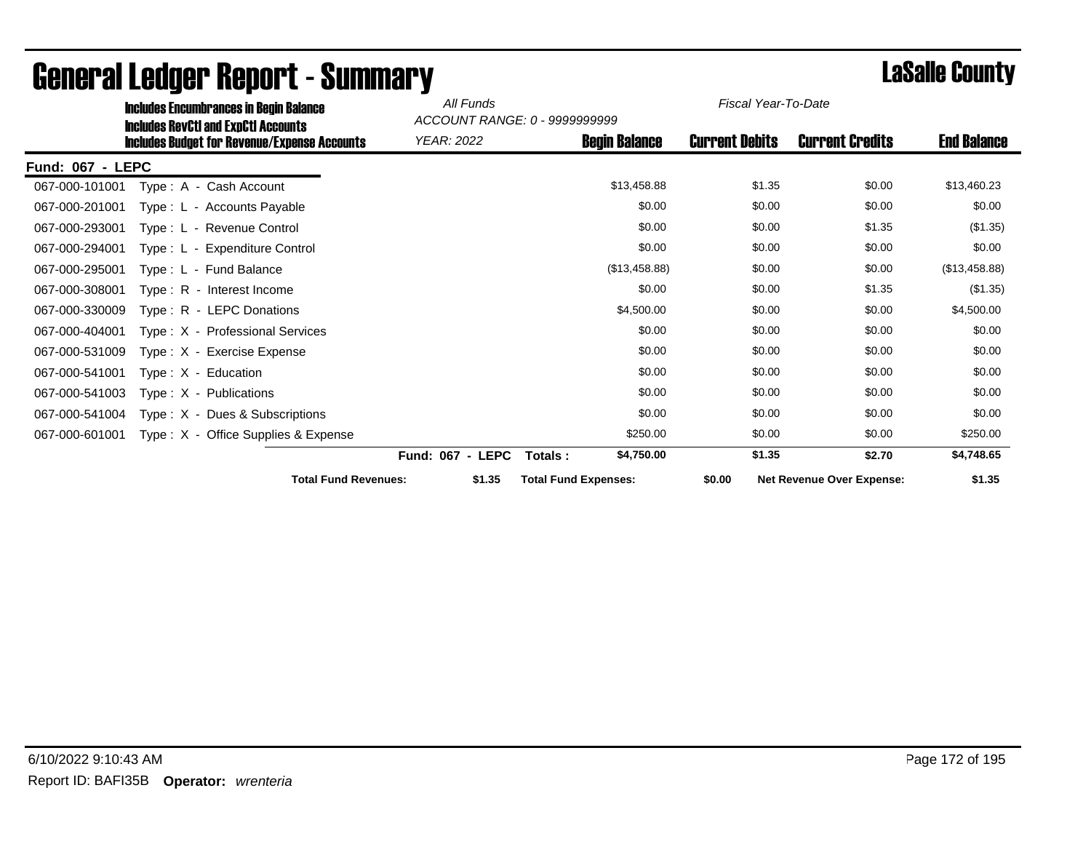| <b>Includes Encumbrances in Begin Balance</b> |                                                                                                   | All Funds<br>Fiscal Year-To-Date<br>ACCOUNT RANGE: 0 - 9999999999 |                             |                       |                                  |                    |
|-----------------------------------------------|---------------------------------------------------------------------------------------------------|-------------------------------------------------------------------|-----------------------------|-----------------------|----------------------------------|--------------------|
|                                               | <b>Includes RevCtI and ExpCtI Accounts</b><br><b>Includes Budget for Revenue/Expense Accounts</b> | YEAR: 2022                                                        | <b>Begin Balance</b>        | <b>Current Debits</b> | <b>Current Credits</b>           | <b>End Balance</b> |
| Fund: 067 - LEPC                              |                                                                                                   |                                                                   |                             |                       |                                  |                    |
| 067-000-101001                                | Type: A - Cash Account                                                                            |                                                                   | \$13,458.88                 | \$1.35                | \$0.00                           | \$13,460.23        |
| 067-000-201001                                | Type: L - Accounts Payable                                                                        |                                                                   | \$0.00                      | \$0.00                | \$0.00                           | \$0.00             |
| 067-000-293001                                | Type: L - Revenue Control                                                                         |                                                                   | \$0.00                      | \$0.00                | \$1.35                           | (\$1.35)           |
| 067-000-294001                                | <b>Expenditure Control</b><br>$Type: L -$                                                         |                                                                   | \$0.00                      | \$0.00                | \$0.00                           | \$0.00             |
| 067-000-295001                                | Type: L - Fund Balance                                                                            |                                                                   | (\$13,458.88)               | \$0.00                | \$0.00                           | (\$13,458.88)      |
| 067-000-308001                                | Type: R - Interest Income                                                                         |                                                                   | \$0.00                      | \$0.00                | \$1.35                           | (\$1.35)           |
| 067-000-330009                                | Type: R - LEPC Donations                                                                          |                                                                   | \$4,500.00                  | \$0.00                | \$0.00                           | \$4,500.00         |
| 067-000-404001                                | Type: X - Professional Services                                                                   |                                                                   | \$0.00                      | \$0.00                | \$0.00                           | \$0.00             |
| 067-000-531009                                | Type: X - Exercise Expense                                                                        |                                                                   | \$0.00                      | \$0.00                | \$0.00                           | \$0.00             |
| 067-000-541001                                | Type: $X -$ Education                                                                             |                                                                   | \$0.00                      | \$0.00                | \$0.00                           | \$0.00             |
| 067-000-541003                                | $Type: X - Publications$                                                                          |                                                                   | \$0.00                      | \$0.00                | \$0.00                           | \$0.00             |
| 067-000-541004                                | Type : $X - Dues & Subscripts$                                                                    |                                                                   | \$0.00                      | \$0.00                | \$0.00                           | \$0.00             |
| 067-000-601001                                | Type: X - Office Supplies & Expense                                                               |                                                                   | \$250.00                    | \$0.00                | \$0.00                           | \$250.00           |
|                                               |                                                                                                   | <b>Fund: 067 - LEPC</b>                                           | \$4,750.00<br>Totals:       | \$1.35                | \$2.70                           | \$4,748.65         |
|                                               | <b>Total Fund Revenues:</b>                                                                       | \$1.35                                                            | <b>Total Fund Expenses:</b> | \$0.00                | <b>Net Revenue Over Expense:</b> | \$1.35             |

# **General Ledger Report - Summary Lassalle County**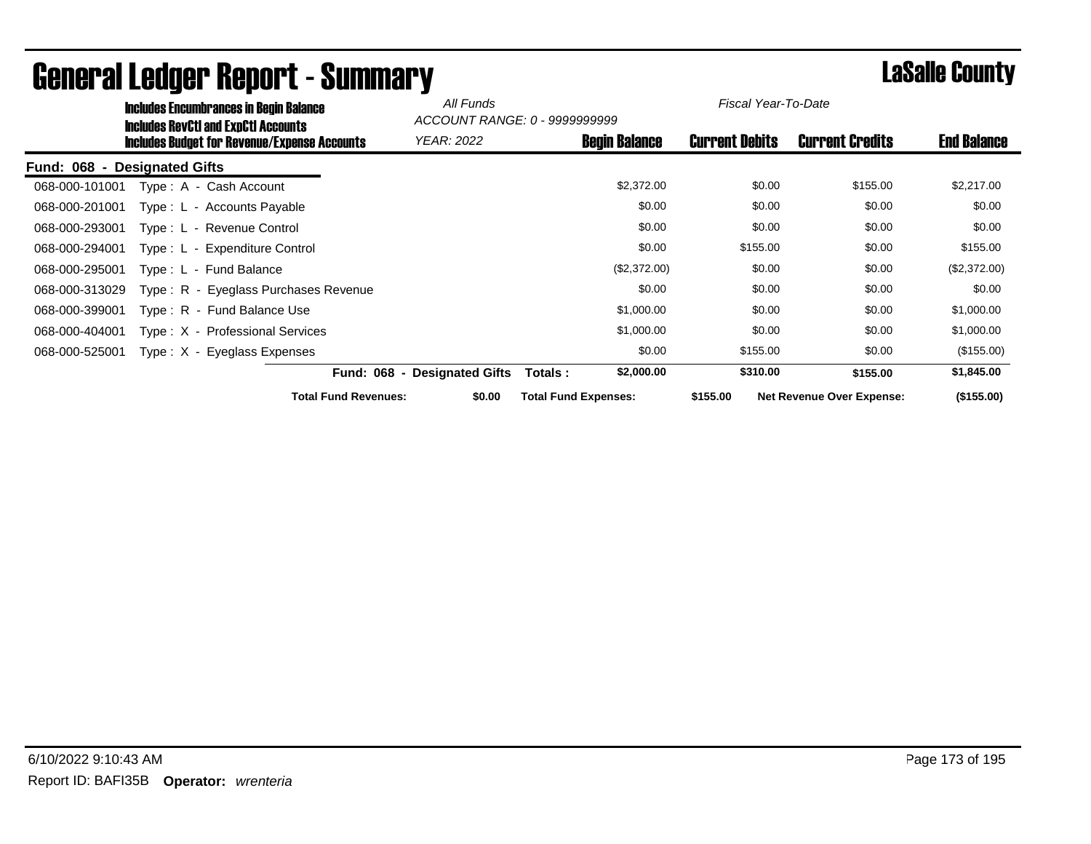| <b>Includes Encumbrances in Begin Balance</b> |                                                                                            | All Funds                    | ACCOUNT RANGE: 0 - 9999999999 | Fiscal Year-To-Date   |                                  |                    |  |
|-----------------------------------------------|--------------------------------------------------------------------------------------------|------------------------------|-------------------------------|-----------------------|----------------------------------|--------------------|--|
|                                               | <b>Includes RevCtI and ExpCtI Accounts</b><br>Includes Budget for Revenue/Expense Accounts | YEAR: 2022                   | <b>Begin Balance</b>          | <b>Current Debits</b> | <b>Current Credits</b>           | <b>End Balance</b> |  |
| Fund: 068<br>$\sim$                           | <b>Designated Gifts</b>                                                                    |                              |                               |                       |                                  |                    |  |
| 068-000-101001                                | Type: A - Cash Account                                                                     |                              | \$2,372.00                    | \$0.00                | \$155.00                         | \$2,217.00         |  |
| 068-000-201001                                | Type: L - Accounts Payable                                                                 |                              | \$0.00                        | \$0.00                | \$0.00                           | \$0.00             |  |
| 068-000-293001                                | Type: L - Revenue Control                                                                  |                              | \$0.00                        | \$0.00                | \$0.00                           | \$0.00             |  |
| 068-000-294001                                | Type: L - Expenditure Control                                                              |                              | \$0.00                        | \$155.00              | \$0.00                           | \$155.00           |  |
| 068-000-295001                                | Tvpe : L - Fund Balance                                                                    |                              | (\$2,372.00)                  | \$0.00                | \$0.00                           | (\$2,372.00)       |  |
| 068-000-313029                                | Type: R - Eyeglass Purchases Revenue                                                       |                              | \$0.00                        | \$0.00                | \$0.00                           | \$0.00             |  |
| 068-000-399001                                | Type: R - Fund Balance Use                                                                 |                              | \$1,000.00                    | \$0.00                | \$0.00                           | \$1,000.00         |  |
| 068-000-404001                                | Type: X - Professional Services                                                            |                              | \$1,000.00                    | \$0.00                | \$0.00                           | \$1,000.00         |  |
| 068-000-525001                                | Type: X - Eyeglass Expenses                                                                |                              | \$0.00                        | \$155.00              | \$0.00                           | (\$155.00)         |  |
|                                               |                                                                                            | Fund: 068 - Designated Gifts | \$2,000.00<br>Totals :        | \$310.00              | \$155.00                         | \$1,845.00         |  |
|                                               | <b>Total Fund Revenues:</b>                                                                | \$0.00                       | <b>Total Fund Expenses:</b>   | \$155.00              | <b>Net Revenue Over Expense:</b> | (\$155.00)         |  |

## General Ledger Report - Summary LaSalle County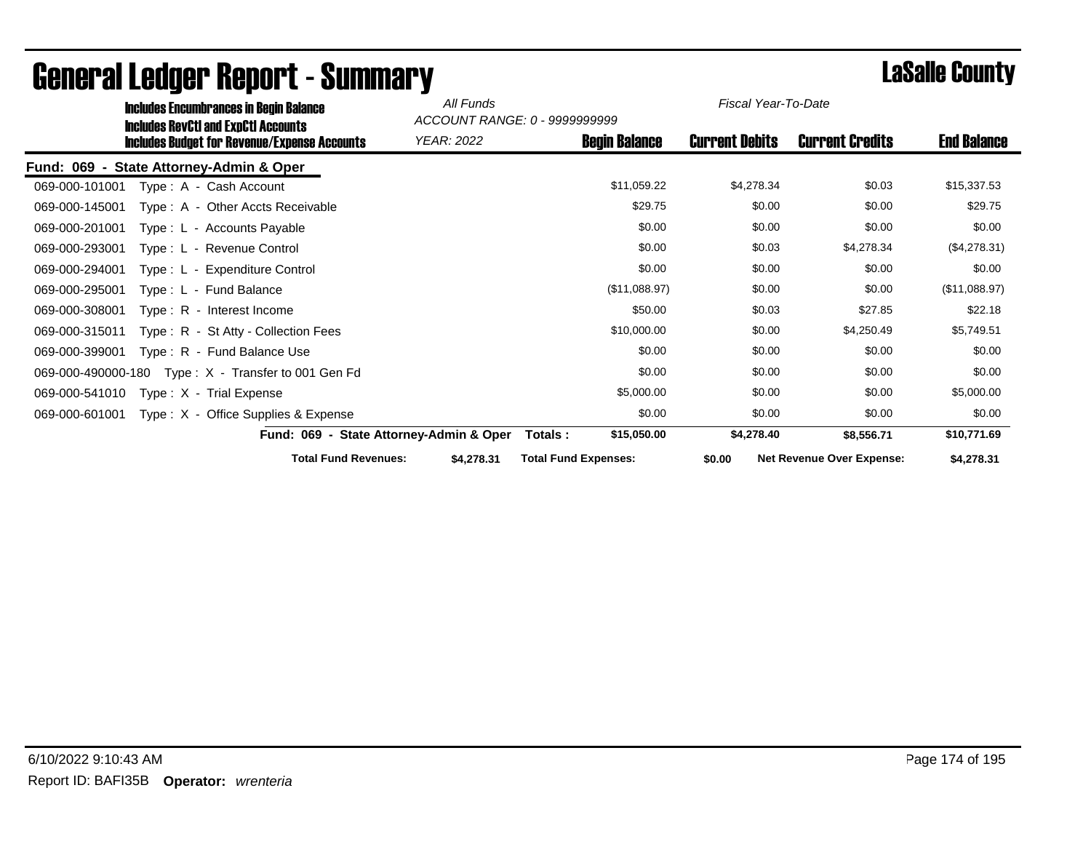| <b>Includes Encumbrances in Begin Balance</b> |                                                                                            | All Funds<br>Fiscal Year-To-Date<br>ACCOUNT RANGE: 0 - 9999999999 |                             |                       |                                  |                    |
|-----------------------------------------------|--------------------------------------------------------------------------------------------|-------------------------------------------------------------------|-----------------------------|-----------------------|----------------------------------|--------------------|
|                                               | <b>Includes RevCtI and ExpCtI Accounts</b><br>Includes Budget for Revenue/Expense Accounts | YEAR: 2022                                                        | <b>Begin Balance</b>        | <b>Current Debits</b> | <b>Current Credits</b>           | <b>End Balance</b> |
| Fund: 069 -                                   | <b>State Attorney-Admin &amp; Oper</b>                                                     |                                                                   |                             |                       |                                  |                    |
| 069-000-101001                                | Type: A - Cash Account                                                                     |                                                                   | \$11,059.22                 | \$4,278.34            | \$0.03                           | \$15,337.53        |
| 069-000-145001                                | Type: A - Other Accts Receivable                                                           |                                                                   | \$29.75                     | \$0.00                | \$0.00                           | \$29.75            |
| 069-000-201001                                | Type: L - Accounts Payable                                                                 |                                                                   | \$0.00                      | \$0.00                | \$0.00                           | \$0.00             |
| 069-000-293001                                | Type: L - Revenue Control                                                                  |                                                                   | \$0.00                      | \$0.03                | \$4,278.34                       | (\$4,278.31)       |
| 069-000-294001                                | Type: L - Expenditure Control                                                              |                                                                   | \$0.00                      | \$0.00                | \$0.00                           | \$0.00             |
| 069-000-295001                                | Type: L - Fund Balance                                                                     |                                                                   | (\$11,088.97)               | \$0.00                | \$0.00                           | (\$11,088.97)      |
| 069-000-308001                                | $Type: R - Interest Income$                                                                |                                                                   | \$50.00                     | \$0.03                | \$27.85                          | \$22.18            |
| 069-000-315011                                | Type: R - St Atty - Collection Fees                                                        |                                                                   | \$10,000.00                 | \$0.00                | \$4,250.49                       | \$5,749.51         |
| 069-000-399001                                | Type: R - Fund Balance Use                                                                 |                                                                   | \$0.00                      | \$0.00                | \$0.00                           | \$0.00             |
| 069-000-490000-180                            | Type: X - Transfer to 001 Gen Fd                                                           |                                                                   | \$0.00                      | \$0.00                | \$0.00                           | \$0.00             |
| 069-000-541010                                | Type: X - Trial Expense                                                                    |                                                                   | \$5,000.00                  | \$0.00                | \$0.00                           | \$5,000.00         |
| 069-000-601001                                | Type: X - Office Supplies & Expense                                                        |                                                                   | \$0.00                      | \$0.00                | \$0.00                           | \$0.00             |
|                                               | Fund: 069 - State Attorney-Admin & Oper                                                    |                                                                   | \$15,050.00<br>Totals :     | \$4,278.40            | \$8,556.71                       | \$10,771.69        |
|                                               | <b>Total Fund Revenues:</b>                                                                | \$4,278.31                                                        | <b>Total Fund Expenses:</b> | \$0.00                | <b>Net Revenue Over Expense:</b> | \$4,278.31         |

## General Ledger Report - Summary **Lassing County**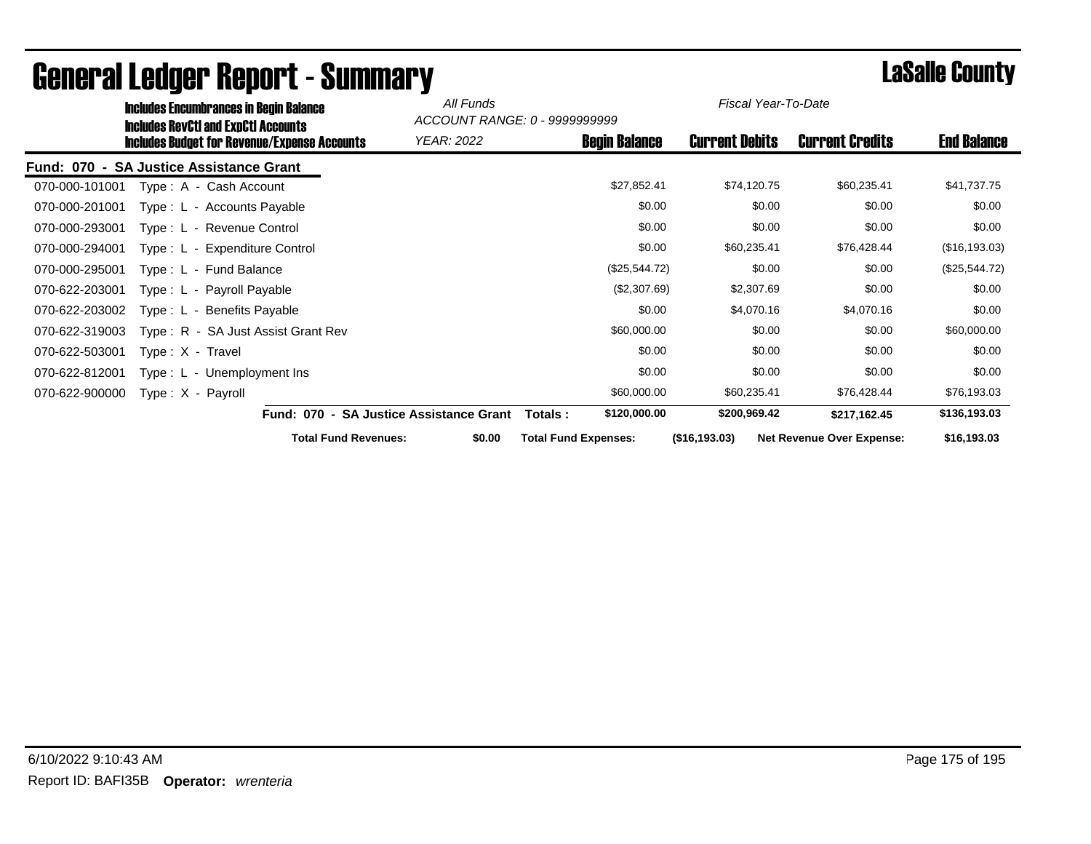|                | <b>Includes Encumbrances in Begin Balance</b>                                       | All Funds  | Fiscal Year-To-Date<br>ACCOUNT RANGE: 0 - 9999999999 |                       |                                  |                    |
|----------------|-------------------------------------------------------------------------------------|------------|------------------------------------------------------|-----------------------|----------------------------------|--------------------|
|                | Includes RevCtI and ExpCtI Accounts<br>Includes Budget for Revenue/Expense Accounts | YEAR: 2022 | <b>Begin Balance</b>                                 | <b>Current Debits</b> | <b>Current Credits</b>           | <b>End Balance</b> |
|                | Fund: 070 - SA Justice Assistance Grant                                             |            |                                                      |                       |                                  |                    |
| 070-000-101001 | Type: A - Cash Account                                                              |            | \$27,852.41                                          | \$74,120.75           | \$60,235.41                      | \$41,737.75        |
| 070-000-201001 | Type: L - Accounts Payable                                                          |            | \$0.00                                               | \$0.00                | \$0.00                           | \$0.00             |
| 070-000-293001 | Type: L - Revenue Control                                                           |            | \$0.00                                               | \$0.00                | \$0.00                           | \$0.00             |
| 070-000-294001 | Type: L - Expenditure Control                                                       |            | \$0.00                                               | \$60,235.41           | \$76,428.44                      | (\$16,193.03)      |
| 070-000-295001 | Type: L - Fund Balance                                                              |            | $(\$25,544.72)$                                      | \$0.00                | \$0.00                           | (\$25,544.72)      |
| 070-622-203001 | Type: L - Payroll Payable                                                           |            | (\$2,307.69)                                         | \$2,307.69            | \$0.00                           | \$0.00             |
| 070-622-203002 | Type: L - Benefits Payable                                                          |            | \$0.00                                               | \$4,070.16            | \$4,070.16                       | \$0.00             |
| 070-622-319003 | Type: R - SA Just Assist Grant Rev                                                  |            | \$60,000.00                                          | \$0.00                | \$0.00                           | \$60,000.00        |
| 070-622-503001 | $Type: X - Travel$                                                                  |            | \$0.00                                               | \$0.00                | \$0.00                           | \$0.00             |
| 070-622-812001 | Type: L - Unemployment Ins                                                          |            | \$0.00                                               | \$0.00                | \$0.00                           | \$0.00             |
| 070-622-900000 | $Type: X - Payroll$                                                                 |            | \$60,000.00                                          | \$60,235.41           | \$76,428.44                      | \$76,193.03        |
|                | Fund: 070 - SA Justice Assistance Grant                                             |            | \$120,000.00<br>Totals :                             | \$200,969.42          | \$217,162.45                     | \$136,193.03       |
|                | <b>Total Fund Revenues:</b>                                                         | \$0.00     | <b>Total Fund Expenses:</b>                          | (\$16,193.03)         | <b>Net Revenue Over Expense:</b> | \$16,193.03        |

## General Ledger Report - Summary **Lasale County**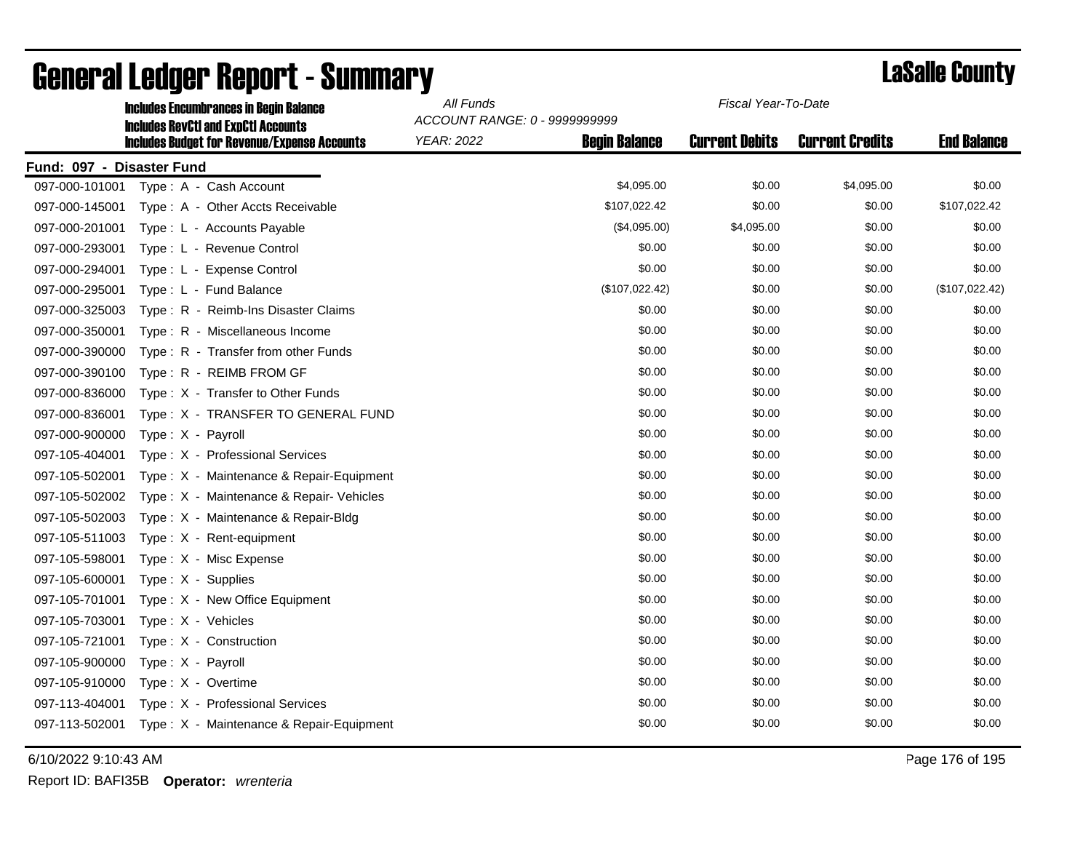|                           | <b>Includes Encumbrances in Begin Balance</b>       | All Funds<br>Fiscal Year-To-Date |                      |                       |                        |                    |
|---------------------------|-----------------------------------------------------|----------------------------------|----------------------|-----------------------|------------------------|--------------------|
|                           | <b>Includes RevCtI and ExpCtI Accounts</b>          | ACCOUNT RANGE: 0 - 9999999999    |                      |                       |                        |                    |
|                           | <b>Includes Budget for Revenue/Expense Accounts</b> | <b>YEAR: 2022</b>                | <b>Begin Balance</b> | <b>Current Debits</b> | <b>Current Credits</b> | <b>End Balance</b> |
| Fund: 097 - Disaster Fund |                                                     |                                  |                      |                       |                        |                    |
| 097-000-101001            | Type: A - Cash Account                              |                                  | \$4,095.00           | \$0.00                | \$4,095.00             | \$0.00             |
| 097-000-145001            | Type: A - Other Accts Receivable                    |                                  | \$107,022.42         | \$0.00                | \$0.00                 | \$107,022.42       |
| 097-000-201001            | Type: L - Accounts Payable                          |                                  | (\$4,095.00)         | \$4,095.00            | \$0.00                 | \$0.00             |
| 097-000-293001            | Type: L - Revenue Control                           |                                  | \$0.00               | \$0.00                | \$0.00                 | \$0.00             |
| 097-000-294001            | Type: L - Expense Control                           |                                  | \$0.00               | \$0.00                | \$0.00                 | \$0.00             |
| 097-000-295001            | Type: L - Fund Balance                              |                                  | (\$107,022.42)       | \$0.00                | \$0.00                 | (\$107,022.42)     |
| 097-000-325003            | Type: R - Reimb-Ins Disaster Claims                 |                                  | \$0.00               | \$0.00                | \$0.00                 | \$0.00             |
| 097-000-350001            | Type: R - Miscellaneous Income                      |                                  | \$0.00               | \$0.00                | \$0.00                 | \$0.00             |
| 097-000-390000            | Type: R - Transfer from other Funds                 |                                  | \$0.00               | \$0.00                | \$0.00                 | \$0.00             |
| 097-000-390100            | Type: R - REIMB FROM GF                             |                                  | \$0.00               | \$0.00                | \$0.00                 | \$0.00             |
| 097-000-836000            | Type: X - Transfer to Other Funds                   |                                  | \$0.00               | \$0.00                | \$0.00                 | \$0.00             |
| 097-000-836001            | Type: X - TRANSFER TO GENERAL FUND                  |                                  | \$0.00               | \$0.00                | \$0.00                 | \$0.00             |
| 097-000-900000            | Type: X - Payroll                                   |                                  | \$0.00               | \$0.00                | \$0.00                 | \$0.00             |
| 097-105-404001            | Type: X - Professional Services                     |                                  | \$0.00               | \$0.00                | \$0.00                 | \$0.00             |
| 097-105-502001            | Type: X - Maintenance & Repair-Equipment            |                                  | \$0.00               | \$0.00                | \$0.00                 | \$0.00             |
| 097-105-502002            | Type: X - Maintenance & Repair- Vehicles            |                                  | \$0.00               | \$0.00                | \$0.00                 | \$0.00             |
| 097-105-502003            | Type: X - Maintenance & Repair-Bldg                 |                                  | \$0.00               | \$0.00                | \$0.00                 | \$0.00             |
| 097-105-511003            | Type: $X -$ Rent-equipment                          |                                  | \$0.00               | \$0.00                | \$0.00                 | \$0.00             |
| 097-105-598001            | Type: X - Misc Expense                              |                                  | \$0.00               | \$0.00                | \$0.00                 | \$0.00             |
| 097-105-600001            | Type: X - Supplies                                  |                                  | \$0.00               | \$0.00                | \$0.00                 | \$0.00             |
| 097-105-701001            | Type: X - New Office Equipment                      |                                  | \$0.00               | \$0.00                | \$0.00                 | \$0.00             |
| 097-105-703001            | Type: X - Vehicles                                  |                                  | \$0.00               | \$0.00                | \$0.00                 | \$0.00             |
| 097-105-721001            | Type: X - Construction                              |                                  | \$0.00               | \$0.00                | \$0.00                 | \$0.00             |
| 097-105-900000            | Type: X - Payroll                                   |                                  | \$0.00               | \$0.00                | \$0.00                 | \$0.00             |
| 097-105-910000            | Type: X - Overtime                                  |                                  | \$0.00               | \$0.00                | \$0.00                 | \$0.00             |
| 097-113-404001            | Type: X - Professional Services                     |                                  | \$0.00               | \$0.00                | \$0.00                 | \$0.00             |
| 097-113-502001            | Type: X - Maintenance & Repair-Equipment            |                                  | \$0.00               | \$0.00                | \$0.00                 | \$0.00             |
|                           |                                                     |                                  |                      |                       |                        |                    |

# **General Ledger Report - Summary Lassalle County**

6/10/2022 9:10:43 AM Page 176 of 195

Report ID: BAFI35B **Operator:** *wrenteria*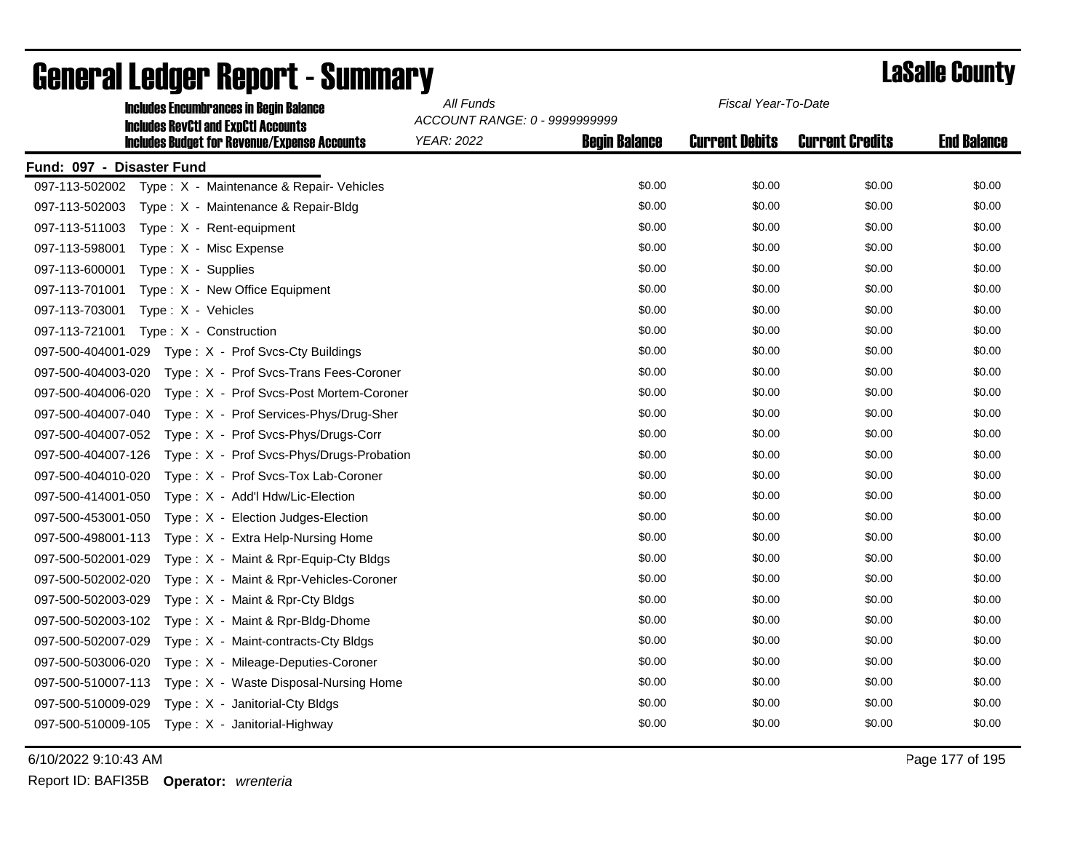| <b>Includes Encumbrances in Begin Balance</b><br><b>Includes RevCtI and ExpCtI Accounts</b> | All Funds<br>ACCOUNT RANGE: 0 - 9999999999 |                      | Fiscal Year-To-Date   |                        |                    |  |
|---------------------------------------------------------------------------------------------|--------------------------------------------|----------------------|-----------------------|------------------------|--------------------|--|
| <b>Includes Budget for Revenue/Expense Accounts</b>                                         | <b>YEAR: 2022</b>                          | <b>Begin Balance</b> | <b>Current Debits</b> | <b>Current Credits</b> | <b>End Balance</b> |  |
| Fund: 097 - Disaster Fund                                                                   |                                            |                      |                       |                        |                    |  |
| 097-113-502002<br>Type: X - Maintenance & Repair- Vehicles                                  |                                            | \$0.00               | \$0.00                | \$0.00                 | \$0.00             |  |
| 097-113-502003<br>Type: X - Maintenance & Repair-Bldg                                       |                                            | \$0.00               | \$0.00                | \$0.00                 | \$0.00             |  |
| 097-113-511003<br>Type: X - Rent-equipment                                                  |                                            | \$0.00               | \$0.00                | \$0.00                 | \$0.00             |  |
| 097-113-598001<br>Type: X - Misc Expense                                                    |                                            | \$0.00               | \$0.00                | \$0.00                 | \$0.00             |  |
| Type: X - Supplies<br>097-113-600001                                                        |                                            | \$0.00               | \$0.00                | \$0.00                 | \$0.00             |  |
| 097-113-701001<br>Type: X - New Office Equipment                                            |                                            | \$0.00               | \$0.00                | \$0.00                 | \$0.00             |  |
| 097-113-703001<br>Type: X - Vehicles                                                        |                                            | \$0.00               | \$0.00                | \$0.00                 | \$0.00             |  |
| 097-113-721001<br>Type: X - Construction                                                    |                                            | \$0.00               | \$0.00                | \$0.00                 | \$0.00             |  |
| 097-500-404001-029<br>Type: X - Prof Svcs-Cty Buildings                                     |                                            | \$0.00               | \$0.00                | \$0.00                 | \$0.00             |  |
| 097-500-404003-020<br>Type: X - Prof Svcs-Trans Fees-Coroner                                |                                            | \$0.00               | \$0.00                | \$0.00                 | \$0.00             |  |
| 097-500-404006-020<br>Type: X - Prof Svcs-Post Mortem-Coroner                               |                                            | \$0.00               | \$0.00                | \$0.00                 | \$0.00             |  |
| 097-500-404007-040<br>Type: X - Prof Services-Phys/Drug-Sher                                |                                            | \$0.00               | \$0.00                | \$0.00                 | \$0.00             |  |
| 097-500-404007-052<br>Type: X - Prof Svcs-Phys/Drugs-Corr                                   |                                            | \$0.00               | \$0.00                | \$0.00                 | \$0.00             |  |
| 097-500-404007-126<br>Type: X - Prof Svcs-Phys/Drugs-Probation                              |                                            | \$0.00               | \$0.00                | \$0.00                 | \$0.00             |  |
| Type: X - Prof Svcs-Tox Lab-Coroner<br>097-500-404010-020                                   |                                            | \$0.00               | \$0.00                | \$0.00                 | \$0.00             |  |
| 097-500-414001-050<br>Type: X - Add'l Hdw/Lic-Election                                      |                                            | \$0.00               | \$0.00                | \$0.00                 | \$0.00             |  |
| 097-500-453001-050<br>Type: X - Election Judges-Election                                    |                                            | \$0.00               | \$0.00                | \$0.00                 | \$0.00             |  |
| 097-500-498001-113<br>Type: X - Extra Help-Nursing Home                                     |                                            | \$0.00               | \$0.00                | \$0.00                 | \$0.00             |  |
| 097-500-502001-029<br>Type: X - Maint & Rpr-Equip-Cty Bldgs                                 |                                            | \$0.00               | \$0.00                | \$0.00                 | \$0.00             |  |
| 097-500-502002-020<br>Type: X - Maint & Rpr-Vehicles-Coroner                                |                                            | \$0.00               | \$0.00                | \$0.00                 | \$0.00             |  |
| 097-500-502003-029<br>Type: X - Maint & Rpr-Cty Bldgs                                       |                                            | \$0.00               | \$0.00                | \$0.00                 | \$0.00             |  |
| 097-500-502003-102<br>Type: X - Maint & Rpr-Bldg-Dhome                                      |                                            | \$0.00               | \$0.00                | \$0.00                 | \$0.00             |  |
| 097-500-502007-029<br>Type: X - Maint-contracts-Cty Bldgs                                   |                                            | \$0.00               | \$0.00                | \$0.00                 | \$0.00             |  |
| 097-500-503006-020<br>Type: X - Mileage-Deputies-Coroner                                    |                                            | \$0.00               | \$0.00                | \$0.00                 | \$0.00             |  |
| 097-500-510007-113<br>Type: X - Waste Disposal-Nursing Home                                 |                                            | \$0.00               | \$0.00                | \$0.00                 | \$0.00             |  |
| 097-500-510009-029<br>Type: X - Janitorial-Cty Bldgs                                        |                                            | \$0.00               | \$0.00                | \$0.00                 | \$0.00             |  |
| 097-500-510009-105<br>Type: X - Janitorial-Highway                                          |                                            | \$0.00               | \$0.00                | \$0.00                 | \$0.00             |  |

6/10/2022 9:10:43 AM Page 177 of 195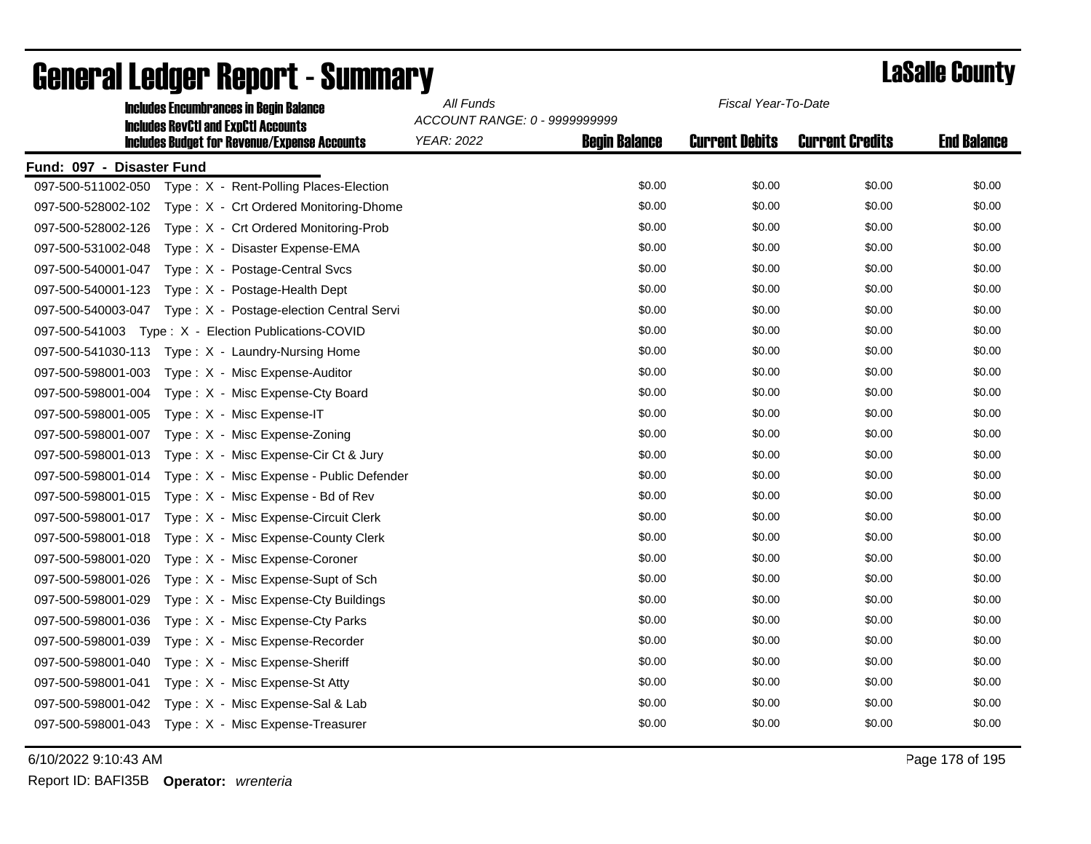| <b>Includes Encumbrances in Begin Balance</b><br><b>Includes RevCtI and ExpCtI Accounts</b> | All Funds<br>ACCOUNT RANGE: 0 - 9999999999 |                      | Fiscal Year-To-Date   |                        |                    |  |
|---------------------------------------------------------------------------------------------|--------------------------------------------|----------------------|-----------------------|------------------------|--------------------|--|
| <b>Includes Budget for Revenue/Expense Accounts</b>                                         | <b>YEAR: 2022</b>                          | <b>Begin Balance</b> | <b>Current Debits</b> | <b>Current Credits</b> | <b>End Balance</b> |  |
| Fund: 097 - Disaster Fund                                                                   |                                            |                      |                       |                        |                    |  |
| Type: X - Rent-Polling Places-Election<br>097-500-511002-050                                |                                            | \$0.00               | \$0.00                | \$0.00                 | \$0.00             |  |
| 097-500-528002-102 Type: X - Crt Ordered Monitoring-Dhome                                   |                                            | \$0.00               | \$0.00                | \$0.00                 | \$0.00             |  |
| 097-500-528002-126<br>Type: X - Crt Ordered Monitoring-Prob                                 |                                            | \$0.00               | \$0.00                | \$0.00                 | \$0.00             |  |
| 097-500-531002-048<br>Type: X - Disaster Expense-EMA                                        |                                            | \$0.00               | \$0.00                | \$0.00                 | \$0.00             |  |
| 097-500-540001-047<br>Type: X - Postage-Central Svcs                                        |                                            | \$0.00               | \$0.00                | \$0.00                 | \$0.00             |  |
| 097-500-540001-123<br>Type: X - Postage-Health Dept                                         |                                            | \$0.00               | \$0.00                | \$0.00                 | \$0.00             |  |
| 097-500-540003-047<br>Type: X - Postage-election Central Servi                              |                                            | \$0.00               | \$0.00                | \$0.00                 | \$0.00             |  |
| 097-500-541003 Type: X - Election Publications-COVID                                        |                                            | \$0.00               | \$0.00                | \$0.00                 | \$0.00             |  |
| 097-500-541030-113<br>Type: X - Laundry-Nursing Home                                        |                                            | \$0.00               | \$0.00                | \$0.00                 | \$0.00             |  |
| Type: X - Misc Expense-Auditor<br>097-500-598001-003                                        |                                            | \$0.00               | \$0.00                | \$0.00                 | \$0.00             |  |
| 097-500-598001-004<br>Type: X - Misc Expense-Cty Board                                      |                                            | \$0.00               | \$0.00                | \$0.00                 | \$0.00             |  |
| Type: X - Misc Expense-IT<br>097-500-598001-005                                             |                                            | \$0.00               | \$0.00                | \$0.00                 | \$0.00             |  |
| Type: X - Misc Expense-Zoning<br>097-500-598001-007                                         |                                            | \$0.00               | \$0.00                | \$0.00                 | \$0.00             |  |
| 097-500-598001-013<br>Type: X - Misc Expense-Cir Ct & Jury                                  |                                            | \$0.00               | \$0.00                | \$0.00                 | \$0.00             |  |
| 097-500-598001-014<br>Type: X - Misc Expense - Public Defender                              |                                            | \$0.00               | \$0.00                | \$0.00                 | \$0.00             |  |
| Type: X - Misc Expense - Bd of Rev<br>097-500-598001-015                                    |                                            | \$0.00               | \$0.00                | \$0.00                 | \$0.00             |  |
| 097-500-598001-017<br>Type: X - Misc Expense-Circuit Clerk                                  |                                            | \$0.00               | \$0.00                | \$0.00                 | \$0.00             |  |
| 097-500-598001-018<br>Type: X - Misc Expense-County Clerk                                   |                                            | \$0.00               | \$0.00                | \$0.00                 | \$0.00             |  |
| Type: X - Misc Expense-Coroner<br>097-500-598001-020                                        |                                            | \$0.00               | \$0.00                | \$0.00                 | \$0.00             |  |
| 097-500-598001-026<br>Type: X - Misc Expense-Supt of Sch                                    |                                            | \$0.00               | \$0.00                | \$0.00                 | \$0.00             |  |
| 097-500-598001-029<br>Type: X - Misc Expense-Cty Buildings                                  |                                            | \$0.00               | \$0.00                | \$0.00                 | \$0.00             |  |
| 097-500-598001-036<br>Type: X - Misc Expense-Cty Parks                                      |                                            | \$0.00               | \$0.00                | \$0.00                 | \$0.00             |  |
| 097-500-598001-039<br>Type: X - Misc Expense-Recorder                                       |                                            | \$0.00               | \$0.00                | \$0.00                 | \$0.00             |  |
| 097-500-598001-040<br>Type: X - Misc Expense-Sheriff                                        |                                            | \$0.00               | \$0.00                | \$0.00                 | \$0.00             |  |
| Type: X - Misc Expense-St Atty<br>097-500-598001-041                                        |                                            | \$0.00               | \$0.00                | \$0.00                 | \$0.00             |  |
| 097-500-598001-042<br>Type: X - Misc Expense-Sal & Lab                                      |                                            | \$0.00               | \$0.00                | \$0.00                 | \$0.00             |  |
| Type: X - Misc Expense-Treasurer<br>097-500-598001-043                                      |                                            | \$0.00               | \$0.00                | \$0.00                 | \$0.00             |  |

## General Ledger Report - Summary **Lassing County**

6/10/2022 9:10:43 AM Page 178 of 195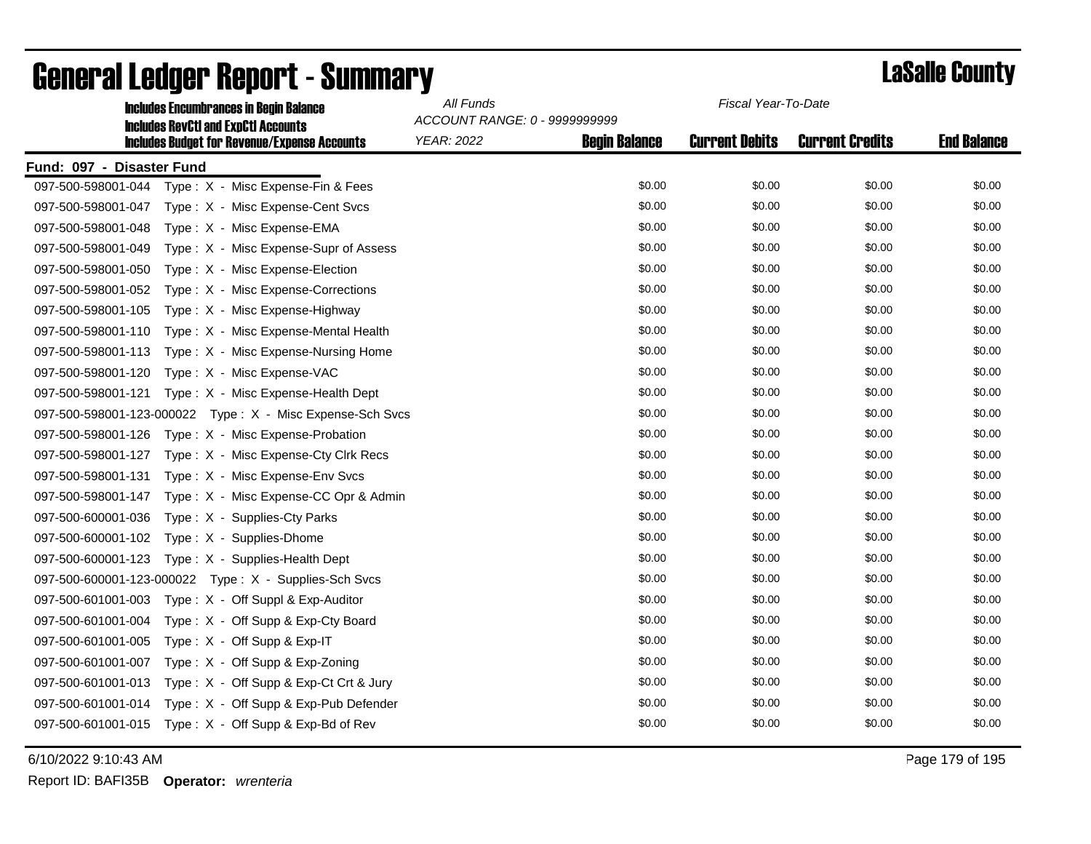| <b>Includes Encumbrances in Begin Balance</b><br><b>Includes RevCtI and ExpCtI Accounts</b> | All Funds<br>ACCOUNT RANGE: 0 - 9999999999 |                      | Fiscal Year-To-Date   |                        |                    |  |
|---------------------------------------------------------------------------------------------|--------------------------------------------|----------------------|-----------------------|------------------------|--------------------|--|
| <b>Includes Budget for Revenue/Expense Accounts</b>                                         | <b>YEAR: 2022</b>                          | <b>Begin Balance</b> | <b>Current Debits</b> | <b>Current Credits</b> | <b>End Balance</b> |  |
| Fund: 097 - Disaster Fund                                                                   |                                            |                      |                       |                        |                    |  |
| 097-500-598001-044<br>Type: X - Misc Expense-Fin & Fees                                     |                                            | \$0.00               | \$0.00                | \$0.00                 | \$0.00             |  |
| 097-500-598001-047<br>Type: X - Misc Expense-Cent Svcs                                      |                                            | \$0.00               | \$0.00                | \$0.00                 | \$0.00             |  |
| 097-500-598001-048<br>Type: X - Misc Expense-EMA                                            |                                            | \$0.00               | \$0.00                | \$0.00                 | \$0.00             |  |
| 097-500-598001-049<br>Type: X - Misc Expense-Supr of Assess                                 |                                            | \$0.00               | \$0.00                | \$0.00                 | \$0.00             |  |
| 097-500-598001-050<br>Type: X - Misc Expense-Election                                       |                                            | \$0.00               | \$0.00                | \$0.00                 | \$0.00             |  |
| 097-500-598001-052<br>Type: X - Misc Expense-Corrections                                    |                                            | \$0.00               | \$0.00                | \$0.00                 | \$0.00             |  |
| 097-500-598001-105<br>Type: X - Misc Expense-Highway                                        |                                            | \$0.00               | \$0.00                | \$0.00                 | \$0.00             |  |
| Type: X - Misc Expense-Mental Health<br>097-500-598001-110                                  |                                            | \$0.00               | \$0.00                | \$0.00                 | \$0.00             |  |
| 097-500-598001-113<br>Type: X - Misc Expense-Nursing Home                                   |                                            | \$0.00               | \$0.00                | \$0.00                 | \$0.00             |  |
| 097-500-598001-120<br>Type: X - Misc Expense-VAC                                            |                                            | \$0.00               | \$0.00                | \$0.00                 | \$0.00             |  |
|                                                                                             |                                            | \$0.00               | \$0.00                | \$0.00                 | \$0.00             |  |
| 097-500-598001-123-000022    Type: X - Misc Expense-Sch Svcs                                |                                            | \$0.00               | \$0.00                | \$0.00                 | \$0.00             |  |
| 097-500-598001-126    Type: X - Misc Expense-Probation                                      |                                            | \$0.00               | \$0.00                | \$0.00                 | \$0.00             |  |
| 097-500-598001-127<br>Type: X - Misc Expense-Cty Clrk Recs                                  |                                            | \$0.00               | \$0.00                | \$0.00                 | \$0.00             |  |
| 097-500-598001-131<br>Type: X - Misc Expense-Env Svcs                                       |                                            | \$0.00               | \$0.00                | \$0.00                 | \$0.00             |  |
| Type: X - Misc Expense-CC Opr & Admin<br>097-500-598001-147                                 |                                            | \$0.00               | \$0.00                | \$0.00                 | \$0.00             |  |
| 097-500-600001-036<br>Type: X - Supplies-Cty Parks                                          |                                            | \$0.00               | \$0.00                | \$0.00                 | \$0.00             |  |
| 097-500-600001-102<br>Type: X - Supplies-Dhome                                              |                                            | \$0.00               | \$0.00                | \$0.00                 | \$0.00             |  |
|                                                                                             |                                            | \$0.00               | \$0.00                | \$0.00                 | \$0.00             |  |
| 097-500-600001-123-000022 Type: X - Supplies-Sch Svcs                                       |                                            | \$0.00               | \$0.00                | \$0.00                 | \$0.00             |  |
| 097-500-601001-003<br>Type: X - Off Suppl & Exp-Auditor                                     |                                            | \$0.00               | \$0.00                | \$0.00                 | \$0.00             |  |
| 097-500-601001-004<br>Type: X - Off Supp & Exp-Cty Board                                    |                                            | \$0.00               | \$0.00                | \$0.00                 | \$0.00             |  |
| Type: X - Off Supp & Exp-IT<br>097-500-601001-005                                           |                                            | \$0.00               | \$0.00                | \$0.00                 | \$0.00             |  |
| 097-500-601001-007<br>Type: X - Off Supp & Exp-Zoning                                       |                                            | \$0.00               | \$0.00                | \$0.00                 | \$0.00             |  |
| Type: X - Off Supp & Exp-Ct Crt & Jury<br>097-500-601001-013                                |                                            | \$0.00               | \$0.00                | \$0.00                 | \$0.00             |  |
| Type: X - Off Supp & Exp-Pub Defender<br>097-500-601001-014                                 |                                            | \$0.00               | \$0.00                | \$0.00                 | \$0.00             |  |
| 097-500-601001-015    Type: X - Off Supp & Exp-Bd of Rev                                    |                                            | \$0.00               | \$0.00                | \$0.00                 | \$0.00             |  |

## General Ledger Report - Summary **Lassing County**

6/10/2022 9:10:43 AM Page 179 of 195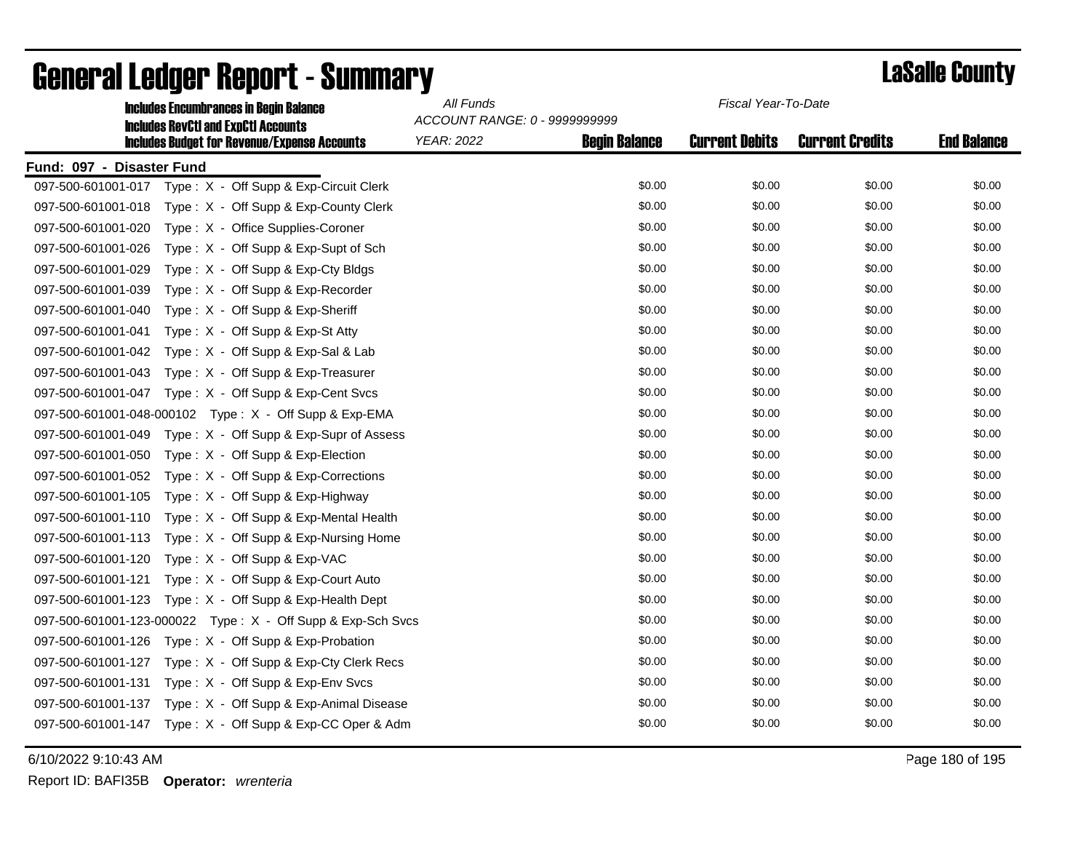| <b>Includes Encumbrances in Begin Balance</b><br><b>Includes RevCtI and ExpCtI Accounts</b> | All Funds<br>ACCOUNT RANGE: 0 - 9999999999 |                      | Fiscal Year-To-Date   |                        |                    |  |
|---------------------------------------------------------------------------------------------|--------------------------------------------|----------------------|-----------------------|------------------------|--------------------|--|
| <b>Includes Budget for Revenue/Expense Accounts</b>                                         | <b>YEAR: 2022</b>                          | <b>Begin Balance</b> | <b>Current Debits</b> | <b>Current Credits</b> | <b>End Balance</b> |  |
| Fund: 097 - Disaster Fund                                                                   |                                            |                      |                       |                        |                    |  |
| 097-500-601001-017<br>Type: X - Off Supp & Exp-Circuit Clerk                                |                                            | \$0.00               | \$0.00                | \$0.00                 | \$0.00             |  |
| 097-500-601001-018<br>Type: X - Off Supp & Exp-County Clerk                                 |                                            | \$0.00               | \$0.00                | \$0.00                 | \$0.00             |  |
| 097-500-601001-020<br>Type: X - Office Supplies-Coroner                                     |                                            | \$0.00               | \$0.00                | \$0.00                 | \$0.00             |  |
| 097-500-601001-026<br>Type: X - Off Supp & Exp-Supt of Sch                                  |                                            | \$0.00               | \$0.00                | \$0.00                 | \$0.00             |  |
| 097-500-601001-029<br>Type: X - Off Supp & Exp-Cty Bldgs                                    |                                            | \$0.00               | \$0.00                | \$0.00                 | \$0.00             |  |
| 097-500-601001-039<br>Type: X - Off Supp & Exp-Recorder                                     |                                            | \$0.00               | \$0.00                | \$0.00                 | \$0.00             |  |
| 097-500-601001-040<br>Type: X - Off Supp & Exp-Sheriff                                      |                                            | \$0.00               | \$0.00                | \$0.00                 | \$0.00             |  |
| Type: X - Off Supp & Exp-St Atty<br>097-500-601001-041                                      |                                            | \$0.00               | \$0.00                | \$0.00                 | \$0.00             |  |
| 097-500-601001-042<br>Type: X - Off Supp & Exp-Sal & Lab                                    |                                            | \$0.00               | \$0.00                | \$0.00                 | \$0.00             |  |
| 097-500-601001-043<br>Type: X - Off Supp & Exp-Treasurer                                    |                                            | \$0.00               | \$0.00                | \$0.00                 | \$0.00             |  |
| 097-500-601001-047<br>Type: X - Off Supp & Exp-Cent Svcs                                    |                                            | \$0.00               | \$0.00                | \$0.00                 | \$0.00             |  |
| 097-500-601001-048-000102 Type: X - Off Supp & Exp-EMA                                      |                                            | \$0.00               | \$0.00                | \$0.00                 | \$0.00             |  |
| 097-500-601001-049<br>Type: X - Off Supp & Exp-Supr of Assess                               |                                            | \$0.00               | \$0.00                | \$0.00                 | \$0.00             |  |
| 097-500-601001-050<br>Type: X - Off Supp & Exp-Election                                     |                                            | \$0.00               | \$0.00                | \$0.00                 | \$0.00             |  |
| 097-500-601001-052<br>Type : $X -$ Off Supp & Exp-Corrections                               |                                            | \$0.00               | \$0.00                | \$0.00                 | \$0.00             |  |
| Type: X - Off Supp & Exp-Highway<br>097-500-601001-105                                      |                                            | \$0.00               | \$0.00                | \$0.00                 | \$0.00             |  |
| 097-500-601001-110<br>Type: X - Off Supp & Exp-Mental Health                                |                                            | \$0.00               | \$0.00                | \$0.00                 | \$0.00             |  |
| 097-500-601001-113<br>Type: X - Off Supp & Exp-Nursing Home                                 |                                            | \$0.00               | \$0.00                | \$0.00                 | \$0.00             |  |
| 097-500-601001-120<br>$Type: X - Off Supp & Exp-VAC$                                        |                                            | \$0.00               | \$0.00                | \$0.00                 | \$0.00             |  |
| Type: X - Off Supp & Exp-Court Auto<br>097-500-601001-121                                   |                                            | \$0.00               | \$0.00                | \$0.00                 | \$0.00             |  |
| 097-500-601001-123<br>Type: X - Off Supp & Exp-Health Dept                                  |                                            | \$0.00               | \$0.00                | \$0.00                 | \$0.00             |  |
| 097-500-601001-123-000022    Type: X - Off Supp & Exp-Sch Svcs                              |                                            | \$0.00               | \$0.00                | \$0.00                 | \$0.00             |  |
| 097-500-601001-126<br>Type: X - Off Supp & Exp-Probation                                    |                                            | \$0.00               | \$0.00                | \$0.00                 | \$0.00             |  |
| 097-500-601001-127<br>Type: X - Off Supp & Exp-Cty Clerk Recs                               |                                            | \$0.00               | \$0.00                | \$0.00                 | \$0.00             |  |
| Type: X - Off Supp & Exp-Env Svcs<br>097-500-601001-131                                     |                                            | \$0.00               | \$0.00                | \$0.00                 | \$0.00             |  |
| Type: X - Off Supp & Exp-Animal Disease<br>097-500-601001-137                               |                                            | \$0.00               | \$0.00                | \$0.00                 | \$0.00             |  |
|                                                                                             |                                            | \$0.00               | \$0.00                | \$0.00                 | \$0.00             |  |

6/10/2022 9:10:43 AM Page 180 of 195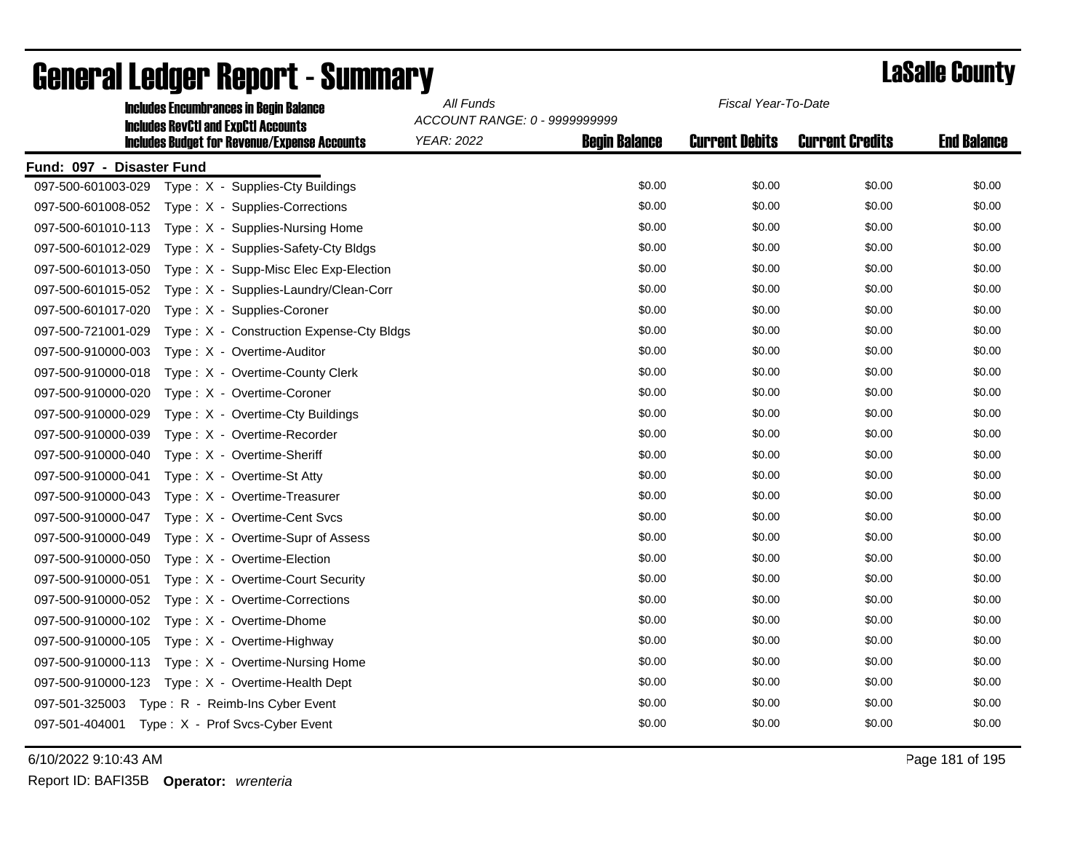| <b>Includes Encumbrances in Begin Balance</b>                                                     | All Funds<br>Fiscal Year-To-Date<br>ACCOUNT RANGE: 0 - 9999999999 |                      |                       |                        |                    |
|---------------------------------------------------------------------------------------------------|-------------------------------------------------------------------|----------------------|-----------------------|------------------------|--------------------|
| <b>Includes RevCtI and ExpCtI Accounts</b><br><b>Includes Budget for Revenue/Expense Accounts</b> | <b>YEAR: 2022</b>                                                 | <b>Begin Balance</b> | <b>Current Debits</b> | <b>Current Credits</b> | <b>End Balance</b> |
| Fund: 097 - Disaster Fund                                                                         |                                                                   |                      |                       |                        |                    |
| 097-500-601003-029<br>Type: X - Supplies-Cty Buildings                                            |                                                                   | \$0.00               | \$0.00                | \$0.00                 | \$0.00             |
| 097-500-601008-052<br>Type: X - Supplies-Corrections                                              |                                                                   | \$0.00               | \$0.00                | \$0.00                 | \$0.00             |
| 097-500-601010-113<br>Type: X - Supplies-Nursing Home                                             |                                                                   | \$0.00               | \$0.00                | \$0.00                 | \$0.00             |
| 097-500-601012-029<br>Type: X - Supplies-Safety-Cty Bldgs                                         |                                                                   | \$0.00               | \$0.00                | \$0.00                 | \$0.00             |
| 097-500-601013-050<br>Type: X - Supp-Misc Elec Exp-Election                                       |                                                                   | \$0.00               | \$0.00                | \$0.00                 | \$0.00             |
| 097-500-601015-052<br>Type: X - Supplies-Laundry/Clean-Corr                                       |                                                                   | \$0.00               | \$0.00                | \$0.00                 | \$0.00             |
| 097-500-601017-020<br>Type: X - Supplies-Coroner                                                  |                                                                   | \$0.00               | \$0.00                | \$0.00                 | \$0.00             |
| 097-500-721001-029<br>Type: X - Construction Expense-Cty Bldgs                                    |                                                                   | \$0.00               | \$0.00                | \$0.00                 | \$0.00             |
| 097-500-910000-003<br>Type: X - Overtime-Auditor                                                  |                                                                   | \$0.00               | \$0.00                | \$0.00                 | \$0.00             |
| 097-500-910000-018<br>Type: X - Overtime-County Clerk                                             |                                                                   | \$0.00               | \$0.00                | \$0.00                 | \$0.00             |
| Type: X - Overtime-Coroner<br>097-500-910000-020                                                  |                                                                   | \$0.00               | \$0.00                | \$0.00                 | \$0.00             |
| 097-500-910000-029<br>Type: X - Overtime-Cty Buildings                                            |                                                                   | \$0.00               | \$0.00                | \$0.00                 | \$0.00             |
| 097-500-910000-039<br>Type: X - Overtime-Recorder                                                 |                                                                   | \$0.00               | \$0.00                | \$0.00                 | \$0.00             |
| 097-500-910000-040<br>Type: X - Overtime-Sheriff                                                  |                                                                   | \$0.00               | \$0.00                | \$0.00                 | \$0.00             |
| Type: X - Overtime-St Atty<br>097-500-910000-041                                                  |                                                                   | \$0.00               | \$0.00                | \$0.00                 | \$0.00             |
| 097-500-910000-043<br>Type: X - Overtime-Treasurer                                                |                                                                   | \$0.00               | \$0.00                | \$0.00                 | \$0.00             |
| 097-500-910000-047<br>Type: X - Overtime-Cent Svcs                                                |                                                                   | \$0.00               | \$0.00                | \$0.00                 | \$0.00             |
| 097-500-910000-049<br>Type: X - Overtime-Supr of Assess                                           |                                                                   | \$0.00               | \$0.00                | \$0.00                 | \$0.00             |
| 097-500-910000-050<br>Type: X - Overtime-Election                                                 |                                                                   | \$0.00               | \$0.00                | \$0.00                 | \$0.00             |
| 097-500-910000-051<br>Type: X - Overtime-Court Security                                           |                                                                   | \$0.00               | \$0.00                | \$0.00                 | \$0.00             |
| Type: X - Overtime-Corrections<br>097-500-910000-052                                              |                                                                   | \$0.00               | \$0.00                | \$0.00                 | \$0.00             |
| Type: X - Overtime-Dhome<br>097-500-910000-102                                                    |                                                                   | \$0.00               | \$0.00                | \$0.00                 | \$0.00             |
| Type: X - Overtime-Highway<br>097-500-910000-105                                                  |                                                                   | \$0.00               | \$0.00                | \$0.00                 | \$0.00             |
| 097-500-910000-113<br>Type: X - Overtime-Nursing Home                                             |                                                                   | \$0.00               | \$0.00                | \$0.00                 | \$0.00             |
| 097-500-910000-123<br>Type: X - Overtime-Health Dept                                              |                                                                   | \$0.00               | \$0.00                | \$0.00                 | \$0.00             |
| 097-501-325003 Type: R - Reimb-Ins Cyber Event                                                    |                                                                   | \$0.00               | \$0.00                | \$0.00                 | \$0.00             |
| 097-501-404001 Type: X - Prof Svcs-Cyber Event                                                    |                                                                   | \$0.00               | \$0.00                | \$0.00                 | \$0.00             |

# General Ledger Report - Summary **Lassing Report - Summary**

6/10/2022 9:10:43 AM Page 181 of 195

Report ID: BAFI35B **Operator:** *wrenteria*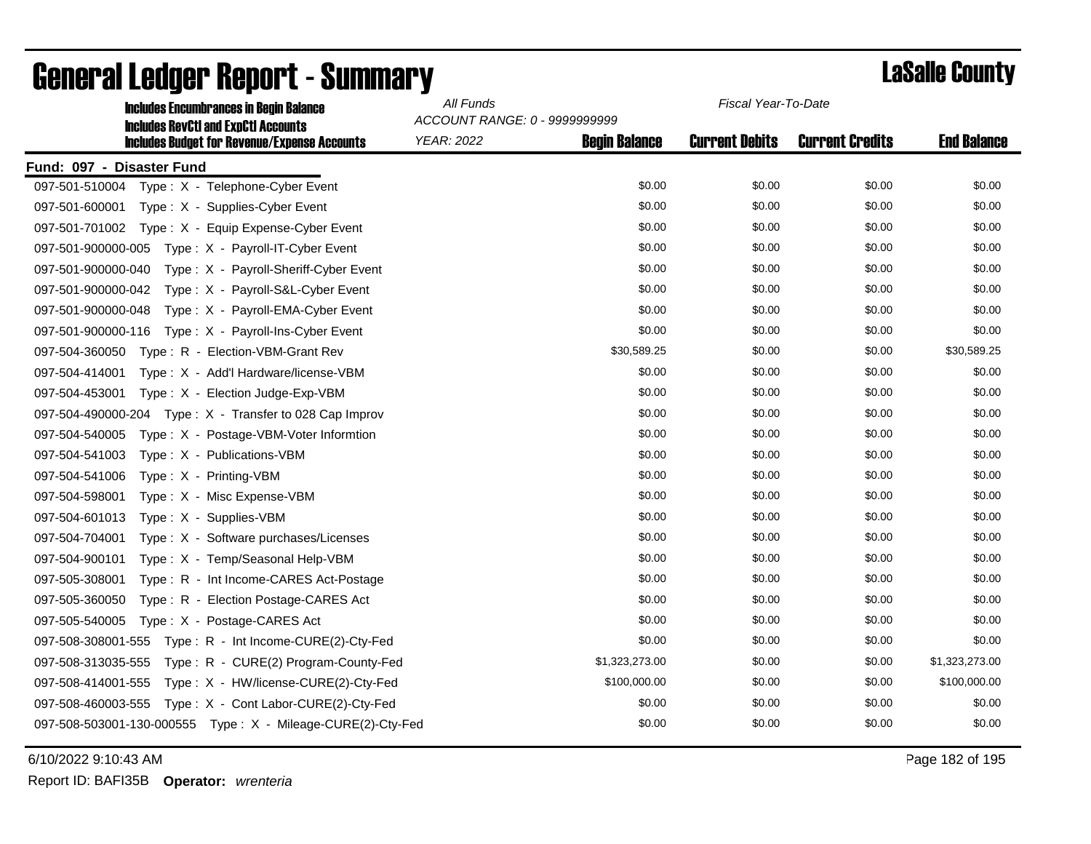| <b>Includes Encumbrances in Begin Balance</b><br><b>Includes RevCtI and ExpCtI Accounts</b> | All Funds         | Fiscal Year-To-Date<br>ACCOUNT RANGE: 0 - 9999999999 |                       |                        |                    |  |
|---------------------------------------------------------------------------------------------|-------------------|------------------------------------------------------|-----------------------|------------------------|--------------------|--|
| <b>Includes Budget for Revenue/Expense Accounts</b>                                         | <b>YEAR: 2022</b> | <b>Begin Balance</b>                                 | <b>Current Debits</b> | <b>Current Credits</b> | <b>End Balance</b> |  |
| Fund: 097 - Disaster Fund                                                                   |                   |                                                      |                       |                        |                    |  |
| Type: X - Telephone-Cyber Event<br>097-501-510004                                           |                   | \$0.00                                               | \$0.00                | \$0.00                 | \$0.00             |  |
| 097-501-600001<br>Type: X - Supplies-Cyber Event                                            |                   | \$0.00                                               | \$0.00                | \$0.00                 | \$0.00             |  |
| 097-501-701002 Type: X - Equip Expense-Cyber Event                                          |                   | \$0.00                                               | \$0.00                | \$0.00                 | \$0.00             |  |
| 097-501-900000-005    Type: X - Payroll-IT-Cyber Event                                      |                   | \$0.00                                               | \$0.00                | \$0.00                 | \$0.00             |  |
| 097-501-900000-040<br>Type: X - Payroll-Sheriff-Cyber Event                                 |                   | \$0.00                                               | \$0.00                | \$0.00                 | \$0.00             |  |
| 097-501-900000-042<br>Type: X - Payroll-S&L-Cyber Event                                     |                   | \$0.00                                               | \$0.00                | \$0.00                 | \$0.00             |  |
| Type: X - Payroll-EMA-Cyber Event<br>097-501-900000-048                                     |                   | \$0.00                                               | \$0.00                | \$0.00                 | \$0.00             |  |
| 097-501-900000-116    Type: X - Payroll-Ins-Cyber Event                                     |                   | \$0.00                                               | \$0.00                | \$0.00                 | \$0.00             |  |
| 097-504-360050 Type: R - Election-VBM-Grant Rev                                             |                   | \$30,589.25                                          | \$0.00                | \$0.00                 | \$30,589.25        |  |
| Type: X - Add'l Hardware/license-VBM<br>097-504-414001                                      |                   | \$0.00                                               | \$0.00                | \$0.00                 | \$0.00             |  |
| 097-504-453001<br>Type: X - Election Judge-Exp-VBM                                          |                   | \$0.00                                               | \$0.00                | \$0.00                 | \$0.00             |  |
| 097-504-490000-204    Type: X - Transfer to 028 Cap Improv                                  |                   | \$0.00                                               | \$0.00                | \$0.00                 | \$0.00             |  |
| Type: X - Postage-VBM-Voter Informtion<br>097-504-540005                                    |                   | \$0.00                                               | \$0.00                | \$0.00                 | \$0.00             |  |
| 097-504-541003<br>Type: X - Publications-VBM                                                |                   | \$0.00                                               | \$0.00                | \$0.00                 | \$0.00             |  |
| 097-504-541006<br>Type: X - Printing-VBM                                                    |                   | \$0.00                                               | \$0.00                | \$0.00                 | \$0.00             |  |
| 097-504-598001<br>Type: X - Misc Expense-VBM                                                |                   | \$0.00                                               | \$0.00                | \$0.00                 | \$0.00             |  |
| 097-504-601013<br>Type: X - Supplies-VBM                                                    |                   | \$0.00                                               | \$0.00                | \$0.00                 | \$0.00             |  |
| 097-504-704001<br>Type: X - Software purchases/Licenses                                     |                   | \$0.00                                               | \$0.00                | \$0.00                 | \$0.00             |  |
| 097-504-900101<br>Type: X - Temp/Seasonal Help-VBM                                          |                   | \$0.00                                               | \$0.00                | \$0.00                 | \$0.00             |  |
| 097-505-308001<br>Type: R - Int Income-CARES Act-Postage                                    |                   | \$0.00                                               | \$0.00                | \$0.00                 | \$0.00             |  |
| 097-505-360050<br>Type: R - Election Postage-CARES Act                                      |                   | \$0.00                                               | \$0.00                | \$0.00                 | \$0.00             |  |
| 097-505-540005<br>Type: X - Postage-CARES Act                                               |                   | \$0.00                                               | \$0.00                | \$0.00                 | \$0.00             |  |
|                                                                                             |                   | \$0.00                                               | \$0.00                | \$0.00                 | \$0.00             |  |
| Type: R - CURE(2) Program-County-Fed<br>097-508-313035-555                                  |                   | \$1,323,273.00                                       | \$0.00                | \$0.00                 | \$1,323,273.00     |  |
|                                                                                             |                   | \$100,000.00                                         | \$0.00                | \$0.00                 | \$100,000.00       |  |
|                                                                                             |                   | \$0.00                                               | \$0.00                | \$0.00                 | \$0.00             |  |
| 097-508-503001-130-000555    Type: X - Mileage-CURE(2)-Cty-Fed                              |                   | \$0.00                                               | \$0.00                | \$0.00                 | \$0.00             |  |

## General Ledger Report - Summary **Lassing Service Report - Summary**

6/10/2022 9:10:43 AM Page 182 of 195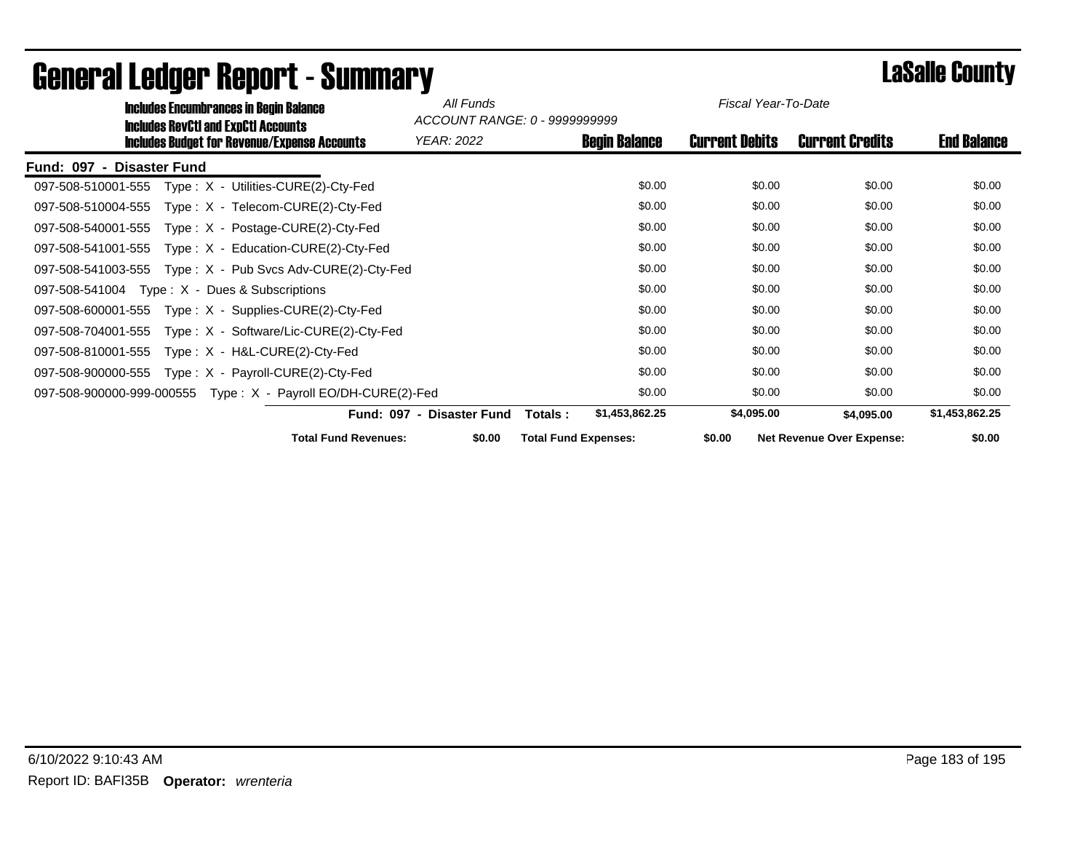| <b>Includes Encumbrances in Begin Balance</b>                    | All Funds            |                               | Fiscal Year-To-Date   |                           |                    |
|------------------------------------------------------------------|----------------------|-------------------------------|-----------------------|---------------------------|--------------------|
| <b>Includes RevCtI and ExpCtI Accounts</b>                       |                      | ACCOUNT RANGE: 0 - 9999999999 |                       |                           |                    |
| <b>Includes Budget for Revenue/Expense Accounts</b>              | <b>YEAR: 2022</b>    | <b>Begin Balance</b>          | <b>Current Debits</b> | <b>Current Credits</b>    | <b>End Balance</b> |
| Fund: 097 - Disaster Fund                                        |                      |                               |                       |                           |                    |
| Type: X - Utilities-CURE(2)-Cty-Fed<br>097-508-510001-555        |                      | \$0.00                        | \$0.00                | \$0.00                    | \$0.00             |
| Type: X - Telecom-CURE(2)-Cty-Fed<br>097-508-510004-555          |                      | \$0.00                        | \$0.00                | \$0.00                    | \$0.00             |
| Type: $X - Postage-CURE(2)-Cty-Fed$<br>097-508-540001-555        |                      | \$0.00                        | \$0.00                | \$0.00                    | \$0.00             |
| Type: X - Education-CURE(2)-Cty-Fed<br>097-508-541001-555        |                      | \$0.00                        | \$0.00                | \$0.00                    | \$0.00             |
|                                                                  |                      | \$0.00                        | \$0.00                | \$0.00                    | \$0.00             |
| 097-508-541004 Type: X - Dues & Subscriptions                    |                      | \$0.00                        | \$0.00                | \$0.00                    | \$0.00             |
| Type: $X -$ Supplies-CURE(2)-Cty-Fed<br>097-508-600001-555       |                      | \$0.00                        | \$0.00                | \$0.00                    | \$0.00             |
| Type: $X - Software/Lic-CURE(2)-Cty-Fed$<br>097-508-704001-555   |                      | \$0.00                        | \$0.00                | \$0.00                    | \$0.00             |
|                                                                  |                      | \$0.00                        | \$0.00                | \$0.00                    | \$0.00             |
|                                                                  |                      | \$0.00                        | \$0.00                | \$0.00                    | \$0.00             |
| 097-508-900000-999-000555    Type: X - Payroll EO/DH-CURE(2)-Fed |                      | \$0.00                        | \$0.00                | \$0.00                    | \$0.00             |
| <b>Fund: 097 -</b>                                               | <b>Disaster Fund</b> | \$1,453,862.25<br>Totals:     | \$4,095.00            | \$4,095.00                | \$1,453,862.25     |
| <b>Total Fund Revenues:</b>                                      | \$0.00               | <b>Total Fund Expenses:</b>   | \$0.00                | Net Revenue Over Expense: | \$0.00             |

## General Ledger Report - Summary **Lassing County**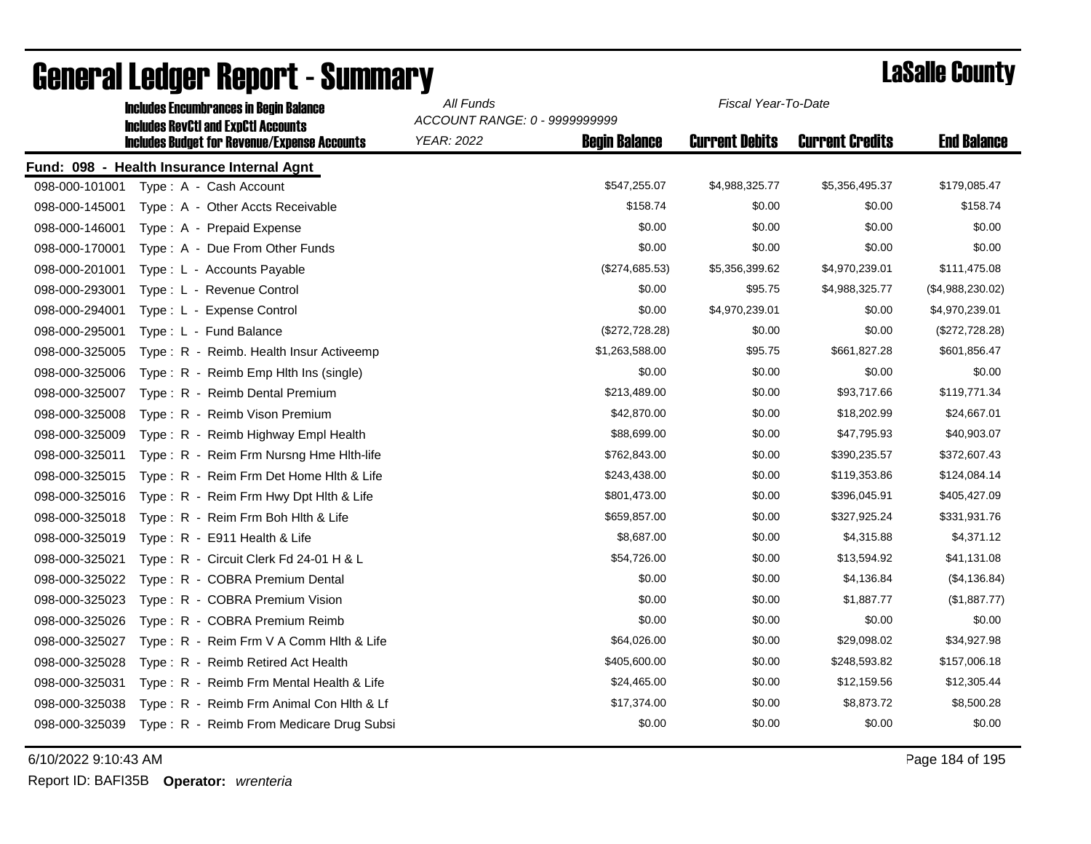| <b>Includes Encumbrances in Begin Balance</b> |                                                     | All Funds<br>Fiscal Year-To-Date |                      |                       |                        |                    |
|-----------------------------------------------|-----------------------------------------------------|----------------------------------|----------------------|-----------------------|------------------------|--------------------|
|                                               | <b>Includes RevCtI and ExpCtI Accounts</b>          | ACCOUNT RANGE: 0 - 9999999999    |                      |                       |                        |                    |
|                                               | <b>Includes Budget for Revenue/Expense Accounts</b> | <b>YEAR: 2022</b>                | <b>Begin Balance</b> | <b>Current Debits</b> | <b>Current Credits</b> | <b>End Balance</b> |
|                                               | Fund: 098 - Health Insurance Internal Agnt          |                                  |                      |                       |                        |                    |
| 098-000-101001                                | Type: A - Cash Account                              |                                  | \$547,255.07         | \$4,988,325.77        | \$5,356,495.37         | \$179,085.47       |
| 098-000-145001                                | Type: A - Other Accts Receivable                    |                                  | \$158.74             | \$0.00                | \$0.00                 | \$158.74           |
| 098-000-146001                                | Type: A - Prepaid Expense                           |                                  | \$0.00               | \$0.00                | \$0.00                 | \$0.00             |
| 098-000-170001                                | Type: A - Due From Other Funds                      |                                  | \$0.00               | \$0.00                | \$0.00                 | \$0.00             |
| 098-000-201001                                | Type: L - Accounts Payable                          |                                  | (\$274,685.53)       | \$5,356,399.62        | \$4,970,239.01         | \$111,475.08       |
| 098-000-293001                                | Type: L - Revenue Control                           |                                  | \$0.00               | \$95.75               | \$4,988,325.77         | (\$4,988,230.02)   |
| 098-000-294001                                | Type: L - Expense Control                           |                                  | \$0.00               | \$4,970,239.01        | \$0.00                 | \$4,970,239.01     |
| 098-000-295001                                | Type: L - Fund Balance                              |                                  | (\$272,728.28)       | \$0.00                | \$0.00                 | (\$272,728.28)     |
| 098-000-325005                                | Type: R - Reimb. Health Insur Activeemp             |                                  | \$1,263,588.00       | \$95.75               | \$661,827.28           | \$601,856.47       |
| 098-000-325006                                | Type: R - Reimb Emp Hith Ins (single)               |                                  | \$0.00               | \$0.00                | \$0.00                 | \$0.00             |
| 098-000-325007                                | Type: R - Reimb Dental Premium                      |                                  | \$213,489.00         | \$0.00                | \$93,717.66            | \$119,771.34       |
| 098-000-325008                                | Type: R - Reimb Vison Premium                       |                                  | \$42,870.00          | \$0.00                | \$18,202.99            | \$24,667.01        |
| 098-000-325009                                | Type: R - Reimb Highway Empl Health                 |                                  | \$88,699.00          | \$0.00                | \$47,795.93            | \$40,903.07        |
| 098-000-325011                                | Type: R - Reim Frm Nursng Hme Hith-life             |                                  | \$762,843.00         | \$0.00                | \$390,235.57           | \$372,607.43       |
| 098-000-325015                                | Type: R - Reim Frm Det Home Hlth & Life             |                                  | \$243,438.00         | \$0.00                | \$119,353.86           | \$124,084.14       |
| 098-000-325016                                | Type: R - Reim Frm Hwy Dpt Hith & Life              |                                  | \$801,473.00         | \$0.00                | \$396,045.91           | \$405,427.09       |
| 098-000-325018                                | Type: R - Reim Frm Boh Hlth & Life                  |                                  | \$659,857.00         | \$0.00                | \$327,925.24           | \$331,931.76       |
| 098-000-325019                                | Type: R - E911 Health & Life                        |                                  | \$8,687.00           | \$0.00                | \$4,315.88             | \$4,371.12         |
| 098-000-325021                                | Type: R - Circuit Clerk Fd 24-01 H & L              |                                  | \$54,726.00          | \$0.00                | \$13,594.92            | \$41,131.08        |
| 098-000-325022                                | Type: R - COBRA Premium Dental                      |                                  | \$0.00               | \$0.00                | \$4,136.84             | (\$4,136.84)       |
| 098-000-325023                                | Type: R - COBRA Premium Vision                      |                                  | \$0.00               | \$0.00                | \$1,887.77             | (\$1,887.77)       |
| 098-000-325026                                | Type: R - COBRA Premium Reimb                       |                                  | \$0.00               | \$0.00                | \$0.00                 | \$0.00             |
| 098-000-325027                                | Type: R - Reim Frm V A Comm Hlth & Life             |                                  | \$64,026.00          | \$0.00                | \$29,098.02            | \$34,927.98        |
| 098-000-325028                                | Type: R - Reimb Retired Act Health                  |                                  | \$405,600.00         | \$0.00                | \$248,593.82           | \$157,006.18       |
| 098-000-325031                                | Type: R - Reimb Frm Mental Health & Life            |                                  | \$24,465.00          | \$0.00                | \$12,159.56            | \$12,305.44        |
| 098-000-325038                                | Type: R - Reimb Frm Animal Con Hlth & Lf            |                                  | \$17,374.00          | \$0.00                | \$8,873.72             | \$8,500.28         |
| 098-000-325039                                | Type: R - Reimb From Medicare Drug Subsi            |                                  | \$0.00               | \$0.00                | \$0.00                 | \$0.00             |
|                                               |                                                     |                                  |                      |                       |                        |                    |

## General Ledger Report - Summary LaSalle County

6/10/2022 9:10:43 AM Page 184 of 195

Report ID: BAFI35B **Operator:** *wrenteria*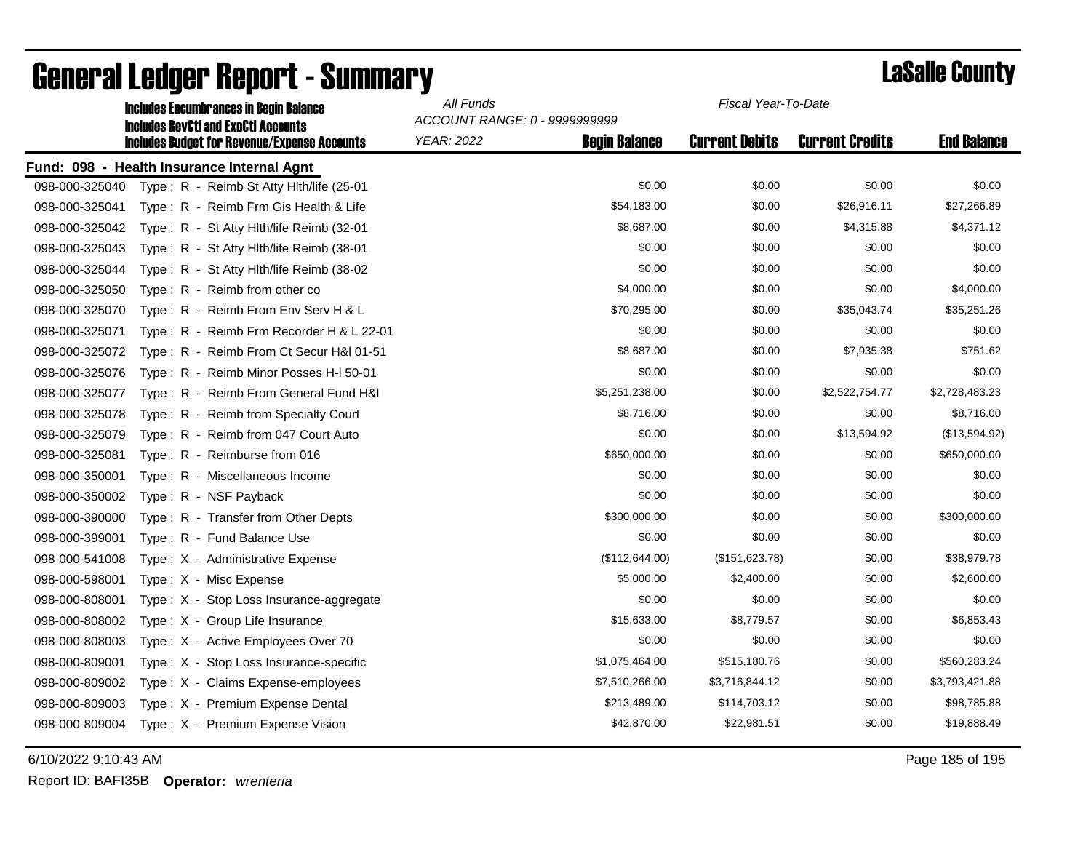| <b>Includes Encumbrances in Begin Balance</b> |                                                                                                   | All Funds<br>Fiscal Year-To-Date<br>ACCOUNT RANGE: 0 - 9999999999 |                       |                        |                    |  |
|-----------------------------------------------|---------------------------------------------------------------------------------------------------|-------------------------------------------------------------------|-----------------------|------------------------|--------------------|--|
|                                               | <b>Includes RevCtI and ExpCtI Accounts</b><br><b>Includes Budget for Revenue/Expense Accounts</b> | <b>YEAR: 2022</b><br><b>Begin Balance</b>                         | <b>Current Debits</b> | <b>Current Credits</b> | <b>End Balance</b> |  |
|                                               | Fund: 098 - Health Insurance Internal Agnt                                                        |                                                                   |                       |                        |                    |  |
| 098-000-325040                                | Type: R - Reimb St Atty Hlth/life (25-01                                                          | \$0.00                                                            | \$0.00                | \$0.00                 | \$0.00             |  |
| 098-000-325041                                | Type: R - Reimb Frm Gis Health & Life                                                             | \$54,183.00                                                       | \$0.00                | \$26,916.11            | \$27,266.89        |  |
| 098-000-325042                                | Type: R - St Atty Hith/life Reimb (32-01)                                                         | \$8,687.00                                                        | \$0.00                | \$4,315.88             | \$4,371.12         |  |
| 098-000-325043                                | Type: R - St Atty Hith/life Reimb (38-01                                                          | \$0.00                                                            | \$0.00                | \$0.00                 | \$0.00             |  |
| 098-000-325044                                | Type: R - St Atty Hith/life Reimb (38-02)                                                         | \$0.00                                                            | \$0.00                | \$0.00                 | \$0.00             |  |
| 098-000-325050                                | Type: R - Reimb from other co                                                                     | \$4,000.00                                                        | \$0.00                | \$0.00                 | \$4,000.00         |  |
| 098-000-325070                                | Type: R - Reimb From Env Serv H & L                                                               | \$70,295.00                                                       | \$0.00                | \$35,043.74            | \$35,251.26        |  |
| 098-000-325071                                | Type: R - Reimb Frm Recorder H & L 22-01                                                          | \$0.00                                                            | \$0.00                | \$0.00                 | \$0.00             |  |
| 098-000-325072                                | Type: R - Reimb From Ct Secur H&I 01-51                                                           | \$8,687.00                                                        | \$0.00                | \$7,935.38             | \$751.62           |  |
| 098-000-325076                                | Type: R - Reimb Minor Posses H-I 50-01                                                            | \$0.00                                                            | \$0.00                | \$0.00                 | \$0.00             |  |
| 098-000-325077                                | Type: R - Reimb From General Fund H&I                                                             | \$5,251,238.00                                                    | \$0.00                | \$2,522,754.77         | \$2,728,483.23     |  |
| 098-000-325078                                | Type: R - Reimb from Specialty Court                                                              | \$8,716.00                                                        | \$0.00                | \$0.00                 | \$8,716.00         |  |
| 098-000-325079                                | Type: R - Reimb from 047 Court Auto                                                               | \$0.00                                                            | \$0.00                | \$13,594.92            | (\$13,594.92)      |  |
| 098-000-325081                                | Type: R - Reimburse from 016                                                                      | \$650,000.00                                                      | \$0.00                | \$0.00                 | \$650,000.00       |  |
| 098-000-350001                                | Type: R - Miscellaneous Income                                                                    | \$0.00                                                            | \$0.00                | \$0.00                 | \$0.00             |  |
| 098-000-350002                                | Type: R - NSF Payback                                                                             | \$0.00                                                            | \$0.00                | \$0.00                 | \$0.00             |  |
| 098-000-390000                                | Type: R - Transfer from Other Depts                                                               | \$300,000.00                                                      | \$0.00                | \$0.00                 | \$300,000.00       |  |
| 098-000-399001                                | Type: R - Fund Balance Use                                                                        | \$0.00                                                            | \$0.00                | \$0.00                 | \$0.00             |  |
| 098-000-541008                                | Type: X - Administrative Expense                                                                  | (\$112,644.00)                                                    | (\$151,623.78)        | \$0.00                 | \$38,979.78        |  |
| 098-000-598001                                | Type: X - Misc Expense                                                                            | \$5,000.00                                                        | \$2,400.00            | \$0.00                 | \$2,600.00         |  |
| 098-000-808001                                | Type: X - Stop Loss Insurance-aggregate                                                           | \$0.00                                                            | \$0.00                | \$0.00                 | \$0.00             |  |
| 098-000-808002                                | Type: X - Group Life Insurance                                                                    | \$15,633.00                                                       | \$8,779.57            | \$0.00                 | \$6,853.43         |  |
| 098-000-808003                                | Type: X - Active Employees Over 70                                                                | \$0.00                                                            | \$0.00                | \$0.00                 | \$0.00             |  |
| 098-000-809001                                | Type: X - Stop Loss Insurance-specific                                                            | \$1,075,464.00                                                    | \$515,180.76          | \$0.00                 | \$560,283.24       |  |
| 098-000-809002                                | Type: X - Claims Expense-employees                                                                | \$7,510,266.00                                                    | \$3,716,844.12        | \$0.00                 | \$3,793,421.88     |  |
| 098-000-809003                                | Type: X - Premium Expense Dental                                                                  | \$213,489.00                                                      | \$114,703.12          | \$0.00                 | \$98,785.88        |  |
| 098-000-809004                                | Type: X - Premium Expense Vision                                                                  | \$42,870.00                                                       | \$22,981.51           | \$0.00                 | \$19,888.49        |  |
|                                               |                                                                                                   |                                                                   |                       |                        |                    |  |

6/10/2022 9:10:43 AM Page 185 of 195

Report ID: BAFI35B **Operator:** *wrenteria*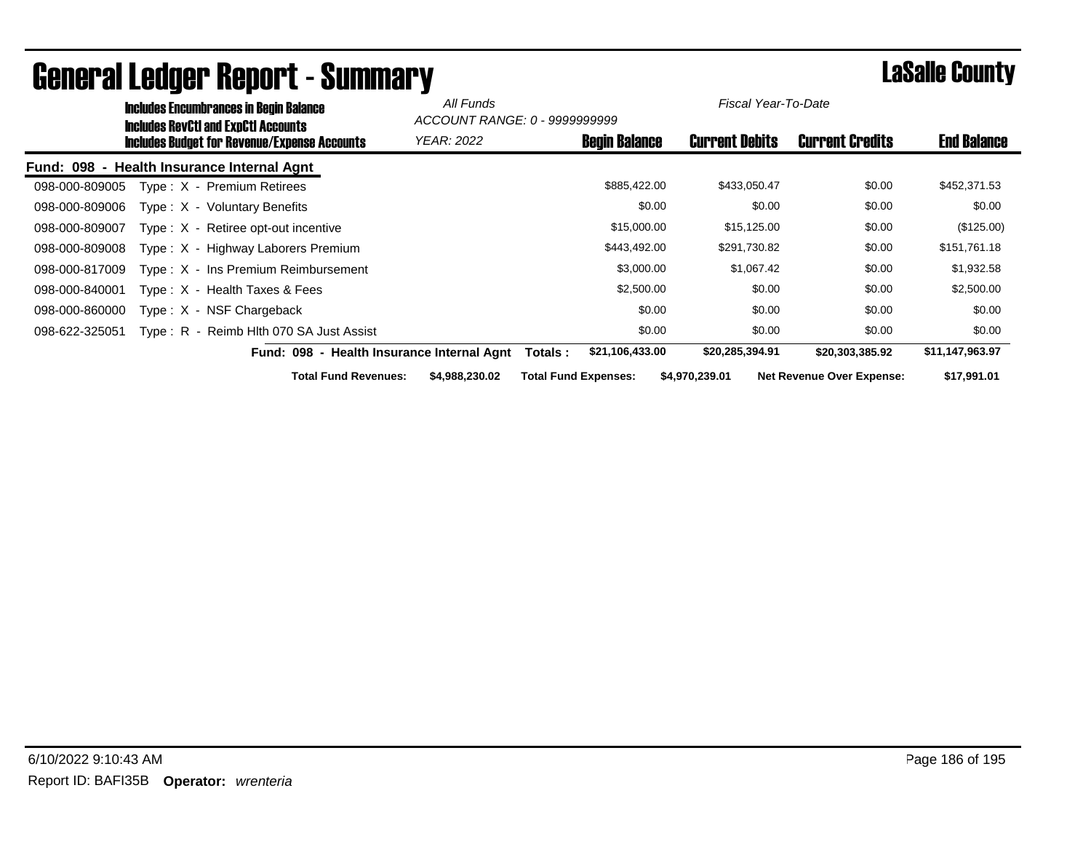| <b>Includes Encumbrances in Begin Balance</b><br>Includes RevCtI and ExpCtI Accounts |                                                     | All Funds      | ACCOUNT RANGE: 0 - 9999999999 | Fiscal Year-To-Date   |                                  |                    |
|--------------------------------------------------------------------------------------|-----------------------------------------------------|----------------|-------------------------------|-----------------------|----------------------------------|--------------------|
|                                                                                      | <b>Includes Budget for Revenue/Expense Accounts</b> | YEAR: 2022     | <b>Begin Balance</b>          | <b>Current Debits</b> | <b>Current Credits</b>           | <b>End Balance</b> |
|                                                                                      | Fund: 098 - Health Insurance Internal Agnt          |                |                               |                       |                                  |                    |
| 098-000-809005                                                                       | Type: X - Premium Retirees                          |                | \$885,422.00                  | \$433,050.47          | \$0.00                           | \$452,371.53       |
| 098-000-809006                                                                       | Type: X - Voluntary Benefits                        |                | \$0.00                        | \$0.00                | \$0.00                           | \$0.00             |
| 098-000-809007                                                                       | Type $: X -$ Retiree opt-out incentive              |                | \$15,000.00                   | \$15,125.00           | \$0.00                           | (\$125.00)         |
| 098-000-809008                                                                       | Type: X - Highway Laborers Premium                  |                | \$443,492.00                  | \$291,730.82          | \$0.00                           | \$151,761.18       |
| 098-000-817009                                                                       | Type: X - Ins Premium Reimbursement                 |                | \$3,000.00                    | \$1,067.42            | \$0.00                           | \$1,932.58         |
| 098-000-840001                                                                       | Type: X - Health Taxes & Fees                       |                | \$2,500.00                    | \$0.00                | \$0.00                           | \$2,500.00         |
| 098-000-860000                                                                       | Type: X - NSF Chargeback                            |                | \$0.00                        | \$0.00                | \$0.00                           | \$0.00             |
| 098-622-325051                                                                       | Type: R - Reimb Hlth 070 SA Just Assist             |                | \$0.00                        | \$0.00                | \$0.00                           | \$0.00             |
|                                                                                      | Fund: 098 - Health Insurance Internal Agnt          |                | \$21,106,433.00<br>Totals:    | \$20,285,394.91       | \$20,303,385.92                  | \$11,147,963.97    |
|                                                                                      | <b>Total Fund Revenues:</b>                         | \$4,988,230.02 | <b>Total Fund Expenses:</b>   | \$4,970,239.01        | <b>Net Revenue Over Expense:</b> | \$17,991.01        |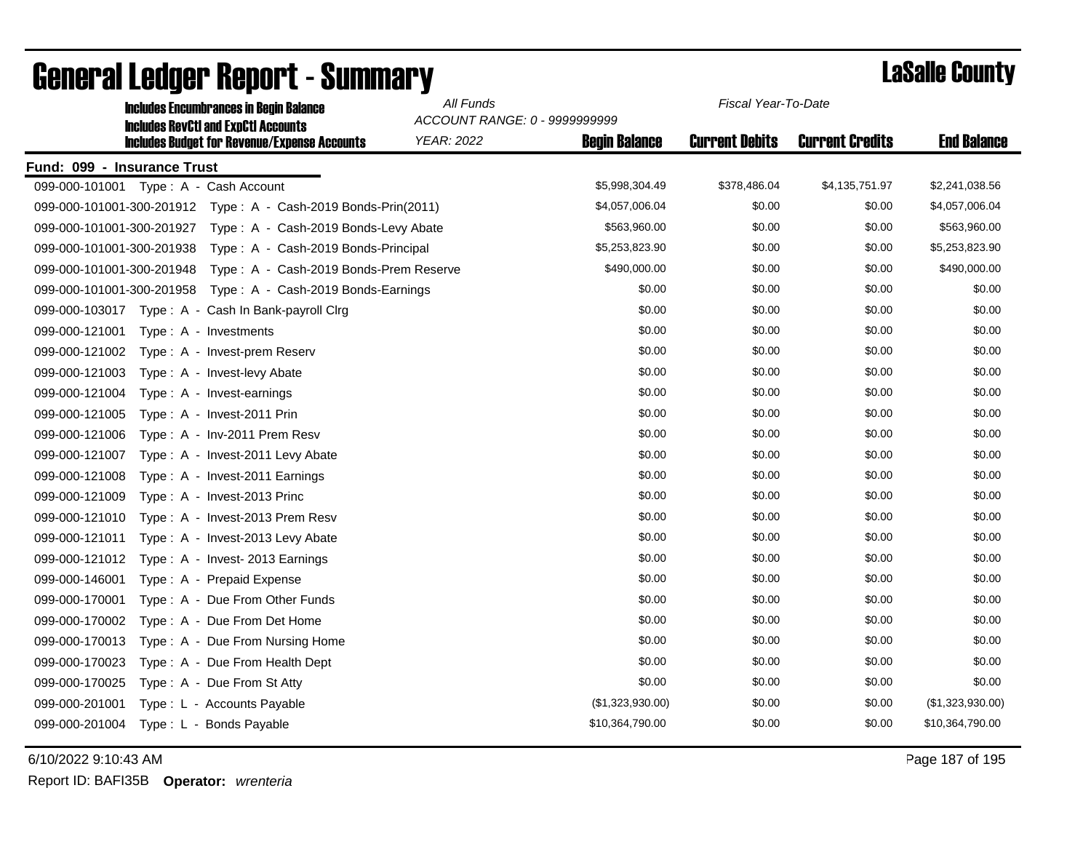| <b>Includes Encumbrances in Begin Balance</b>                                                     | All Funds<br>Fiscal Year-To-Date<br>ACCOUNT RANGE: 0 - 9999999999 |                      |                       |                        |                    |
|---------------------------------------------------------------------------------------------------|-------------------------------------------------------------------|----------------------|-----------------------|------------------------|--------------------|
| <b>Includes RevCtI and ExpCtI Accounts</b><br><b>Includes Budget for Revenue/Expense Accounts</b> | <b>YEAR: 2022</b>                                                 | <b>Begin Balance</b> | <b>Current Debits</b> | <b>Current Credits</b> | <b>End Balance</b> |
| Fund: 099 - Insurance Trust                                                                       |                                                                   |                      |                       |                        |                    |
| 099-000-101001 Type: A - Cash Account                                                             |                                                                   | \$5,998,304.49       | \$378,486.04          | \$4,135,751.97         | \$2,241,038.56     |
| 099-000-101001-300-201912 Type: A - Cash-2019 Bonds-Prin(2011)                                    |                                                                   | \$4,057,006.04       | \$0.00                | \$0.00                 | \$4,057,006.04     |
| 099-000-101001-300-201927<br>Type: A - Cash-2019 Bonds-Levy Abate                                 |                                                                   | \$563,960.00         | \$0.00                | \$0.00                 | \$563,960.00       |
| 099-000-101001-300-201938<br>Type: A - Cash-2019 Bonds-Principal                                  |                                                                   | \$5,253,823.90       | \$0.00                | \$0.00                 | \$5,253,823.90     |
| 099-000-101001-300-201948<br>Type: A - Cash-2019 Bonds-Prem Reserve                               |                                                                   | \$490,000.00         | \$0.00                | \$0.00                 | \$490,000.00       |
| Type: A - Cash-2019 Bonds-Earnings<br>099-000-101001-300-201958                                   |                                                                   | \$0.00               | \$0.00                | \$0.00                 | \$0.00             |
| 099-000-103017 Type: A - Cash In Bank-payroll Cirg                                                |                                                                   | \$0.00               | \$0.00                | \$0.00                 | \$0.00             |
| 099-000-121001<br>Type: A - Investments                                                           |                                                                   | \$0.00               | \$0.00                | \$0.00                 | \$0.00             |
| 099-000-121002<br>Type: A - Invest-prem Reserv                                                    |                                                                   | \$0.00               | \$0.00                | \$0.00                 | \$0.00             |
| 099-000-121003<br>Type: A - Invest-levy Abate                                                     |                                                                   | \$0.00               | \$0.00                | \$0.00                 | \$0.00             |
| 099-000-121004<br>Type: A - Invest-earnings                                                       |                                                                   | \$0.00               | \$0.00                | \$0.00                 | \$0.00             |
| 099-000-121005<br>Type: A - Invest-2011 Prin                                                      |                                                                   | \$0.00               | \$0.00                | \$0.00                 | \$0.00             |
| 099-000-121006<br>Type: A - Inv-2011 Prem Resv                                                    |                                                                   | \$0.00               | \$0.00                | \$0.00                 | \$0.00             |
| 099-000-121007<br>Type: A - Invest-2011 Levy Abate                                                |                                                                   | \$0.00               | \$0.00                | \$0.00                 | \$0.00             |
| 099-000-121008<br>Type: A - Invest-2011 Earnings                                                  |                                                                   | \$0.00               | \$0.00                | \$0.00                 | \$0.00             |
| 099-000-121009<br>Type: A - Invest-2013 Princ                                                     |                                                                   | \$0.00               | \$0.00                | \$0.00                 | \$0.00             |
| 099-000-121010<br>Type: A - Invest-2013 Prem Resv                                                 |                                                                   | \$0.00               | \$0.00                | \$0.00                 | \$0.00             |
| 099-000-121011<br>Type: A - Invest-2013 Levy Abate                                                |                                                                   | \$0.00               | \$0.00                | \$0.00                 | \$0.00             |
| 099-000-121012<br>Type: A - Invest-2013 Earnings                                                  |                                                                   | \$0.00               | \$0.00                | \$0.00                 | \$0.00             |
| 099-000-146001<br>Type: A - Prepaid Expense                                                       |                                                                   | \$0.00               | \$0.00                | \$0.00                 | \$0.00             |
| Type: A - Due From Other Funds<br>099-000-170001                                                  |                                                                   | \$0.00               | \$0.00                | \$0.00                 | \$0.00             |
| 099-000-170002<br>Type: A - Due From Det Home                                                     |                                                                   | \$0.00               | \$0.00                | \$0.00                 | \$0.00             |
| 099-000-170013<br>Type: A - Due From Nursing Home                                                 |                                                                   | \$0.00               | \$0.00                | \$0.00                 | \$0.00             |
| 099-000-170023<br>Type: A - Due From Health Dept                                                  |                                                                   | \$0.00               | \$0.00                | \$0.00                 | \$0.00             |
| 099-000-170025<br>Type: A - Due From St Atty                                                      |                                                                   | \$0.00               | \$0.00                | \$0.00                 | \$0.00             |
| 099-000-201001<br>Type: L - Accounts Payable                                                      |                                                                   | (\$1,323,930.00)     | \$0.00                | \$0.00                 | (\$1,323,930.00)   |
| 099-000-201004<br>Type: L - Bonds Payable                                                         |                                                                   | \$10,364,790.00      | \$0.00                | \$0.00                 | \$10,364,790.00    |

6/10/2022 9:10:43 AM Page 187 of 195

Report ID: BAFI35B **Operator:** *wrenteria*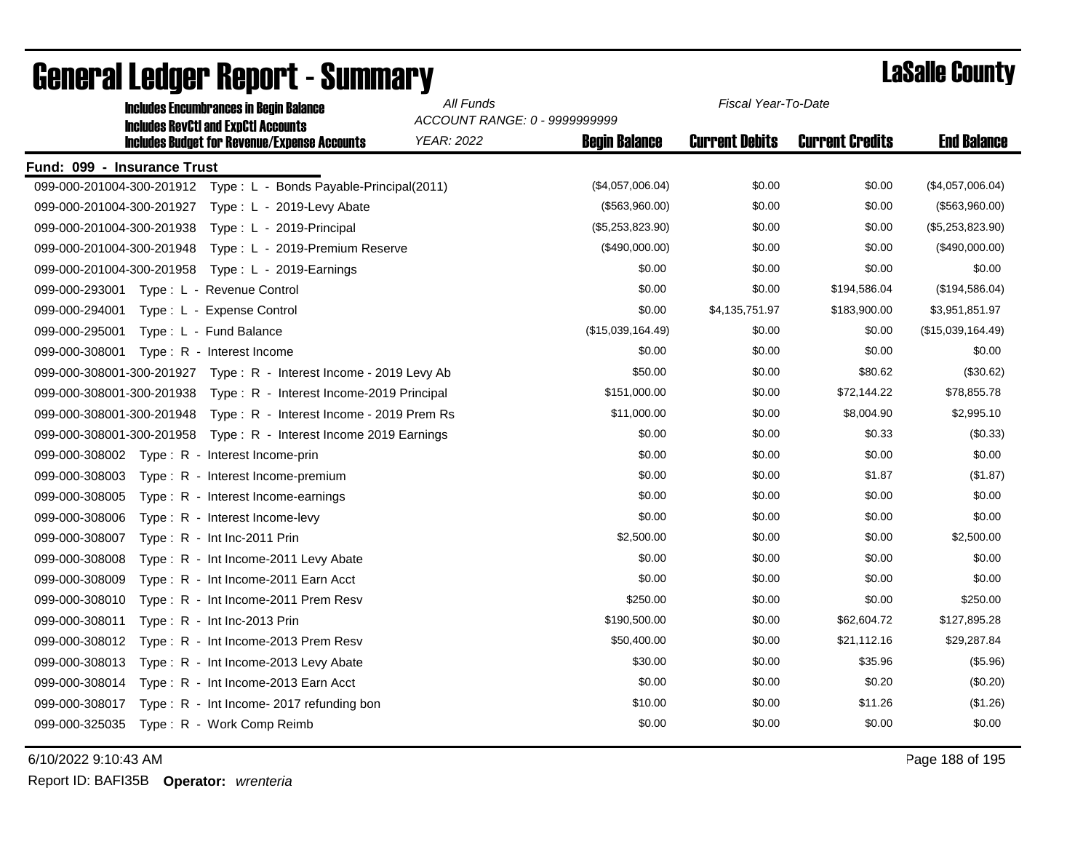| <b>Includes Encumbrances in Begin Balance</b>                         |                               | All Funds<br>Fiscal Year-To-Date |                       |                        |                    |  |
|-----------------------------------------------------------------------|-------------------------------|----------------------------------|-----------------------|------------------------|--------------------|--|
| <b>Includes RevCtI and ExpCtI Accounts</b>                            | ACCOUNT RANGE: 0 - 9999999999 |                                  |                       |                        |                    |  |
| <b>Includes Budget for Revenue/Expense Accounts</b>                   | <b>YEAR: 2022</b>             | <b>Begin Balance</b>             | <b>Current Debits</b> | <b>Current Credits</b> | <b>End Balance</b> |  |
| Fund: 099 - Insurance Trust                                           |                               |                                  |                       |                        |                    |  |
| 099-000-201004-300-201912 Type: L - Bonds Payable-Principal(2011)     |                               | (\$4,057,006.04)                 | \$0.00                | \$0.00                 | (\$4,057,006.04)   |  |
| 099-000-201004-300-201927<br>Type: L - 2019-Levy Abate                |                               | (\$563,960.00)                   | \$0.00                | \$0.00                 | (\$563,960.00)     |  |
| 099-000-201004-300-201938<br>Type: L - 2019-Principal                 |                               | (\$5,253,823.90)                 | \$0.00                | \$0.00                 | (\$5,253,823.90)   |  |
| Type: L - 2019-Premium Reserve<br>099-000-201004-300-201948           |                               | (\$490,000.00)                   | \$0.00                | \$0.00                 | (\$490,000.00)     |  |
| 099-000-201004-300-201958<br>Type: L - 2019-Earnings                  |                               | \$0.00                           | \$0.00                | \$0.00                 | \$0.00             |  |
| 099-000-293001    Type: L - Revenue Control                           |                               | \$0.00                           | \$0.00                | \$194,586.04           | (\$194,586.04)     |  |
| 099-000-294001<br>Type: L - Expense Control                           |                               | \$0.00                           | \$4,135,751.97        | \$183,900.00           | \$3,951,851.97     |  |
| 099-000-295001<br>Type: L - Fund Balance                              |                               | (\$15,039,164.49)                | \$0.00                | \$0.00                 | (\$15,039,164.49)  |  |
| 099-000-308001<br>Type: R - Interest Income                           |                               | \$0.00                           | \$0.00                | \$0.00                 | \$0.00             |  |
| 099-000-308001-300-201927  Type: R - Interest Income - 2019 Levy Ab   |                               | \$50.00                          | \$0.00                | \$80.62                | (\$30.62)          |  |
| 099-000-308001-300-201938<br>Type: R - Interest Income-2019 Principal |                               | \$151,000.00                     | \$0.00                | \$72,144.22            | \$78,855.78        |  |
| Type: R - Interest Income - 2019 Prem Rs<br>099-000-308001-300-201948 |                               | \$11,000.00                      | \$0.00                | \$8,004.90             | \$2,995.10         |  |
| 099-000-308001-300-201958<br>Type: R - Interest Income 2019 Earnings  |                               | \$0.00                           | \$0.00                | \$0.33                 | (\$0.33)           |  |
| 099-000-308002<br>Type: R - Interest Income-prin                      |                               | \$0.00                           | \$0.00                | \$0.00                 | \$0.00             |  |
| 099-000-308003<br>Type: R - Interest Income-premium                   |                               | \$0.00                           | \$0.00                | \$1.87                 | (\$1.87)           |  |
| 099-000-308005<br>Type: R - Interest Income-earnings                  |                               | \$0.00                           | \$0.00                | \$0.00                 | \$0.00             |  |
| 099-000-308006<br>Type: R - Interest Income-levy                      |                               | \$0.00                           | \$0.00                | \$0.00                 | \$0.00             |  |
| 099-000-308007<br>Type: $R - Int$ Inte-2011 Prin                      |                               | \$2,500.00                       | \$0.00                | \$0.00                 | \$2,500.00         |  |
| 099-000-308008<br>Type: R - Int Income-2011 Levy Abate                |                               | \$0.00                           | \$0.00                | \$0.00                 | \$0.00             |  |
| 099-000-308009<br>Type: R - Int Income-2011 Earn Acct                 |                               | \$0.00                           | \$0.00                | \$0.00                 | \$0.00             |  |
| 099-000-308010<br>Type: R - Int Income-2011 Prem Resv                 |                               | \$250.00                         | \$0.00                | \$0.00                 | \$250.00           |  |
| 099-000-308011<br>Type: $R - Int$ Inte-2013 Prin                      |                               | \$190,500.00                     | \$0.00                | \$62,604.72            | \$127,895.28       |  |
| 099-000-308012<br>Type: R - Int Income-2013 Prem Resv                 |                               | \$50,400.00                      | \$0.00                | \$21,112.16            | \$29,287.84        |  |
| 099-000-308013<br>Type: R - Int Income-2013 Levy Abate                |                               | \$30.00                          | \$0.00                | \$35.96                | (\$5.96)           |  |
| 099-000-308014<br>Type: R - Int Income-2013 Earn Acct                 |                               | \$0.00                           | \$0.00                | \$0.20                 | (\$0.20)           |  |
| 099-000-308017<br>Type: R - Int Income-2017 refunding bon             |                               | \$10.00                          | \$0.00                | \$11.26                | (\$1.26)           |  |
| 099-000-325035<br>Type: R - Work Comp Reimb                           |                               | \$0.00                           | \$0.00                | \$0.00                 | \$0.00             |  |
|                                                                       |                               |                                  |                       |                        |                    |  |

# General Ledger Report - Summary **Lassing Report - Summary**

6/10/2022 9:10:43 AM Page 188 of 195

Report ID: BAFI35B **Operator:** *wrenteria*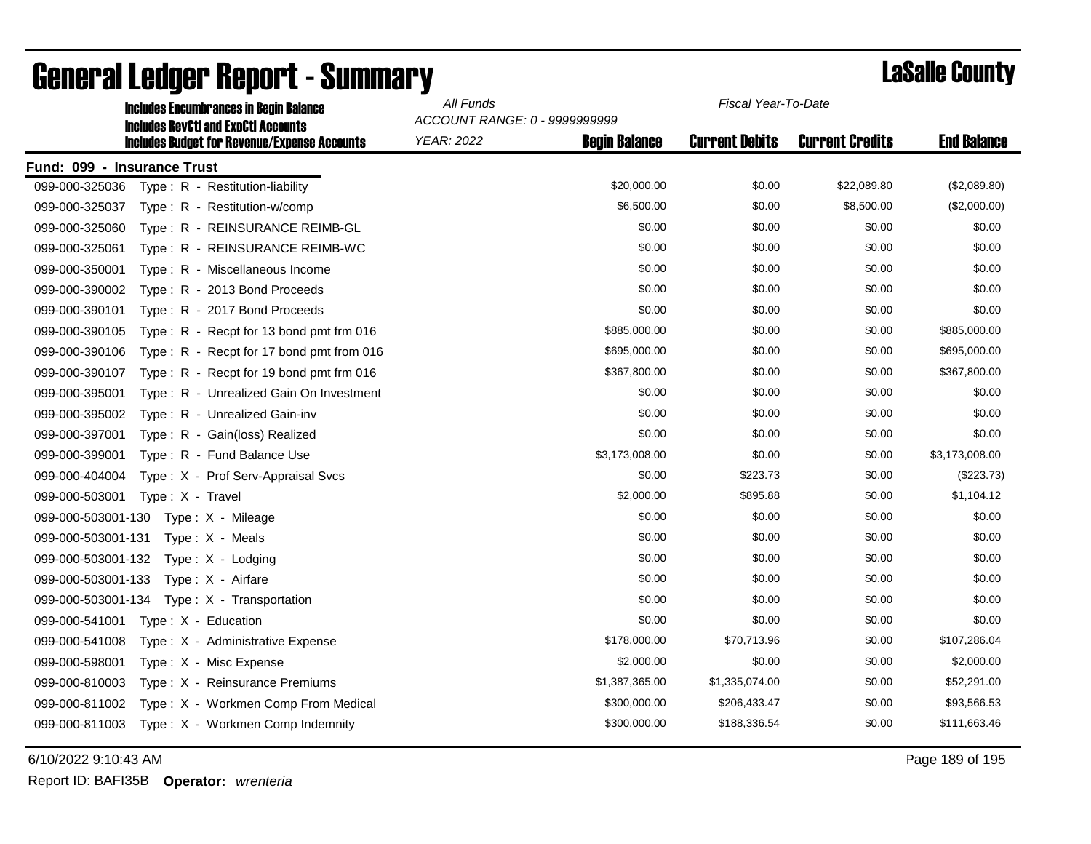| <b>Includes Encumbrances in Begin Balance</b>              | All Funds                                 | Fiscal Year-To-Date    |                        |                    |
|------------------------------------------------------------|-------------------------------------------|------------------------|------------------------|--------------------|
| <b>Includes RevCtI and ExpCtI Accounts</b>                 | ACCOUNT RANGE: 0 - 9999999999             |                        |                        |                    |
| <b>Includes Budget for Revenue/Expense Accounts</b>        | <b>Begin Balance</b><br><b>YEAR: 2022</b> | <b>Current Debits</b>  | <b>Current Credits</b> | <b>End Balance</b> |
| Fund: 099 - Insurance Trust                                |                                           |                        |                        |                    |
| 099-000-325036<br>Type: R - Restitution-liability          | \$20,000.00                               | \$0.00                 | \$22,089.80            | (\$2,089.80)       |
| 099-000-325037<br>Type: R - Restitution-w/comp             |                                           | \$6,500.00<br>\$0.00   | \$8,500.00             | (\$2,000.00)       |
| 099-000-325060<br>Type: R - REINSURANCE REIMB-GL           |                                           | \$0.00<br>\$0.00       | \$0.00                 | \$0.00             |
| 099-000-325061<br>Type: R - REINSURANCE REIMB-WC           |                                           | \$0.00<br>\$0.00       | \$0.00                 | \$0.00             |
| 099-000-350001<br>Type: R - Miscellaneous Income           |                                           | \$0.00<br>\$0.00       | \$0.00                 | \$0.00             |
| Type: R - 2013 Bond Proceeds<br>099-000-390002             |                                           | \$0.00<br>\$0.00       | \$0.00                 | \$0.00             |
| 099-000-390101<br>Type: R - 2017 Bond Proceeds             |                                           | \$0.00<br>\$0.00       | \$0.00                 | \$0.00             |
| 099-000-390105<br>Type: R - Recpt for 13 bond pmt frm 016  | \$885,000.00                              | \$0.00                 | \$0.00                 | \$885,000.00       |
| 099-000-390106<br>Type: R - Recpt for 17 bond pmt from 016 | \$695,000.00                              | \$0.00                 | \$0.00                 | \$695,000.00       |
| 099-000-390107<br>Type: R - Recpt for 19 bond pmt frm 016  | \$367,800.00                              | \$0.00                 | \$0.00                 | \$367,800.00       |
| 099-000-395001<br>Type: R - Unrealized Gain On Investment  |                                           | \$0.00<br>\$0.00       | \$0.00                 | \$0.00             |
| 099-000-395002<br>Type: R - Unrealized Gain-inv            |                                           | \$0.00<br>\$0.00       | \$0.00                 | \$0.00             |
| 099-000-397001<br>Type: R - Gain(loss) Realized            |                                           | \$0.00<br>\$0.00       | \$0.00                 | \$0.00             |
| 099-000-399001<br>Type: R - Fund Balance Use               | \$3,173,008.00                            | \$0.00                 | \$0.00                 | \$3,173,008.00     |
| 099-000-404004<br>Type: X - Prof Serv-Appraisal Svcs       |                                           | \$0.00<br>\$223.73     | \$0.00                 | $(\$223.73)$       |
| 099-000-503001<br>Type: X - Travel                         |                                           | \$2,000.00<br>\$895.88 | \$0.00                 | \$1,104.12         |
| 099-000-503001-130<br>Type: X - Mileage                    |                                           | \$0.00<br>\$0.00       | \$0.00                 | \$0.00             |
| 099-000-503001-131<br>Type: X - Meals                      |                                           | \$0.00<br>\$0.00       | \$0.00                 | \$0.00             |
| 099-000-503001-132<br>Type: X - Lodging                    |                                           | \$0.00<br>\$0.00       | \$0.00                 | \$0.00             |
| 099-000-503001-133<br>Type: X - Airfare                    |                                           | \$0.00<br>\$0.00       | \$0.00                 | \$0.00             |
| 099-000-503001-134<br>Type: X - Transportation             |                                           | \$0.00<br>\$0.00       | \$0.00                 | \$0.00             |
| 099-000-541001    Type: X - Education                      |                                           | \$0.00<br>\$0.00       | \$0.00                 | \$0.00             |
| 099-000-541008<br>Type: X - Administrative Expense         | \$178,000.00                              | \$70,713.96            | \$0.00                 | \$107,286.04       |
| 099-000-598001<br>Type: X - Misc Expense                   |                                           | \$2,000.00<br>\$0.00   | \$0.00                 | \$2,000.00         |
| Type: X - Reinsurance Premiums<br>099-000-810003           | \$1,387,365.00                            | \$1,335,074.00         | \$0.00                 | \$52,291.00        |
| 099-000-811002<br>Type: X - Workmen Comp From Medical      | \$300,000.00                              | \$206,433.47           | \$0.00                 | \$93,566.53        |
| 099-000-811003<br>Type: X - Workmen Comp Indemnity         | \$300,000.00                              | \$188,336.54           | \$0.00                 | \$111,663.46       |
|                                                            |                                           |                        |                        |                    |

6/10/2022 9:10:43 AM Page 189 of 195

Report ID: BAFI35B **Operator:** *wrenteria*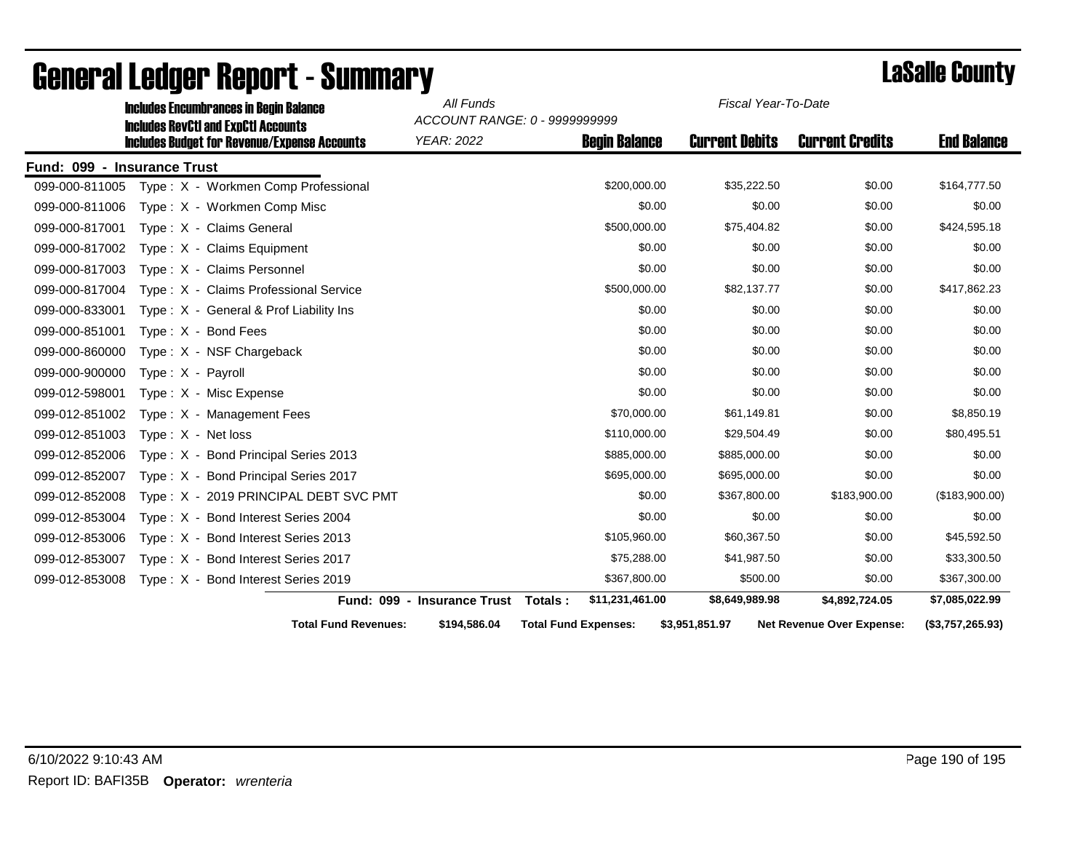|                             | <b>Includes Encumbrances in Begin Balance</b>                                                     | All Funds<br>Fiscal Year-To-Date<br>ACCOUNT RANGE: 0 - 9999999999 |                             |                       |                                  |                    |
|-----------------------------|---------------------------------------------------------------------------------------------------|-------------------------------------------------------------------|-----------------------------|-----------------------|----------------------------------|--------------------|
|                             | <b>Includes RevCtI and ExpCtI Accounts</b><br><b>Includes Budget for Revenue/Expense Accounts</b> | <b>YEAR: 2022</b>                                                 | <b>Begin Balance</b>        | <b>Current Debits</b> | <b>Current Credits</b>           | <b>End Balance</b> |
| Fund: 099 - Insurance Trust |                                                                                                   |                                                                   |                             |                       |                                  |                    |
| 099-000-811005              | Type: X - Workmen Comp Professional                                                               |                                                                   | \$200,000.00                | \$35,222.50           | \$0.00                           | \$164,777.50       |
| 099-000-811006              | Type: X - Workmen Comp Misc                                                                       |                                                                   | \$0.00                      | \$0.00                | \$0.00                           | \$0.00             |
| 099-000-817001              | Type: X - Claims General                                                                          |                                                                   | \$500,000.00                | \$75,404.82           | \$0.00                           | \$424,595.18       |
| 099-000-817002              | Type: X - Claims Equipment                                                                        |                                                                   | \$0.00                      | \$0.00                | \$0.00                           | \$0.00             |
| 099-000-817003              | Type: X - Claims Personnel                                                                        |                                                                   | \$0.00                      | \$0.00                | \$0.00                           | \$0.00             |
| 099-000-817004              | Type: X - Claims Professional Service                                                             |                                                                   | \$500,000.00                | \$82,137.77           | \$0.00                           | \$417,862.23       |
| 099-000-833001              | Type: X - General & Prof Liability Ins                                                            |                                                                   | \$0.00                      | \$0.00                | \$0.00                           | \$0.00             |
| 099-000-851001              | Type: X - Bond Fees                                                                               |                                                                   | \$0.00                      | \$0.00                | \$0.00                           | \$0.00             |
| 099-000-860000              | Type: X - NSF Chargeback                                                                          |                                                                   | \$0.00                      | \$0.00                | \$0.00                           | \$0.00             |
| 099-000-900000              | Type: X - Payroll                                                                                 |                                                                   | \$0.00                      | \$0.00                | \$0.00                           | \$0.00             |
| 099-012-598001              | Type: X - Misc Expense                                                                            |                                                                   | \$0.00                      | \$0.00                | \$0.00                           | \$0.00             |
| 099-012-851002              | Type: X - Management Fees                                                                         |                                                                   | \$70,000.00                 | \$61,149.81           | \$0.00                           | \$8,850.19         |
| 099-012-851003              | Type $: X - Net loss$                                                                             |                                                                   | \$110,000.00                | \$29,504.49           | \$0.00                           | \$80,495.51        |
| 099-012-852006              | Type: X - Bond Principal Series 2013                                                              |                                                                   | \$885,000.00                | \$885,000.00          | \$0.00                           | \$0.00             |
| 099-012-852007              | Type: X - Bond Principal Series 2017                                                              |                                                                   | \$695,000.00                | \$695,000.00          | \$0.00                           | \$0.00             |
| 099-012-852008              | Type: X - 2019 PRINCIPAL DEBT SVC PMT                                                             |                                                                   | \$0.00                      | \$367,800.00          | \$183,900.00                     | (\$183,900.00)     |
| 099-012-853004              | Type: X - Bond Interest Series 2004                                                               |                                                                   | \$0.00                      | \$0.00                | \$0.00                           | \$0.00             |
| 099-012-853006              | Type: X - Bond Interest Series 2013                                                               |                                                                   | \$105,960.00                | \$60,367.50           | \$0.00                           | \$45,592.50        |
| 099-012-853007              | Type: X - Bond Interest Series 2017                                                               |                                                                   | \$75,288.00                 | \$41,987.50           | \$0.00                           | \$33,300.50        |
| 099-012-853008              | Type: X - Bond Interest Series 2019                                                               |                                                                   | \$367,800.00                | \$500.00              | \$0.00                           | \$367,300.00       |
|                             |                                                                                                   | Fund: 099 - Insurance Trust                                       | \$11,231,461.00<br>Totals:  | \$8,649,989.98        | \$4,892,724.05                   | \$7,085,022.99     |
|                             | <b>Total Fund Revenues:</b>                                                                       | \$194,586.04                                                      | <b>Total Fund Expenses:</b> | \$3,951,851.97        | <b>Net Revenue Over Expense:</b> | (\$3,757,265.93)   |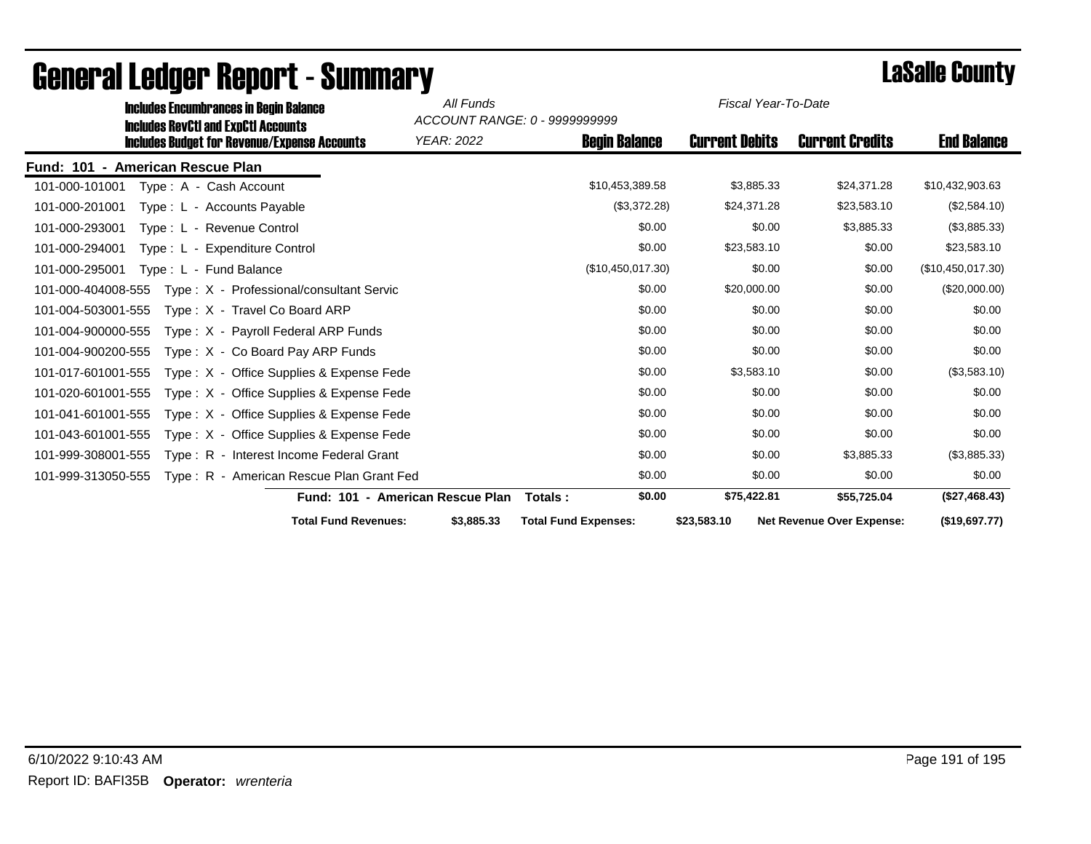| <b>Includes Encumbrances in Begin Balance</b>                                                     | All Funds                        | Fiscal Year-To-Date<br>ACCOUNT RANGE: 0 - 9999999999 |                       |                                  |                    |  |
|---------------------------------------------------------------------------------------------------|----------------------------------|------------------------------------------------------|-----------------------|----------------------------------|--------------------|--|
| <b>Includes RevCtI and ExpCtI Accounts</b><br><b>Includes Budget for Revenue/Expense Accounts</b> | YEAR: 2022                       | <b>Begin Balance</b>                                 | <b>Current Debits</b> | <b>Current Credits</b>           | <b>End Balance</b> |  |
| Fund: 101 - American Rescue Plan                                                                  |                                  |                                                      |                       |                                  |                    |  |
| Type: A - Cash Account<br>101-000-101001                                                          |                                  | \$10,453,389.58                                      | \$3,885.33            | \$24,371.28                      | \$10,432,903.63    |  |
| 101-000-201001<br>Type: L - Accounts Payable                                                      |                                  | (\$3,372.28)                                         | \$24,371.28           | \$23,583.10                      | (\$2,584.10)       |  |
| 101-000-293001<br>Type: L - Revenue Control                                                       |                                  | \$0.00                                               | \$0.00                | \$3,885.33                       | (\$3,885.33)       |  |
| 101-000-294001<br>Type: L - Expenditure Control                                                   |                                  | \$0.00                                               | \$23,583.10           | \$0.00                           | \$23,583.10        |  |
| 101-000-295001<br>Type: L - Fund Balance                                                          |                                  | (\$10,450,017.30)                                    | \$0.00                | \$0.00                           | (\$10,450,017.30)  |  |
| Type: X - Professional/consultant Servic<br>101-000-404008-555                                    |                                  | \$0.00                                               | \$20,000.00           | \$0.00                           | (\$20,000.00)      |  |
| Type: X - Travel Co Board ARP<br>101-004-503001-555                                               |                                  | \$0.00                                               | \$0.00                | \$0.00                           | \$0.00             |  |
| Type: X - Payroll Federal ARP Funds<br>101-004-900000-555                                         |                                  | \$0.00                                               | \$0.00                | \$0.00                           | \$0.00             |  |
| 101-004-900200-555<br>Type: X - Co Board Pay ARP Funds                                            |                                  | \$0.00                                               | \$0.00                | \$0.00                           | \$0.00             |  |
| Type: X - Office Supplies & Expense Fede<br>101-017-601001-555                                    |                                  | \$0.00                                               | \$3,583.10            | \$0.00                           | (\$3,583.10)       |  |
| 101-020-601001-555<br>Type: X - Office Supplies & Expense Fede                                    |                                  | \$0.00                                               | \$0.00                | \$0.00                           | \$0.00             |  |
| Type: X - Office Supplies & Expense Fede<br>101-041-601001-555                                    |                                  | \$0.00                                               | \$0.00                | \$0.00                           | \$0.00             |  |
| Type: X - Office Supplies & Expense Fede<br>101-043-601001-555                                    |                                  | \$0.00                                               | \$0.00                | \$0.00                           | \$0.00             |  |
| Type: R - Interest Income Federal Grant<br>101-999-308001-555                                     |                                  | \$0.00                                               | \$0.00                | \$3,885.33                       | (\$3,885.33)       |  |
| Type: R - American Rescue Plan Grant Fed<br>101-999-313050-555                                    |                                  | \$0.00                                               | \$0.00                | \$0.00                           | \$0.00             |  |
|                                                                                                   | Fund: 101 - American Rescue Plan | \$0.00<br>Totals:                                    | \$75,422.81           | \$55,725.04                      | (\$27,468.43)      |  |
| <b>Total Fund Revenues:</b>                                                                       | \$3,885.33                       | <b>Total Fund Expenses:</b>                          | \$23,583.10           | <b>Net Revenue Over Expense:</b> | (\$19,697.77)      |  |

# General Ledger Report - Summary **Lassing Report - Summary**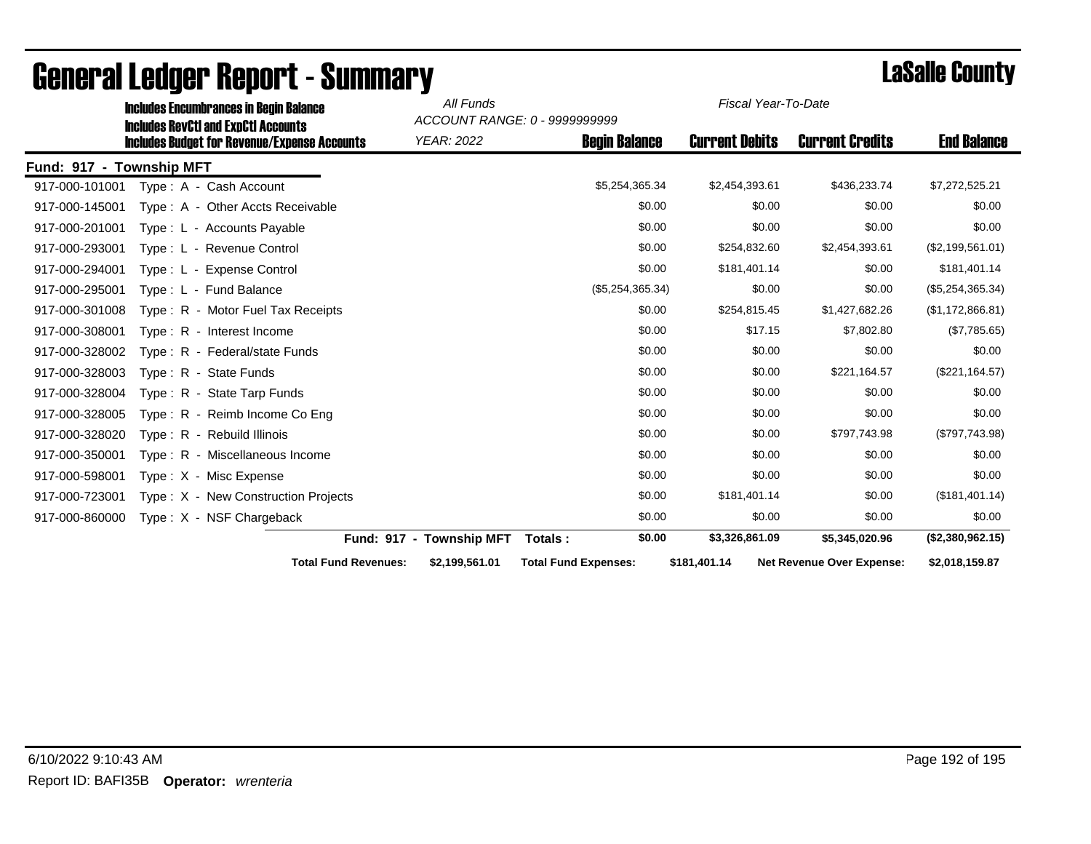|                          | <b>Includes Encumbrances in Begin Balance</b>                                                     | All Funds                | Fiscal Year-To-Date<br>ACCOUNT RANGE: 0 - 9999999999 |                       |                           |                    |
|--------------------------|---------------------------------------------------------------------------------------------------|--------------------------|------------------------------------------------------|-----------------------|---------------------------|--------------------|
|                          | <b>Includes RevCtI and ExpCtI Accounts</b><br><b>Includes Budget for Revenue/Expense Accounts</b> | YEAR: 2022               | <b>Begin Balance</b>                                 | <b>Current Debits</b> | <b>Current Credits</b>    | <b>End Balance</b> |
| Fund: 917 - Township MFT |                                                                                                   |                          |                                                      |                       |                           |                    |
| 917-000-101001           | Type: A - Cash Account                                                                            |                          | \$5,254,365.34                                       | \$2,454,393.61        | \$436,233.74              | \$7,272,525.21     |
| 917-000-145001           | Type: A - Other Accts Receivable                                                                  |                          | \$0.00                                               | \$0.00                | \$0.00                    | \$0.00             |
| 917-000-201001           | Type: L - Accounts Payable                                                                        |                          | \$0.00                                               | \$0.00                | \$0.00                    | \$0.00             |
| 917-000-293001           | Type: L - Revenue Control                                                                         |                          | \$0.00                                               | \$254,832.60          | \$2,454,393.61            | (\$2,199,561.01)   |
| 917-000-294001           | Type: L - Expense Control                                                                         |                          | \$0.00                                               | \$181,401.14          | \$0.00                    | \$181,401.14       |
| 917-000-295001           | Type: L - Fund Balance                                                                            |                          | (\$5,254,365.34)                                     | \$0.00                | \$0.00                    | (\$5,254,365.34)   |
| 917-000-301008           | Type: R - Motor Fuel Tax Receipts                                                                 |                          | \$0.00                                               | \$254,815.45          | \$1,427,682.26            | (\$1,172,866.81)   |
| 917-000-308001           | Type: R - Interest Income                                                                         |                          | \$0.00                                               | \$17.15               | \$7,802.80                | (\$7,785.65)       |
| 917-000-328002           | Type: R - Federal/state Funds                                                                     |                          | \$0.00                                               | \$0.00                | \$0.00                    | \$0.00             |
| 917-000-328003           | Type: R - State Funds                                                                             |                          | \$0.00                                               | \$0.00                | \$221,164.57              | (\$221, 164.57)    |
| 917-000-328004           | Type: R - State Tarp Funds                                                                        |                          | \$0.00                                               | \$0.00                | \$0.00                    | \$0.00             |
| 917-000-328005           | Type: R - Reimb Income Co Eng                                                                     |                          | \$0.00                                               | \$0.00                | \$0.00                    | \$0.00             |
| 917-000-328020           | Type: R - Rebuild Illinois                                                                        |                          | \$0.00                                               | \$0.00                | \$797,743.98              | (\$797,743.98)     |
| 917-000-350001           | Type: R - Miscellaneous Income                                                                    |                          | \$0.00                                               | \$0.00                | \$0.00                    | \$0.00             |
| 917-000-598001           | Type: X - Misc Expense                                                                            |                          | \$0.00                                               | \$0.00                | \$0.00                    | \$0.00             |
| 917-000-723001           | Type: X - New Construction Projects                                                               |                          | \$0.00                                               | \$181,401.14          | \$0.00                    | (\$181,401.14)     |
| 917-000-860000           | Type: X - NSF Chargeback                                                                          |                          | \$0.00                                               | \$0.00                | \$0.00                    | \$0.00             |
|                          |                                                                                                   | Fund: 917 - Township MFT | \$0.00<br>Totals:                                    | \$3,326,861.09        | \$5,345,020.96            | (\$2,380,962.15)   |
|                          | <b>Total Fund Revenues:</b>                                                                       | \$2,199,561.01           | <b>Total Fund Expenses:</b>                          | \$181,401.14          | Net Revenue Over Expense: | \$2,018,159.87     |

### General Ledger Report - Summary **County County Lasse** East Lasse County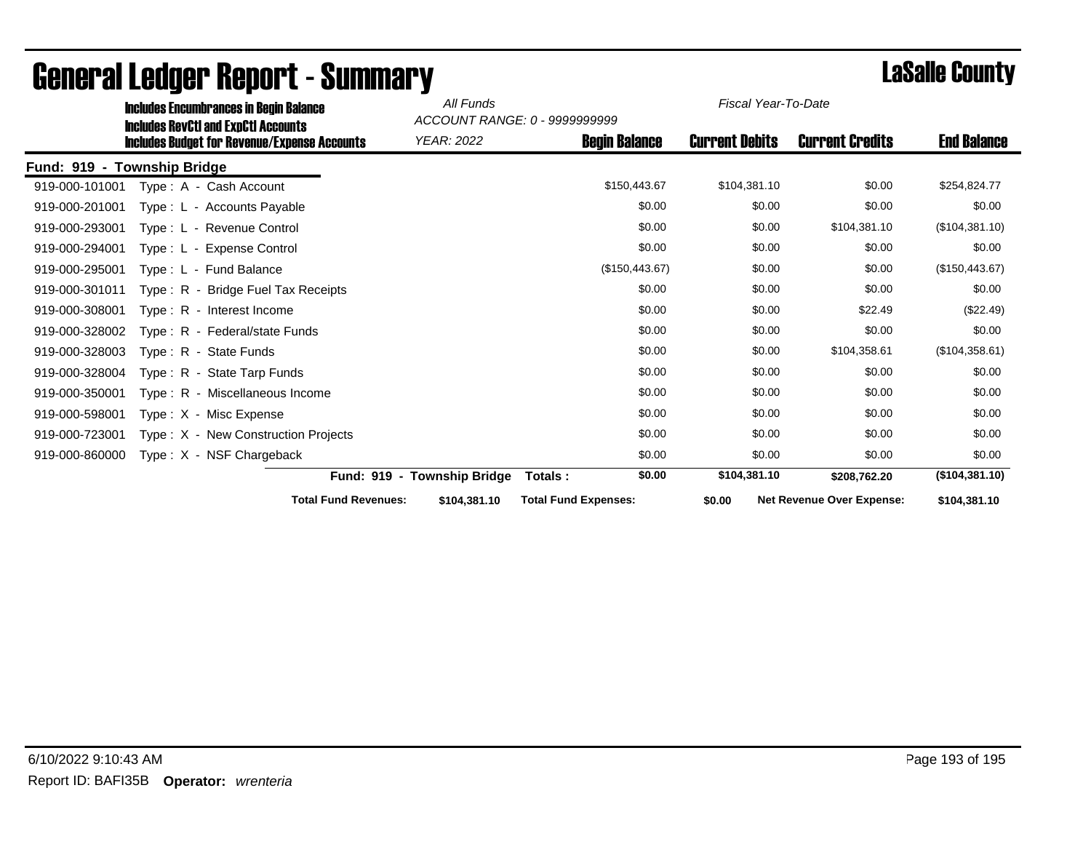|                             | <b>Includes Encumbrances in Begin Balance</b>                                                     | All Funds<br>Fiscal Year-To-Date<br>ACCOUNT RANGE: 0 - 9999999999 |                             |                       |                                  |                    |
|-----------------------------|---------------------------------------------------------------------------------------------------|-------------------------------------------------------------------|-----------------------------|-----------------------|----------------------------------|--------------------|
|                             | <b>Includes RevCtI and ExpCtI Accounts</b><br><b>Includes Budget for Revenue/Expense Accounts</b> | YEAR: 2022                                                        | <b>Begin Balance</b>        | <b>Current Debits</b> | <b>Current Credits</b>           | <b>End Balance</b> |
| Fund: 919 - Township Bridge |                                                                                                   |                                                                   |                             |                       |                                  |                    |
| 919-000-101001              | Type: A - Cash Account                                                                            |                                                                   | \$150,443.67                | \$104,381.10          | \$0.00                           | \$254,824.77       |
| 919-000-201001              | Type: L - Accounts Payable                                                                        |                                                                   | \$0.00                      | \$0.00                | \$0.00                           | \$0.00             |
| 919-000-293001              | Type: L - Revenue Control                                                                         |                                                                   | \$0.00                      | \$0.00                | \$104,381.10                     | (\$104,381.10)     |
| 919-000-294001              | Type: L - Expense Control                                                                         |                                                                   | \$0.00                      | \$0.00                | \$0.00                           | \$0.00             |
| 919-000-295001              | Type: L - Fund Balance                                                                            |                                                                   | (\$150,443.67)              | \$0.00                | \$0.00                           | (\$150, 443.67)    |
| 919-000-301011              | Type: R - Bridge Fuel Tax Receipts                                                                |                                                                   | \$0.00                      | \$0.00                | \$0.00                           | \$0.00             |
| 919-000-308001              | Type: R - Interest Income                                                                         |                                                                   | \$0.00                      | \$0.00                | \$22.49                          | (\$22.49)          |
| 919-000-328002              | Type: R - Federal/state Funds                                                                     |                                                                   | \$0.00                      | \$0.00                | \$0.00                           | \$0.00             |
| 919-000-328003              | Type: R - State Funds                                                                             |                                                                   | \$0.00                      | \$0.00                | \$104,358.61                     | (\$104,358.61)     |
| 919-000-328004              | Type: R - State Tarp Funds                                                                        |                                                                   | \$0.00                      | \$0.00                | \$0.00                           | \$0.00             |
| 919-000-350001              | Type: R - Miscellaneous Income                                                                    |                                                                   | \$0.00                      | \$0.00                | \$0.00                           | \$0.00             |
| 919-000-598001              | Type: X - Misc Expense                                                                            |                                                                   | \$0.00                      | \$0.00                | \$0.00                           | \$0.00             |
| 919-000-723001              | Type: X - New Construction Projects                                                               |                                                                   | \$0.00                      | \$0.00                | \$0.00                           | \$0.00             |
| 919-000-860000              | Type: X - NSF Chargeback                                                                          |                                                                   | \$0.00                      | \$0.00                | \$0.00                           | \$0.00             |
|                             |                                                                                                   | Fund: 919 - Township Bridge<br>Totals:                            | \$0.00                      | \$104,381.10          | \$208,762.20                     | (\$104,381.10)     |
|                             | <b>Total Fund Revenues:</b>                                                                       | \$104,381.10                                                      | <b>Total Fund Expenses:</b> | \$0.00                | <b>Net Revenue Over Expense:</b> | \$104,381.10       |

## General Ledger Report - Summary **Lassing County** Lassing County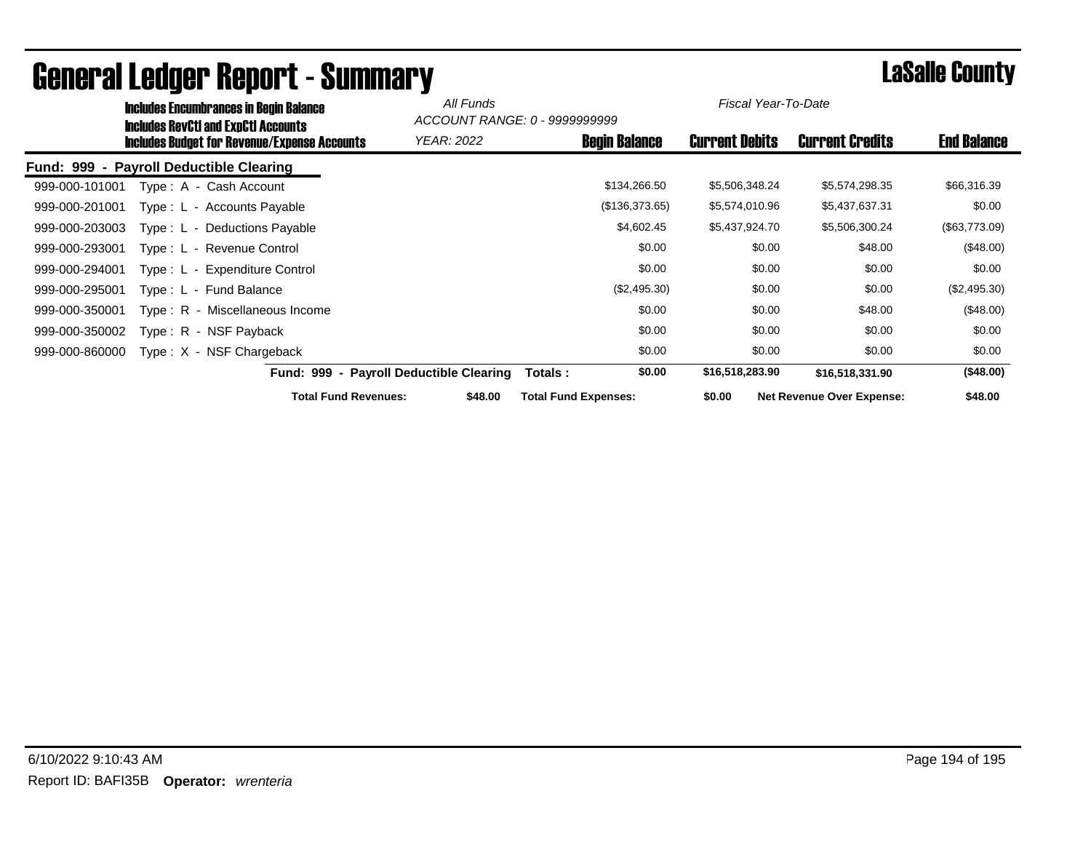|                | <b>Includes Encumbrances in Begin Balance</b>                                                     | All Funds<br>ACCOUNT RANGE: 0 - 9999999999 |                             |                      | Fiscal Year-To-Date   |                                  |                    |
|----------------|---------------------------------------------------------------------------------------------------|--------------------------------------------|-----------------------------|----------------------|-----------------------|----------------------------------|--------------------|
|                | <b>Includes RevCtI and ExpCtI Accounts</b><br><b>Includes Budget for Revenue/Expense Accounts</b> | YEAR: 2022                                 |                             | <b>Begin Balance</b> | <b>Current Debits</b> | <b>Current Credits</b>           | <b>End Balance</b> |
|                | Fund: 999 - Payroll Deductible Clearing                                                           |                                            |                             |                      |                       |                                  |                    |
| 999-000-101001 | Type: A - Cash Account                                                                            |                                            |                             | \$134,266.50         | \$5,506,348.24        | \$5,574,298.35                   | \$66,316.39        |
| 999-000-201001 | Type : L - Accounts Payable                                                                       |                                            |                             | (\$136,373.65)       | \$5,574,010.96        | \$5,437,637.31                   | \$0.00             |
| 999-000-203003 | Type: L - Deductions Payable                                                                      |                                            |                             | \$4,602.45           | \$5,437,924.70        | \$5,506,300.24                   | (\$63,773.09)      |
| 999-000-293001 | Type: L - Revenue Control                                                                         |                                            |                             | \$0.00               | \$0.00                | \$48.00                          | (\$48.00)          |
| 999-000-294001 | Type: L - Expenditure Control                                                                     |                                            |                             | \$0.00               | \$0.00                | \$0.00                           | \$0.00             |
| 999-000-295001 | Type: L - Fund Balance                                                                            |                                            |                             | (\$2,495.30)         | \$0.00                | \$0.00                           | (\$2,495.30)       |
| 999-000-350001 | Type: R - Miscellaneous Income                                                                    |                                            |                             | \$0.00               | \$0.00                | \$48.00                          | (\$48.00)          |
| 999-000-350002 | Type: R - NSF Payback                                                                             |                                            |                             | \$0.00               | \$0.00                | \$0.00                           | \$0.00             |
| 999-000-860000 | Type: $X - NSF$ Chargeback                                                                        |                                            |                             | \$0.00               | \$0.00                | \$0.00                           | \$0.00             |
|                |                                                                                                   | Fund: 999 - Payroll Deductible Clearing    | Totals :                    | \$0.00               | \$16,518,283.90       | \$16,518,331.90                  | (\$48.00)          |
|                | <b>Total Fund Revenues:</b>                                                                       | \$48.00                                    | <b>Total Fund Expenses:</b> |                      | \$0.00                | <b>Net Revenue Over Expense:</b> | \$48.00            |